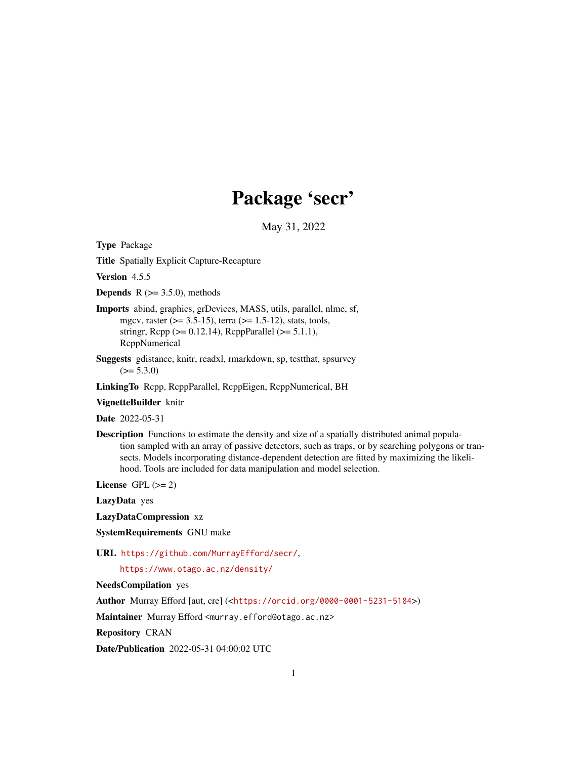# Package 'secr'

May 31, 2022

<span id="page-0-0"></span>Type Package

Title Spatially Explicit Capture-Recapture

Version 4.5.5

**Depends** R  $(>= 3.5.0)$ , methods

- Imports abind, graphics, grDevices, MASS, utils, parallel, nlme, sf, mgcv, raster ( $>= 3.5-15$ ), terra ( $>= 1.5-12$ ), stats, tools, stringr, Rcpp ( $>= 0.12.14$ ), RcppParallel ( $>= 5.1.1$ ), RcppNumerical
- Suggests gdistance, knitr, readxl, rmarkdown, sp, testthat, spsurvey  $(>= 5.3.0)$

LinkingTo Rcpp, RcppParallel, RcppEigen, RcppNumerical, BH

#### VignetteBuilder knitr

Date 2022-05-31

Description Functions to estimate the density and size of a spatially distributed animal population sampled with an array of passive detectors, such as traps, or by searching polygons or transects. Models incorporating distance-dependent detection are fitted by maximizing the likelihood. Tools are included for data manipulation and model selection.

License GPL  $(>= 2)$ 

LazyData yes

LazyDataCompression xz

SystemRequirements GNU make

URL <https://github.com/MurrayEfford/secr/>,

<https://www.otago.ac.nz/density/>

NeedsCompilation yes

Author Murray Efford [aut, cre] (<<https://orcid.org/0000-0001-5231-5184>>)

Maintainer Murray Efford <murray.efford@otago.ac.nz>

Repository CRAN

Date/Publication 2022-05-31 04:00:02 UTC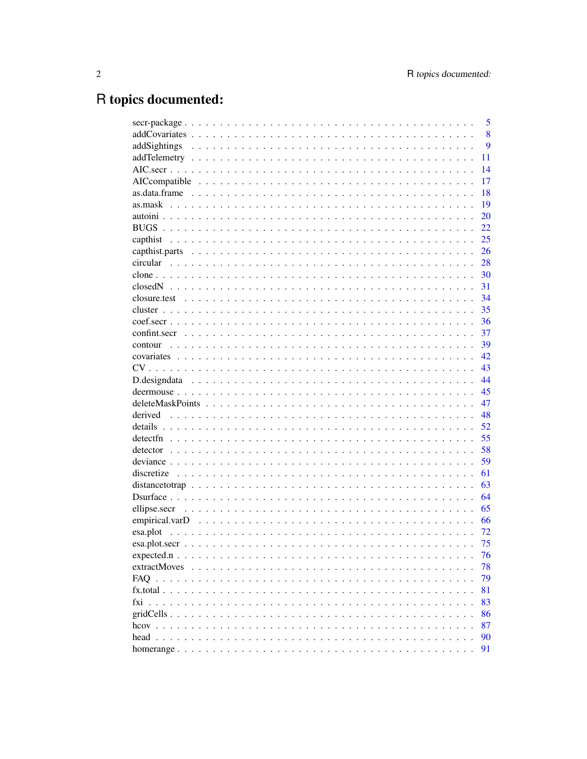# R topics documented:

|                                                      | 5  |
|------------------------------------------------------|----|
|                                                      | 8  |
| addSightings                                         | 9  |
|                                                      | 11 |
|                                                      | 14 |
|                                                      | 17 |
|                                                      | 18 |
|                                                      | 19 |
|                                                      | 20 |
|                                                      | 22 |
|                                                      | 25 |
|                                                      | 26 |
|                                                      | 28 |
|                                                      | 30 |
|                                                      | 31 |
|                                                      | 34 |
|                                                      | 35 |
|                                                      | 36 |
|                                                      | 37 |
|                                                      | 39 |
|                                                      | 42 |
|                                                      | 43 |
|                                                      |    |
|                                                      | 44 |
|                                                      | 45 |
|                                                      | 47 |
|                                                      | 48 |
|                                                      | 52 |
|                                                      | 55 |
|                                                      | 58 |
|                                                      | 59 |
|                                                      | 61 |
|                                                      | 63 |
|                                                      | 64 |
|                                                      | 65 |
|                                                      | 66 |
|                                                      | 72 |
|                                                      | 75 |
|                                                      | 76 |
| extractMoves<br>$\ddotsc$<br>.<br>$\cdots$<br>$\sim$ | 78 |
|                                                      | 79 |
|                                                      | 81 |
|                                                      | 83 |
|                                                      | 86 |
|                                                      | 87 |
|                                                      | 90 |
|                                                      | 91 |
|                                                      |    |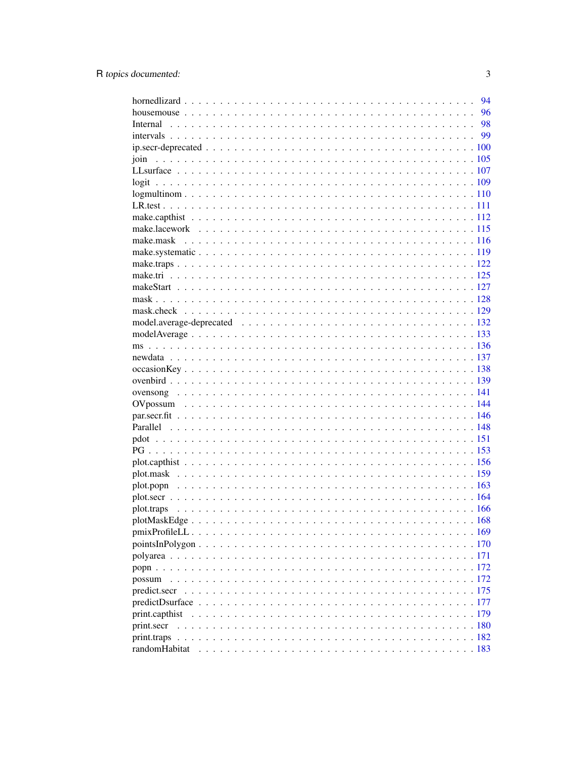|                              | 94 |
|------------------------------|----|
|                              |    |
|                              |    |
|                              |    |
|                              |    |
| join                         |    |
|                              |    |
|                              |    |
|                              |    |
|                              |    |
|                              |    |
|                              |    |
|                              |    |
|                              |    |
|                              |    |
|                              |    |
|                              |    |
|                              |    |
|                              |    |
|                              |    |
|                              |    |
|                              |    |
|                              |    |
|                              |    |
|                              |    |
|                              |    |
|                              |    |
|                              |    |
|                              |    |
|                              |    |
|                              |    |
|                              |    |
|                              |    |
|                              |    |
|                              |    |
|                              |    |
|                              |    |
|                              |    |
|                              |    |
|                              |    |
|                              |    |
|                              |    |
|                              |    |
|                              |    |
|                              |    |
| print.capthist<br>print.secr |    |
|                              |    |
|                              |    |
|                              |    |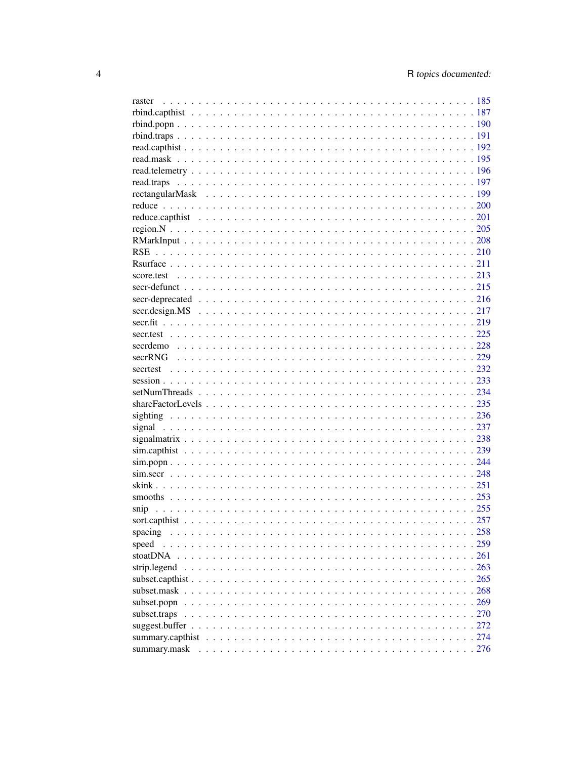| spacing      |  |
|--------------|--|
| speed        |  |
| stoatDNA     |  |
| strip.legend |  |
|              |  |
|              |  |
| subset.popn  |  |
| subset.traps |  |
|              |  |
|              |  |
|              |  |
|              |  |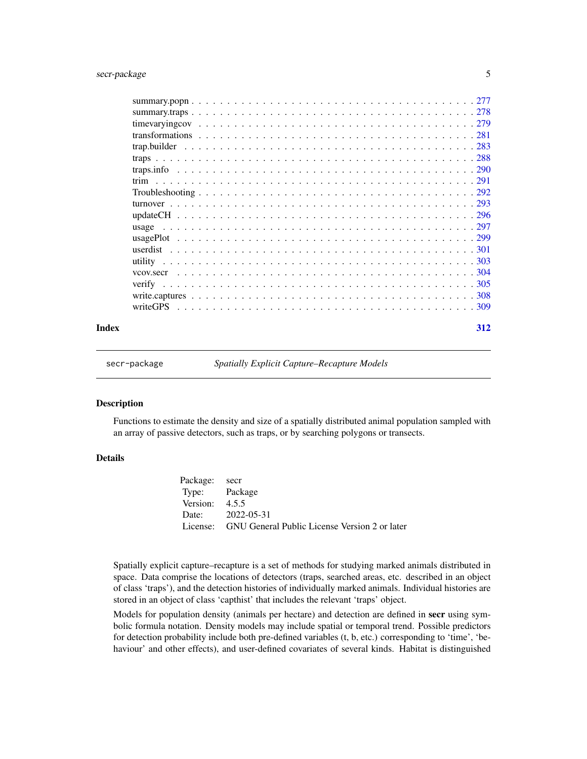<span id="page-4-0"></span>

| vcov.secr |  |
|-----------|--|
|           |  |
|           |  |
|           |  |
|           |  |
|           |  |

#### **Index** [312](#page-311-0)

secr-package *Spatially Explicit Capture–Recapture Models*

## Description

Functions to estimate the density and size of a spatially distributed animal population sampled with an array of passive detectors, such as traps, or by searching polygons or transects.

## Details

Package: secr Type: Package Version: 4.5.5 Date: 2022-05-31 License: GNU General Public License Version 2 or later

Spatially explicit capture–recapture is a set of methods for studying marked animals distributed in space. Data comprise the locations of detectors (traps, searched areas, etc. described in an object of class 'traps'), and the detection histories of individually marked animals. Individual histories are stored in an object of class 'capthist' that includes the relevant 'traps' object.

Models for population density (animals per hectare) and detection are defined in secr using symbolic formula notation. Density models may include spatial or temporal trend. Possible predictors for detection probability include both pre-defined variables (t, b, etc.) corresponding to 'time', 'behaviour' and other effects), and user-defined covariates of several kinds. Habitat is distinguished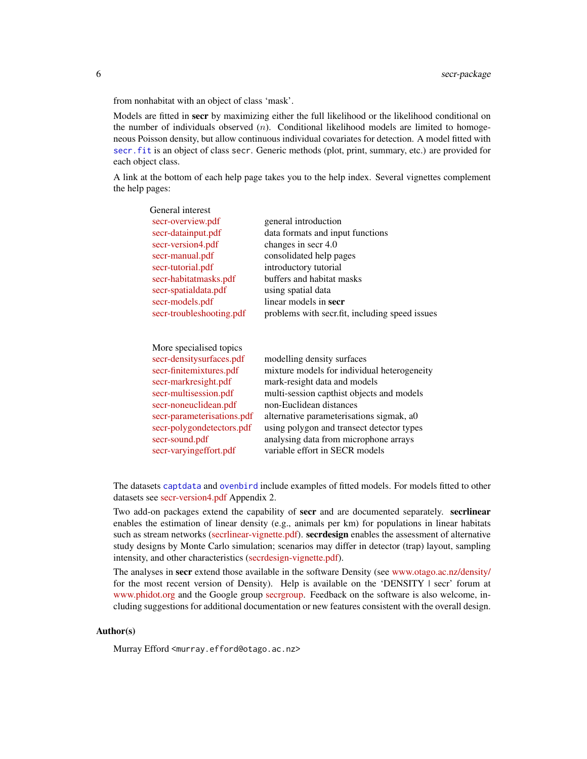from nonhabitat with an object of class 'mask'.

Models are fitted in secr by maximizing either the full likelihood or the likelihood conditional on the number of individuals observed  $(n)$ . Conditional likelihood models are limited to homogeneous Poisson density, but allow continuous individual covariates for detection. A model fitted with [secr.fit](#page-218-1) is an object of class secr. Generic methods (plot, print, summary, etc.) are provided for each object class.

A link at the bottom of each help page takes you to the help index. Several vignettes complement the help pages:

| secr-overview.pdf<br>secr-datainput.pdf | general introduction<br>data formats and input functions<br>changes in secr 4.0 |
|-----------------------------------------|---------------------------------------------------------------------------------|
|                                         |                                                                                 |
|                                         |                                                                                 |
| secr-version4.pdf                       |                                                                                 |
| secr-manual.pdf                         | consolidated help pages                                                         |
| secr-tutorial.pdf                       | introductory tutorial                                                           |
| secr-habitatmasks.pdf                   | buffers and habitat masks                                                       |
| secr-spatialdata.pdf                    | using spatial data                                                              |
| secr-models.pdf                         | linear models in secr                                                           |
| secr-troubleshooting.pdf                | problems with secr.fit, including speed issues                                  |
|                                         |                                                                                 |
| More specialised topics                 |                                                                                 |
| secr-densitysurfaces.pdf                | modelling density surfaces                                                      |
| secr-finitemixtures.pdf                 | mixture models for individual heterogeneity                                     |
| secr-markresight.pdf                    | mark-resight data and models                                                    |
| secr-multisession.pdf                   | multi-session capthist objects and models                                       |
| secr-noneuclidean.pdf                   | non-Euclidean distances                                                         |
| secr-parameterisations.pdf              | alternative parameterisations sigmak, a0                                        |
| secr-polygondetectors.pdf               | using polygon and transect detector types                                       |
| secr-sound.pdf                          | analysing data from microphone arrays                                           |
| secr-varyingeffort.pdf                  | variable effort in SECR models                                                  |
|                                         |                                                                                 |

The datasets [captdata](#page-227-1) and [ovenbird](#page-138-1) include examples of fitted models. For models fitted to other datasets see [secr-version4.pdf](https://www.otago.ac.nz/density/pdfs/secr-version4.pdf) Appendix 2.

Two add-on packages extend the capability of secr and are documented separately. secrlinear enables the estimation of linear density (e.g., animals per km) for populations in linear habitats such as stream networks [\(secrlinear-vignette.pdf\)](https://cran.r-project.org/package=secrlinear/vignettes/secrlinear-vignette.pdf). secrdesign enables the assessment of alternative study designs by Monte Carlo simulation; scenarios may differ in detector (trap) layout, sampling intensity, and other characteristics [\(secrdesign-vignette.pdf\)](https://www.otago.ac.nz/density/pdfs/secrdesign-vignette.pdf).

The analyses in **secr** extend those available in the software Density (see [www.otago.ac.nz/density/](https://www.otago.ac.nz/density/) for the most recent version of Density). Help is available on the 'DENSITY | secr' forum at [www.phidot.org](http://www.phidot.org/forum/) and the Google group [secrgroup.](https://groups.google.com/forum/#!forum/secrgroup) Feedback on the software is also welcome, including suggestions for additional documentation or new features consistent with the overall design.

## Author(s)

Murray Efford <murray.efford@otago.ac.nz>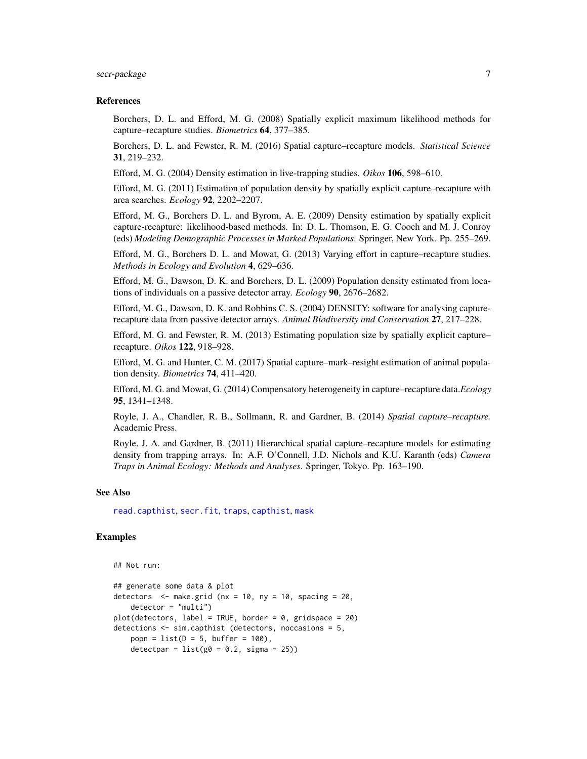## secr-package 7

#### References

Borchers, D. L. and Efford, M. G. (2008) Spatially explicit maximum likelihood methods for capture–recapture studies. *Biometrics* 64, 377–385.

Borchers, D. L. and Fewster, R. M. (2016) Spatial capture–recapture models. *Statistical Science* 31, 219–232.

Efford, M. G. (2004) Density estimation in live-trapping studies. *Oikos* 106, 598–610.

Efford, M. G. (2011) Estimation of population density by spatially explicit capture–recapture with area searches. *Ecology* 92, 2202–2207.

Efford, M. G., Borchers D. L. and Byrom, A. E. (2009) Density estimation by spatially explicit capture-recapture: likelihood-based methods. In: D. L. Thomson, E. G. Cooch and M. J. Conroy (eds) *Modeling Demographic Processes in Marked Populations*. Springer, New York. Pp. 255–269.

Efford, M. G., Borchers D. L. and Mowat, G. (2013) Varying effort in capture–recapture studies. *Methods in Ecology and Evolution* 4, 629–636.

Efford, M. G., Dawson, D. K. and Borchers, D. L. (2009) Population density estimated from locations of individuals on a passive detector array. *Ecology* 90, 2676–2682.

Efford, M. G., Dawson, D. K. and Robbins C. S. (2004) DENSITY: software for analysing capturerecapture data from passive detector arrays. *Animal Biodiversity and Conservation* 27, 217–228.

Efford, M. G. and Fewster, R. M. (2013) Estimating population size by spatially explicit capture– recapture. *Oikos* 122, 918–928.

Efford, M. G. and Hunter, C. M. (2017) Spatial capture–mark–resight estimation of animal population density. *Biometrics* 74, 411–420.

Efford, M. G. and Mowat, G. (2014) Compensatory heterogeneity in capture–recapture data.*Ecology* 95, 1341–1348.

Royle, J. A., Chandler, R. B., Sollmann, R. and Gardner, B. (2014) *Spatial capture–recapture.* Academic Press.

Royle, J. A. and Gardner, B. (2011) Hierarchical spatial capture–recapture models for estimating density from trapping arrays. In: A.F. O'Connell, J.D. Nichols and K.U. Karanth (eds) *Camera Traps in Animal Ecology: Methods and Analyses*. Springer, Tokyo. Pp. 163–190.

#### See Also

[read.capthist](#page-191-1), [secr.fit](#page-218-1), [traps](#page-287-1), [capthist](#page-24-1), [mask](#page-127-1)

## Examples

```
## Not run:
## generate some data & plot
detectors \leq make.grid (nx = 10, ny = 10, spacing = 20,
   detection = "multi")plot(detectors, label = TRUE, border = 0, gridspace = 20)
detections <- sim.capthist (detectors, noccasions = 5,
   popn = list(D = 5, buffer = 100),
   detectpar = list(g0 = 0.2, sigma = 25))
```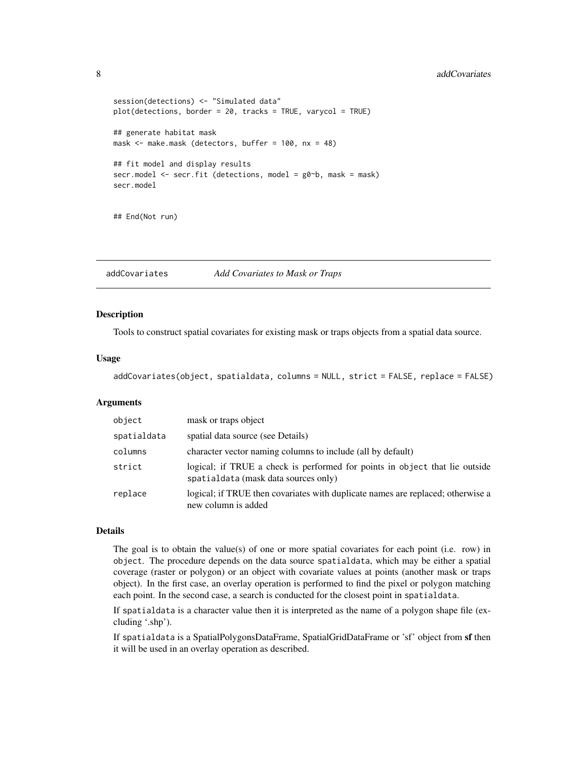## <span id="page-7-0"></span>8 addCovariates and the state of the state of the state and the state of the state of the state of the state of the state of the state of the state of the state of the state of the state of the state of the state of the st

```
session(detections) <- "Simulated data"
plot(detections, border = 20, tracks = TRUE, varycol = TRUE)
## generate habitat mask
mask <- make.mask (detectors, buffer = 100, nx = 48)
## fit model and display results
secr.model <- secr.fit (detections, model = g0~b, mask = mask)
secr.model
## End(Not run)
```
addCovariates *Add Covariates to Mask or Traps*

## Description

Tools to construct spatial covariates for existing mask or traps objects from a spatial data source.

#### Usage

```
addCovariates(object, spatialdata, columns = NULL, strict = FALSE, replace = FALSE)
```
## Arguments

| object      | mask or traps object                                                                                                |
|-------------|---------------------------------------------------------------------------------------------------------------------|
| spatialdata | spatial data source (see Details)                                                                                   |
| columns     | character vector naming columns to include (all by default)                                                         |
| strict      | logical; if TRUE a check is performed for points in object that lie outside<br>spatialdata (mask data sources only) |
| replace     | logical; if TRUE then covariates with duplicate names are replaced; otherwise a<br>new column is added              |

#### Details

The goal is to obtain the value(s) of one or more spatial covariates for each point (i.e. row) in object. The procedure depends on the data source spatialdata, which may be either a spatial coverage (raster or polygon) or an object with covariate values at points (another mask or traps object). In the first case, an overlay operation is performed to find the pixel or polygon matching each point. In the second case, a search is conducted for the closest point in spatialdata.

If spatialdata is a character value then it is interpreted as the name of a polygon shape file (excluding '.shp').

If spatialdata is a SpatialPolygonsDataFrame, SpatialGridDataFrame or 'sf' object from sf then it will be used in an overlay operation as described.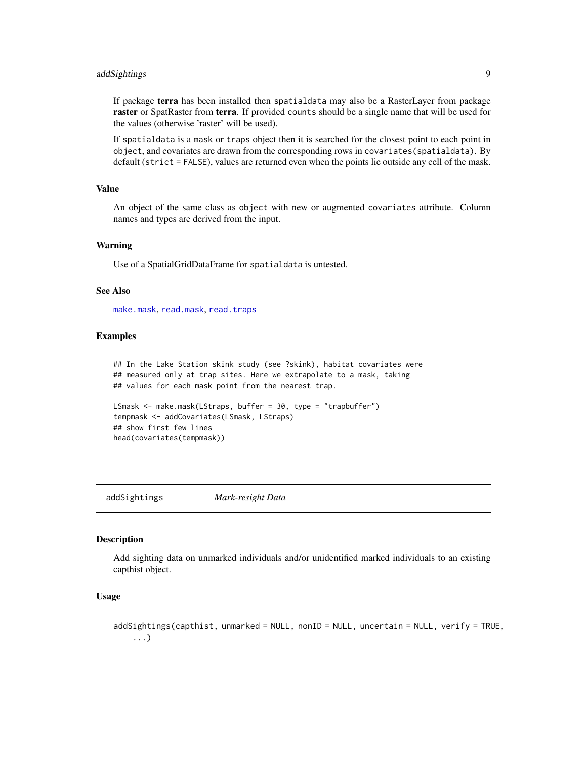## <span id="page-8-0"></span>addSightings 9

If package terra has been installed then spatialdata may also be a RasterLayer from package raster or SpatRaster from terra. If provided counts should be a single name that will be used for the values (otherwise 'raster' will be used).

If spatialdata is a mask or traps object then it is searched for the closest point to each point in object, and covariates are drawn from the corresponding rows in covariates(spatialdata). By default (strict = FALSE), values are returned even when the points lie outside any cell of the mask.

## Value

An object of the same class as object with new or augmented covariates attribute. Column names and types are derived from the input.

#### Warning

Use of a SpatialGridDataFrame for spatialdata is untested.

#### See Also

[make.mask](#page-115-1), [read.mask](#page-194-1), [read.traps](#page-196-1)

## Examples

## In the Lake Station skink study (see ?skink), habitat covariates were ## measured only at trap sites. Here we extrapolate to a mask, taking ## values for each mask point from the nearest trap.

```
LSmask <- make.mask(LStraps, buffer = 30, type = "trapbuffer")
tempmask <- addCovariates(LSmask, LStraps)
## show first few lines
head(covariates(tempmask))
```
addSightings *Mark-resight Data*

#### **Description**

Add sighting data on unmarked individuals and/or unidentified marked individuals to an existing capthist object.

## Usage

```
addSightings(capthist, unmarked = NULL, nonID = NULL, uncertain = NULL, verify = TRUE,
    ...)
```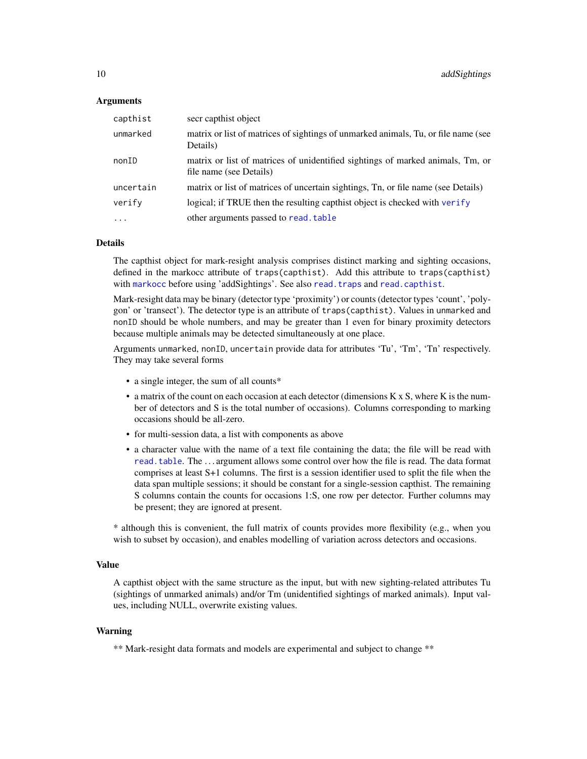#### Arguments

| capthist  | secr capthist object                                                                                      |
|-----------|-----------------------------------------------------------------------------------------------------------|
| unmarked  | matrix or list of matrices of sightings of unmarked animals, Tu, or file name (see<br>Details)            |
| nonID     | matrix or list of matrices of unidentified sightings of marked animals, Tm, or<br>file name (see Details) |
| uncertain | matrix or list of matrices of uncertain sightings, Tn, or file name (see Details)                         |
| verify    | logical; if TRUE then the resulting capthist object is checked with verify                                |
| $\ddotsc$ | other arguments passed to read, table                                                                     |

## Details

The capthist object for mark-resight analysis comprises distinct marking and sighting occasions, defined in the markocc attribute of traps(capthist). Add this attribute to traps(capthist) with [markocc](#page-235-1) before using 'addSightings'. See also [read.traps](#page-196-1) and [read.capthist](#page-191-1).

Mark-resight data may be binary (detector type 'proximity') or counts (detector types 'count', 'polygon' or 'transect'). The detector type is an attribute of traps(capthist). Values in unmarked and nonID should be whole numbers, and may be greater than 1 even for binary proximity detectors because multiple animals may be detected simultaneously at one place.

Arguments unmarked, nonID, uncertain provide data for attributes 'Tu', 'Tm', 'Tn' respectively. They may take several forms

- a single integer, the sum of all counts\*
- a matrix of the count on each occasion at each detector (dimensions K x S, where K is the number of detectors and S is the total number of occasions). Columns corresponding to marking occasions should be all-zero.
- for multi-session data, a list with components as above
- a character value with the name of a text file containing the data; the file will be read with [read.table](#page-0-0). The . . . argument allows some control over how the file is read. The data format comprises at least S+1 columns. The first is a session identifier used to split the file when the data span multiple sessions; it should be constant for a single-session capthist. The remaining S columns contain the counts for occasions 1:S, one row per detector. Further columns may be present; they are ignored at present.

\* although this is convenient, the full matrix of counts provides more flexibility (e.g., when you wish to subset by occasion), and enables modelling of variation across detectors and occasions.

## Value

A capthist object with the same structure as the input, but with new sighting-related attributes Tu (sightings of unmarked animals) and/or Tm (unidentified sightings of marked animals). Input values, including NULL, overwrite existing values.

## Warning

\*\* Mark-resight data formats and models are experimental and subject to change \*\*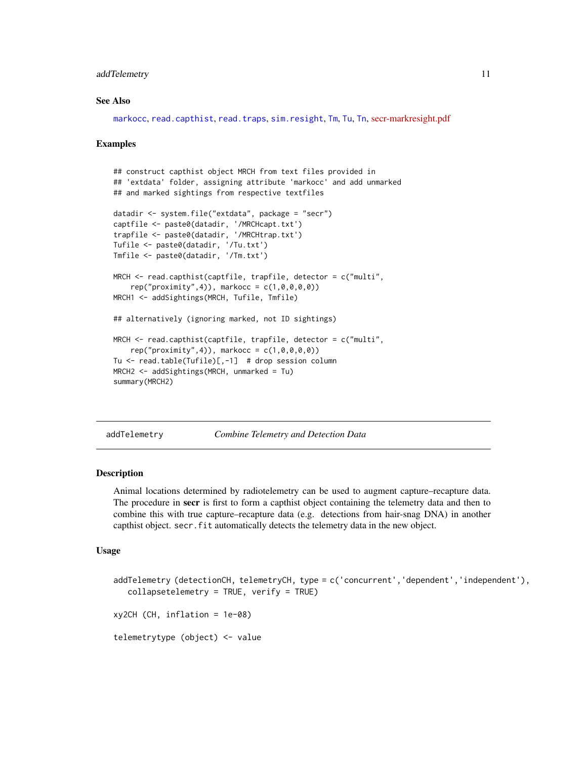#### <span id="page-10-0"></span>addTelemetry 11

## See Also

[markocc](#page-235-1), [read.capthist](#page-191-1), [read.traps](#page-196-1), [sim.resight](#page-238-1), [Tm](#page-235-1), [Tu](#page-235-1), [Tn](#page-235-1), [secr-markresight.pdf](https://www.otago.ac.nz/density/pdfs/secr-markresight.pdf)

#### Examples

```
## construct capthist object MRCH from text files provided in
## 'extdata' folder, assigning attribute 'markocc' and add unmarked
## and marked sightings from respective textfiles
datadir <- system.file("extdata", package = "secr")
captfile <- paste0(datadir, '/MRCHcapt.txt')
trapfile <- paste0(datadir, '/MRCHtrap.txt')
Tufile <- paste0(datadir, '/Tu.txt')
Tmfile <- paste0(datadir, '/Tm.txt')
MRCH <- read.capthist(captfile, trapfile, detector = c("multi",
    rep("proximity", 4)), markocc = c(1, 0, 0, 0, 0))MRCH1 <- addSightings(MRCH, Tufile, Tmfile)
## alternatively (ignoring marked, not ID sightings)
MRCH <- read.capthist(captfile, trapfile, detector = c("multi",
    rep("proximity", 4)), markocc = c(1, 0, 0, 0, 0))Tu <- read.table(Tufile)[,-1] # drop session column
MRCH2 <- addSightings(MRCH, unmarked = Tu)
summary(MRCH2)
```
addTelemetry *Combine Telemetry and Detection Data*

## Description

Animal locations determined by radiotelemetry can be used to augment capture–recapture data. The procedure in secr is first to form a capthist object containing the telemetry data and then to combine this with true capture–recapture data (e.g. detections from hair-snag DNA) in another capthist object. secr.fit automatically detects the telemetry data in the new object.

#### Usage

```
addTelemetry (detectionCH, telemetryCH, type = c('concurrent','dependent','independent'),
   collapsetelemetry = TRUE, verify = TRUExy2CH (CH, inflation = 1e-08)
telemetrytype (object) <- value
```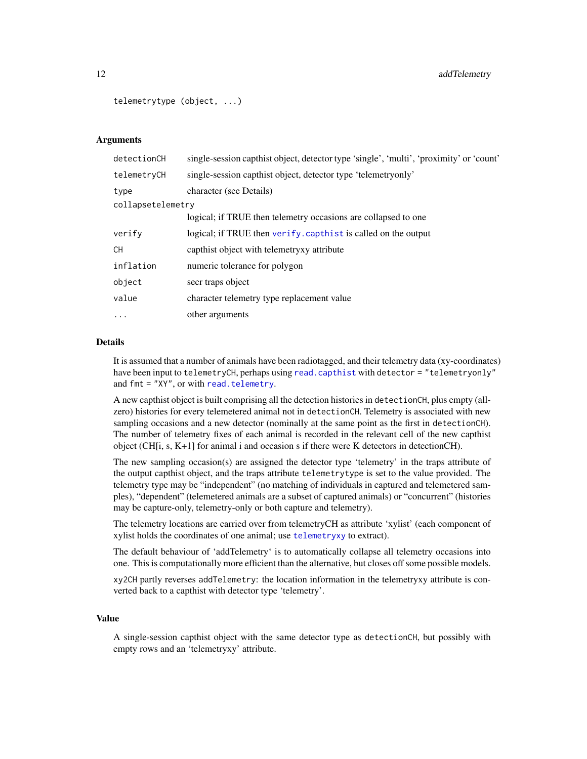```
telemetrytype (object, ...)
```
## Arguments

| detectionCH       | single-session capthist object, detector type 'single', 'multi', 'proximity' or 'count' |
|-------------------|-----------------------------------------------------------------------------------------|
| telemetryCH       | single-session capthist object, detector type 'telemetryonly'                           |
| type              | character (see Details)                                                                 |
| collapsetelemetry |                                                                                         |
|                   | logical; if TRUE then telemetry occasions are collapsed to one                          |
| verify            | logical; if TRUE then verify. capthist is called on the output                          |
| СH                | capthist object with telemetry attribute                                                |
| inflation         | numeric tolerance for polygon                                                           |
| object            | secr traps object                                                                       |
| value             | character telemetry type replacement value                                              |
| .                 | other arguments                                                                         |
|                   |                                                                                         |

## Details

It is assumed that a number of animals have been radiotagged, and their telemetry data (xy-coordinates) have been input to telemetryCH, perhaps using [read.capthist](#page-191-1) with detector = "telemetryonly" and fmt = "XY", or with [read.telemetry](#page-195-1).

A new capthist object is built comprising all the detection histories in detectionCH, plus empty (allzero) histories for every telemetered animal not in detectionCH. Telemetry is associated with new sampling occasions and a new detector (nominally at the same point as the first in detectionCH). The number of telemetry fixes of each animal is recorded in the relevant cell of the new capthist object (CH[i, s, K+1] for animal i and occasion s if there were K detectors in detectionCH).

The new sampling occasion(s) are assigned the detector type 'telemetry' in the traps attribute of the output capthist object, and the traps attribute telemetrytype is set to the value provided. The telemetry type may be "independent" (no matching of individuals in captured and telemetered samples), "dependent" (telemetered animals are a subset of captured animals) or "concurrent" (histories may be capture-only, telemetry-only or both capture and telemetry).

The telemetry locations are carried over from telemetryCH as attribute 'xylist' (each component of xylist holds the coordinates of one animal; use [telemetryxy](#page-25-1) to extract).

The default behaviour of 'addTelemetry' is to automatically collapse all telemetry occasions into one. This is computationally more efficient than the alternative, but closes off some possible models.

xy2CH partly reverses addTelemetry: the location information in the telemetryxy attribute is converted back to a capthist with detector type 'telemetry'.

## Value

A single-session capthist object with the same detector type as detectionCH, but possibly with empty rows and an 'telemetryxy' attribute.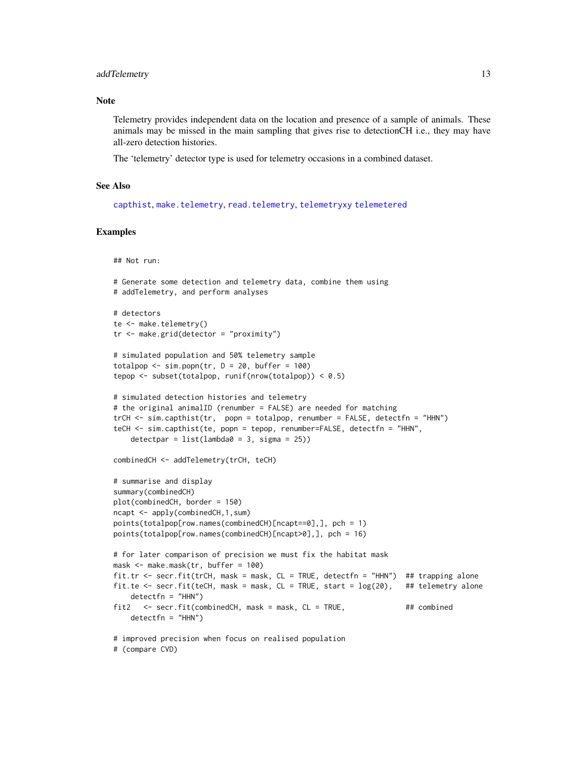#### addTelemetry 13

#### **Note**

Telemetry provides independent data on the location and presence of a sample of animals. These animals may be missed in the main sampling that gives rise to detectionCH i.e., they may have all-zero detection histories.

The 'telemetry' detector type is used for telemetry occasions in a combined dataset.

## See Also

[capthist](#page-24-1), [make.telemetry](#page-121-1), [read.telemetry](#page-195-1), [telemetryxy](#page-25-1) [telemetered](#page-25-1)

## Examples

```
## Not run:
```

```
# Generate some detection and telemetry data, combine them using
# addTelemetry, and perform analyses
# detectors
te <- make.telemetry()
tr <- make.grid(detector = "proximity")
# simulated population and 50% telemetry sample
totalpop \le sim.popn(tr, D = 20, buffer = 100)
tepop <- subset(totalpop, runif(nrow(totalpop)) < 0.5)
# simulated detection histories and telemetry
# the original animalID (renumber = FALSE) are needed for matching
trCH <- sim.capthist(tr, popn = totalpop, renumber = FALSE, detectfn = "HHN")
teCH <- sim.capthist(te, popn = tepop, renumber=FALSE, detectfn = "HHN",
    detectpar = list(lambda = 3, sigma = 25))combinedCH <- addTelemetry(trCH, teCH)
# summarise and display
summary(combinedCH)
plot(combinedCH, border = 150)
ncapt <- apply(combinedCH,1,sum)
points(totalpop[row.names(combinedCH)[ncapt==0],], pch = 1)
points(totalpop[row.names(combinedCH)[ncapt>0],], pch = 16)
# for later comparison of precision we must fix the habitat mask
mask <- make.mask(tr, buffer = 100)
fit.tr <- secr.fit(trCH, mask = mask, CL = TRUE, detectfn = "HHN") ## trapping alone
fit.te \leq secr.fit(teCH, mask = mask, CL = TRUE, start = \log(20), ## telemetry alone
    detectfn = "HHN")
fit2 <- secr.fit(combinedCH, mask = mask, CL = TRUE, ## combined
    detectfn = "HHN")# improved precision when focus on realised population
# (compare CVD)
```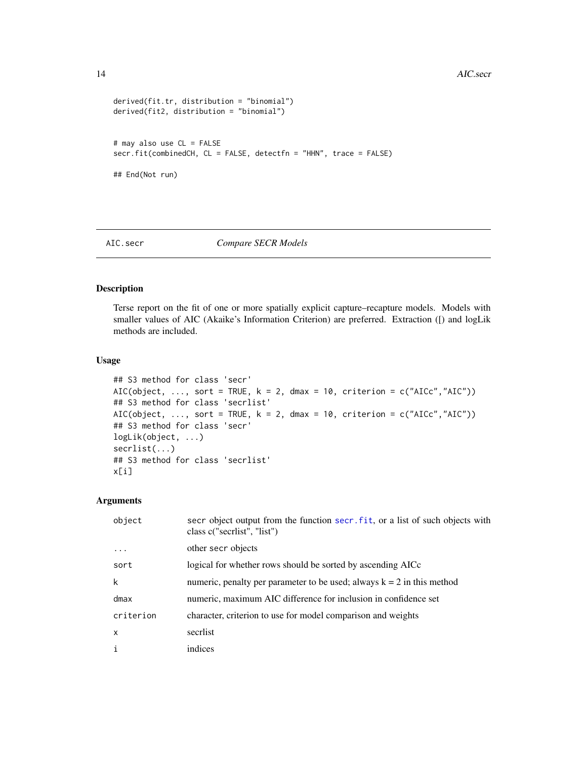```
derived(fit.tr, distribution = "binomial")
derived(fit2, distribution = "binomial")
# may also use CL = FALSE
secr.fit(combinedCH, CL = FALSE, detectfn = "HHN", trace = FALSE)
## End(Not run)
```
## <span id="page-13-1"></span>AIC.secr *Compare SECR Models*

## Description

Terse report on the fit of one or more spatially explicit capture–recapture models. Models with smaller values of AIC (Akaike's Information Criterion) are preferred. Extraction ([) and logLik methods are included.

## Usage

```
## S3 method for class 'secr'
AIC(object, ..., sort = TRUE, k = 2, dmax = 10, criterion = c("AICc","AIC"))
## S3 method for class 'secrlist'
AIC(object, ..., sort = TRUE, k = 2, dmax = 10, criterion = c("AICc","AIC"))
## S3 method for class 'secr'
logLik(object, ...)
secrlist(...)
## S3 method for class 'secrlist'
x[i]
```
## Arguments

| object       | secr object output from the function secr. fit, or a list of such objects with<br>class c("secriist", "list") |
|--------------|---------------------------------------------------------------------------------------------------------------|
| $\cdot$      | other secr objects                                                                                            |
| sort         | logical for whether rows should be sorted by ascending AICc                                                   |
| k            | numeric, penalty per parameter to be used; always $k = 2$ in this method                                      |
| dmax         | numeric, maximum AIC difference for inclusion in confidence set                                               |
| criterion    | character, criterion to use for model comparison and weights                                                  |
| $\mathsf{x}$ | secriist                                                                                                      |
| $\mathbf{i}$ | indices                                                                                                       |

<span id="page-13-0"></span>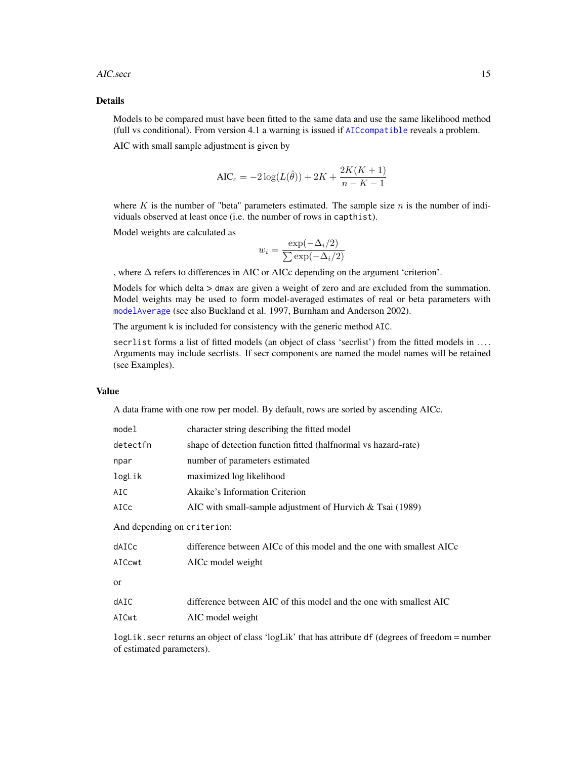#### AIC.secr 15

## Details

Models to be compared must have been fitted to the same data and use the same likelihood method (full vs conditional). From version 4.1 a warning is issued if [AICcompatible](#page-16-1) reveals a problem.

AIC with small sample adjustment is given by

$$
AIC_c = -2\log(L(\hat{\theta})) + 2K + \frac{2K(K+1)}{n - K - 1}
$$

where  $K$  is the number of "beta" parameters estimated. The sample size  $n$  is the number of individuals observed at least once (i.e. the number of rows in capthist).

Model weights are calculated as

$$
w_i = \frac{\exp(-\Delta_i/2)}{\sum \exp(-\Delta_i/2)}
$$

, where ∆ refers to differences in AIC or AICc depending on the argument 'criterion'.

Models for which delta > dmax are given a weight of zero and are excluded from the summation. Model weights may be used to form model-averaged estimates of real or beta parameters with [modelAverage](#page-132-1) (see also Buckland et al. 1997, Burnham and Anderson 2002).

The argument k is included for consistency with the generic method AIC.

secrlist forms a list of fitted models (an object of class 'secrlist') from the fitted models in .... Arguments may include secrlists. If secr components are named the model names will be retained (see Examples).

## Value

A data frame with one row per model. By default, rows are sorted by ascending AICc.

| model                       | character string describing the fitted model                         |
|-----------------------------|----------------------------------------------------------------------|
| detectfn                    | shape of detection function fitted (halfnormal vs hazard-rate)       |
| npar                        | number of parameters estimated                                       |
| logLik                      | maximized log likelihood                                             |
| AIC                         | Akaike's Information Criterion                                       |
| AICc                        | AIC with small-sample adjustment of Hurvich $&$ Tsai (1989)          |
| And depending on criterion: |                                                                      |
| dAICc                       | difference between AICc of this model and the one with smallest AICc |
| AICcwt                      | AICc model weight                                                    |
| <sub>or</sub>               |                                                                      |
| dAIC                        | difference between AIC of this model and the one with smallest AIC   |
| AICwt                       | AIC model weight                                                     |
| .                           |                                                                      |

logLik.secr returns an object of class 'logLik' that has attribute df (degrees of freedom = number of estimated parameters).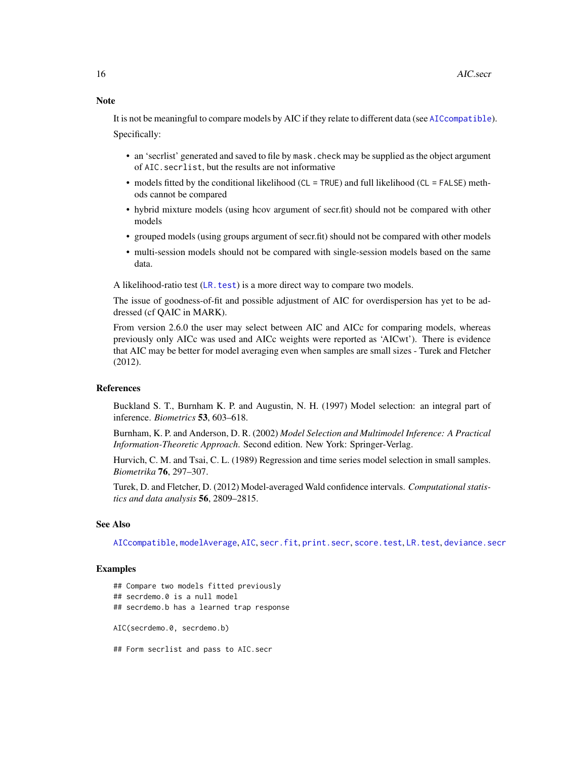Note

It is not be meaningful to compare models by AIC if they relate to different data (see [AICcompatible](#page-16-1)). Specifically:

- an 'secrlist' generated and saved to file by mask.check may be supplied as the object argument of AIC.secrlist, but the results are not informative
- models fitted by the conditional likelihood (CL = TRUE) and full likelihood (CL = FALSE) methods cannot be compared
- hybrid mixture models (using hcov argument of secr.fit) should not be compared with other models
- grouped models (using groups argument of secr.fit) should not be compared with other models
- multi-session models should not be compared with single-session models based on the same data.

A likelihood-ratio test ([LR.test](#page-110-1)) is a more direct way to compare two models.

The issue of goodness-of-fit and possible adjustment of AIC for overdispersion has yet to be addressed (cf QAIC in MARK).

From version 2.6.0 the user may select between AIC and AICc for comparing models, whereas previously only AICc was used and AICc weights were reported as 'AICwt'). There is evidence that AIC may be better for model averaging even when samples are small sizes - Turek and Fletcher (2012).

## **References**

Buckland S. T., Burnham K. P. and Augustin, N. H. (1997) Model selection: an integral part of inference. *Biometrics* 53, 603–618.

Burnham, K. P. and Anderson, D. R. (2002) *Model Selection and Multimodel Inference: A Practical Information-Theoretic Approach*. Second edition. New York: Springer-Verlag.

Hurvich, C. M. and Tsai, C. L. (1989) Regression and time series model selection in small samples. *Biometrika* 76, 297–307.

Turek, D. and Fletcher, D. (2012) Model-averaged Wald confidence intervals. *Computational statistics and data analysis* 56, 2809–2815.

## See Also

[AICcompatible](#page-16-1), [modelAverage](#page-132-1), [AIC](#page-0-0), [secr.fit](#page-218-1), [print.secr](#page-179-1), [score.test](#page-212-1), [LR.test](#page-110-1), [deviance.secr](#page-58-1)

## Examples

## Compare two models fitted previously

- ## secrdemo.0 is a null model
- ## secrdemo.b has a learned trap response

AIC(secrdemo.0, secrdemo.b)

## Form secrlist and pass to AIC.secr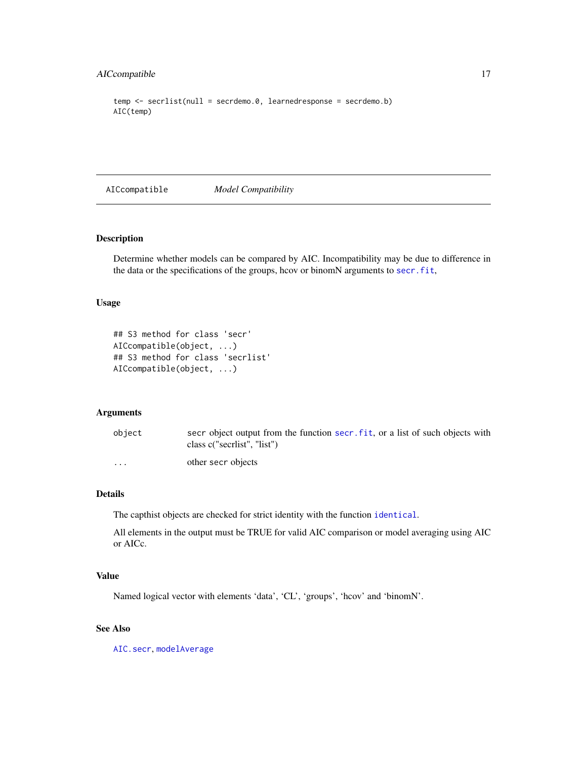## <span id="page-16-0"></span>AICcompatible 17

```
temp \leq -\text{secretist}(\text{null} = \text{secretemo.0}, \text{learnedresponse} = \text{secretemo.b})AIC(temp)
```
<span id="page-16-1"></span>AICcompatible *Model Compatibility*

## Description

Determine whether models can be compared by AIC. Incompatibility may be due to difference in the data or the specifications of the groups, hcov or binomN arguments to [secr.fit](#page-218-1),

## Usage

```
## S3 method for class 'secr'
AICcompatible(object, ...)
## S3 method for class 'secrlist'
AICcompatible(object, ...)
```
#### Arguments

| object                  | secr object output from the function secr. fit, or a list of such objects with<br>class c("secrlist", "list") |
|-------------------------|---------------------------------------------------------------------------------------------------------------|
| $\cdot$ $\cdot$ $\cdot$ | other secr objects                                                                                            |

## Details

The capthist objects are checked for strict identity with the function [identical](#page-0-0).

All elements in the output must be TRUE for valid AIC comparison or model averaging using AIC or AICc.

## Value

Named logical vector with elements 'data', 'CL', 'groups', 'hcov' and 'binomN'.

## See Also

[AIC.secr](#page-13-1), [modelAverage](#page-132-1)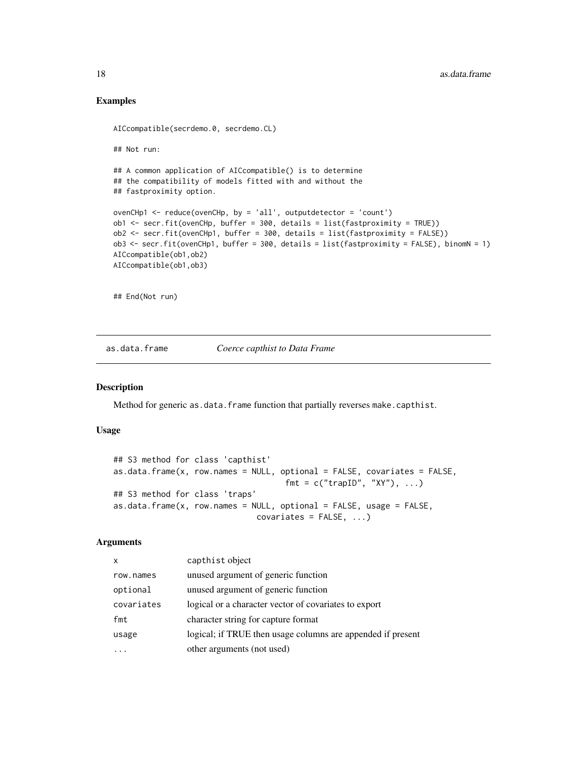## Examples

```
AICcompatible(secrdemo.0, secrdemo.CL)
## Not run:
## A common application of AICcompatible() is to determine
## the compatibility of models fitted with and without the
## fastproximity option.
ovenCHp1 <- reduce(ovenCHp, by = 'all', outputdetector = 'count')
ob1 <- secr.fit(ovenCHp, buffer = 300, details = list(fastproximity = TRUE))
ob2 <- secr.fit(ovenCHp1, buffer = 300, details = list(fastproximity = FALSE))
ob3 <- secr.fit(ovenCHp1, buffer = 300, details = list(fastproximity = FALSE), binomN = 1)
AICcompatible(ob1,ob2)
AICcompatible(ob1,ob3)
## End(Not run)
```
## as.data.frame *Coerce capthist to Data Frame*

#### Description

Method for generic as.data.frame function that partially reverses make.capthist.

## Usage

```
## S3 method for class 'capthist'
as.data.frame(x, row.names = NULL, optional = FALSE, covariates = FALSE,
                                   fmt = c("trapID", "XY"), ...)## S3 method for class 'traps'
as.data.frame(x, row.names = NULL, optional = FALSE, usage = FALSE,
                              covariates = FALSE, ...
```
## Arguments

| x          | capthist object                                             |
|------------|-------------------------------------------------------------|
| row.names  | unused argument of generic function                         |
| optional   | unused argument of generic function                         |
| covariates | logical or a character vector of covariates to export       |
| fmt        | character string for capture format                         |
| usage      | logical; if TRUE then usage columns are appended if present |
|            | other arguments (not used)                                  |

<span id="page-17-0"></span>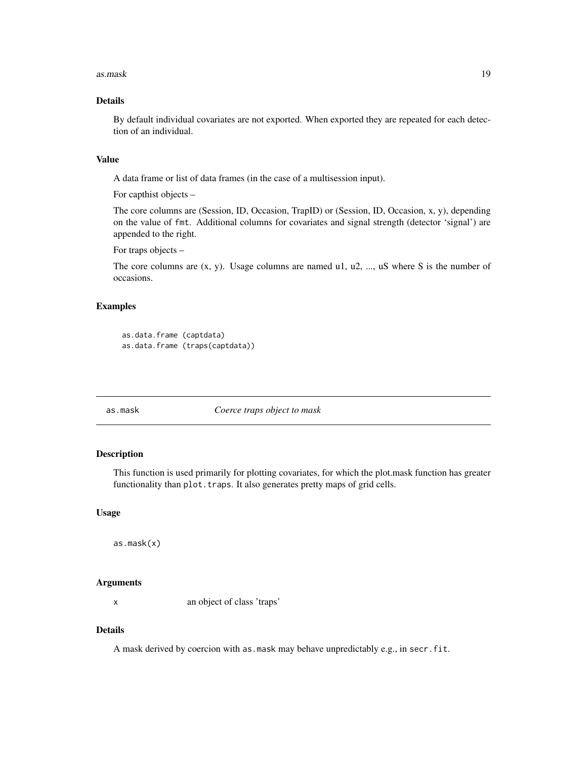#### <span id="page-18-0"></span>as.mask 19

## Details

By default individual covariates are not exported. When exported they are repeated for each detection of an individual.

## Value

A data frame or list of data frames (in the case of a multisession input).

For capthist objects –

The core columns are (Session, ID, Occasion, TrapID) or (Session, ID, Occasion, x, y), depending on the value of fmt. Additional columns for covariates and signal strength (detector 'signal') are appended to the right.

For traps objects –

The core columns are  $(x, y)$ . Usage columns are named u1, u2, ..., uS where S is the number of occasions.

# Examples

```
as.data.frame (captdata)
as.data.frame (traps(captdata))
```
# as.mask *Coerce traps object to mask*

## Description

This function is used primarily for plotting covariates, for which the plot.mask function has greater functionality than plot.traps. It also generates pretty maps of grid cells.

## Usage

as.mask(x)

#### Arguments

x an object of class 'traps'

## Details

A mask derived by coercion with as.mask may behave unpredictably e.g., in secr.fit.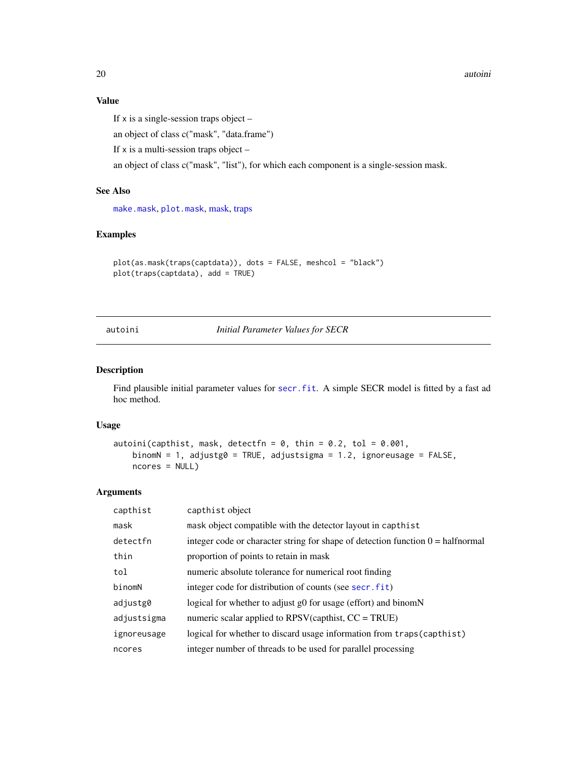20 autoini and the contract of the contract of the contract of the contract of the contract of the contract of the contract of the contract of the contract of the contract of the contract of the contract of the contract of

# Value

If  $x$  is a single-session traps object  $-$ 

an object of class c("mask", "data.frame")

If  $x$  is a multi-session traps object –

an object of class c("mask", "list"), for which each component is a single-session mask.

# See Also

[make.mask](#page-115-1), [plot.mask](#page-158-1), [mask,](#page-127-1) [traps](#page-287-1)

## Examples

```
plot(as.mask(traps(captdata)), dots = FALSE, meshcol = "black")
plot(traps(captdata), add = TRUE)
```
autoini *Initial Parameter Values for SECR*

## Description

Find plausible initial parameter values for [secr.fit](#page-218-1). A simple SECR model is fitted by a fast ad hoc method.

## Usage

```
autoini(capthist, mask, detectfn = 0, thin = 0.2, tol = 0.001,
   binomN = 1, adjustg0 = TRUE, adjustsigma = 1.2, ignoreusage = FALSE,
   ncores = NULL)
```
## Arguments

| capthist    | capthist object                                                                          |
|-------------|------------------------------------------------------------------------------------------|
| mask        | mask object compatible with the detector layout in capthist                              |
| detectfn    | integer code or character string for shape of detection function $0 = \text{halfnormal}$ |
| thin        | proportion of points to retain in mask                                                   |
| tol         | numeric absolute tolerance for numerical root finding                                    |
| binomN      | integer code for distribution of counts (see secr. fit)                                  |
| adjustg0    | logical for whether to adjust g0 for usage (effort) and binomN                           |
| adjustsigma | numeric scalar applied to $RPSV$ (capthist, $CC = TRUE$ )                                |
| ignoreusage | logical for whether to discard usage information from traps (capthist)                   |
| ncores      | integer number of threads to be used for parallel processing                             |

<span id="page-19-0"></span>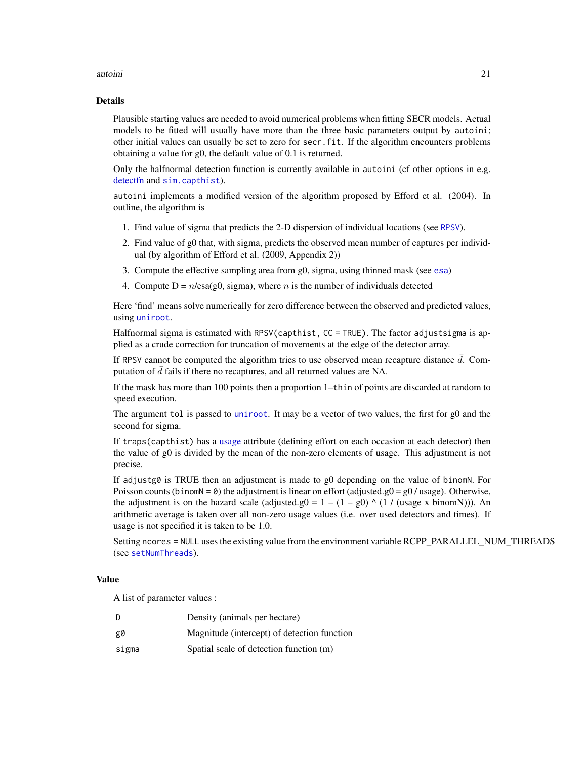#### autoini **21**

#### Details

Plausible starting values are needed to avoid numerical problems when fitting SECR models. Actual models to be fitted will usually have more than the three basic parameters output by autoini; other initial values can usually be set to zero for secr.fit. If the algorithm encounters problems obtaining a value for g0, the default value of 0.1 is returned.

Only the halfnormal detection function is currently available in autoini (cf other options in e.g. [detectfn](#page-54-1) and [sim.capthist](#page-238-2)).

autoini implements a modified version of the algorithm proposed by Efford et al. (2004). In outline, the algorithm is

- 1. Find value of sigma that predicts the 2-D dispersion of individual locations (see [RPSV](#page-90-1)).
- 2. Find value of g0 that, with sigma, predicts the observed mean number of captures per individual (by algorithm of Efford et al. (2009, Appendix 2))
- 3. Compute the effective sampling area from g0, sigma, using thinned mask (see [esa](#page-47-1))
- 4. Compute  $D = n/\text{esa}(g0, \text{sigma})$ , where n is the number of individuals detected

Here 'find' means solve numerically for zero difference between the observed and predicted values, using [uniroot](#page-0-0).

Halfnormal sigma is estimated with RPSV(capthist, CC = TRUE). The factor adjustsigma is applied as a crude correction for truncation of movements at the edge of the detector array.

If RPSV cannot be computed the algorithm tries to use observed mean recapture distance  $\bar{d}$ . Computation of  $\bar{d}$  fails if there no recaptures, and all returned values are NA.

If the mask has more than 100 points then a proportion 1–thin of points are discarded at random to speed execution.

The argument tol is passed to [uniroot](#page-0-0). It may be a vector of two values, the first for g0 and the second for sigma.

If traps(capthist) has a [usage](#page-296-1) attribute (defining effort on each occasion at each detector) then the value of g0 is divided by the mean of the non-zero elements of usage. This adjustment is not precise.

If adjustg0 is TRUE then an adjustment is made to g0 depending on the value of binomN. For Poisson counts (binomN =  $\theta$ ) the adjustment is linear on effort (adjusted.g0 =  $g0$  / usage). Otherwise, the adjustment is on the hazard scale (adjusted.g0 =  $1 - (1 - g0) \land (1 / (usage x binomN))$ ). An arithmetic average is taken over all non-zero usage values (i.e. over used detectors and times). If usage is not specified it is taken to be 1.0.

Setting ncores = NULL uses the existing value from the environment variable RCPP\_PARALLEL\_NUM\_THREADS (see [setNumThreads](#page-233-1)).

#### Value

A list of parameter values :

| D     | Density (animals per hectare)               |
|-------|---------------------------------------------|
| g0    | Magnitude (intercept) of detection function |
| sigma | Spatial scale of detection function (m)     |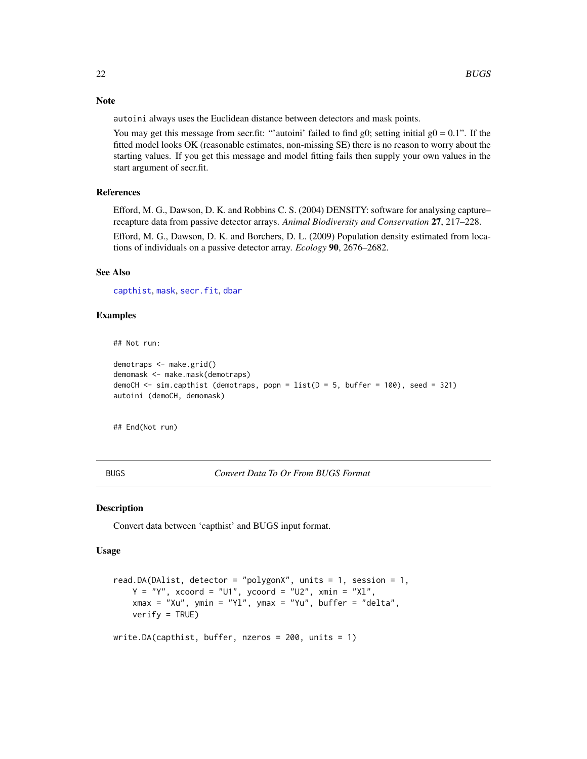<span id="page-21-0"></span>Note

autoini always uses the Euclidean distance between detectors and mask points.

You may get this message from secr.fit: "'autoini' failed to find g0; setting initial  $g0 = 0.1$ ". If the fitted model looks OK (reasonable estimates, non-missing SE) there is no reason to worry about the starting values. If you get this message and model fitting fails then supply your own values in the start argument of secr.fit.

## References

Efford, M. G., Dawson, D. K. and Robbins C. S. (2004) DENSITY: software for analysing capture– recapture data from passive detector arrays. *Animal Biodiversity and Conservation* 27, 217–228.

Efford, M. G., Dawson, D. K. and Borchers, D. L. (2009) Population density estimated from locations of individuals on a passive detector array. *Ecology* 90, 2676–2682.

## See Also

[capthist](#page-24-1), [mask](#page-127-1), [secr.fit](#page-218-1), [dbar](#page-90-1)

## Examples

## Not run:

```
demotraps <- make.grid()
demomask <- make.mask(demotraps)
demoCH \le sim.capthist (demotraps, popn = list(D = 5, buffer = 100), seed = 321)
autoini (demoCH, demomask)
```
## End(Not run)

BUGS *Convert Data To Or From BUGS Format*

#### Description

Convert data between 'capthist' and BUGS input format.

## Usage

```
read.DA(DAlist, detector = "polygonX", units = 1, session = 1,
   Y = "Y", xcoord = "U1", ycoord = "U2", xmin = "X1",xmax = "Xu", ymin = "Yl", ymax = "Yu", buffer = "delta",
   verify = TRUE)
write.DA(capthist, buffer, nzeros = 200, units = 1)
```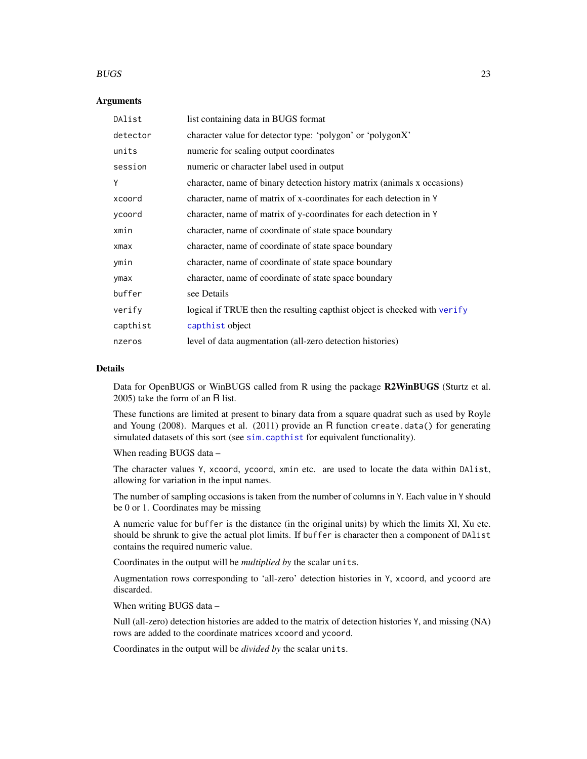#### $BUGS$  23

## Arguments

| DAlist     | list containing data in BUGS format                                       |
|------------|---------------------------------------------------------------------------|
| detector   | character value for detector type: 'polygon' or 'polygonX'                |
| units      | numeric for scaling output coordinates                                    |
| session    | numeric or character label used in output                                 |
| Υ          | character, name of binary detection history matrix (animals x occasions)  |
| xcoord     | character, name of matrix of x-coordinates for each detection in Y        |
| ycoord     | character, name of matrix of y-coordinates for each detection in Y        |
| xmin       | character, name of coordinate of state space boundary                     |
| $x$ ma $x$ | character, name of coordinate of state space boundary                     |
| ymin       | character, name of coordinate of state space boundary                     |
| ymax       | character, name of coordinate of state space boundary                     |
| buffer     | see Details                                                               |
| verify     | logical if TRUE then the resulting capthist object is checked with verify |
| capthist   | capthist object                                                           |
| nzeros     | level of data augmentation (all-zero detection histories)                 |

## Details

Data for OpenBUGS or WinBUGS called from R using the package R2WinBUGS (Sturtz et al. 2005) take the form of an R list.

These functions are limited at present to binary data from a square quadrat such as used by Royle and Young (2008). Marques et al. (2011) provide an R function create.data() for generating simulated datasets of this sort (see [sim.capthist](#page-238-2) for equivalent functionality).

When reading BUGS data –

The character values Y, xcoord, ycoord, xmin etc. are used to locate the data within DAlist, allowing for variation in the input names.

The number of sampling occasions is taken from the number of columns in Y. Each value in Y should be 0 or 1. Coordinates may be missing

A numeric value for buffer is the distance (in the original units) by which the limits Xl, Xu etc. should be shrunk to give the actual plot limits. If buffer is character then a component of DAlist contains the required numeric value.

Coordinates in the output will be *multiplied by* the scalar units.

Augmentation rows corresponding to 'all-zero' detection histories in Y, xcoord, and ycoord are discarded.

When writing BUGS data –

Null (all-zero) detection histories are added to the matrix of detection histories Y, and missing (NA) rows are added to the coordinate matrices xcoord and ycoord.

Coordinates in the output will be *divided by* the scalar units.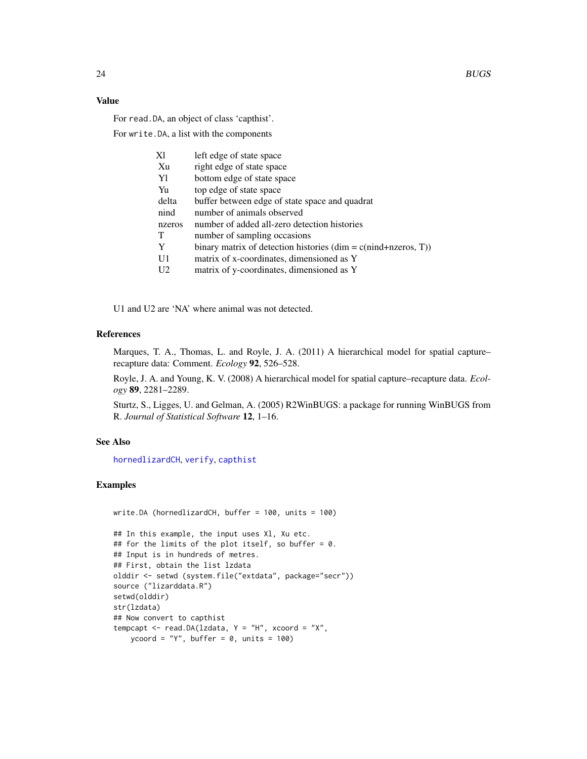## Value

For read.DA, an object of class 'capthist'.

For write.DA, a list with the components

| Хl             | left edge of state space                                                                       |
|----------------|------------------------------------------------------------------------------------------------|
| Xu             | right edge of state space                                                                      |
| Y1             | bottom edge of state space                                                                     |
| Yu             | top edge of state space                                                                        |
| delta          | buffer between edge of state space and quadrat                                                 |
| nind           | number of animals observed                                                                     |
| nzeros         | number of added all-zero detection histories                                                   |
| Т              | number of sampling occasions                                                                   |
| Y              | binary matrix of detection histories $(\text{dim} = \text{c}(\text{mind} + \text{nzeros}, T))$ |
| U1             | matrix of x-coordinates, dimensioned as Y                                                      |
| U <sub>2</sub> | matrix of y-coordinates, dimensioned as Y                                                      |

U1 and U2 are 'NA' where animal was not detected.

## References

Marques, T. A., Thomas, L. and Royle, J. A. (2011) A hierarchical model for spatial capture– recapture data: Comment. *Ecology* 92, 526–528.

Royle, J. A. and Young, K. V. (2008) A hierarchical model for spatial capture–recapture data. *Ecology* 89, 2281–2289.

Sturtz, S., Ligges, U. and Gelman, A. (2005) R2WinBUGS: a package for running WinBUGS from R. *Journal of Statistical Software* 12, 1–16.

## See Also

[hornedlizardCH](#page-93-1), [verify](#page-304-1), [capthist](#page-24-1)

## Examples

```
write.DA (hornedlizardCH, buffer = 100, units = 100)
## In this example, the input uses Xl, Xu etc.
## for the limits of the plot itself, so buffer = 0.
## Input is in hundreds of metres.
## First, obtain the list lzdata
olddir <- setwd (system.file("extdata", package="secr"))
source ("lizarddata.R")
setwd(olddir)
str(lzdata)
## Now convert to capthist
tempcapt \leq read.DA(lzdata, Y = "H", xcoord = "X",
   ycoord = "Y", buffer = 0, units = 100)
```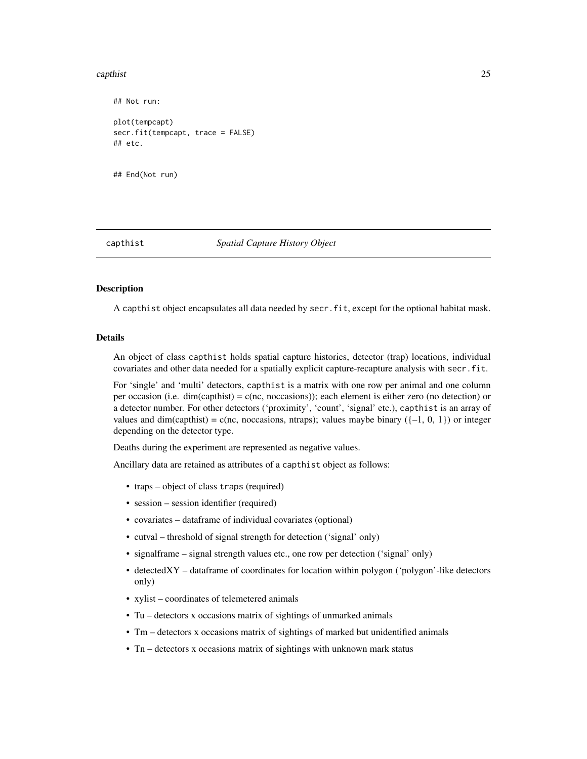#### <span id="page-24-0"></span>capthist 25

```
## Not run:
plot(tempcapt)
secr.fit(tempcapt, trace = FALSE)
## etc.
```
## End(Not run)

<span id="page-24-1"></span>

capthist *Spatial Capture History Object*

## Description

A capthist object encapsulates all data needed by secr.fit, except for the optional habitat mask.

## Details

An object of class capthist holds spatial capture histories, detector (trap) locations, individual covariates and other data needed for a spatially explicit capture-recapture analysis with secr.fit.

For 'single' and 'multi' detectors, capthist is a matrix with one row per animal and one column per occasion (i.e. dim(capthist) = c(nc, noccasions)); each element is either zero (no detection) or a detector number. For other detectors ('proximity', 'count', 'signal' etc.), capthist is an array of values and dim(capthist) = c(nc, noccasions, ntraps); values maybe binary ( $\{-1, 0, 1\}$ ) or integer depending on the detector type.

Deaths during the experiment are represented as negative values.

Ancillary data are retained as attributes of a capthist object as follows:

- traps object of class traps (required)
- session session identifier (required)
- covariates dataframe of individual covariates (optional)
- cutval threshold of signal strength for detection ('signal' only)
- signalframe signal strength values etc., one row per detection ('signal' only)
- detectedXY dataframe of coordinates for location within polygon ('polygon'-like detectors only)
- xylist coordinates of telemetered animals
- Tu detectors x occasions matrix of sightings of unmarked animals
- Tm detectors x occasions matrix of sightings of marked but unidentified animals
- Tn detectors x occasions matrix of sightings with unknown mark status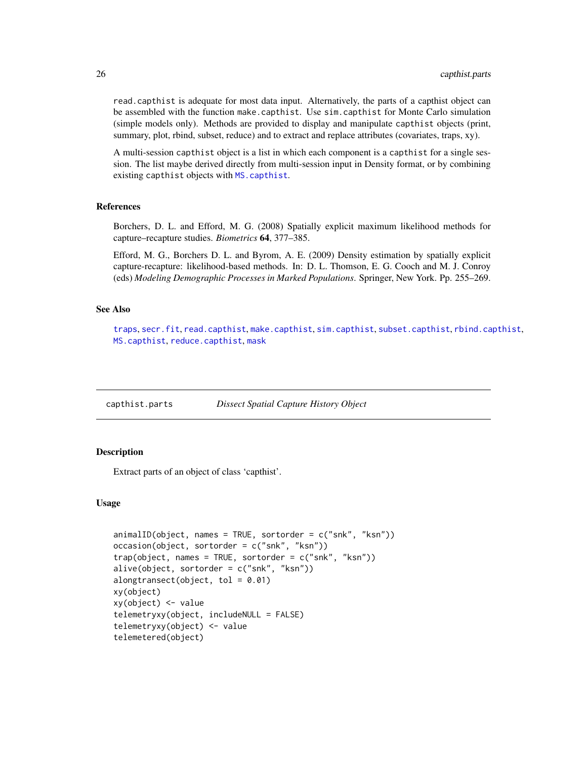read.capthist is adequate for most data input. Alternatively, the parts of a capthist object can be assembled with the function make.capthist. Use sim.capthist for Monte Carlo simulation (simple models only). Methods are provided to display and manipulate capthist objects (print, summary, plot, rbind, subset, reduce) and to extract and replace attributes (covariates, traps, xy).

A multi-session capthist object is a list in which each component is a capthist for a single session. The list maybe derived directly from multi-session input in Density format, or by combining existing capthist objects with [MS.capthist](#page-186-1).

#### References

Borchers, D. L. and Efford, M. G. (2008) Spatially explicit maximum likelihood methods for capture–recapture studies. *Biometrics* 64, 377–385.

Efford, M. G., Borchers D. L. and Byrom, A. E. (2009) Density estimation by spatially explicit capture-recapture: likelihood-based methods. In: D. L. Thomson, E. G. Cooch and M. J. Conroy (eds) *Modeling Demographic Processes in Marked Populations*. Springer, New York. Pp. 255–269.

## See Also

[traps](#page-287-1), [secr.fit](#page-218-1), [read.capthist](#page-191-1), [make.capthist](#page-111-1), [sim.capthist](#page-238-2), [subset.capthist](#page-264-1), [rbind.capthist](#page-186-2), [MS.capthist](#page-186-1), [reduce.capthist](#page-200-1), [mask](#page-127-1)

capthist.parts *Dissect Spatial Capture History Object*

## <span id="page-25-1"></span>**Description**

Extract parts of an object of class 'capthist'.

#### Usage

```
animalID(object, names = TRUE, sortorder = c("snk", "ksn"))
occasion(object, sortorder = c("snk", "ksn"))
trap(object, names = TRUE, sortorder = c("snk", "ksn"))
alive(object, sortorder = c("snk", "ksn"))alongtransect(object, tol = 0.01)
xy(object)
xy(object) <- value
telemetryxy(object, includeNULL = FALSE)
telemetryxy(object) <- value
telemetered(object)
```
<span id="page-25-0"></span>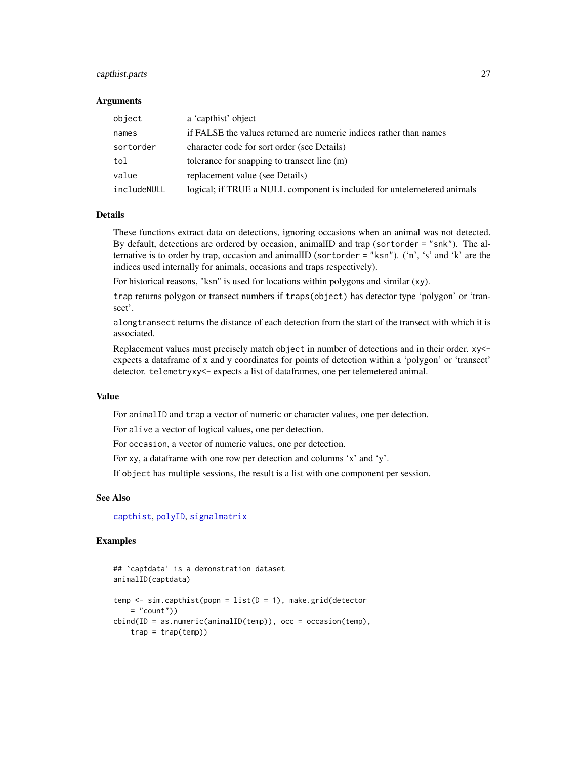## capthist.parts 27

#### Arguments

| object      | a 'capthist' object                                                     |
|-------------|-------------------------------------------------------------------------|
| names       | if FALSE the values returned are numeric indices rather than names      |
| sortorder   | character code for sort order (see Details)                             |
| tol         | tolerance for snapping to transect line (m)                             |
| value       | replacement value (see Details)                                         |
| includeNULL | logical; if TRUE a NULL component is included for untelemetered animals |

#### Details

These functions extract data on detections, ignoring occasions when an animal was not detected. By default, detections are ordered by occasion, animalID and trap (sortorder = "snk"). The alternative is to order by trap, occasion and animalID (sortorder = "ksn"). ('n', 's' and 'k' are the indices used internally for animals, occasions and traps respectively).

For historical reasons, "ksn" is used for locations within polygons and similar (xy).

trap returns polygon or transect numbers if traps(object) has detector type 'polygon' or 'transect'.

alongtransect returns the distance of each detection from the start of the transect with which it is associated.

Replacement values must precisely match object in number of detections and in their order. xy< expects a dataframe of x and y coordinates for points of detection within a 'polygon' or 'transect' detector. telemetryxy<- expects a list of dataframes, one per telemetered animal.

#### Value

For animalID and trap a vector of numeric or character values, one per detection.

For alive a vector of logical values, one per detection.

For occasion, a vector of numeric values, one per detection.

For xy, a dataframe with one row per detection and columns 'x' and 'y'.

If object has multiple sessions, the result is a list with one component per session.

## See Also

[capthist](#page-24-1), [polyID](#page-289-1), [signalmatrix](#page-237-1)

#### Examples

```
## `captdata' is a demonstration dataset
animalID(captdata)
temp \leq sim.capthist(popn = list(D = 1), make.grid(detector
   = "count"))
cbind(ID = as.numeric(animalID(temp)), occ = occasion(temp),trap = trap(temp))
```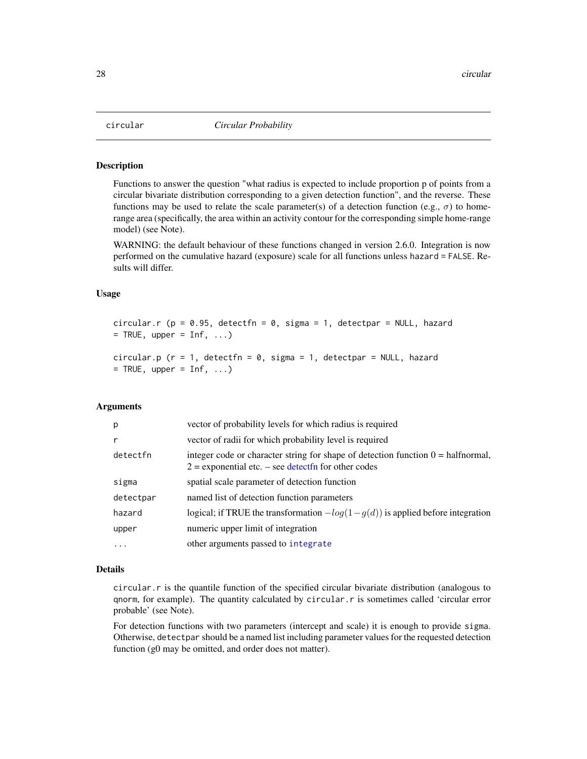<span id="page-27-0"></span>

#### Description

Functions to answer the question "what radius is expected to include proportion p of points from a circular bivariate distribution corresponding to a given detection function", and the reverse. These functions may be used to relate the scale parameter(s) of a detection function (e.g.,  $\sigma$ ) to homerange area (specifically, the area within an activity contour for the corresponding simple home-range model) (see Note).

WARNING: the default behaviour of these functions changed in version 2.6.0. Integration is now performed on the cumulative hazard (exposure) scale for all functions unless hazard = FALSE. Results will differ.

## Usage

```
circular.r (p = 0.95, detectfn = 0, sigma = 1, detectpar = NULL, hazard
= TRUE, upper = Inf, ...)
```

```
circular.p (r = 1, detectfn = 0, sigma = 1, detectpar = NULL, hazard
= TRUE, upper = Inf, ...)
```
## Arguments

| p         | vector of probability levels for which radius is required                                                                                            |
|-----------|------------------------------------------------------------------------------------------------------------------------------------------------------|
| r         | vector of radii for which probability level is required                                                                                              |
| detectfn  | integer code or character string for shape of detection function $0 = \text{halfnormal}$ ,<br>$2$ = exponential etc. – see detect fn for other codes |
| sigma     | spatial scale parameter of detection function                                                                                                        |
| detectpar | named list of detection function parameters                                                                                                          |
| hazard    | logical; if TRUE the transformation $-log(1-g(d))$ is applied before integration                                                                     |
| upper     | numeric upper limit of integration                                                                                                                   |
| $\cdots$  | other arguments passed to integrate                                                                                                                  |

## Details

circular.r is the quantile function of the specified circular bivariate distribution (analogous to qnorm, for example). The quantity calculated by circular.r is sometimes called 'circular error probable' (see Note).

For detection functions with two parameters (intercept and scale) it is enough to provide sigma. Otherwise, detectpar should be a named list including parameter values for the requested detection function (g0 may be omitted, and order does not matter).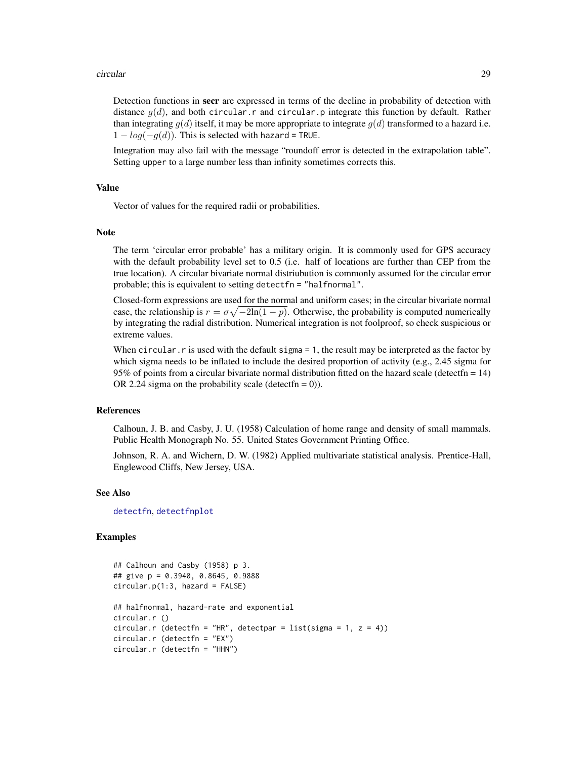#### circular 29

Detection functions in secr are expressed in terms of the decline in probability of detection with distance  $q(d)$ , and both circular.r and circular.p integrate this function by default. Rather than integrating  $q(d)$  itself, it may be more appropriate to integrate  $q(d)$  transformed to a hazard i.e.  $1 - log(-g(d))$ . This is selected with hazard = TRUE.

Integration may also fail with the message "roundoff error is detected in the extrapolation table". Setting upper to a large number less than infinity sometimes corrects this.

## Value

Vector of values for the required radii or probabilities.

## Note

The term 'circular error probable' has a military origin. It is commonly used for GPS accuracy with the default probability level set to 0.5 (i.e. half of locations are further than CEP from the true location). A circular bivariate normal distriubution is commonly assumed for the circular error probable; this is equivalent to setting detectfn = "halfnormal".

Closed-form expressions are used for the normal and uniform cases; in the circular bivariate normal case, the relationship is  $r = \sigma \sqrt{-2\ln(1-p)}$ . Otherwise, the probability is computed numerically by integrating the radial distribution. Numerical integration is not foolproof, so check suspicious or extreme values.

When circular.  $r$  is used with the default sigma  $= 1$ , the result may be interpreted as the factor by which sigma needs to be inflated to include the desired proportion of activity (e.g., 2.45 sigma for 95% of points from a circular bivariate normal distribution fitted on the hazard scale (detectfn = 14) OR 2.24 sigma on the probability scale (detect  $(n = 0)$ ).

## References

Calhoun, J. B. and Casby, J. U. (1958) Calculation of home range and density of small mammals. Public Health Monograph No. 55. United States Government Printing Office.

Johnson, R. A. and Wichern, D. W. (1982) Applied multivariate statistical analysis. Prentice-Hall, Englewood Cliffs, New Jersey, USA.

#### See Also

[detectfn](#page-54-1), [detectfnplot](#page-163-1)

## Examples

```
## Calhoun and Casby (1958) p 3.
## give p = 0.3940, 0.8645, 0.9888
circular.p(1:3, hazard = FALSE)## halfnormal, hazard-rate and exponential
circular.r ()
circular.r (detectfn = "HR", detectpar = list(sigma = 1, z = 4))
circular.r (detectfn = "EX")
circular.r (detectfn = "HHN")
```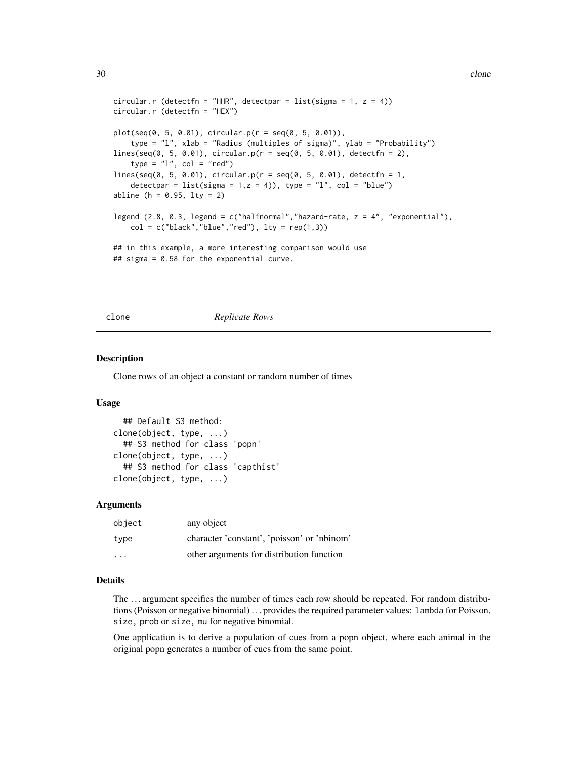```
circular.r (detectfn = "HHR", detectpar = list(sigma = 1, z = 4))
circular.r (detectfn = "HEX")
plot(seq(0, 5, 0.01), circular.p(r = seq(0, 5, 0.01)),type = "l", xlab = "Radius (multiples of sigma)", ylab = "Probability")
lines(seq(0, 5, 0.01), circular.p(r = seq(0, 5, 0.01), detectfn = 2),type = "1", col = "red")lines(seq(0, 5, 0.01), circular.p(r = seq(0, 5, 0.01), detectfn = 1,detectpar = list(sigma = 1, z = 4)), type = "l", col = "blue")
abline (h = 0.95, lty = 2)
legend (2.8, 0.3, legend = c("halfnormal", "hazard-rate, z = 4", "exponential"),col = c("black", "blue", "red"), lty = rep(1,3))## in this example, a more interesting comparison would use
## sigma = 0.58 for the exponential curve.
```
## clone *Replicate Rows*

#### Description

Clone rows of an object a constant or random number of times

#### Usage

```
## Default S3 method:
clone(object, type, ...)
  ## S3 method for class 'popn'
clone(object, type, ...)
  ## S3 method for class 'capthist'
clone(object, type, ...)
```
#### Arguments

| object                  | any object                                  |
|-------------------------|---------------------------------------------|
| type                    | character 'constant', 'poisson' or 'nbinom' |
| $\cdot$ $\cdot$ $\cdot$ | other arguments for distribution function   |

## Details

The . . . argument specifies the number of times each row should be repeated. For random distributions (Poisson or negative binomial) . . . provides the required parameter values: lambda for Poisson, size, prob or size, mu for negative binomial.

One application is to derive a population of cues from a popn object, where each animal in the original popn generates a number of cues from the same point.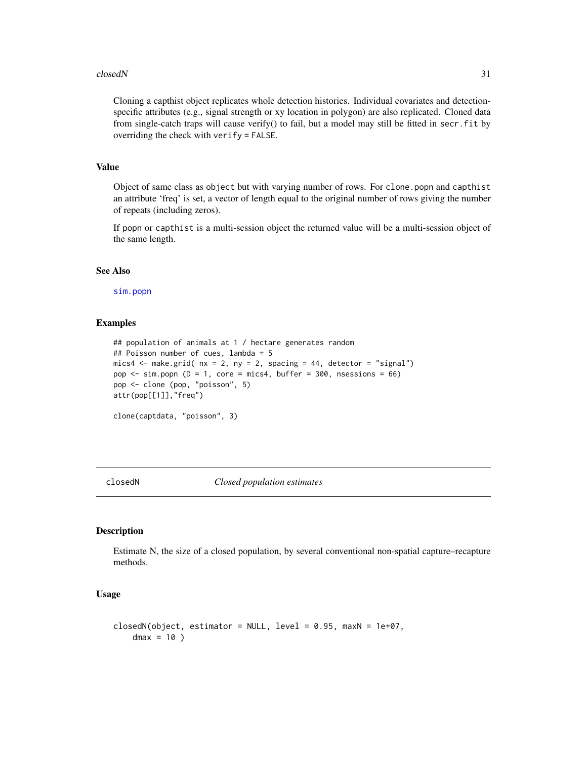#### <span id="page-30-0"></span>closedN 31

Cloning a capthist object replicates whole detection histories. Individual covariates and detectionspecific attributes (e.g., signal strength or xy location in polygon) are also replicated. Cloned data from single-catch traps will cause verify() to fail, but a model may still be fitted in secr.fit by overriding the check with verify = FALSE.

## Value

Object of same class as object but with varying number of rows. For clone.popn and capthist an attribute 'freq' is set, a vector of length equal to the original number of rows giving the number of repeats (including zeros).

If popn or capthist is a multi-session object the returned value will be a multi-session object of the same length.

#### See Also

[sim.popn](#page-243-1)

## Examples

```
## population of animals at 1 / hectare generates random
## Poisson number of cues, lambda = 5
mics4 \le make.grid( nx = 2, ny = 2, spacing = 44, detector = "signal")
pop \le sim.popn (D = 1, core = mics4, buffer = 300, nsessions = 66)
pop <- clone (pop, "poisson", 5)
attr(pop[[1]],"freq")
clone(captdata, "poisson", 3)
```
closedN *Closed population estimates*

#### Description

Estimate N, the size of a closed population, by several conventional non-spatial capture–recapture methods.

#### Usage

```
closedN(object, estimator = NULL, level = 0.95, maxN = 1e+07,dmax = 10)
```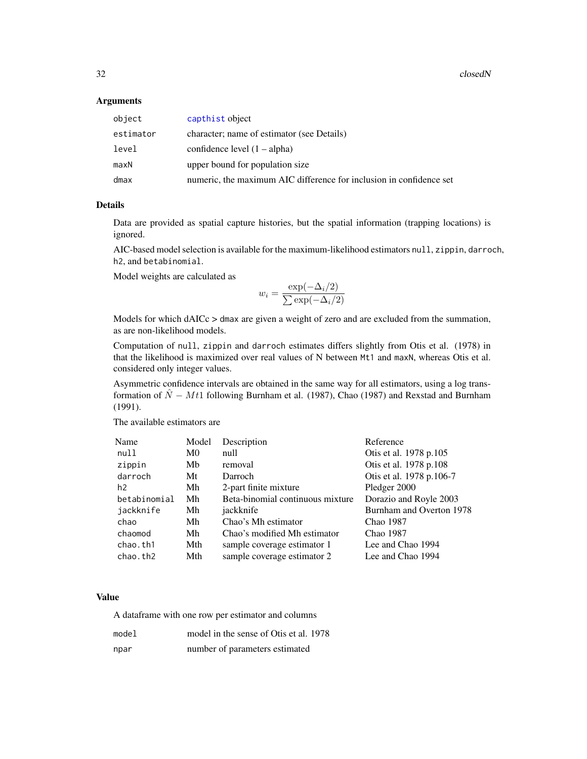32 closedN

## Arguments

| object    | capthist object                                                     |
|-----------|---------------------------------------------------------------------|
| estimator | character; name of estimator (see Details)                          |
| level     | confidence level $(1 - alpha)$                                      |
| maxN      | upper bound for population size                                     |
| dmax      | numeric, the maximum AIC difference for inclusion in confidence set |

## Details

Data are provided as spatial capture histories, but the spatial information (trapping locations) is ignored.

AIC-based model selection is available for the maximum-likelihood estimators null, zippin, darroch, h2, and betabinomial.

Model weights are calculated as

$$
w_i = \frac{\exp(-\Delta_i/2)}{\sum \exp(-\Delta_i/2)}
$$

Models for which dAICc > dmax are given a weight of zero and are excluded from the summation, as are non-likelihood models.

Computation of null, zippin and darroch estimates differs slightly from Otis et al. (1978) in that the likelihood is maximized over real values of N between Mt1 and maxN, whereas Otis et al. considered only integer values.

Asymmetric confidence intervals are obtained in the same way for all estimators, using a log transformation of  $\hat{N} - Mt1$  following Burnham et al. (1987), Chao (1987) and Rexstad and Burnham (1991).

The available estimators are

| Name         | Model | Description                      | Reference                |
|--------------|-------|----------------------------------|--------------------------|
| null         | M0    | null                             | Otis et al. 1978 p.105   |
| zippin       | Mb    | removal                          | Otis et al. 1978 p.108   |
| darroch      | Mt    | Darroch                          | Otis et al. 1978 p.106-7 |
| h2           | Mh    | 2-part finite mixture            | Pledger 2000             |
| betabinomial | Mh    | Beta-binomial continuous mixture | Dorazio and Royle 2003   |
| jackknife    | Mh    | jackknife                        | Burnham and Overton 1978 |
| chao         | Mh    | Chao's Mh estimator              | Chao 1987                |
| chaomod      | Mh    | Chao's modified Mh estimator     | Chao 1987                |
| chao.th1     | Mth   | sample coverage estimator 1      | Lee and Chao 1994        |
| chao.th2     | Mth   | sample coverage estimator 2      | Lee and Chao 1994        |

#### Value

A dataframe with one row per estimator and columns

| model | model in the sense of Otis et al. 1978 |
|-------|----------------------------------------|
| npar  | number of parameters estimated         |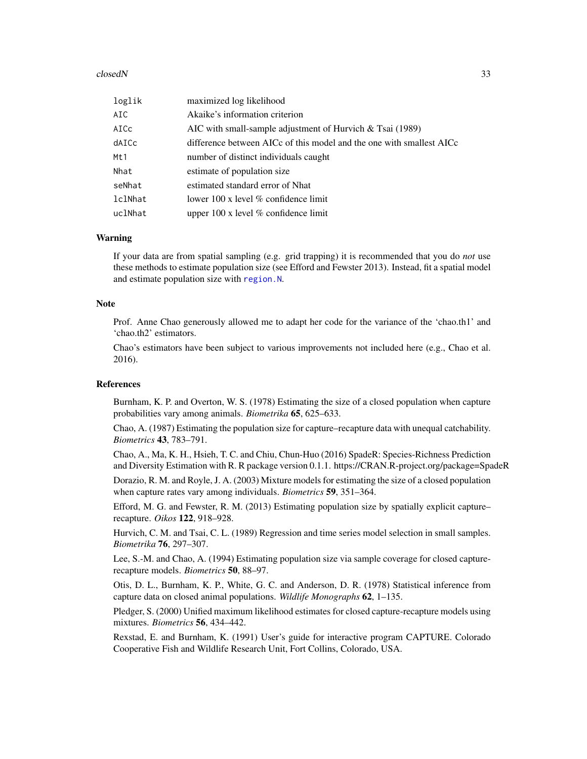#### closedN 33

| loglik  | maximized log likelihood                                             |
|---------|----------------------------------------------------------------------|
| AIC     | Akaike's information criterion                                       |
| AICc    | AIC with small-sample adjustment of Hurvich $\&$ Tsai (1989)         |
| dAICc   | difference between AICc of this model and the one with smallest AICc |
| Mt1     | number of distinct individuals caught                                |
| Nhat    | estimate of population size                                          |
| seNhat  | estimated standard error of Nhat                                     |
| lclNhat | lower 100 x level $\%$ confidence limit                              |
| uclNhat | upper $100 \times$ level % confidence limit                          |

#### Warning

If your data are from spatial sampling (e.g. grid trapping) it is recommended that you do *not* use these methods to estimate population size (see Efford and Fewster 2013). Instead, fit a spatial model and estimate population size with [region.N](#page-204-1).

## **Note**

Prof. Anne Chao generously allowed me to adapt her code for the variance of the 'chao.th1' and 'chao.th2' estimators.

Chao's estimators have been subject to various improvements not included here (e.g., Chao et al. 2016).

#### References

Burnham, K. P. and Overton, W. S. (1978) Estimating the size of a closed population when capture probabilities vary among animals. *Biometrika* 65, 625–633.

Chao, A. (1987) Estimating the population size for capture–recapture data with unequal catchability. *Biometrics* 43, 783–791.

Chao, A., Ma, K. H., Hsieh, T. C. and Chiu, Chun-Huo (2016) SpadeR: Species-Richness Prediction and Diversity Estimation with R. R package version 0.1.1. https://CRAN.R-project.org/package=SpadeR

Dorazio, R. M. and Royle, J. A. (2003) Mixture models for estimating the size of a closed population when capture rates vary among individuals. *Biometrics* 59, 351–364.

Efford, M. G. and Fewster, R. M. (2013) Estimating population size by spatially explicit capture– recapture. *Oikos* 122, 918–928.

Hurvich, C. M. and Tsai, C. L. (1989) Regression and time series model selection in small samples. *Biometrika* 76, 297–307.

Lee, S.-M. and Chao, A. (1994) Estimating population size via sample coverage for closed capturerecapture models. *Biometrics* 50, 88–97.

Otis, D. L., Burnham, K. P., White, G. C. and Anderson, D. R. (1978) Statistical inference from capture data on closed animal populations. *Wildlife Monographs* 62, 1–135.

Pledger, S. (2000) Unified maximum likelihood estimates for closed capture-recapture models using mixtures. *Biometrics* 56, 434–442.

Rexstad, E. and Burnham, K. (1991) User's guide for interactive program CAPTURE. Colorado Cooperative Fish and Wildlife Research Unit, Fort Collins, Colorado, USA.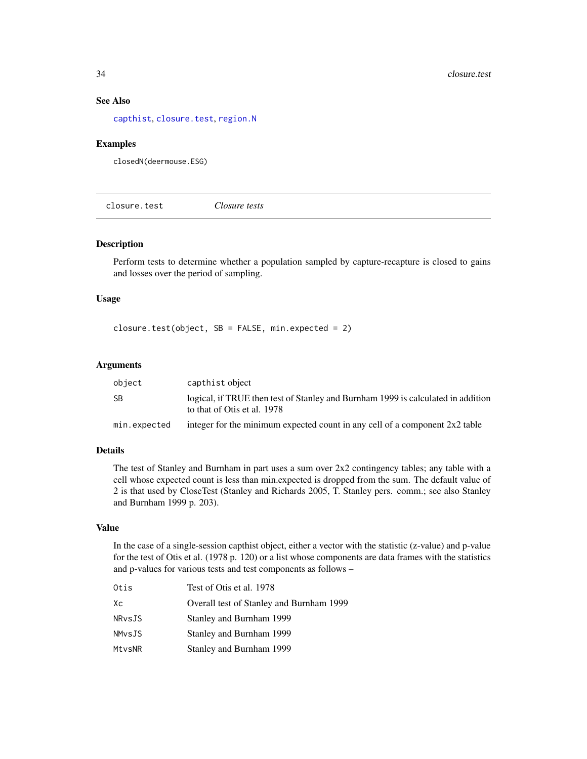## See Also

[capthist](#page-24-1), [closure.test](#page-33-1), [region.N](#page-204-1)

#### Examples

closedN(deermouse.ESG)

<span id="page-33-1"></span>closure.test *Closure tests*

#### Description

Perform tests to determine whether a population sampled by capture-recapture is closed to gains and losses over the period of sampling.

## Usage

closure.test(object, SB = FALSE, min.expected = 2)

# Arguments

| object       | capthist object                                                                                                 |
|--------------|-----------------------------------------------------------------------------------------------------------------|
| SB           | logical, if TRUE then test of Stanley and Burnham 1999 is calculated in addition<br>to that of Otis et al. 1978 |
| min.expected | integer for the minimum expected count in any cell of a component $2x2$ table                                   |

## Details

The test of Stanley and Burnham in part uses a sum over 2x2 contingency tables; any table with a cell whose expected count is less than min.expected is dropped from the sum. The default value of 2 is that used by CloseTest (Stanley and Richards 2005, T. Stanley pers. comm.; see also Stanley and Burnham 1999 p. 203).

## Value

In the case of a single-session capthist object, either a vector with the statistic (z-value) and p-value for the test of Otis et al. (1978 p. 120) or a list whose components are data frames with the statistics and p-values for various tests and test components as follows –

| Otis   | Test of Otis et al. 1978                 |
|--------|------------------------------------------|
| Xс     | Overall test of Stanley and Burnham 1999 |
| NRvsJS | Stanley and Burnham 1999                 |
| NMvsJS | Stanley and Burnham 1999                 |
| MtvsNR | Stanley and Burnham 1999                 |

<span id="page-33-0"></span>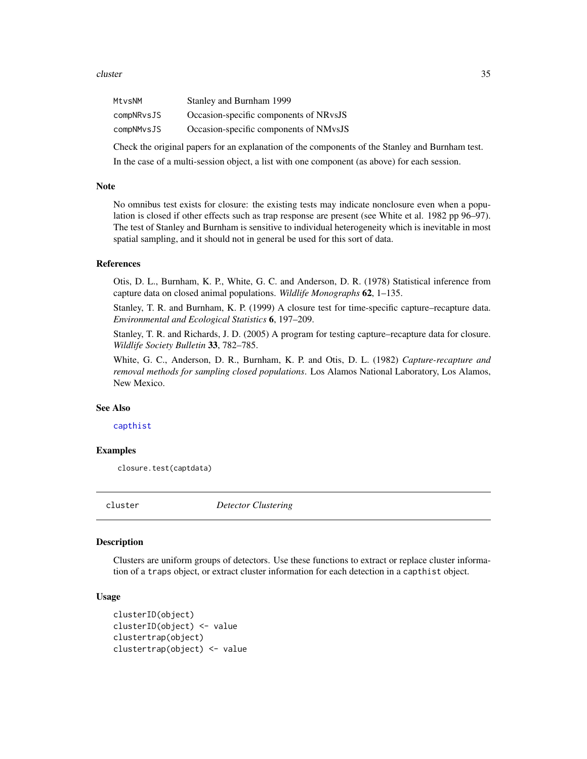#### <span id="page-34-0"></span>cluster 35

| MtvsNM     | Stanley and Burnham 1999               |
|------------|----------------------------------------|
| compNRvsJS | Occasion-specific components of NRvsJS |
| compNMvsJS | Occasion-specific components of NMvsJS |

Check the original papers for an explanation of the components of the Stanley and Burnham test. In the case of a multi-session object, a list with one component (as above) for each session.

#### **Note**

No omnibus test exists for closure: the existing tests may indicate nonclosure even when a population is closed if other effects such as trap response are present (see White et al. 1982 pp 96–97). The test of Stanley and Burnham is sensitive to individual heterogeneity which is inevitable in most spatial sampling, and it should not in general be used for this sort of data.

## References

Otis, D. L., Burnham, K. P., White, G. C. and Anderson, D. R. (1978) Statistical inference from capture data on closed animal populations. *Wildlife Monographs* 62, 1–135.

Stanley, T. R. and Burnham, K. P. (1999) A closure test for time-specific capture–recapture data. *Environmental and Ecological Statistics* 6, 197–209.

Stanley, T. R. and Richards, J. D. (2005) A program for testing capture–recapture data for closure. *Wildlife Society Bulletin* 33, 782–785.

White, G. C., Anderson, D. R., Burnham, K. P. and Otis, D. L. (1982) *Capture-recapture and removal methods for sampling closed populations*. Los Alamos National Laboratory, Los Alamos, New Mexico.

## See Also

## [capthist](#page-24-1)

## Examples

closure.test(captdata)

cluster *Detector Clustering*

## **Description**

Clusters are uniform groups of detectors. Use these functions to extract or replace cluster information of a traps object, or extract cluster information for each detection in a capthist object.

## Usage

```
clusterID(object)
clusterID(object) <- value
clustertrap(object)
clustertrap(object) <- value
```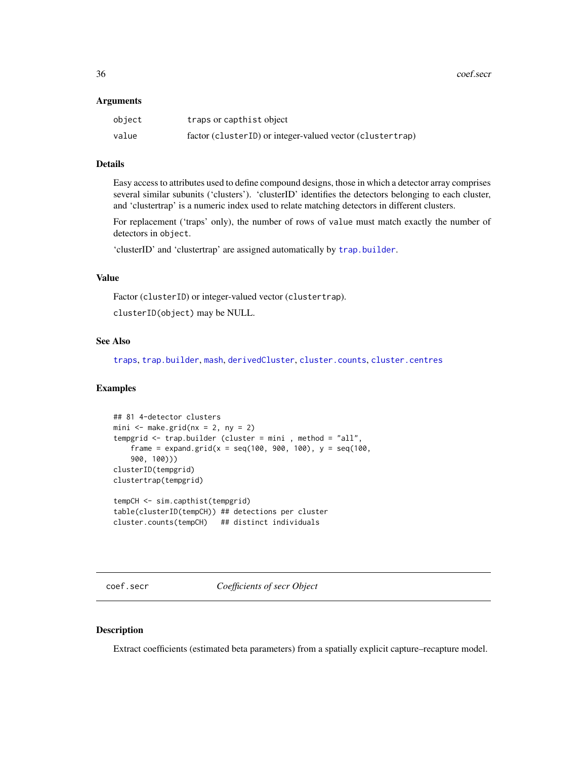<span id="page-35-0"></span>36 coef.secr

#### Arguments

| object | traps or capthist object                                  |
|--------|-----------------------------------------------------------|
| value  | factor (clusterID) or integer-valued vector (clustertrap) |

## Details

Easy access to attributes used to define compound designs, those in which a detector array comprises several similar subunits ('clusters'). 'clusterID' identifies the detectors belonging to each cluster, and 'clustertrap' is a numeric index used to relate matching detectors in different clusters.

For replacement ('traps' only), the number of rows of value must match exactly the number of detectors in object.

'clusterID' and 'clustertrap' are assigned automatically by [trap.builder](#page-282-1).

## Value

Factor (clusterID) or integer-valued vector (clustertrap).

clusterID(object) may be NULL.

## See Also

[traps](#page-287-1), [trap.builder](#page-282-1), [mash](#page-282-2), [derivedCluster](#page-65-1), [cluster.counts](#page-282-2), [cluster.centres](#page-282-2)

## Examples

```
## 81 4-detector clusters
mini \leq make.grid(nx = 2, ny = 2)
tempgrid <- trap.builder (cluster = mini , method = "all",
    frame = expand.grid(x = \text{seq}(100, 900, 100), y = \text{seq}(100, 100)900, 100)))
clusterID(tempgrid)
clustertrap(tempgrid)
tempCH <- sim.capthist(tempgrid)
```

```
table(clusterID(tempCH)) ## detections per cluster
cluster.counts(tempCH) ## distinct individuals
```
coef.secr *Coefficients of secr Object*

## Description

Extract coefficients (estimated beta parameters) from a spatially explicit capture–recapture model.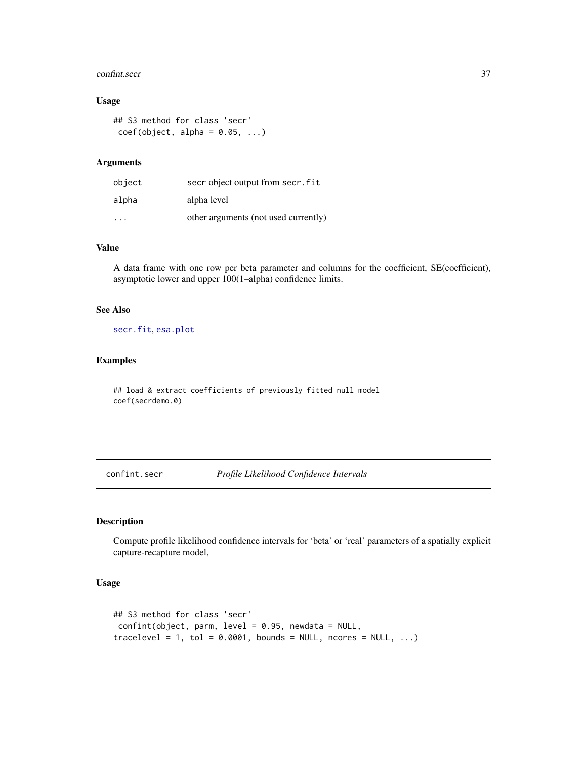#### confint.secr 37

## Usage

```
## S3 method for class 'secr'
coef(object, alpha = 0.05, ...)
```
## Arguments

| object                  | secr object output from secr. fit    |
|-------------------------|--------------------------------------|
| alpha                   | alpha level                          |
| $\cdot$ $\cdot$ $\cdot$ | other arguments (not used currently) |

## Value

A data frame with one row per beta parameter and columns for the coefficient, SE(coefficient), asymptotic lower and upper 100(1–alpha) confidence limits.

## See Also

[secr.fit](#page-218-0), [esa.plot](#page-71-0)

## Examples

## load & extract coefficients of previously fitted null model coef(secrdemo.0)

<span id="page-36-0"></span>confint.secr *Profile Likelihood Confidence Intervals*

## Description

Compute profile likelihood confidence intervals for 'beta' or 'real' parameters of a spatially explicit capture-recapture model,

## Usage

```
## S3 method for class 'secr'
confint(object, parm, level = 0.95, newdata = NULL,tracelevel = 1, tol = 0.0001, bounds = NULL, ncores = NULL, ...)
```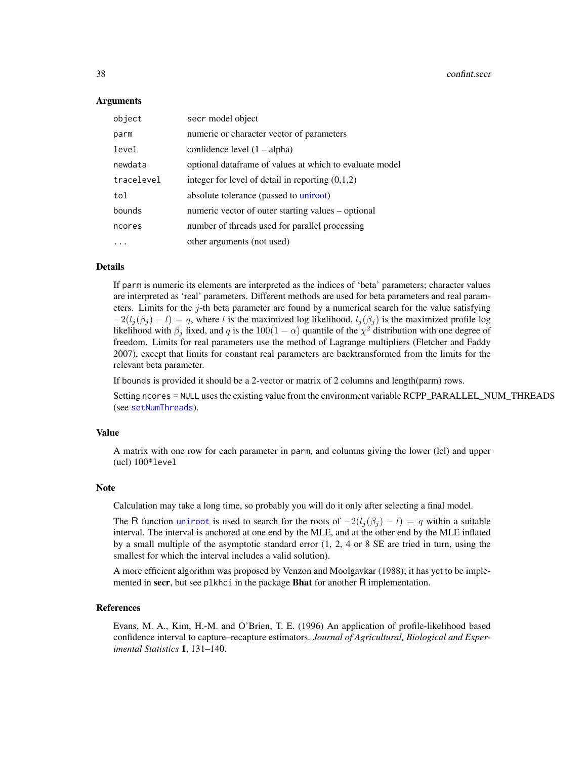#### Arguments

| object     | secr model object                                       |
|------------|---------------------------------------------------------|
| parm       | numeric or character vector of parameters               |
| level      | confidence level $(1 - alpha)$                          |
| newdata    | optional dataframe of values at which to evaluate model |
| tracelevel | integer for level of detail in reporting $(0,1,2)$      |
| tol        | absolute tolerance (passed to uniroot)                  |
| bounds     | numeric vector of outer starting values – optional      |
| ncores     | number of threads used for parallel processing          |
|            | other arguments (not used)                              |

#### Details

If parm is numeric its elements are interpreted as the indices of 'beta' parameters; character values are interpreted as 'real' parameters. Different methods are used for beta parameters and real parameters. Limits for the j-th beta parameter are found by a numerical search for the value satisfying  $-2(l_j(\beta_j) - l) = q$ , where l is the maximized log likelihood,  $l_j(\beta_j)$  is the maximized profile log likelihood with  $\beta_j$  fixed, and q is the 100(1 –  $\alpha$ ) quantile of the  $\chi^2$  distribution with one degree of freedom. Limits for real parameters use the method of Lagrange multipliers (Fletcher and Faddy 2007), except that limits for constant real parameters are backtransformed from the limits for the relevant beta parameter.

If bounds is provided it should be a 2-vector or matrix of 2 columns and length(parm) rows.

Setting ncores = NULL uses the existing value from the environment variable RCPP\_PARALLEL\_NUM\_THREADS (see [setNumThreads](#page-233-0)).

## Value

A matrix with one row for each parameter in parm, and columns giving the lower (lcl) and upper (ucl) 100\*level

#### Note

Calculation may take a long time, so probably you will do it only after selecting a final model.

The R function [uniroot](#page-0-0) is used to search for the roots of  $-2(l_j(\beta_j) - l) = q$  within a suitable interval. The interval is anchored at one end by the MLE, and at the other end by the MLE inflated by a small multiple of the asymptotic standard error (1, 2, 4 or 8 SE are tried in turn, using the smallest for which the interval includes a valid solution).

A more efficient algorithm was proposed by Venzon and Moolgavkar (1988); it has yet to be implemented in secr, but see plkhci in the package **Bhat** for another R implementation.

#### References

Evans, M. A., Kim, H.-M. and O'Brien, T. E. (1996) An application of profile-likelihood based confidence interval to capture–recapture estimators. *Journal of Agricultural, Biological and Experimental Statistics* 1, 131–140.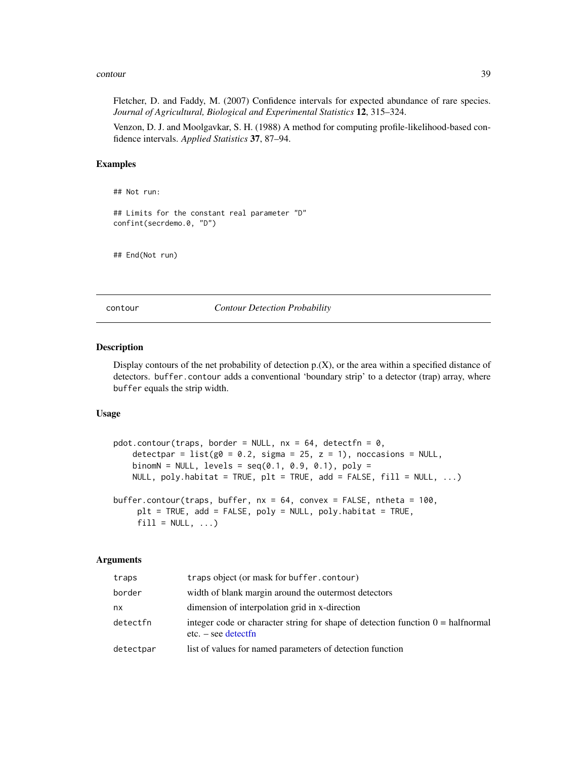#### contour 39

Fletcher, D. and Faddy, M. (2007) Confidence intervals for expected abundance of rare species. *Journal of Agricultural, Biological and Experimental Statistics* 12, 315–324.

Venzon, D. J. and Moolgavkar, S. H. (1988) A method for computing profile-likelihood-based confidence intervals. *Applied Statistics* 37, 87–94.

## Examples

```
## Not run:
```

```
## Limits for the constant real parameter "D"
confint(secrdemo.0, "D")
```
## End(Not run)

contour *Contour Detection Probability*

## Description

Display contours of the net probability of detection  $p(X)$ , or the area within a specified distance of detectors. buffer.contour adds a conventional 'boundary strip' to a detector (trap) array, where buffer equals the strip width.

## Usage

```
pdot.contour(traps, border = NULL, nx = 64, detectfn = 0,
    detectpar = list(g0 = 0.2, sigma = 25, z = 1), noccasions = NULL,binom{N}{k} = NULL, levels = seq(0.1, 0.9, 0.1), poly =
   NULL, poly.habitat = TRUE, plt = TRUE, add = FALSE, fill = NULL, ...)buffer.contour(traps, buffer, nx = 64, convex = FALSE, ntheta = 100,
     plt = TRUE, add = FALSE, poly = NULL, poly.habitat = TRUE,
     fill = NULL, ...
```

| traps     | traps object (or mask for buffer.contour)                                                                       |
|-----------|-----------------------------------------------------------------------------------------------------------------|
| border    | width of blank margin around the outermost detectors                                                            |
| nx        | dimension of interpolation grid in x-direction                                                                  |
| detectfn  | integer code or character string for shape of detection function $0 = \text{halfnormal}$<br>$etc. - see detect$ |
| detectpar | list of values for named parameters of detection function                                                       |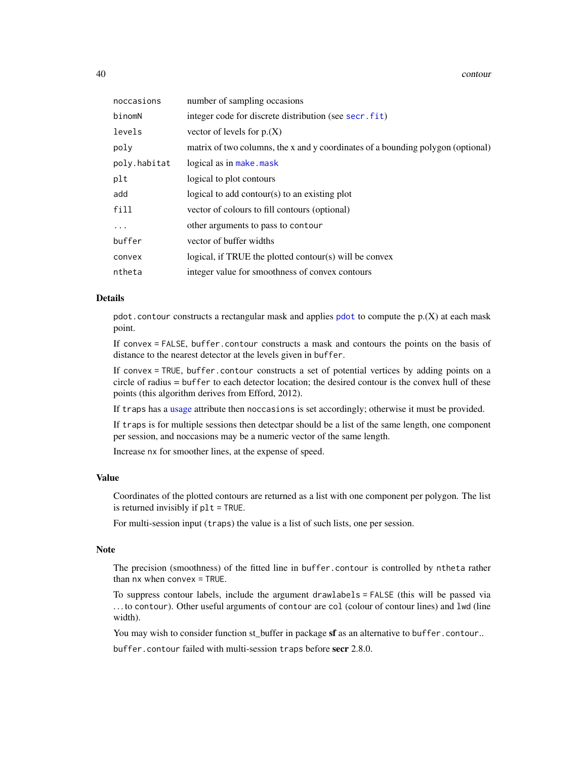40 contour

| noccasions   | number of sampling occasions                                                    |
|--------------|---------------------------------------------------------------------------------|
| binomN       | integer code for discrete distribution (see secr. fit)                          |
| levels       | vector of levels for $p(X)$                                                     |
| poly         | matrix of two columns, the x and y coordinates of a bounding polygon (optional) |
| poly.habitat | logical as in make.mask                                                         |
| plt          | logical to plot contours                                                        |
| add          | logical to add contour(s) to an existing plot                                   |
| fill         | vector of colours to fill contours (optional)                                   |
|              | other arguments to pass to contour                                              |
| buffer       | vector of buffer widths                                                         |
| convex       | logical, if TRUE the plotted contour(s) will be convex                          |
| ntheta       | integer value for smoothness of convex contours                                 |

#### Details

[pdot](#page-150-0).contour constructs a rectangular mask and applies pdot to compute the  $p(X)$  at each mask point.

If convex = FALSE, buffer.contour constructs a mask and contours the points on the basis of distance to the nearest detector at the levels given in buffer.

If convex = TRUE, buffer.contour constructs a set of potential vertices by adding points on a circle of radius = buffer to each detector location; the desired contour is the convex hull of these points (this algorithm derives from Efford, 2012).

If traps has a [usage](#page-296-0) attribute then noccasions is set accordingly; otherwise it must be provided.

If traps is for multiple sessions then detectpar should be a list of the same length, one component per session, and noccasions may be a numeric vector of the same length.

Increase nx for smoother lines, at the expense of speed.

#### Value

Coordinates of the plotted contours are returned as a list with one component per polygon. The list is returned invisibly if plt = TRUE.

For multi-session input (traps) the value is a list of such lists, one per session.

## Note

The precision (smoothness) of the fitted line in buffer.contour is controlled by ntheta rather than nx when convex = TRUE.

To suppress contour labels, include the argument drawlabels = FALSE (this will be passed via . . . to contour). Other useful arguments of contour are col (colour of contour lines) and lwd (line width).

You may wish to consider function st\_buffer in package sf as an alternative to buffer.contour..

buffer.contour failed with multi-session traps before secr 2.8.0.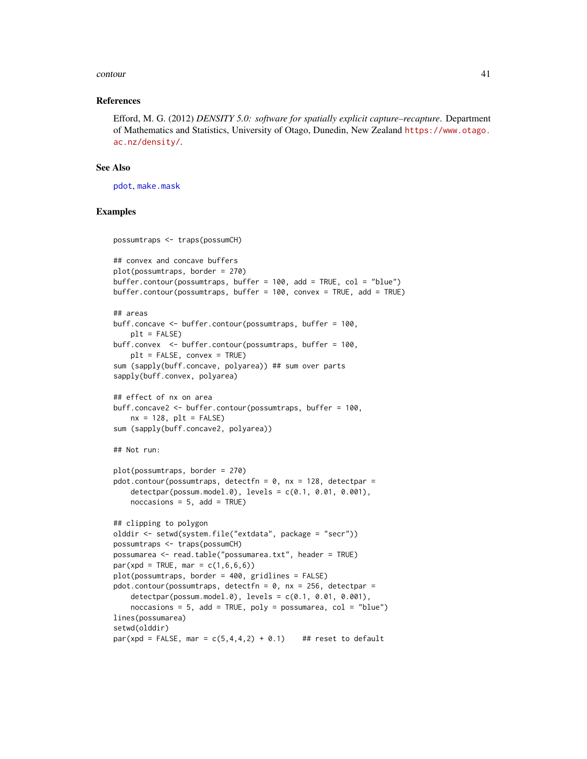#### contour and the contour of the contour of the contour and the contour of the contour of the contour  $41$

#### References

Efford, M. G. (2012) *DENSITY 5.0: software for spatially explicit capture–recapture*. Department of Mathematics and Statistics, University of Otago, Dunedin, New Zealand [https://www.otago.](https://www.otago.ac.nz/density/) [ac.nz/density/](https://www.otago.ac.nz/density/).

## See Also

[pdot](#page-150-0), [make.mask](#page-115-0)

## Examples

```
possumtraps <- traps(possumCH)
```
## convex and concave buffers

```
plot(possumtraps, border = 270)
buffer.contour(possumtraps, buffer = 100, add = TRUE, col = "blue")
buffer.contour(possumtraps, buffer = 100, convex = TRUE, add = TRUE)
## areas
buff.concave <- buffer.contour(possumtraps, buffer = 100,
   plt = FALSE)buff.convex <- buffer.contour(possumtraps, buffer = 100,
   plt = FALSE, convex = TRUE)
sum (sapply(buff.concave, polyarea)) ## sum over parts
sapply(buff.convex, polyarea)
## effect of nx on area
buff.concave2 <- buffer.contour(possumtraps, buffer = 100,
    nx = 128, plt = FALSEsum (sapply(buff.concave2, polyarea))
## Not run:
plot(possumtraps, border = 270)
pdot.contour(possumtraps, detectfn = 0, nx = 128, detectpar =
    detectpar(possum.model.0), levels = c(0.1, 0.01, 0.001),
    nocasing = 5, add = TRUE)
## clipping to polygon
olddir <- setwd(system.file("extdata", package = "secr"))
possumtraps <- traps(possumCH)
possumarea <- read.table("possumarea.txt", header = TRUE)
par(xpd = TRUE, mar = c(1, 6, 6, 6))plot(possumtraps, border = 400, gridlines = FALSE)
pdot.contour(possumtraps, detectfn = 0, nx = 256, detectpar =
    detectpar(possum.model.0), levels = c(0.1, 0.01, 0.001),
    noccasions = 5, add = TRUE, poly = possumarea, col = "blue")lines(possumarea)
setwd(olddir)
par(xpd = FALSE, mar = c(5,4,4,2) + 0.1) ## reset to default
```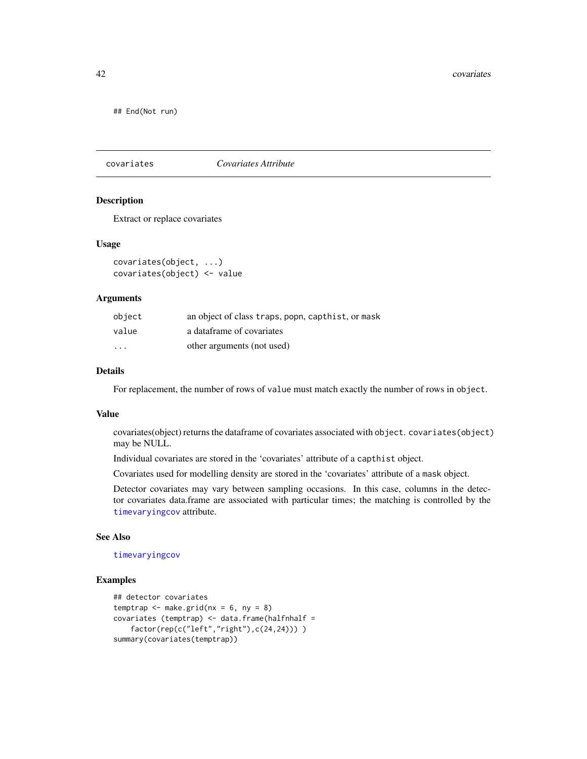## End(Not run)

covariates *Covariates Attribute*

## Description

Extract or replace covariates

#### Usage

```
covariates(object, ...)
covariates(object) <- value
```
#### Arguments

| object                  | an object of class traps, popn, capthist, or mask |
|-------------------------|---------------------------------------------------|
| value                   | a dataframe of covariates                         |
| $\cdot$ $\cdot$ $\cdot$ | other arguments (not used)                        |

## Details

For replacement, the number of rows of value must match exactly the number of rows in object.

#### Value

covariates(object) returns the dataframe of covariates associated with object. covariates(object) may be NULL.

Individual covariates are stored in the 'covariates' attribute of a capthist object.

Covariates used for modelling density are stored in the 'covariates' attribute of a mask object.

Detector covariates may vary between sampling occasions. In this case, columns in the detector covariates data.frame are associated with particular times; the matching is controlled by the [timevaryingcov](#page-278-0) attribute.

## See Also

[timevaryingcov](#page-278-0)

## Examples

```
## detector covariates
temptrap \leq make.grid(nx = 6, ny = 8)
covariates (temptrap) \leq data.frame(halfnhalf =
   factor(rep(c("left","right"),c(24,24)))))
summary(covariates(temptrap))
```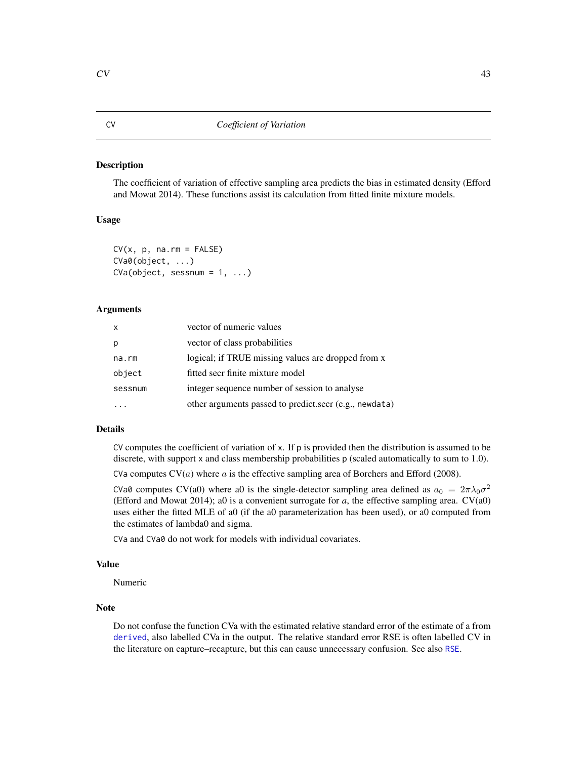#### Description

The coefficient of variation of effective sampling area predicts the bias in estimated density (Efford and Mowat 2014). These functions assist its calculation from fitted finite mixture models.

## Usage

```
CV(x, p, na.rm = FALSE)CVa0(object, ...)
CVa(object, sesnum = 1, ...)
```
#### Arguments

| $\mathsf{x}$ | vector of numeric values                               |
|--------------|--------------------------------------------------------|
| p            | vector of class probabilities                          |
| na.rm        | logical; if TRUE missing values are dropped from x     |
| object       | fitted secr finite mixture model                       |
| sessnum      | integer sequence number of session to analyse          |
|              | other arguments passed to predict.secr (e.g., newdata) |

### Details

CV computes the coefficient of variation of  $x$ . If  $p$  is provided then the distribution is assumed to be discrete, with support x and class membership probabilities p (scaled automatically to sum to 1.0).

CVa computes  $CV(a)$  where  $a$  is the effective sampling area of Borchers and Efford (2008).

CVa0 computes CV(a0) where a0 is the single-detector sampling area defined as  $a_0 = 2\pi\lambda_0\sigma^2$ (Efford and Mowat 2014); a0 is a convenient surrogate for  $a$ , the effective sampling area.  $CV(a0)$ uses either the fitted MLE of a0 (if the a0 parameterization has been used), or a0 computed from the estimates of lambda0 and sigma.

CVa and CVa0 do not work for models with individual covariates.

## Value

Numeric

#### **Note**

Do not confuse the function CVa with the estimated relative standard error of the estimate of a from [derived](#page-47-0), also labelled CVa in the output. The relative standard error RSE is often labelled CV in the literature on capture–recapture, but this can cause unnecessary confusion. See also [RSE](#page-209-0).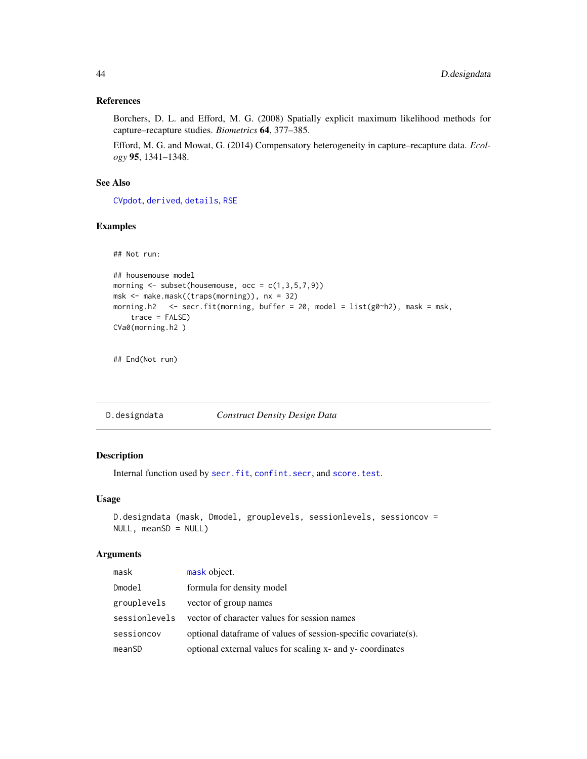### References

Borchers, D. L. and Efford, M. G. (2008) Spatially explicit maximum likelihood methods for capture–recapture studies. *Biometrics* 64, 377–385.

Efford, M. G. and Mowat, G. (2014) Compensatory heterogeneity in capture–recapture data. *Ecology* 95, 1341–1348.

## See Also

[CVpdot](#page-150-1), [derived](#page-47-0), [details](#page-51-0), [RSE](#page-209-0)

## Examples

## Not run:

```
## housemouse model
morning \leq subset(housemouse, occ = c(1,3,5,7,9))
msk <- make.mask((traps(morning)), nx = 32)
morning.h2 \le secr.fit(morning, buffer = 20, model = list(g0~h2), mask = msk,
    trace = FALSE)
CVa0(morning.h2 )
```
## End(Not run)

D.designdata *Construct Density Design Data*

## Description

Internal function used by [secr.fit](#page-218-0), [confint.secr](#page-36-0), and [score.test](#page-212-0).

#### Usage

```
D.designdata (mask, Dmodel, grouplevels, sessionlevels, sessioncov =
NULL, meanSD = NULL)
```

| mask          | mask object.                                                   |
|---------------|----------------------------------------------------------------|
| Dmodel        | formula for density model                                      |
| grouplevels   | vector of group names                                          |
| sessionlevels | vector of character values for session names                   |
| sessioncov    | optional dataframe of values of session-specific covariate(s). |
| meanSD        | optional external values for scaling x- and y- coordinates     |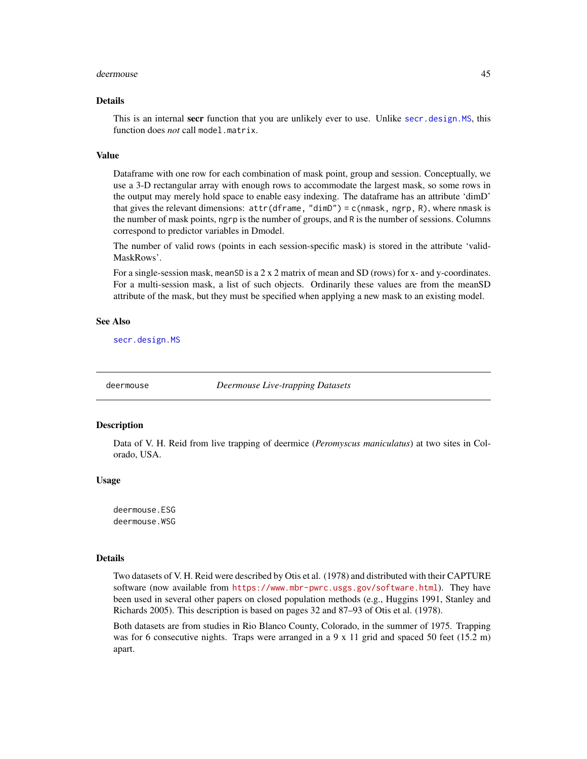#### deermouse **45**

#### Details

This is an internal secr function that you are unlikely ever to use. Unlike secr, design. MS, this function does *not* call model.matrix.

#### Value

Dataframe with one row for each combination of mask point, group and session. Conceptually, we use a 3-D rectangular array with enough rows to accommodate the largest mask, so some rows in the output may merely hold space to enable easy indexing. The dataframe has an attribute 'dimD' that gives the relevant dimensions:  $attr(df$ rame, "dimD") = c(nmask, ngrp, R), where nmask is the number of mask points, ngrp is the number of groups, and R is the number of sessions. Columns correspond to predictor variables in Dmodel.

The number of valid rows (points in each session-specific mask) is stored in the attribute 'valid-MaskRows'.

For a single-session mask, meanSD is a  $2 \times 2$  matrix of mean and SD (rows) for x- and y-coordinates. For a multi-session mask, a list of such objects. Ordinarily these values are from the meanSD attribute of the mask, but they must be specified when applying a new mask to an existing model.

### See Also

[secr.design.MS](#page-216-0)

deermouse *Deermouse Live-trapping Datasets*

#### Description

Data of V. H. Reid from live trapping of deermice (*Peromyscus maniculatus*) at two sites in Colorado, USA.

#### Usage

deermouse.ESG deermouse.WSG

#### Details

Two datasets of V. H. Reid were described by Otis et al. (1978) and distributed with their CAPTURE software (now available from <https://www.mbr-pwrc.usgs.gov/software.html>). They have been used in several other papers on closed population methods (e.g., Huggins 1991, Stanley and Richards 2005). This description is based on pages 32 and 87–93 of Otis et al. (1978).

Both datasets are from studies in Rio Blanco County, Colorado, in the summer of 1975. Trapping was for 6 consecutive nights. Traps were arranged in a 9 x 11 grid and spaced 50 feet (15.2 m) apart.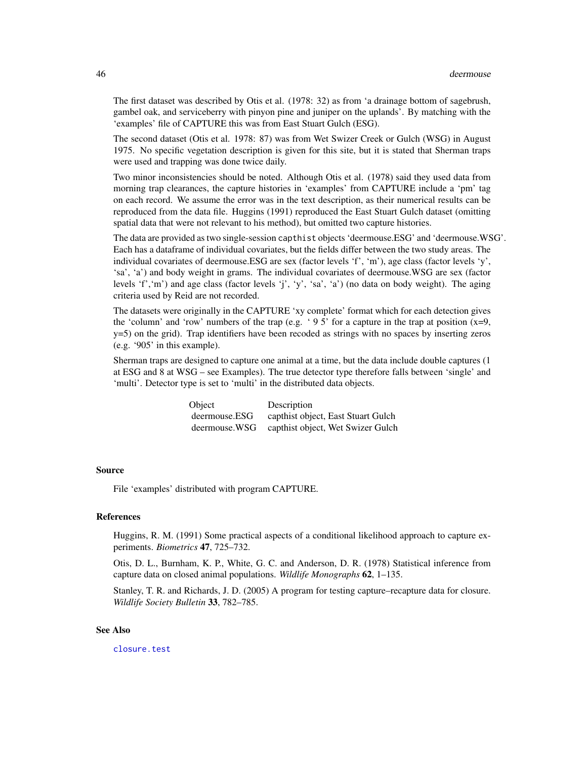The first dataset was described by Otis et al. (1978: 32) as from 'a drainage bottom of sagebrush, gambel oak, and serviceberry with pinyon pine and juniper on the uplands'. By matching with the 'examples' file of CAPTURE this was from East Stuart Gulch (ESG).

The second dataset (Otis et al. 1978: 87) was from Wet Swizer Creek or Gulch (WSG) in August 1975. No specific vegetation description is given for this site, but it is stated that Sherman traps were used and trapping was done twice daily.

Two minor inconsistencies should be noted. Although Otis et al. (1978) said they used data from morning trap clearances, the capture histories in 'examples' from CAPTURE include a 'pm' tag on each record. We assume the error was in the text description, as their numerical results can be reproduced from the data file. Huggins (1991) reproduced the East Stuart Gulch dataset (omitting spatial data that were not relevant to his method), but omitted two capture histories.

The data are provided as two single-session capthist objects 'deermouse.ESG' and 'deermouse.WSG'. Each has a dataframe of individual covariates, but the fields differ between the two study areas. The individual covariates of deermouse.ESG are sex (factor levels 'f', 'm'), age class (factor levels 'y', 'sa', 'a') and body weight in grams. The individual covariates of deermouse.WSG are sex (factor levels 'f','m') and age class (factor levels 'j', 'y', 'sa', 'a') (no data on body weight). The aging criteria used by Reid are not recorded.

The datasets were originally in the CAPTURE 'xy complete' format which for each detection gives the 'column' and 'row' numbers of the trap (e.g. '95' for a capture in the trap at position  $(x=9,$ y=5) on the grid). Trap identifiers have been recoded as strings with no spaces by inserting zeros (e.g. '905' in this example).

Sherman traps are designed to capture one animal at a time, but the data include double captures (1 at ESG and 8 at WSG – see Examples). The true detector type therefore falls between 'single' and 'multi'. Detector type is set to 'multi' in the distributed data objects.

> Object Description deermouse.ESG capthist object, East Stuart Gulch deermouse.WSG capthist object, Wet Swizer Gulch

#### Source

File 'examples' distributed with program CAPTURE.

#### References

Huggins, R. M. (1991) Some practical aspects of a conditional likelihood approach to capture experiments. *Biometrics* 47, 725–732.

Otis, D. L., Burnham, K. P., White, G. C. and Anderson, D. R. (1978) Statistical inference from capture data on closed animal populations. *Wildlife Monographs* 62, 1–135.

Stanley, T. R. and Richards, J. D. (2005) A program for testing capture–recapture data for closure. *Wildlife Society Bulletin* 33, 782–785.

## See Also

[closure.test](#page-33-0)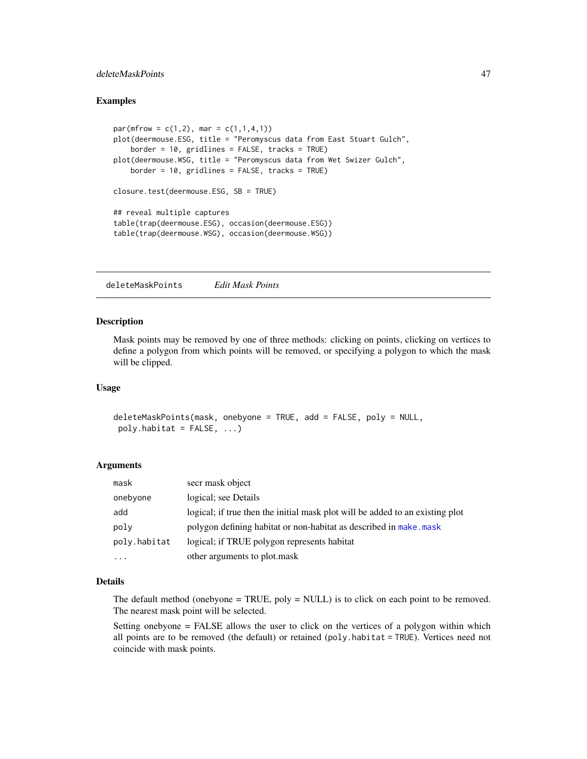## deleteMaskPoints 47

### Examples

```
par(mfrow = c(1, 2), mar = c(1, 1, 4, 1))plot(deermouse.ESG, title = "Peromyscus data from East Stuart Gulch",
   border = 10, gridlines = FALSE, tracks = TRUE)
plot(deermouse.WSG, title = "Peromyscus data from Wet Swizer Gulch",
   border = 10, gridlines = FALSE, tracks = TRUE)
closure.test(deermouse.ESG, SB = TRUE)
## reveal multiple captures
table(trap(deermouse.ESG), occasion(deermouse.ESG))
table(trap(deermouse.WSG), occasion(deermouse.WSG))
```
deleteMaskPoints *Edit Mask Points*

### Description

Mask points may be removed by one of three methods: clicking on points, clicking on vertices to define a polygon from which points will be removed, or specifying a polygon to which the mask will be clipped.

## Usage

deleteMaskPoints(mask, onebyone = TRUE, add = FALSE, poly = NULL, poly.habitat = FALSE, ...)

### Arguments

| mask         | secr mask object                                                              |
|--------------|-------------------------------------------------------------------------------|
| onebyone     | logical; see Details                                                          |
| add          | logical; if true then the initial mask plot will be added to an existing plot |
| poly         | polygon defining habitat or non-habitat as described in make, mask            |
| poly.habitat | logical; if TRUE polygon represents habitat                                   |
| $\cdots$     | other arguments to plot.mask                                                  |

#### Details

The default method (onebyone  $= TRUE$ , poly  $= NULL$ ) is to click on each point to be removed. The nearest mask point will be selected.

Setting onebyone = FALSE allows the user to click on the vertices of a polygon within which all points are to be removed (the default) or retained (poly.habitat = TRUE). Vertices need not coincide with mask points.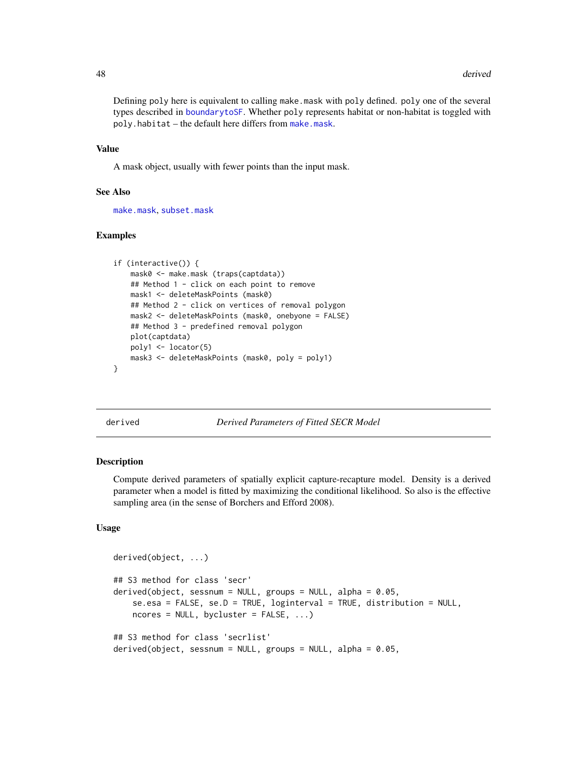Defining poly here is equivalent to calling make.mask with poly defined. poly one of the several types described in [boundarytoSF](#page-97-0). Whether poly represents habitat or non-habitat is toggled with poly.habitat – the default here differs from [make.mask](#page-115-0).

#### Value

A mask object, usually with fewer points than the input mask.

#### See Also

[make.mask](#page-115-0), [subset.mask](#page-267-0)

## Examples

```
if (interactive()) {
   mask0 <- make.mask (traps(captdata))
    ## Method 1 - click on each point to remove
   mask1 <- deleteMaskPoints (mask0)
   ## Method 2 - click on vertices of removal polygon
    mask2 <- deleteMaskPoints (mask0, onebyone = FALSE)
    ## Method 3 - predefined removal polygon
   plot(captdata)
   poly1 <- locator(5)
   mask3 <- deleteMaskPoints (mask0, poly = poly1)
}
```
<span id="page-47-0"></span>derived *Derived Parameters of Fitted SECR Model*

## <span id="page-47-1"></span>Description

Compute derived parameters of spatially explicit capture-recapture model. Density is a derived parameter when a model is fitted by maximizing the conditional likelihood. So also is the effective sampling area (in the sense of Borchers and Efford 2008).

## Usage

```
derived(object, ...)
## S3 method for class 'secr'
derived(object, sessnum = NULL, groups = NULL, alpha = 0.05,
    se.esa = FALSE, se.D = TRUE, loginterval = TRUE, distribution = NULL,
   ncores = NULL, bycluster = FALSE, ...)
## S3 method for class 'secrlist'
derived(object, sessnum = NULL, groups = NULL, alpha = 0.05,
```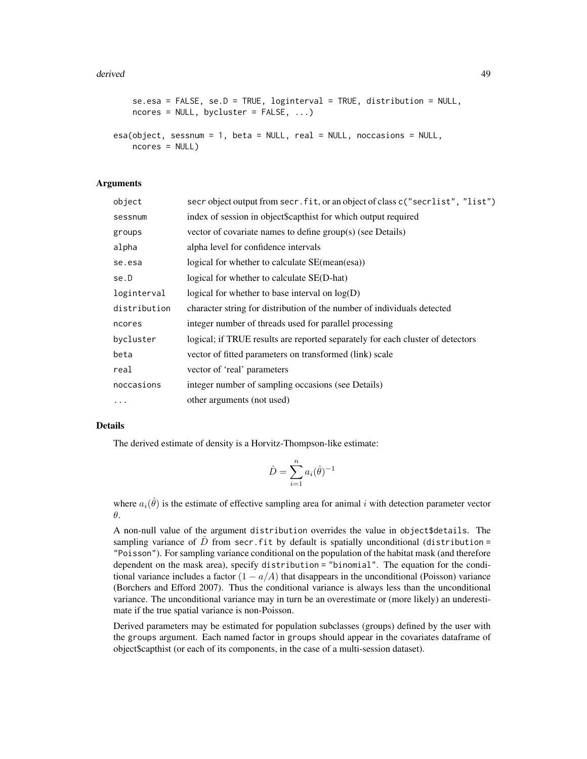#### derived **49**

```
se.esa = FALSE, se.D = TRUE, loginterval = TRUE, distribution = NULL,
   ncores = NULL, bycluster = FALSE, ...)
esa(object, sessnum = 1, beta = NULL, real = NULL, noccasions = NULL,
   ncores = NULL)
```
## Arguments

| object       | secr object output from secr. fit, or an object of class c("secrlist", "list") |
|--------------|--------------------------------------------------------------------------------|
| sessnum      | index of session in object\$capthist for which output required                 |
| groups       | vector of covariate names to define group(s) (see Details)                     |
| alpha        | alpha level for confidence intervals                                           |
| se.esa       | logical for whether to calculate SE(mean(esa))                                 |
| se.D         | logical for whether to calculate SE(D-hat)                                     |
| loginterval  | logical for whether to base interval on $log(D)$                               |
| distribution | character string for distribution of the number of individuals detected        |
| ncores       | integer number of threads used for parallel processing                         |
| bycluster    | logical; if TRUE results are reported separately for each cluster of detectors |
| beta         | vector of fitted parameters on transformed (link) scale                        |
| real         | vector of 'real' parameters                                                    |
| noccasions   | integer number of sampling occasions (see Details)                             |
| $\cdots$     | other arguments (not used)                                                     |

#### Details

The derived estimate of density is a Horvitz-Thompson-like estimate:

$$
\hat{D} = \sum_{i=1}^{n} a_i(\hat{\theta})^{-1}
$$

where  $a_i(\hat{\theta})$  is the estimate of effective sampling area for animal i with detection parameter vector θ.

A non-null value of the argument distribution overrides the value in object\$details. The sampling variance of  $\ddot{D}$  from secr.fit by default is spatially unconditional (distribution = "Poisson"). For sampling variance conditional on the population of the habitat mask (and therefore dependent on the mask area), specify distribution = "binomial". The equation for the conditional variance includes a factor  $(1 - a/A)$  that disappears in the unconditional (Poisson) variance (Borchers and Efford 2007). Thus the conditional variance is always less than the unconditional variance. The unconditional variance may in turn be an overestimate or (more likely) an underestimate if the true spatial variance is non-Poisson.

Derived parameters may be estimated for population subclasses (groups) defined by the user with the groups argument. Each named factor in groups should appear in the covariates dataframe of object\$capthist (or each of its components, in the case of a multi-session dataset).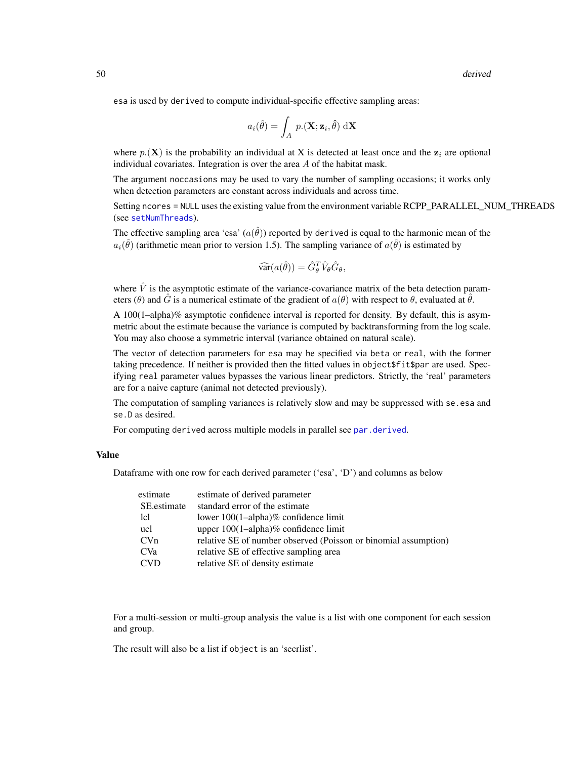esa is used by derived to compute individual-specific effective sampling areas:

$$
a_i(\hat{\theta}) = \int_A p.(\mathbf{X}; \mathbf{z}_i, \hat{\theta}) \, d\mathbf{X}
$$

where  $p(\mathbf{X})$  is the probability an individual at X is detected at least once and the  $z_i$  are optional individual covariates. Integration is over the area A of the habitat mask.

The argument noccasions may be used to vary the number of sampling occasions; it works only when detection parameters are constant across individuals and across time.

Setting ncores = NULL uses the existing value from the environment variable RCPP\_PARALLEL\_NUM\_THREADS (see [setNumThreads](#page-233-0)).

The effective sampling area 'esa'  $(a(\hat{\theta}))$  reported by derived is equal to the harmonic mean of the  $a_i(\hat{\theta})$  (arithmetic mean prior to version 1.5). The sampling variance of  $a(\hat{\theta})$  is estimated by

$$
\widehat{\text{var}}(a(\hat{\theta})) = \hat{G}_{\theta}^{T} \hat{V}_{\theta} \hat{G}_{\theta},
$$

where  $\hat{V}$  is the asymptotic estimate of the variance-covariance matrix of the beta detection parameters ( $\theta$ ) and  $\hat{G}$  is a numerical estimate of the gradient of  $a(\theta)$  with respect to  $\theta$ , evaluated at  $\hat{\theta}$ .

A 100(1–alpha)% asymptotic confidence interval is reported for density. By default, this is asymmetric about the estimate because the variance is computed by backtransforming from the log scale. You may also choose a symmetric interval (variance obtained on natural scale).

The vector of detection parameters for esa may be specified via beta or real, with the former taking precedence. If neither is provided then the fitted values in object\$fit\$par are used. Specifying real parameter values bypasses the various linear predictors. Strictly, the 'real' parameters are for a naive capture (animal not detected previously).

The computation of sampling variances is relatively slow and may be suppressed with se.esa and se.D as desired.

For computing derived across multiple models in parallel see [par.derived](#page-145-0).

#### Value

Dataframe with one row for each derived parameter ('esa', 'D') and columns as below

| estimate    | estimate of derived parameter                                   |
|-------------|-----------------------------------------------------------------|
| SE estimate | standard error of the estimate                                  |
| lcl         | lower $100(1–alpha)$ % confidence limit                         |
| ucl         | upper $100(1$ -alpha)% confidence limit                         |
| CVn         | relative SE of number observed (Poisson or binomial assumption) |
| <b>CVa</b>  | relative SE of effective sampling area                          |
| <b>CVD</b>  | relative SE of density estimate                                 |

For a multi-session or multi-group analysis the value is a list with one component for each session and group.

The result will also be a list if object is an 'secrlist'.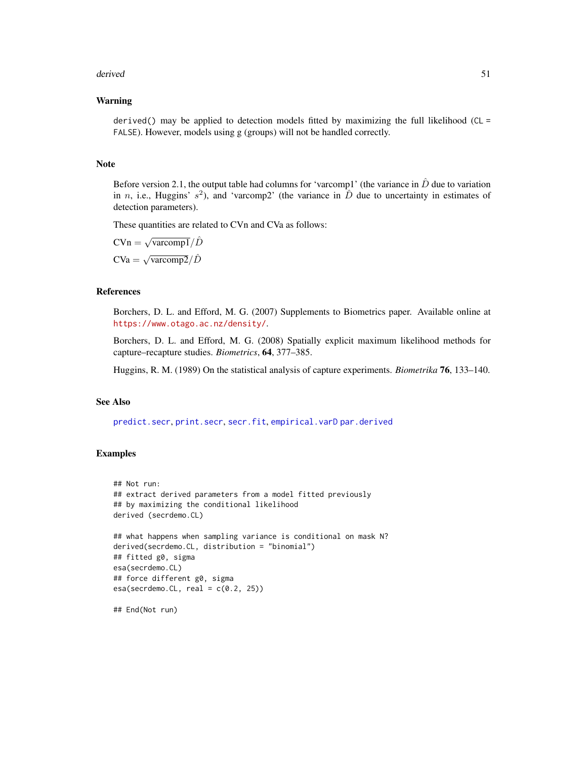#### derived 51

### Warning

derived() may be applied to detection models fitted by maximizing the full likelihood ( $CL =$ FALSE). However, models using g (groups) will not be handled correctly.

#### Note

Before version 2.1, the output table had columns for 'varcomp1' (the variance in  $\ddot{D}$  due to variation in *n*, i.e., Huggins'  $s^2$ ), and 'varcomp2' (the variance in  $\hat{D}$  due to uncertainty in estimates of detection parameters).

These quantities are related to CVn and CVa as follows:

 $CVn = \sqrt{varcomp1}/\hat{D}$  $CVa = \sqrt{\text{vacomp2}}/\hat{D}$ 

# References

Borchers, D. L. and Efford, M. G. (2007) Supplements to Biometrics paper. Available online at <https://www.otago.ac.nz/density/>.

Borchers, D. L. and Efford, M. G. (2008) Spatially explicit maximum likelihood methods for capture–recapture studies. *Biometrics*, 64, 377–385.

Huggins, R. M. (1989) On the statistical analysis of capture experiments. *Biometrika* 76, 133–140.

## See Also

[predict.secr](#page-174-0), [print.secr](#page-179-0), [secr.fit](#page-218-0), [empirical.varD](#page-65-0) [par.derived](#page-145-0)

## Examples

```
## Not run:
## extract derived parameters from a model fitted previously
## by maximizing the conditional likelihood
derived (secrdemo.CL)
## what happens when sampling variance is conditional on mask N?
derived(secrdemo.CL, distribution = "binomial")
## fitted g0, sigma
esa(secrdemo.CL)
## force different g0, sigma
esa(secrdemo.CL, real = c(0.2, 25))
```
## End(Not run)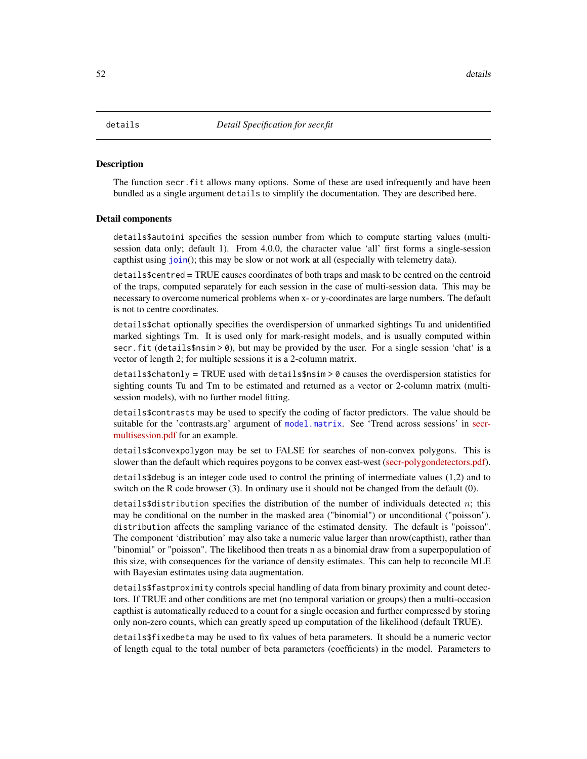#### <span id="page-51-0"></span>**Description**

The function secr. fit allows many options. Some of these are used infrequently and have been bundled as a single argument details to simplify the documentation. They are described here.

#### Detail components

details\$autoini specifies the session number from which to compute starting values (multisession data only; default 1). From 4.0.0, the character value 'all' first forms a single-session capthist using [join](#page-104-0)(); this may be slow or not work at all (especially with telemetry data).

details\$centred = TRUE causes coordinates of both traps and mask to be centred on the centroid of the traps, computed separately for each session in the case of multi-session data. This may be necessary to overcome numerical problems when x- or y-coordinates are large numbers. The default is not to centre coordinates.

details\$chat optionally specifies the overdispersion of unmarked sightings Tu and unidentified marked sightings Tm. It is used only for mark-resight models, and is usually computed within secr.fit (details\$nsim > 0), but may be provided by the user. For a single session 'chat' is a vector of length 2; for multiple sessions it is a 2-column matrix.

 $details6$ chatonly = TRUE used with details\$nsim > 0 causes the overdispersion statistics for sighting counts Tu and Tm to be estimated and returned as a vector or 2-column matrix (multisession models), with no further model fitting.

details\$contrasts may be used to specify the coding of factor predictors. The value should be suitable for the 'contrasts.arg' argument of [model.matrix](#page-0-0). See 'Trend across sessions' in [secr](https://www.otago.ac.nz/density/pdfs/secr-multisession.pdf)[multisession.pdf](https://www.otago.ac.nz/density/pdfs/secr-multisession.pdf) for an example.

details\$convexpolygon may be set to FALSE for searches of non-convex polygons. This is slower than the default which requires poygons to be convex east-west [\(secr-polygondetectors.pdf\)](https://www.otago.ac.nz/density/pdfs/secr-polygondetectors.pdf).

details\$debug is an integer code used to control the printing of intermediate values (1,2) and to switch on the R code browser (3). In ordinary use it should not be changed from the default (0).

details\$distribution specifies the distribution of the number of individuals detected n; this may be conditional on the number in the masked area ("binomial") or unconditional ("poisson"). distribution affects the sampling variance of the estimated density. The default is "poisson". The component 'distribution' may also take a numeric value larger than nrow(capthist), rather than "binomial" or "poisson". The likelihood then treats n as a binomial draw from a superpopulation of this size, with consequences for the variance of density estimates. This can help to reconcile MLE with Bayesian estimates using data augmentation.

details\$fastproximity controls special handling of data from binary proximity and count detectors. If TRUE and other conditions are met (no temporal variation or groups) then a multi-occasion capthist is automatically reduced to a count for a single occasion and further compressed by storing only non-zero counts, which can greatly speed up computation of the likelihood (default TRUE).

details\$fixedbeta may be used to fix values of beta parameters. It should be a numeric vector of length equal to the total number of beta parameters (coefficients) in the model. Parameters to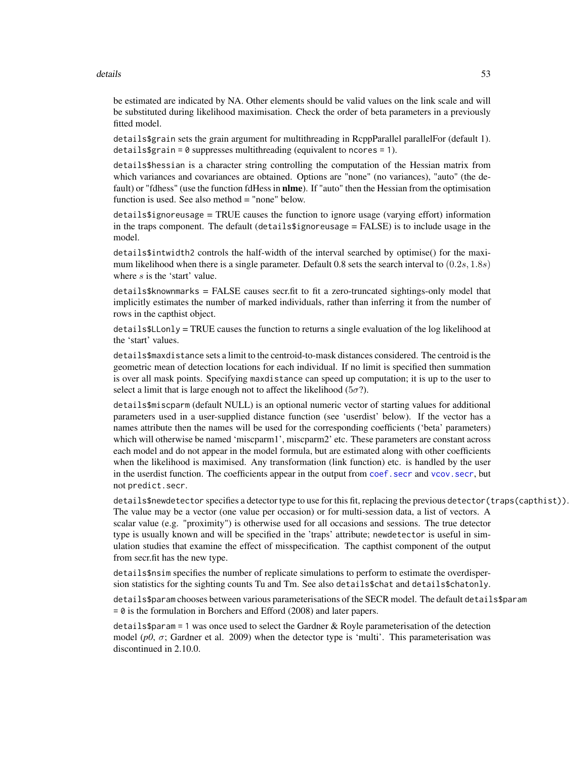#### details 53

be estimated are indicated by NA. Other elements should be valid values on the link scale and will be substituted during likelihood maximisation. Check the order of beta parameters in a previously fitted model.

details\$grain sets the grain argument for multithreading in RcppParallel parallelFor (default 1). details\$grain =  $\theta$  suppresses multithreading (equivalent to ncores = 1).

details\$hessian is a character string controlling the computation of the Hessian matrix from which variances and covariances are obtained. Options are "none" (no variances), "auto" (the default) or "fdhess" (use the function fdHess in **nlme**). If "auto" then the Hessian from the optimisation function is used. See also method = "none" below.

 $details$   $\frac{1}{10}$   $\frac{1}{100}$   $\frac{1}{100}$   $\frac{1}{100}$   $\frac{1}{100}$   $\frac{1}{100}$   $\frac{1}{100}$   $\frac{1}{100}$   $\frac{1}{100}$   $\frac{1}{100}$   $\frac{1}{100}$   $\frac{1}{100}$   $\frac{1}{100}$   $\frac{1}{100}$   $\frac{1}{100}$   $\frac{1}{100}$   $\frac{1}{100}$   $\frac{1}{100}$   $\$ in the traps component. The default (details $$i$ gnoreusage = FALSE) is to include usage in the model.

details\$intwidth2 controls the half-width of the interval searched by optimise() for the maximum likelihood when there is a single parameter. Default 0.8 sets the search interval to  $(0.2s, 1.8s)$ where  $s$  is the 'start' value.

details\$knownmarks = FALSE causes secr.fit to fit a zero-truncated sightings-only model that implicitly estimates the number of marked individuals, rather than inferring it from the number of rows in the capthist object.

details\$LLonly = TRUE causes the function to returns a single evaluation of the log likelihood at the 'start' values.

details\$maxdistance sets a limit to the centroid-to-mask distances considered. The centroid is the geometric mean of detection locations for each individual. If no limit is specified then summation is over all mask points. Specifying maxdistance can speed up computation; it is up to the user to select a limit that is large enough not to affect the likelihood ( $5\sigma$ ?).

details\$miscparm (default NULL) is an optional numeric vector of starting values for additional parameters used in a user-supplied distance function (see 'userdist' below). If the vector has a names attribute then the names will be used for the corresponding coefficients ('beta' parameters) which will otherwise be named 'miscparm1', miscparm2' etc. These parameters are constant across each model and do not appear in the model formula, but are estimated along with other coefficients when the likelihood is maximised. Any transformation (link function) etc. is handled by the user in the userdist function. The coefficients appear in the output from coef. secr and vcov. secr, but not predict.secr.

details\$newdetector specifies a detector type to use for this fit, replacing the previous detector(traps(capthist)). The value may be a vector (one value per occasion) or for multi-session data, a list of vectors. A scalar value (e.g. "proximity") is otherwise used for all occasions and sessions. The true detector type is usually known and will be specified in the 'traps' attribute; newdetector is useful in simulation studies that examine the effect of misspecification. The capthist component of the output from secr.fit has the new type.

details\$nsim specifies the number of replicate simulations to perform to estimate the overdispersion statistics for the sighting counts Tu and Tm. See also details\$chat and details\$chatonly.

details\$param chooses between various parameterisations of the SECR model. The default details\$param = 0 is the formulation in Borchers and Efford (2008) and later papers.

details\$param = 1 was once used to select the Gardner  $&$  Royle parameterisation of the detection model ( $p0$ ,  $\sigma$ ; Gardner et al. 2009) when the detector type is 'multi'. This parameterisation was discontinued in 2.10.0.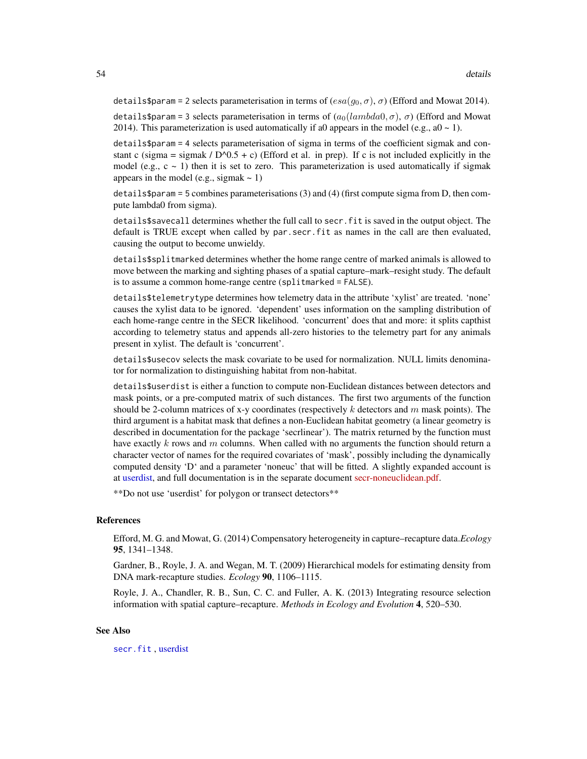details\$param = 2 selects parameterisation in terms of  $(esa(g_0, \sigma), \sigma)$  (Efford and Mowat 2014).

details\$param = 3 selects parameterisation in terms of  $(a_0(lambda, \sigma), \sigma)$  (Efford and Mowat 2014). This parameterization is used automatically if a0 appears in the model (e.g., a0  $\sim$  1).

details\$param = 4 selects parameterisation of sigma in terms of the coefficient sigmak and constant c (sigma = sigmak /  $D^0.5 + c$ ) (Efford et al. in prep). If c is not included explicitly in the model (e.g.,  $c \sim 1$ ) then it is set to zero. This parameterization is used automatically if sigmak appears in the model (e.g., sigmak  $\sim$  1)

details\$param = 5 combines parameterisations (3) and (4) (first compute sigma from D, then compute lambda0 from sigma).

details\$savecall determines whether the full call to secr.fit is saved in the output object. The default is TRUE except when called by par.secr.fit as names in the call are then evaluated, causing the output to become unwieldy.

details\$splitmarked determines whether the home range centre of marked animals is allowed to move between the marking and sighting phases of a spatial capture–mark–resight study. The default is to assume a common home-range centre (splitmarked = FALSE).

details\$telemetrytype determines how telemetry data in the attribute 'xylist' are treated. 'none' causes the xylist data to be ignored. 'dependent' uses information on the sampling distribution of each home-range centre in the SECR likelihood. 'concurrent' does that and more: it splits capthist according to telemetry status and appends all-zero histories to the telemetry part for any animals present in xylist. The default is 'concurrent'.

details\$usecov selects the mask covariate to be used for normalization. NULL limits denominator for normalization to distinguishing habitat from non-habitat.

details\$userdist is either a function to compute non-Euclidean distances between detectors and mask points, or a pre-computed matrix of such distances. The first two arguments of the function should be 2-column matrices of x-y coordinates (respectively k detectors and  $m$  mask points). The third argument is a habitat mask that defines a non-Euclidean habitat geometry (a linear geometry is described in documentation for the package 'secrlinear'). The matrix returned by the function must have exactly k rows and m columns. When called with no arguments the function should return a character vector of names for the required covariates of 'mask', possibly including the dynamically computed density 'D' and a parameter 'noneuc' that will be fitted. A slightly expanded account is at [userdist,](#page-300-0) and full documentation is in the separate document [secr-noneuclidean.pdf.](https://www.otago.ac.nz/density/pdfs/secr-noneuclidean.pdf)

\*\*Do not use 'userdist' for polygon or transect detectors\*\*

## References

Efford, M. G. and Mowat, G. (2014) Compensatory heterogeneity in capture–recapture data.*Ecology* 95, 1341–1348.

Gardner, B., Royle, J. A. and Wegan, M. T. (2009) Hierarchical models for estimating density from DNA mark-recapture studies. *Ecology* 90, 1106–1115.

Royle, J. A., Chandler, R. B., Sun, C. C. and Fuller, A. K. (2013) Integrating resource selection information with spatial capture–recapture. *Methods in Ecology and Evolution* 4, 520–530.

## See Also

[secr.fit](#page-218-0) , [userdist](#page-300-0)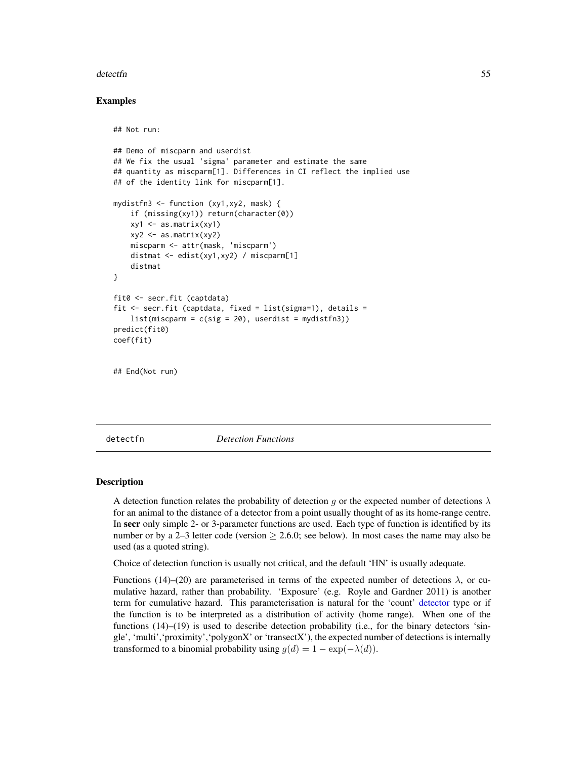#### detectfn 55

## Examples

```
## Not run:
## Demo of miscparm and userdist
## We fix the usual 'sigma' parameter and estimate the same
## quantity as miscparm[1]. Differences in CI reflect the implied use
## of the identity link for miscparm[1].
mydistfn3 <- function (xy1,xy2, mask) {
    if (missing(xy1)) return(character(0))
    xy1 \leftarrow as.matrix(xy1)xyz \leftarrow as_matrix(xy2)miscparm <- attr(mask, 'miscparm')
    distmat <- edist(xy1,xy2) / miscparm[1]
    distmat
}
fit0 <- secr.fit (captdata)
fit \le secr.fit (captdata, fixed = list(sigma=1), details =
    list(miscparm = c(sig = 20), userdist = mydistfn3))predict(fit0)
coef(fit)
## End(Not run)
```
<span id="page-54-0"></span>detectfn *Detection Functions*

#### Description

A detection function relates the probability of detection g or the expected number of detections  $\lambda$ for an animal to the distance of a detector from a point usually thought of as its home-range centre. In secr only simple 2- or 3-parameter functions are used. Each type of function is identified by its number or by a 2–3 letter code (version  $\geq 2.6.0$ ; see below). In most cases the name may also be used (as a quoted string).

Choice of detection function is usually not critical, and the default 'HN' is usually adequate.

Functions (14)–(20) are parameterised in terms of the expected number of detections  $\lambda$ , or cumulative hazard, rather than probability. 'Exposure' (e.g. Royle and Gardner 2011) is another term for cumulative hazard. This parameterisation is natural for the 'count' [detector](#page-57-0) type or if the function is to be interpreted as a distribution of activity (home range). When one of the functions (14)–(19) is used to describe detection probability (i.e., for the binary detectors 'single', 'multi','proximity','polygonX' or 'transectX'), the expected number of detections is internally transformed to a binomial probability using  $g(d) = 1 - \exp(-\lambda(d)).$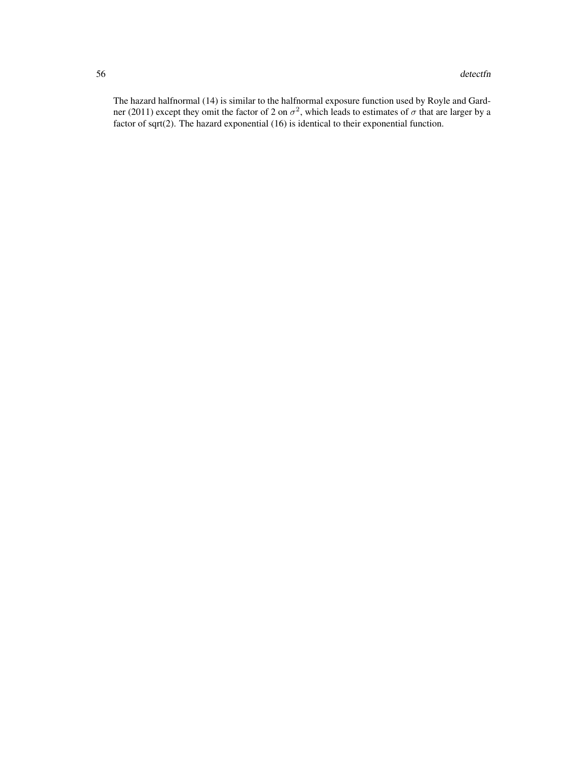The hazard halfnormal (14) is similar to the halfnormal exposure function used by Royle and Gardner (2011) except they omit the factor of 2 on  $\sigma^2$ , which leads to estimates of  $\sigma$  that are larger by a factor of sqrt(2). The hazard exponential (16) is identical to their exponential function.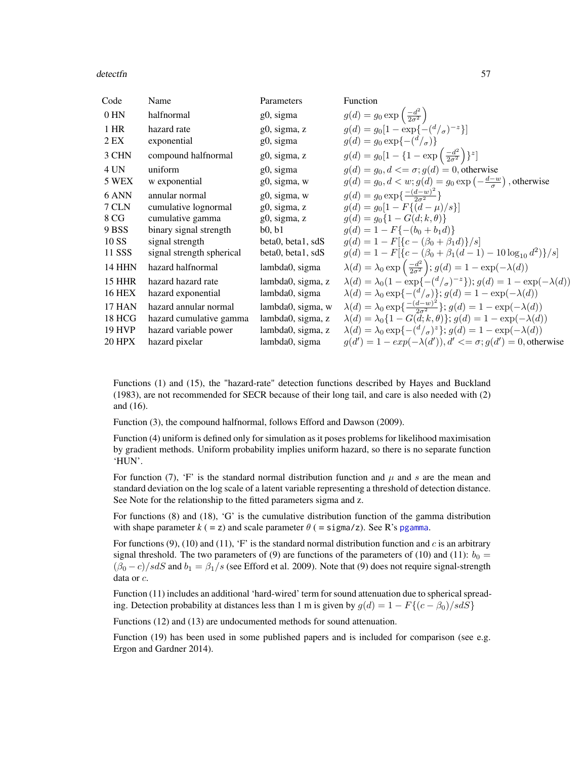#### detectfn 57

| Code          | Name                      | Parameters        | Function                                                                                               |
|---------------|---------------------------|-------------------|--------------------------------------------------------------------------------------------------------|
| 0 HN          | halfnormal                | g0, sigma         | $g(d) = g_0 \exp\left(\frac{-d^2}{2\sigma^2}\right)$                                                   |
| 1 HR          | hazard rate               | g0, sigma, z      | $q(d) = q_0[1 - \exp\{-\frac{d}{\sigma}\}^{-1}]$                                                       |
| 2 EX          | exponential               | g0, sigma         | $g(d) = g_0 \exp\{-(\frac{d}{\sigma})\}$                                                               |
| 3 CHN         | compound halfnormal       | g0, sigma, z      | $g(d) = g_0[1 - \{1 - \exp\left(\frac{-d^2}{2\sigma^2}\right)\}^z]$                                    |
| 4 UN          | uniform                   | g0, sigma         | $q(d) = q_0, d \leq \sigma$ ; $q(d) = 0$ , otherwise                                                   |
| 5 WEX         | w exponential             | g0, sigma, w      | $g(d) = g_0, d < w$ ; $g(d) = g_0 \exp\left(-\frac{d-w}{\sigma}\right)$ , otherwise                    |
| 6 ANN         | annular normal            | g0, sigma, w      | $g(d) = g_0 \exp\left\{\frac{-(d-w)^2}{2\sigma^2}\right\}$                                             |
| 7 CLN         | cumulative lognormal      | g0, sigma, z      | $q(d) = q_0[1 - F\{(d-\mu)/s\}]$                                                                       |
| 8 CG          | cumulative gamma          | g0, sigma, z      | $q(d) = q_0\{1 - G(d; k, \theta)\}\$                                                                   |
| 9 BSS         | binary signal strength    | b0, b1            | $q(d) = 1 - F\{-(b_0 + b_1 d)\}\$                                                                      |
| 10 SS         | signal strength           | beta0, beta1, sdS | $g(d) = 1 - F[{c - (\beta_0 + \beta_1 d)}/s]$                                                          |
| 11 SSS        | signal strength spherical | beta0, beta1, sdS | $q(d) = 1 - F[{c - (\beta_0 + \beta_1(d-1) - 10 \log_{10} d^2)}/s]$                                    |
| <b>14 HHN</b> | hazard halfnormal         | lambda0, sigma    | $\lambda(d) = \lambda_0 \exp\left(\frac{-d^2}{2\sigma^2}\right); g(d) = 1 - \exp(-\lambda(d))$         |
| <b>15 HHR</b> | hazard hazard rate        | lambda0, sigma, z | $\lambda(d) = \lambda_0(1 - \exp\{-(d/\sigma)^{-z}\}); g(d) = 1 - \exp(-\lambda(d))$                   |
| <b>16 HEX</b> | hazard exponential        | lambda0, sigma    | $\lambda(d) = \lambda_0 \exp\{-(\frac{d}{\sigma})\}; g(d) = 1 - \exp(-\lambda(d))$                     |
| <b>17 HAN</b> | hazard annular normal     | lambda0, sigma, w | $\lambda(d) = \lambda_0 \exp\left\{ \frac{-(d-w)^2}{2\sigma^2} \right\}; g(d) = 1 - \exp(-\lambda(d))$ |
| <b>18 HCG</b> | hazard cumulative gamma   | lambda0, sigma, z | $\lambda(d) = \lambda_0 \{ 1 - G(d; k, \theta) \}; g(d) = 1 - \exp(-\lambda(d))$                       |
| <b>19 HVP</b> | hazard variable power     | lambda0, sigma, z | $\lambda(d) = \lambda_0 \exp\{-(\frac{d}{\sigma})^z\}; g(d) = 1 - \exp(-\lambda(d))$                   |
| <b>20 HPX</b> | hazard pixelar            | lambda0, sigma    | $g(d') = 1 - exp(-\lambda(d'))$ , $d' \leq \sigma$ ; $g(d') = 0$ , otherwise                           |

Functions (1) and (15), the "hazard-rate" detection functions described by Hayes and Buckland (1983), are not recommended for SECR because of their long tail, and care is also needed with (2) and (16).

Function (3), the compound halfnormal, follows Efford and Dawson (2009).

Function (4) uniform is defined only for simulation as it poses problems for likelihood maximisation by gradient methods. Uniform probability implies uniform hazard, so there is no separate function 'HUN'.

For function (7), 'F' is the standard normal distribution function and  $\mu$  and s are the mean and standard deviation on the log scale of a latent variable representing a threshold of detection distance. See Note for the relationship to the fitted parameters sigma and z.

For functions (8) and (18), 'G' is the cumulative distribution function of the gamma distribution with shape parameter  $k (= z)$  and scale parameter  $\theta$  (= sigma/z). See R's [pgamma](#page-0-0).

For functions  $(9)$ ,  $(10)$  and  $(11)$ , 'F' is the standard normal distribution function and c is an arbitrary signal threshold. The two parameters of (9) are functions of the parameters of (10) and (11):  $b_0 =$  $(\beta_0 - c)/s dS$  and  $b_1 = \beta_1/s$  (see Efford et al. 2009). Note that (9) does not require signal-strength data or c.

Function (11) includes an additional 'hard-wired' term for sound attenuation due to spherical spreading. Detection probability at distances less than 1 m is given by  $g(d) = 1 - F\{(c - \beta_0)/s dS\}$ 

Functions (12) and (13) are undocumented methods for sound attenuation.

Function (19) has been used in some published papers and is included for comparison (see e.g. Ergon and Gardner 2014).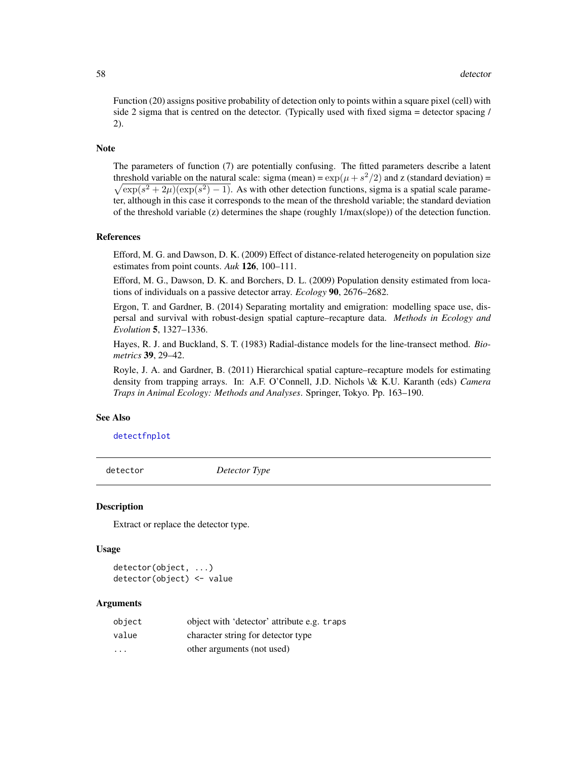Function (20) assigns positive probability of detection only to points within a square pixel (cell) with side 2 sigma that is centred on the detector. (Typically used with fixed sigma  $=$  detector spacing  $/$ 2).

## Note

The parameters of function (7) are potentially confusing. The fitted parameters describe a latent threshold variable on the natural scale: sigma (mean) =  $\exp(\mu + s^2/2)$  and z (standard deviation) =  $\sqrt{\exp(s^2 + 2\mu)(\exp(s^2) - 1)}$ . As with other detection functions, sigma is a spatial scale parameter, although in this case it corresponds to the mean of the threshold variable; the standard deviation of the threshold variable (z) determines the shape (roughly 1/max(slope)) of the detection function.

#### References

Efford, M. G. and Dawson, D. K. (2009) Effect of distance-related heterogeneity on population size estimates from point counts. *Auk* 126, 100–111.

Efford, M. G., Dawson, D. K. and Borchers, D. L. (2009) Population density estimated from locations of individuals on a passive detector array. *Ecology* 90, 2676–2682.

Ergon, T. and Gardner, B. (2014) Separating mortality and emigration: modelling space use, dispersal and survival with robust-design spatial capture–recapture data. *Methods in Ecology and Evolution* 5, 1327–1336.

Hayes, R. J. and Buckland, S. T. (1983) Radial-distance models for the line-transect method. *Biometrics* 39, 29–42.

Royle, J. A. and Gardner, B. (2011) Hierarchical spatial capture–recapture models for estimating density from trapping arrays. In: A.F. O'Connell, J.D. Nichols \& K.U. Karanth (eds) *Camera Traps in Animal Ecology: Methods and Analyses*. Springer, Tokyo. Pp. 163–190.

### See Also

[detectfnplot](#page-163-0)

<span id="page-57-0"></span>detector *Detector Type*

## **Description**

Extract or replace the detector type.

#### Usage

```
detector(object, ...)
detector(object) <- value
```

| object                  | object with 'detector' attribute e.g. traps |
|-------------------------|---------------------------------------------|
| value                   | character string for detector type          |
| $\cdot$ $\cdot$ $\cdot$ | other arguments (not used)                  |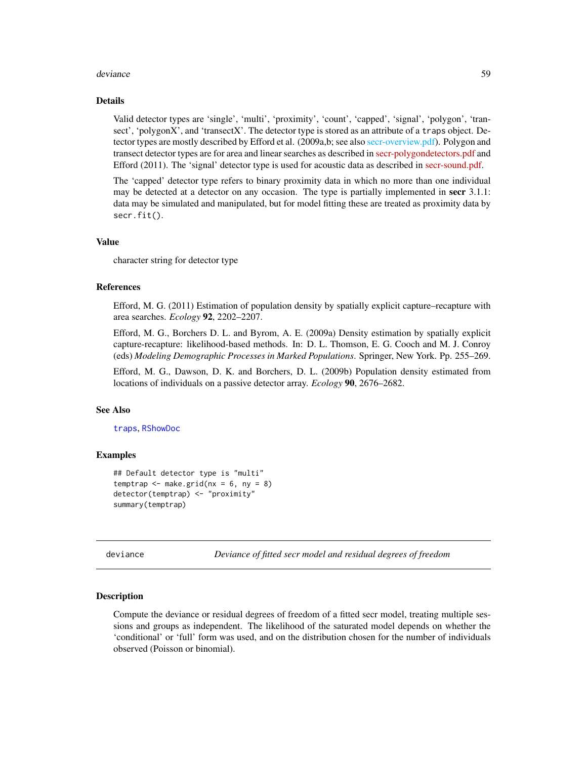#### deviance 59

#### Details

Valid detector types are 'single', 'multi', 'proximity', 'count', 'capped', 'signal', 'polygon', 'transect', 'polygonX', and 'transectX'. The detector type is stored as an attribute of a traps object. Detector types are mostly described by Efford et al. (2009a,b; see also [secr-overview.pdf\)](#page-0-0). Polygon and transect detector types are for area and linear searches as described in [secr-polygondetectors.pdf](https://www.otago.ac.nz/density/pdfs/secr-polygondetectors.pdf) and Efford (2011). The 'signal' detector type is used for acoustic data as described in [secr-sound.pdf.](https://www.otago.ac.nz/density/pdfs/secr-sound.pdf)

The 'capped' detector type refers to binary proximity data in which no more than one individual may be detected at a detector on any occasion. The type is partially implemented in secr 3.1.1: data may be simulated and manipulated, but for model fitting these are treated as proximity data by secr.fit().

#### Value

character string for detector type

#### References

Efford, M. G. (2011) Estimation of population density by spatially explicit capture–recapture with area searches. *Ecology* 92, 2202–2207.

Efford, M. G., Borchers D. L. and Byrom, A. E. (2009a) Density estimation by spatially explicit capture-recapture: likelihood-based methods. In: D. L. Thomson, E. G. Cooch and M. J. Conroy (eds) *Modeling Demographic Processes in Marked Populations*. Springer, New York. Pp. 255–269.

Efford, M. G., Dawson, D. K. and Borchers, D. L. (2009b) Population density estimated from locations of individuals on a passive detector array. *Ecology* 90, 2676–2682.

#### See Also

[traps](#page-287-0), [RShowDoc](#page-0-0)

## Examples

```
## Default detector type is "multi"
temptrap \leq make.grid(nx = 6, ny = 8)
detector(temptrap) <- "proximity"
summary(temptrap)
```
deviance *Deviance of fitted secr model and residual degrees of freedom*

## Description

Compute the deviance or residual degrees of freedom of a fitted secr model, treating multiple sessions and groups as independent. The likelihood of the saturated model depends on whether the 'conditional' or 'full' form was used, and on the distribution chosen for the number of individuals observed (Poisson or binomial).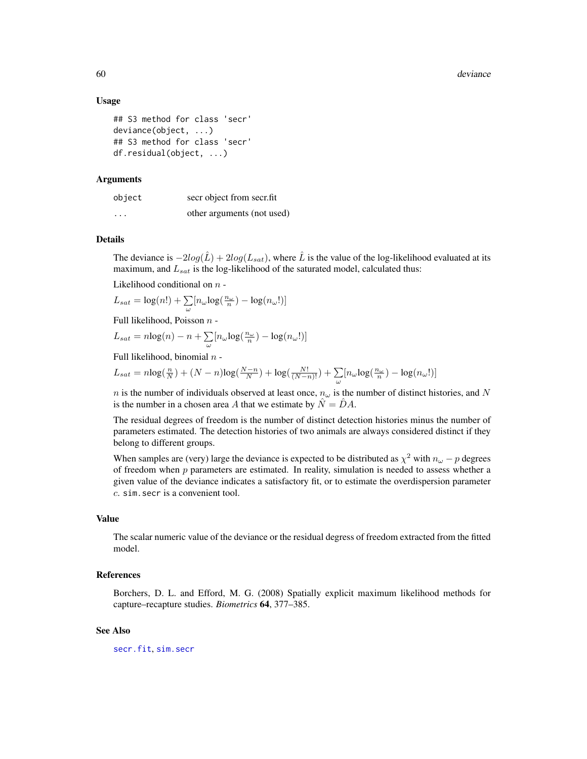#### 60 deviance

## Usage

```
## S3 method for class 'secr'
deviance(object, ...)
## S3 method for class 'secr'
df.residual(object, ...)
```
## Arguments

| object   | secr object from secr.fit  |
|----------|----------------------------|
| $\cdots$ | other arguments (not used) |

## Details

The deviance is  $-2log(\hat{L}) + 2log(L_{sat})$ , where  $\hat{L}$  is the value of the log-likelihood evaluated at its maximum, and  $L_{sat}$  is the log-likelihood of the saturated model, calculated thus:

Likelihood conditional on  $n -$ 

$$
L_{sat} = \log(n!) + \sum_{\omega} [n_{\omega} \log(\frac{n_{\omega}}{n}) - \log(n_{\omega}!)]
$$

Full likelihood, Poisson  $n -$ 

$$
L_{sat} = n \log(n) - n + \sum_{\omega} [n_{\omega} \log(\frac{n_{\omega}}{n}) - \log(n_{\omega}!)]
$$

Full likelihood, binomial  $n -$ 

$$
L_{sat} = n\log(\frac{n}{N}) + (N - n)\log(\frac{N - n}{N}) + \log(\frac{N!}{(N - n)!}) + \sum_{\omega} [n_{\omega} \log(\frac{n_{\omega}}{n}) - \log(n_{\omega}!)]
$$

n is the number of individuals observed at least once,  $n_{\omega}$  is the number of distinct histories, and N is the number in a chosen area A that we estimate by  $\ddot{N} = D A$ .

The residual degrees of freedom is the number of distinct detection histories minus the number of parameters estimated. The detection histories of two animals are always considered distinct if they belong to different groups.

When samples are (very) large the deviance is expected to be distributed as  $\chi^2$  with  $n_{\omega} - p$  degrees of freedom when  $p$  parameters are estimated. In reality, simulation is needed to assess whether a given value of the deviance indicates a satisfactory fit, or to estimate the overdispersion parameter c. sim.secr is a convenient tool.

#### Value

The scalar numeric value of the deviance or the residual degress of freedom extracted from the fitted model.

## References

Borchers, D. L. and Efford, M. G. (2008) Spatially explicit maximum likelihood methods for capture–recapture studies. *Biometrics* 64, 377–385.

### See Also

[secr.fit](#page-218-0), [sim.secr](#page-247-0)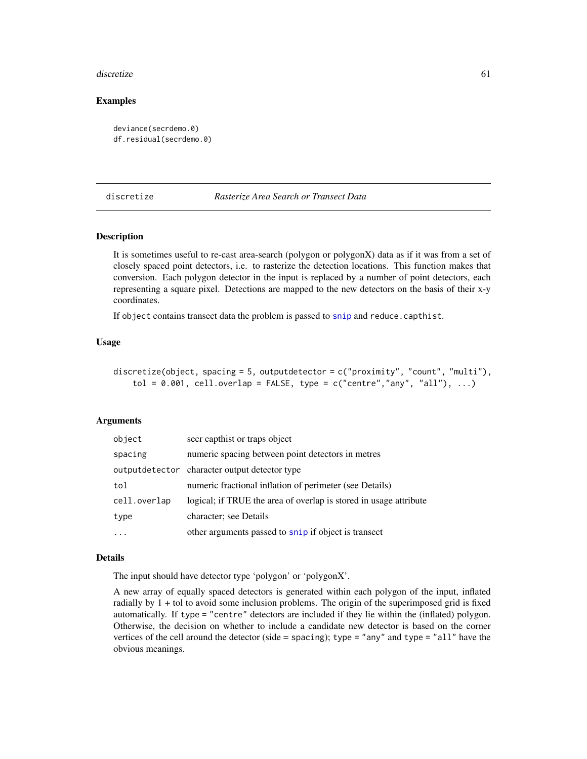#### discretize 61

## Examples

```
deviance(secrdemo.0)
df.residual(secrdemo.0)
```
#### discretize *Rasterize Area Search or Transect Data*

## **Description**

It is sometimes useful to re-cast area-search (polygon or polygonX) data as if it was from a set of closely spaced point detectors, i.e. to rasterize the detection locations. This function makes that conversion. Each polygon detector in the input is replaced by a number of point detectors, each representing a square pixel. Detections are mapped to the new detectors on the basis of their x-y coordinates.

If object contains transect data the problem is passed to [snip](#page-254-0) and reduce.capthist.

#### Usage

```
discretize(object, spacing = 5, outputdetector = c("proximity", "count", "multi"),
    tol = 0.001, cell.overlap = FALSE, type = c("centre", "any", "all"), ...)
```
#### Arguments

| object       | secr capthist or traps object                                     |
|--------------|-------------------------------------------------------------------|
| spacing      | numeric spacing between point detectors in metres                 |
|              | output detector character output detector type                    |
| tol          | numeric fractional inflation of perimeter (see Details)           |
| cell.overlap | logical; if TRUE the area of overlap is stored in usage attribute |
| type         | character; see Details                                            |
|              | other arguments passed to snip if object is transect              |

#### Details

The input should have detector type 'polygon' or 'polygonX'.

A new array of equally spaced detectors is generated within each polygon of the input, inflated radially by  $1 +$  tol to avoid some inclusion problems. The origin of the superimposed grid is fixed automatically. If type = "centre" detectors are included if they lie within the (inflated) polygon. Otherwise, the decision on whether to include a candidate new detector is based on the corner vertices of the cell around the detector (side = spacing); type = "any" and type = "all" have the obvious meanings.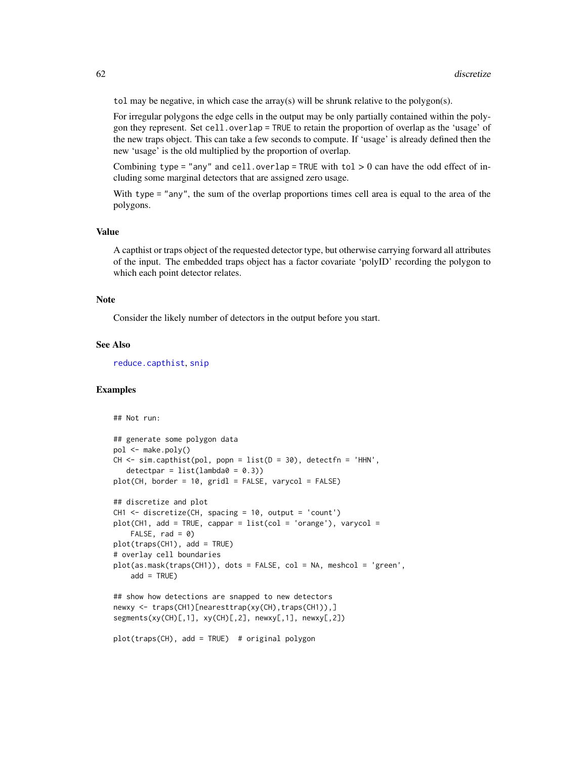tol may be negative, in which case the array(s) will be shrunk relative to the polygon(s).

For irregular polygons the edge cells in the output may be only partially contained within the polygon they represent. Set cell.overlap = TRUE to retain the proportion of overlap as the 'usage' of the new traps object. This can take a few seconds to compute. If 'usage' is already defined then the new 'usage' is the old multiplied by the proportion of overlap.

Combining type = "any" and cell.overlap = TRUE with tol  $> 0$  can have the odd effect of including some marginal detectors that are assigned zero usage.

With type = "any", the sum of the overlap proportions times cell area is equal to the area of the polygons.

## Value

A capthist or traps object of the requested detector type, but otherwise carrying forward all attributes of the input. The embedded traps object has a factor covariate 'polyID' recording the polygon to which each point detector relates.

#### Note

Consider the likely number of detectors in the output before you start.

#### See Also

[reduce.capthist](#page-200-0), [snip](#page-254-0)

## Examples

```
## Not run:
## generate some polygon data
pol <- make.poly()
CH \le -\sin.\text{capthist(pol, popn = list(D = 30), detectfn = 'HHN',}detection = list(lambda = 0.3))plot(CH, border = 10, grid1 = FALSE, varycol = FALSE)## discretize and plot
CH1 <- discretize(CH, spacing = 10, output = 'count')
plot(CH1, add = TRUE, cappar = list(col = 'orange'), varycol =FALSE, rad = 0)
plot(traps(CH1), add = TRUE)
# overlay cell boundaries
plot(as.mask(traps(CH1)), dots = FALSE, col = NA, meshcol = 'green',
    add = TRUE)
## show how detections are snapped to new detectors
newxy <- traps(CH1)[nearesttrap(xy(CH),traps(CH1)),]
segments(xy(CH)[,1], xy(CH)[,2], newxy[,1], newxy[,2])
plot(traps(CH), add = TRUE) # original polygon
```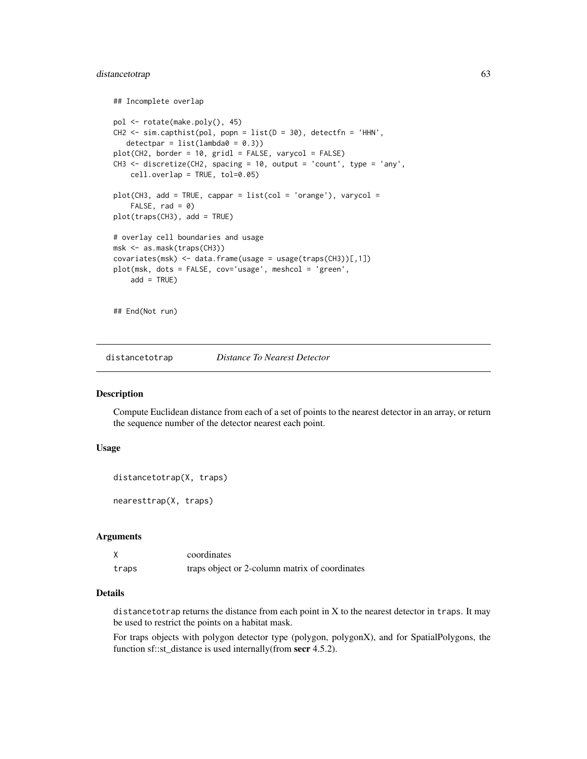## distancetotrap 63

```
## Incomplete overlap
pol <- rotate(make.poly(), 45)
CH2 \leq -\sin.\text{capthist(pol, popn = list(D = 30), detectfn = 'HHN',}detectpar = list(lambda = 0.3))plot(CH2, border = 10, gridl = FALSE, varycol = FALSE)
CH3 <- discretize(CH2, spacing = 10, output = 'count', type = 'any',
    cell.overlap = TRUE, tol=0.05)
plot(CH3, add = TRUE, cappar = list(col = 'orange'), varycol =FALSE, rad = 0)plot(traps(CH3), add = TRUE)
# overlay cell boundaries and usage
msk <- as.mask(traps(CH3))
covariates(msk) <- data.frame(usage = usage(traps(CH3))[,1])
plot(msk, dots = FALSE, cov='usage', meshcol = 'green',
    add = TRUE)
## End(Not run)
```
distancetotrap *Distance To Nearest Detector*

## Description

Compute Euclidean distance from each of a set of points to the nearest detector in an array, or return the sequence number of the detector nearest each point.

## Usage

```
distancetotrap(X, traps)
```
nearesttrap(X, traps)

## Arguments

|       | coordinates                                    |
|-------|------------------------------------------------|
| traps | traps object or 2-column matrix of coordinates |

## Details

distancetotrap returns the distance from each point in X to the nearest detector in traps. It may be used to restrict the points on a habitat mask.

For traps objects with polygon detector type (polygon, polygonX), and for SpatialPolygons, the function sf::st\_distance is used internally(from secr 4.5.2).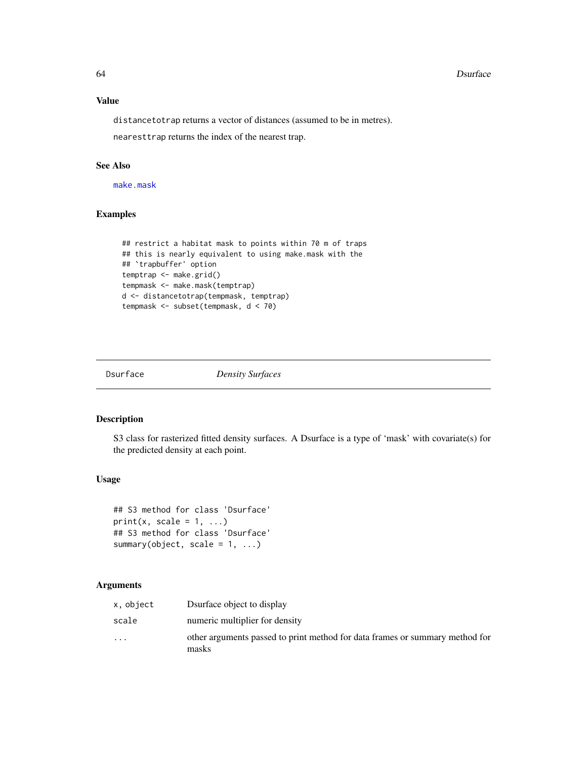## Value

distancetotrap returns a vector of distances (assumed to be in metres).

nearesttrap returns the index of the nearest trap.

## See Also

[make.mask](#page-115-0)

## Examples

```
## restrict a habitat mask to points within 70 m of traps
## this is nearly equivalent to using make.mask with the
## `trapbuffer' option
temptrap <- make.grid()
tempmask <- make.mask(temptrap)
d <- distancetotrap(tempmask, temptrap)
tempmask <- subset(tempmask, d < 70)
```
Dsurface *Density Surfaces*

## Description

S3 class for rasterized fitted density surfaces. A Dsurface is a type of 'mask' with covariate(s) for the predicted density at each point.

## Usage

```
## S3 method for class 'Dsurface'
print(x, scale = 1, ...)## S3 method for class 'Dsurface'
summary(object, scale = 1, ...)
```

| x, object               | Dsurface object to display                                                            |
|-------------------------|---------------------------------------------------------------------------------------|
| scale                   | numeric multiplier for density                                                        |
| $\cdot$ $\cdot$ $\cdot$ | other arguments passed to print method for data frames or summary method for<br>masks |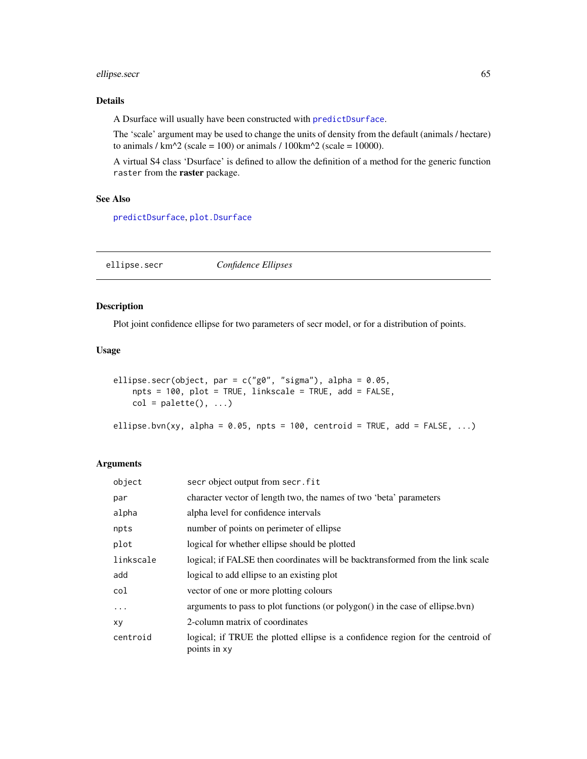## ellipse.secr 65

## Details

A Dsurface will usually have been constructed with [predictDsurface](#page-176-0).

The 'scale' argument may be used to change the units of density from the default (animals / hectare) to animals /  $km^2$  (scale = 100) or animals / 100 $km^2$  (scale = 10000).

A virtual S4 class 'Dsurface' is defined to allow the definition of a method for the generic function raster from the raster package.

#### See Also

[predictDsurface](#page-176-0), [plot.Dsurface](#page-158-0)

ellipse.secr *Confidence Ellipses*

#### Description

Plot joint confidence ellipse for two parameters of secr model, or for a distribution of points.

## Usage

```
ellipse.secr(object, par = c("g0", "sigma"), alpha = 0.05,
   npts = 100, plot = TRUE, linkscale = TRUE, add = FALSE,
   col = palette(), ...)
```
ellipse.bvn(xy, alpha =  $0.05$ , npts =  $100$ , centroid = TRUE, add = FALSE, ...)

| object    | secr object output from secr. fit                                                               |
|-----------|-------------------------------------------------------------------------------------------------|
| par       | character vector of length two, the names of two 'beta' parameters                              |
| alpha     | alpha level for confidence intervals                                                            |
| npts      | number of points on perimeter of ellipse                                                        |
| plot      | logical for whether ellipse should be plotted                                                   |
| linkscale | logical; if FALSE then coordinates will be backtransformed from the link scale                  |
| add       | logical to add ellipse to an existing plot                                                      |
| col       | vector of one or more plotting colours                                                          |
| $\ddots$  | arguments to pass to plot functions (or polygon() in the case of ellipse.bvn)                   |
| XV        | 2-column matrix of coordinates                                                                  |
| centroid  | logical; if TRUE the plotted ellipse is a confidence region for the centroid of<br>points in xy |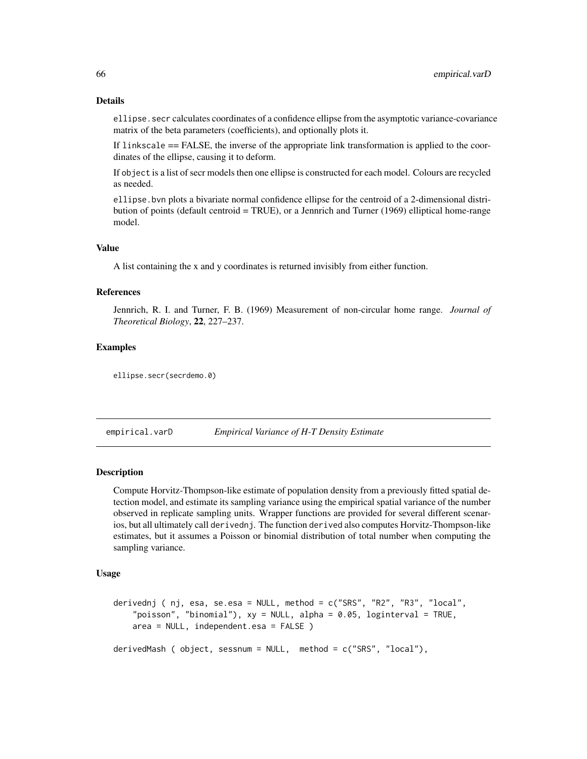ellipse.secr calculates coordinates of a confidence ellipse from the asymptotic variance-covariance matrix of the beta parameters (coefficients), and optionally plots it.

If linkscale == FALSE, the inverse of the appropriate link transformation is applied to the coordinates of the ellipse, causing it to deform.

If object is a list of secr models then one ellipse is constructed for each model. Colours are recycled as needed.

ellipse.bvn plots a bivariate normal confidence ellipse for the centroid of a 2-dimensional distribution of points (default centroid = TRUE), or a Jennrich and Turner (1969) elliptical home-range model.

## Value

A list containing the x and y coordinates is returned invisibly from either function.

## References

Jennrich, R. I. and Turner, F. B. (1969) Measurement of non-circular home range. *Journal of Theoretical Biology*, 22, 227–237.

## Examples

ellipse.secr(secrdemo.0)

<span id="page-65-0"></span>empirical.varD *Empirical Variance of H-T Density Estimate*

## Description

Compute Horvitz-Thompson-like estimate of population density from a previously fitted spatial detection model, and estimate its sampling variance using the empirical spatial variance of the number observed in replicate sampling units. Wrapper functions are provided for several different scenarios, but all ultimately call derivednj. The function derived also computes Horvitz-Thompson-like estimates, but it assumes a Poisson or binomial distribution of total number when computing the sampling variance.

## Usage

```
derivednj ( nj, esa, se.esa = NULL, method = c("SRS", "R2", "R3", "local",
    "poisson", "binomial"), xy = NULL, alpha = 0.05, loginterval = TRUE,
   area = NULL, independent.esa = FALSE )
```
derivedMash ( object, sessnum = NULL, method = c("SRS", "local"),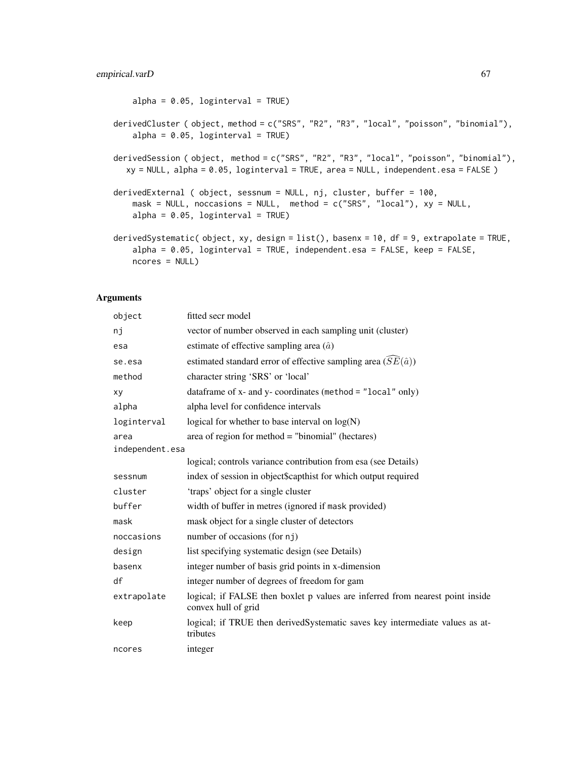```
alpha = 0.05, loginterval = TRUE)
derivedCluster ( object, method = c("SRS", "R2", "R3", "local", "poisson", "binomial"),
    alpha = 0.05, loginterval = TRUE)
derivedSession ( object, method = c("SRS", "R2", "R3", "local", "poisson", "binomial"),
  xy = NULL, alpha = 0.05, loginterval = TRUE, area = NULL, independent.esa = FALSE )
derivedExternal ( object, sessnum = NULL, nj, cluster, buffer = 100,
   mask = NULL, noccasions = NULL, method = c("SRS", "local"), xy = NULL,alpha = 0.05, loginterval = TRUE)
derivedSystematic( object, xy, design = list(), basenx = 10, df = 9, extrapolate = TRUE,
    alpha = 0.05, loginterval = TRUE, independent.esa = FALSE, keep = FALSE,
   ncores = NULL)
```

| object          | fitted secr model                                                                                    |
|-----------------|------------------------------------------------------------------------------------------------------|
| nj              | vector of number observed in each sampling unit (cluster)                                            |
| esa             | estimate of effective sampling area $(\hat{a})$                                                      |
| se.esa          | estimated standard error of effective sampling area $(SE(\hat{a}))$                                  |
| method          | character string 'SRS' or 'local'                                                                    |
| xy              | data frame of $x$ - and $y$ - coordinates (method = "local" only)                                    |
| alpha           | alpha level for confidence intervals                                                                 |
| loginterval     | logical for whether to base interval on $log(N)$                                                     |
| area            | area of region for method $=$ "binomial" (hectares)                                                  |
| independent.esa |                                                                                                      |
|                 | logical; controls variance contribution from esa (see Details)                                       |
| sessnum         | index of session in object\$capthist for which output required                                       |
| cluster         | 'traps' object for a single cluster                                                                  |
| buffer          | width of buffer in metres (ignored if mask provided)                                                 |
| mask            | mask object for a single cluster of detectors                                                        |
| noccasions      | number of occasions (for nj)                                                                         |
| design          | list specifying systematic design (see Details)                                                      |
| basenx          | integer number of basis grid points in x-dimension                                                   |
| df              | integer number of degrees of freedom for gam                                                         |
| extrapolate     | logical; if FALSE then boxlet p values are inferred from nearest point inside<br>convex hull of grid |
| keep            | logical; if TRUE then derivedSystematic saves key intermediate values as at-<br>tributes             |
| ncores          | integer                                                                                              |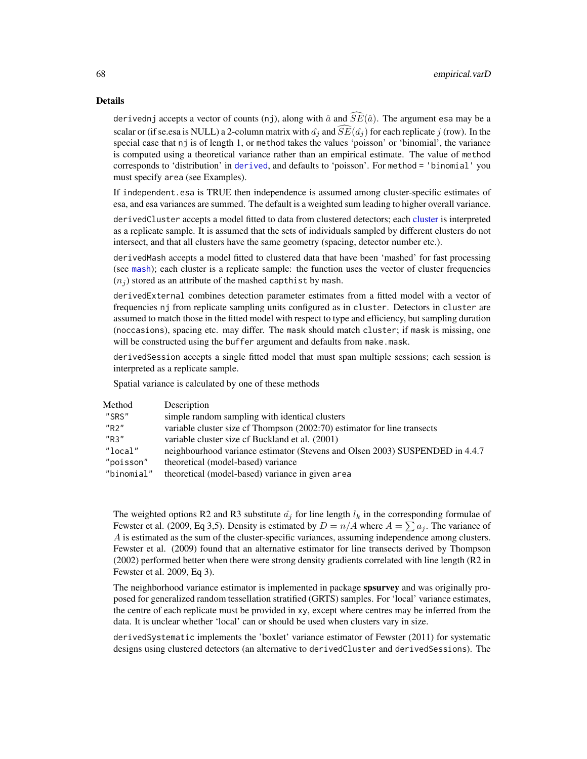#### Details

derivednj accepts a vector of counts (nj), along with  $\hat{a}$  and  $\widehat{SE}(\hat{a})$ . The argument esa may be a scalar or (if se.esa is NULL) a 2-column matrix with  $\hat{a}_i$  and  $\widehat{SE}(\hat{a}_i)$  for each replicate j (row). In the special case that nj is of length 1, or method takes the values 'poisson' or 'binomial', the variance is computed using a theoretical variance rather than an empirical estimate. The value of method corresponds to 'distribution' in [derived](#page-47-0), and defaults to 'poisson'. For method = 'binomial' you must specify area (see Examples).

If independent.esa is TRUE then independence is assumed among cluster-specific estimates of esa, and esa variances are summed. The default is a weighted sum leading to higher overall variance.

derivedCluster accepts a model fitted to data from clustered detectors; each [cluster](#page-34-0) is interpreted as a replicate sample. It is assumed that the sets of individuals sampled by different clusters do not intersect, and that all clusters have the same geometry (spacing, detector number etc.).

derivedMash accepts a model fitted to clustered data that have been 'mashed' for fast processing (see [mash](#page-282-0)); each cluster is a replicate sample: the function uses the vector of cluster frequencies  $(n_i)$  stored as an attribute of the mashed capthist by mash.

derivedExternal combines detection parameter estimates from a fitted model with a vector of frequencies nj from replicate sampling units configured as in cluster. Detectors in cluster are assumed to match those in the fitted model with respect to type and efficiency, but sampling duration (noccasions), spacing etc. may differ. The mask should match cluster; if mask is missing, one will be constructed using the buffer argument and defaults from make.mask.

derivedSession accepts a single fitted model that must span multiple sessions; each session is interpreted as a replicate sample.

Spatial variance is calculated by one of these methods

| Method     | Description                                                                  |
|------------|------------------------------------------------------------------------------|
| "SRS"      | simple random sampling with identical clusters                               |
| "R2"       | variable cluster size cf Thompson (2002:70) estimator for line transects     |
| "R3"       | variable cluster size of Buckland et al. (2001)                              |
| "local"    | neighbourhood variance estimator (Stevens and Olsen 2003) SUSPENDED in 4.4.7 |
| "poisson"  | theoretical (model-based) variance                                           |
| "binomial" | theoretical (model-based) variance in given area                             |

The weighted options R2 and R3 substitute  $\hat{a}_j$  for line length  $l_k$  in the corresponding formulae of Fewster et al. (2009, Eq 3,5). Density is estimated by  $D = n/A$  where  $A = \sum a_j$ . The variance of A is estimated as the sum of the cluster-specific variances, assuming independence among clusters. Fewster et al. (2009) found that an alternative estimator for line transects derived by Thompson (2002) performed better when there were strong density gradients correlated with line length (R2 in Fewster et al. 2009, Eq 3).

The neighborhood variance estimator is implemented in package spsurvey and was originally proposed for generalized random tessellation stratified (GRTS) samples. For 'local' variance estimates, the centre of each replicate must be provided in xy, except where centres may be inferred from the data. It is unclear whether 'local' can or should be used when clusters vary in size.

derivedSystematic implements the 'boxlet' variance estimator of Fewster (2011) for systematic designs using clustered detectors (an alternative to derivedCluster and derivedSessions). The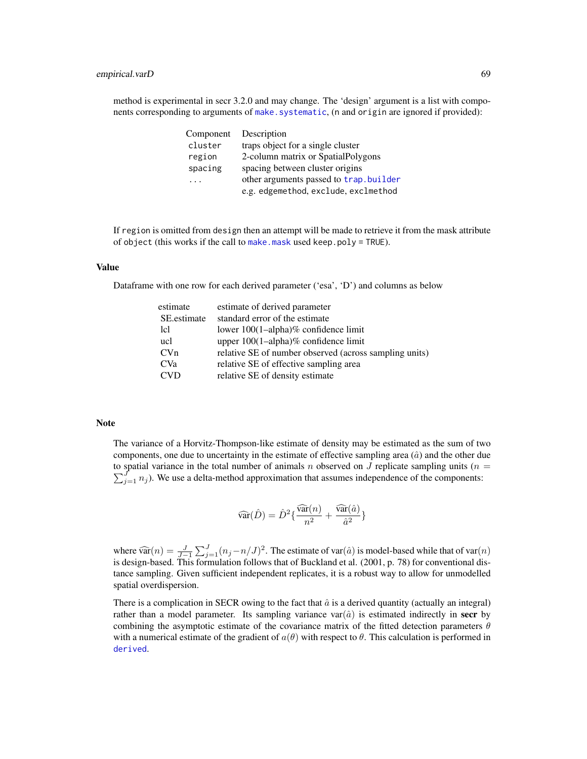method is experimental in secr 3.2.0 and may change. The 'design' argument is a list with components corresponding to arguments of [make.systematic](#page-118-0), (n and origin are ignored if provided):

| Component | Description                            |
|-----------|----------------------------------------|
| cluster   | traps object for a single cluster      |
| region    | 2-column matrix or SpatialPolygons     |
| spacing   | spacing between cluster origins        |
| .         | other arguments passed to trap.builder |
|           | e.g. edgemethod, exclude, exclmethod   |

If region is omitted from design then an attempt will be made to retrieve it from the mask attribute of object (this works if the call to [make.mask](#page-115-0) used keep.poly = TRUE).

#### Value

Dataframe with one row for each derived parameter ('esa', 'D') and columns as below

| estimate        | estimate of derived parameter                          |
|-----------------|--------------------------------------------------------|
| SE.estimate     | standard error of the estimate                         |
| lcl             | lower $100(1–alpha)$ % confidence limit                |
| ucl             | upper 100(1-alpha)% confidence limit                   |
| CVn             | relative SE of number observed (across sampling units) |
| CV <sub>a</sub> | relative SE of effective sampling area                 |
| <b>CVD</b>      | relative SE of density estimate                        |

#### Note

The variance of a Horvitz-Thompson-like estimate of density may be estimated as the sum of two components, one due to uncertainty in the estimate of effective sampling area  $(\hat{a})$  and the other due to spatial variance in the total number of animals n observed on J replicate sampling units ( $n =$  $\sum_{j=1}^{J} n_j$ ). We use a delta-method approximation that assumes independence of the components:

$$
\widehat{\text{var}}(\hat{D}) = \hat{D}^2 \{ \frac{\widehat{\text{var}}(n)}{n^2} + \frac{\widehat{\text{var}}(\hat{a})}{\hat{a}^2} \}
$$

where  $\widehat{\text{var}}(n) = \frac{J}{J-1} \sum_{j=1}^{J} (n_j - n/J)^2$ . The estimate of var $(\hat{a})$  is model-based while that of var $(n)$  is design based. This formulation follows that of Buckland at al. (2001, p. 78) for conventional disis design-based. This formulation follows that of Buckland et al. (2001, p. 78) for conventional distance sampling. Given sufficient independent replicates, it is a robust way to allow for unmodelled spatial overdispersion.

There is a complication in SECR owing to the fact that  $\hat{a}$  is a derived quantity (actually an integral) rather than a model parameter. Its sampling variance  $var(\hat{a})$  is estimated indirectly in **secr** by combining the asymptotic estimate of the covariance matrix of the fitted detection parameters  $\theta$ with a numerical estimate of the gradient of  $a(\theta)$  with respect to  $\theta$ . This calculation is performed in [derived](#page-47-0).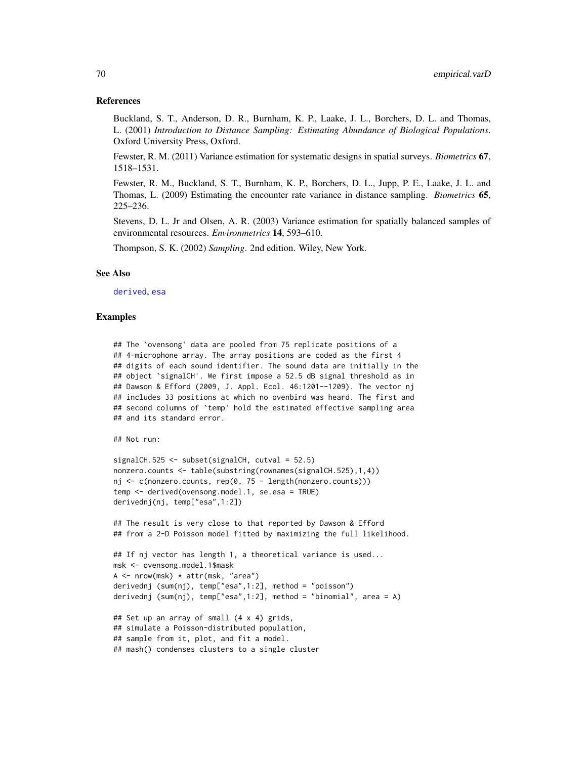#### References

Buckland, S. T., Anderson, D. R., Burnham, K. P., Laake, J. L., Borchers, D. L. and Thomas, L. (2001) *Introduction to Distance Sampling: Estimating Abundance of Biological Populations*. Oxford University Press, Oxford.

Fewster, R. M. (2011) Variance estimation for systematic designs in spatial surveys. *Biometrics* 67, 1518–1531.

Fewster, R. M., Buckland, S. T., Burnham, K. P., Borchers, D. L., Jupp, P. E., Laake, J. L. and Thomas, L. (2009) Estimating the encounter rate variance in distance sampling. *Biometrics* 65, 225–236.

Stevens, D. L. Jr and Olsen, A. R. (2003) Variance estimation for spatially balanced samples of environmental resources. *Environmetrics* 14, 593–610.

Thompson, S. K. (2002) *Sampling*. 2nd edition. Wiley, New York.

## See Also

[derived](#page-47-0), [esa](#page-47-1)

### Examples

## The `ovensong' data are pooled from 75 replicate positions of a ## 4-microphone array. The array positions are coded as the first 4 ## digits of each sound identifier. The sound data are initially in the ## object `signalCH'. We first impose a 52.5 dB signal threshold as in ## Dawson & Efford (2009, J. Appl. Ecol. 46:1201--1209). The vector nj ## includes 33 positions at which no ovenbird was heard. The first and ## second columns of `temp' hold the estimated effective sampling area ## and its standard error.

```
## Not run:
```

```
signalCH.525 <- subset(signalCH, cutval = 52.5)
nonzero.counts <- table(substring(rownames(signalCH.525),1,4))
nj <- c(nonzero.counts, rep(0, 75 - length(nonzero.counts)))
temp <- derived(ovensong.model.1, se.esa = TRUE)
derivednj(nj, temp["esa",1:2])
```
## The result is very close to that reported by Dawson & Efford ## from a 2-D Poisson model fitted by maximizing the full likelihood.

```
## If nj vector has length 1, a theoretical variance is used...
msk <- ovensong.model.1$mask
A \leftarrow \text{nrow}(\text{msk}) \cdot \text{attr}(\text{msk}, \text{ "area")}derivednj (sum(nj), temp["esa",1:2], method = "poisson")
derivednj (sum(nj), temp["esa",1:2], method = "binomial", area = A)
## Set up an array of small (4 x 4) grids,
```

```
## simulate a Poisson-distributed population,
## sample from it, plot, and fit a model.
## mash() condenses clusters to a single cluster
```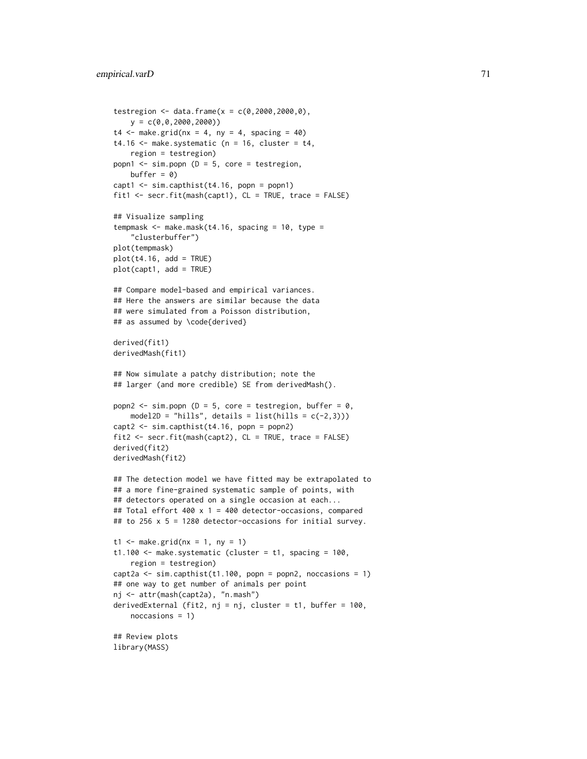```
testregion <- data.frame(x = c(0, 2000, 2000, 0),
   y = c(0, 0, 2000, 2000)t4 \leq - make.grid(nx = 4, ny = 4, spacing = 40)
t4.16 \leq make.systematic (n = 16, cluster = t4,
   region = testregion)
popn1 \leq sim.popn (D = 5, core = testregion,
   buffer = 0)
capt1 \le sim.capthist(t4.16, popn = popn1)
fit1 <- secr.fit(mash(capt1), CL = TRUE, trace = FALSE)
## Visualize sampling
tempmask \leq make.mask(t4.16, spacing = 10, type =
    "clusterbuffer")
plot(tempmask)
plot(t4.16, add = TRUE)plot(capt1, add = TRUE)
## Compare model-based and empirical variances.
## Here the answers are similar because the data
## were simulated from a Poisson distribution,
## as assumed by \code{derived}
derived(fit1)
derivedMash(fit1)
## Now simulate a patchy distribution; note the
## larger (and more credible) SE from derivedMash().
popn2 <- sim.popn (D = 5, core = testregion, buffer = \emptyset,
    model2D = "hills", details = list(hills = c(-2,3)))
capt2 <- sim.capthist(t4.16, popn = popn2)
fit2 <- secr.fit(mash(capt2), CL = TRUE, trace = FALSE)
derived(fit2)
derivedMash(fit2)
## The detection model we have fitted may be extrapolated to
## a more fine-grained systematic sample of points, with
## detectors operated on a single occasion at each...
## Total effort 400 x 1 = 400 detector-occasions, compared
## to 256 x 5 = 1280 detector-occasions for initial survey.
t1 <- make.grid(nx = 1, ny = 1)
t1.100 \leq make.systematic (cluster = t1, spacing = 100,
    region = testregion)
capt2a \le sim.capthist(t1.100, popn = popn2, noccasions = 1)
## one way to get number of animals per point
nj <- attr(mash(capt2a), "n.mash")
derivedExternal (fit2, nj = nj, cluster = t1, buffer = 100,
    noccasions = 1)
## Review plots
library(MASS)
```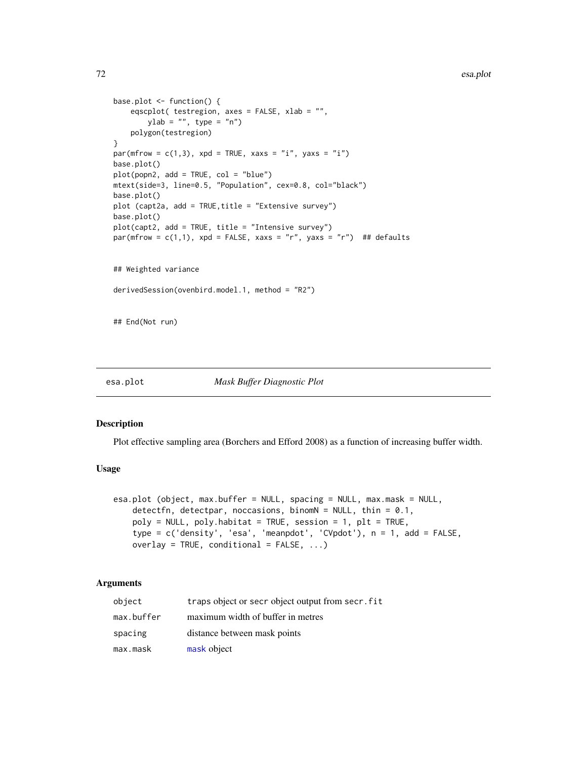```
base.plot <- function() {
   eqscplot( testregion, axes = FALSE, xlab = "",
       ylab = "", type = "n")polygon(testregion)
}
par(mfrow = c(1,3), xpd = TRUE, xaxs = "i", yaxs = "i")base.plot()
plot(popn2, add = TRUE, col = "blue")
mtext(side=3, line=0.5, "Population", cex=0.8, col="black")
base.plot()
plot (capt2a, add = TRUE,title = "Extensive survey")
base.plot()
plot(capt2, add = TRUE, title = "Intensive survey")
par(mfrow = c(1,1), xpd = FALSE, xaxs = "r", yaxs = "r") ## defaults
## Weighted variance
derivedSession(ovenbird.model.1, method = "R2")
## End(Not run)
```
#### <span id="page-71-0"></span>esa.plot *Mask Buffer Diagnostic Plot*

#### Description

Plot effective sampling area (Borchers and Efford 2008) as a function of increasing buffer width.

## Usage

```
esa.plot (object, max.buffer = NULL, spacing = NULL, max.mask = NULL,
   detectfn, detectpar, noccasions, binomN = NULL, thin = 0.1,
   poly = NULL, poly.habitat = TRUE, session = 1, plt = TRUE,
   type = c('density', 'esa', 'meanpdot', 'CVpdot'), n = 1, add = FALSE,
   overlay = TRUE, conditional = FALSE, ...)
```

| object     | traps object or secr object output from secr. fit |
|------------|---------------------------------------------------|
| max.buffer | maximum width of buffer in metres                 |
| spacing    | distance between mask points                      |
| max.mask   | mask object                                       |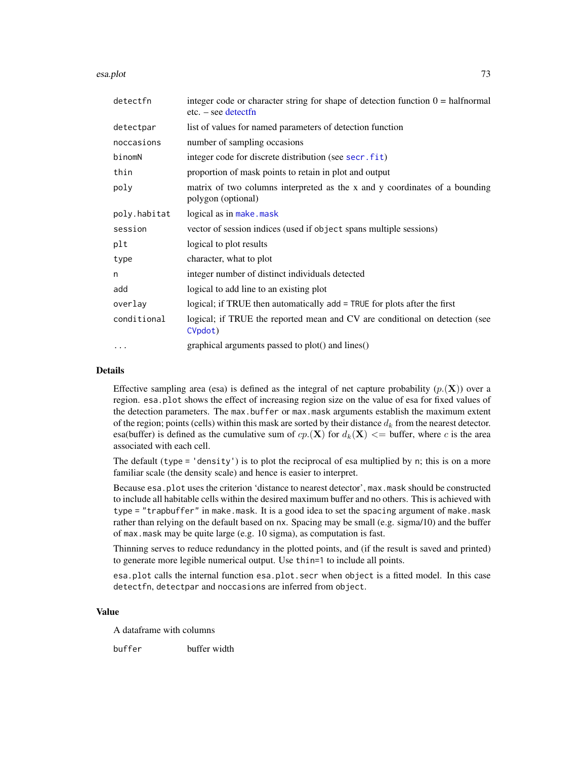esa.plot 73

| detectfn     | integer code or character string for shape of detection function $0 = \text{halfnormal}$<br>$etc. - see detect$ |  |  |
|--------------|-----------------------------------------------------------------------------------------------------------------|--|--|
| detectpar    | list of values for named parameters of detection function                                                       |  |  |
| noccasions   | number of sampling occasions                                                                                    |  |  |
| binomN       | integer code for discrete distribution (see secr.fit)                                                           |  |  |
| thin         | proportion of mask points to retain in plot and output                                                          |  |  |
| poly         | matrix of two columns interpreted as the x and y coordinates of a bounding<br>polygon (optional)                |  |  |
| poly.habitat | logical as in make.mask                                                                                         |  |  |
| session      | vector of session indices (used if object spans multiple sessions)                                              |  |  |
| plt          | logical to plot results                                                                                         |  |  |
| type         | character, what to plot                                                                                         |  |  |
| n            | integer number of distinct individuals detected                                                                 |  |  |
| add          | logical to add line to an existing plot                                                                         |  |  |
| overlay      | logical; if TRUE then automatically add = TRUE for plots after the first                                        |  |  |
| conditional  | logical; if TRUE the reported mean and CV are conditional on detection (see<br>CVpdot)                          |  |  |
| $\cdots$     | graphical arguments passed to plot() and lines()                                                                |  |  |

# Details

Effective sampling area (esa) is defined as the integral of net capture probability  $(p_1(\mathbf{X}))$  over a region. esa.plot shows the effect of increasing region size on the value of esa for fixed values of the detection parameters. The max.buffer or max.mask arguments establish the maximum extent of the region; points (cells) within this mask are sorted by their distance  $d_k$  from the nearest detector. esa(buffer) is defined as the cumulative sum of  $cp(x)$  for  $d_k(x) \le$  buffer, where c is the area associated with each cell.

The default (type = 'density') is to plot the reciprocal of esa multiplied by n; this is on a more familiar scale (the density scale) and hence is easier to interpret.

Because esa.plot uses the criterion 'distance to nearest detector', max.mask should be constructed to include all habitable cells within the desired maximum buffer and no others. This is achieved with type = "trapbuffer" in make.mask. It is a good idea to set the spacing argument of make.mask rather than relying on the default based on nx. Spacing may be small (e.g. sigma/10) and the buffer of max.mask may be quite large (e.g. 10 sigma), as computation is fast.

Thinning serves to reduce redundancy in the plotted points, and (if the result is saved and printed) to generate more legible numerical output. Use thin=1 to include all points.

esa.plot calls the internal function esa.plot.secr when object is a fitted model. In this case detectfn, detectpar and noccasions are inferred from object.

# Value

A dataframe with columns

buffer buffer width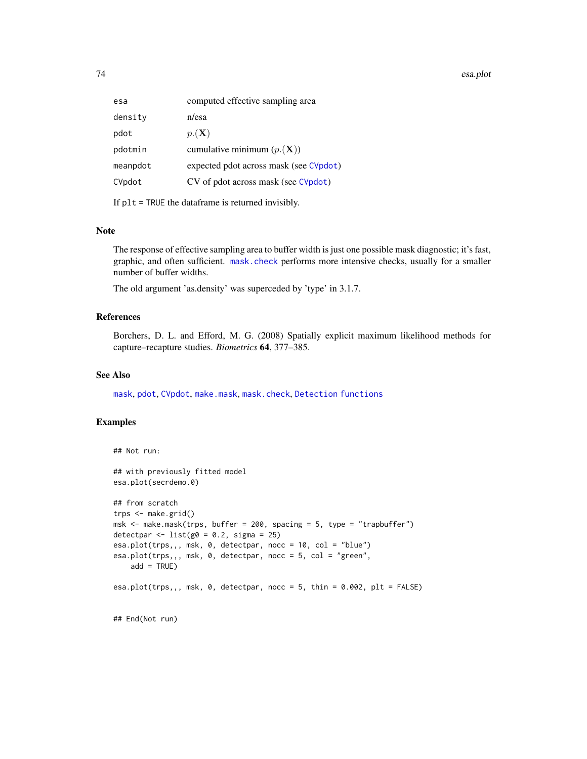74 esa.plot

If  $plt = TRUE$  the dataframe is returned invisibly.

# Note

The response of effective sampling area to buffer width is just one possible mask diagnostic; it's fast, graphic, and often sufficient. [mask.check](#page-128-0) performs more intensive checks, usually for a smaller number of buffer widths.

The old argument 'as.density' was superceded by 'type' in 3.1.7.

# References

Borchers, D. L. and Efford, M. G. (2008) Spatially explicit maximum likelihood methods for capture–recapture studies. *Biometrics* 64, 377–385.

# See Also

[mask](#page-127-0), [pdot](#page-150-1), [CVpdot](#page-150-0), [make.mask](#page-115-0), [mask.check](#page-128-0), [Detection functions](#page-0-0)

# Examples

```
## Not run:
## with previously fitted model
esa.plot(secrdemo.0)
## from scratch
trps <- make.grid()
msk \le make.mask(trps, buffer = 200, spacing = 5, type = "trapbuffer")
detectpar \le list(g0 = 0.2, sigma = 25)
esa.plot(trps,,, msk, 0, detectpar, nocc = 10, col = "blue")
esa.plot(trps,,, msk, 0, detectpar, nocc = 5, col = "green",
   add = TRUE)
esa.plot(trps,,, msk, 0, detectpar, nocc = 5, thin = 0.002, plt = FALSE)
## End(Not run)
```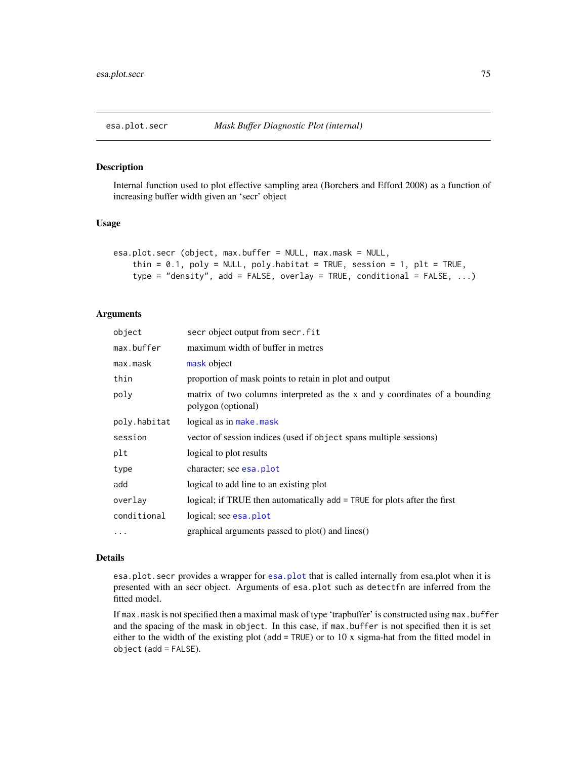# Description

Internal function used to plot effective sampling area (Borchers and Efford 2008) as a function of increasing buffer width given an 'secr' object

# Usage

```
esa.plot.secr (object, max.buffer = NULL, max.mask = NULL,
    thin = 0.1, poly = NULL, poly.habitat = TRUE, session = 1, plt = TRUE,
    type = "density", add = FALSE, overlay = TRUE, conditional = FALSE, \ldots)
```
# Arguments

| object       | secr object output from secr. fit                                                                |  |  |
|--------------|--------------------------------------------------------------------------------------------------|--|--|
| max.buffer   | maximum width of buffer in metres                                                                |  |  |
| max.mask     | mask object                                                                                      |  |  |
| thin         | proportion of mask points to retain in plot and output                                           |  |  |
| poly         | matrix of two columns interpreted as the x and y coordinates of a bounding<br>polygon (optional) |  |  |
| poly.habitat | logical as in make.mask                                                                          |  |  |
| session      | vector of session indices (used if object spans multiple sessions)                               |  |  |
| plt          | logical to plot results                                                                          |  |  |
| type         | character; see esa. plot                                                                         |  |  |
| add          | logical to add line to an existing plot                                                          |  |  |
| overlay      | logical; if TRUE then automatically add = TRUE for plots after the first                         |  |  |
| conditional  | logical; see esa.plot                                                                            |  |  |
| $\cdots$     | graphical arguments passed to plot() and lines()                                                 |  |  |

#### Details

esa.plot.secr provides a wrapper for [esa.plot](#page-71-0) that is called internally from esa.plot when it is presented with an secr object. Arguments of esa.plot such as detectfn are inferred from the fitted model.

If max mask is not specified then a maximal mask of type 'trapbuffer' is constructed using max.buffer and the spacing of the mask in object. In this case, if max.buffer is not specified then it is set either to the width of the existing plot (add = TRUE) or to 10 x sigma-hat from the fitted model in object (add = FALSE).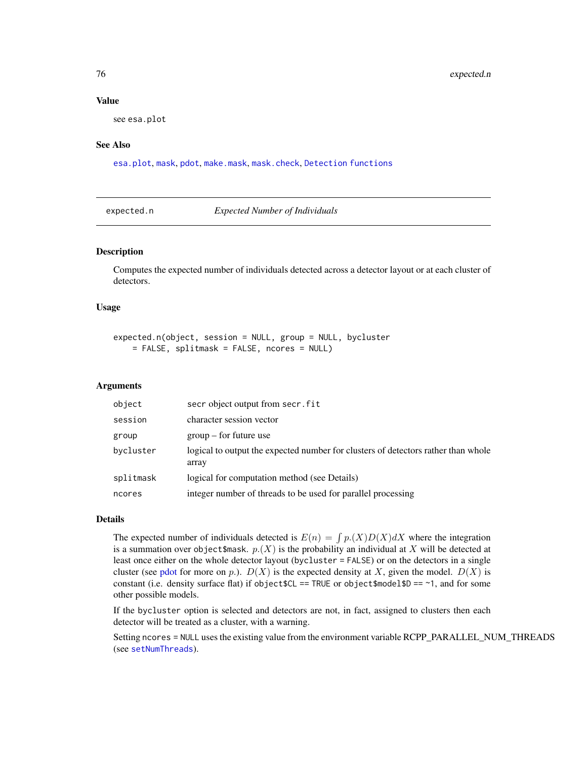# Value

see esa.plot

# See Also

[esa.plot](#page-71-0), [mask](#page-127-0), [pdot](#page-150-1), [make.mask](#page-115-0), [mask.check](#page-128-0), [Detection functions](#page-0-0)

expected.n *Expected Number of Individuals*

# Description

Computes the expected number of individuals detected across a detector layout or at each cluster of detectors.

# Usage

```
expected.n(object, session = NULL, group = NULL, bycluster
   = FALSE, splitmask = FALSE, ncores = NULL)
```
# Arguments

| object    | secr object output from secr. fit                                                          |  |
|-----------|--------------------------------------------------------------------------------------------|--|
| session   | character session vector                                                                   |  |
| group     | $group - for future use$                                                                   |  |
| bycluster | logical to output the expected number for clusters of detectors rather than whole<br>array |  |
| splitmask | logical for computation method (see Details)                                               |  |
| ncores    | integer number of threads to be used for parallel processing                               |  |

# Details

The expected number of individuals detected is  $E(n) = \int p(X)D(X)dX$  where the integration is a summation over object \$mask.  $p(X)$  is the probability an individual at X will be detected at least once either on the whole detector layout (bycluster = FALSE) or on the detectors in a single cluster (see [pdot](#page-150-1) for more on p.).  $D(X)$  is the expected density at X, given the model.  $D(X)$  is constant (i.e. density surface flat) if object  $$CL == TRUE$  or object $$model $D == 1$, and for some$ other possible models.

If the bycluster option is selected and detectors are not, in fact, assigned to clusters then each detector will be treated as a cluster, with a warning.

Setting ncores = NULL uses the existing value from the environment variable RCPP\_PARALLEL\_NUM\_THREADS (see [setNumThreads](#page-233-0)).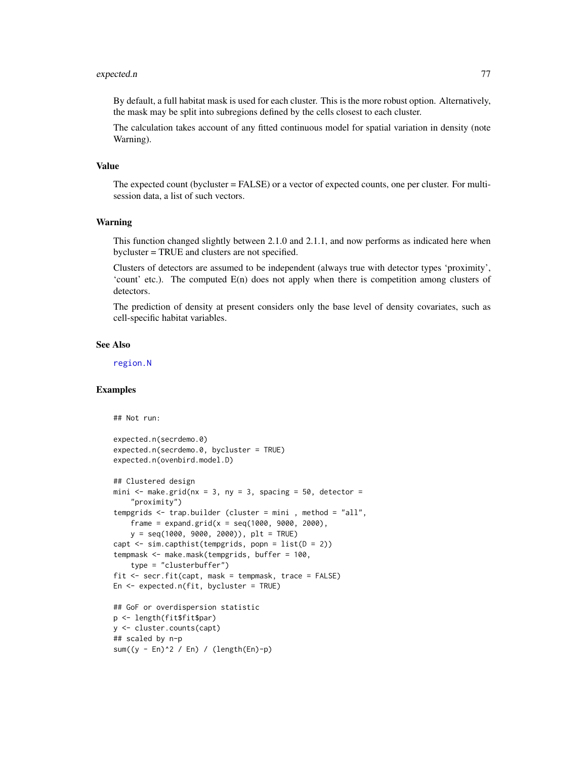#### expected.n 277

By default, a full habitat mask is used for each cluster. This is the more robust option. Alternatively, the mask may be split into subregions defined by the cells closest to each cluster.

The calculation takes account of any fitted continuous model for spatial variation in density (note Warning).

# Value

The expected count (bycluster = FALSE) or a vector of expected counts, one per cluster. For multisession data, a list of such vectors.

#### Warning

This function changed slightly between 2.1.0 and 2.1.1, and now performs as indicated here when bycluster = TRUE and clusters are not specified.

Clusters of detectors are assumed to be independent (always true with detector types 'proximity', 'count' etc.). The computed E(n) does not apply when there is competition among clusters of detectors.

The prediction of density at present considers only the base level of density covariates, such as cell-specific habitat variables.

#### See Also

[region.N](#page-204-0)

# Examples

```
## Not run:
expected.n(secrdemo.0)
expected.n(secrdemo.0, bycluster = TRUE)
expected.n(ovenbird.model.D)
## Clustered design
mini \leq make.grid(nx = 3, ny = 3, spacing = 50, detector =
    "proximity")
tempgrids <- trap.builder (cluster = mini , method = "all",
   frame = expand.grid(x = \text{seq}(1000, 9000, 2000),
    y = seq(1000, 9000, 2000)), plt = TRUE)
capt \le sim.capthist(tempgrids, popn = list(D = 2))
tempmask <- make.mask(tempgrids, buffer = 100,
    type = "clusterbuffer")
fit <- secr.fit(capt, mask = tempmask, trace = FALSE)
En \leq expected.n(fit, bycluster = TRUE)
## GoF or overdispersion statistic
p <- length(fit$fit$par)
y <- cluster.counts(capt)
## scaled by n-p
sum((y - En)^2 / En) / (length(En)-p)
```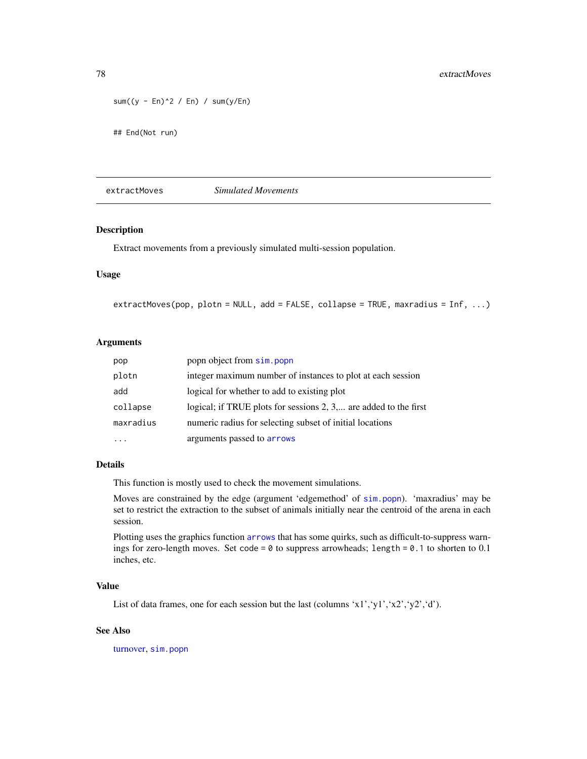```
sum((y - En)^2 / En) / sum(y/En)
```
## End(Not run)

extractMoves *Simulated Movements*

#### Description

Extract movements from a previously simulated multi-session population.

# Usage

```
extractMoves(pop, plotn = NULL, add = FALSE, collapse = TRUE, maxradius = Inf, ...)
```
# Arguments

| pop                                                                   | popn object from sim.popn                                        |  |
|-----------------------------------------------------------------------|------------------------------------------------------------------|--|
| plotn                                                                 | integer maximum number of instances to plot at each session      |  |
| add                                                                   | logical for whether to add to existing plot                      |  |
| collapse                                                              | logical; if TRUE plots for sessions 2, 3, are added to the first |  |
| numeric radius for selecting subset of initial locations<br>maxradius |                                                                  |  |
|                                                                       | arguments passed to arrows                                       |  |

# Details

This function is mostly used to check the movement simulations.

Moves are constrained by the edge (argument 'edgemethod' of [sim.popn](#page-243-0)). 'maxradius' may be set to restrict the extraction to the subset of animals initially near the centroid of the arena in each session.

Plotting uses the graphics function [arrows](#page-0-0) that has some quirks, such as difficult-to-suppress warnings for zero-length moves. Set code = 0 to suppress arrowheads; length = 0.1 to shorten to 0.1 inches, etc.

# Value

List of data frames, one for each session but the last (columns 'x1','y1','x2','y2','d').

# See Also

[turnover,](#page-292-0) [sim.popn](#page-243-0)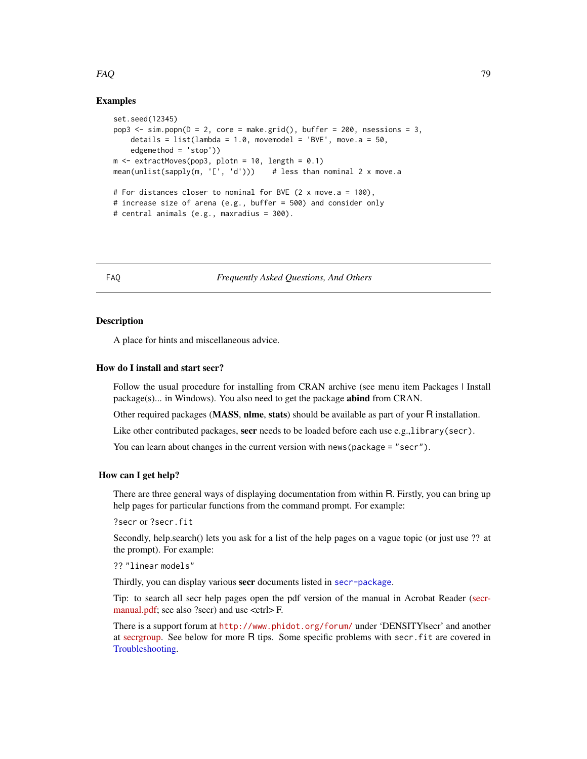# Examples

```
set.seed(12345)
pop3 \leq -sim, popn(D = 2, core = make.grid(), buffer = 200, nsessions = 3,details = list(lambda = 1.0, movemented = 'BVE', move.a = 50,edgemethod = 'stop'))
m \leq extractMoves(pop3, plotn = 10, length = 0.1)
mean(unlist(sapply(m, '[', 'd'))) # less than nominal 2 x move.a
# For distances closer to nominal for BVE (2 x move.a = 100),
# increase size of arena (e.g., buffer = 500) and consider only
# central animals (e.g., maxradius = 300).
```
FAQ *Frequently Asked Questions, And Others*

# **Description**

A place for hints and miscellaneous advice.

# How do I install and start secr?

Follow the usual procedure for installing from CRAN archive (see menu item Packages | Install package(s)... in Windows). You also need to get the package **abind** from CRAN.

Other required packages (**MASS**, **nlme**, stats) should be available as part of your R installation.

Like other contributed packages, secr needs to be loaded before each use e.g.,library(secr).

You can learn about changes in the current version with news (package = "secr").

#### How can I get help?

There are three general ways of displaying documentation from within R. Firstly, you can bring up help pages for particular functions from the command prompt. For example:

?secr or ?secr.fit

Secondly, help.search() lets you ask for a list of the help pages on a vague topic (or just use ?? at the prompt). For example:

?? "linear models"

Thirdly, you can display various secr documents listed in [secr-package](#page-4-0).

Tip: to search all secr help pages open the pdf version of the manual in Acrobat Reader [\(secr](https://www.otago.ac.nz/density/pdfs/secr-manual.pdf)[manual.pdf;](https://www.otago.ac.nz/density/pdfs/secr-manual.pdf) see also ?secr) and use <ctrl>F.

There is a support forum at <http://www.phidot.org/forum/> under 'DENSITY|secr' and another at [secrgroup.](https://groups.google.com/forum/#!forum/secrgroup) See below for more R tips. Some specific problems with secr.fit are covered in [Troubleshooting.](#page-291-0)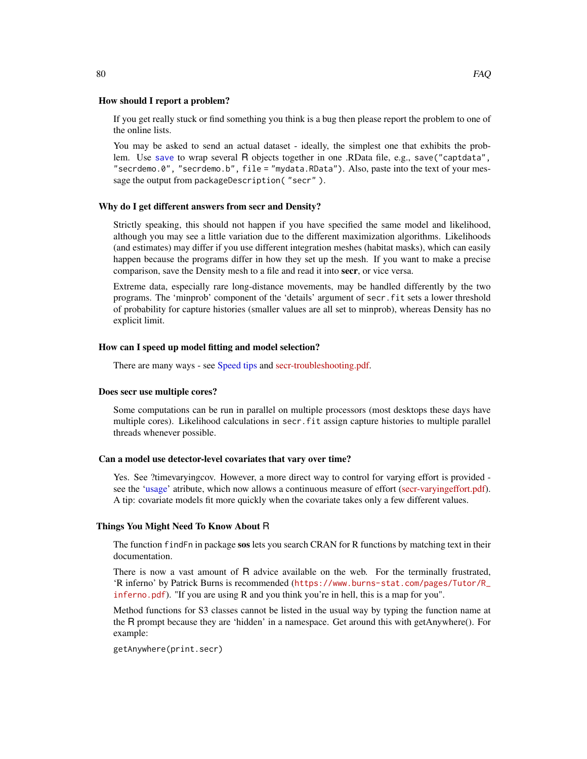If you get really stuck or find something you think is a bug then please report the problem to one of the online lists.

You may be asked to send an actual dataset - ideally, the simplest one that exhibits the problem. Use [save](#page-0-0) to wrap several R objects together in one .RData file, e.g., save("captdata", "secrdemo.0", "secrdemo.b", file = "mydata.RData"). Also, paste into the text of your message the output from packageDescription( "secr" ).

#### Why do I get different answers from secr and Density?

Strictly speaking, this should not happen if you have specified the same model and likelihood, although you may see a little variation due to the different maximization algorithms. Likelihoods (and estimates) may differ if you use different integration meshes (habitat masks), which can easily happen because the programs differ in how they set up the mesh. If you want to make a precise comparison, save the Density mesh to a file and read it into secr, or vice versa.

Extreme data, especially rare long-distance movements, may be handled differently by the two programs. The 'minprob' component of the 'details' argument of secr.fit sets a lower threshold of probability for capture histories (smaller values are all set to minprob), whereas Density has no explicit limit.

# How can I speed up model fitting and model selection?

There are many ways - see [Speed tips](#page-258-0) and [secr-troubleshooting.pdf.](https://www.otago.ac.nz/density/pdfs/secr-troubleshooting.pdf)

#### Does secr use multiple cores?

Some computations can be run in parallel on multiple processors (most desktops these days have multiple cores). Likelihood calculations in secr.fit assign capture histories to multiple parallel threads whenever possible.

# Can a model use detector-level covariates that vary over time?

Yes. See ?timevaryingcov. However, a more direct way to control for varying effort is provided see the ['usage'](#page-296-0) atribute, which now allows a continuous measure of effort [\(secr-varyingeffort.pdf\)](https://www.otago.ac.nz/density/pdfs/secr-varyingeffort.pdf). A tip: covariate models fit more quickly when the covariate takes only a few different values.

# Things You Might Need To Know About R

The function find Fn in package sos lets you search CRAN for R functions by matching text in their documentation.

There is now a vast amount of R advice available on the web. For the terminally frustrated, 'R inferno' by Patrick Burns is recommended ([https://www.burns-stat.com/pages/Tutor/R\\_](https://www.burns-stat.com/pages/Tutor/R_inferno.pdf) [inferno.pdf](https://www.burns-stat.com/pages/Tutor/R_inferno.pdf)). "If you are using R and you think you're in hell, this is a map for you".

Method functions for S3 classes cannot be listed in the usual way by typing the function name at the R prompt because they are 'hidden' in a namespace. Get around this with getAnywhere(). For example:

getAnywhere(print.secr)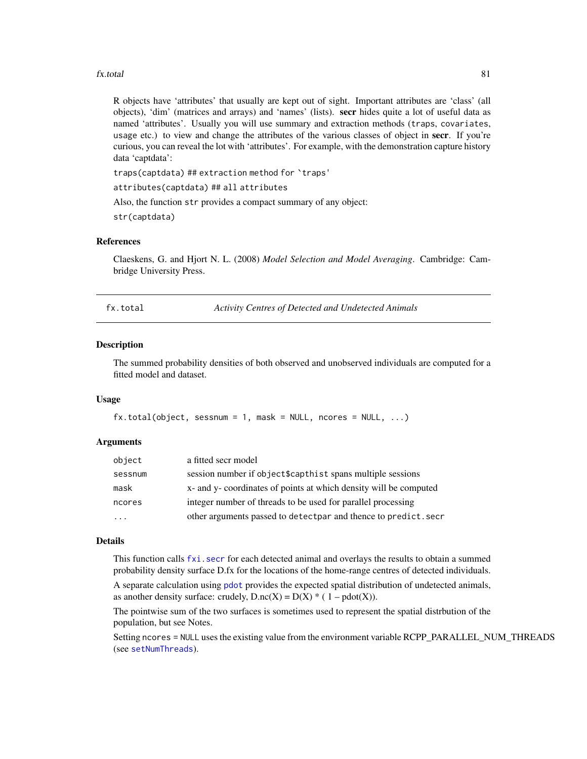#### fx.total 81

R objects have 'attributes' that usually are kept out of sight. Important attributes are 'class' (all objects), 'dim' (matrices and arrays) and 'names' (lists). secr hides quite a lot of useful data as named 'attributes'. Usually you will use summary and extraction methods (traps, covariates, usage etc.) to view and change the attributes of the various classes of object in secr. If you're curious, you can reveal the lot with 'attributes'. For example, with the demonstration capture history data 'captdata':

traps(captdata) ## extraction method for `traps'

attributes(captdata) ## all attributes

Also, the function str provides a compact summary of any object:

str(captdata)

# References

Claeskens, G. and Hjort N. L. (2008) *Model Selection and Model Averaging*. Cambridge: Cambridge University Press.

<span id="page-80-0"></span>fx.total *Activity Centres of Detected and Undetected Animals*

#### Description

The summed probability densities of both observed and unobserved individuals are computed for a fitted model and dataset.

# Usage

```
fx.total(object, sesnum = 1, mask = NULL, ncores = NULL, ...)
```
# Arguments

| object  | a fitted secr model                                               |
|---------|-------------------------------------------------------------------|
| sessnum | session number if object\$capthist spans multiple sessions        |
| mask    | x- and y- coordinates of points at which density will be computed |
| ncores  | integer number of threads to be used for parallel processing      |
| $\cdot$ | other arguments passed to detectpar and thence to predict. secr   |

#### Details

This function calls [fxi.secr](#page-82-0) for each detected animal and overlays the results to obtain a summed probability density surface D.fx for the locations of the home-range centres of detected individuals.

A separate calculation using [pdot](#page-150-1) provides the expected spatial distribution of undetected animals, as another density surface: crudely,  $D \cdot nc(X) = D(X) * (1 - pdot(X)).$ 

The pointwise sum of the two surfaces is sometimes used to represent the spatial distrbution of the population, but see Notes.

Setting ncores = NULL uses the existing value from the environment variable RCPP\_PARALLEL\_NUM\_THREADS (see [setNumThreads](#page-233-0)).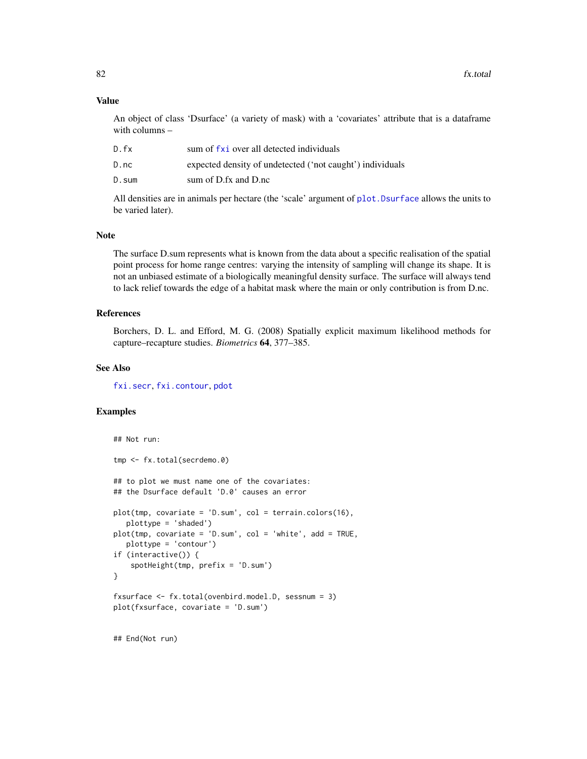# Value

An object of class 'Dsurface' (a variety of mask) with a 'covariates' attribute that is a dataframe with columns –

| D.fx  | sum of fxi over all detected individuals                  |
|-------|-----------------------------------------------------------|
| D.nc  | expected density of undetected ('not caught') individuals |
| D.sum | sum of D.fx and D.nc                                      |

All densities are in animals per hectare (the 'scale' argument of [plot.Dsurface](#page-158-0) allows the units to be varied later).

#### Note

The surface D.sum represents what is known from the data about a specific realisation of the spatial point process for home range centres: varying the intensity of sampling will change its shape. It is not an unbiased estimate of a biologically meaningful density surface. The surface will always tend to lack relief towards the edge of a habitat mask where the main or only contribution is from D.nc.

# References

Borchers, D. L. and Efford, M. G. (2008) Spatially explicit maximum likelihood methods for capture–recapture studies. *Biometrics* 64, 377–385.

# See Also

[fxi.secr](#page-82-0), [fxi.contour](#page-82-0), [pdot](#page-150-1)

# Examples

```
## Not run:
tmp <- fx.total(secrdemo.0)
## to plot we must name one of the covariates:
## the Dsurface default 'D.0' causes an error
plot(tmp, covariate = 'D.sum', col = terrain.colors(16),
  plottype = 'shaded')
plot(tmp, covariate = 'D.sum', col = 'white', add = TRUE,plottype = 'contour')
if (interactive()) {
    spotHeight(tmp, prefix = 'D.sum')
}
fxsurface <- fx.total(ovenbird.model.D, sessnum = 3)
plot(fxsurface, covariate = 'D.sum')
```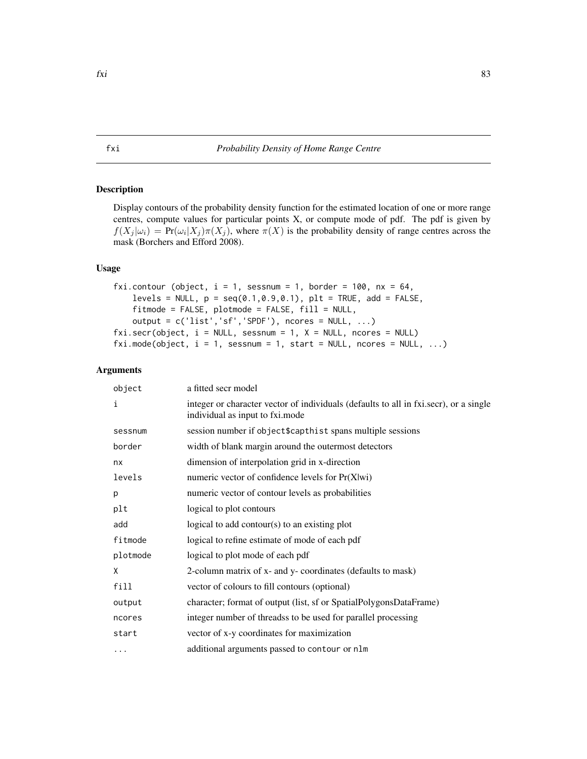# <span id="page-82-1"></span>fxi *Probability Density of Home Range Centre*

# <span id="page-82-0"></span>Description

Display contours of the probability density function for the estimated location of one or more range centres, compute values for particular points X, or compute mode of pdf. The pdf is given by  $f(X_j | \omega_i) = Pr(\omega_i | X_j) \pi(X_j)$ , where  $\pi(X)$  is the probability density of range centres across the mask (Borchers and Efford 2008).

# Usage

```
fxi.contour (object, i = 1, sessnum = 1, border = 100, nx = 64,
   levels = NULL, p = seq(0.1, 0.9, 0.1), plt = TRUE, add = FALSE,
   fitmode = FALSE, plotmode = FALSE, fill = NULL,
   output = c('list','sf','SPDF'), ncores = NULL, ...)
fixi.secr(object, i = NULL, sesnum = 1, X = NULL, ncores = NULL)fixi.mode(object, i = 1, sessnum = 1, start = NULL, ncores = NULL, ...)
```
# Arguments

|                                                              | object   | a fitted secr model                                                                                                      |
|--------------------------------------------------------------|----------|--------------------------------------------------------------------------------------------------------------------------|
|                                                              | i        | integer or character vector of individuals (defaults to all in fxi.secr), or a single<br>individual as input to fxi.mode |
|                                                              | sessnum  | session number if object\$capthist spans multiple sessions                                                               |
|                                                              | border   | width of blank margin around the outermost detectors                                                                     |
|                                                              | nx       | dimension of interpolation grid in x-direction                                                                           |
| levels<br>numeric vector of confidence levels for $Pr(X wi)$ |          |                                                                                                                          |
|                                                              | p        | numeric vector of contour levels as probabilities                                                                        |
|                                                              | plt      | logical to plot contours                                                                                                 |
|                                                              | add      | logical to add contour( $s$ ) to an existing plot                                                                        |
|                                                              | fitmode  | logical to refine estimate of mode of each pdf                                                                           |
|                                                              | plotmode | logical to plot mode of each pdf                                                                                         |
|                                                              | X        | 2-column matrix of x- and y- coordinates (defaults to mask)                                                              |
|                                                              | fill     | vector of colours to fill contours (optional)                                                                            |
|                                                              | output   | character; format of output (list, sf or SpatialPolygonsDataFrame)                                                       |
|                                                              | ncores   | integer number of threadss to be used for parallel processing                                                            |
|                                                              | start    | vector of x-y coordinates for maximization                                                                               |
|                                                              | $\cdots$ | additional arguments passed to contour or nlm                                                                            |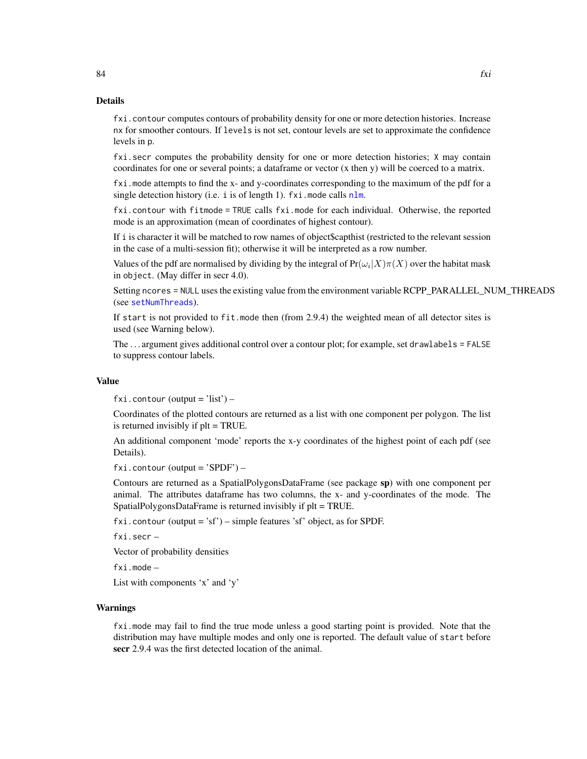fxi.contour computes contours of probability density for one or more detection histories. Increase nx for smoother contours. If levels is not set, contour levels are set to approximate the confidence levels in p.

fxi.secr computes the probability density for one or more detection histories; X may contain coordinates for one or several points; a dataframe or vector (x then y) will be coerced to a matrix.

fxi.mode attempts to find the x- and y-coordinates corresponding to the maximum of the pdf for a single detection history (i.e. i is of length 1).  $fxi$ . mode calls  $nlm$ .

fxi.contour with fitmode = TRUE calls fxi.mode for each individual. Otherwise, the reported mode is an approximation (mean of coordinates of highest contour).

If i is character it will be matched to row names of object\$capthist (restricted to the relevant session in the case of a multi-session fit); otherwise it will be interpreted as a row number.

Values of the pdf are normalised by dividing by the integral of  $Pr(\omega_i|X)\pi(X)$  over the habitat mask in object. (May differ in secr 4.0).

Setting ncores = NULL uses the existing value from the environment variable RCPP\_PARALLEL\_NUM\_THREADS (see [setNumThreads](#page-233-0)).

If start is not provided to fit.mode then (from 2.9.4) the weighted mean of all detector sites is used (see Warning below).

The . . . argument gives additional control over a contour plot; for example, set drawlabels = FALSE to suppress contour labels.

#### Value

 $fxi$ . contour (output = 'list') –

Coordinates of the plotted contours are returned as a list with one component per polygon. The list is returned invisibly if plt = TRUE.

An additional component 'mode' reports the x-y coordinates of the highest point of each pdf (see Details).

 $fixi$ . contour (output = 'SPDF') –

Contours are returned as a SpatialPolygonsDataFrame (see package sp) with one component per animal. The attributes dataframe has two columns, the x- and y-coordinates of the mode. The SpatialPolygonsDataFrame is returned invisibly if plt = TRUE.

fxi.contour (output = 'sf') – simple features 'sf' object, as for SPDF.

fxi.secr –

Vector of probability densities

fxi.mode –

List with components 'x' and 'y'

#### Warnings

fxi.mode may fail to find the true mode unless a good starting point is provided. Note that the distribution may have multiple modes and only one is reported. The default value of start before secr 2.9.4 was the first detected location of the animal.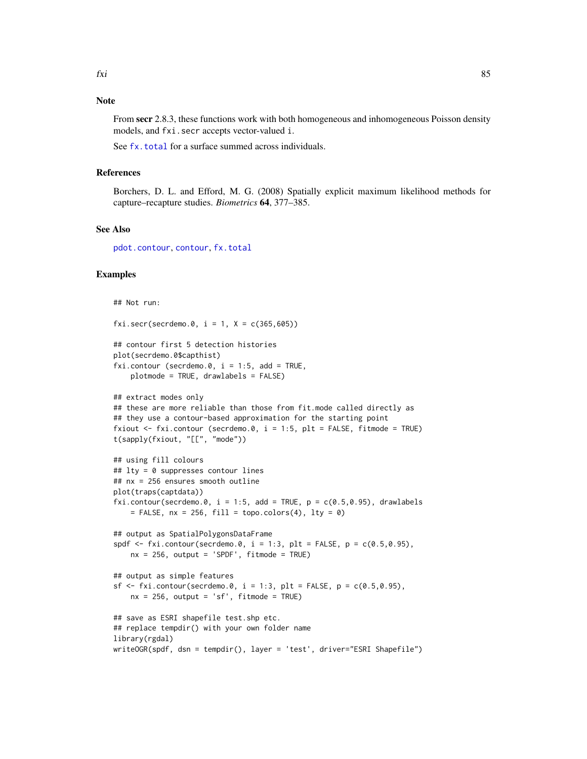From secr 2.8.3, these functions work with both homogeneous and inhomogeneous Poisson density models, and fxi.secr accepts vector-valued i.

See [fx.total](#page-80-0) for a surface summed across individuals.

# References

Borchers, D. L. and Efford, M. G. (2008) Spatially explicit maximum likelihood methods for capture–recapture studies. *Biometrics* 64, 377–385.

# See Also

[pdot.contour](#page-38-0), [contour](#page-38-1), [fx.total](#page-80-0)

# Examples

```
## Not run:
fxi.secr(secrdemo.0, i = 1, X = c(365, 605))
## contour first 5 detection histories
plot(secrdemo.0$capthist)
fxi.contour (secrdemo.0, i = 1:5, add = TRUE,
   plotmode = TRUE, drawlabels = FALSE)
## extract modes only
## these are more reliable than those from fit.mode called directly as
## they use a contour-based approximation for the starting point
fxiout <- fxi.contour (secrdemo.0, i = 1:5, plt = FALSE, fitmode = TRUE)
t(sapply(fxiout, "[[", "mode"))
## using fill colours
## lty = 0 suppresses contour lines
## nx = 256 ensures smooth outline
plot(traps(captdata))
fxi.contour(secrdemo.0, i = 1:5, add = TRUE, p = c(0.5, 0.95), drawlabels
    = FALSE, nx = 256, fill = topo.colors(4), lty = 0)
## output as SpatialPolygonsDataFrame
spdf \le fxi.contour(secrdemo.0, i = 1:3, plt = FALSE, p = c(0.5, 0.95),
   nx = 256, output = 'SPDF', fitmode = TRUE)
## output as simple features
sf \le fxi.contour(secrdemo.0, i = 1:3, plt = FALSE, p = c(0.5,0.95),
   nx = 256, output = 'sf', fitmode = TRUE)
## save as ESRI shapefile test.shp etc.
## replace tempdir() with your own folder name
library(rgdal)
writeOGR(spdf, dsn = tempdir(), layer = 'test', driver="ESRI Shapefile")
```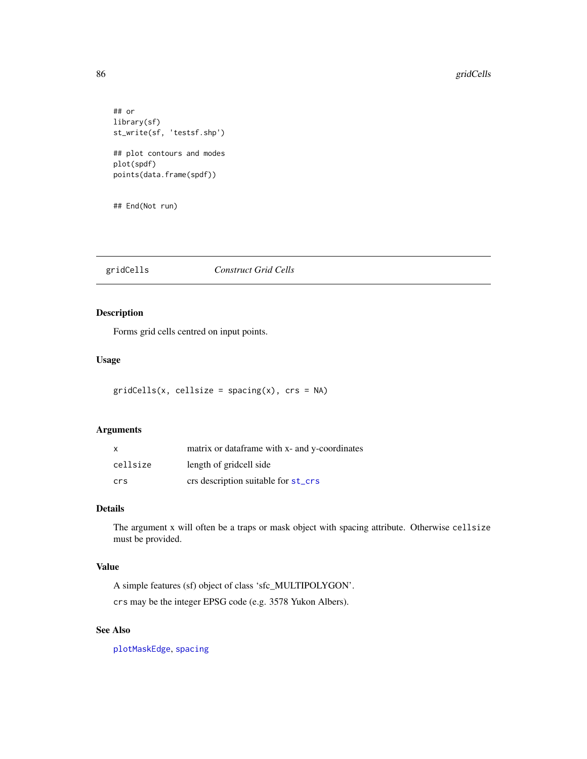```
## or
library(sf)
st_write(sf, 'testsf.shp')
## plot contours and modes
plot(spdf)
points(data.frame(spdf))
```
## End(Not run)

# gridCells *Construct Grid Cells*

# Description

Forms grid cells centred on input points.

# Usage

```
gridCells(x, cellsize = spacing(x), crs = NA)
```
#### Arguments

| X        | matrix or dataframe with x- and y-coordinates |
|----------|-----------------------------------------------|
| cellsize | length of gridcell side                       |
| crs      | crs description suitable for st_crs           |

# Details

The argument x will often be a traps or mask object with spacing attribute. Otherwise cellsize must be provided.

# Value

A simple features (sf) object of class 'sfc\_MULTIPOLYGON'.

crs may be the integer EPSG code (e.g. 3578 Yukon Albers).

# See Also

[plotMaskEdge](#page-167-0), [spacing](#page-257-0)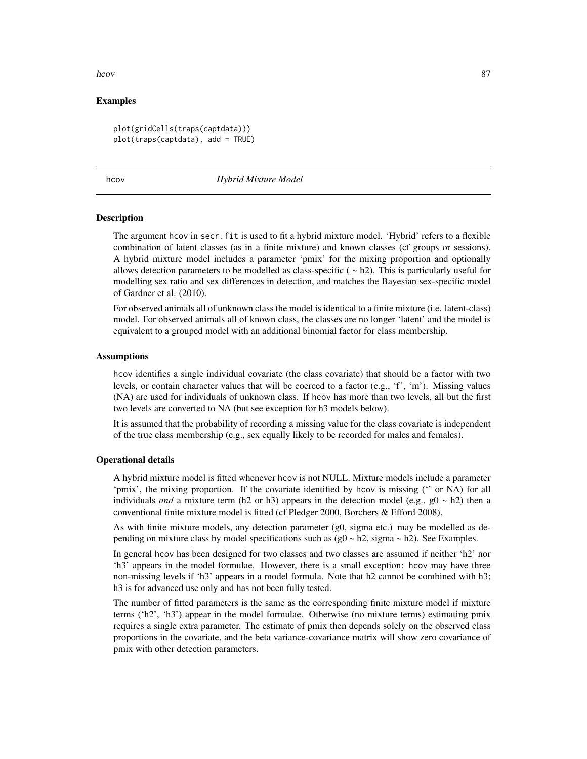hcov 87

# Examples

```
plot(gridCells(traps(captdata)))
plot(traps(captdata), add = TRUE)
```
<span id="page-86-0"></span>

hcov *Hybrid Mixture Model*

#### Description

The argument hcov in secr.fit is used to fit a hybrid mixture model. 'Hybrid' refers to a flexible combination of latent classes (as in a finite mixture) and known classes (cf groups or sessions). A hybrid mixture model includes a parameter 'pmix' for the mixing proportion and optionally allows detection parameters to be modelled as class-specific  $(-h2)$ . This is particularly useful for modelling sex ratio and sex differences in detection, and matches the Bayesian sex-specific model of Gardner et al. (2010).

For observed animals all of unknown class the model is identical to a finite mixture (i.e. latent-class) model. For observed animals all of known class, the classes are no longer 'latent' and the model is equivalent to a grouped model with an additional binomial factor for class membership.

#### Assumptions

hcov identifies a single individual covariate (the class covariate) that should be a factor with two levels, or contain character values that will be coerced to a factor (e.g., 'f', 'm'). Missing values (NA) are used for individuals of unknown class. If hcov has more than two levels, all but the first two levels are converted to NA (but see exception for h3 models below).

It is assumed that the probability of recording a missing value for the class covariate is independent of the true class membership (e.g., sex equally likely to be recorded for males and females).

# Operational details

A hybrid mixture model is fitted whenever hcov is not NULL. Mixture models include a parameter 'pmix', the mixing proportion. If the covariate identified by hcov is missing ('' or NA) for all individuals *and* a mixture term (h2 or h3) appears in the detection model (e.g.,  $g0 \sim h2$ ) then a conventional finite mixture model is fitted (cf Pledger 2000, Borchers & Efford 2008).

As with finite mixture models, any detection parameter (g0, sigma etc.) may be modelled as depending on mixture class by model specifications such as  $(g0 \sim h2)$ , sigma  $\sim h2$ ). See Examples.

In general hcov has been designed for two classes and two classes are assumed if neither 'h2' nor 'h3' appears in the model formulae. However, there is a small exception: hcov may have three non-missing levels if 'h3' appears in a model formula. Note that h2 cannot be combined with h3; h3 is for advanced use only and has not been fully tested.

The number of fitted parameters is the same as the corresponding finite mixture model if mixture terms ('h2', 'h3') appear in the model formulae. Otherwise (no mixture terms) estimating pmix requires a single extra parameter. The estimate of pmix then depends solely on the observed class proportions in the covariate, and the beta variance-covariance matrix will show zero covariance of pmix with other detection parameters.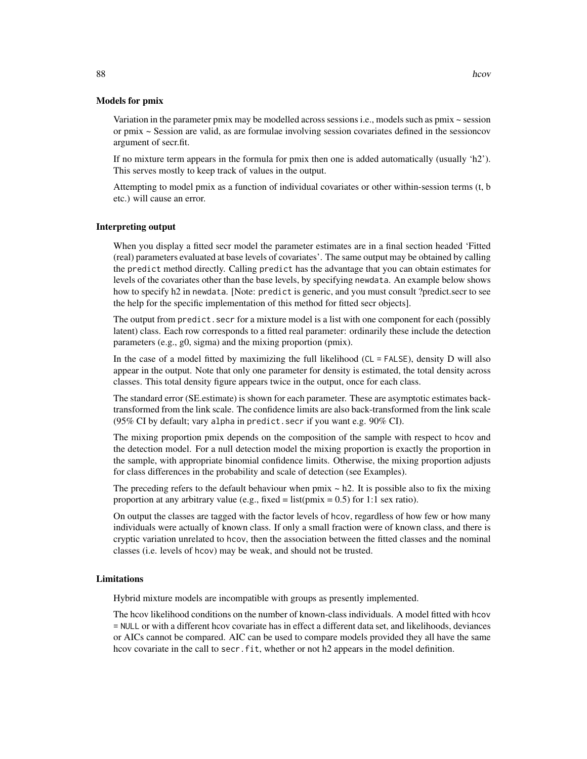Variation in the parameter pmix may be modelled across sessions i.e., models such as  $pmx \sim$  session or pmix ~ Session are valid, as are formulae involving session covariates defined in the sessioncov argument of secr.fit.

If no mixture term appears in the formula for pmix then one is added automatically (usually 'h2'). This serves mostly to keep track of values in the output.

Attempting to model pmix as a function of individual covariates or other within-session terms (t, b etc.) will cause an error.

# Interpreting output

When you display a fitted secr model the parameter estimates are in a final section headed 'Fitted (real) parameters evaluated at base levels of covariates'. The same output may be obtained by calling the predict method directly. Calling predict has the advantage that you can obtain estimates for levels of the covariates other than the base levels, by specifying newdata. An example below shows how to specify h2 in newdata. [Note: predict is generic, and you must consult ?predict.secr to see the help for the specific implementation of this method for fitted secr objects].

The output from predict. secr for a mixture model is a list with one component for each (possibly latent) class. Each row corresponds to a fitted real parameter: ordinarily these include the detection parameters (e.g., g0, sigma) and the mixing proportion (pmix).

In the case of a model fitted by maximizing the full likelihood (CL = FALSE), density D will also appear in the output. Note that only one parameter for density is estimated, the total density across classes. This total density figure appears twice in the output, once for each class.

The standard error (SE.estimate) is shown for each parameter. These are asymptotic estimates backtransformed from the link scale. The confidence limits are also back-transformed from the link scale (95% CI by default; vary alpha in predict.secr if you want e.g. 90% CI).

The mixing proportion pmix depends on the composition of the sample with respect to hcov and the detection model. For a null detection model the mixing proportion is exactly the proportion in the sample, with appropriate binomial confidence limits. Otherwise, the mixing proportion adjusts for class differences in the probability and scale of detection (see Examples).

The preceding refers to the default behaviour when pmix  $\sim$  h2. It is possible also to fix the mixing proportion at any arbitrary value (e.g., fixed = list( $pmix = 0.5$ ) for 1:1 sex ratio).

On output the classes are tagged with the factor levels of hcov, regardless of how few or how many individuals were actually of known class. If only a small fraction were of known class, and there is cryptic variation unrelated to hcov, then the association between the fitted classes and the nominal classes (i.e. levels of hcov) may be weak, and should not be trusted.

# Limitations

Hybrid mixture models are incompatible with groups as presently implemented.

The hcov likelihood conditions on the number of known-class individuals. A model fitted with hcov = NULL or with a different hcov covariate has in effect a different data set, and likelihoods, deviances or AICs cannot be compared. AIC can be used to compare models provided they all have the same hcov covariate in the call to secr. fit, whether or not h2 appears in the model definition.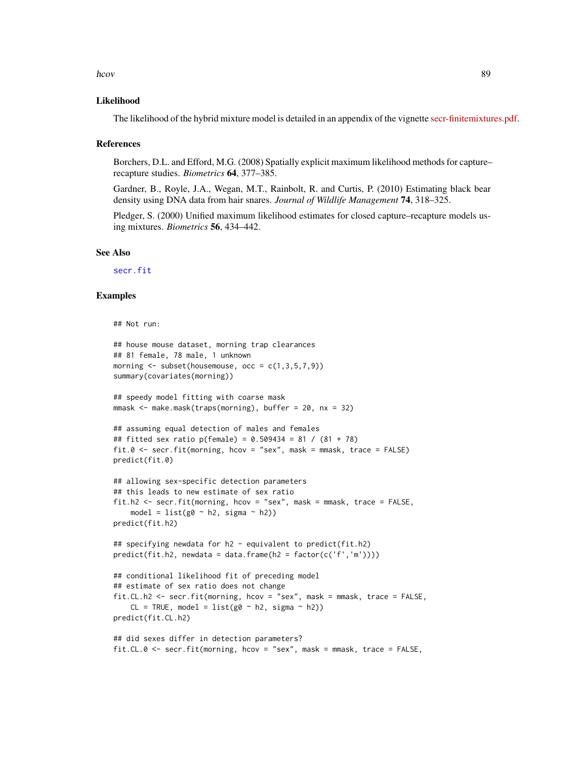#### hcov 89

# Likelihood

The likelihood of the hybrid mixture model is detailed in an appendix of the vignette [secr-finitemixtures.pdf.](https://www.otago.ac.nz/density/pdfs/secr-finitemixtures.pdf)

#### References

Borchers, D.L. and Efford, M.G. (2008) Spatially explicit maximum likelihood methods for capture– recapture studies. *Biometrics* 64, 377–385.

Gardner, B., Royle, J.A., Wegan, M.T., Rainbolt, R. and Curtis, P. (2010) Estimating black bear density using DNA data from hair snares. *Journal of Wildlife Management* 74, 318–325.

Pledger, S. (2000) Unified maximum likelihood estimates for closed capture–recapture models using mixtures. *Biometrics* 56, 434–442.

# See Also

[secr.fit](#page-218-0)

# Examples

```
## Not run:
## house mouse dataset, morning trap clearances
## 81 female, 78 male, 1 unknown
morning \leq subset(housemouse, occ = c(1,3,5,7,9))
summary(covariates(morning))
## speedy model fitting with coarse mask
mnask < - make.maxk(traps(morning), buffer = 20, nx = 32)## assuming equal detection of males and females
## fitted sex ratio p(female) = 0.509434 = 81 / (81 + 78)
fit.0 <- secr.fit(morning, hcov = "sex", mask = mmask, trace = FALSE)
predict(fit.0)
## allowing sex-specific detection parameters
## this leads to new estimate of sex ratio
fit.h2 <- secr.fit(morning, hcov = "sex", mask = mmask, trace = FALSE,
   model = list(g0 ~ ~ h2, sigma ~ ~ h2))predict(fit.h2)
## specifying newdata for h2 - equivalent to predict(fit.h2)
predict(fit.h2, newdata = data.frame(h2 = factor(c('f','m'))))
## conditional likelihood fit of preceding model
## estimate of sex ratio does not change
fit.CL.h2 <- secr.fit(morning, hcov = "sex", mask = mmask, trace = FALSE,
    CL = TRUE, model = list(g0 ~ ~ h2, sigma ~ h2))predict(fit.CL.h2)
## did sexes differ in detection parameters?
```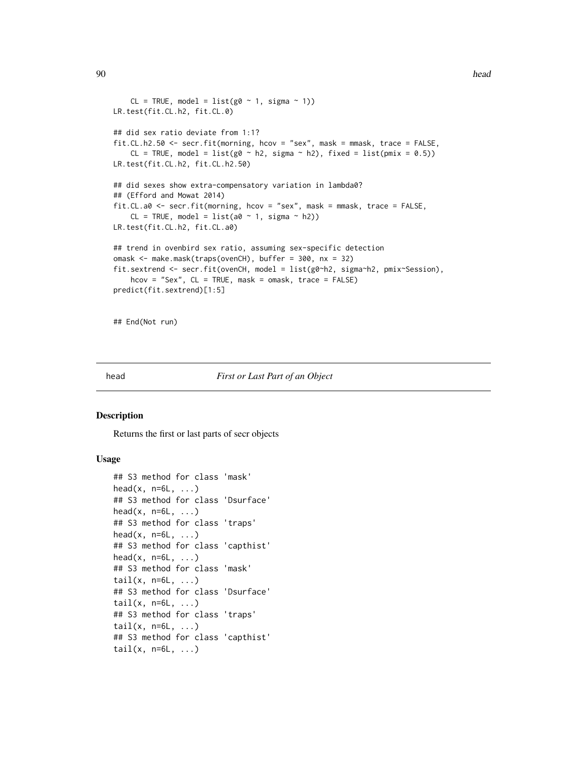#### 90 head head and the set of the set of the set of the set of the set of the set of the set of the set of the set of the set of the set of the set of the set of the set of the set of the set of the set of the set of the set

```
CL = TRUE, model = list(g0 ~ 1, sigma ~ 1))
LR.test(fit.CL.h2, fit.CL.0)
## did sex ratio deviate from 1:1?
fit.CL.h2.50 <- secr.fit(morning, hcov = "sex", mask = mmask, trace = FALSE,
    CL = TRUE, model = list(g0 \sim h2, sigma \sim h2), fixed = list(pmix = 0.5))
LR.test(fit.CL.h2, fit.CL.h2.50)
## did sexes show extra-compensatory variation in lambda0?
## (Efford and Mowat 2014)
fit.CL.a0 <- secr.fit(morning, hcov = "sex", mask = mmask, trace = FALSE,
    CL = TRUE, model = list(a0 ~ 1, sigma ~ h2))LR.test(fit.CL.h2, fit.CL.a0)
## trend in ovenbird sex ratio, assuming sex-specific detection
omask <- make.mask(traps(ovenCH), buffer = 300, nx = 32)
fit.sextrend <- secr.fit(ovenCH, model = list(g0~h2, sigma~h2, pmix~Session),
    hcov = "Sex", CL = TRUE, mask = omask, trace = FALSE)
predict(fit.sextrend)[1:5]
```
## End(Not run)

<span id="page-89-0"></span>

#### head *First or Last Part of an Object*

# Description

Returns the first or last parts of secr objects

# Usage

```
## S3 method for class 'mask'
head(x, n=6L, \ldots)## S3 method for class 'Dsurface'
head(x, n=6L, \ldots)## S3 method for class 'traps'
head(x, n=6L, \ldots)## S3 method for class 'capthist'
head(x, n=6L, \ldots)## S3 method for class 'mask'
tail(x, n=6L, ...)## S3 method for class 'Dsurface'
tail(x, n=6L, ...)## S3 method for class 'traps'
tail(x, n=6L, \ldots)## S3 method for class 'capthist'
tail(x, n=6L, \ldots)
```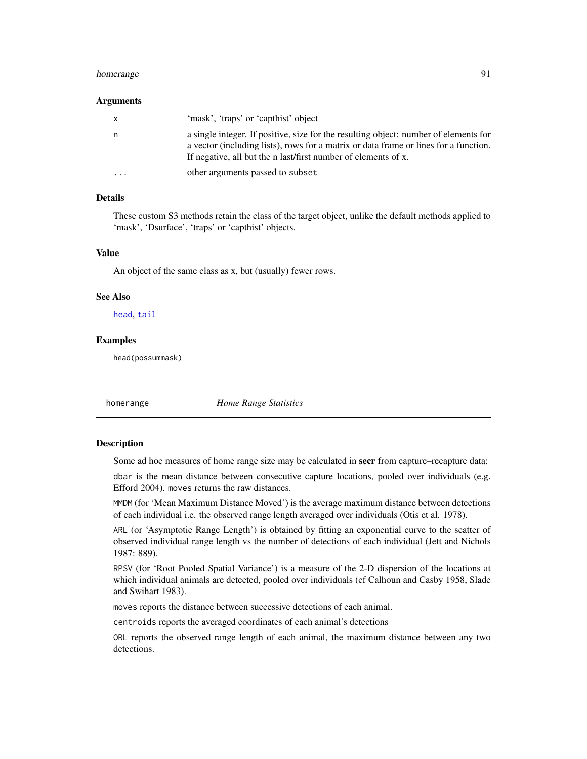#### homerange 91 and 2012 12:30 and 2012 12:30 and 2012 12:30 and 2012 12:30 and 2012 12:30 and 2012 12:30 and 201

#### Arguments

| X       | 'mask', 'traps' or 'capthist' object                                                                                                                                                                                                           |
|---------|------------------------------------------------------------------------------------------------------------------------------------------------------------------------------------------------------------------------------------------------|
|         | a single integer. If positive, size for the resulting object: number of elements for<br>a vector (including lists), rows for a matrix or data frame or lines for a function.<br>If negative, all but the n last/first number of elements of x. |
| $\cdot$ | other arguments passed to subset                                                                                                                                                                                                               |

# Details

These custom S3 methods retain the class of the target object, unlike the default methods applied to 'mask', 'Dsurface', 'traps' or 'capthist' objects.

# Value

An object of the same class as x, but (usually) fewer rows.

# See Also

[head](#page-89-0), [tail](#page-0-0)

# Examples

head(possummask)

homerange *Home Range Statistics*

# <span id="page-90-0"></span>Description

Some ad hoc measures of home range size may be calculated in secr from capture–recapture data:

dbar is the mean distance between consecutive capture locations, pooled over individuals (e.g. Efford 2004). moves returns the raw distances.

MMDM (for 'Mean Maximum Distance Moved') is the average maximum distance between detections of each individual i.e. the observed range length averaged over individuals (Otis et al. 1978).

ARL (or 'Asymptotic Range Length') is obtained by fitting an exponential curve to the scatter of observed individual range length vs the number of detections of each individual (Jett and Nichols 1987: 889).

RPSV (for 'Root Pooled Spatial Variance') is a measure of the 2-D dispersion of the locations at which individual animals are detected, pooled over individuals (cf Calhoun and Casby 1958, Slade and Swihart 1983).

moves reports the distance between successive detections of each animal.

centroids reports the averaged coordinates of each animal's detections

ORL reports the observed range length of each animal, the maximum distance between any two detections.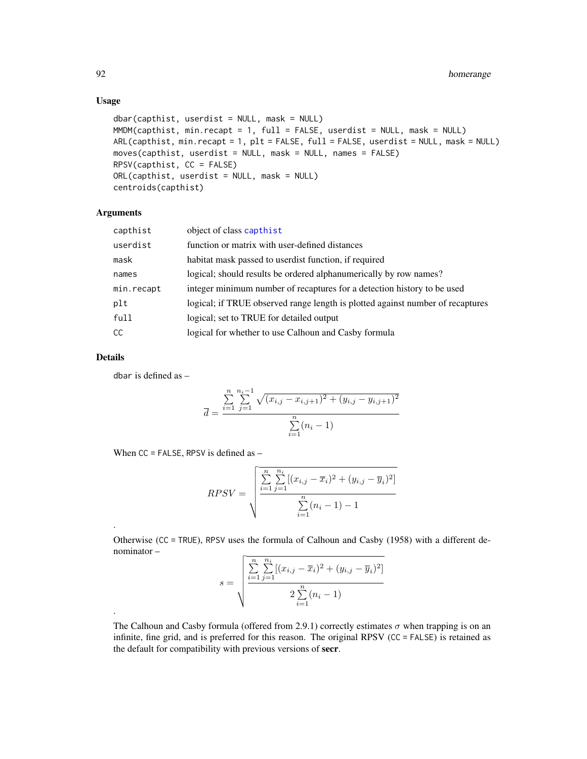# Usage

```
dbar(capthist, userdist = NULL, mask = NULL)
MMDM(capthist, min.recapt = 1, full = FALSE, userdist = NULL, mask = NULL)
ARL(capthist, min.recapt = 1, plt = FALSE, full = FALSE, userdist = NULL, mask = NULL)
moves(capthist, userdist = NULL, mask = NULL, names = FALSE)
RPSV(capthist, CC = FALSE)
ORL(capthist, userdist = NULL, mask = NULL)
centroids(capthist)
```
# Arguments

| capthist   | object of class capthist                                                       |  |
|------------|--------------------------------------------------------------------------------|--|
| userdist   | function or matrix with user-defined distances                                 |  |
| mask       | habitat mask passed to userdist function, if required                          |  |
| names      | logical; should result be ordered alphanumerically by row names?               |  |
| min.recapt | integer minimum number of recaptures for a detection history to be used        |  |
| plt        | logical; if TRUE observed range length is plotted against number of recaptures |  |
| full       | logical; set to TRUE for detailed output                                       |  |
| CC.        | logical for whether to use Calhoun and Casby formula                           |  |
|            |                                                                                |  |

# Details

.

.

dbar is defined as –

$$
\overline{d} = \frac{\sum_{i=1}^{n} \sum_{j=1}^{n_i - 1} \sqrt{(x_{i,j} - x_{i,j+1})^2 + (y_{i,j} - y_{i,j+1})^2}}{\sum_{i=1}^{n} (n_i - 1)}
$$

When  $CC = FALSE$ , RPSV is defined as  $-$ 

$$
RPSV = \sqrt{\frac{\sum_{i=1}^{n} \sum_{j=1}^{n_i} [(x_{i,j} - \overline{x}_i)^2 + (y_{i,j} - \overline{y}_i)^2]}{\sum_{i=1}^{n} (n_i - 1) - 1}}
$$

Otherwise (CC = TRUE), RPSV uses the formula of Calhoun and Casby (1958) with a different denominator –

$$
s = \sqrt{\frac{\sum_{i=1}^{n} \sum_{j=1}^{n_i} [(x_{i,j} - \overline{x}_i)^2 + (y_{i,j} - \overline{y}_i)^2]}{2 \sum_{i=1}^{n} (n_i - 1)}}
$$

The Calhoun and Casby formula (offered from 2.9.1) correctly estimates  $\sigma$  when trapping is on an infinite, fine grid, and is preferred for this reason. The original RPSV (CC = FALSE) is retained as the default for compatibility with previous versions of secr.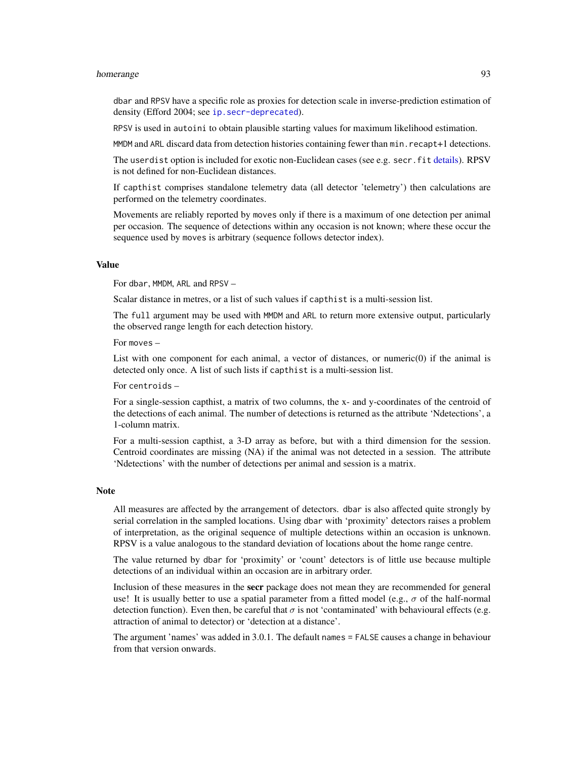#### homerange 50 and 33 and 33 and 33 and 33 and 33 and 33 and 33 and 33 and 33 and 33 and 33 and 33 and 33 and 33

dbar and RPSV have a specific role as proxies for detection scale in inverse-prediction estimation of density (Efford 2004; see ip. secr-deprecated).

RPSV is used in autoini to obtain plausible starting values for maximum likelihood estimation.

MMDM and ARL discard data from detection histories containing fewer than min. recapt+1 detections.

The userdist option is included for exotic non-Euclidean cases (see e.g. secr.fit [details\)](#page-51-0). RPSV is not defined for non-Euclidean distances.

If capthist comprises standalone telemetry data (all detector 'telemetry') then calculations are performed on the telemetry coordinates.

Movements are reliably reported by moves only if there is a maximum of one detection per animal per occasion. The sequence of detections within any occasion is not known; where these occur the sequence used by moves is arbitrary (sequence follows detector index).

#### Value

For dbar, MMDM, ARL and RPSV –

Scalar distance in metres, or a list of such values if capthist is a multi-session list.

The full argument may be used with MMDM and ARL to return more extensive output, particularly the observed range length for each detection history.

 $For *move* =$ 

List with one component for each animal, a vector of distances, or numeric $(0)$  if the animal is detected only once. A list of such lists if capthist is a multi-session list.

For centroids –

For a single-session capthist, a matrix of two columns, the x- and y-coordinates of the centroid of the detections of each animal. The number of detections is returned as the attribute 'Ndetections', a 1-column matrix.

For a multi-session capthist, a 3-D array as before, but with a third dimension for the session. Centroid coordinates are missing (NA) if the animal was not detected in a session. The attribute 'Ndetections' with the number of detections per animal and session is a matrix.

#### **Note**

All measures are affected by the arrangement of detectors. dbar is also affected quite strongly by serial correlation in the sampled locations. Using dbar with 'proximity' detectors raises a problem of interpretation, as the original sequence of multiple detections within an occasion is unknown. RPSV is a value analogous to the standard deviation of locations about the home range centre.

The value returned by dbar for 'proximity' or 'count' detectors is of little use because multiple detections of an individual within an occasion are in arbitrary order.

Inclusion of these measures in the **secr** package does not mean they are recommended for general use! It is usually better to use a spatial parameter from a fitted model (e.g.,  $\sigma$  of the half-normal detection function). Even then, be careful that  $\sigma$  is not 'contaminated' with behavioural effects (e.g. attraction of animal to detector) or 'detection at a distance'.

The argument 'names' was added in 3.0.1. The default names = FALSE causes a change in behaviour from that version onwards.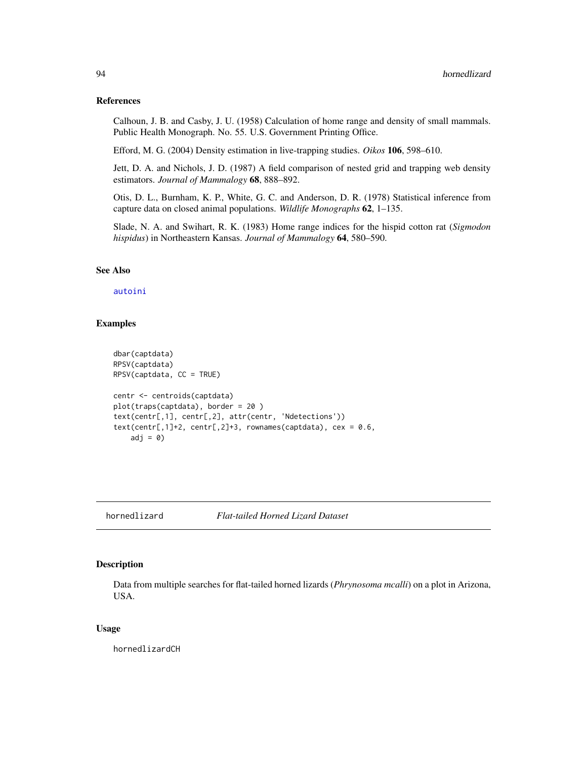# References

Calhoun, J. B. and Casby, J. U. (1958) Calculation of home range and density of small mammals. Public Health Monograph. No. 55. U.S. Government Printing Office.

Efford, M. G. (2004) Density estimation in live-trapping studies. *Oikos* 106, 598–610.

Jett, D. A. and Nichols, J. D. (1987) A field comparison of nested grid and trapping web density estimators. *Journal of Mammalogy* 68, 888–892.

Otis, D. L., Burnham, K. P., White, G. C. and Anderson, D. R. (1978) Statistical inference from capture data on closed animal populations. *Wildlife Monographs* 62, 1–135.

Slade, N. A. and Swihart, R. K. (1983) Home range indices for the hispid cotton rat (*Sigmodon hispidus*) in Northeastern Kansas. *Journal of Mammalogy* 64, 580–590.

#### See Also

# [autoini](#page-19-0)

# Examples

```
dbar(captdata)
RPSV(captdata)
RPSV(captdata, CC = TRUE)
centr <- centroids(captdata)
plot(traps(captdata), border = 20 )
text(centr[,1], centr[,2], attr(centr, 'Ndetections'))
text(centr[,1]+2, centr[,2]+3, rownames(captdata), cex = 0.6,adj = 0
```
hornedlizard *Flat-tailed Horned Lizard Dataset*

# Description

Data from multiple searches for flat-tailed horned lizards (*Phrynosoma mcalli*) on a plot in Arizona, USA.

#### Usage

hornedlizardCH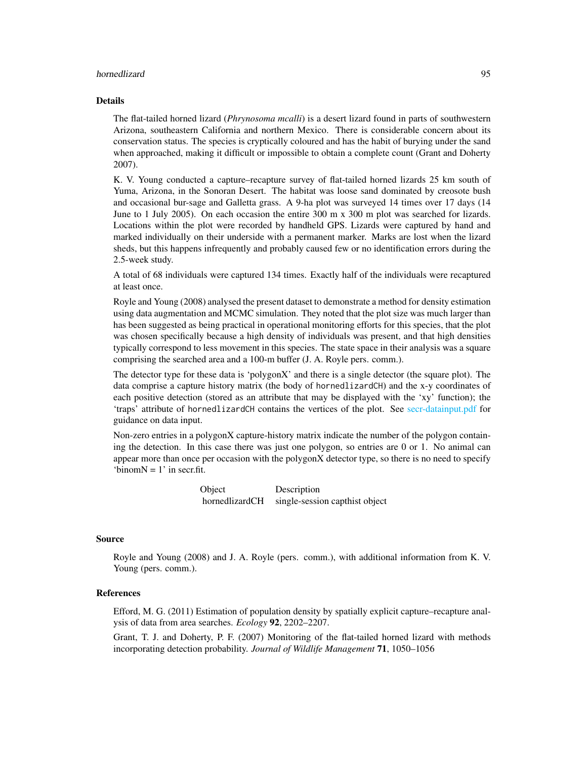### hornedlizard 95

# Details

The flat-tailed horned lizard (*Phrynosoma mcalli*) is a desert lizard found in parts of southwestern Arizona, southeastern California and northern Mexico. There is considerable concern about its conservation status. The species is cryptically coloured and has the habit of burying under the sand when approached, making it difficult or impossible to obtain a complete count (Grant and Doherty 2007).

K. V. Young conducted a capture–recapture survey of flat-tailed horned lizards 25 km south of Yuma, Arizona, in the Sonoran Desert. The habitat was loose sand dominated by creosote bush and occasional bur-sage and Galletta grass. A 9-ha plot was surveyed 14 times over 17 days (14 June to 1 July 2005). On each occasion the entire 300 m x 300 m plot was searched for lizards. Locations within the plot were recorded by handheld GPS. Lizards were captured by hand and marked individually on their underside with a permanent marker. Marks are lost when the lizard sheds, but this happens infrequently and probably caused few or no identification errors during the 2.5-week study.

A total of 68 individuals were captured 134 times. Exactly half of the individuals were recaptured at least once.

Royle and Young (2008) analysed the present dataset to demonstrate a method for density estimation using data augmentation and MCMC simulation. They noted that the plot size was much larger than has been suggested as being practical in operational monitoring efforts for this species, that the plot was chosen specifically because a high density of individuals was present, and that high densities typically correspond to less movement in this species. The state space in their analysis was a square comprising the searched area and a 100-m buffer (J. A. Royle pers. comm.).

The detector type for these data is 'polygonX' and there is a single detector (the square plot). The data comprise a capture history matrix (the body of hornedlizardCH) and the x-y coordinates of each positive detection (stored as an attribute that may be displayed with the 'xy' function); the 'traps' attribute of hornedlizardCH contains the vertices of the plot. See [secr-datainput.pdf](#page-0-0) for guidance on data input.

Non-zero entries in a polygonX capture-history matrix indicate the number of the polygon containing the detection. In this case there was just one polygon, so entries are 0 or 1. No animal can appear more than once per occasion with the polygonX detector type, so there is no need to specify 'binom $N = 1$ ' in secr.fit.

> Object Description hornedlizardCH single-session capthist object

# Source

Royle and Young (2008) and J. A. Royle (pers. comm.), with additional information from K. V. Young (pers. comm.).

# References

Efford, M. G. (2011) Estimation of population density by spatially explicit capture–recapture analysis of data from area searches. *Ecology* 92, 2202–2207.

Grant, T. J. and Doherty, P. F. (2007) Monitoring of the flat-tailed horned lizard with methods incorporating detection probability. *Journal of Wildlife Management* 71, 1050–1056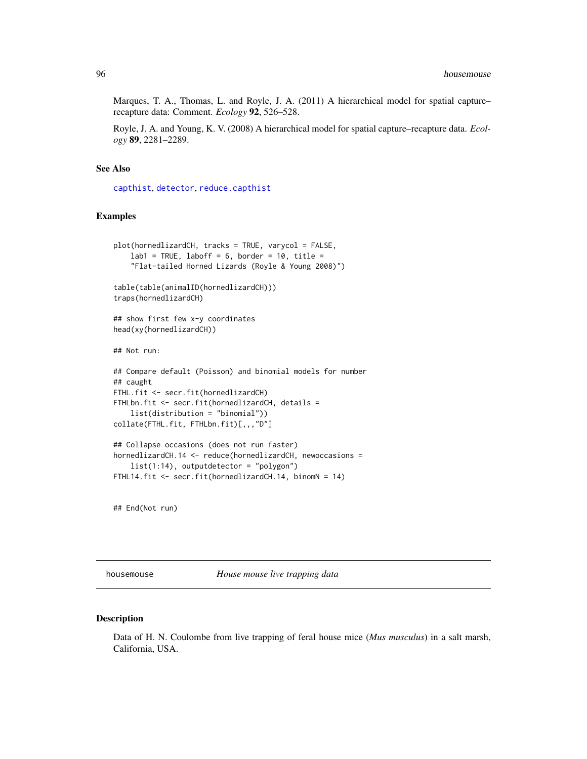Marques, T. A., Thomas, L. and Royle, J. A. (2011) A hierarchical model for spatial capture– recapture data: Comment. *Ecology* 92, 526–528.

Royle, J. A. and Young, K. V. (2008) A hierarchical model for spatial capture–recapture data. *Ecology* 89, 2281–2289.

# See Also

[capthist](#page-24-0), [detector](#page-57-0), [reduce.capthist](#page-200-0)

# Examples

```
plot(hornedlizardCH, tracks = TRUE, varycol = FALSE,
    lab1 = TRUE, laboff = 6, border = 10, title =
    "Flat-tailed Horned Lizards (Royle & Young 2008)")
table(table(animalID(hornedlizardCH)))
traps(hornedlizardCH)
## show first few x-y coordinates
head(xy(hornedlizardCH))
## Not run:
## Compare default (Poisson) and binomial models for number
## caught
FTHL.fit <- secr.fit(hornedlizardCH)
FTHLbn.fit \leq secr.fit(hornedlizardCH, details =
    list(distribution = "binomial"))
collate(FTHL.fit, FTHLbn.fit)[,,,"D"]
## Collapse occasions (does not run faster)
hornedlizardCH.14 <- reduce(hornedlizardCH, newoccasions =
   list(1:14), outputdetector = "polygon")
FTHL14.fit <- secr.fit(hornedlizardCH.14, binomN = 14)
```
## End(Not run)

housemouse *House mouse live trapping data*

# Description

Data of H. N. Coulombe from live trapping of feral house mice (*Mus musculus*) in a salt marsh, California, USA.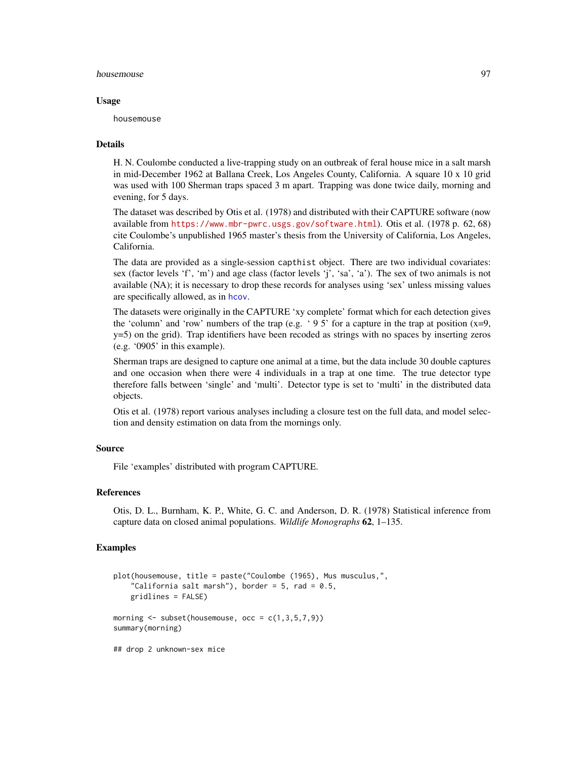#### housemouse **97**

# Usage

housemouse

# Details

H. N. Coulombe conducted a live-trapping study on an outbreak of feral house mice in a salt marsh in mid-December 1962 at Ballana Creek, Los Angeles County, California. A square 10 x 10 grid was used with 100 Sherman traps spaced 3 m apart. Trapping was done twice daily, morning and evening, for 5 days.

The dataset was described by Otis et al. (1978) and distributed with their CAPTURE software (now available from <https://www.mbr-pwrc.usgs.gov/software.html>). Otis et al. (1978 p. 62, 68) cite Coulombe's unpublished 1965 master's thesis from the University of California, Los Angeles, California.

The data are provided as a single-session capthist object. There are two individual covariates: sex (factor levels 'f', 'm') and age class (factor levels 'j', 'sa', 'a'). The sex of two animals is not available (NA); it is necessary to drop these records for analyses using 'sex' unless missing values are specifically allowed, as in [hcov](#page-86-0).

The datasets were originally in the CAPTURE 'xy complete' format which for each detection gives the 'column' and 'row' numbers of the trap (e.g. '95' for a capture in the trap at position  $(x=9,$ y=5) on the grid). Trap identifiers have been recoded as strings with no spaces by inserting zeros (e.g. '0905' in this example).

Sherman traps are designed to capture one animal at a time, but the data include 30 double captures and one occasion when there were 4 individuals in a trap at one time. The true detector type therefore falls between 'single' and 'multi'. Detector type is set to 'multi' in the distributed data objects.

Otis et al. (1978) report various analyses including a closure test on the full data, and model selection and density estimation on data from the mornings only.

# Source

File 'examples' distributed with program CAPTURE.

# References

Otis, D. L., Burnham, K. P., White, G. C. and Anderson, D. R. (1978) Statistical inference from capture data on closed animal populations. *Wildlife Monographs* 62, 1–135.

#### Examples

```
plot(housemouse, title = paste("Coulombe (1965), Mus musculus,",
    "California salt marsh"), border = 5, rad = 0.5,
   gridlines = FALSE)
morning \leq subset(housemouse, occ = c(1,3,5,7,9))
summary(morning)
## drop 2 unknown-sex mice
```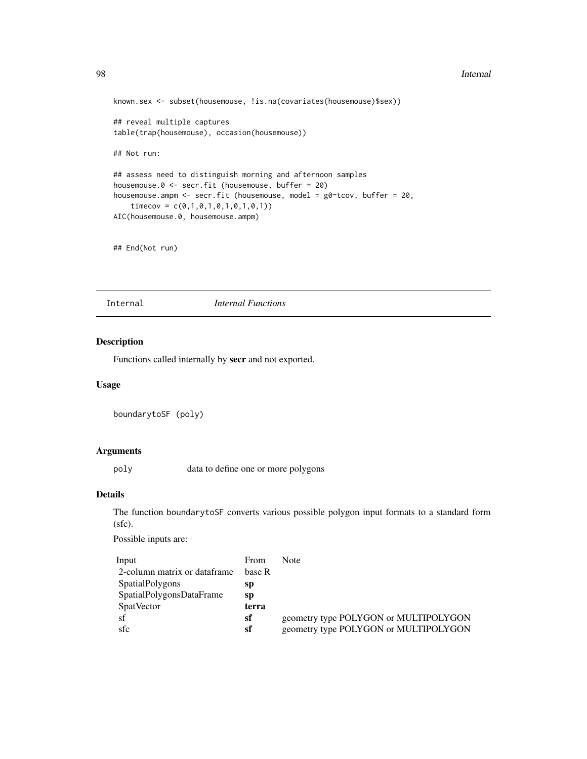#### 98 **Internal**

```
known.sex <- subset(housemouse, !is.na(covariates(housemouse)$sex))
## reveal multiple captures
table(trap(housemouse), occasion(housemouse))
## Not run:
## assess need to distinguish morning and afternoon samples
housemouse.0 <- secr.fit (housemouse, buffer = 20)
housemouse.ampm <- secr.fit (housemouse, model = g0~tcov, buffer = 20,
    timecov = c(0,1,0,1,0,1,0,1,0,1))AIC(housemouse.0, housemouse.ampm)
```

```
## End(Not run)
```
Internal *Internal Functions*

#### Description

Functions called internally by secr and not exported.

# Usage

```
boundarytoSF (poly)
```
# Arguments

poly data to define one or more polygons

# Details

The function boundarytoSF converts various possible polygon input formats to a standard form (sfc).

Possible inputs are:

| Input                        | <b>From</b> | Note                                  |
|------------------------------|-------------|---------------------------------------|
| 2-column matrix or dataframe | base R      |                                       |
| <b>SpatialPolygons</b>       | sp          |                                       |
| SpatialPolygonsDataFrame     | sp          |                                       |
| <b>SpatVector</b>            | terra       |                                       |
| -sf                          | sf          | geometry type POLYGON or MULTIPOLYGON |
| sfc                          | sf          | geometry type POLYGON or MULTIPOLYGON |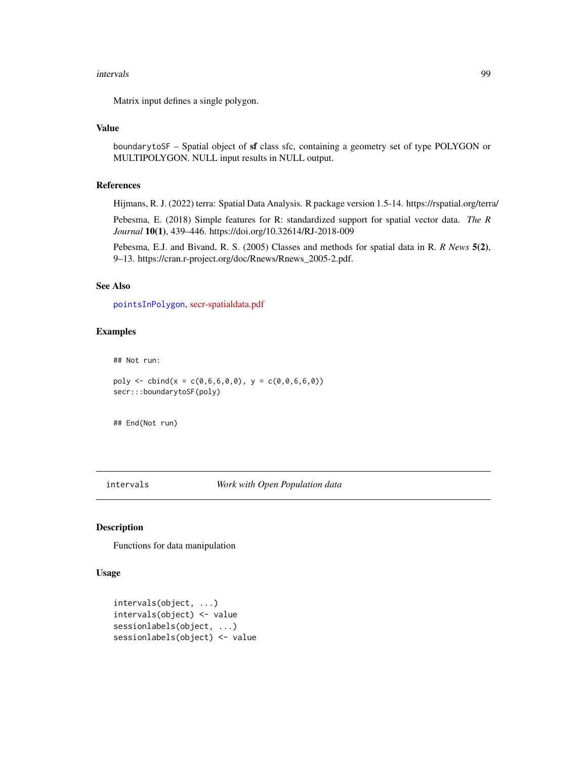#### intervals 99

Matrix input defines a single polygon.

# Value

boundarytoSF – Spatial object of sf class sfc, containing a geometry set of type POLYGON or MULTIPOLYGON. NULL input results in NULL output.

# References

Hijmans, R. J. (2022) terra: Spatial Data Analysis. R package version 1.5-14. https://rspatial.org/terra/

Pebesma, E. (2018) Simple features for R: standardized support for spatial vector data. *The R Journal* 10(1), 439–446. https://doi.org/10.32614/RJ-2018-009

Pebesma, E.J. and Bivand, R. S. (2005) Classes and methods for spatial data in R. *R News* 5(2), 9–13. https://cran.r-project.org/doc/Rnews/Rnews\_2005-2.pdf.

# See Also

[pointsInPolygon](#page-169-0), [secr-spatialdata.pdf](https://www.otago.ac.nz/density/pdfs/secr-spatialdata.pdf)

# Examples

## Not run:

poly  $\le$  cbind(x = c(0,6,6,0,0), y = c(0,0,6,6,0)) secr:::boundarytoSF(poly)

## End(Not run)

#### intervals *Work with Open Population data*

# Description

Functions for data manipulation

# Usage

```
intervals(object, ...)
intervals(object) <- value
sessionlabels(object, ...)
sessionlabels(object) <- value
```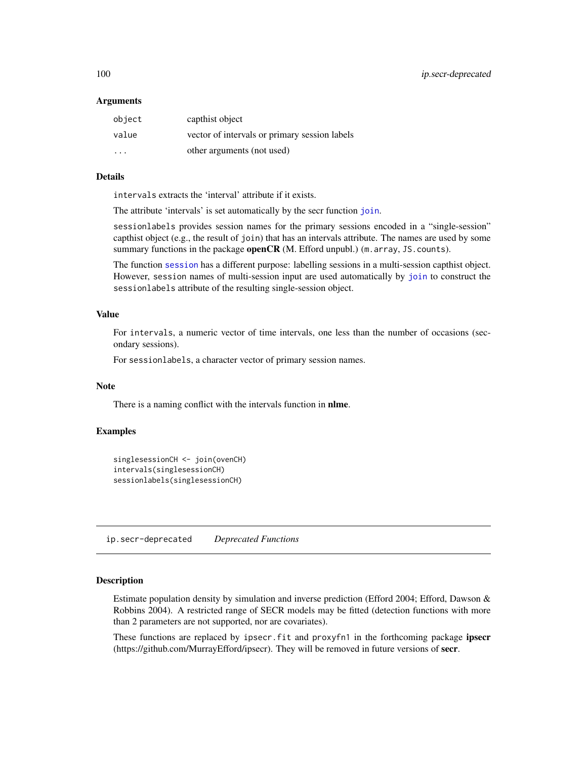# Arguments

| object                  | capthist object                               |
|-------------------------|-----------------------------------------------|
| value                   | vector of intervals or primary session labels |
| $\cdot$ $\cdot$ $\cdot$ | other arguments (not used)                    |

#### Details

intervals extracts the 'interval' attribute if it exists.

The attribute 'intervals' is set automatically by the secr function [join](#page-104-0).

sessionlabels provides session names for the primary sessions encoded in a "single-session" capthist object (e.g., the result of join) that has an intervals attribute. The names are used by some summary functions in the package open $CR$  (M. Efford unpubl.) (m. array, JS. counts).

The function [session](#page-232-0) has a different purpose: labelling sessions in a multi-session capthist object. However, session names of multi-session input are used automatically by [join](#page-104-0) to construct the sessionlabels attribute of the resulting single-session object.

# Value

For intervals, a numeric vector of time intervals, one less than the number of occasions (secondary sessions).

For sessionlabels, a character vector of primary session names.

# Note

There is a naming conflict with the intervals function in nlme.

# Examples

```
singlesessionCH <- join(ovenCH)
intervals(singlesessionCH)
sessionlabels(singlesessionCH)
```
<span id="page-99-0"></span>ip.secr-deprecated *Deprecated Functions*

# Description

Estimate population density by simulation and inverse prediction (Efford 2004; Efford, Dawson & Robbins 2004). A restricted range of SECR models may be fitted (detection functions with more than 2 parameters are not supported, nor are covariates).

These functions are replaced by ipsecr.fit and proxyfn1 in the forthcoming package ipsecr (https://github.com/MurrayEfford/ipsecr). They will be removed in future versions of secr.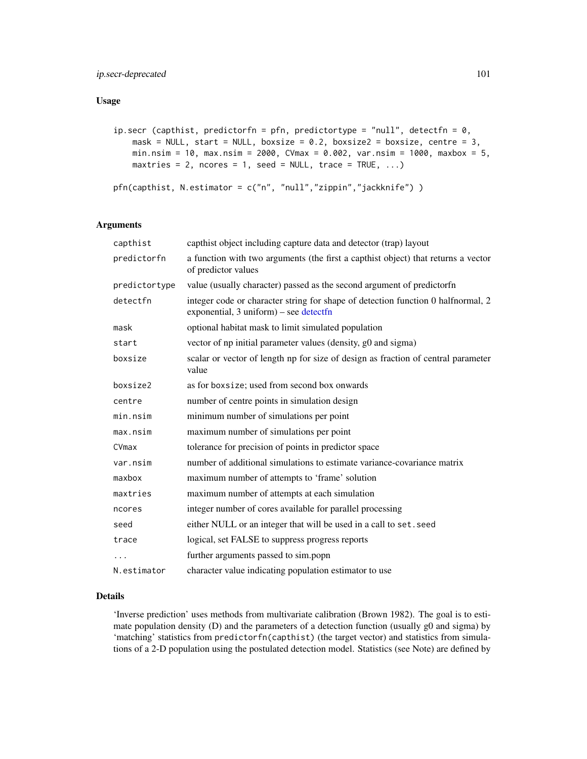# Usage

```
ip.secr (capthist, predictorfn = pfn, predictortype = "null", detectfn = 0,
    mask = NULL, start = NULL, boxsize = 0.2, boxsize2 = boxsize, centre = 3,
    min.nsim = 10, max.nsim = 2000, CVmax = 0.002, var.nsim = 1000, maxbox = 5,
   maxtries = 2, ncores = 1, seed = NULL, trace = TRUE, \ldots)
pfn(capthist, N.estimator = c("n", "null","zippin","jackknife") )
```
# Arguments

| capthist      | capthist object including capture data and detector (trap) layout                                                          |
|---------------|----------------------------------------------------------------------------------------------------------------------------|
| predictorfn   | a function with two arguments (the first a capthist object) that returns a vector<br>of predictor values                   |
| predictortype | value (usually character) passed as the second argument of predictorfn                                                     |
| detectfn      | integer code or character string for shape of detection function 0 halfnormal, 2<br>exponential, 3 uniform) – see detectfn |
| mask          | optional habitat mask to limit simulated population                                                                        |
| start         | vector of np initial parameter values (density, g0 and sigma)                                                              |
| boxsize       | scalar or vector of length np for size of design as fraction of central parameter<br>value                                 |
| boxsize2      | as for boxsize; used from second box onwards                                                                               |
| centre        | number of centre points in simulation design                                                                               |
| min.nsim      | minimum number of simulations per point                                                                                    |
| max.nsim      | maximum number of simulations per point                                                                                    |
| CVmax         | tolerance for precision of points in predictor space                                                                       |
| var.nsim      | number of additional simulations to estimate variance-covariance matrix                                                    |
| maxbox        | maximum number of attempts to 'frame' solution                                                                             |
| maxtries      | maximum number of attempts at each simulation                                                                              |
| ncores        | integer number of cores available for parallel processing                                                                  |
| seed          | either NULL or an integer that will be used in a call to set. seed                                                         |
| trace         | logical, set FALSE to suppress progress reports                                                                            |
|               | further arguments passed to sim.popn                                                                                       |
| N.estimator   | character value indicating population estimator to use                                                                     |

# Details

'Inverse prediction' uses methods from multivariate calibration (Brown 1982). The goal is to estimate population density (D) and the parameters of a detection function (usually g0 and sigma) by 'matching' statistics from predictorfn(capthist) (the target vector) and statistics from simulations of a 2-D population using the postulated detection model. Statistics (see Note) are defined by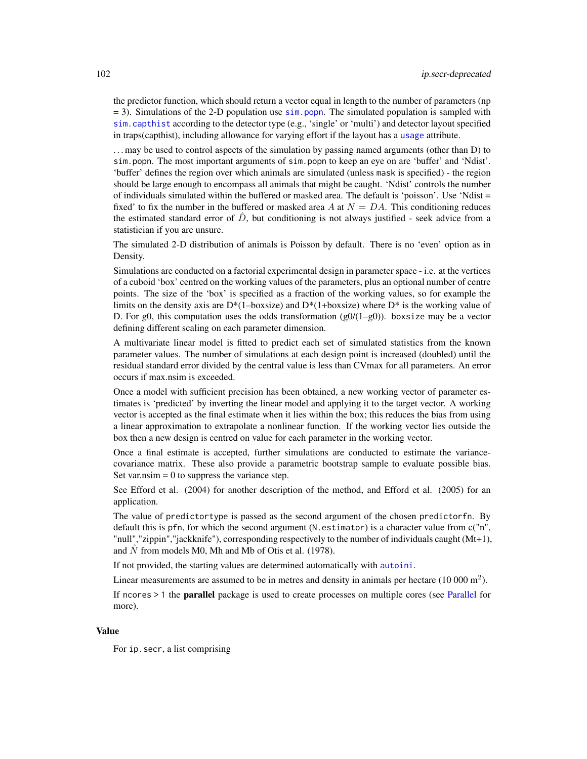the predictor function, which should return a vector equal in length to the number of parameters (np  $= 3$ ). Simulations of the 2-D population use [sim.popn](#page-243-0). The simulated population is sampled with [sim.capthist](#page-238-0) according to the detector type (e.g., 'single' or 'multi') and detector layout specified in traps(capthist), including allowance for varying effort if the layout has a [usage](#page-296-0) attribute.

. . . may be used to control aspects of the simulation by passing named arguments (other than D) to sim.popn. The most important arguments of sim.popn to keep an eye on are 'buffer' and 'Ndist'. 'buffer' defines the region over which animals are simulated (unless mask is specified) - the region should be large enough to encompass all animals that might be caught. 'Ndist' controls the number of individuals simulated within the buffered or masked area. The default is 'poisson'. Use 'Ndist = fixed' to fix the number in the buffered or masked area A at  $N = DA$ . This conditioning reduces the estimated standard error of  $\hat{D}$ , but conditioning is not always justified - seek advice from a statistician if you are unsure.

The simulated 2-D distribution of animals is Poisson by default. There is no 'even' option as in Density.

Simulations are conducted on a factorial experimental design in parameter space - i.e. at the vertices of a cuboid 'box' centred on the working values of the parameters, plus an optional number of centre points. The size of the 'box' is specified as a fraction of the working values, so for example the limits on the density axis are  $D^*(1-boxsize)$  and  $D^*(1+boxsize)$  where  $D^*$  is the working value of D. For g0, this computation uses the odds transformation  $(g0/(1-g0))$ . boxsize may be a vector defining different scaling on each parameter dimension.

A multivariate linear model is fitted to predict each set of simulated statistics from the known parameter values. The number of simulations at each design point is increased (doubled) until the residual standard error divided by the central value is less than CVmax for all parameters. An error occurs if max.nsim is exceeded.

Once a model with sufficient precision has been obtained, a new working vector of parameter estimates is 'predicted' by inverting the linear model and applying it to the target vector. A working vector is accepted as the final estimate when it lies within the box; this reduces the bias from using a linear approximation to extrapolate a nonlinear function. If the working vector lies outside the box then a new design is centred on value for each parameter in the working vector.

Once a final estimate is accepted, further simulations are conducted to estimate the variancecovariance matrix. These also provide a parametric bootstrap sample to evaluate possible bias. Set var.nsim  $= 0$  to suppress the variance step.

See Efford et al. (2004) for another description of the method, and Efford et al. (2005) for an application.

The value of predictortype is passed as the second argument of the chosen predictorfn. By default this is pfn, for which the second argument (N.estimator) is a character value from c("n", "null","zippin","jackknife"), corresponding respectively to the number of individuals caught (Mt+1), and  $\hat{N}$  from models M0, Mh and Mb of Otis et al. (1978).

If not provided, the starting values are determined automatically with [autoini](#page-19-0).

Linear measurements are assumed to be in metres and density in animals per hectare  $(10000 \text{ m}^2)$ .

If ncores > 1 the parallel package is used to create processes on multiple cores (see [Parallel](#page-147-0) for more).

# Value

For ip.secr, a list comprising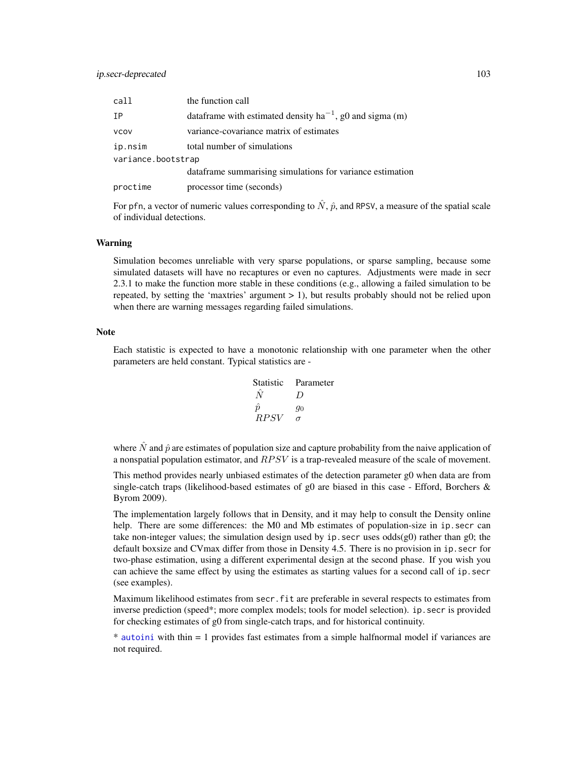| call               | the function call                                              |
|--------------------|----------------------------------------------------------------|
| IΡ                 | data frame with estimated density $ha^{-1}$ , g0 and sigma (m) |
| <b>VCOV</b>        | variance-covariance matrix of estimates                        |
| ip.nsim            | total number of simulations                                    |
| variance.bootstrap |                                                                |
|                    | dataframe summarising simulations for variance estimation      |
| proctime           | processor time (seconds)                                       |

For pfn, a vector of numeric values corresponding to  $\hat{N}$ ,  $\hat{p}$ , and RPSV, a measure of the spatial scale of individual detections.

# Warning

Simulation becomes unreliable with very sparse populations, or sparse sampling, because some simulated datasets will have no recaptures or even no captures. Adjustments were made in secr 2.3.1 to make the function more stable in these conditions (e.g., allowing a failed simulation to be repeated, by setting the 'maxtries' argument > 1), but results probably should not be relied upon when there are warning messages regarding failed simulations.

# Note

Each statistic is expected to have a monotonic relationship with one parameter when the other parameters are held constant. Typical statistics are -

| Statistic | Parameter |
|-----------|-----------|
| $\hat{N}$ | D         |
| $\hat{p}$ | $g_0$     |
| $RPSV$    | $\sigma$  |

where  $\hat{N}$  and  $\hat{p}$  are estimates of population size and capture probability from the naive application of a nonspatial population estimator, and  $RPSV$  is a trap-revealed measure of the scale of movement.

This method provides nearly unbiased estimates of the detection parameter g0 when data are from single-catch traps (likelihood-based estimates of g0 are biased in this case - Efford, Borchers  $\&$ Byrom 2009).

The implementation largely follows that in Density, and it may help to consult the Density online help. There are some differences: the M0 and Mb estimates of population-size in ip. secr can take non-integer values; the simulation design used by ip. secr uses  $odds(g0)$  rather than g0; the default boxsize and CVmax differ from those in Density 4.5. There is no provision in ip.secr for two-phase estimation, using a different experimental design at the second phase. If you wish you can achieve the same effect by using the estimates as starting values for a second call of ip. secr (see examples).

Maximum likelihood estimates from secr.fit are preferable in several respects to estimates from inverse prediction (speed\*; more complex models; tools for model selection). ip. secr is provided for checking estimates of g0 from single-catch traps, and for historical continuity.

\* [autoini](#page-19-0) with thin = 1 provides fast estimates from a simple halfnormal model if variances are not required.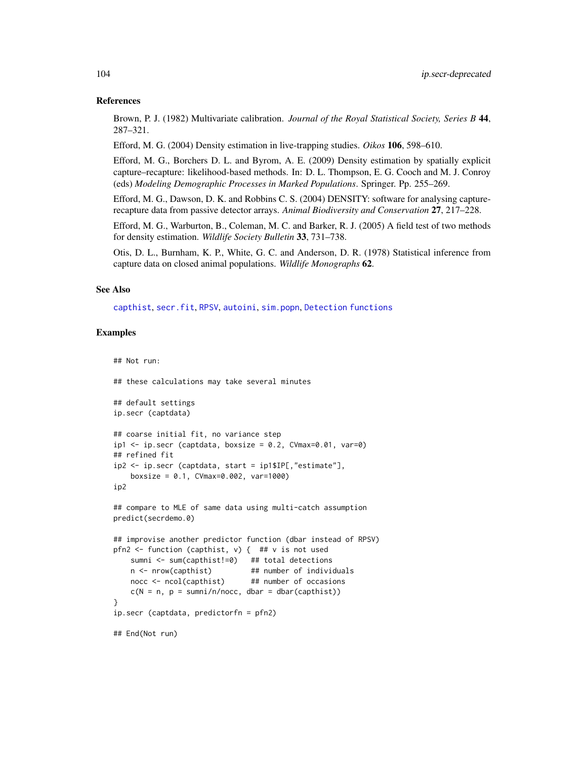# References

Brown, P. J. (1982) Multivariate calibration. *Journal of the Royal Statistical Society, Series B* 44, 287–321.

Efford, M. G. (2004) Density estimation in live-trapping studies. *Oikos* 106, 598–610.

Efford, M. G., Borchers D. L. and Byrom, A. E. (2009) Density estimation by spatially explicit capture–recapture: likelihood-based methods. In: D. L. Thompson, E. G. Cooch and M. J. Conroy (eds) *Modeling Demographic Processes in Marked Populations*. Springer. Pp. 255–269.

Efford, M. G., Dawson, D. K. and Robbins C. S. (2004) DENSITY: software for analysing capturerecapture data from passive detector arrays. *Animal Biodiversity and Conservation* 27, 217–228.

Efford, M. G., Warburton, B., Coleman, M. C. and Barker, R. J. (2005) A field test of two methods for density estimation. *Wildlife Society Bulletin* 33, 731–738.

Otis, D. L., Burnham, K. P., White, G. C. and Anderson, D. R. (1978) Statistical inference from capture data on closed animal populations. *Wildlife Monographs* 62.

# See Also

[capthist](#page-24-0), [secr.fit](#page-218-0), [RPSV](#page-90-0), [autoini](#page-19-0), [sim.popn](#page-243-0), [Detection functions](#page-0-0)

# Examples

## Not run:

```
## these calculations may take several minutes
## default settings
ip.secr (captdata)
## coarse initial fit, no variance step
ip1 \leq ip \secr (captdata, boxsize = 0.2, CVmax=0.01, var=0)
## refined fit
ip2 <- ip.secr (captdata, start = ip1$IP[,"estimate"],
   boxsize = 0.1, CVmax=0.002, var=1000)
ip2
## compare to MLE of same data using multi-catch assumption
predict(secrdemo.0)
## improvise another predictor function (dbar instead of RPSV)
pfn2 \le function (capthist, v) { ## v is not used
   sumni <- sum(capthist!=0) ## total detections
   n <- nrow(capthist) ## number of individuals
   nocc <- ncol(capthist) ## number of occasions
    c(N = n, p = sumni/n/nocc, dbar = dbar(capthist))}
ip.secr (captdata, predictorfn = pfn2)
## End(Not run)
```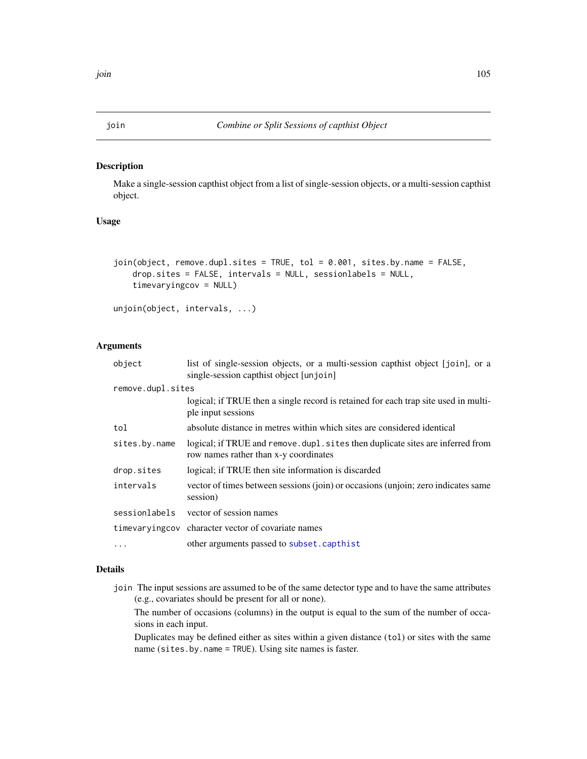#### Description

Make a single-session capthist object from a list of single-session objects, or a multi-session capthist object.

# Usage

```
join(object, remove.dupl.sites = TRUE, tol = 0.001, sites.by.name = FALSE,
   drop.sites = FALSE, intervals = NULL, sessionlabels = NULL,
   timevaryingcov = NULL)
```

```
unjoin(object, intervals, ...)
```
# Arguments

| object            | list of single-session objects, or a multi-session capthist object [join], or a<br>single-session capthist object [unjoin] |  |
|-------------------|----------------------------------------------------------------------------------------------------------------------------|--|
| remove.dupl.sites |                                                                                                                            |  |
|                   | logical; if TRUE then a single record is retained for each trap site used in multi-<br>ple input sessions                  |  |
| tol               | absolute distance in metres within which sites are considered identical                                                    |  |
| sites.by.name     | logical; if TRUE and remove . dupl. sites then duplicate sites are inferred from<br>row names rather than x-y coordinates  |  |
| drop.sites        | logical; if TRUE then site information is discarded                                                                        |  |
| intervals         | vector of times between sessions (join) or occasions (unjoin; zero indicates same<br>session)                              |  |
| sessionlabels     | vector of session names                                                                                                    |  |
|                   | time varying cov character vector of covariate names                                                                       |  |
| .                 | other arguments passed to subset.capthist                                                                                  |  |

# Details

join The input sessions are assumed to be of the same detector type and to have the same attributes (e.g., covariates should be present for all or none).

The number of occasions (columns) in the output is equal to the sum of the number of occasions in each input.

Duplicates may be defined either as sites within a given distance (tol) or sites with the same name (sites.by.name = TRUE). Using site names is faster.

# <span id="page-104-0"></span>join *Combine or Split Sessions of capthist Object*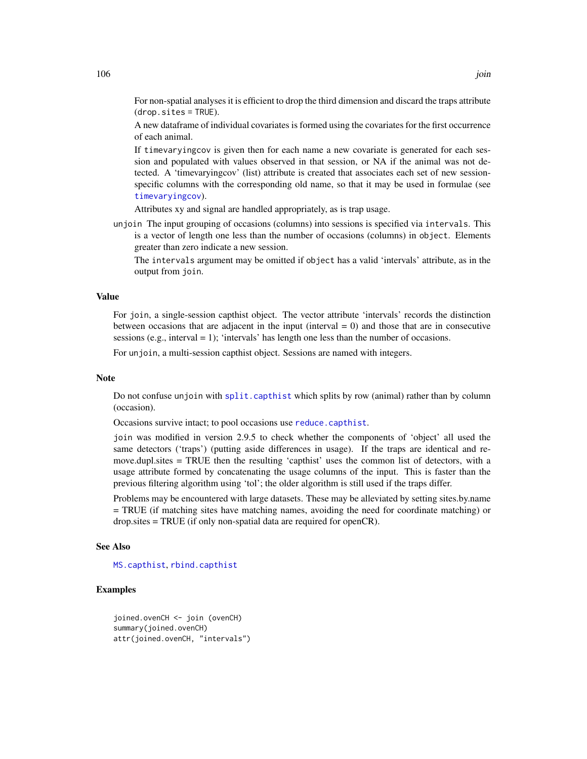For non-spatial analyses it is efficient to drop the third dimension and discard the traps attribute  $(drop.sites = TRUE).$ 

A new dataframe of individual covariates is formed using the covariates for the first occurrence of each animal.

If timevaryingcov is given then for each name a new covariate is generated for each session and populated with values observed in that session, or NA if the animal was not detected. A 'timevaryingcov' (list) attribute is created that associates each set of new sessionspecific columns with the corresponding old name, so that it may be used in formulae (see [timevaryingcov](#page-278-0)).

Attributes xy and signal are handled appropriately, as is trap usage.

unjoin The input grouping of occasions (columns) into sessions is specified via intervals. This is a vector of length one less than the number of occasions (columns) in object. Elements greater than zero indicate a new session.

The intervals argument may be omitted if object has a valid 'intervals' attribute, as in the output from join.

# Value

For join, a single-session capthist object. The vector attribute 'intervals' records the distinction between occasions that are adjacent in the input (interval  $= 0$ ) and those that are in consecutive sessions (e.g., interval  $= 1$ ); 'intervals' has length one less than the number of occasions.

For unjoin, a multi-session capthist object. Sessions are named with integers.

#### **Note**

Do not confuse unjoin with [split.capthist](#page-264-1) which splits by row (animal) rather than by column (occasion).

Occasions survive intact; to pool occasions use [reduce.capthist](#page-200-0).

join was modified in version 2.9.5 to check whether the components of 'object' all used the same detectors ('traps') (putting aside differences in usage). If the traps are identical and remove.dupl.sites = TRUE then the resulting 'capthist' uses the common list of detectors, with a usage attribute formed by concatenating the usage columns of the input. This is faster than the previous filtering algorithm using 'tol'; the older algorithm is still used if the traps differ.

Problems may be encountered with large datasets. These may be alleviated by setting sites.by.name = TRUE (if matching sites have matching names, avoiding the need for coordinate matching) or drop.sites = TRUE (if only non-spatial data are required for openCR).

# See Also

[MS.capthist](#page-186-0), [rbind.capthist](#page-186-1)

# Examples

```
joined.ovenCH <- join (ovenCH)
summary(joined.ovenCH)
attr(joined.ovenCH, "intervals")
```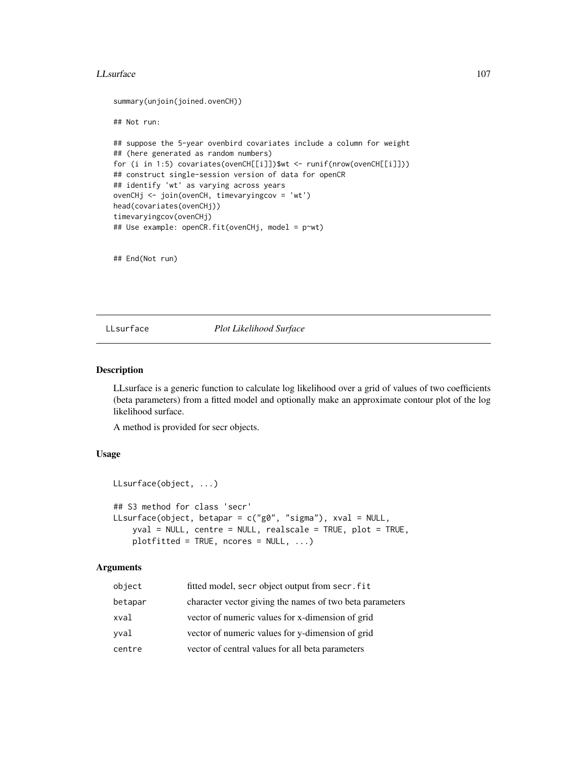#### LLsurface 107

```
summary(unjoin(joined.ovenCH))
## Not run:
## suppose the 5-year ovenbird covariates include a column for weight
## (here generated as random numbers)
for (i in 1:5) covariates(ovenCH[[i]])$wt <- runif(nrow(ovenCH[[i]]))
## construct single-session version of data for openCR
## identify 'wt' as varying across years
ovenCHj <- join(ovenCH, timevaryingcov = 'wt')
head(covariates(ovenCHj))
timevaryingcov(ovenCHj)
## Use example: openCR.fit(ovenCHj, model = p~wt)
```
## End(Not run)

LLsurface *Plot Likelihood Surface*

# Description

LLsurface is a generic function to calculate log likelihood over a grid of values of two coefficients (beta parameters) from a fitted model and optionally make an approximate contour plot of the log likelihood surface.

A method is provided for secr objects.

# Usage

```
LLsurface(object, ...)
## S3 method for class 'secr'
LLsurface(object, betapar = c("g0", "sigma"), xval = NULL,
    yval = NULL, centre = NULL, realscale = TRUE, plot = TRUE,
    plotfitted = TRUE, ncores = NULL, ...)
```
# Arguments

| object  | fitted model, secr object output from secr. fit          |
|---------|----------------------------------------------------------|
| betapar | character vector giving the names of two beta parameters |
| xval    | vector of numeric values for x-dimension of grid         |
| yval    | vector of numeric values for y-dimension of grid         |
| centre  | vector of central values for all beta parameters         |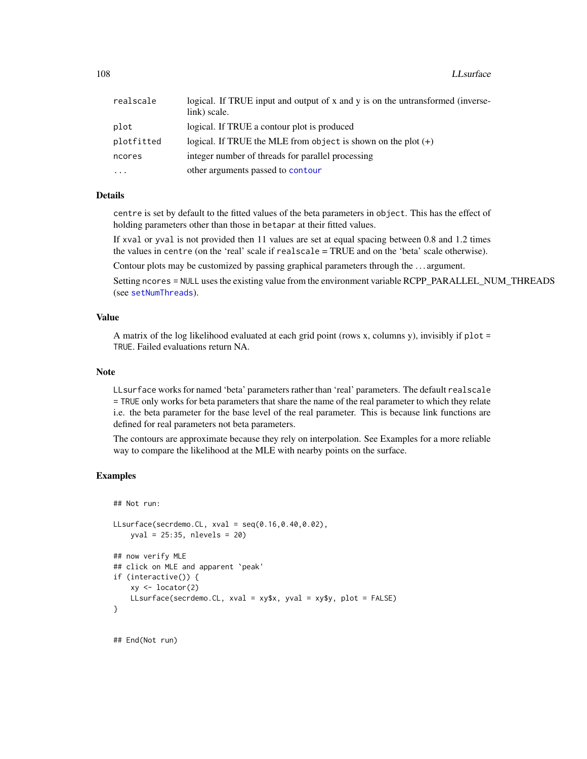| realscale  | logical. If TRUE input and output of x and y is on the untransformed (inverse-<br>link) scale. |
|------------|------------------------------------------------------------------------------------------------|
| plot       | logical. If TRUE a contour plot is produced                                                    |
| plotfitted | logical. If TRUE the MLE from object is shown on the plot $(+)$                                |
| ncores     | integer number of threads for parallel processing                                              |
| .          | other arguments passed to contour                                                              |

# Details

centre is set by default to the fitted values of the beta parameters in object. This has the effect of holding parameters other than those in betapar at their fitted values.

If xval or yval is not provided then 11 values are set at equal spacing between 0.8 and 1.2 times the values in centre (on the 'real' scale if realscale = TRUE and on the 'beta' scale otherwise).

Contour plots may be customized by passing graphical parameters through the . . . argument.

Setting ncores = NULL uses the existing value from the environment variable RCPP\_PARALLEL\_NUM\_THREADS (see [setNumThreads](#page-233-0)).

# Value

A matrix of the log likelihood evaluated at each grid point (rows x, columns y), invisibly if plot = TRUE. Failed evaluations return NA.

#### Note

LLsurface works for named 'beta' parameters rather than 'real' parameters. The default realscale = TRUE only works for beta parameters that share the name of the real parameter to which they relate i.e. the beta parameter for the base level of the real parameter. This is because link functions are defined for real parameters not beta parameters.

The contours are approximate because they rely on interpolation. See Examples for a more reliable way to compare the likelihood at the MLE with nearby points on the surface.

# Examples

```
## Not run:
```

```
LLsurface(secrdemo.CL, xval = seq(0.16,0.40,0.02),
   yval = 25:35, nlevels = 20)
## now verify MLE
## click on MLE and apparent `peak'
if (interactive()) {
   xy <- locator(2)
   LLsurface(secrdemo.CL, xval = xy$x, yval = xy$y, plot = FALSE)
}
```
## End(Not run)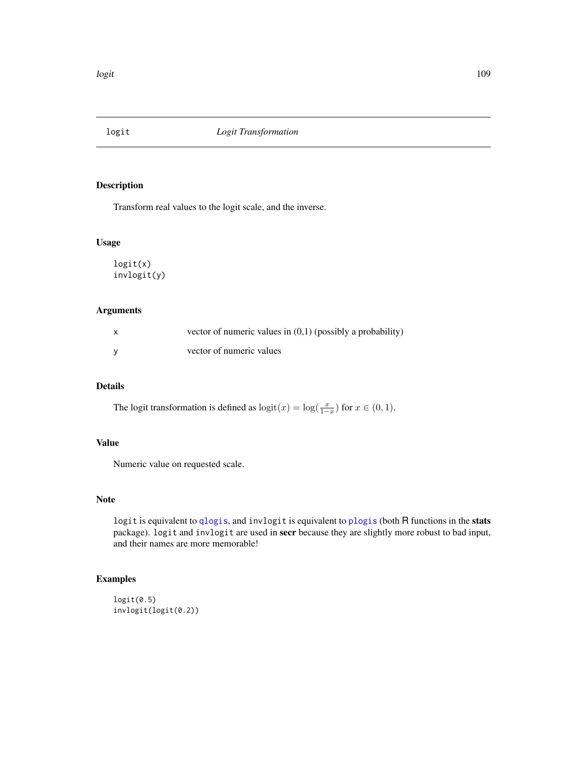Transform real values to the logit scale, and the inverse.

# Usage

logit(x) invlogit(y)

# Arguments

| $\mathsf{x}$ | vector of numeric values in $(0,1)$ (possibly a probability) |
|--------------|--------------------------------------------------------------|
|              | vector of numeric values                                     |

# Details

The logit transformation is defined as  $\text{logit}(x) = \text{log}(\frac{x}{1-x})$  for  $x \in (0,1)$ .

# Value

Numeric value on requested scale.

# Note

logit is equivalent to [qlogis](#page-0-0), and invlogit is equivalent to [plogis](#page-0-0) (both R functions in the stats package). logit and invlogit are used in secr because they are slightly more robust to bad input, and their names are more memorable!

```
logit(0.5)invlogit(logit(0.2))
```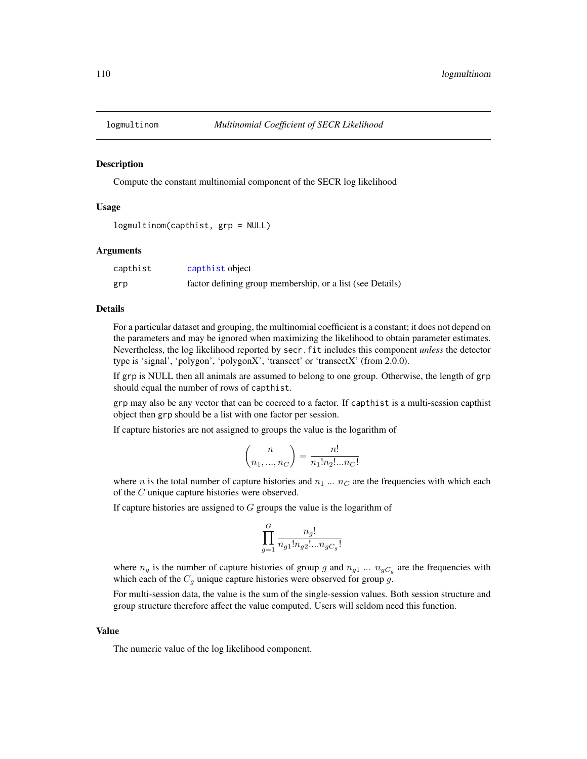Compute the constant multinomial component of the SECR log likelihood

# Usage

```
logmultinom(capthist, grp = NULL)
```
# Arguments

| capthist | capthist object                                           |
|----------|-----------------------------------------------------------|
| grp      | factor defining group membership, or a list (see Details) |

# Details

For a particular dataset and grouping, the multinomial coefficient is a constant; it does not depend on the parameters and may be ignored when maximizing the likelihood to obtain parameter estimates. Nevertheless, the log likelihood reported by secr.fit includes this component *unless* the detector type is 'signal', 'polygon', 'polygonX', 'transect' or 'transectX' (from 2.0.0).

If grp is NULL then all animals are assumed to belong to one group. Otherwise, the length of grp should equal the number of rows of capthist.

grp may also be any vector that can be coerced to a factor. If capthist is a multi-session capthist object then grp should be a list with one factor per session.

If capture histories are not assigned to groups the value is the logarithm of

$$
\binom{n}{n_1, ..., n_C} = \frac{n!}{n_1! n_2! ... n_C!}
$$

where n is the total number of capture histories and  $n_1 \dots n_C$  are the frequencies with which each of the C unique capture histories were observed.

If capture histories are assigned to  $G$  groups the value is the logarithm of

$$
\prod_{g=1}^G \frac{n_g!}{n_{g1}! n_{g2}!...n_{gC_g}!}
$$

where  $n_g$  is the number of capture histories of group g and  $n_{g1}$  ...  $n_{gC_g}$  are the frequencies with which each of the  $C_g$  unique capture histories were observed for group g.

For multi-session data, the value is the sum of the single-session values. Both session structure and group structure therefore affect the value computed. Users will seldom need this function.

#### Value

The numeric value of the log likelihood component.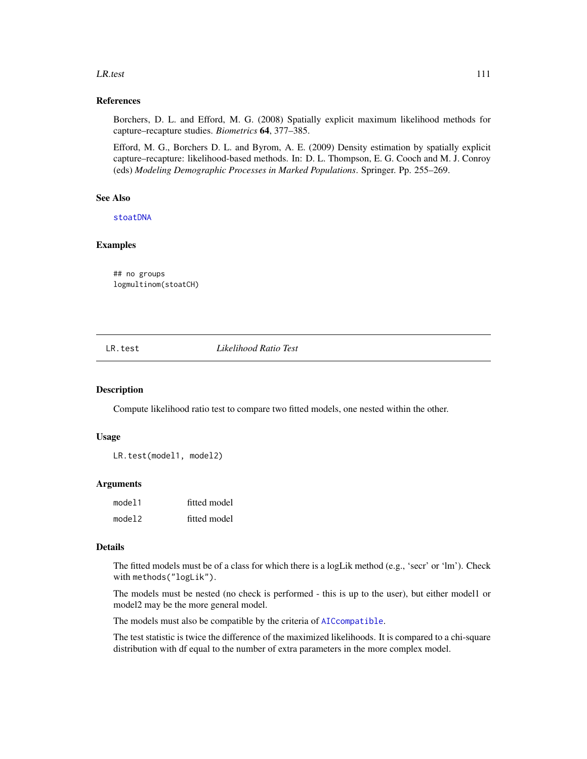#### LR.test 111

## References

Borchers, D. L. and Efford, M. G. (2008) Spatially explicit maximum likelihood methods for capture–recapture studies. *Biometrics* 64, 377–385.

Efford, M. G., Borchers D. L. and Byrom, A. E. (2009) Density estimation by spatially explicit capture–recapture: likelihood-based methods. In: D. L. Thompson, E. G. Cooch and M. J. Conroy (eds) *Modeling Demographic Processes in Marked Populations*. Springer. Pp. 255–269.

## See Also

[stoatDNA](#page-260-0)

## Examples

## no groups logmultinom(stoatCH)

LR.test *Likelihood Ratio Test*

# Description

Compute likelihood ratio test to compare two fitted models, one nested within the other.

## Usage

LR.test(model1, model2)

### Arguments

| model1 | fitted model |
|--------|--------------|
| model2 | fitted model |

#### Details

The fitted models must be of a class for which there is a logLik method (e.g., 'secr' or 'lm'). Check with methods("logLik").

The models must be nested (no check is performed - this is up to the user), but either model1 or model2 may be the more general model.

The models must also be compatible by the criteria of [AICcompatible](#page-16-0).

The test statistic is twice the difference of the maximized likelihoods. It is compared to a chi-square distribution with df equal to the number of extra parameters in the more complex model.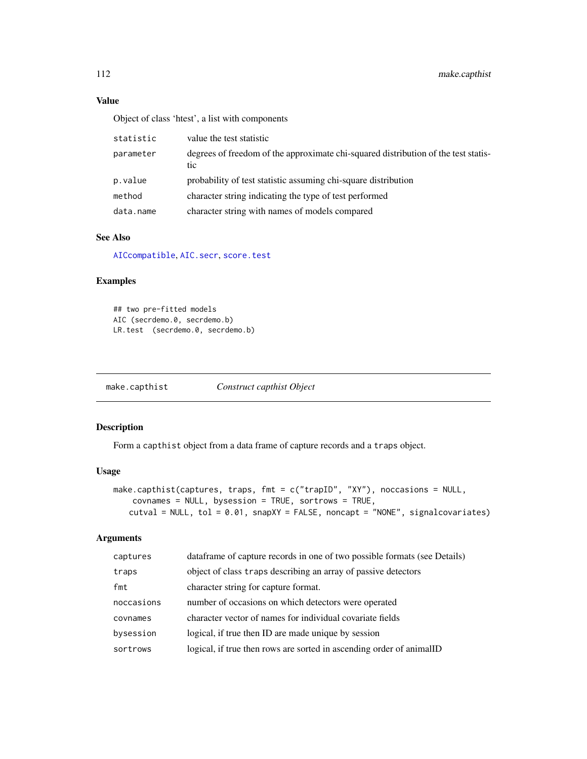# Value

Object of class 'htest', a list with components

| statistic | value the test statistic                                                                  |
|-----------|-------------------------------------------------------------------------------------------|
| parameter | degrees of freedom of the approximate chi-squared distribution of the test statis-<br>tic |
| p.value   | probability of test statistic assuming chi-square distribution                            |
| method    | character string indicating the type of test performed                                    |
| data.name | character string with names of models compared                                            |

# See Also

[AICcompatible](#page-16-0), [AIC.secr](#page-13-0), [score.test](#page-212-0)

# Examples

## two pre-fitted models AIC (secrdemo.0, secrdemo.b) LR.test (secrdemo.0, secrdemo.b)

make.capthist *Construct capthist Object*

# Description

Form a capthist object from a data frame of capture records and a traps object.

# Usage

```
make.capthist(captures, traps, fmt = c("trapID", "XY"), noccasions = NULL,
    covnames = NULL, bysession = TRUE, sortrows = TRUE,
   cutval = NULL, tol = 0.01, snapXY = FALSE, noncapt = "NONE", signalcovariates)
```
# Arguments

| captures   | data frame of capture records in one of two possible formats (see Details) |
|------------|----------------------------------------------------------------------------|
| traps      | object of class traps describing an array of passive detectors             |
| fmt        | character string for capture format.                                       |
| noccasions | number of occasions on which detectors were operated                       |
| covnames   | character vector of names for individual covariate fields                  |
| bysession  | logical, if true then ID are made unique by session                        |
| sortrows   | logical, if true then rows are sorted in ascending order of animalID       |
|            |                                                                            |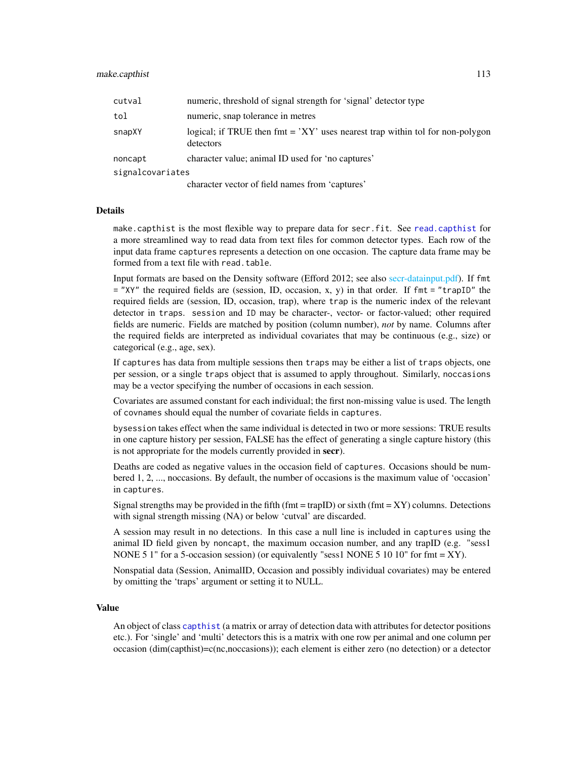| cutval           | numeric, threshold of signal strength for 'signal' detector type                             |
|------------------|----------------------------------------------------------------------------------------------|
| tol              | numeric, snap tolerance in metres                                                            |
| snapXY           | logical; if TRUE then $fmt = 'XY'$ uses nearest trap within tol for non-polygon<br>detectors |
| noncapt          | character value; animal ID used for 'no captures'                                            |
| signalcovariates |                                                                                              |
|                  | alang standardan af fiald managa finna (santanas).                                           |

character vector of field names from 'captures'

# **Details**

make.capthist is the most flexible way to prepare data for secr.fit. See [read.capthist](#page-191-0) for a more streamlined way to read data from text files for common detector types. Each row of the input data frame captures represents a detection on one occasion. The capture data frame may be formed from a text file with read.table.

Input formats are based on the Density software (Efford 2012; see also [secr-datainput.pdf\)](#page-0-0). If fmt = "XY" the required fields are (session, ID, occasion, x, y) in that order. If fmt = "trapID" the required fields are (session, ID, occasion, trap), where trap is the numeric index of the relevant detector in traps. session and ID may be character-, vector- or factor-valued; other required fields are numeric. Fields are matched by position (column number), *not* by name. Columns after the required fields are interpreted as individual covariates that may be continuous (e.g., size) or categorical (e.g., age, sex).

If captures has data from multiple sessions then traps may be either a list of traps objects, one per session, or a single traps object that is assumed to apply throughout. Similarly, noccasions may be a vector specifying the number of occasions in each session.

Covariates are assumed constant for each individual; the first non-missing value is used. The length of covnames should equal the number of covariate fields in captures.

bysession takes effect when the same individual is detected in two or more sessions: TRUE results in one capture history per session, FALSE has the effect of generating a single capture history (this is not appropriate for the models currently provided in secr).

Deaths are coded as negative values in the occasion field of captures. Occasions should be numbered 1, 2, ..., noccasions. By default, the number of occasions is the maximum value of 'occasion' in captures.

Signal strengths may be provided in the fifth (fmt = trapID) or sixth (fmt =  $XY$ ) columns. Detections with signal strength missing (NA) or below 'cutval' are discarded.

A session may result in no detections. In this case a null line is included in captures using the animal ID field given by noncapt, the maximum occasion number, and any trapID (e.g. "sess1 NONE 5 1" for a 5-occasion session) (or equivalently "sess1 NONE 5 10 10" for fmt = XY).

Nonspatial data (Session, AnimalID, Occasion and possibly individual covariates) may be entered by omitting the 'traps' argument or setting it to NULL.

# Value

An object of class [capthist](#page-24-0) (a matrix or array of detection data with attributes for detector positions etc.). For 'single' and 'multi' detectors this is a matrix with one row per animal and one column per occasion (dim(capthist)=c(nc,noccasions)); each element is either zero (no detection) or a detector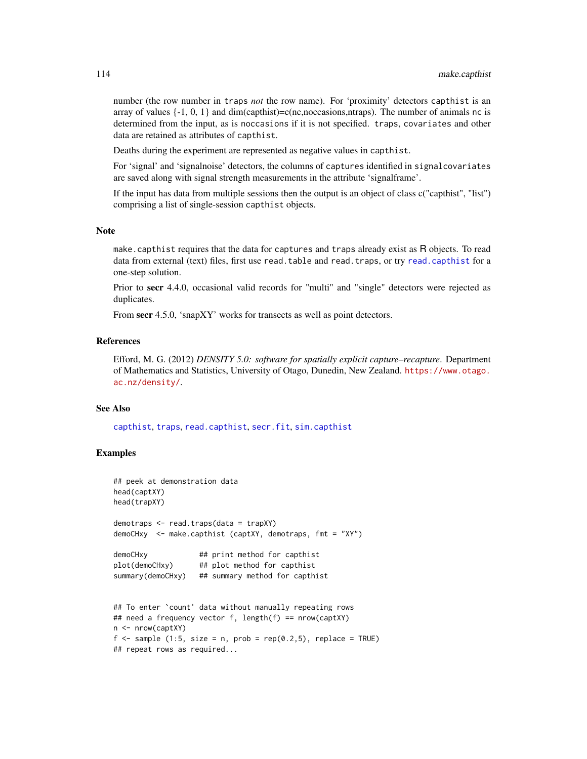number (the row number in traps *not* the row name). For 'proximity' detectors capthist is an array of values  $\{-1, 0, 1\}$  and dim(capthist)=c(nc,noccasions,ntraps). The number of animals nc is determined from the input, as is noccasions if it is not specified. traps, covariates and other data are retained as attributes of capthist.

Deaths during the experiment are represented as negative values in capthist.

For 'signal' and 'signalnoise' detectors, the columns of captures identified in signalcovariates are saved along with signal strength measurements in the attribute 'signalframe'.

If the input has data from multiple sessions then the output is an object of class c("capthist", "list") comprising a list of single-session capthist objects.

## Note

make.capthist requires that the data for captures and traps already exist as R objects. To read data from external (text) files, first use read.table and read.traps, or try [read.capthist](#page-191-0) for a one-step solution.

Prior to secr 4.4.0, occasional valid records for "multi" and "single" detectors were rejected as duplicates.

From secr 4.5.0, 'snapXY' works for transects as well as point detectors.

# References

Efford, M. G. (2012) *DENSITY 5.0: software for spatially explicit capture–recapture*. Department of Mathematics and Statistics, University of Otago, Dunedin, New Zealand. [https://www.otago.](https://www.otago.ac.nz/density/) [ac.nz/density/](https://www.otago.ac.nz/density/).

## See Also

[capthist](#page-24-0), [traps](#page-287-0), [read.capthist](#page-191-0), [secr.fit](#page-218-0), [sim.capthist](#page-238-0)

# Examples

```
## peek at demonstration data
head(captXY)
head(trapXY)
demotraps <- read.traps(data = trapXY)
demoCHxy <- make.capthist (captXY, demotraps, fmt = "XY")
demoCHxy ## print method for capthist
plot(demoCHxy) ## plot method for capthist
summary(demoCHxy) ## summary method for capthist
## To enter `count' data without manually repeating rows
## need a frequency vector f, length(f) == nrow(captXY)
n <- nrow(captXY)
f \le sample (1:5, size = n, prob = rep(0.2,5), replace = TRUE)
```
## repeat rows as required...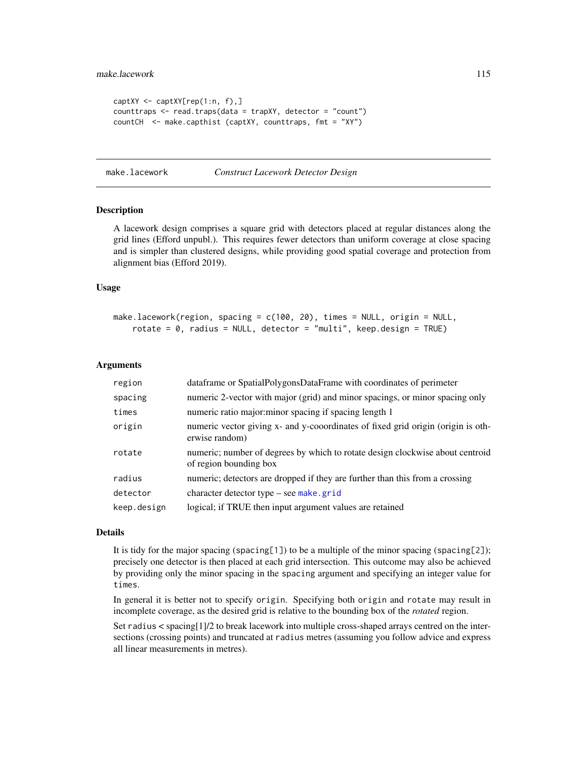```
captXY <- captXY[rep(1:n, f),]
counttraps <- read.traps(data = trapXY, detector = "count")
countCH <- make.capthist (captXY, counttraps, fmt = "XY")
```
<span id="page-114-0"></span>make.lacework *Construct Lacework Detector Design*

# Description

A lacework design comprises a square grid with detectors placed at regular distances along the grid lines (Efford unpubl.). This requires fewer detectors than uniform coverage at close spacing and is simpler than clustered designs, while providing good spatial coverage and protection from alignment bias (Efford 2019).

## Usage

```
make.lacework(region, spacing = c(100, 20), times = NULL, origin = NULL,
    rotate = 0, radius = NULL, detector = "multi", keep.design = TRUE)
```
### **Arguments**

| region      | dataframe or SpatialPolygonsDataFrame with coordinates of perimeter                                     |
|-------------|---------------------------------------------------------------------------------------------------------|
| spacing     | numeric 2-vector with major (grid) and minor spacings, or minor spacing only                            |
| times       | numeric ratio major: minor spacing if spacing length 1                                                  |
| origin      | numeric vector giving x- and y-cooordinates of fixed grid origin (origin is oth-<br>erwise random)      |
| rotate      | numeric; number of degrees by which to rotate design clockwise about centroid<br>of region bounding box |
| radius      | numeric; detectors are dropped if they are further than this from a crossing                            |
| detector    | character detector type – see make grid                                                                 |
| keep.design | logical; if TRUE then input argument values are retained                                                |

## Details

It is tidy for the major spacing (spacing[1]) to be a multiple of the minor spacing (spacing[2]); precisely one detector is then placed at each grid intersection. This outcome may also be achieved by providing only the minor spacing in the spacing argument and specifying an integer value for times.

In general it is better not to specify origin. Specifying both origin and rotate may result in incomplete coverage, as the desired grid is relative to the bounding box of the *rotated* region.

Set radius < spacing[1]/2 to break lacework into multiple cross-shaped arrays centred on the intersections (crossing points) and truncated at radius metres (assuming you follow advice and express all linear measurements in metres).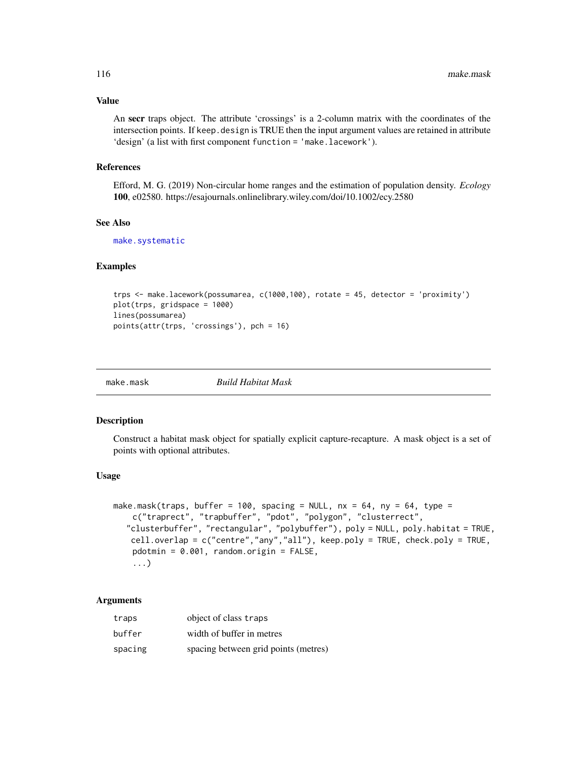# Value

An secr traps object. The attribute 'crossings' is a 2-column matrix with the coordinates of the intersection points. If keep. design is TRUE then the input argument values are retained in attribute 'design' (a list with first component function = 'make.lacework').

# References

Efford, M. G. (2019) Non-circular home ranges and the estimation of population density. *Ecology* 100, e02580. https://esajournals.onlinelibrary.wiley.com/doi/10.1002/ecy.2580

#### See Also

[make.systematic](#page-118-0)

## Examples

```
trps <- make.lacework(possumarea, c(1000,100), rotate = 45, detector = 'proximity')
plot(trps, gridspace = 1000)
lines(possumarea)
points(attr(trps, 'crossings'), pch = 16)
```
<span id="page-115-0"></span>

make.mask *Build Habitat Mask*

# **Description**

Construct a habitat mask object for spatially explicit capture-recapture. A mask object is a set of points with optional attributes.

## Usage

```
make.mask(traps, buffer = 100, spacing = NULL, nx = 64, ny = 64, type =
    c("traprect", "trapbuffer", "pdot", "polygon", "clusterrect",
  "clusterbuffer", "rectangular", "polybuffer"), poly = NULL, poly.habitat = TRUE,
   cell.overlap = c("centre","any","all"), keep.poly = TRUE, check.poly = TRUE,
    pdotmin = 0.001, random.origin = FALSE,
    ...)
```
# Arguments

| traps   | object of class traps                |
|---------|--------------------------------------|
| buffer  | width of buffer in metres            |
| spacing | spacing between grid points (metres) |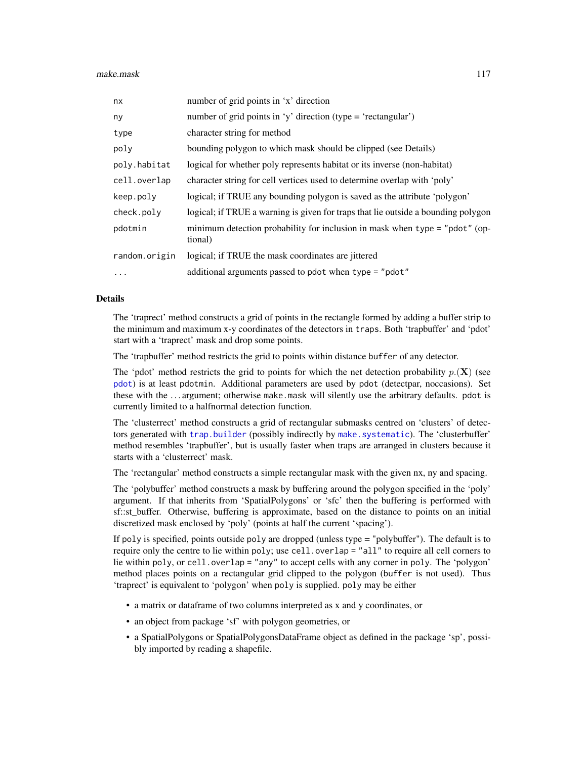| nx            | number of grid points in 'x' direction                                                 |
|---------------|----------------------------------------------------------------------------------------|
| ny            | number of grid points in 'y' direction (type = 'rectangular')                          |
| type          | character string for method                                                            |
| poly          | bounding polygon to which mask should be clipped (see Details)                         |
| poly.habitat  | logical for whether poly represents habitat or its inverse (non-habitat)               |
| cell.overlap  | character string for cell vertices used to determine overlap with 'poly'               |
| keep.poly     | logical; if TRUE any bounding polygon is saved as the attribute 'polygon'              |
| check.poly    | logical; if TRUE a warning is given for traps that lie outside a bounding polygon      |
| pdotmin       | minimum detection probability for inclusion in mask when type = "pdot" (op-<br>tional) |
| random.origin | logical; if TRUE the mask coordinates are jittered                                     |
| $\cdots$      | additional arguments passed to pdot when type = "pdot"                                 |

### Details

The 'traprect' method constructs a grid of points in the rectangle formed by adding a buffer strip to the minimum and maximum x-y coordinates of the detectors in traps. Both 'trapbuffer' and 'pdot' start with a 'traprect' mask and drop some points.

The 'trapbuffer' method restricts the grid to points within distance buffer of any detector.

The 'pdot' method restricts the grid to points for which the net detection probability  $p(\mathbf{X})$  (see [pdot](#page-150-0)) is at least pdotmin. Additional parameters are used by pdot (detectpar, noccasions). Set these with the . . . argument; otherwise make.mask will silently use the arbitrary defaults. pdot is currently limited to a halfnormal detection function.

The 'clusterrect' method constructs a grid of rectangular submasks centred on 'clusters' of detectors generated with [trap.builder](#page-282-0) (possibly indirectly by [make.systematic](#page-118-0)). The 'clusterbuffer' method resembles 'trapbuffer', but is usually faster when traps are arranged in clusters because it starts with a 'clusterrect' mask.

The 'rectangular' method constructs a simple rectangular mask with the given nx, ny and spacing.

The 'polybuffer' method constructs a mask by buffering around the polygon specified in the 'poly' argument. If that inherits from 'SpatialPolygons' or 'sfc' then the buffering is performed with sf::st\_buffer. Otherwise, buffering is approximate, based on the distance to points on an initial discretized mask enclosed by 'poly' (points at half the current 'spacing').

If poly is specified, points outside poly are dropped (unless type = "polybuffer"). The default is to require only the centre to lie within poly; use cell.overlap = "all" to require all cell corners to lie within poly, or cell.overlap = "any" to accept cells with any corner in poly. The 'polygon' method places points on a rectangular grid clipped to the polygon (buffer is not used). Thus 'traprect' is equivalent to 'polygon' when poly is supplied. poly may be either

- a matrix or dataframe of two columns interpreted as x and y coordinates, or
- an object from package 'sf' with polygon geometries, or
- a SpatialPolygons or SpatialPolygonsDataFrame object as defined in the package 'sp', possibly imported by reading a shapefile.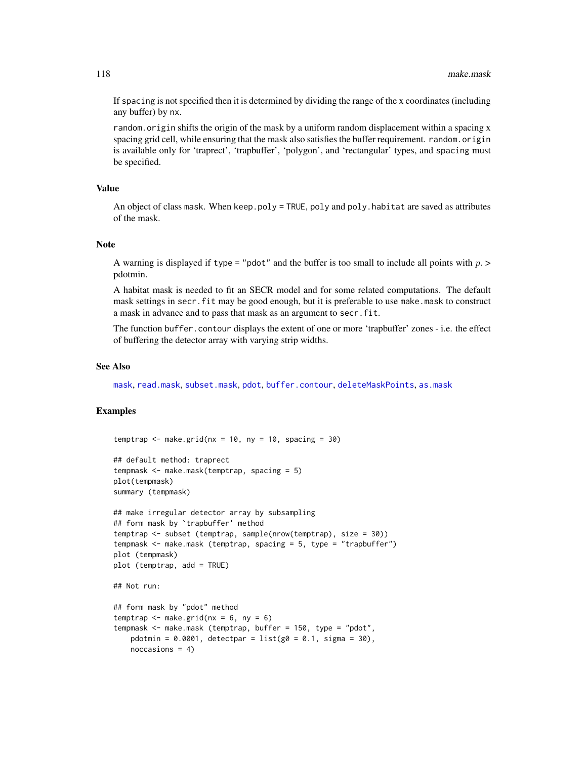If spacing is not specified then it is determined by dividing the range of the x coordinates (including any buffer) by nx.

random.origin shifts the origin of the mask by a uniform random displacement within a spacing x spacing grid cell, while ensuring that the mask also satisfies the buffer requirement. random.origin is available only for 'traprect', 'trapbuffer', 'polygon', and 'rectangular' types, and spacing must be specified.

# Value

An object of class mask. When keep.poly = TRUE, poly and poly.habitat are saved as attributes of the mask.

## Note

A warning is displayed if type = "pdot" and the buffer is too small to include all points with  $p >$ pdotmin.

A habitat mask is needed to fit an SECR model and for some related computations. The default mask settings in secr. fit may be good enough, but it is preferable to use make.mask to construct a mask in advance and to pass that mask as an argument to secr.fit.

The function buffer.contour displays the extent of one or more 'trapbuffer' zones - i.e. the effect of buffering the detector array with varying strip widths.

#### See Also

[mask](#page-127-0), [read.mask](#page-194-0), [subset.mask](#page-267-0), [pdot](#page-150-0), [buffer.contour](#page-38-0), [deleteMaskPoints](#page-46-0), [as.mask](#page-18-0)

```
temptrap \leq make.grid(nx = 10, ny = 10, spacing = 30)
## default method: traprect
tempmask <- make.mask(temptrap, spacing = 5)
plot(tempmask)
summary (tempmask)
## make irregular detector array by subsampling
## form mask by `trapbuffer' method
temptrap <- subset (temptrap, sample(nrow(temptrap), size = 30))
tempmask <- make.mask (temptrap, spacing = 5, type = "trapbuffer")
plot (tempmask)
plot (temptrap, add = TRUE)
## Not run:
## form mask by "pdot" method
temptrap \leq make.grid(nx = 6, ny = 6)
tempmask <- make.mask (temptrap, buffer = 150, type = "pdot",
   pdotmin = 0.0001, detectpar = list(g0 = 0.1, sigma = 30),
   noccasions = 4)
```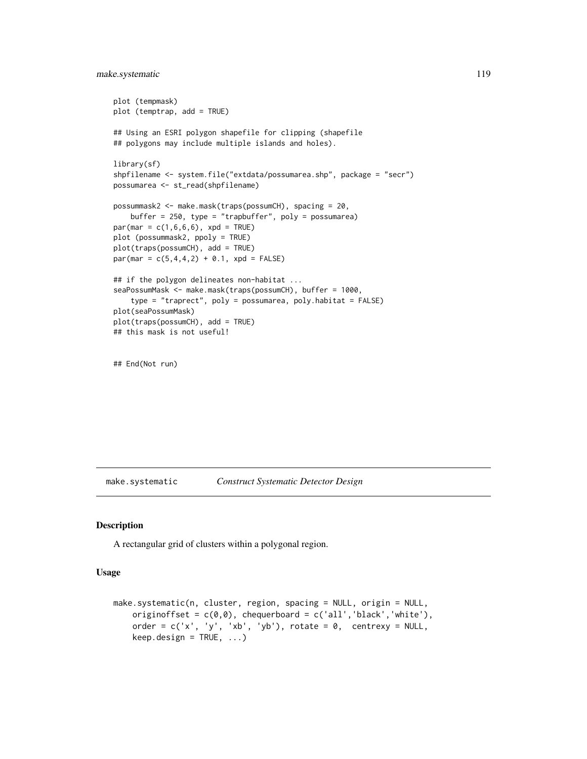# make.systematic 119

```
plot (tempmask)
plot (temptrap, add = TRUE)
## Using an ESRI polygon shapefile for clipping (shapefile
## polygons may include multiple islands and holes).
library(sf)
shpfilename <- system.file("extdata/possumarea.shp", package = "secr")
possumarea <- st_read(shpfilename)
possummask2 <- make.mask(traps(possumCH), spacing = 20,
    buffer = 250, type = "trapbuffer", poly = possumarea)
par(max = c(1, 6, 6, 6), xpd = TRUE)plot (possummask2, ppoly = TRUE)
plot(traps(possumCH), add = TRUE)
par(max = c(5, 4, 4, 2) + 0.1, xpd = FALSE)## if the polygon delineates non-habitat ...
seaPossumMask <- make.mask(traps(possumCH), buffer = 1000,
    type = "traprect", poly = possumarea, poly.habitat = FALSE)
plot(seaPossumMask)
plot(traps(possumCH), add = TRUE)
## this mask is not useful!
```
## End(Not run)

<span id="page-118-0"></span>make.systematic *Construct Systematic Detector Design*

#### Description

A rectangular grid of clusters within a polygonal region.

## Usage

```
make.systematic(n, cluster, region, spacing = NULL, origin = NULL,
    originoffset = c(0,0), chequerboard = c('all', 'black', 'white'),order = c('x', 'y', 'xb', 'yb'), rotate = \theta, centrexy = NULL,
    keep.design = TRUE, ...)
```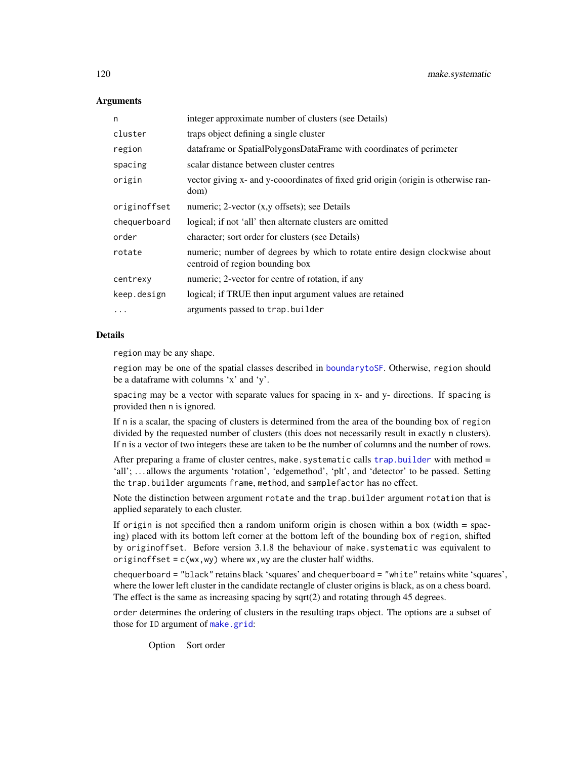# **Arguments**

| n            | integer approximate number of clusters (see Details)                                                           |
|--------------|----------------------------------------------------------------------------------------------------------------|
| cluster      | traps object defining a single cluster                                                                         |
| region       | dataframe or SpatialPolygonsDataFrame with coordinates of perimeter                                            |
| spacing      | scalar distance between cluster centres                                                                        |
| origin       | vector giving x- and y-cooordinates of fixed grid origin (origin is otherwise ran-<br>dom)                     |
| originoffset | numeric; 2-vector (x,y offsets); see Details                                                                   |
| chequerboard | logical; if not 'all' then alternate clusters are omitted                                                      |
| order        | character; sort order for clusters (see Details)                                                               |
| rotate       | numeric; number of degrees by which to rotate entire design clockwise about<br>centroid of region bounding box |
| centrexy     | numeric; 2-vector for centre of rotation, if any                                                               |
| keep.design  | logical; if TRUE then input argument values are retained                                                       |
| $\cdots$     | arguments passed to trap.builder                                                                               |

## **Details**

region may be any shape.

region may be one of the spatial classes described in [boundarytoSF](#page-97-0). Otherwise, region should be a dataframe with columns 'x' and 'y'.

spacing may be a vector with separate values for spacing in x- and y- directions. If spacing is provided then n is ignored.

If n is a scalar, the spacing of clusters is determined from the area of the bounding box of region divided by the requested number of clusters (this does not necessarily result in exactly n clusters). If n is a vector of two integers these are taken to be the number of columns and the number of rows.

After preparing a frame of cluster centres, make. systematic calls trap. builder with method  $=$ 'all'; ... allows the arguments 'rotation', 'edgemethod', 'plt', and 'detector' to be passed. Setting the trap.builder arguments frame, method, and samplefactor has no effect.

Note the distinction between argument rotate and the trap.builder argument rotation that is applied separately to each cluster.

If origin is not specified then a random uniform origin is chosen within a box (width  $=$  spacing) placed with its bottom left corner at the bottom left of the bounding box of region, shifted by originoffset. Before version 3.1.8 the behaviour of make.systematic was equivalent to originoffset =  $c(wx, wy)$  where wx, wy are the cluster half widths.

chequerboard = "black" retains black 'squares' and chequerboard = "white" retains white 'squares', where the lower left cluster in the candidate rectangle of cluster origins is black, as on a chess board. The effect is the same as increasing spacing by sqrt(2) and rotating through 45 degrees.

order determines the ordering of clusters in the resulting traps object. The options are a subset of those for ID argument of [make.grid](#page-121-0):

Option Sort order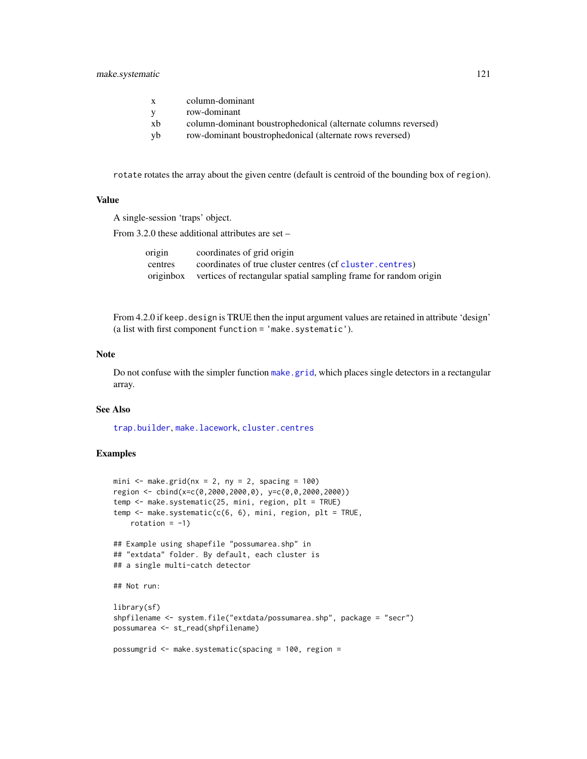# make.systematic 121

| $\mathbf{x}$ | column-dominant                                                |
|--------------|----------------------------------------------------------------|
| V            | row-dominant                                                   |
| xb           | column-dominant boustrophedonical (alternate columns reversed) |
| yb           | row-dominant boustrophedonical (alternate rows reversed)       |

rotate rotates the array about the given centre (default is centroid of the bounding box of region).

# Value

A single-session 'traps' object.

From 3.2.0 these additional attributes are set –

| origin    | coordinates of grid origin                                       |
|-----------|------------------------------------------------------------------|
| centres   | coordinates of true cluster centres (cf cluster, centres)        |
| originbox | vertices of rectangular spatial sampling frame for random origin |

From 4.2.0 if keep. design is TRUE then the input argument values are retained in attribute 'design' (a list with first component function = 'make.systematic').

# Note

Do not confuse with the simpler function [make.grid](#page-121-0), which places single detectors in a rectangular array.

# See Also

[trap.builder](#page-282-0), [make.lacework](#page-114-0), [cluster.centres](#page-282-1)

```
mini \leq make.grid(nx = 2, ny = 2, spacing = 100)
region <- cbind(x=c(0,2000,2000,0), y=c(0,0,2000,2000))
temp <- make.systematic(25, mini, region, plt = TRUE)
temp \leq make.systematic(c(6, 6), mini, region, plt = TRUE,
   rotation = -1)
## Example using shapefile "possumarea.shp" in
## "extdata" folder. By default, each cluster is
## a single multi-catch detector
## Not run:
library(sf)
shpfilename <- system.file("extdata/possumarea.shp", package = "secr")
possumarea <- st_read(shpfilename)
possumgrid <- make.systematic(spacing = 100, region =
```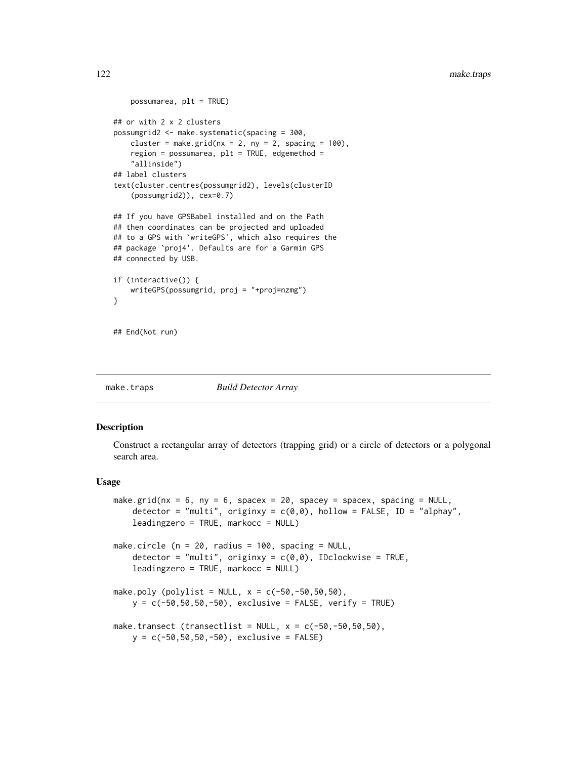```
possumarea, plt = TRUE)
## or with 2 x 2 clusters
possumgrid2 <- make.systematic(spacing = 300,
    cluster = make.grid(nx = 2, ny = 2, spacing = 100),
    region = possumarea, plt = TRUE, edgemethod =
    "allinside")
## label clusters
text(cluster.centres(possumgrid2), levels(clusterID
    (possumgrid2)), cex=0.7)
## If you have GPSBabel installed and on the Path
## then coordinates can be projected and uploaded
## to a GPS with `writeGPS', which also requires the
## package `proj4'. Defaults are for a Garmin GPS
## connected by USB.
if (interactive()) {
    writeGPS(possumgrid, proj = "+proj=nzmg")
}
## End(Not run)
```
make.traps *Build Detector Array*

# <span id="page-121-0"></span>**Description**

Construct a rectangular array of detectors (trapping grid) or a circle of detectors or a polygonal search area.

#### Usage

```
make.grid(nx = 6, ny = 6, spacex = 20, spacey = spacex, spacing = NULL,
    detector = "multi", originxy = c(0,0), hollow = FALSE, ID = "alphay",
    leadingzero = TRUE, markocc = NULL)
make.circle (n = 20, radius = 100, spacing = NULL,
    detector = "multi", originxy = c(\emptyset, \emptyset), IDclockwise = TRUE,
    leadingzero = TRUE, markocc = NULL)
make.poly (polylist = NULL, x = c(-50, -50, 50, 50),
    y = c(-50, 50, 50, -50), exclusive = FALSE, verify = TRUE)
make.transect (transectlist = NULL, x = c(-50, -50, 50, 50),
    y = c(-50, 50, 50, -50), exclusive = FALSE)
```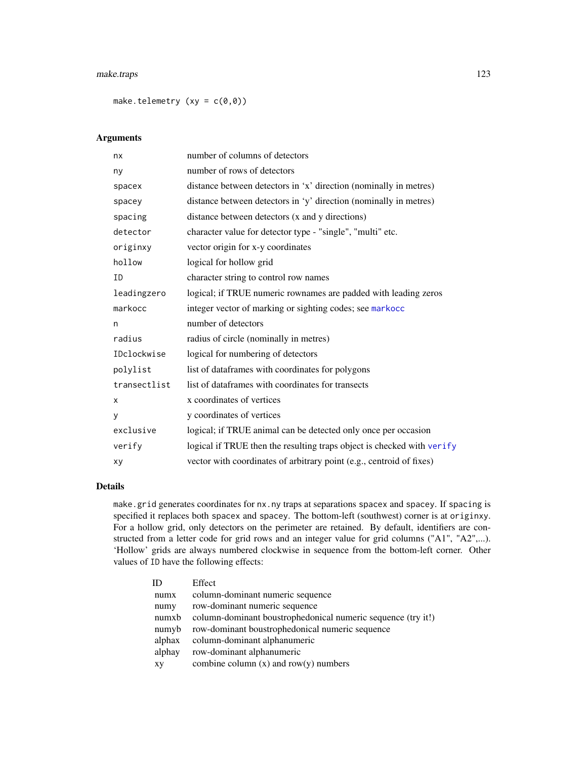# make.traps 123

make.telemetry  $(xy = c(0,0))$ 

# Arguments

| nx           | number of columns of detectors                                         |
|--------------|------------------------------------------------------------------------|
| ny           | number of rows of detectors                                            |
| spacex       | distance between detectors in 'x' direction (nominally in metres)      |
| spacey       | distance between detectors in 'y' direction (nominally in metres)      |
| spacing      | distance between detectors (x and y directions)                        |
| detector     | character value for detector type - "single", "multi" etc.             |
| originxy     | vector origin for x-y coordinates                                      |
| hollow       | logical for hollow grid                                                |
| ID           | character string to control row names                                  |
| leadingzero  | logical; if TRUE numeric rownames are padded with leading zeros        |
| markocc      | integer vector of marking or sighting codes; see markocc               |
| n            | number of detectors                                                    |
| radius       | radius of circle (nominally in metres)                                 |
| IDclockwise  | logical for numbering of detectors                                     |
| polylist     | list of dataframes with coordinates for polygons                       |
| transectlist | list of dataframes with coordinates for transects                      |
| X            | x coordinates of vertices                                              |
| V            | y coordinates of vertices                                              |
| exclusive    | logical; if TRUE animal can be detected only once per occasion         |
| verify       | logical if TRUE then the resulting traps object is checked with verify |
| хy           | vector with coordinates of arbitrary point (e.g., centroid of fixes)   |

# Details

make.grid generates coordinates for nx.ny traps at separations spacex and spacey. If spacing is specified it replaces both spacex and spacey. The bottom-left (southwest) corner is at originxy. For a hollow grid, only detectors on the perimeter are retained. By default, identifiers are constructed from a letter code for grid rows and an integer value for grid columns ("A1", "A2",...). 'Hollow' grids are always numbered clockwise in sequence from the bottom-left corner. Other values of ID have the following effects:

| ID     | Effect                                                       |
|--------|--------------------------------------------------------------|
| numx   | column-dominant numeric sequence                             |
| numy   | row-dominant numeric sequence                                |
| numxb  | column-dominant boustrophedonical numeric sequence (try it!) |
| numyb  | row-dominant boustrophedonical numeric sequence              |
| alphax | column-dominant alphanumeric                                 |
| alphay | row-dominant alphanumeric                                    |
| XV     | combine column $(x)$ and row $(y)$ numbers                   |
|        |                                                              |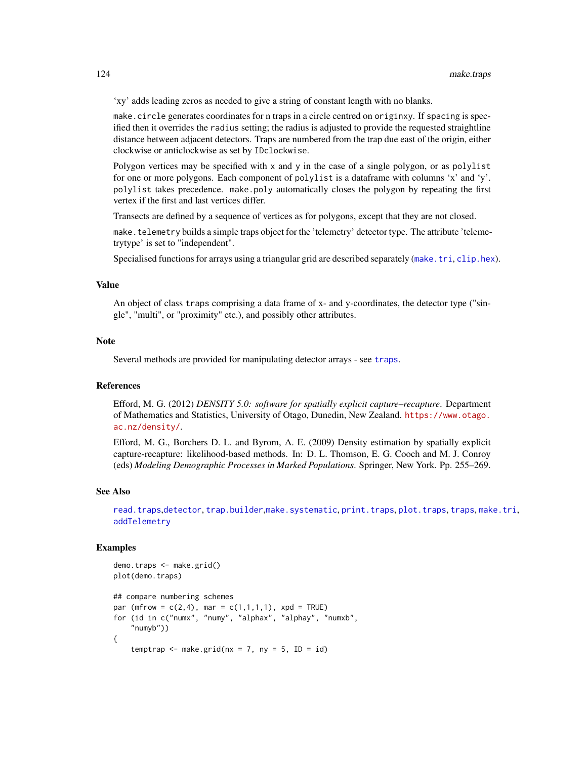'xy' adds leading zeros as needed to give a string of constant length with no blanks.

make.circle generates coordinates for n traps in a circle centred on originxy. If spacing is specified then it overrides the radius setting; the radius is adjusted to provide the requested straightline distance between adjacent detectors. Traps are numbered from the trap due east of the origin, either clockwise or anticlockwise as set by IDclockwise.

Polygon vertices may be specified with x and y in the case of a single polygon, or as polylist for one or more polygons. Each component of polylist is a dataframe with columns 'x' and 'y'. polylist takes precedence. make.poly automatically closes the polygon by repeating the first vertex if the first and last vertices differ.

Transects are defined by a sequence of vertices as for polygons, except that they are not closed.

make.telemetry builds a simple traps object for the 'telemetry' detector type. The attribute 'telemetrytype' is set to "independent".

Specialised functions for arrays using a triangular grid are described separately ([make.tri](#page-124-0), [clip.hex](#page-124-1)).

#### Value

An object of class traps comprising a data frame of x- and y-coordinates, the detector type ("single", "multi", or "proximity" etc.), and possibly other attributes.

#### Note

Several methods are provided for manipulating detector arrays - see [traps](#page-287-0).

# References

Efford, M. G. (2012) *DENSITY 5.0: software for spatially explicit capture–recapture*. Department of Mathematics and Statistics, University of Otago, Dunedin, New Zealand. [https://www.otago.](https://www.otago.ac.nz/density/) [ac.nz/density/](https://www.otago.ac.nz/density/).

Efford, M. G., Borchers D. L. and Byrom, A. E. (2009) Density estimation by spatially explicit capture-recapture: likelihood-based methods. In: D. L. Thomson, E. G. Cooch and M. J. Conroy (eds) *Modeling Demographic Processes in Marked Populations*. Springer, New York. Pp. 255–269.

# See Also

[read.traps](#page-196-0),[detector](#page-57-0), [trap.builder](#page-282-0),[make.systematic](#page-118-0), [print.traps](#page-181-0), [plot.traps](#page-165-0), [traps](#page-287-0), [make.tri](#page-124-0), [addTelemetry](#page-10-0)

```
demo.traps <- make.grid()
plot(demo.traps)
## compare numbering schemes
par (mfrow = c(2, 4), mar = c(1, 1, 1, 1), xpd = TRUE)
for (id in c("numx", "numy", "alphax", "alphay", "numxb",
    "numyb"))
{
    temptrap \leq make.grid(nx = 7, ny = 5, ID = id)
```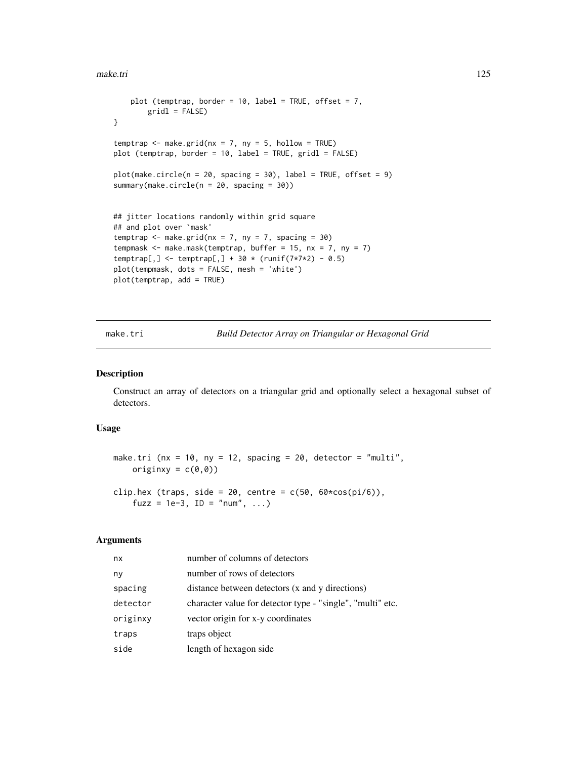#### make.tri 125

```
plot (temptrap, border = 10, label = TRUE, offset = 7,
        gridl = FALSE)
}
temptrap \leq make.grid(nx = 7, ny = 5, hollow = TRUE)
plot (temptrap, border = 10, label = TRUE, gridl = FALSE)
plot(make.circle(n = 20, spacing = 30), label = TRUE, offset = 9)summary(make.circle(n = 20, spacing = 30))
## jitter locations randomly within grid square
## and plot over `mask'
temptrap \leq make.grid(nx = 7, ny = 7, spacing = 30)
tempmask \leq make.mask(temptrap, buffer = 15, nx = 7, ny = 7)
temptrap[,] <- temptrap[,] + 30 * (runif(7*7*2) - 0.5)
plot(tempmask, dots = FALSE, mesh = 'white')
plot(temptrap, add = TRUE)
```
<span id="page-124-0"></span>make.tri *Build Detector Array on Triangular or Hexagonal Grid*

# <span id="page-124-1"></span>Description

Construct an array of detectors on a triangular grid and optionally select a hexagonal subset of detectors.

# Usage

```
make.tri (nx = 10, ny = 12, spacing = 20, detector = "multi",
    originxy = c(\emptyset, \emptyset))
```
clip.hex (traps, side = 20, centre =  $c(50, 60 \times cos(pi/6))$ , fuzz = 1e-3, ID = "num",  $\ldots$ )

# Arguments

| nx       | number of columns of detectors                             |
|----------|------------------------------------------------------------|
| ny       | number of rows of detectors                                |
| spacing  | distance between detectors (x and y directions)            |
| detector | character value for detector type - "single", "multi" etc. |
| originxy | vector origin for x-y coordinates                          |
| traps    | traps object                                               |
| side     | length of hexagon side                                     |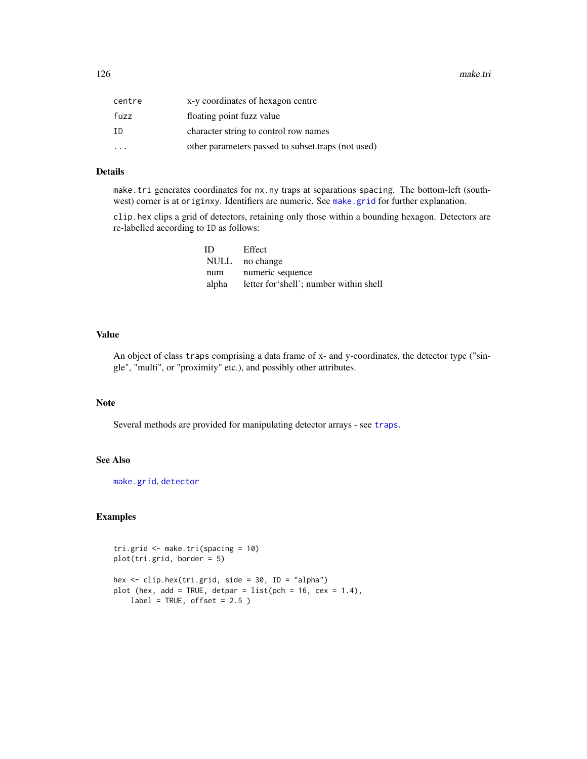126 make.tri

| centre                  | x-y coordinates of hexagon centre                  |
|-------------------------|----------------------------------------------------|
| fuzz                    | floating point fuzz value                          |
| ΙD                      | character string to control row names              |
| $\cdot$ $\cdot$ $\cdot$ | other parameters passed to subset traps (not used) |

# Details

make.tri generates coordinates for nx.ny traps at separations spacing. The bottom-left (southwest) corner is at originxy. Identifiers are numeric. See [make.grid](#page-121-0) for further explanation.

clip.hex clips a grid of detectors, retaining only those within a bounding hexagon. Detectors are re-labelled according to ID as follows:

| ID  | Effect                                       |
|-----|----------------------------------------------|
|     | NULL no change                               |
| num | numeric sequence                             |
|     | alpha letter for shell'; number within shell |

# Value

An object of class traps comprising a data frame of x- and y-coordinates, the detector type ("single", "multi", or "proximity" etc.), and possibly other attributes.

# Note

Several methods are provided for manipulating detector arrays - see [traps](#page-287-0).

# See Also

[make.grid](#page-121-0), [detector](#page-57-0)

# Examples

tri.grid <- make.tri(spacing = 10) plot(tri.grid, border = 5) hex <- clip.hex(tri.grid, side = 30, ID = "alpha") plot (hex, add = TRUE, detpar =  $list(pch = 16, cex = 1.4)$ ,

 $label = TRUE, offset = 2.5)$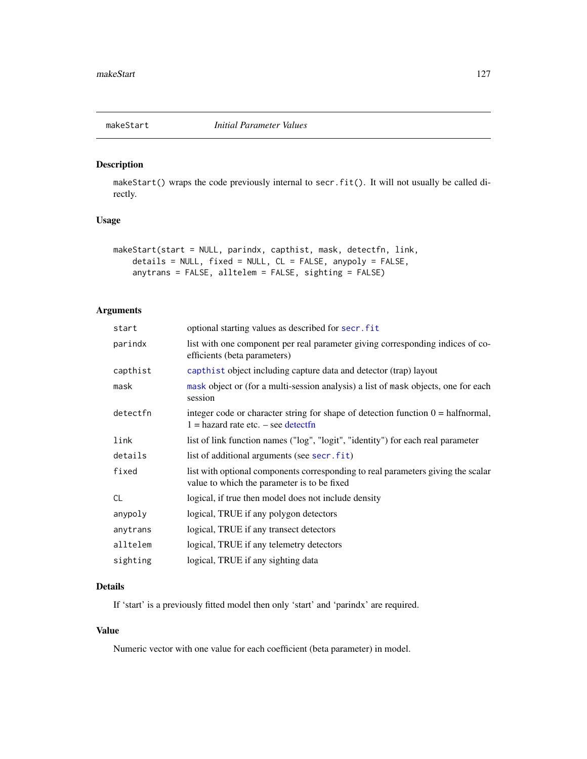makeStart() wraps the code previously internal to secr.fit(). It will not usually be called directly.

# Usage

```
makeStart(start = NULL, parindx, capthist, mask, detectfn, link,
    details = NULL, fixed = NULL, CL = FALSE, anypoly = FALSE,
    anytrans = FALSE, alltelem = FALSE, sighting = FALSE)
```
# Arguments

| start     | optional starting values as described for secr. fit                                                                                   |
|-----------|---------------------------------------------------------------------------------------------------------------------------------------|
| parindx   | list with one component per real parameter giving corresponding indices of co-<br>efficients (beta parameters)                        |
| capthist  | capthist object including capture data and detector (trap) layout                                                                     |
| mask      | mask object or (for a multi-session analysis) a list of mask objects, one for each<br>session                                         |
| detectfn  | integer code or character string for shape of detection function $0 = \text{halfnormal}$ ,<br>$1 =$ hazard rate etc. $-$ see detectfn |
| link      | list of link function names ("log", "logit", "identity") for each real parameter                                                      |
| details   | list of additional arguments (see secr.fit)                                                                                           |
| fixed     | list with optional components corresponding to real parameters giving the scalar<br>value to which the parameter is to be fixed       |
| <b>CL</b> | logical, if true then model does not include density                                                                                  |
| anypoly   | logical, TRUE if any polygon detectors                                                                                                |
| anytrans  | logical, TRUE if any transect detectors                                                                                               |
| alltelem  | logical, TRUE if any telemetry detectors                                                                                              |
| sighting  | logical, TRUE if any sighting data                                                                                                    |

# Details

If 'start' is a previously fitted model then only 'start' and 'parindx' are required.

## Value

Numeric vector with one value for each coefficient (beta parameter) in model.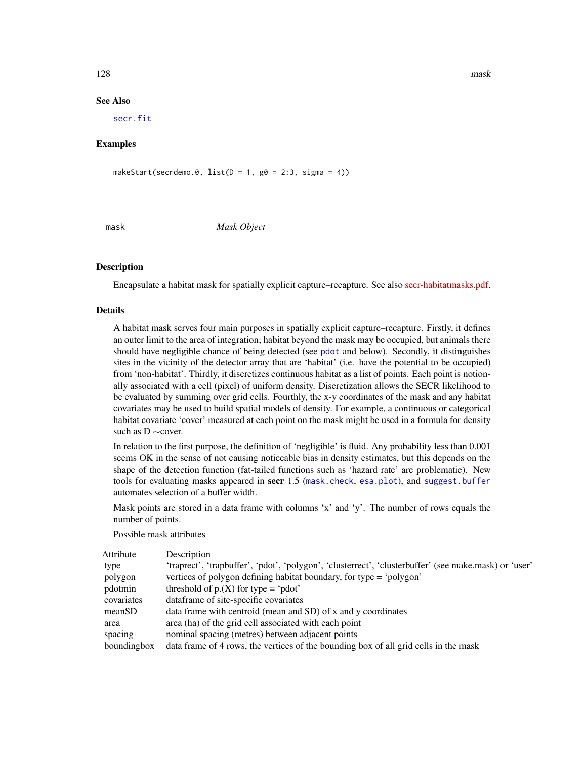# See Also

[secr.fit](#page-218-0)

# Examples

makeStart(secrdemo.0,  $list(D = 1, g0 = 2:3, sigma = 4)$ )

<span id="page-127-0"></span>mask *Mask Object*

# Description

Encapsulate a habitat mask for spatially explicit capture–recapture. See also [secr-habitatmasks.pdf.](https://www.otago.ac.nz/density/pdfs/secr-habitatmasks.pdf)

# Details

A habitat mask serves four main purposes in spatially explicit capture–recapture. Firstly, it defines an outer limit to the area of integration; habitat beyond the mask may be occupied, but animals there should have negligible chance of being detected (see [pdot](#page-150-0) and below). Secondly, it distinguishes sites in the vicinity of the detector array that are 'habitat' (i.e. have the potential to be occupied) from 'non-habitat'. Thirdly, it discretizes continuous habitat as a list of points. Each point is notionally associated with a cell (pixel) of uniform density. Discretization allows the SECR likelihood to be evaluated by summing over grid cells. Fourthly, the x-y coordinates of the mask and any habitat covariates may be used to build spatial models of density. For example, a continuous or categorical habitat covariate 'cover' measured at each point on the mask might be used in a formula for density such as D ∼cover.

In relation to the first purpose, the definition of 'negligible' is fluid. Any probability less than 0.001 seems OK in the sense of not causing noticeable bias in density estimates, but this depends on the shape of the detection function (fat-tailed functions such as 'hazard rate' are problematic). New tools for evaluating masks appeared in secr 1.5 ([mask.check](#page-128-0), [esa.plot](#page-71-0)), and [suggest.buffer](#page-271-0) automates selection of a buffer width.

Mask points are stored in a data frame with columns 'x' and 'y'. The number of rows equals the number of points.

## Possible mask attributes

| Attribute   | Description                                                                                           |
|-------------|-------------------------------------------------------------------------------------------------------|
| type        | 'traprect', 'trapbuffer', 'pdot', 'polygon', 'clusterrect', 'clusterbuffer' (see make.mask) or 'user' |
| polygon     | vertices of polygon defining habitat boundary, for type = 'polygon'                                   |
| pdotmin     | threshold of $p(X)$ for type = 'pdot'                                                                 |
| covariates  | dataframe of site-specific covariates                                                                 |
| meanSD      | data frame with centroid (mean and SD) of x and y coordinates                                         |
| area        | area (ha) of the grid cell associated with each point                                                 |
| spacing     | nominal spacing (metres) between adjacent points                                                      |
| boundingbox | data frame of 4 rows, the vertices of the bounding box of all grid cells in the mask                  |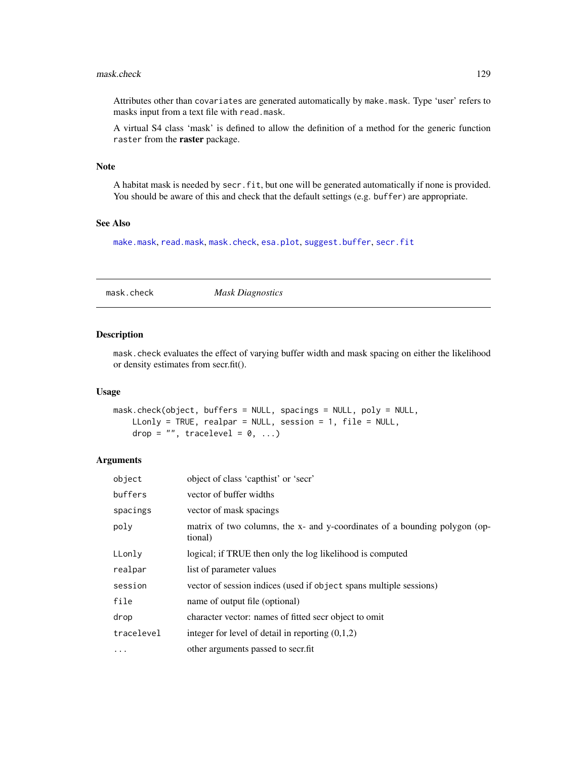#### mask.check 129

Attributes other than covariates are generated automatically by make.mask. Type 'user' refers to masks input from a text file with read.mask.

A virtual S4 class 'mask' is defined to allow the definition of a method for the generic function raster from the raster package.

#### Note

A habitat mask is needed by secr.fit, but one will be generated automatically if none is provided. You should be aware of this and check that the default settings (e.g. buffer) are appropriate.

# See Also

[make.mask](#page-115-0), [read.mask](#page-194-0), [mask.check](#page-128-0), [esa.plot](#page-71-0), [suggest.buffer](#page-271-0), [secr.fit](#page-218-0)

<span id="page-128-0"></span>mask.check *Mask Diagnostics*

# Description

mask.check evaluates the effect of varying buffer width and mask spacing on either the likelihood or density estimates from secr.fit().

#### Usage

```
mask.check(object, buffers = NULL, spacings = NULL, poly = NULL,
   LLonly = TRUE, realpar = NULL, session = 1, file = NULL,
    drop = ", tracelevel = 0, ...)
```
# Arguments

| object     | object of class 'capthist' or 'secr'                                                  |
|------------|---------------------------------------------------------------------------------------|
| buffers    | vector of buffer widths                                                               |
| spacings   | vector of mask spacings                                                               |
| poly       | matrix of two columns, the x- and y-coordinates of a bounding polygon (op-<br>tional) |
| LLonly     | logical; if TRUE then only the log likelihood is computed                             |
| realpar    | list of parameter values                                                              |
| session    | vector of session indices (used if object spans multiple sessions)                    |
| file       | name of output file (optional)                                                        |
| drop       | character vector: names of fitted secr object to omit                                 |
| tracelevel | integer for level of detail in reporting $(0,1,2)$                                    |
| .          | other arguments passed to secr.fit                                                    |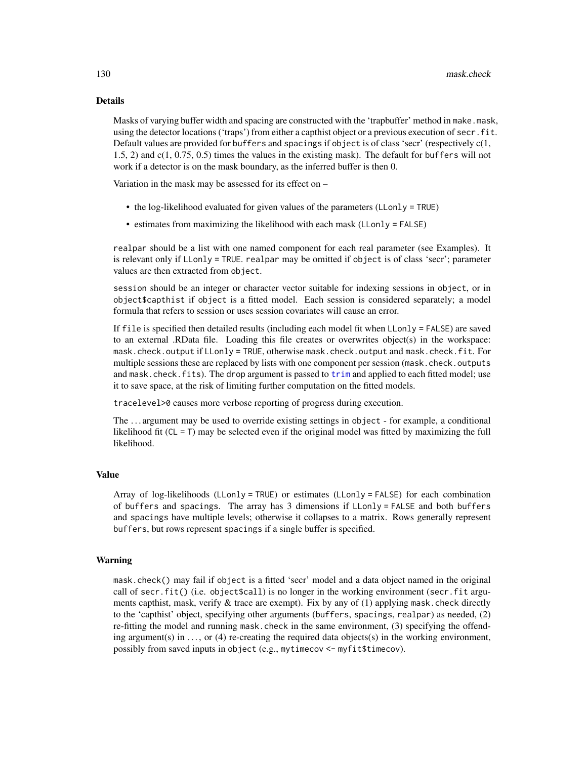### Details

Masks of varying buffer width and spacing are constructed with the 'trapbuffer' method in make.mask, using the detector locations ('traps') from either a capthist object or a previous execution of secr.fit. Default values are provided for buffers and spacings if object is of class 'secr' (respectively  $c(1, 1)$ 1.5, 2) and c(1, 0.75, 0.5) times the values in the existing mask). The default for buffers will not work if a detector is on the mask boundary, as the inferred buffer is then 0.

Variation in the mask may be assessed for its effect on –

- the log-likelihood evaluated for given values of the parameters (LLonly = TRUE)
- estimates from maximizing the likelihood with each mask (LLonly = FALSE)

realpar should be a list with one named component for each real parameter (see Examples). It is relevant only if LLonly = TRUE. realpar may be omitted if object is of class 'secr'; parameter values are then extracted from object.

session should be an integer or character vector suitable for indexing sessions in object, or in object\$capthist if object is a fitted model. Each session is considered separately; a model formula that refers to session or uses session covariates will cause an error.

If file is specified then detailed results (including each model fit when  $L$ Lonly = FALSE) are saved to an external .RData file. Loading this file creates or overwrites object(s) in the workspace: mask.check.output if LLonly = TRUE, otherwise mask.check.output and mask.check.fit. For multiple sessions these are replaced by lists with one component per session (mask.check.outputs and mask.check.fits). The drop argument is passed to [trim](#page-290-0) and applied to each fitted model; use it to save space, at the risk of limiting further computation on the fitted models.

tracelevel>0 causes more verbose reporting of progress during execution.

The . . . argument may be used to override existing settings in object - for example, a conditional likelihood fit ( $CL = T$ ) may be selected even if the original model was fitted by maximizing the full likelihood.

## Value

Array of log-likelihoods (LLonly = TRUE) or estimates (LLonly = FALSE) for each combination of buffers and spacings. The array has 3 dimensions if LLonly = FALSE and both buffers and spacings have multiple levels; otherwise it collapses to a matrix. Rows generally represent buffers, but rows represent spacings if a single buffer is specified.

#### Warning

mask.check() may fail if object is a fitted 'secr' model and a data object named in the original call of secr.fit() (i.e. object $\text{\$cal}\$ call) is no longer in the working environment (secr.fit arguments capthist, mask, verify  $\&$  trace are exempt). Fix by any of (1) applying mask.check directly to the 'capthist' object, specifying other arguments (buffers, spacings, realpar) as needed, (2) re-fitting the model and running mask.check in the same environment, (3) specifying the offending argument(s) in  $\dots$ , or (4) re-creating the required data objects(s) in the working environment, possibly from saved inputs in object (e.g., mytimecov <- myfit\$timecov).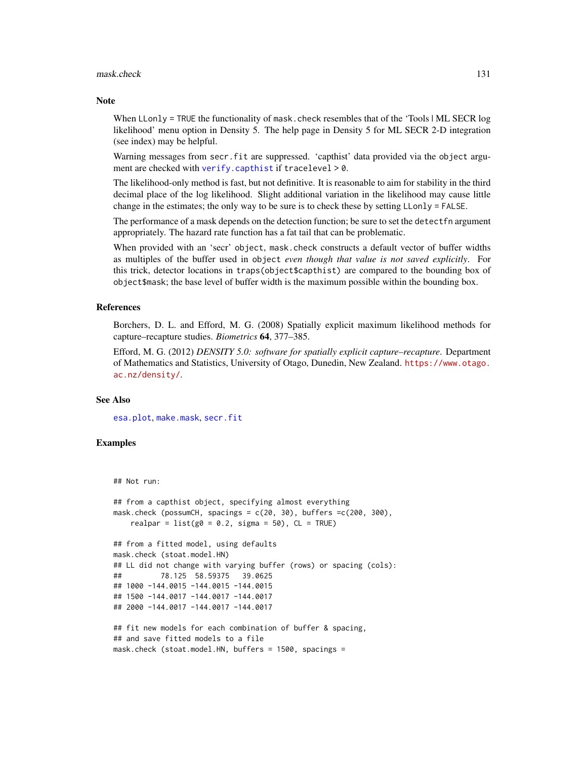#### mask.check 131

#### **Note**

When LLonly = TRUE the functionality of mask, check resembles that of the 'Tools  $|\text{ML}$  SECR log likelihood' menu option in Density 5. The help page in Density 5 for ML SECR 2-D integration (see index) may be helpful.

Warning messages from secr. fit are suppressed. 'capthist' data provided via the object argument are checked with [verify.capthist](#page-304-1) if tracelevel > 0.

The likelihood-only method is fast, but not definitive. It is reasonable to aim for stability in the third decimal place of the log likelihood. Slight additional variation in the likelihood may cause little change in the estimates; the only way to be sure is to check these by setting LLonly = FALSE.

The performance of a mask depends on the detection function; be sure to set the detectfn argument appropriately. The hazard rate function has a fat tail that can be problematic.

When provided with an 'secr' object, mask.check constructs a default vector of buffer widths as multiples of the buffer used in object *even though that value is not saved explicitly*. For this trick, detector locations in traps(object\$capthist) are compared to the bounding box of object\$mask; the base level of buffer width is the maximum possible within the bounding box.

## References

Borchers, D. L. and Efford, M. G. (2008) Spatially explicit maximum likelihood methods for capture–recapture studies. *Biometrics* 64, 377–385.

Efford, M. G. (2012) *DENSITY 5.0: software for spatially explicit capture–recapture*. Department of Mathematics and Statistics, University of Otago, Dunedin, New Zealand. [https://www.otago.](https://www.otago.ac.nz/density/) [ac.nz/density/](https://www.otago.ac.nz/density/).

# See Also

[esa.plot](#page-71-0), [make.mask](#page-115-0), [secr.fit](#page-218-0)

```
## Not run:
```

```
## from a capthist object, specifying almost everything
mask.check (possumCH, spacings = c(20, 30), buffers =c(200, 300),
   realpar = list(g0 = 0.2, sigma = 50), CL = TRUE## from a fitted model, using defaults
mask.check (stoat.model.HN)
## LL did not change with varying buffer (rows) or spacing (cols):
## 78.125 58.59375 39.0625
## 1000 -144.0015 -144.0015 -144.0015
## 1500 -144.0017 -144.0017 -144.0017
## 2000 -144.0017 -144.0017 -144.0017
## fit new models for each combination of buffer & spacing,
## and save fitted models to a file
mask.check (stoat.model.HN, buffers = 1500, spacings =
```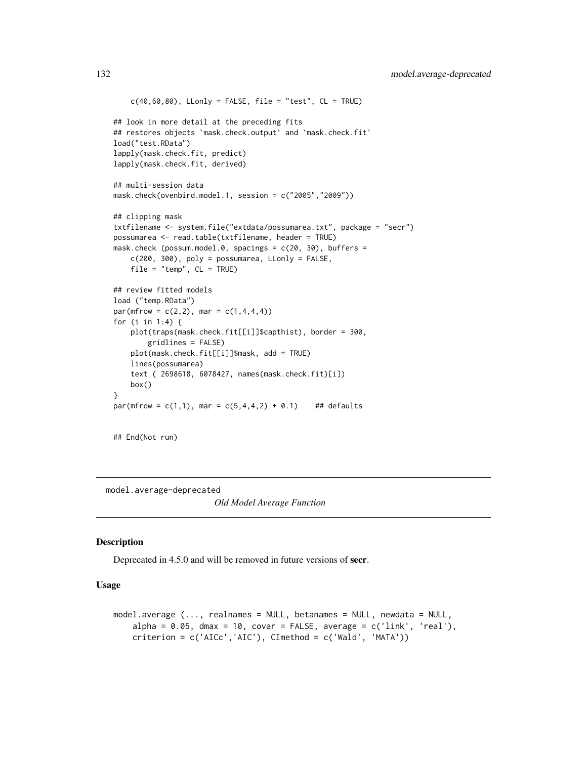```
c(40,60,80), LLonly = FALSE, file = "test", CL = TRUE)
## look in more detail at the preceding fits
## restores objects `mask.check.output' and `mask.check.fit'
load("test.RData")
lapply(mask.check.fit, predict)
lapply(mask.check.fit, derived)
## multi-session data
mask.check(ovenbird.model.1, session = c("2005","2009"))
## clipping mask
txtfilename <- system.file("extdata/possumarea.txt", package = "secr")
possumarea <- read.table(txtfilename, header = TRUE)
mask.check (possum.model.0, spacings = c(20, 30), buffers =
    c(200, 300), poly = possumarea, Llonly = FALSE,
    file = "temp", CL = TRUE)
## review fitted models
load ("temp.RData")
par(mfrow = c(2,2), mar = c(1,4,4,4))for (i in 1:4) {
   plot(traps(mask.check.fit[[i]]$capthist), border = 300,
       gridlines = FALSE)
   plot(mask.check.fit[[i]]$mask, add = TRUE)
    lines(possumarea)
    text ( 2698618, 6078427, names(mask.check.fit)[i])
   box()
}
par(mfrow = c(1,1), mar = c(5,4,4,2) + 0.1) ## defaults
```
## End(Not run)

model.average-deprecated

*Old Model Average Function*

# Description

Deprecated in 4.5.0 and will be removed in future versions of secr.

# Usage

```
model.average (..., realnames = NULL, betanames = NULL, newdata = NULL,
   alpha = 0.05, dmax = 10, covar = FALSE, average = c('link', 'real'),criterion = c('AICc','AIC'), CImethod = c('Wald', 'MATA'))
```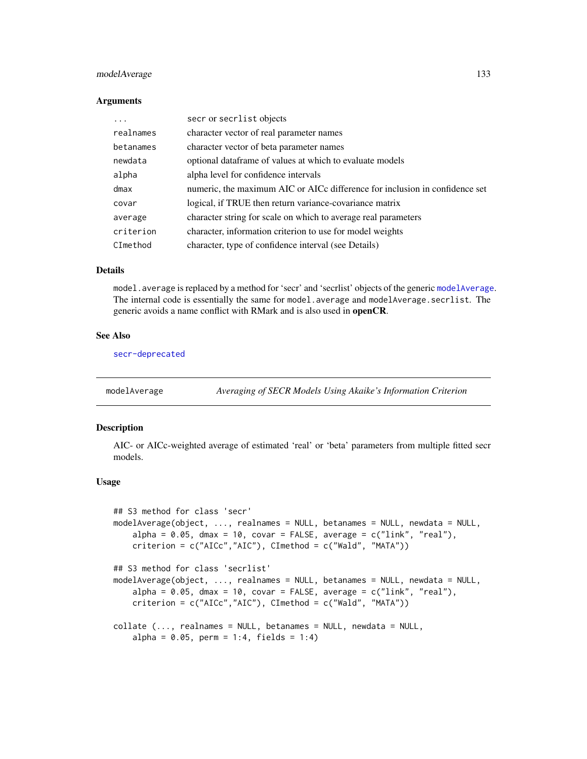# modelAverage 133

#### **Arguments**

| .         | secr or secrlist objects                                                    |
|-----------|-----------------------------------------------------------------------------|
| realnames | character vector of real parameter names                                    |
| betanames | character vector of beta parameter names                                    |
| newdata   | optional dataframe of values at which to evaluate models                    |
| alpha     | alpha level for confidence intervals                                        |
| dmax      | numeric, the maximum AIC or AICc difference for inclusion in confidence set |
| covar     | logical, if TRUE then return variance-covariance matrix                     |
| average   | character string for scale on which to average real parameters              |
| criterion | character, information criterion to use for model weights                   |
| CImethod  | character, type of confidence interval (see Details)                        |
|           |                                                                             |

# Details

model. average is replaced by a method for 'secr' and 'secrlist' objects of the generic [modelAverage](#page-132-0). The internal code is essentially the same for model.average and modelAverage.secrlist. The generic avoids a name conflict with RMark and is also used in openCR.

## See Also

[secr-deprecated](#page-215-0)

<span id="page-132-0"></span>modelAverage *Averaging of SECR Models Using Akaike's Information Criterion*

## Description

AIC- or AICc-weighted average of estimated 'real' or 'beta' parameters from multiple fitted secr models.

### Usage

```
## S3 method for class 'secr'
modelAverage(object, ..., realnames = NULL, betanames = NULL, newdata = NULL,
    alpha = 0.05, dmax = 10, covar = FALSE, average = c("link", "real"),criterion = c("AICc","AIC"), CImethod = c("Wald", "MATA"))
## S3 method for class 'secrlist'
modelAverage(object, ..., realnames = NULL, betanames = NULL, newdata = NULL,
    alpha = 0.05, dmax = 10, covar = FALSE, average = c("link", "real"),criterion = c("AICc","AIC"), CImethod = c("Wald", "MATA"))
collate (..., realnames = NULL, betanames = NULL, newdata = NULL,
   alpha = 0.05, perm = 1:4, fields = 1:4)
```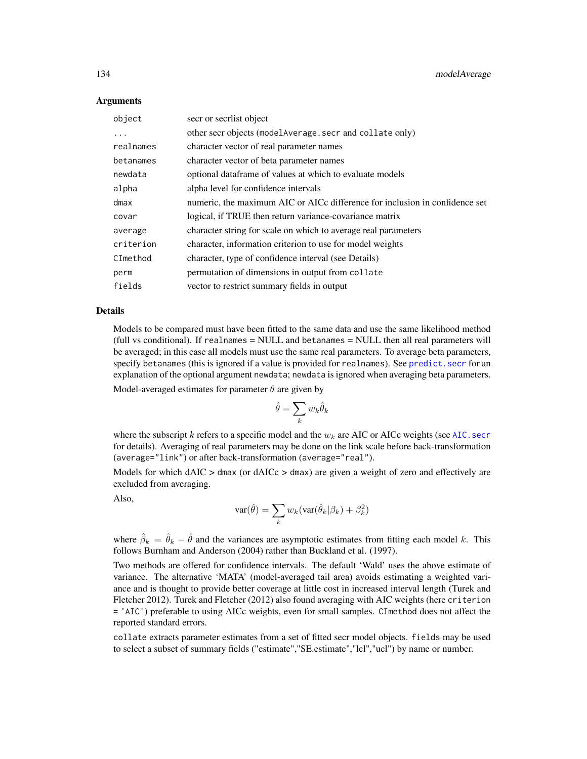## **Arguments**

| object    | secr or secriist object                                                     |
|-----------|-----------------------------------------------------------------------------|
| .         | other secr objects (model Average . secr and collate only)                  |
| realnames | character vector of real parameter names                                    |
| betanames | character vector of beta parameter names                                    |
| newdata   | optional dataframe of values at which to evaluate models                    |
| alpha     | alpha level for confidence intervals                                        |
| dmax      | numeric, the maximum AIC or AICc difference for inclusion in confidence set |
| covar     | logical, if TRUE then return variance-covariance matrix                     |
| average   | character string for scale on which to average real parameters              |
| criterion | character, information criterion to use for model weights                   |
| CImethod  | character, type of confidence interval (see Details)                        |
| perm      | permutation of dimensions in output from collate                            |
| fields    | vector to restrict summary fields in output                                 |

#### Details

Models to be compared must have been fitted to the same data and use the same likelihood method (full vs conditional). If realnames = NULL and betanames = NULL then all real parameters will be averaged; in this case all models must use the same real parameters. To average beta parameters, specify betanames (this is ignored if a value is provided for realnames). See [predict.secr](#page-174-0) for an explanation of the optional argument newdata; newdata is ignored when averaging beta parameters.

Model-averaged estimates for parameter  $\theta$  are given by

$$
\hat{\theta} = \sum_k w_k \hat{\theta}_k
$$

where the subscript k refers to a specific model and the  $w_k$  are AIC or AICc weights (see AIC. secr for details). Averaging of real parameters may be done on the link scale before back-transformation (average="link") or after back-transformation (average="real").

Models for which  $dAIC > dmax$  (or  $dAICc > dmax$ ) are given a weight of zero and effectively are excluded from averaging.

Also,

$$
var(\hat{\theta}) = \sum_{k} w_k (var(\hat{\theta}_k | \beta_k) + \beta_k^2)
$$

where  $\hat{\beta}_k = \hat{\theta}_k - \hat{\theta}$  and the variances are asymptotic estimates from fitting each model k. This follows Burnham and Anderson (2004) rather than Buckland et al. (1997).

Two methods are offered for confidence intervals. The default 'Wald' uses the above estimate of variance. The alternative 'MATA' (model-averaged tail area) avoids estimating a weighted variance and is thought to provide better coverage at little cost in increased interval length (Turek and Fletcher 2012). Turek and Fletcher (2012) also found averaging with AIC weights (here criterion = 'AIC') preferable to using AICc weights, even for small samples. CImethod does not affect the reported standard errors.

collate extracts parameter estimates from a set of fitted secr model objects. fields may be used to select a subset of summary fields ("estimate","SE.estimate","lcl","ucl") by name or number.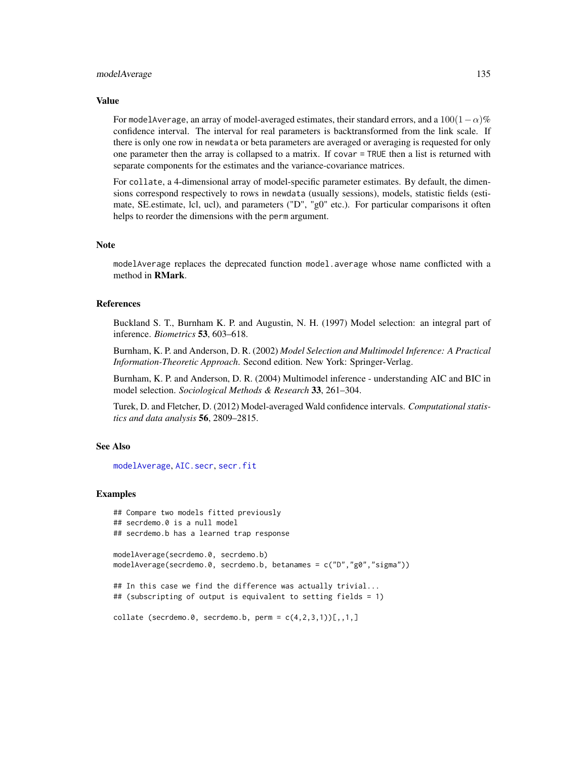#### modelAverage 135

#### Value

For modelAverage, an array of model-averaged estimates, their standard errors, and a  $100(1-\alpha)\%$ confidence interval. The interval for real parameters is backtransformed from the link scale. If there is only one row in newdata or beta parameters are averaged or averaging is requested for only one parameter then the array is collapsed to a matrix. If covar = TRUE then a list is returned with separate components for the estimates and the variance-covariance matrices.

For collate, a 4-dimensional array of model-specific parameter estimates. By default, the dimensions correspond respectively to rows in newdata (usually sessions), models, statistic fields (estimate, SE.estimate, lcl, ucl), and parameters ("D", "g0" etc.). For particular comparisons it often helps to reorder the dimensions with the perm argument.

#### Note

modelAverage replaces the deprecated function model.average whose name conflicted with a method in RMark.

## References

Buckland S. T., Burnham K. P. and Augustin, N. H. (1997) Model selection: an integral part of inference. *Biometrics* 53, 603–618.

Burnham, K. P. and Anderson, D. R. (2002) *Model Selection and Multimodel Inference: A Practical Information-Theoretic Approach*. Second edition. New York: Springer-Verlag.

Burnham, K. P. and Anderson, D. R. (2004) Multimodel inference - understanding AIC and BIC in model selection. *Sociological Methods & Research* 33, 261–304.

Turek, D. and Fletcher, D. (2012) Model-averaged Wald confidence intervals. *Computational statistics and data analysis* 56, 2809–2815.

### See Also

[modelAverage](#page-132-0), [AIC.secr](#page-13-0), [secr.fit](#page-218-0)

```
## Compare two models fitted previously
## secrdemo.0 is a null model
## secrdemo.b has a learned trap response
modelAverage(secrdemo.0, secrdemo.b)
modelAverage(secrdemo.0, secrdemo.b, betanames = c("D","g0","sigma"))
## In this case we find the difference was actually trivial...
## (subscripting of output is equivalent to setting fields = 1)
collate (secrdemo.0, secrdemo.b, perm = c(4,2,3,1)[1,1,1]
```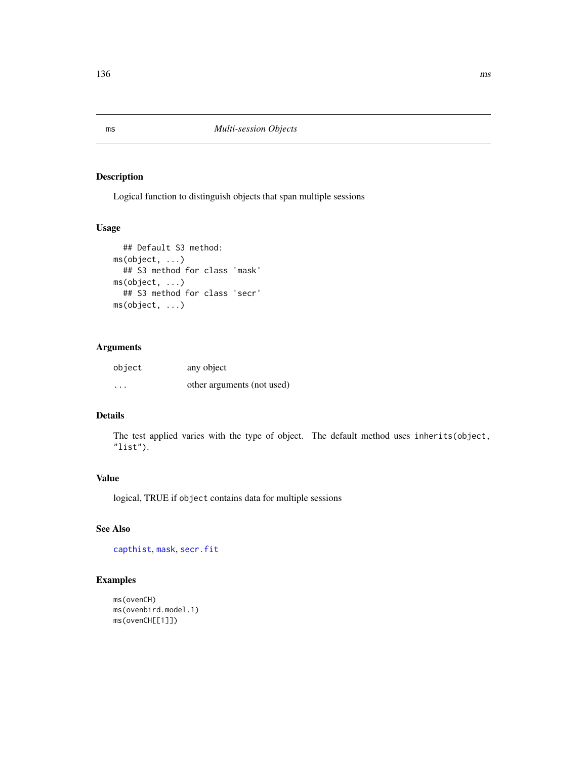Logical function to distinguish objects that span multiple sessions

# Usage

```
## Default S3 method:
ms(object, ...)
  ## S3 method for class 'mask'
ms(object, ...)
  ## S3 method for class 'secr'
ms(object, ...)
```
# Arguments

| object | any object                 |
|--------|----------------------------|
| .      | other arguments (not used) |

# Details

The test applied varies with the type of object. The default method uses inherits(object, "list").

## Value

logical, TRUE if object contains data for multiple sessions

# See Also

[capthist](#page-24-0), [mask](#page-127-0), [secr.fit](#page-218-0)

```
ms(ovenCH)
ms(ovenbird.model.1)
ms(ovenCH[[1]])
```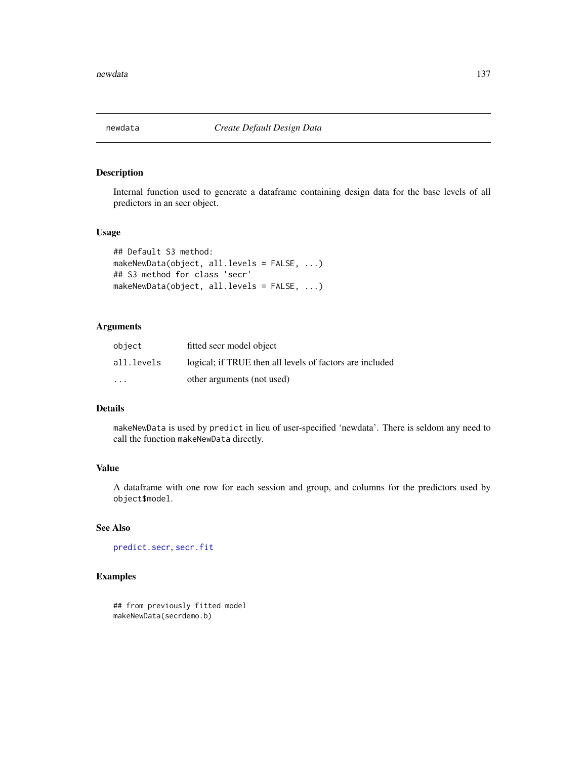Internal function used to generate a dataframe containing design data for the base levels of all predictors in an secr object.

# Usage

```
## Default S3 method:
makeNewData(object, all.levels = FALSE, ...)
## S3 method for class 'secr'
makeNewData(object, all.levels = FALSE, ...)
```
# Arguments

| object                  | fitted secr model object                                 |
|-------------------------|----------------------------------------------------------|
| all.levels              | logical; if TRUE then all levels of factors are included |
| $\cdot$ $\cdot$ $\cdot$ | other arguments (not used)                               |

# **Details**

makeNewData is used by predict in lieu of user-specified 'newdata'. There is seldom any need to call the function makeNewData directly.

# Value

A dataframe with one row for each session and group, and columns for the predictors used by object\$model.

# See Also

[predict.secr](#page-174-0), [secr.fit](#page-218-0)

# Examples

## from previously fitted model makeNewData(secrdemo.b)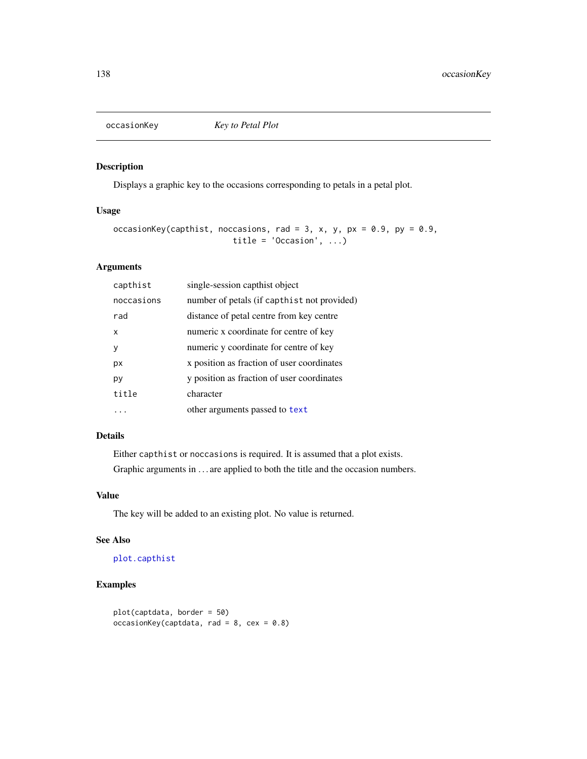Displays a graphic key to the occasions corresponding to petals in a petal plot.

# Usage

```
occasionKey(capthist, noccasions, rad = 3, x, y, px = 0.9, py = 0.9,
                         title = 'Occasion', ...)
```
# Arguments

| capthist   | single-session capthist object              |
|------------|---------------------------------------------|
| noccasions | number of petals (if capthist not provided) |
| rad        | distance of petal centre from key centre    |
| x          | numeric x coordinate for centre of key      |
| ٧          | numeric y coordinate for centre of key      |
| рx         | x position as fraction of user coordinates  |
| рy         | y position as fraction of user coordinates  |
| title      | character                                   |
|            | other arguments passed to text              |

# Details

Either capthist or noccasions is required. It is assumed that a plot exists. Graphic arguments in . . . are applied to both the title and the occasion numbers.

# Value

The key will be added to an existing plot. No value is returned.

# See Also

[plot.capthist](#page-155-0)

```
plot(captdata, border = 50)
occasionKey(captdata, rad = 8, cex = 0.8)
```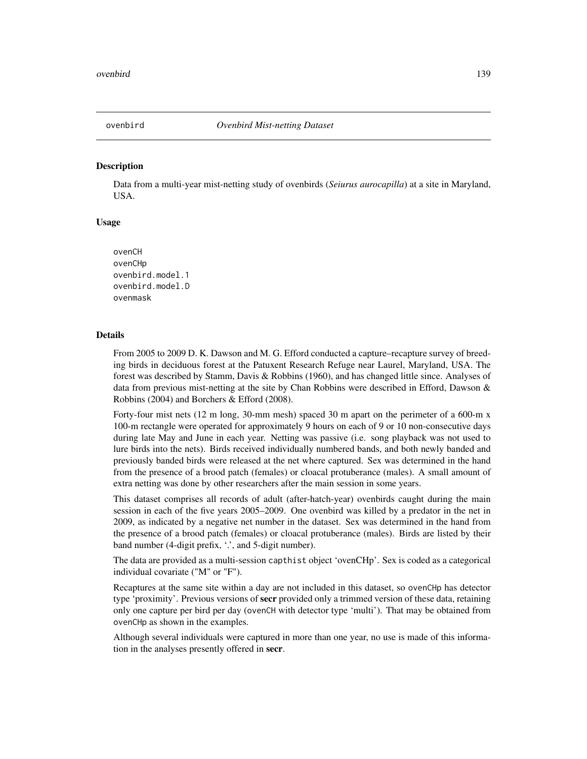<span id="page-138-0"></span>

Data from a multi-year mist-netting study of ovenbirds (*Seiurus aurocapilla*) at a site in Maryland, USA.

# Usage

```
ovenCH
ovenCHp
ovenbird.model.1
ovenbird.model.D
ovenmask
```
## Details

From 2005 to 2009 D. K. Dawson and M. G. Efford conducted a capture–recapture survey of breeding birds in deciduous forest at the Patuxent Research Refuge near Laurel, Maryland, USA. The forest was described by Stamm, Davis & Robbins (1960), and has changed little since. Analyses of data from previous mist-netting at the site by Chan Robbins were described in Efford, Dawson & Robbins (2004) and Borchers & Efford (2008).

Forty-four mist nets (12 m long, 30-mm mesh) spaced 30 m apart on the perimeter of a 600-m x 100-m rectangle were operated for approximately 9 hours on each of 9 or 10 non-consecutive days during late May and June in each year. Netting was passive (i.e. song playback was not used to lure birds into the nets). Birds received individually numbered bands, and both newly banded and previously banded birds were released at the net where captured. Sex was determined in the hand from the presence of a brood patch (females) or cloacal protuberance (males). A small amount of extra netting was done by other researchers after the main session in some years.

This dataset comprises all records of adult (after-hatch-year) ovenbirds caught during the main session in each of the five years 2005–2009. One ovenbird was killed by a predator in the net in 2009, as indicated by a negative net number in the dataset. Sex was determined in the hand from the presence of a brood patch (females) or cloacal protuberance (males). Birds are listed by their band number (4-digit prefix, '.', and 5-digit number).

The data are provided as a multi-session capthist object 'ovenCHp'. Sex is coded as a categorical individual covariate ("M" or "F").

Recaptures at the same site within a day are not included in this dataset, so ovenCHp has detector type 'proximity'. Previous versions of **secr** provided only a trimmed version of these data, retaining only one capture per bird per day (ovenCH with detector type 'multi'). That may be obtained from ovenCHp as shown in the examples.

Although several individuals were captured in more than one year, no use is made of this information in the analyses presently offered in secr.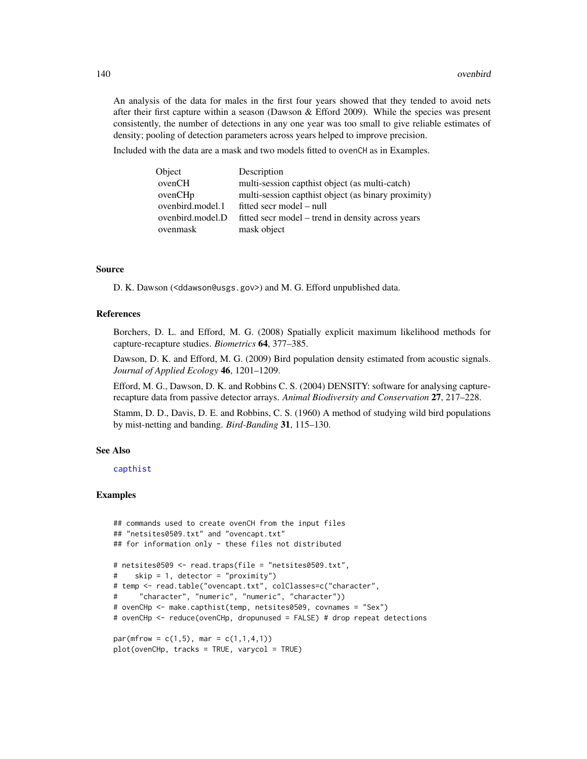An analysis of the data for males in the first four years showed that they tended to avoid nets after their first capture within a season (Dawson & Efford 2009). While the species was present consistently, the number of detections in any one year was too small to give reliable estimates of density; pooling of detection parameters across years helped to improve precision.

Included with the data are a mask and two models fitted to ovenCH as in Examples.

| Object              | Description                                         |
|---------------------|-----------------------------------------------------|
| ovenCH              | multi-session capthist object (as multi-catch)      |
| ovenCH <sub>p</sub> | multi-session capthist object (as binary proximity) |
| ovenbird.model.1    | fitted secr model – null                            |
| ovenbird.model.D    | fitted secr model – trend in density across years   |
| ovenmask            | mask object                                         |

# Source

D. K. Dawson (<ddawson@usgs.gov>) and M. G. Efford unpublished data.

## References

Borchers, D. L. and Efford, M. G. (2008) Spatially explicit maximum likelihood methods for capture-recapture studies. *Biometrics* 64, 377–385.

Dawson, D. K. and Efford, M. G. (2009) Bird population density estimated from acoustic signals. *Journal of Applied Ecology* 46, 1201–1209.

Efford, M. G., Dawson, D. K. and Robbins C. S. (2004) DENSITY: software for analysing capturerecapture data from passive detector arrays. *Animal Biodiversity and Conservation* 27, 217–228.

Stamm, D. D., Davis, D. E. and Robbins, C. S. (1960) A method of studying wild bird populations by mist-netting and banding. *Bird-Banding* 31, 115–130.

#### See Also

# [capthist](#page-24-0)

```
## commands used to create ovenCH from the input files
## "netsites0509.txt" and "ovencapt.txt"
## for information only - these files not distributed
# netsites0509 <- read.traps(file = "netsites0509.txt",
# skip = 1, detector = "proximity")
# temp <- read.table("ovencapt.txt", colClasses=c("character",
# "character", "numeric", "numeric", "character"))
# ovenCHp <- make.capthist(temp, netsites0509, covnames = "Sex")
# ovenCHp <- reduce(ovenCHp, dropunused = FALSE) # drop repeat detections
par(mfrow = c(1,5), mar = c(1,1,4,1))plot(ovenCHp, tracks = TRUE, varycol = TRUE)
```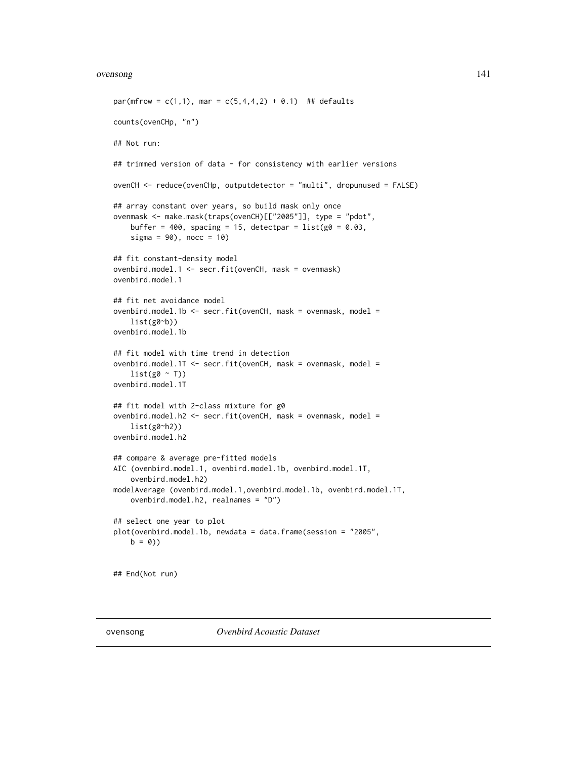#### ovensong 141

```
par(mfrow = c(1,1), mar = c(5,4,4,2) + 0.1) ## defaults
counts(ovenCHp, "n")
## Not run:
## trimmed version of data - for consistency with earlier versions
ovenCH <- reduce(ovenCHp, outputdetector = "multi", dropunused = FALSE)
## array constant over years, so build mask only once
ovenmask <- make.mask(traps(ovenCH)[["2005"]], type = "pdot",
    buffer = 400, spacing = 15, detectpar = list(g0 = 0.03,signa = 90, nocc = 10)
## fit constant-density model
ovenbird.model.1 <- secr.fit(ovenCH, mask = ovenmask)
ovenbird.model.1
## fit net avoidance model
ovenbird.model.1b <- secr.fit(ovenCH, mask = ovenmask, model =
    list(g0<sub>o</sub>b))ovenbird.model.1b
## fit model with time trend in detection
ovenbird.model.1T <- secr.fit(ovenCH, mask = ovenmask, model =
    list(g0 \sim T))ovenbird.model.1T
## fit model with 2-class mixture for g0
ovenbird.model.h2 <- secr.fit(ovenCH, mask = ovenmask, model =
   list(g0~h2))
ovenbird.model.h2
## compare & average pre-fitted models
AIC (ovenbird.model.1, ovenbird.model.1b, ovenbird.model.1T,
    ovenbird.model.h2)
modelAverage (ovenbird.model.1,ovenbird.model.1b, ovenbird.model.1T,
    ovenbird.model.h2, realnames = "D")
## select one year to plot
plot(ovenbird.model.1b, newdata = data.frame(session = "2005",
    b = 0)## End(Not run)
```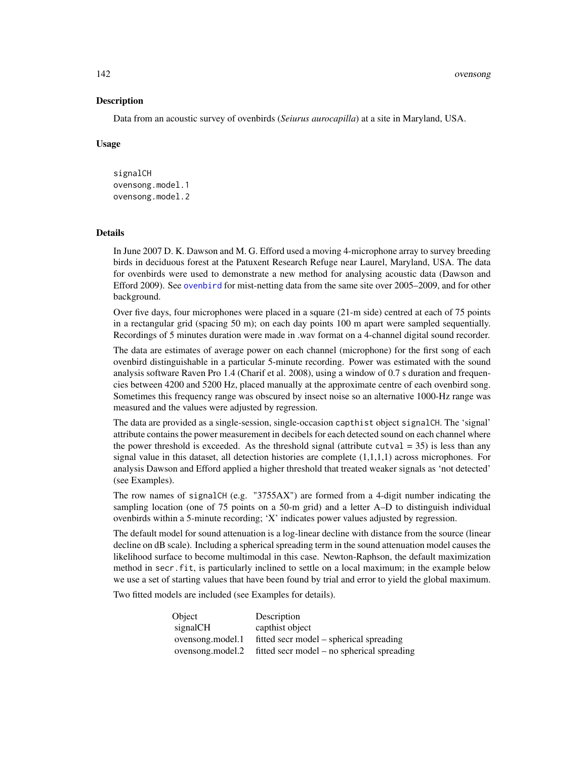142 ovensong

## **Description**

Data from an acoustic survey of ovenbirds (*Seiurus aurocapilla*) at a site in Maryland, USA.

# Usage

signalCH ovensong.model.1 ovensong.model.2

# Details

In June 2007 D. K. Dawson and M. G. Efford used a moving 4-microphone array to survey breeding birds in deciduous forest at the Patuxent Research Refuge near Laurel, Maryland, USA. The data for ovenbirds were used to demonstrate a new method for analysing acoustic data (Dawson and Efford 2009). See [ovenbird](#page-138-0) for mist-netting data from the same site over 2005–2009, and for other background.

Over five days, four microphones were placed in a square (21-m side) centred at each of 75 points in a rectangular grid (spacing 50 m); on each day points 100 m apart were sampled sequentially. Recordings of 5 minutes duration were made in .wav format on a 4-channel digital sound recorder.

The data are estimates of average power on each channel (microphone) for the first song of each ovenbird distinguishable in a particular 5-minute recording. Power was estimated with the sound analysis software Raven Pro 1.4 (Charif et al. 2008), using a window of 0.7 s duration and frequencies between 4200 and 5200 Hz, placed manually at the approximate centre of each ovenbird song. Sometimes this frequency range was obscured by insect noise so an alternative 1000-Hz range was measured and the values were adjusted by regression.

The data are provided as a single-session, single-occasion capthist object signalCH. The 'signal' attribute contains the power measurement in decibels for each detected sound on each channel where the power threshold is exceeded. As the threshold signal (attribute cutval  $=$  35) is less than any signal value in this dataset, all detection histories are complete  $(1,1,1,1)$  across microphones. For analysis Dawson and Efford applied a higher threshold that treated weaker signals as 'not detected' (see Examples).

The row names of signalCH (e.g. "3755AX") are formed from a 4-digit number indicating the sampling location (one of 75 points on a 50-m grid) and a letter A–D to distinguish individual ovenbirds within a 5-minute recording; 'X' indicates power values adjusted by regression.

The default model for sound attenuation is a log-linear decline with distance from the source (linear decline on dB scale). Including a spherical spreading term in the sound attenuation model causes the likelihood surface to become multimodal in this case. Newton-Raphson, the default maximization method in secr.fit, is particularly inclined to settle on a local maximum; in the example below we use a set of starting values that have been found by trial and error to yield the global maximum.

Two fitted models are included (see Examples for details).

| Object           | Description                                |
|------------------|--------------------------------------------|
| signalCH         | capthist object                            |
| ovensong.model.1 | fitted secr model – spherical spreading    |
| ovensong.model.2 | fitted secr model – no spherical spreading |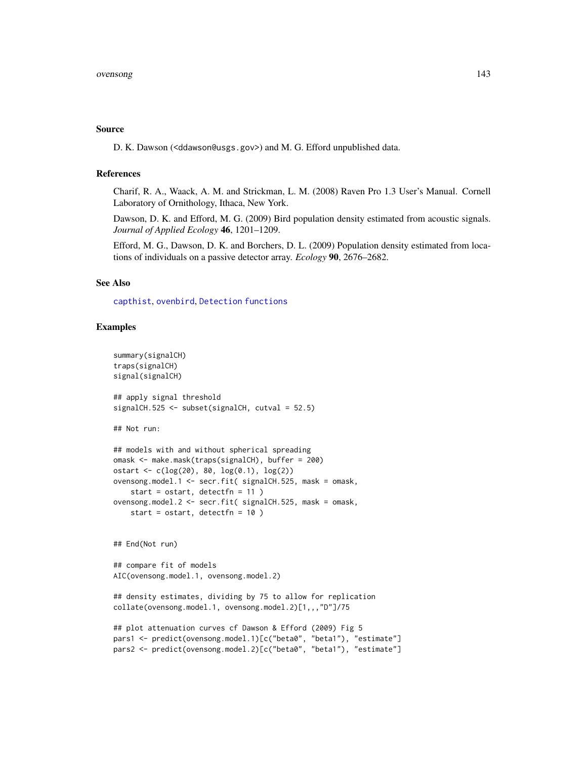## Source

D. K. Dawson (<ddawson@usgs.gov>) and M. G. Efford unpublished data.

## References

Charif, R. A., Waack, A. M. and Strickman, L. M. (2008) Raven Pro 1.3 User's Manual. Cornell Laboratory of Ornithology, Ithaca, New York.

Dawson, D. K. and Efford, M. G. (2009) Bird population density estimated from acoustic signals. *Journal of Applied Ecology* 46, 1201–1209.

Efford, M. G., Dawson, D. K. and Borchers, D. L. (2009) Population density estimated from locations of individuals on a passive detector array. *Ecology* 90, 2676–2682.

# See Also

[capthist](#page-24-0), [ovenbird](#page-138-0), [Detection functions](#page-0-0)

```
summary(signalCH)
traps(signalCH)
signal(signalCH)
## apply signal threshold
signalCH.525 <- subset(signalCH, cutval = 52.5)
## Not run:
## models with and without spherical spreading
omask <- make.mask(traps(signalCH), buffer = 200)
ostart <- c(log(20), 80, log(0.1), log(2))
ovensong.model.1 <- secr.fit( signalCH.525, mask = omask,
   start = ostart, detectfn = 11 )
ovensong.model.2 <- secr.fit( signalCH.525, mask = omask,
   start = ostart, detectfn = 10 )
## End(Not run)
## compare fit of models
AIC(ovensong.model.1, ovensong.model.2)
## density estimates, dividing by 75 to allow for replication
collate(ovensong.model.1, ovensong.model.2)[1,,,"D"]/75
## plot attenuation curves cf Dawson & Efford (2009) Fig 5
pars1 <- predict(ovensong.model.1)[c("beta0", "beta1"), "estimate"]
pars2 <- predict(ovensong.model.2)[c("beta0", "beta1"), "estimate"]
```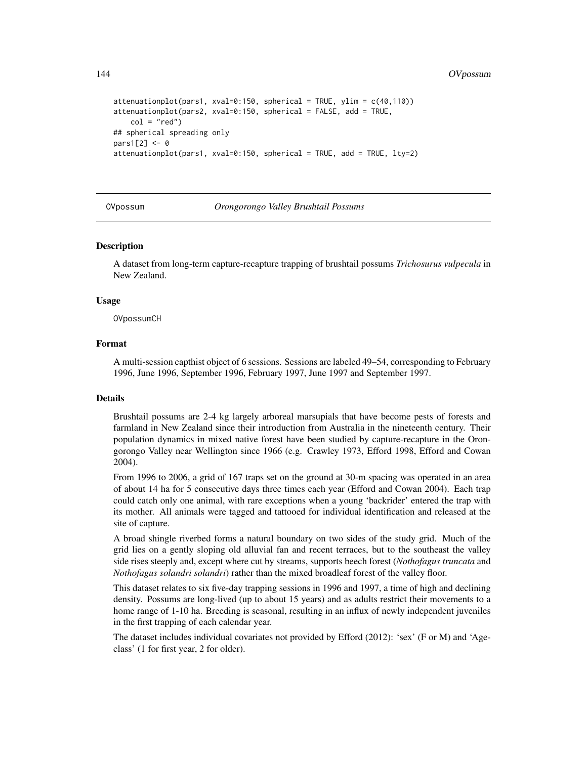```
attenuationplot(pars1, xval=0:150, spherical = TRUE, ylim = c(40,110))
attenuationplot(pars2, xval=0:150, spherical = FALSE, add = TRUE,
   col = "red")## spherical spreading only
pars1[2] <- 0
attenuationplot(pars1, xval=0:150, spherical = TRUE, add = TRUE, lty=2)
```
OVpossum *Orongorongo Valley Brushtail Possums*

## Description

A dataset from long-term capture-recapture trapping of brushtail possums *Trichosurus vulpecula* in New Zealand.

## Usage

OVpossumCH

# Format

A multi-session capthist object of 6 sessions. Sessions are labeled 49–54, corresponding to February 1996, June 1996, September 1996, February 1997, June 1997 and September 1997.

# Details

Brushtail possums are 2-4 kg largely arboreal marsupials that have become pests of forests and farmland in New Zealand since their introduction from Australia in the nineteenth century. Their population dynamics in mixed native forest have been studied by capture-recapture in the Orongorongo Valley near Wellington since 1966 (e.g. Crawley 1973, Efford 1998, Efford and Cowan 2004).

From 1996 to 2006, a grid of 167 traps set on the ground at 30-m spacing was operated in an area of about 14 ha for 5 consecutive days three times each year (Efford and Cowan 2004). Each trap could catch only one animal, with rare exceptions when a young 'backrider' entered the trap with its mother. All animals were tagged and tattooed for individual identification and released at the site of capture.

A broad shingle riverbed forms a natural boundary on two sides of the study grid. Much of the grid lies on a gently sloping old alluvial fan and recent terraces, but to the southeast the valley side rises steeply and, except where cut by streams, supports beech forest (*Nothofagus truncata* and *Nothofagus solandri solandri*) rather than the mixed broadleaf forest of the valley floor.

This dataset relates to six five-day trapping sessions in 1996 and 1997, a time of high and declining density. Possums are long-lived (up to about 15 years) and as adults restrict their movements to a home range of 1-10 ha. Breeding is seasonal, resulting in an influx of newly independent juveniles in the first trapping of each calendar year.

The dataset includes individual covariates not provided by Efford (2012): 'sex' (F or M) and 'Ageclass' (1 for first year, 2 for older).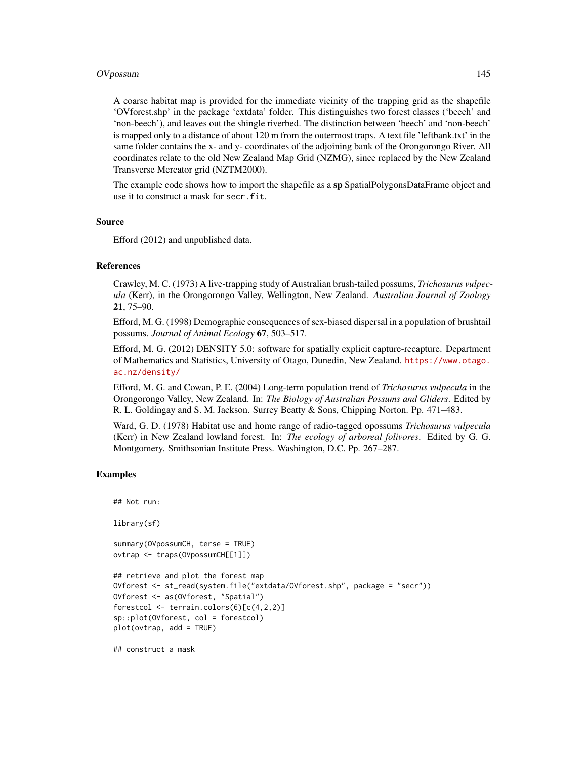## OVpossum 145

A coarse habitat map is provided for the immediate vicinity of the trapping grid as the shapefile 'OVforest.shp' in the package 'extdata' folder. This distinguishes two forest classes ('beech' and 'non-beech'), and leaves out the shingle riverbed. The distinction between 'beech' and 'non-beech' is mapped only to a distance of about 120 m from the outermost traps. A text file 'leftbank.txt' in the same folder contains the x- and y- coordinates of the adjoining bank of the Orongorongo River. All coordinates relate to the old New Zealand Map Grid (NZMG), since replaced by the New Zealand Transverse Mercator grid (NZTM2000).

The example code shows how to import the shapefile as a sp SpatialPolygonsDataFrame object and use it to construct a mask for secr.fit.

## Source

Efford (2012) and unpublished data.

## References

Crawley, M. C. (1973) A live-trapping study of Australian brush-tailed possums, *Trichosurus vulpecula* (Kerr), in the Orongorongo Valley, Wellington, New Zealand. *Australian Journal of Zoology* 21, 75–90.

Efford, M. G. (1998) Demographic consequences of sex-biased dispersal in a population of brushtail possums. *Journal of Animal Ecology* 67, 503–517.

Efford, M. G. (2012) DENSITY 5.0: software for spatially explicit capture-recapture. Department of Mathematics and Statistics, University of Otago, Dunedin, New Zealand. [https://www.otago.](https://www.otago.ac.nz/density/) [ac.nz/density/](https://www.otago.ac.nz/density/)

Efford, M. G. and Cowan, P. E. (2004) Long-term population trend of *Trichosurus vulpecula* in the Orongorongo Valley, New Zealand. In: *The Biology of Australian Possums and Gliders*. Edited by R. L. Goldingay and S. M. Jackson. Surrey Beatty & Sons, Chipping Norton. Pp. 471–483.

Ward, G. D. (1978) Habitat use and home range of radio-tagged opossums *Trichosurus vulpecula* (Kerr) in New Zealand lowland forest. In: *The ecology of arboreal folivores*. Edited by G. G. Montgomery. Smithsonian Institute Press. Washington, D.C. Pp. 267–287.

# Examples

```
## Not run:
library(sf)
summary(OVpossumCH, terse = TRUE)
ovtrap <- traps(OVpossumCH[[1]])
## retrieve and plot the forest map
OVforest <- st_read(system.file("extdata/OVforest.shp", package = "secr"))
OVforest <- as(OVforest, "Spatial")
forestcol <- terrain.colors(6)[c(4,2,2)]
sp::plot(OVforest, col = forestcol)
plot(ovtrap, add = TRUE)
```
## construct a mask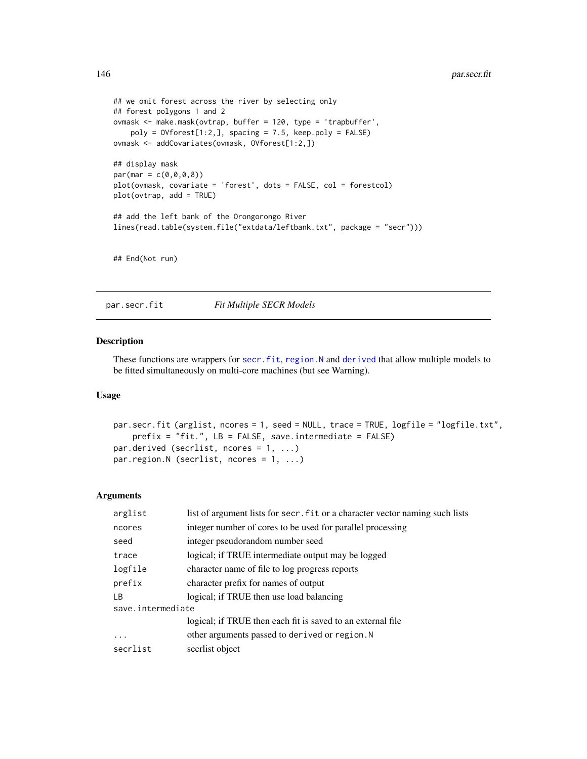```
## we omit forest across the river by selecting only
## forest polygons 1 and 2
ovmask <- make.mask(ovtrap, buffer = 120, type = 'trapbuffer',
   poly = 0Vforest[1:2,], spacing = 7.5, keep.poly = FALSE)
ovmask <- addCovariates(ovmask, OVforest[1:2,])
## display mask
par(max = c(0, 0, 0, 8))plot(ovmask, covariate = 'forest', dots = FALSE, col = forestcol)
plot(ovtrap, add = TRUE)
## add the left bank of the Orongorongo River
lines(read.table(system.file("extdata/leftbank.txt", package = "secr")))
## End(Not run)
```
<span id="page-145-0"></span>par.secr.fit *Fit Multiple SECR Models*

## <span id="page-145-1"></span>Description

These functions are wrappers for [secr.fit](#page-218-0), [region.N](#page-204-0) and [derived](#page-47-0) that allow multiple models to be fitted simultaneously on multi-core machines (but see Warning).

# Usage

```
par.secr.fit (arglist, ncores = 1, seed = NULL, trace = TRUE, logfile = "logfile.txt",
    prefix = "fit.", LB = FALSE, save.intermediate = FALSE)
par.derived (secrlist, ncores = 1, ...)
par.region.N (secrlist, ncores = 1, ...)
```
## Arguments

| arglist           | list of argument lists for secr. fit or a character vector naming such lists |  |
|-------------------|------------------------------------------------------------------------------|--|
| ncores            | integer number of cores to be used for parallel processing                   |  |
| seed              | integer pseudorandom number seed                                             |  |
| trace             | logical; if TRUE intermediate output may be logged                           |  |
| logfile           | character name of file to log progress reports                               |  |
| prefix            | character prefix for names of output                                         |  |
| LВ                | logical; if TRUE then use load balancing                                     |  |
| save.intermediate |                                                                              |  |
|                   | logical; if TRUE then each fit is saved to an external file                  |  |
| $\cdots$          | other arguments passed to derived or region. N                               |  |
| secrlist          | secriist object                                                              |  |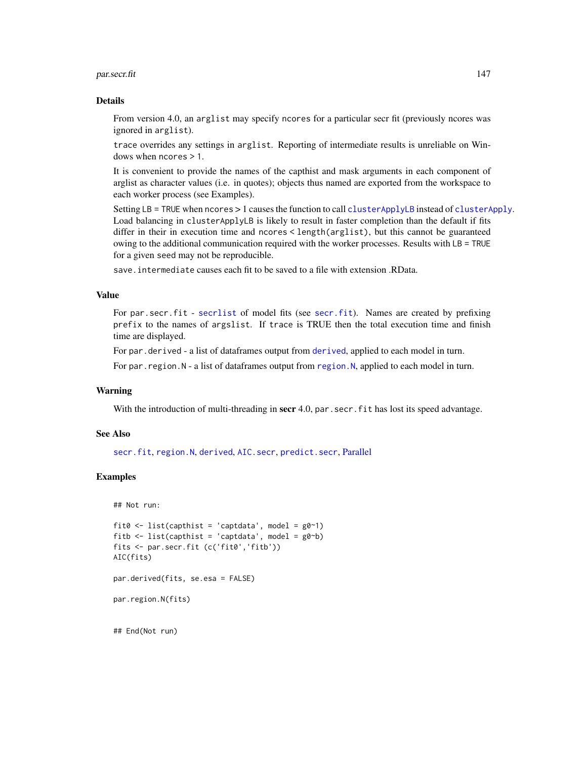## par.secr.fit 147

### Details

From version 4.0, an arglist may specify ncores for a particular secr fit (previously ncores was ignored in arglist).

trace overrides any settings in arglist. Reporting of intermediate results is unreliable on Windows when ncores > 1.

It is convenient to provide the names of the capthist and mask arguments in each component of arglist as character values (i.e. in quotes); objects thus named are exported from the workspace to each worker process (see Examples).

Setting LB = TRUE when ncores > 1 causes the function to call [clusterApplyLB](#page-0-0) instead of [clusterApply](#page-0-0). Load balancing in clusterApplyLB is likely to result in faster completion than the default if fits differ in their in execution time and ncores < length(arglist), but this cannot be guaranteed owing to the additional communication required with the worker processes. Results with LB = TRUE for a given seed may not be reproducible.

save.intermediate causes each fit to be saved to a file with extension .RData.

## Value

For par.secr.fit - [secrlist](#page-13-0) of model fits (see [secr.fit](#page-218-0)). Names are created by prefixing prefix to the names of argslist. If trace is TRUE then the total execution time and finish time are displayed.

For par.derived - a list of dataframes output from [derived](#page-47-0), applied to each model in turn.

For par. region. N - a list of dataframes output from region. N, applied to each model in turn.

# Warning

With the introduction of multi-threading in secr 4.0, par. secr. fit has lost its speed advantage.

# See Also

[secr.fit](#page-218-0), [region.N](#page-204-0), [derived](#page-47-0), [AIC.secr](#page-13-1), [predict.secr](#page-174-0), [Parallel](#page-147-0)

## Examples

```
## Not run:
```

```
fit0 <- list(capthist = 'captdata', model = g0^{\sim}1)
fitb \le list(capthist = 'captdata', model = g0<sup>~</sup>b)
fits <- par.secr.fit (c('fit0','fitb'))
AIC(fits)
par.derived(fits, se.esa = FALSE)
par.region.N(fits)
## End(Not run)
```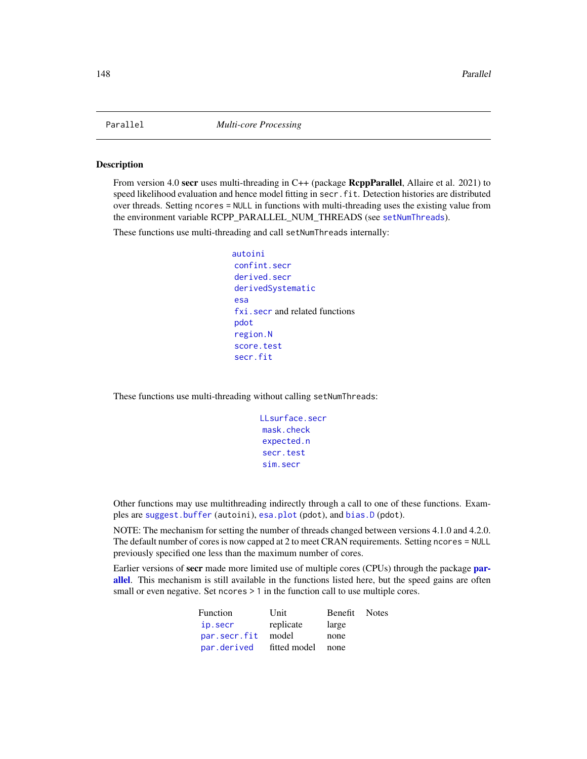<span id="page-147-0"></span>

#### Description

From version 4.0 secr uses multi-threading in C++ (package RcppParallel, Allaire et al. 2021) to speed likelihood evaluation and hence model fitting in secr. fit. Detection histories are distributed over threads. Setting ncores = NULL in functions with multi-threading uses the existing value from the environment variable RCPP\_PARALLEL\_NUM\_THREADS (see [setNumThreads](#page-233-0)).

These functions use multi-threading and call setNumThreads internally:

```
autoini
confint.secr
derived.secr
derivedSystematic
esa
fxi.secr and related functions
pdot
region.N
score.test
secr.fit
```
These functions use multi-threading without calling setNumThreads:

```
LLsurface.secr
mask.check
expected.n
secr.test
sim.secr
```
Other functions may use multithreading indirectly through a call to one of these functions. Examples are [suggest.buffer](#page-271-0) (autoini), [esa.plot](#page-71-0) (pdot), and [bias.D](#page-271-1) (pdot).

NOTE: The mechanism for setting the number of threads changed between versions 4.1.0 and 4.2.0. The default number of cores is now capped at 2 to meet CRAN requirements. Setting ncores = NULL previously specified one less than the maximum number of cores.

Earlier versions of secr made more limited use of multiple cores (CPUs) through the package [par](#page-0-0)[allel](#page-0-0). This mechanism is still available in the functions listed here, but the speed gains are often small or even negative. Set ncores  $> 1$  in the function call to use multiple cores.

| Function     | Unit              | Benefit Notes |  |
|--------------|-------------------|---------------|--|
| ip.secr      | replicate         | large         |  |
| par.secr.fit | model             | none          |  |
| par.derived  | fitted model none |               |  |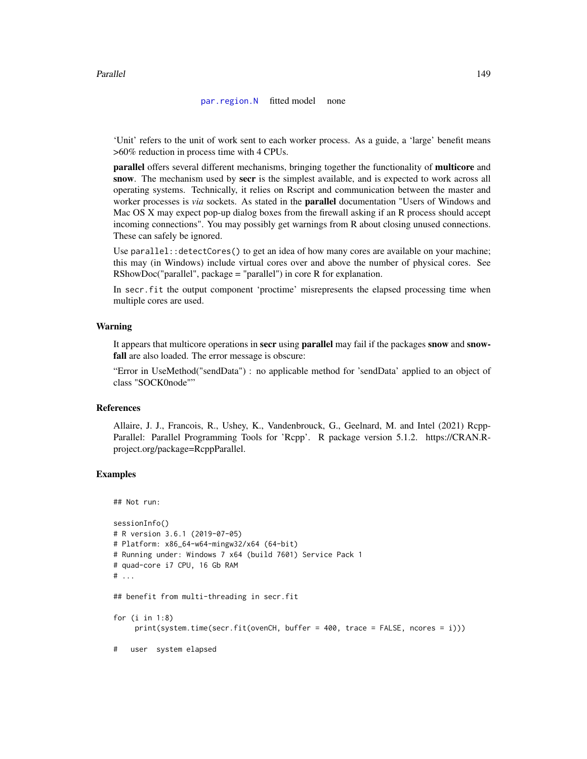## Parallel 2003 and 2004 and 2006 and 2006 and 2006 and 2006 and 2006 and 2006 and 2006 and 2006 and 2006 and 20

#### [par.region.N](#page-145-1) fitted model none

'Unit' refers to the unit of work sent to each worker process. As a guide, a 'large' benefit means >60% reduction in process time with 4 CPUs.

parallel offers several different mechanisms, bringing together the functionality of multicore and snow. The mechanism used by secr is the simplest available, and is expected to work across all operating systems. Technically, it relies on Rscript and communication between the master and worker processes is *via* sockets. As stated in the parallel documentation "Users of Windows and Mac OS X may expect pop-up dialog boxes from the firewall asking if an R process should accept incoming connections". You may possibly get warnings from R about closing unused connections. These can safely be ignored.

Use parallel::detectCores() to get an idea of how many cores are available on your machine; this may (in Windows) include virtual cores over and above the number of physical cores. See RShowDoc("parallel", package = "parallel") in core R for explanation.

In secr.fit the output component 'proctime' misrepresents the elapsed processing time when multiple cores are used.

## Warning

It appears that multicore operations in **secr** using **parallel** may fail if the packages **snow** and **snow**fall are also loaded. The error message is obscure:

"Error in UseMethod("sendData") : no applicable method for 'sendData' applied to an object of class "SOCK0node""

## References

Allaire, J. J., Francois, R., Ushey, K., Vandenbrouck, G., Geelnard, M. and Intel (2021) Rcpp-Parallel: Parallel Programming Tools for 'Rcpp'. R package version 5.1.2. https://CRAN.Rproject.org/package=RcppParallel.

# Examples

```
## Not run:
sessionInfo()
# R version 3.6.1 (2019-07-05)
# Platform: x86_64-w64-mingw32/x64 (64-bit)
# Running under: Windows 7 x64 (build 7601) Service Pack 1
# quad-core i7 CPU, 16 Gb RAM
# ...
## benefit from multi-threading in secr.fit
for (i in 1:8)
     print(system.time(secr.fit(ovenCH, buffer = 400, trace = FALSE, ncores = i)))
```
# user system elapsed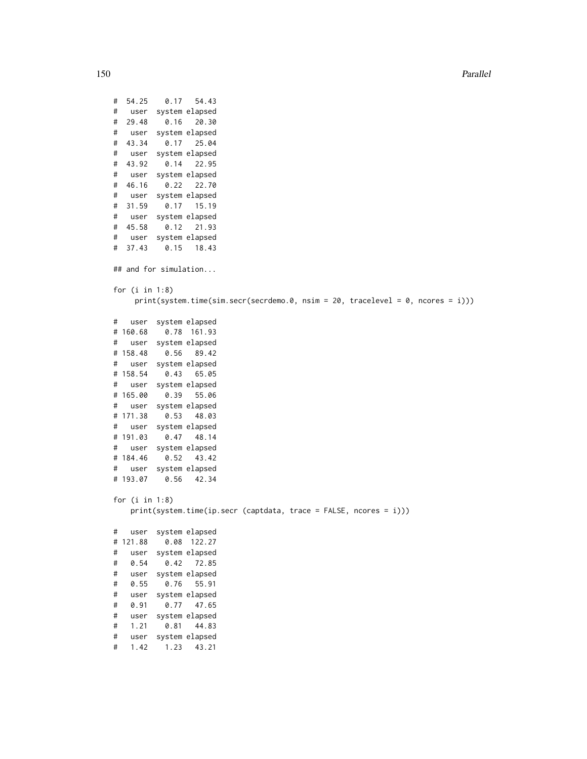150 Parallel

```
# 54.25 0.17 54.43
# user system elapsed
# 29.48 0.16 20.30
# user system elapsed
# 43.34 0.17 25.04
# user system elapsed
# 43.92 0.14 22.95
# user system elapsed
# 46.16 0.22 22.70
# user system elapsed
# 31.59 0.17 15.19
# user system elapsed
# 45.58 0.12 21.93
# user system elapsed
# 37.43 0.15 18.43
## and for simulation...
for (i in 1:8)
    print(system.time(sim.secr(secrdemo.0, nsim = 20, tracelevel = 0, ncores = i)))
# user system elapsed
# 160.68 0.78 161.93
# user system elapsed
# 158.48 0.56 89.42
# user system elapsed
# 158.54 0.43 65.05
# user system elapsed
# 165.00 0.39 55.06
# user system elapsed
# 171.38 0.53 48.03
# user system elapsed
# 191.03 0.47 48.14
# user system elapsed
# 184.46 0.52 43.42
# user system elapsed
# 193.07 0.56 42.34
for (i in 1:8)
   print(system.time(ip.secr (captdata, trace = FALSE, ncores = i)))
# user system elapsed
# 121.88 0.08 122.27
# user system elapsed
# 0.54 0.42 72.85
# user system elapsed
# 0.55 0.76 55.91
# user system elapsed
# 0.91 0.77 47.65
# user system elapsed
# 1.21 0.81 44.83
# user system elapsed
```
# 1.42 1.23 43.21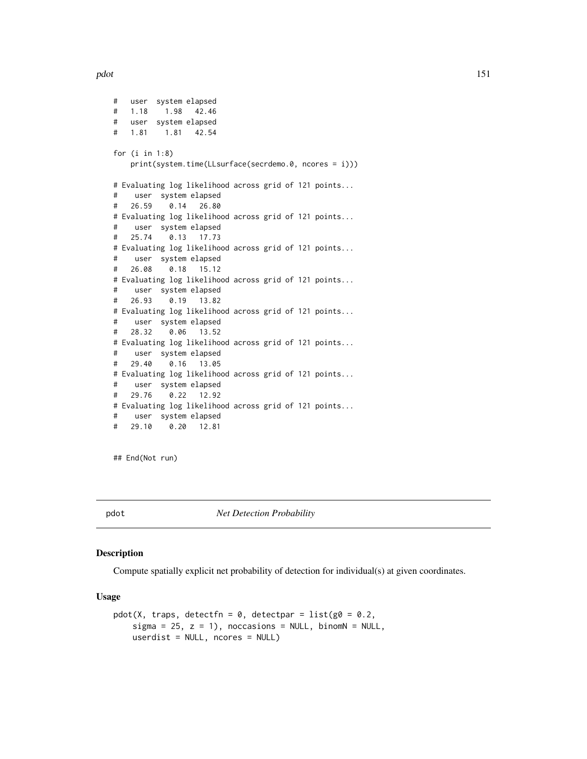pdot the contract of the contract of the contract of the contract of the contract of the contract of the contract of the contract of the contract of the contract of the contract of the contract of the contract of the contr

```
# user system elapsed
# 1.18 1.98 42.46
# user system elapsed
# 1.81 1.81 42.54
for (i in 1:8)
   print(system.time(LLsurface(secrdemo.0, ncores = i)))
# Evaluating log likelihood across grid of 121 points...
# user system elapsed
# 26.59 0.14 26.80
# Evaluating log likelihood across grid of 121 points...
# user system elapsed
# 25.74 0.13 17.73
# Evaluating log likelihood across grid of 121 points...
# user system elapsed
# 26.08 0.18 15.12
# Evaluating log likelihood across grid of 121 points...
# user system elapsed
# 26.93 0.19 13.82
# Evaluating log likelihood across grid of 121 points...
# user system elapsed
# 28.32 0.06 13.52
# Evaluating log likelihood across grid of 121 points...
# user system elapsed
# 29.40 0.16 13.05
# Evaluating log likelihood across grid of 121 points...
# user system elapsed
# 29.76 0.22 12.92
# Evaluating log likelihood across grid of 121 points...
# user system elapsed
# 29.10 0.20 12.81
```
## End(Not run)

<span id="page-150-0"></span>

pdot *Net Detection Probability*

# **Description**

Compute spatially explicit net probability of detection for individual(s) at given coordinates.

## Usage

```
pdot(X, traps, detectfn = 0, detectpar = list(g0 = 0.2,sigma = 25, z = 1), noccasions = NULL, binomN = NULL,
   userdist = NULL, ncores = NULL)
```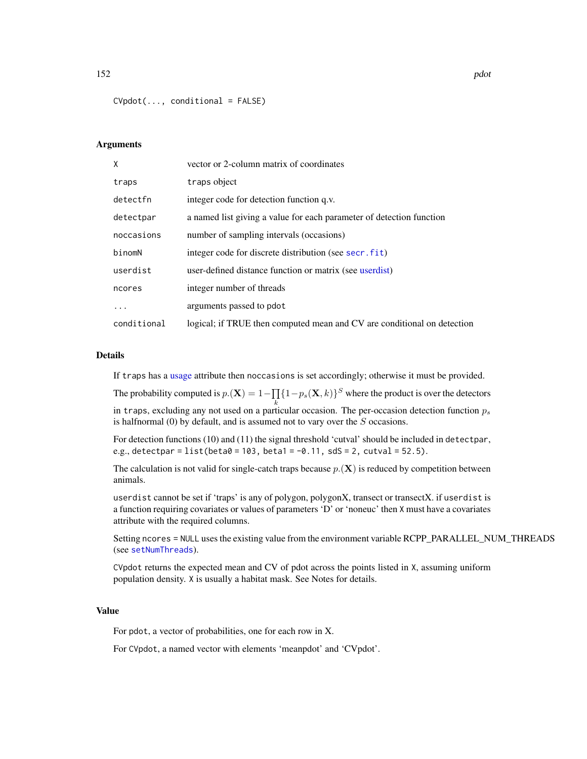$CVpdot(..., conditional = FALSE)$ 

## Arguments

| X           | vector or 2-column matrix of coordinates                                |
|-------------|-------------------------------------------------------------------------|
| traps       | traps object                                                            |
| detectfn    | integer code for detection function q.v.                                |
| detectpar   | a named list giving a value for each parameter of detection function    |
| noccasions  | number of sampling intervals (occasions)                                |
| binomN      | integer code for discrete distribution (see secr. fit)                  |
| userdist    | user-defined distance function or matrix (see userdist)                 |
| ncores      | integer number of threads                                               |
| .           | arguments passed to pdot                                                |
| conditional | logical; if TRUE then computed mean and CV are conditional on detection |

#### Details

If traps has a [usage](#page-296-0) attribute then noccasions is set accordingly; otherwise it must be provided.

The probability computed is  $p.(\mathbf{X}) = 1 - \prod_{i} \{1 - p_s(\mathbf{X}, k)\}^S$  where the product is over the detectors in traps, excluding any not used on a particular occasion. The per-occasion detection function  $p_s$ is halfnormal  $(0)$  by default, and is assumed not to vary over the  $S$  occasions.

For detection functions (10) and (11) the signal threshold 'cutval' should be included in detectpar, e.g., detectpar =  $list(beta0 = 103, beta1 = -0.11, s dS = 2, cutval = 52.5)$ .

The calculation is not valid for single-catch traps because  $p(\mathbf{X})$  is reduced by competition between animals.

userdist cannot be set if 'traps' is any of polygon, polygonX, transect or transectX. if userdist is a function requiring covariates or values of parameters 'D' or 'noneuc' then X must have a covariates attribute with the required columns.

Setting ncores = NULL uses the existing value from the environment variable RCPP\_PARALLEL\_NUM\_THREADS (see [setNumThreads](#page-233-0)).

CVpdot returns the expected mean and CV of pdot across the points listed in X, assuming uniform population density. X is usually a habitat mask. See Notes for details.

# Value

For pdot, a vector of probabilities, one for each row in X.

For CVpdot, a named vector with elements 'meanpdot' and 'CVpdot'.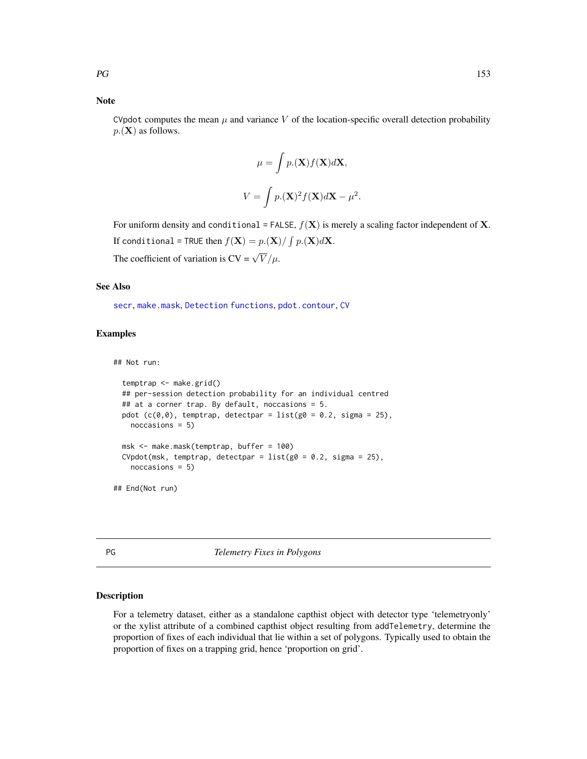# Note

CVpdot computes the mean  $\mu$  and variance V of the location-specific overall detection probability  $p(\mathbf{X})$  as follows.

$$
\mu = \int p.(\mathbf{X}) f(\mathbf{X}) d\mathbf{X},
$$

$$
V = \int p.(\mathbf{X})^2 f(\mathbf{X}) d\mathbf{X} - \mu^2
$$

.

For uniform density and conditional = FALSE,  $f(\mathbf{X})$  is merely a scaling factor independent of **X**. If conditional = TRUE then  $f(\mathbf{X}) = p.(\mathbf{X}) / \int p.(\mathbf{X}) d\mathbf{X}$ . The coefficient of variation is  $CV = \sqrt{V}/\mu$ .

## See Also

[secr](#page-4-0), [make.mask](#page-115-0), [Detection functions](#page-0-0), [pdot.contour](#page-38-0), [CV](#page-42-0)

# Examples

## Not run:

```
temptrap <- make.grid()
 ## per-session detection probability for an individual centred
 ## at a corner trap. By default, noccasions = 5.
 pdot (c(0,0)), temptrap, detectpar = list(g0 = 0.2, sigma = 25),
   noccasions = 5)
 msk <- make.mask(temptrap, buffer = 100)
 CVpdot(msk, temptrap, detectpar = list(g0 = 0.2, sigma = 25),
   noccasions = 5)
## End(Not run)
```
PG *Telemetry Fixes in Polygons*

# Description

For a telemetry dataset, either as a standalone capthist object with detector type 'telemetryonly' or the xylist attribute of a combined capthist object resulting from addTelemetry, determine the proportion of fixes of each individual that lie within a set of polygons. Typically used to obtain the proportion of fixes on a trapping grid, hence 'proportion on grid'.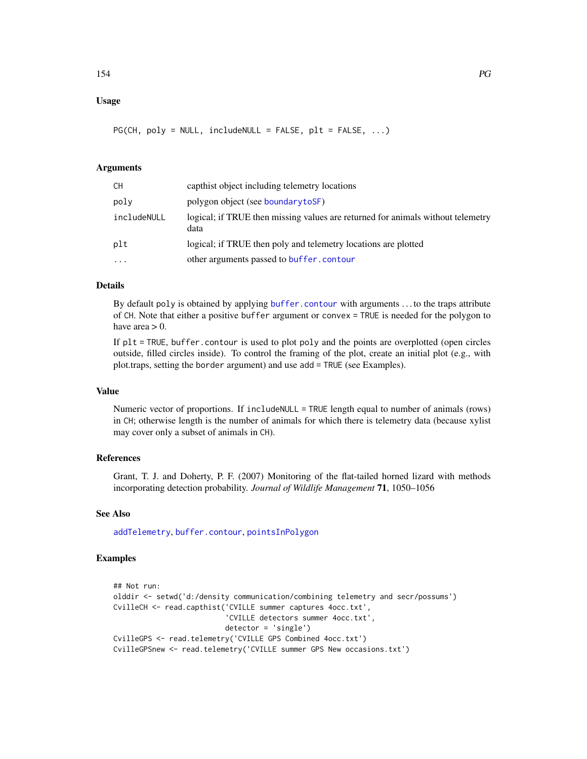# Usage

 $PG(CH, poly = NULL, include NULL = FALSE, plt = FALSE, ...)$ 

# Arguments

| CН          | capthist object including telemetry locations                                           |
|-------------|-----------------------------------------------------------------------------------------|
| poly        | polygon object (see boundarytoSF)                                                       |
| includeNULL | logical; if TRUE then missing values are returned for animals without telemetry<br>data |
| plt         | logical; if TRUE then poly and telemetry locations are plotted                          |
| $\ddotsc$   | other arguments passed to buffer.contour                                                |

## Details

By default poly is obtained by applying [buffer.contour](#page-38-0) with arguments . . . to the traps attribute of CH. Note that either a positive buffer argument or convex = TRUE is needed for the polygon to have area  $> 0$ .

If plt = TRUE, buffer.contour is used to plot poly and the points are overplotted (open circles outside, filled circles inside). To control the framing of the plot, create an initial plot (e.g., with plot.traps, setting the border argument) and use add = TRUE (see Examples).

# Value

Numeric vector of proportions. If includeNULL = TRUE length equal to number of animals (rows) in CH; otherwise length is the number of animals for which there is telemetry data (because xylist may cover only a subset of animals in CH).

# References

Grant, T. J. and Doherty, P. F. (2007) Monitoring of the flat-tailed horned lizard with methods incorporating detection probability. *Journal of Wildlife Management* 71, 1050–1056

## See Also

[addTelemetry](#page-10-0), [buffer.contour](#page-38-0), [pointsInPolygon](#page-169-0)

# Examples

```
## Not run:
olddir <- setwd('d:/density communication/combining telemetry and secr/possums')
CvilleCH <- read.capthist('CVILLE summer captures 4occ.txt',
                          'CVILLE detectors summer 4occ.txt',
                          detector = 'single')
CvilleGPS <- read.telemetry('CVILLE GPS Combined 4occ.txt')
CvilleGPSnew <- read.telemetry('CVILLE summer GPS New occasions.txt')
```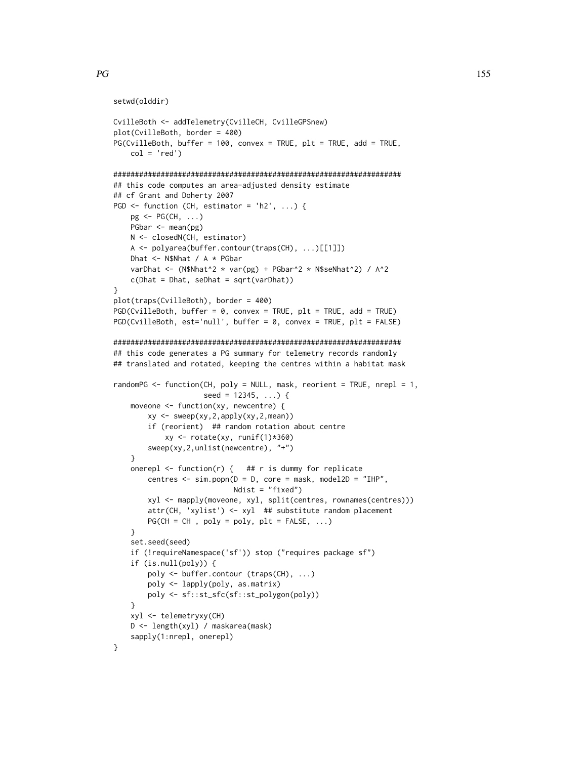}

}

}

}

}

xyl <- telemetryxy(CH)

sapply(1:nrepl, onerepl)

D <- length(xyl) / maskarea(mask)

```
setwd(olddir)
CvilleBoth <- addTelemetry(CvilleCH, CvilleGPSnew)
plot(CvilleBoth, border = 400)
PG(CvilleBoth, buffer = 100, convex = TRUE, plt = TRUE, add = TRUE,
   col = 'red')###################################################################
## this code computes an area-adjusted density estimate
## cf Grant and Doherty 2007
PGD \leftarrow function (CH, estimator = 'h2', ...) {
   pg \leftarrow PG(CH, \ldots)PGbar <- mean(pg)
   N <- closedN(CH, estimator)
   A <- polyarea(buffer.contour(traps(CH), ...)[[1]])
   Dhat <- N$Nhat / A * PGbar
   varDhat <- (N$Nhat^2 * var(pg) + PGbar^2 * N$seNhat^2) / A^2
   c(Dhat = Dhat, seDhat = sqrt(varDhat))
plot(traps(CvilleBoth), border = 400)
PGD(CvilleBoth, buffer = 0, convex = TRUE, plt = TRUE, add = TRUE)
PGD(CvilleBoth, est='null', buffer = 0, convex = TRUE, plt = FALSE)
###################################################################
## this code generates a PG summary for telemetry records randomly
## translated and rotated, keeping the centres within a habitat mask
randomPG <- function(CH, poly = NULL, mask, reorient = TRUE, nrepl = 1,
                     seed = 12345, ...) { }moveone <- function(xy, newcentre) {
        xy <- sweep(xy,2,apply(xy,2,mean))
        if (reorient) ## random rotation about centre
            xy <- rotate(xy, runif(1)*360)
        sweep(xy,2,unlist(newcentre), "+")
    onerepl \leq function(r) { ## r is dummy for replicate
        centres \leq sim.popn(D = D, core = mask, model2D = "IHP",Ndist = "fixed")
        xyl <- mapply(moveone, xyl, split(centres, rownames(centres)))
        attr(CH, 'xylist') <- xyl ## substitute random placement
        PG(CH = CH, poly = poly, plt = FALSE, ...)set.seed(seed)
    if (!requireNamespace('sf')) stop ("requires package sf")
    if (is.null(poly)) {
        poly <- buffer.contour (traps(CH), ...)
        poly <- lapply(poly, as.matrix)
       poly <- sf::st_sfc(sf::st_polygon(poly))
```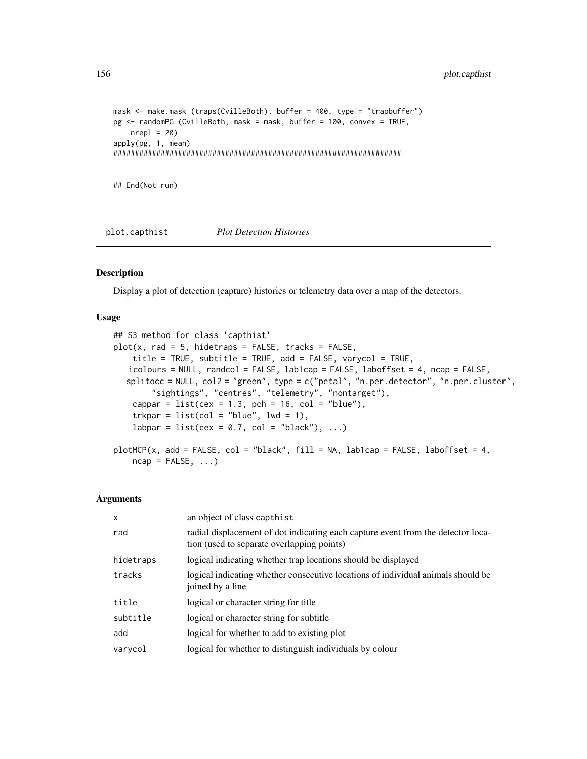```
mask <- make.mask (traps(CvilleBoth), buffer = 400, type = "trapbuffer")
pg <- randomPG (CvilleBoth, mask = mask, buffer = 100, convex = TRUE,
   nrep1 = 20apply(pg, 1, mean)
###################################################################
```
## End(Not run)

plot.capthist *Plot Detection Histories*

## Description

Display a plot of detection (capture) histories or telemetry data over a map of the detectors.

## Usage

```
## S3 method for class 'capthist'
plot(x, rad = 5, hidden) = FALSE, tracks = FALSE,title = TRUE, subtitle = TRUE, add = FALSE, varycol = TRUE,
   icolours = NULL, randcol = FALSE, lab1cap = FALSE, laboffset = 4, ncap = FALSE,
  splitocc = NULL, col2 = "green", type = c("petal", "n.per.detector", "n.per.cluster",
        "sightings", "centres", "telemetry", "nontarget"),
   cappar = list(cex = 1.3, pch = 16, col = "blue"),trkpar = list(col = "blue", lwd = 1),labpar = list(cex = 0.7, col = "black"), ...)
plotMCP(x, add = FALSE, col = "black", fill = NA, lab1cap = FALSE, laboffset = 4,ncap = FALSE, ...
```
## Arguments

| $\mathsf{x}$ | an object of class capthist                                                                                                    |
|--------------|--------------------------------------------------------------------------------------------------------------------------------|
| rad          | radial displacement of dot indicating each capture event from the detector loca-<br>tion (used to separate overlapping points) |
| hidetraps    | logical indicating whether trap locations should be displayed                                                                  |
| tracks       | logical indicating whether consecutive locations of individual animals should be<br>joined by a line                           |
| title        | logical or character string for title                                                                                          |
| subtitle     | logical or character string for subtitle                                                                                       |
| add          | logical for whether to add to existing plot                                                                                    |
| varycol      | logical for whether to distinguish individuals by colour                                                                       |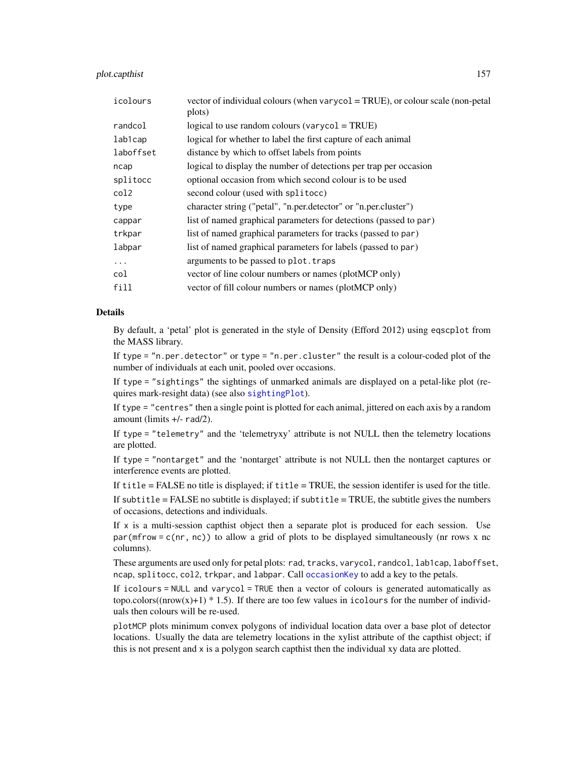## plot.capthist 157

| icolours  | vector of individual colours (when varycol = TRUE), or colour scale (non-petal<br>plots) |
|-----------|------------------------------------------------------------------------------------------|
| randcol   | logical to use random colours (varyco $l = TRUE$ )                                       |
| lab1cap   | logical for whether to label the first capture of each animal                            |
| laboffset | distance by which to offset labels from points                                           |
| ncap      | logical to display the number of detections per trap per occasion                        |
| splitocc  | optional occasion from which second colour is to be used                                 |
| col2      | second colour (used with splitocc)                                                       |
| type      | character string ("petal", "n.per.detector" or "n.per.cluster")                          |
| cappar    | list of named graphical parameters for detections (passed to par)                        |
| trkpar    | list of named graphical parameters for tracks (passed to par)                            |
| labpar    | list of named graphical parameters for labels (passed to par)                            |
| .         | arguments to be passed to plot. traps                                                    |
| col       | vector of line colour numbers or names (plotMCP only)                                    |
| fill      | vector of fill colour numbers or names (plotMCP only)                                    |
|           |                                                                                          |

# Details

By default, a 'petal' plot is generated in the style of Density (Efford 2012) using eqscplot from the MASS library.

If type = "n.per.detector" or type = "n.per.cluster" the result is a colour-coded plot of the number of individuals at each unit, pooled over occasions.

If type = "sightings" the sightings of unmarked animals are displayed on a petal-like plot (requires mark-resight data) (see also [sightingPlot](#page-298-0)).

If type = "centres" then a single point is plotted for each animal, jittered on each axis by a random amount (limits +/- rad/2).

If type = "telemetry" and the 'telemetryxy' attribute is not NULL then the telemetry locations are plotted.

If type = "nontarget" and the 'nontarget' attribute is not NULL then the nontarget captures or interference events are plotted.

If title = FALSE no title is displayed; if title = TRUE, the session identifer is used for the title.

If subtitle  $=$  FALSE no subtitle is displayed; if subtitle  $=$  TRUE, the subtitle gives the numbers of occasions, detections and individuals.

If  $x$  is a multi-session capthist object then a separate plot is produced for each session. Use par(mfrow = c(nr, nc)) to allow a grid of plots to be displayed simultaneously (nr rows x nc columns).

These arguments are used only for petal plots: rad, tracks, varycol, randcol, lab1cap, laboffset, ncap, splitocc, col2, trkpar, and labpar. Call occasion Key to add a key to the petals.

If icolours = NULL and varycol = TRUE then a vector of colours is generated automatically as topo.colors((nrow(x)+1)  $*$  1.5). If there are too few values in icolours for the number of individuals then colours will be re-used.

plotMCP plots minimum convex polygons of individual location data over a base plot of detector locations. Usually the data are telemetry locations in the xylist attribute of the capthist object; if this is not present and x is a polygon search capthist then the individual xy data are plotted.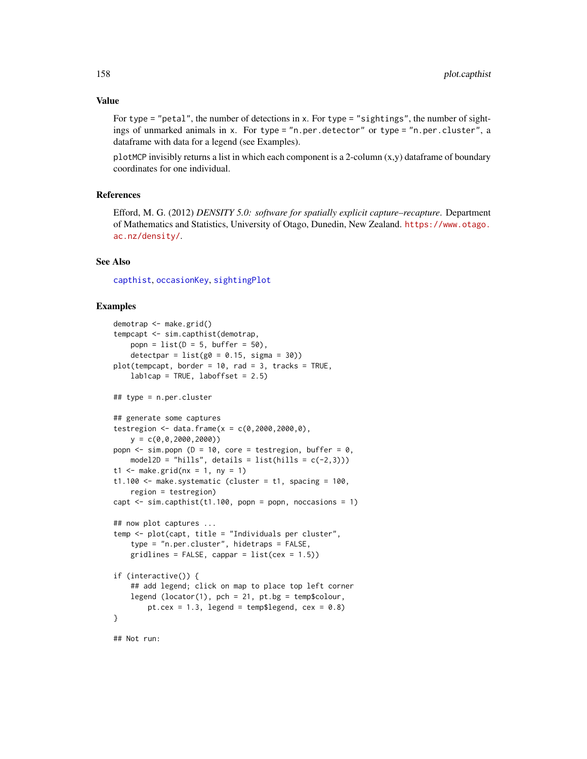For type = "petal", the number of detections in x. For type = "sightings", the number of sightings of unmarked animals in x. For type = "n.per.detector" or type = "n.per.cluster", a dataframe with data for a legend (see Examples).

plotMCP invisibly returns a list in which each component is a 2-column (x,y) dataframe of boundary coordinates for one individual.

## References

Efford, M. G. (2012) *DENSITY 5.0: software for spatially explicit capture–recapture*. Department of Mathematics and Statistics, University of Otago, Dunedin, New Zealand. [https://www.otago.](https://www.otago.ac.nz/density/) [ac.nz/density/](https://www.otago.ac.nz/density/).

## See Also

[capthist](#page-24-0), [occasionKey](#page-137-0), [sightingPlot](#page-298-0)

# Examples

```
demotrap <- make.grid()
tempcapt <- sim.capthist(demotrap,
   popn = list(D = 5, buffer = 50),
   detectpar = list(g0 = 0.15, sigma = 30)plot(tempcapt, border = 10, rad = 3, tracks = TRUE,
   lab1cap = TRUE, laboffset = 2.5)## type = n.per.cluster
## generate some captures
testregion <- data.frame(x = c(0, 2000, 2000, 0),
    y = c(0, 0, 2000, 2000)popn \le sim.popn (D = 10, core = testregion, buffer = 0,
   model2D = "hills", details = list(hills = c(-2,3)))
t1 <- make.grid(nx = 1, ny = 1)
t1.100 \leq make.systematic (cluster = t1, spacing = 100,
    region = testregion)
capt \leq sim.capthist(t1.100, popn = popn, noccasions = 1)
## now plot captures ...
temp <- plot(capt, title = "Individuals per cluster",
    type = "n.per.cluster", hidetraps = FALSE,
   gridlines = FALSE, cappar = list(cex = 1.5))if (interactive()) {
    ## add legend; click on map to place top left corner
    legend (locator(1), pch = 21, pt.bg = temp$colour,
        pt.cex = 1.3, legend = temp$legend, cex = 0.8)
}
```
## Not run: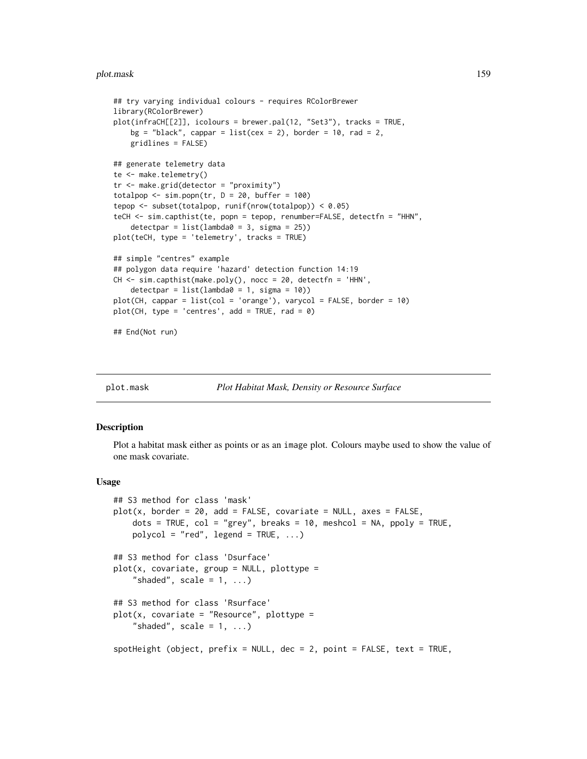## plot.mask 159

```
## try varying individual colours - requires RColorBrewer
library(RColorBrewer)
plot(infraCH[[2]], icolours = brewer.pal(12, "Set3"), tracks = TRUE,
   bg = "black", cappar = list(cex = 2), border = 10, rad = 2,
   gridlines = FALSE)
## generate telemetry data
te <- make.telemetry()
tr <- make.grid(detector = "proximity")
totalpop \le sim.popn(tr, D = 20, buffer = 100)
tepop <- subset(totalpop, runif(nrow(totalpop)) < 0.05)
teCH <- sim.capthist(te, popn = tepop, renumber=FALSE, detectfn = "HHN",
    detectpar = list(lambda = 3, sigma = 25))plot(teCH, type = 'telemetry', tracks = TRUE)
## simple "centres" example
## polygon data require 'hazard' detection function 14:19
CH <- sim.capthist(make.poly(), nocc = 20, detectfn = 'HHN',
   detection = list(lambda = 1, sigma = 10))plot(CH, cappar = list(col = 'orange'), varycol = FALSE, border = 10)plot(CH, type = 'centres', add = TRUE, rad = 0)## End(Not run)
```
plot.mask *Plot Habitat Mask, Density or Resource Surface*

# <span id="page-158-0"></span>**Description**

Plot a habitat mask either as points or as an image plot. Colours maybe used to show the value of one mask covariate.

#### Usage

```
## S3 method for class 'mask'
plot(x, border = 20, add = FALSE, covariate = NULL, axes = FALSE,dots = TRUE, col = "grey", breaks = 10, meshcol = NA, ppoly = TRUE,
   polycol = "red", legend = TRUE, ...)## S3 method for class 'Dsurface'
plot(x, covariate, group = NULL, plottype =
    "shaded", scale = 1, ...## S3 method for class 'Rsurface'
plot(x, covariate = "Resource", plottype ="shaded", scale = 1, ...spotHeight (object, prefix = NULL, dec = 2, point = FALSE, text = TRUE,
```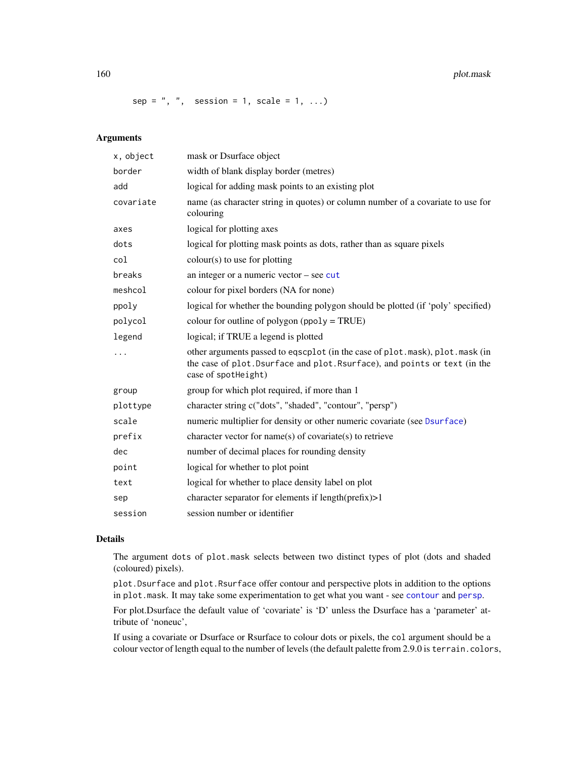160 plot.mask

 $sep = "$ , ", session = 1, scale = 1, ...)

# Arguments

| x, object | mask or Dsurface object                                                                                                                                                           |
|-----------|-----------------------------------------------------------------------------------------------------------------------------------------------------------------------------------|
| border    | width of blank display border (metres)                                                                                                                                            |
| add       | logical for adding mask points to an existing plot                                                                                                                                |
| covariate | name (as character string in quotes) or column number of a covariate to use for<br>colouring                                                                                      |
| axes      | logical for plotting axes                                                                                                                                                         |
| dots      | logical for plotting mask points as dots, rather than as square pixels                                                                                                            |
| col       | $colour(s)$ to use for plotting                                                                                                                                                   |
| breaks    | an integer or a numeric vector $-$ see cut                                                                                                                                        |
| meshcol   | colour for pixel borders (NA for none)                                                                                                                                            |
| ppoly     | logical for whether the bounding polygon should be plotted (if 'poly' specified)                                                                                                  |
| polycol   | colour for outline of polygon ( $ppoly = TRUE$ )                                                                                                                                  |
| legend    | logical; if TRUE a legend is plotted                                                                                                                                              |
| .         | other arguments passed to eqscplot (in the case of plot.mask), plot.mask (in<br>the case of plot. Dsurface and plot. Rsurface), and points or text (in the<br>case of spotHeight) |
| group     | group for which plot required, if more than 1                                                                                                                                     |
| plottype  | character string c("dots", "shaded", "contour", "persp")                                                                                                                          |
| scale     | numeric multiplier for density or other numeric covariate (see Dsurface)                                                                                                          |
| prefix    | character vector for name(s) of covariate(s) to retrieve                                                                                                                          |
| dec       | number of decimal places for rounding density                                                                                                                                     |
| point     | logical for whether to plot point                                                                                                                                                 |
| text      | logical for whether to place density label on plot                                                                                                                                |
| sep       | character separator for elements if length(prefix)>1                                                                                                                              |
| session   | session number or identifier                                                                                                                                                      |

# Details

The argument dots of plot.mask selects between two distinct types of plot (dots and shaded (coloured) pixels).

plot.Dsurface and plot.Rsurface offer contour and perspective plots in addition to the options in plot.mask. It may take some experimentation to get what you want - see [contour](#page-38-1) and [persp](#page-0-0).

For plot.Dsurface the default value of 'covariate' is 'D' unless the Dsurface has a 'parameter' attribute of 'noneuc',

If using a covariate or Dsurface or Rsurface to colour dots or pixels, the col argument should be a colour vector of length equal to the number of levels (the default palette from 2.9.0 is terrain.colors,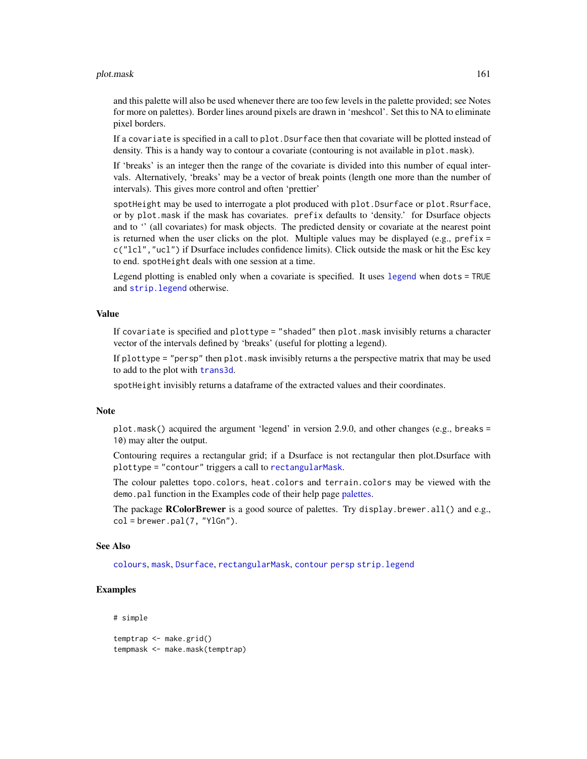## plot.mask 161

and this palette will also be used whenever there are too few levels in the palette provided; see Notes for more on palettes). Border lines around pixels are drawn in 'meshcol'. Set this to NA to eliminate pixel borders.

If a covariate is specified in a call to plot.Dsurface then that covariate will be plotted instead of density. This is a handy way to contour a covariate (contouring is not available in plot.mask).

If 'breaks' is an integer then the range of the covariate is divided into this number of equal intervals. Alternatively, 'breaks' may be a vector of break points (length one more than the number of intervals). This gives more control and often 'prettier'

spotHeight may be used to interrogate a plot produced with plot.Dsurface or plot.Rsurface, or by plot.mask if the mask has covariates. prefix defaults to 'density.' for Dsurface objects and to '' (all covariates) for mask objects. The predicted density or covariate at the nearest point is returned when the user clicks on the plot. Multiple values may be displayed (e.g.,  $prefix =$ c("lcl","ucl") if Dsurface includes confidence limits). Click outside the mask or hit the Esc key to end. spotHeight deals with one session at a time.

Legend plotting is enabled only when a covariate is specified. It uses [legend](#page-0-0) when dots = TRUE and [strip.legend](#page-262-0) otherwise.

## Value

If covariate is specified and plottype = "shaded" then plot.mask invisibly returns a character vector of the intervals defined by 'breaks' (useful for plotting a legend).

If plottype = "persp" then plot.mask invisibly returns a the perspective matrix that may be used to add to the plot with [trans3d](#page-0-0).

spotHeight invisibly returns a dataframe of the extracted values and their coordinates.

## Note

plot.mask() acquired the argument 'legend' in version 2.9.0, and other changes (e.g., breaks = 10) may alter the output.

Contouring requires a rectangular grid; if a Dsurface is not rectangular then plot.Dsurface with plottype = "contour" triggers a call to [rectangularMask](#page-198-0).

The colour palettes topo.colors, heat.colors and terrain.colors may be viewed with the demo.pal function in the Examples code of their help page [palettes.](#page-0-0)

The package **RColorBrewer** is a good source of palettes. Try display.brewer.all() and e.g.,  $col = b$ rewer.pal $(7, "YlGn").$ 

#### See Also

[colours](#page-0-0), [mask](#page-127-0), [Dsurface](#page-63-0), [rectangularMask](#page-198-0), [contour](#page-38-1) [persp](#page-0-0) [strip.legend](#page-262-0)

# **Examples**

```
# simple
```
temptrap <- make.grid() tempmask <- make.mask(temptrap)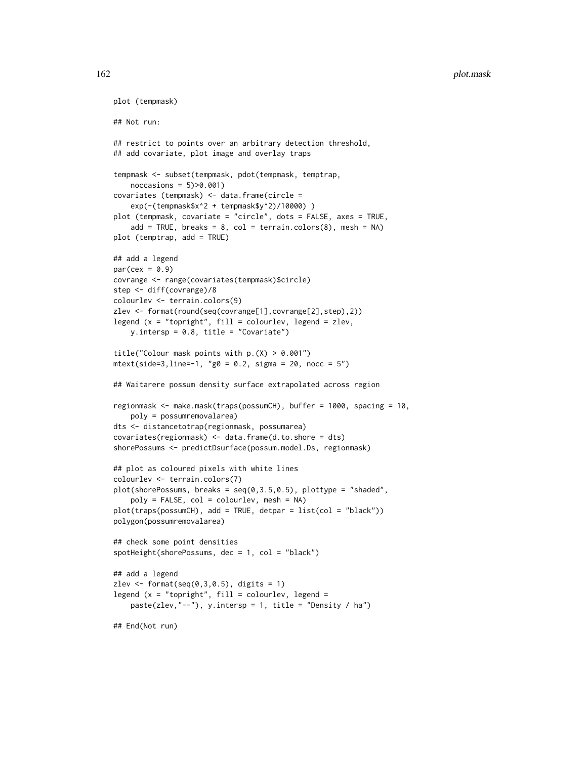```
plot (tempmask)
## Not run:
## restrict to points over an arbitrary detection threshold,
## add covariate, plot image and overlay traps
tempmask <- subset(tempmask, pdot(tempmask, temptrap,
   noccasions = 5)>0.001)
covariates (tempmask) <- data.frame(circle =
    exp(-(tempmask$x^2 + tempmask$y^2)/10000) )
plot (tempmask, covariate = "circle", dots = FALSE, axes = TRUE,
    add = TRUE, breaks = 8, col = terrain.colors(8), mesh = NA)
plot (temptrap, add = TRUE)
## add a legend
par(cex = 0.9)covrange <- range(covariates(tempmask)$circle)
step <- diff(covrange)/8
colourlev <- terrain.colors(9)
zlev <- format(round(seq(covrange[1],covrange[2],step),2))
legend (x = "topright", fill = colourlev, legend = zlev,y.intersp = 0.8, title = "Covariate")
title("Colour mask points with p.(X) > 0.001")mtext(side=3,line=-1, "g0 = 0.2, sigma = 20, nocc = 5")
## Waitarere possum density surface extrapolated across region
regionmask <- make.mask(traps(possumCH), buffer = 1000, spacing = 10,
   poly = possumremovalarea)
dts <- distancetotrap(regionmask, possumarea)
covariates(regionmask) <- data.frame(d.to.shore = dts)
shorePossums <- predictDsurface(possum.model.Ds, regionmask)
## plot as coloured pixels with white lines
colourlev <- terrain.colors(7)
plot(shorePossums, breaks = seq(0,3.5,0.5), plottype = "shaded",
    poly = FALSE, col = colourlev, mesh = NA)
plot(traps(possumCH), add = TRUE, detpar = list(col = "black"))
polygon(possumremovalarea)
## check some point densities
spotHeight(shorePossums, dec = 1, col = "black")
## add a legend
zlev \le format(seq(0,3,0.5), digits = 1)
legend (x = "topright", fill = colourlev, legend =paste(zlev,"--"), y.intersp = 1, title = "Density / ha")
## End(Not run)
```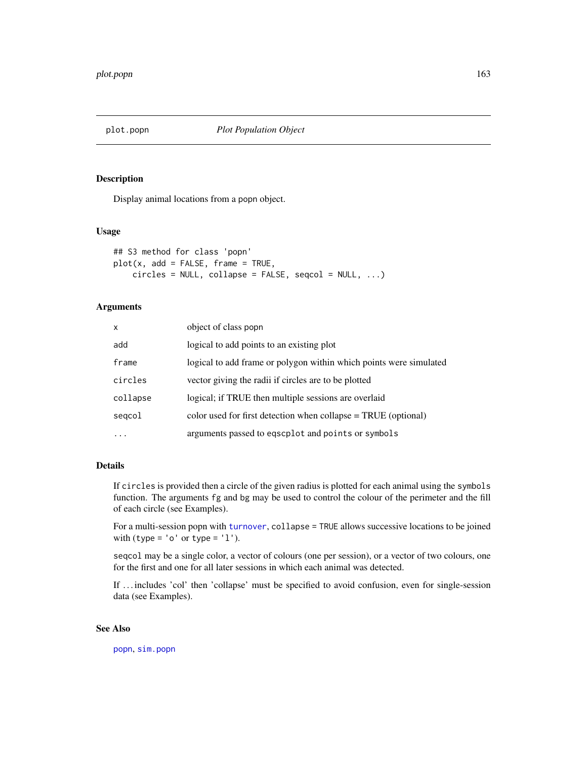<span id="page-162-0"></span>

# Description

Display animal locations from a popn object.

# Usage

```
## S3 method for class 'popn'
plot(x, add = FALSE, frame = TRUE,circles = NULL, collapse = FALSE, seqcol = NULL, ...)
```
# Arguments

| $\mathsf{x}$ | object of class popn                                               |
|--------------|--------------------------------------------------------------------|
| add          | logical to add points to an existing plot                          |
| frame        | logical to add frame or polygon within which points were simulated |
| circles      | vector giving the radii if circles are to be plotted               |
| collapse     | logical; if TRUE then multiple sessions are overlaid               |
| segcol       | color used for first detection when collapse $= TRUE$ (optional)   |
|              | arguments passed to eqscplot and points or symbols                 |

# Details

If circles is provided then a circle of the given radius is plotted for each animal using the symbols function. The arguments fg and bg may be used to control the colour of the perimeter and the fill of each circle (see Examples).

For a multi-session popn with [turnover](#page-292-0), collapse = TRUE allows successive locations to be joined with (type =  $'o'$  or type =  $'1'$ ).

seqcol may be a single color, a vector of colours (one per session), or a vector of two colours, one for the first and one for all later sessions in which each animal was detected.

If ... includes 'col' then 'collapse' must be specified to avoid confusion, even for single-session data (see Examples).

# See Also

[popn](#page-171-0), [sim.popn](#page-243-0)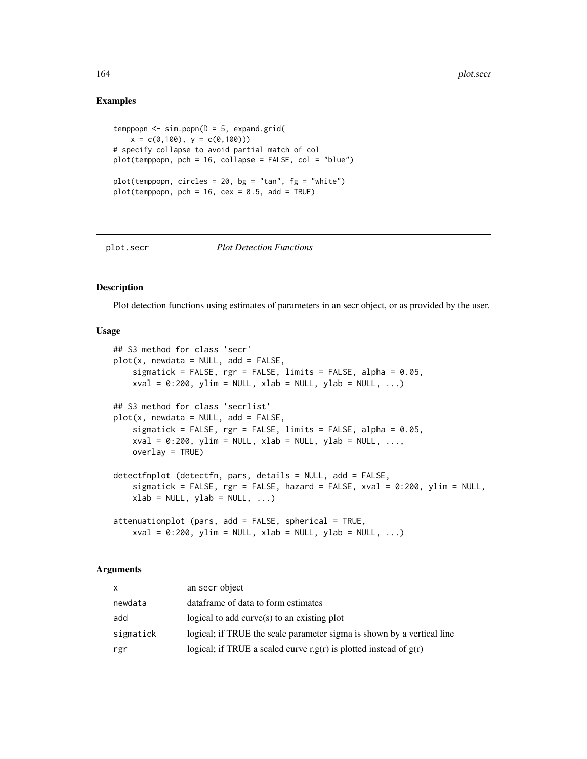## Examples

```
temppopn \leq sim.popn(D = 5, expand.grid(
   x = c(0,100), y = c(0,100))# specify collapse to avoid partial match of col
plot(temppopn, pch = 16, collapse = FALSE, col = "blue")
plot(temppop, circles = 20, bg = "tan", fg = "white")plot(temppop, pch = 16, cex = 0.5, add = TRUE)
```
#### plot.secr *Plot Detection Functions*

# Description

Plot detection functions using estimates of parameters in an secr object, or as provided by the user.

## Usage

```
## S3 method for class 'secr'
plot(x, newdata = NULL, add = FALSE,sigmatick = FALSE, rgr = FALSE, limits = FALSE, alpha = 0.05,
   xval = 0:200, ylim = NULL, xlab = NULL, ylab = NULL, ...)
## S3 method for class 'secrlist'
plot(x, newdata = NULL, add = FALSE,sigmatick = FALSE, rgr = FALSE, limits = FALSE, alpha = 0.05,
   xval = 0:200, ylim = NULL, xlab = NULL, ylab = NULL, ...,
   overlay = TRUE)
detectfnplot (detectfn, pars, details = NULL, add = FALSE,
   sigmatick = FALSE, rgr = FALSE, hazard = FALSE, xval = 0:200, ylim = NULL,
   xlab = NULL, ylab = NULL, ...)attenuationplot (pars, add = FALSE, spherical = TRUE,
   xval = 0:200, ylim = NULL, xlab = NULL, ylab = NULL, ...)
```
## Arguments

| <b>X</b>  | an secr object                                                         |
|-----------|------------------------------------------------------------------------|
| newdata   | dataframe of data to form estimates                                    |
| add       | logical to add curve $(s)$ to an existing plot                         |
| sigmatick | logical; if TRUE the scale parameter sigma is shown by a vertical line |
| rgr       | logical; if TRUE a scaled curve r.g(r) is plotted instead of $g(r)$    |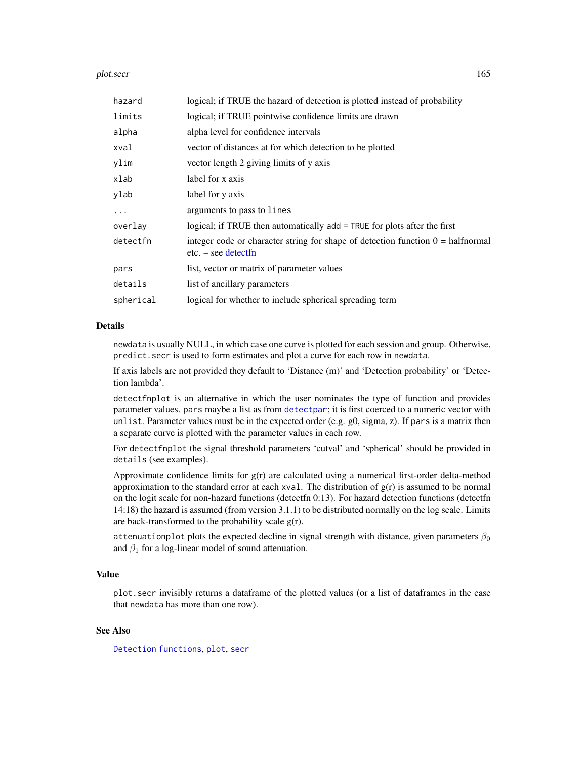## plot.secr and the secretary policy of the secretary policy of the secretary policy of the secretary policy of the secretary policy of the secretary policy of the secretary policy of the secretary policy of the secretary po

| hazard    | logical; if TRUE the hazard of detection is plotted instead of probability                                      |
|-----------|-----------------------------------------------------------------------------------------------------------------|
| limits    | logical; if TRUE pointwise confidence limits are drawn                                                          |
| alpha     | alpha level for confidence intervals                                                                            |
| xval      | vector of distances at for which detection to be plotted                                                        |
| ylim      | vector length 2 giving limits of y axis                                                                         |
| xlab      | label for x axis                                                                                                |
| ylab      | label for y axis                                                                                                |
| $\cdots$  | arguments to pass to lines                                                                                      |
| overlay   | logical; if TRUE then automatically add = TRUE for plots after the first                                        |
| detectfn  | integer code or character string for shape of detection function $0 = \text{halfnormal}$<br>$etc. - see detect$ |
| pars      | list, vector or matrix of parameter values                                                                      |
| details   | list of ancillary parameters                                                                                    |
| spherical | logical for whether to include spherical spreading term                                                         |

## Details

newdata is usually NULL, in which case one curve is plotted for each session and group. Otherwise, predict.secr is used to form estimates and plot a curve for each row in newdata.

If axis labels are not provided they default to 'Distance (m)' and 'Detection probability' or 'Detection lambda'.

detectfnplot is an alternative in which the user nominates the type of function and provides parameter values. pars maybe a list as from [detectpar](#page-174-1); it is first coerced to a numeric vector with unlist. Parameter values must be in the expected order (e.g.  $g0$ , sigma, z). If pars is a matrix then a separate curve is plotted with the parameter values in each row.

For detectfnplot the signal threshold parameters 'cutval' and 'spherical' should be provided in details (see examples).

Approximate confidence limits for  $g(r)$  are calculated using a numerical first-order delta-method approximation to the standard error at each xval. The distribution of  $g(r)$  is assumed to be normal on the logit scale for non-hazard functions (detectfn 0:13). For hazard detection functions (detectfn 14:18) the hazard is assumed (from version 3.1.1) to be distributed normally on the log scale. Limits are back-transformed to the probability scale  $g(r)$ .

attenuationplot plots the expected decline in signal strength with distance, given parameters  $\beta_0$ and  $\beta_1$  for a log-linear model of sound attenuation.

# Value

plot.secr invisibly returns a dataframe of the plotted values (or a list of dataframes in the case that newdata has more than one row).

# See Also

[Detection functions](#page-0-0), [plot](#page-0-0), [secr](#page-4-0)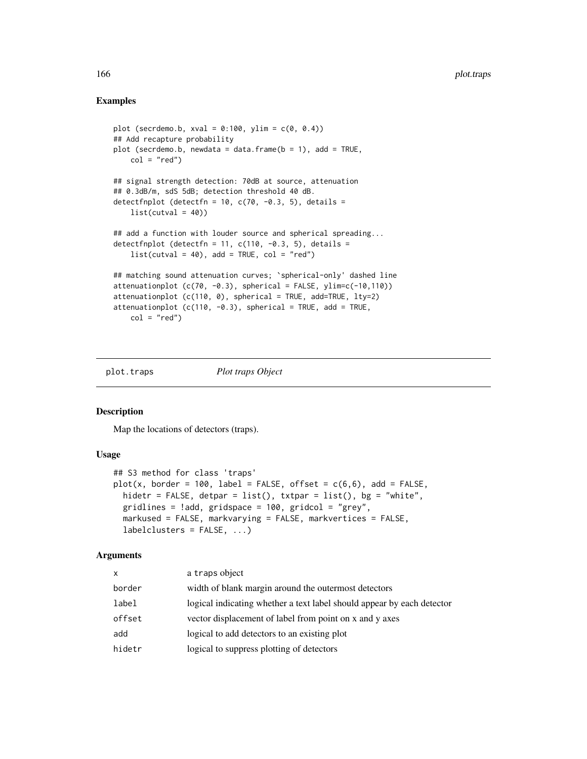# Examples

```
plot (secrdemo.b, xval = 0:100, ylim = c(0, 0.4))
## Add recapture probability
plot (secrdemo.b, newdata = data.frame(b = 1), add = TRUE,
    col = "red")## signal strength detection: 70dB at source, attenuation
## 0.3dB/m, sdS 5dB; detection threshold 40 dB.
detectfnplot (detectfn = 10, c(70, -0.3, 5), details =
    list(cutval = 40)## add a function with louder source and spherical spreading...
detectfnplot (detectfn = 11, c(110, -0.3, 5), details =
    list(cutval = 40), add = TRUE, col = "red")## matching sound attenuation curves; `spherical-only' dashed line
attenuationplot (c(70, -0.3)), spherical = FALSE, ylim=c(-10,110))
attenuationplot (c(110, 0), spherical = TRUE, add=TRUE, lty=2)attenuationplot (c(110, -0.3)), spherical = TRUE, add = TRUE,
    col = "red")
```
plot.traps *Plot traps Object*

# Description

Map the locations of detectors (traps).

## Usage

```
## S3 method for class 'traps'
plot(x, border = 100, label = FALSE, offset = c(6,6), add = FALSE,hidetr = FALSE, detpar = list(), txtpar = list(), bg = "white",
  gridlines = !add, gridspace = 100, gridcol = "grey",
 markused = FALSE, markvarying = FALSE, markvertices = FALSE,
  labelclusters = FALSE, ...)
```
# Arguments

| X      | a traps object                                                         |
|--------|------------------------------------------------------------------------|
| border | width of blank margin around the outermost detectors                   |
| label  | logical indicating whether a text label should appear by each detector |
| offset | vector displacement of label from point on x and y axes                |
| add    | logical to add detectors to an existing plot                           |
| hidetr | logical to suppress plotting of detectors                              |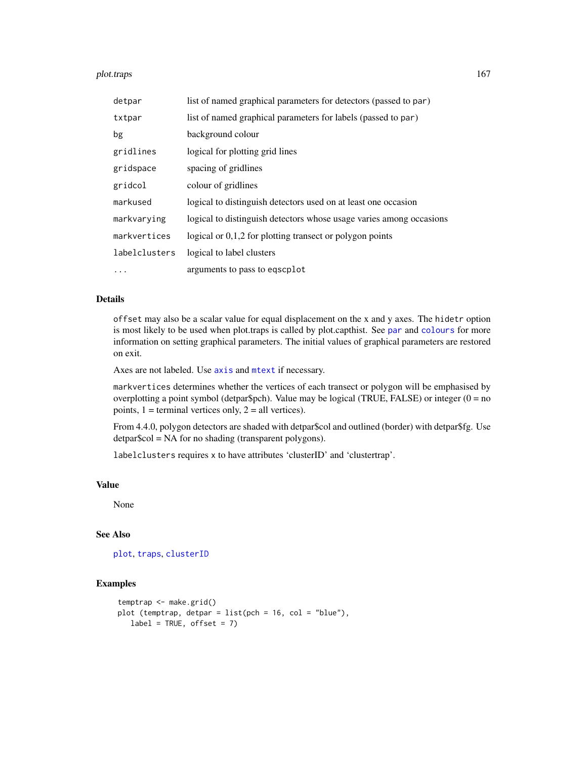## plot.traps the control of the control of the control of the control of the control of the control of the control of the control of the control of the control of the control of the control of the control of the control of t

| detpar        | list of named graphical parameters for detectors (passed to par)    |
|---------------|---------------------------------------------------------------------|
| txtpar        | list of named graphical parameters for labels (passed to par)       |
| bg            | background colour                                                   |
| gridlines     | logical for plotting grid lines                                     |
| gridspace     | spacing of gridlines                                                |
| gridcol       | colour of gridlines                                                 |
| markused      | logical to distinguish detectors used on at least one occasion      |
| markvarying   | logical to distinguish detectors whose usage varies among occasions |
| markvertices  | logical or $0,1,2$ for plotting transect or polygon points          |
| labelclusters | logical to label clusters                                           |
| .             | arguments to pass to egscplot                                       |

# Details

offset may also be a scalar value for equal displacement on the x and y axes. The hidetr option is most likely to be used when plot.traps is called by plot.capthist. See [par](#page-0-0) and [colours](#page-0-0) for more information on setting graphical parameters. The initial values of graphical parameters are restored on exit.

Axes are not labeled. Use [axis](#page-0-0) and [mtext](#page-0-0) if necessary.

markvertices determines whether the vertices of each transect or polygon will be emphasised by overplotting a point symbol (detpar\$pch). Value may be logical (TRUE, FALSE) or integer ( $0 = no$ points,  $1 =$  terminal vertices only,  $2 =$  all vertices).

From 4.4.0, polygon detectors are shaded with detpar\$col and outlined (border) with detpar\$fg. Use detpar\$col = NA for no shading (transparent polygons).

labelclusters requires x to have attributes 'clusterID' and 'clustertrap'.

## Value

None

# See Also

[plot](#page-0-0), [traps](#page-287-0), [clusterID](#page-34-0)

## Examples

```
temptrap <- make.grid()
plot (temptrap, detpar = list(pch = 16, col = "blue"),
   label = TRUE, offset = 7)
```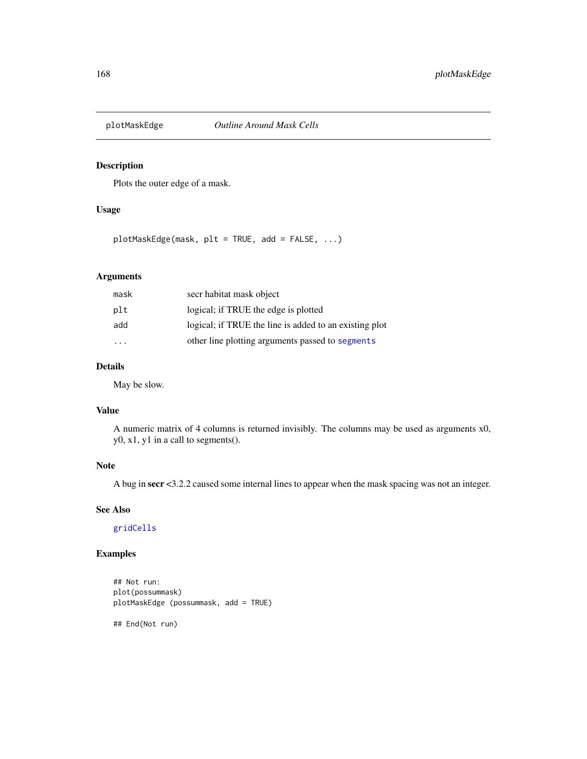# Description

Plots the outer edge of a mask.

# Usage

plotMaskEdge(mask, plt = TRUE, add = FALSE, ...)

# Arguments

| mask | secr habitat mask object                               |
|------|--------------------------------------------------------|
| plt  | logical; if TRUE the edge is plotted                   |
| add  | logical; if TRUE the line is added to an existing plot |
|      | other line plotting arguments passed to segments       |

# Details

May be slow.

## Value

A numeric matrix of 4 columns is returned invisibly. The columns may be used as arguments x0, y0, x1, y1 in a call to segments().

# Note

A bug in secr <3.2.2 caused some internal lines to appear when the mask spacing was not an integer.

# See Also

[gridCells](#page-85-0)

# Examples

```
## Not run:
plot(possummask)
plotMaskEdge (possummask, add = TRUE)
## End(Not run)
```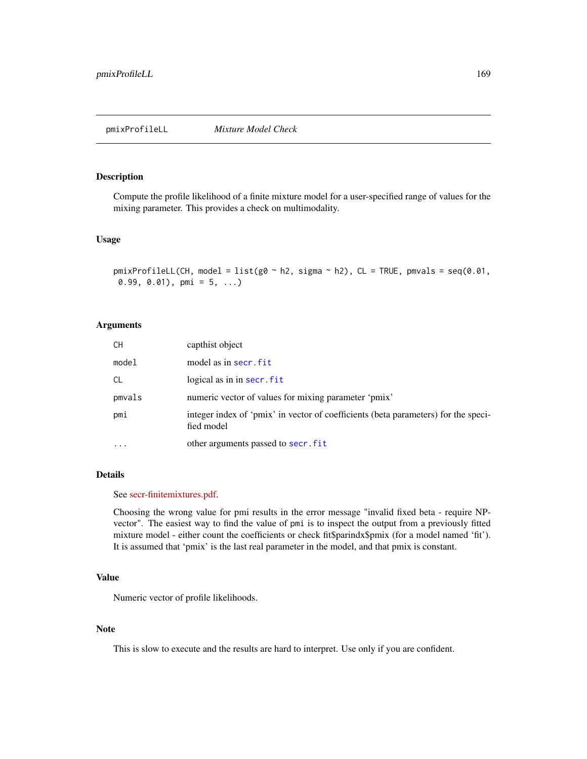pmixProfileLL *Mixture Model Check*

## Description

Compute the profile likelihood of a finite mixture model for a user-specified range of values for the mixing parameter. This provides a check on multimodality.

## Usage

```
pmixProfileLL(CH, model = list(g0 \sim h2, sigma \sim h2), CL = TRUE, pmvals = seq(0.01,
0.99, 0.01), pmi = 5, ...)
```
## Arguments

| CН        | capthist object                                                                                  |
|-----------|--------------------------------------------------------------------------------------------------|
| model     | model as in secr. fit                                                                            |
| СL        | logical as in in secr. fit                                                                       |
| pmvals    | numeric vector of values for mixing parameter 'pmix'                                             |
| pmi       | integer index of 'pmix' in vector of coefficients (beta parameters) for the speci-<br>fied model |
| $\ddotsc$ | other arguments passed to secr.fit                                                               |

# Details

#### See [secr-finitemixtures.pdf.](https://www.otago.ac.nz/density/pdfs/secr-finitemixtures.pdf)

Choosing the wrong value for pmi results in the error message "invalid fixed beta - require NPvector". The easiest way to find the value of pmi is to inspect the output from a previously fitted mixture model - either count the coefficients or check fit\$parindx\$pmix (for a model named 'fit'). It is assumed that 'pmix' is the last real parameter in the model, and that pmix is constant.

# Value

Numeric vector of profile likelihoods.

# Note

This is slow to execute and the results are hard to interpret. Use only if you are confident.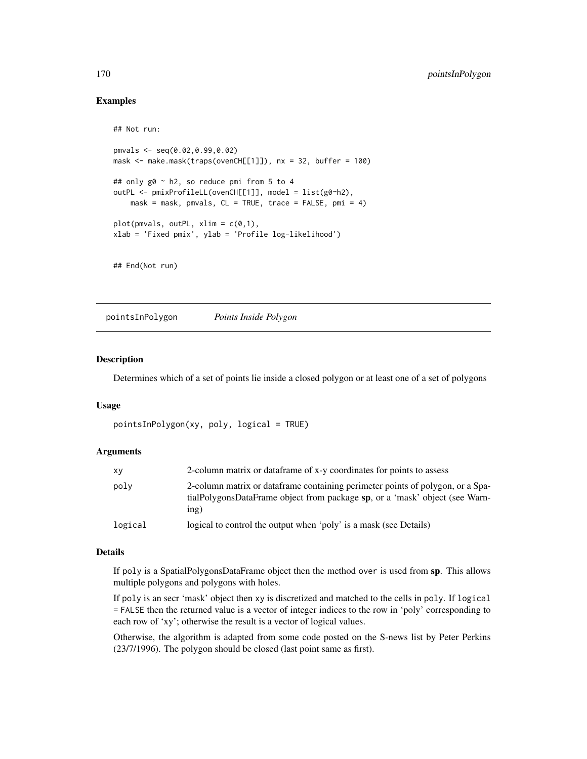# Examples

```
## Not run:
pmvals <- seq(0.02,0.99,0.02)
mask <- make.mask(traps(ovenCH[[1]]), nx = 32, buffer = 100)
## only g0 ~ h2, so reduce pmi from 5 to 4
outPL <- pmixProfileLL(ovenCH[[1]], model = list(g0~h2),
   mask = mask, pmvals, CL = TRUE, trace = FALSE, pmi = 4)
plot(pmvals, outPL, xlim = c(0,1),
xlab = 'Fixed pmix', ylab = 'Profile log-likelihood')
## End(Not run)
```
<span id="page-169-0"></span>pointsInPolygon *Points Inside Polygon*

# Description

Determines which of a set of points lie inside a closed polygon or at least one of a set of polygons

## Usage

```
pointsInPolygon(xy, poly, logical = TRUE)
```
# Arguments

| xy      | 2-column matrix or dataframe of x-y coordinates for points to assess                                                                                                  |
|---------|-----------------------------------------------------------------------------------------------------------------------------------------------------------------------|
| poly    | 2-column matrix or dataframe containing perimeter points of polygon, or a Spa-<br>tialPolygonsDataFrame object from package sp, or a 'mask' object (see Warn-<br>ing) |
| logical | logical to control the output when 'poly' is a mask (see Details)                                                                                                     |

# Details

If poly is a SpatialPolygonsDataFrame object then the method over is used from sp. This allows multiple polygons and polygons with holes.

If poly is an secr 'mask' object then xy is discretized and matched to the cells in poly. If logical = FALSE then the returned value is a vector of integer indices to the row in 'poly' corresponding to each row of 'xy'; otherwise the result is a vector of logical values.

Otherwise, the algorithm is adapted from some code posted on the S-news list by Peter Perkins (23/7/1996). The polygon should be closed (last point same as first).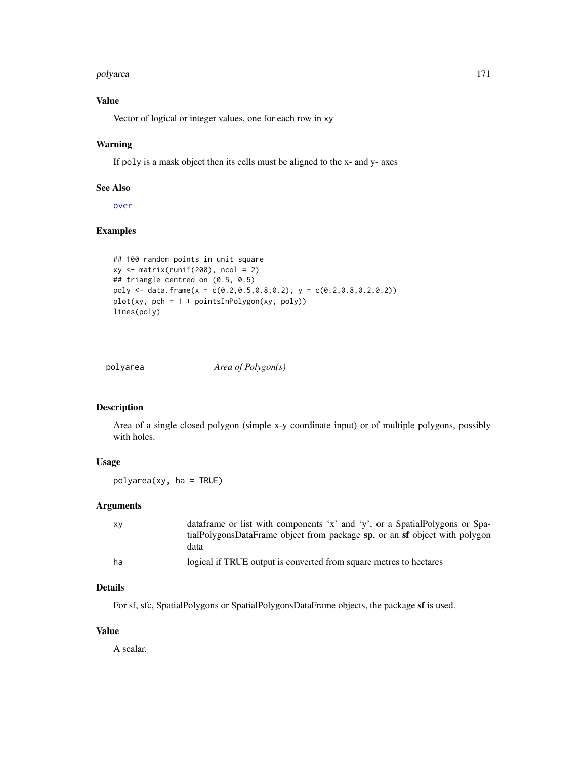## polyarea 171

# Value

Vector of logical or integer values, one for each row in xy

# Warning

If poly is a mask object then its cells must be aligned to the x- and y- axes

# See Also

[over](#page-0-0)

# Examples

```
## 100 random points in unit square
xy \leftarrow matrix(runif(200), ncol = 2)## triangle centred on (0.5, 0.5)
poly \leq data.frame(x = c(0.2,0.5,0.8,0.2), y = c(0.2,0.8,0.2,0.2))
plot(xy, pch = 1 + pointsInPolygon(xy, poly))
lines(poly)
```
polyarea *Area of Polygon(s)*

# Description

Area of a single closed polygon (simple x-y coordinate input) or of multiple polygons, possibly with holes.

# Usage

polyarea(xy, ha = TRUE)

# Arguments

| XV | dataframe or list with components 'x' and 'y', or a SpatialPolygons or Spa- |
|----|-----------------------------------------------------------------------------|
|    | tialPolygonsDataFrame object from package sp, or an sf object with polygon  |
|    | data                                                                        |
| ha | logical if TRUE output is converted from square metres to hectares          |

# Details

For sf, sfc, SpatialPolygons or SpatialPolygonsDataFrame objects, the package sf is used.

# Value

A scalar.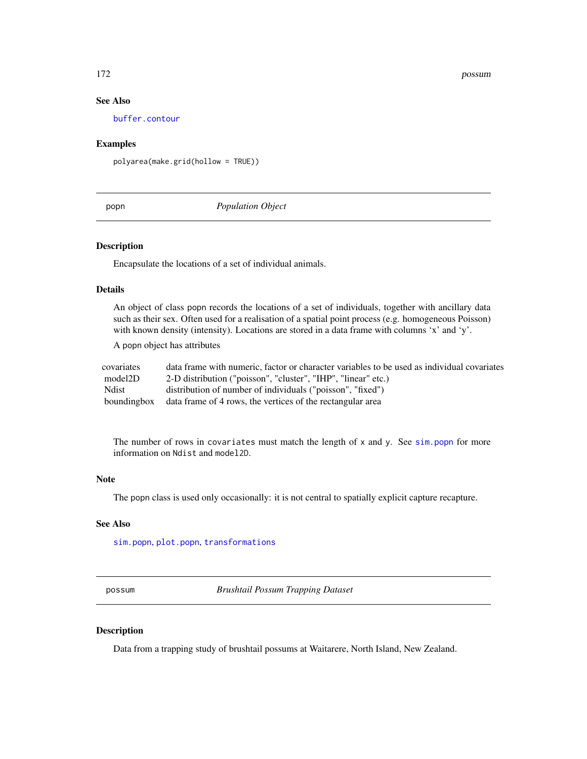## 172 possum

# See Also

[buffer.contour](#page-38-0)

# Examples

polyarea(make.grid(hollow = TRUE))

<span id="page-171-0"></span>popn *Population Object*

# Description

Encapsulate the locations of a set of individual animals.

# Details

An object of class popn records the locations of a set of individuals, together with ancillary data such as their sex. Often used for a realisation of a spatial point process (e.g. homogeneous Poisson) with known density (intensity). Locations are stored in a data frame with columns 'x' and 'y'.

A popn object has attributes

| covariates   | data frame with numeric, factor or character variables to be used as individual covariates |
|--------------|--------------------------------------------------------------------------------------------|
| model2D      | 2-D distribution ("poisson", "cluster", "IHP", "linear" etc.)                              |
| <b>Ndist</b> | distribution of number of individuals ("poisson", "fixed")                                 |
|              | bounding box data frame of 4 rows, the vertices of the rectangular area                    |

The number of rows in covariates must match the length of  $x$  and  $y$ . See [sim.popn](#page-243-0) for more information on Ndist and model2D.

## Note

The popn class is used only occasionally: it is not central to spatially explicit capture recapture.

#### See Also

[sim.popn](#page-243-0), [plot.popn](#page-162-0), [transformations](#page-280-0)

possum *Brushtail Possum Trapping Dataset*

# Description

Data from a trapping study of brushtail possums at Waitarere, North Island, New Zealand.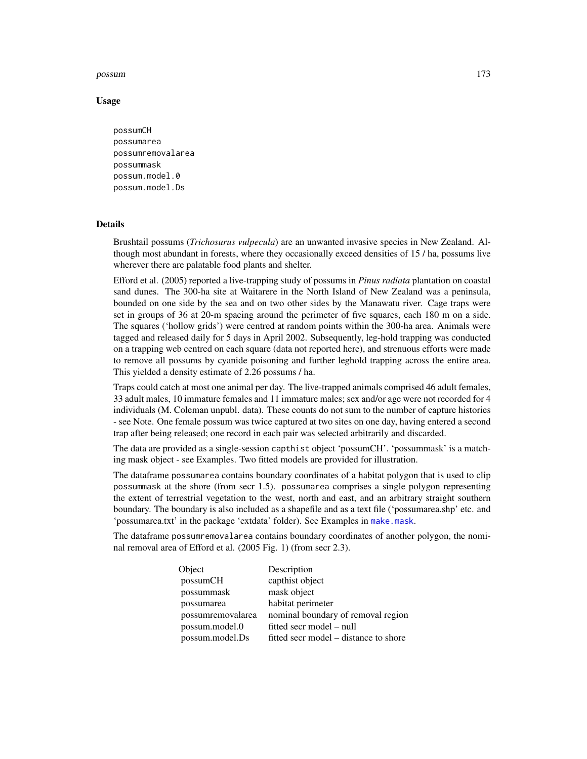## possum 173

## Usage

```
possumCH
possumarea
possumremovalarea
possummask
possum.model.0
possum.model.Ds
```
## Details

Brushtail possums (*Trichosurus vulpecula*) are an unwanted invasive species in New Zealand. Although most abundant in forests, where they occasionally exceed densities of 15 / ha, possums live wherever there are palatable food plants and shelter.

Efford et al. (2005) reported a live-trapping study of possums in *Pinus radiata* plantation on coastal sand dunes. The 300-ha site at Waitarere in the North Island of New Zealand was a peninsula, bounded on one side by the sea and on two other sides by the Manawatu river. Cage traps were set in groups of 36 at 20-m spacing around the perimeter of five squares, each 180 m on a side. The squares ('hollow grids') were centred at random points within the 300-ha area. Animals were tagged and released daily for 5 days in April 2002. Subsequently, leg-hold trapping was conducted on a trapping web centred on each square (data not reported here), and strenuous efforts were made to remove all possums by cyanide poisoning and further leghold trapping across the entire area. This yielded a density estimate of 2.26 possums / ha.

Traps could catch at most one animal per day. The live-trapped animals comprised 46 adult females, 33 adult males, 10 immature females and 11 immature males; sex and/or age were not recorded for 4 individuals (M. Coleman unpubl. data). These counts do not sum to the number of capture histories - see Note. One female possum was twice captured at two sites on one day, having entered a second trap after being released; one record in each pair was selected arbitrarily and discarded.

The data are provided as a single-session capthist object 'possumCH'. 'possummask' is a matching mask object - see Examples. Two fitted models are provided for illustration.

The dataframe possumarea contains boundary coordinates of a habitat polygon that is used to clip possummask at the shore (from secr 1.5). possumarea comprises a single polygon representing the extent of terrestrial vegetation to the west, north and east, and an arbitrary straight southern boundary. The boundary is also included as a shapefile and as a text file ('possumarea.shp' etc. and 'possumarea.txt' in the package 'extdata' folder). See Examples in [make.mask](#page-115-0).

The dataframe possumremovalarea contains boundary coordinates of another polygon, the nominal removal area of Efford et al. (2005 Fig. 1) (from secr 2.3).

| capthist object<br>possumCH<br>mask object<br>possummask<br>habitat perimeter<br>possumarea<br>possumremovalarea<br>possum.model.0<br>fitted secr model – null<br>possum.model.Ds<br>fitted secr model – distance to shore | Object | Description                        |
|----------------------------------------------------------------------------------------------------------------------------------------------------------------------------------------------------------------------------|--------|------------------------------------|
|                                                                                                                                                                                                                            |        |                                    |
|                                                                                                                                                                                                                            |        |                                    |
|                                                                                                                                                                                                                            |        |                                    |
|                                                                                                                                                                                                                            |        | nominal boundary of removal region |
|                                                                                                                                                                                                                            |        |                                    |
|                                                                                                                                                                                                                            |        |                                    |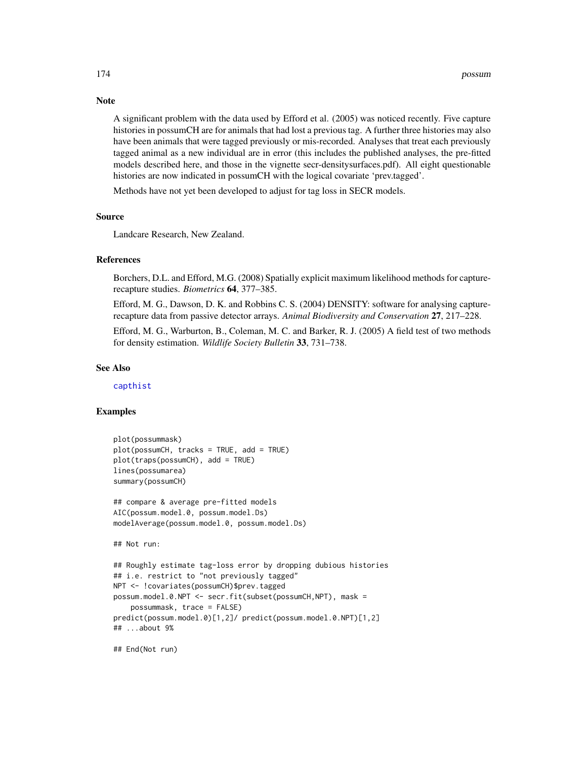A significant problem with the data used by Efford et al. (2005) was noticed recently. Five capture histories in possumCH are for animals that had lost a previous tag. A further three histories may also have been animals that were tagged previously or mis-recorded. Analyses that treat each previously tagged animal as a new individual are in error (this includes the published analyses, the pre-fitted models described here, and those in the vignette secr-densitysurfaces.pdf). All eight questionable histories are now indicated in possumCH with the logical covariate 'prev.tagged'.

Methods have not yet been developed to adjust for tag loss in SECR models.

#### Source

Landcare Research, New Zealand.

## References

Borchers, D.L. and Efford, M.G. (2008) Spatially explicit maximum likelihood methods for capturerecapture studies. *Biometrics* 64, 377–385.

Efford, M. G., Dawson, D. K. and Robbins C. S. (2004) DENSITY: software for analysing capturerecapture data from passive detector arrays. *Animal Biodiversity and Conservation* 27, 217–228.

Efford, M. G., Warburton, B., Coleman, M. C. and Barker, R. J. (2005) A field test of two methods for density estimation. *Wildlife Society Bulletin* 33, 731–738.

## See Also

[capthist](#page-24-0)

## Examples

```
plot(possummask)
plot(possumCH, tracks = TRUE, add = TRUE)
plot(traps(possumCH), add = TRUE)
lines(possumarea)
summary(possumCH)
## compare & average pre-fitted models
AIC(possum.model.0, possum.model.Ds)
modelAverage(possum.model.0, possum.model.Ds)
## Not run:
## Roughly estimate tag-loss error by dropping dubious histories
## i.e. restrict to "not previously tagged"
NPT <- !covariates(possumCH)$prev.tagged
possum.model.0.NPT <- secr.fit(subset(possumCH,NPT), mask =
    possummask, trace = FALSE)
predict(possum.model.0)[1,2]/ predict(possum.model.0.NPT)[1,2]
## ...about 9%
```
## End(Not run)

# Note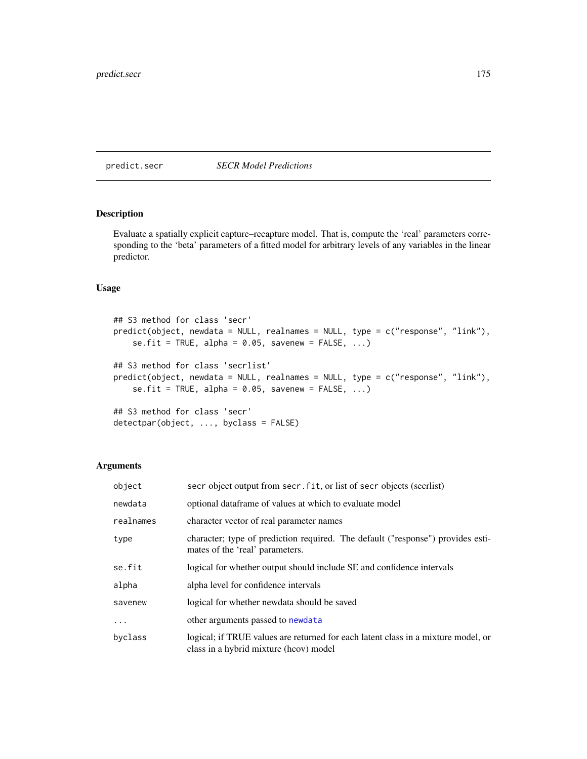<span id="page-174-0"></span>predict.secr *SECR Model Predictions*

# <span id="page-174-1"></span>Description

Evaluate a spatially explicit capture–recapture model. That is, compute the 'real' parameters corresponding to the 'beta' parameters of a fitted model for arbitrary levels of any variables in the linear predictor.

# Usage

```
## S3 method for class 'secr'
predict(object, newdata = NULL, realnames = NULL, type = c("response", "link"),
    se.fit = TRUE, alpha = 0.05, savenew = FALSE, ...)## S3 method for class 'secrlist'
predict(object, newdata = NULL, realnames = NULL, type = c("response", "link"),
    se.fit = TRUE, alpha = 0.05, savenew = FALSE, ...)
```

```
## S3 method for class 'secr'
detectpar(object, ..., byclass = FALSE)
```
# Arguments

| object    | secr object output from secr. fit, or list of secr objects (secriist)                                                       |
|-----------|-----------------------------------------------------------------------------------------------------------------------------|
| newdata   | optional dataframe of values at which to evaluate model                                                                     |
| realnames | character vector of real parameter names                                                                                    |
| type      | character; type of prediction required. The default ("response") provides esti-<br>mates of the 'real' parameters.          |
| se.fit    | logical for whether output should include SE and confidence intervals                                                       |
| alpha     | alpha level for confidence intervals                                                                                        |
| savenew   | logical for whether newdata should be saved                                                                                 |
| $\ddotsc$ | other arguments passed to newdata                                                                                           |
| byclass   | logical; if TRUE values are returned for each latent class in a mixture model, or<br>class in a hybrid mixture (hoov) model |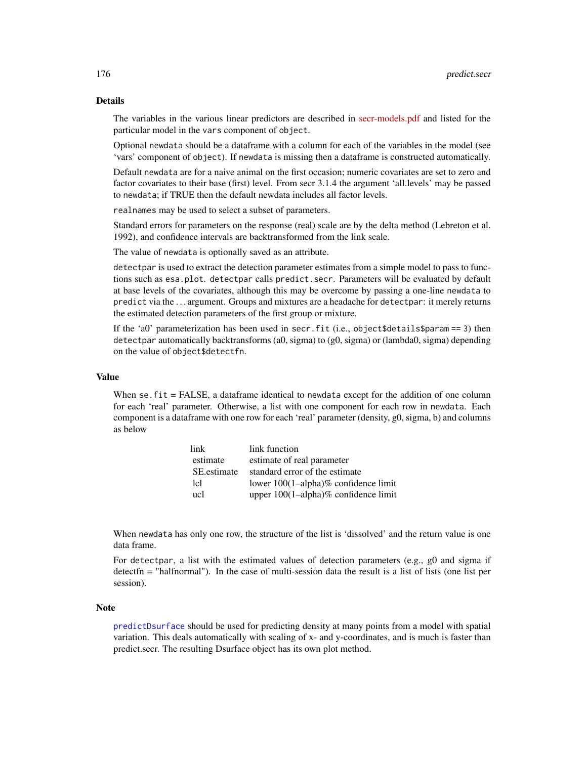# Details

The variables in the various linear predictors are described in [secr-models.pdf](https://www.otago.ac.nz/density/pdfs/secr-models.pdf) and listed for the particular model in the vars component of object.

Optional newdata should be a dataframe with a column for each of the variables in the model (see 'vars' component of object). If newdata is missing then a dataframe is constructed automatically.

Default newdata are for a naive animal on the first occasion; numeric covariates are set to zero and factor covariates to their base (first) level. From secr 3.1.4 the argument 'all.levels' may be passed to newdata; if TRUE then the default newdata includes all factor levels.

realnames may be used to select a subset of parameters.

Standard errors for parameters on the response (real) scale are by the delta method (Lebreton et al. 1992), and confidence intervals are backtransformed from the link scale.

The value of newdata is optionally saved as an attribute.

detectpar is used to extract the detection parameter estimates from a simple model to pass to functions such as esa.plot. detectpar calls predict.secr. Parameters will be evaluated by default at base levels of the covariates, although this may be overcome by passing a one-line newdata to predict via the . . . argument. Groups and mixtures are a headache for detectpar: it merely returns the estimated detection parameters of the first group or mixture.

If the 'a0' parameterization has been used in secr.fit (i.e., object \$details \$param == 3) then detectpar automatically backtransforms (a0, sigma) to (g0, sigma) or (lambda0, sigma) depending on the value of object\$detectfn.

## Value

When se. fit = FALSE, a dataframe identical to newdata except for the addition of one column for each 'real' parameter. Otherwise, a list with one component for each row in newdata. Each component is a dataframe with one row for each 'real' parameter (density, g0, sigma, b) and columns as below

| link        | link function                        |
|-------------|--------------------------------------|
| estimate    | estimate of real parameter           |
| SE estimate | standard error of the estimate       |
| lel         | lower 100(1-alpha)% confidence limit |
| ucl         | upper 100(1-alpha)% confidence limit |

When newdata has only one row, the structure of the list is 'dissolved' and the return value is one data frame.

For detectpar, a list with the estimated values of detection parameters (e.g., g0 and sigma if detectfn = "halfnormal"). In the case of multi-session data the result is a list of lists (one list per session).

## **Note**

[predictDsurface](#page-176-0) should be used for predicting density at many points from a model with spatial variation. This deals automatically with scaling of x- and y-coordinates, and is much is faster than predict.secr. The resulting Dsurface object has its own plot method.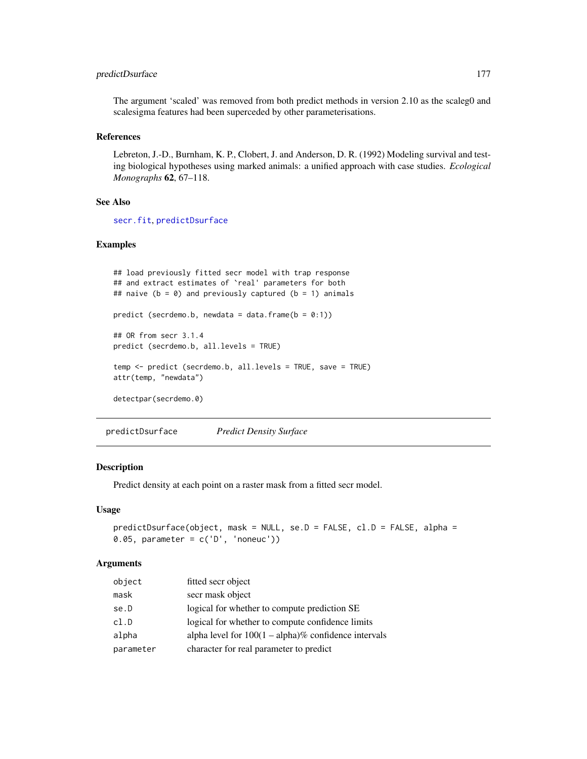# predictDsurface 177

The argument 'scaled' was removed from both predict methods in version 2.10 as the scaleg0 and scalesigma features had been superceded by other parameterisations.

# References

Lebreton, J.-D., Burnham, K. P., Clobert, J. and Anderson, D. R. (1992) Modeling survival and testing biological hypotheses using marked animals: a unified approach with case studies. *Ecological Monographs* 62, 67–118.

## See Also

[secr.fit](#page-218-0), [predictDsurface](#page-176-0)

# Examples

```
## load previously fitted secr model with trap response
## and extract estimates of `real' parameters for both
## naive (b = 0) and previously captured (b = 1) animals
predict (secrdemo.b, newdata = data.frame(b = 0:1))
## OR from secr 3.1.4
predict (secrdemo.b, all.levels = TRUE)
temp <- predict (secrdemo.b, all.levels = TRUE, save = TRUE)
attr(temp, "newdata")
detectpar(secrdemo.0)
```
<span id="page-176-0"></span>predictDsurface *Predict Density Surface*

# Description

Predict density at each point on a raster mask from a fitted secr model.

# Usage

```
predictDsurface(object, mask = NULL, se.D = FALSE, cl.D = FALSE, alpha =
0.05, parameter = c('D', 'noneuc'))
```
## Arguments

| object    | fitted secr object                                      |
|-----------|---------------------------------------------------------|
| mask      | secr mask object                                        |
| se.D      | logical for whether to compute prediction SE            |
| cl.D      | logical for whether to compute confidence limits        |
| alpha     | alpha level for $100(1 - alpha)\%$ confidence intervals |
| parameter | character for real parameter to predict                 |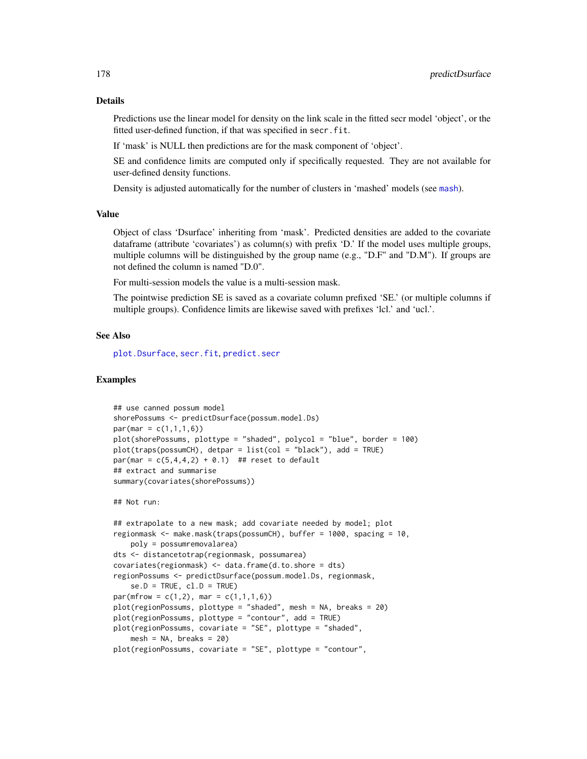#### Details

Predictions use the linear model for density on the link scale in the fitted secr model 'object', or the fitted user-defined function, if that was specified in secr.fit.

If 'mask' is NULL then predictions are for the mask component of 'object'.

SE and confidence limits are computed only if specifically requested. They are not available for user-defined density functions.

Density is adjusted automatically for the number of clusters in 'mashed' models (see [mash](#page-282-0)).

## Value

Object of class 'Dsurface' inheriting from 'mask'. Predicted densities are added to the covariate dataframe (attribute 'covariates') as column(s) with prefix 'D.' If the model uses multiple groups, multiple columns will be distinguished by the group name (e.g., "D.F" and "D.M"). If groups are not defined the column is named "D.0".

For multi-session models the value is a multi-session mask.

The pointwise prediction SE is saved as a covariate column prefixed 'SE.' (or multiple columns if multiple groups). Confidence limits are likewise saved with prefixes 'lcl.' and 'ucl.'.

#### See Also

[plot.Dsurface](#page-158-0), [secr.fit](#page-218-0), [predict.secr](#page-174-0)

# Examples

```
## use canned possum model
shorePossums <- predictDsurface(possum.model.Ds)
par(max = c(1,1,1,6))plot(shorePossums, plottype = "shaded", polycol = "blue", border = 100)
plot(traps(possumCH), detpar = list(col = "black"), add = TRUE)
par(max = c(5, 4, 4, 2) + 0.1) ## reset to default
## extract and summarise
summary(covariates(shorePossums))
## Not run:
## extrapolate to a new mask; add covariate needed by model; plot
regionmask <- make.mask(traps(possumCH), buffer = 1000, spacing = 10,
    poly = possumremovalarea)
dts <- distancetotrap(regionmask, possumarea)
covariates(regionmask) <- data.frame(d.to.shore = dts)
regionPossums <- predictDsurface(possum.model.Ds, regionmask,
    se.D = TRUE, cl.D = TRUEpar(mfrow = c(1,2), mar = c(1,1,1,6))plot(regionPossums, plottype = "shaded", mesh = NA, breaks = 20)
plot(regionPossums, plottype = "contour", add = TRUE)
plot(regionPossums, covariate = "SE", plottype = "shaded",
```

```
mesh = NA, breaks = 20)
```

```
plot(regionPossums, covariate = "SE", plottype = "contour",
```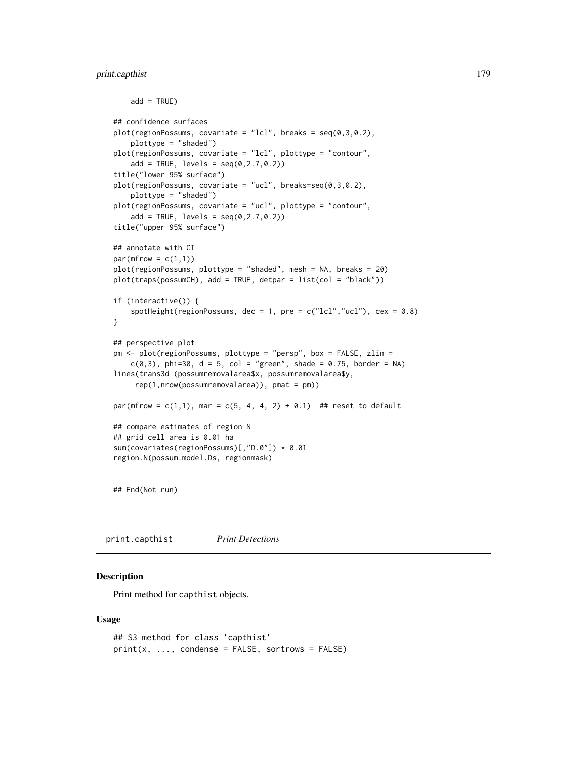# print.capthist 179

```
add = TRUE)
## confidence surfaces
plot(regionPoss, covariate = "lcl", breaks = seq(0, 3, 0.2),plottype = "shaded")
plot(regionPossums, covariate = "lcl", plottype = "contour",
    add = TRUE, levels = seq(0, 2.7, 0.2))title("lower 95% surface")
plot(regionPoss, covariate = "ucl", breaks=seq(0, 3, 0.2),plottype = "shaded")
plot(regionPossums, covariate = "ucl", plottype = "contour",
    add = TRUE, levels = seq(0, 2.7, 0.2))title("upper 95% surface")
## annotate with CI
par(mfrow = c(1,1))plot(regionPossums, plottype = "shaded", mesh = NA, breaks = 20)
plot(traps(possumCH), add = TRUE, detpar = list(col = "black"))
if (interactive()) {
    spotHeight(regionPossums, dec = 1, pre = c("lcl", "ucl"), cex = 0.8)}
## perspective plot
pm <- plot(regionPossums, plottype = "persp", box = FALSE, zlim =
    c(0,3), phi=30, d = 5, col = "green", shade = 0.75, border = NA)
lines(trans3d (possumremovalarea$x, possumremovalarea$y,
     rep(1,nrow(possumremovalarea)), pmat = pm))
par(mfrow = c(1,1), mar = c(5, 4, 4, 2) + 0.1) ## reset to default
## compare estimates of region N
## grid cell area is 0.01 ha
sum(covariates(regionPossums)[,"D.0"]) * 0.01
region.N(possum.model.Ds, regionmask)
```
## End(Not run)

print.capthist *Print Detections*

## Description

Print method for capthist objects.

#### Usage

```
## S3 method for class 'capthist'
print(x, ..., condense = FALSE, sortrows = FALSE)
```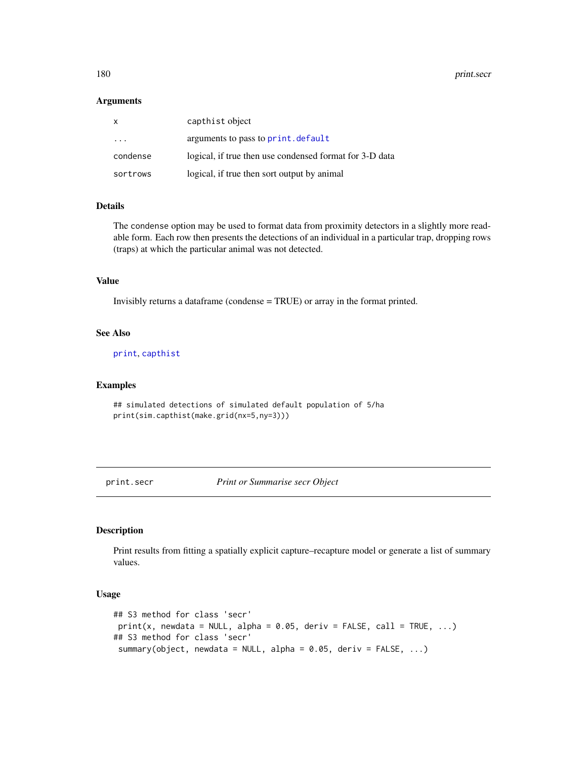## Arguments

| $\mathsf{x}$ | capthist object                                         |
|--------------|---------------------------------------------------------|
| .            | arguments to pass to print. default                     |
| condense     | logical, if true then use condensed format for 3-D data |
| sortrows     | logical, if true then sort output by animal             |

# Details

The condense option may be used to format data from proximity detectors in a slightly more readable form. Each row then presents the detections of an individual in a particular trap, dropping rows (traps) at which the particular animal was not detected.

# Value

Invisibly returns a dataframe (condense = TRUE) or array in the format printed.

## See Also

[print](#page-0-0), [capthist](#page-24-0)

# Examples

```
## simulated detections of simulated default population of 5/ha
print(sim.capthist(make.grid(nx=5,ny=3)))
```
print.secr *Print or Summarise secr Object*

## Description

Print results from fitting a spatially explicit capture–recapture model or generate a list of summary values.

## Usage

```
## S3 method for class 'secr'
print(x, newdata = NULL, alpha = 0.05, deriv = FALSE, call = TRUE, ...)## S3 method for class 'secr'
 summary(object, newdata = NULL, alpha = 0.05, deriv = FALSE, ...)
```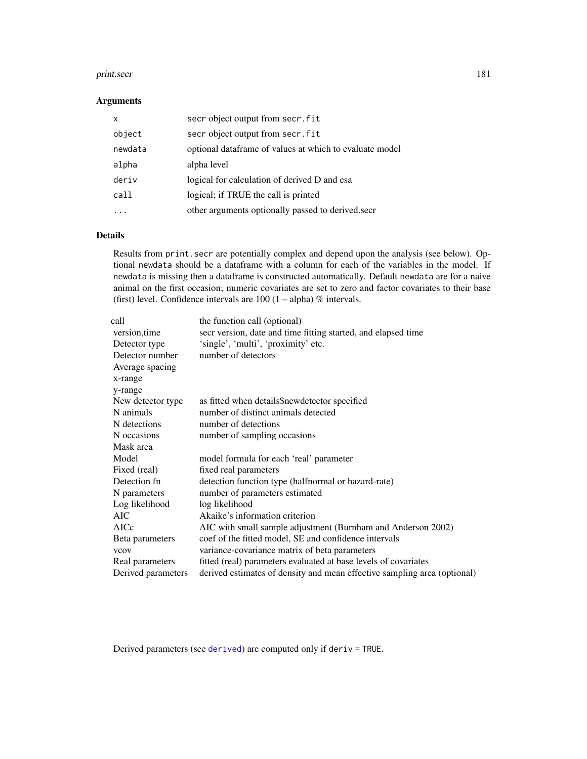#### print.secr 181

# Arguments

| $\mathsf{x}$ | secr object output from secr. fit                       |
|--------------|---------------------------------------------------------|
| object       | secr object output from secr. fit                       |
| newdata      | optional dataframe of values at which to evaluate model |
| alpha        | alpha level                                             |
| deriv        | logical for calculation of derived D and esa            |
| call         | logical; if TRUE the call is printed                    |
|              | other arguments optionally passed to derived secret     |

# Details

Results from print.secr are potentially complex and depend upon the analysis (see below). Optional newdata should be a dataframe with a column for each of the variables in the model. If newdata is missing then a dataframe is constructed automatically. Default newdata are for a naive animal on the first occasion; numeric covariates are set to zero and factor covariates to their base (first) level. Confidence intervals are  $100 (1 - alpha) \%$  intervals.

| call                                          | the function call (optional)                                             |
|-----------------------------------------------|--------------------------------------------------------------------------|
| version, time                                 | secr version, date and time fitting started, and elapsed time            |
| Detector type                                 | 'single', 'multi', 'proximity' etc.                                      |
| Detector number<br>Average spacing<br>x-range | number of detectors                                                      |
| y-range                                       |                                                                          |
| New detector type                             | as fitted when details\$newdetector specified                            |
| N animals                                     | number of distinct animals detected                                      |
| N detections                                  | number of detections                                                     |
| N occasions                                   | number of sampling occasions                                             |
| Mask area                                     |                                                                          |
| Model                                         | model formula for each 'real' parameter                                  |
| Fixed (real)                                  | fixed real parameters                                                    |
| Detection fn                                  | detection function type (halfnormal or hazard-rate)                      |
| N parameters                                  | number of parameters estimated                                           |
| Log likelihood                                | log likelihood                                                           |
| <b>AIC</b>                                    | Akaike's information criterion                                           |
| AICc                                          | AIC with small sample adjustment (Burnham and Anderson 2002)             |
| Beta parameters                               | coef of the fitted model, SE and confidence intervals                    |
| <b>VCOV</b>                                   | variance-covariance matrix of beta parameters                            |
| Real parameters                               | fitted (real) parameters evaluated at base levels of covariates          |
| Derived parameters                            | derived estimates of density and mean effective sampling area (optional) |

Derived parameters (see [derived](#page-47-0)) are computed only if deriv = TRUE.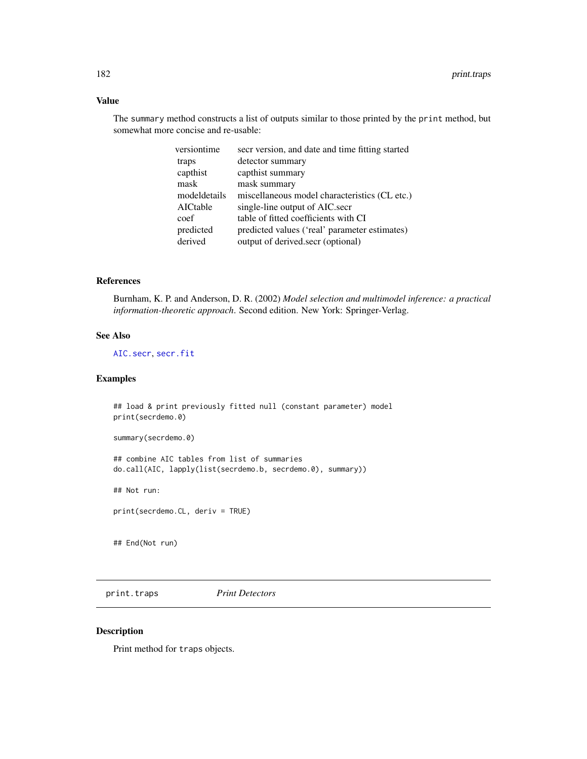# Value

The summary method constructs a list of outputs similar to those printed by the print method, but somewhat more concise and re-usable:

| secr version, and date and time fitting started |
|-------------------------------------------------|
| detector summary                                |
| capthist summary                                |
| mask summary                                    |
| miscellaneous model characteristics (CL etc.)   |
| single-line output of AIC.secr                  |
| table of fitted coefficients with CI            |
| predicted values ('real' parameter estimates)   |
| output of derived.secr (optional)               |
|                                                 |

# References

Burnham, K. P. and Anderson, D. R. (2002) *Model selection and multimodel inference: a practical information-theoretic approach*. Second edition. New York: Springer-Verlag.

#### See Also

[AIC.secr](#page-13-0), [secr.fit](#page-218-0)

# Examples

## load & print previously fitted null (constant parameter) model print(secrdemo.0)

summary(secrdemo.0)

## combine AIC tables from list of summaries do.call(AIC, lapply(list(secrdemo.b, secrdemo.0), summary))

## Not run:

print(secrdemo.CL, deriv = TRUE)

## End(Not run)

print.traps *Print Detectors*

# Description

Print method for traps objects.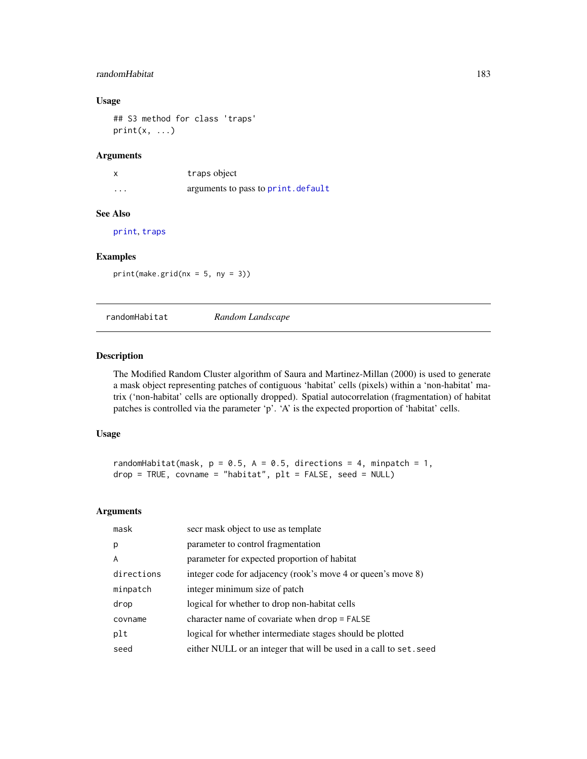# randomHabitat 183

# Usage

```
## S3 method for class 'traps'
print(x, \ldots)
```
# Arguments

|          | traps object                        |
|----------|-------------------------------------|
| $\cdots$ | arguments to pass to print. default |

# See Also

[print](#page-0-0), [traps](#page-287-0)

# Examples

 $print(make.grid(nx = 5, ny = 3))$ 

randomHabitat *Random Landscape*

#### Description

The Modified Random Cluster algorithm of Saura and Martinez-Millan (2000) is used to generate a mask object representing patches of contiguous 'habitat' cells (pixels) within a 'non-habitat' matrix ('non-habitat' cells are optionally dropped). Spatial autocorrelation (fragmentation) of habitat patches is controlled via the parameter 'p'. 'A' is the expected proportion of 'habitat' cells.

# Usage

```
randomHabitat(mask, p = 0.5, A = 0.5, directions = 4, minpatch = 1,
drop = TRUE, covname = "habitat", plt = FALSE, seed = NULL)
```

| secr mask object to use as template                                |
|--------------------------------------------------------------------|
| parameter to control fragmentation                                 |
| parameter for expected proportion of habitat                       |
| integer code for adjacency (rook's move 4 or queen's move 8)       |
| integer minimum size of patch                                      |
| logical for whether to drop non-habitat cells                      |
| character name of covariate when $drop = FALSE$                    |
| logical for whether intermediate stages should be plotted          |
| either NULL or an integer that will be used in a call to set. seed |
|                                                                    |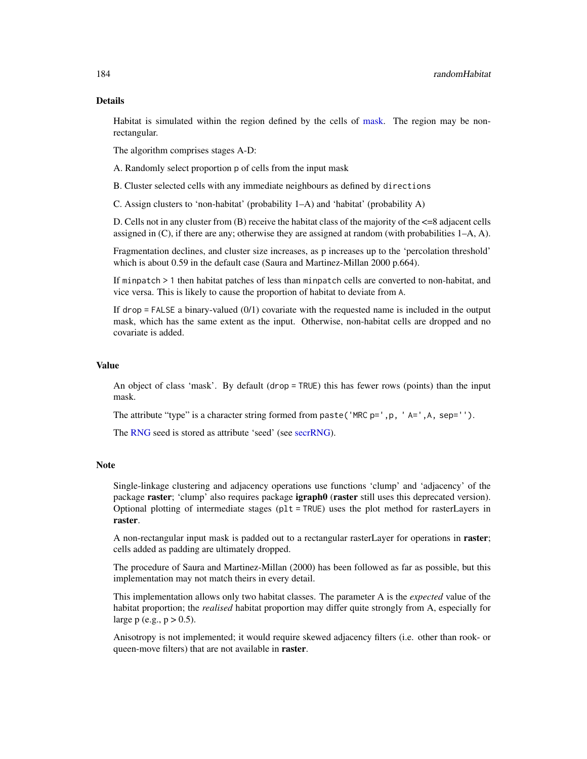# Details

Habitat is simulated within the region defined by the cells of [mask.](#page-127-0) The region may be nonrectangular.

The algorithm comprises stages A-D:

A. Randomly select proportion p of cells from the input mask

B. Cluster selected cells with any immediate neighbours as defined by directions

C. Assign clusters to 'non-habitat' (probability 1–A) and 'habitat' (probability A)

D. Cells not in any cluster from (B) receive the habitat class of the majority of the <=8 adjacent cells assigned in (C), if there are any; otherwise they are assigned at random (with probabilities 1–A, A).

Fragmentation declines, and cluster size increases, as p increases up to the 'percolation threshold' which is about 0.59 in the default case (Saura and Martinez-Millan 2000 p.664).

If minpatch > 1 then habitat patches of less than minpatch cells are converted to non-habitat, and vice versa. This is likely to cause the proportion of habitat to deviate from A.

If  $drop = FALSE$  a binary-valued  $(0/1)$  covariate with the requested name is included in the output mask, which has the same extent as the input. Otherwise, non-habitat cells are dropped and no covariate is added.

# Value

An object of class 'mask'. By default (drop = TRUE) this has fewer rows (points) than the input mask.

The attribute "type" is a character string formed from paste('MRC  $p='$ , p, 'A=',A, sep='').

The [RNG](#page-0-0) seed is stored as attribute 'seed' (see [secrRNG\)](#page-228-0).

#### Note

Single-linkage clustering and adjacency operations use functions 'clump' and 'adjacency' of the package raster; 'clump' also requires package **igraph0** (raster still uses this deprecated version). Optional plotting of intermediate stages (plt = TRUE) uses the plot method for rasterLayers in raster.

A non-rectangular input mask is padded out to a rectangular raster Layer for operations in raster; cells added as padding are ultimately dropped.

The procedure of Saura and Martinez-Millan (2000) has been followed as far as possible, but this implementation may not match theirs in every detail.

This implementation allows only two habitat classes. The parameter A is the *expected* value of the habitat proportion; the *realised* habitat proportion may differ quite strongly from A, especially for large p (e.g.,  $p > 0.5$ ).

Anisotropy is not implemented; it would require skewed adjacency filters (i.e. other than rook- or queen-move filters) that are not available in raster.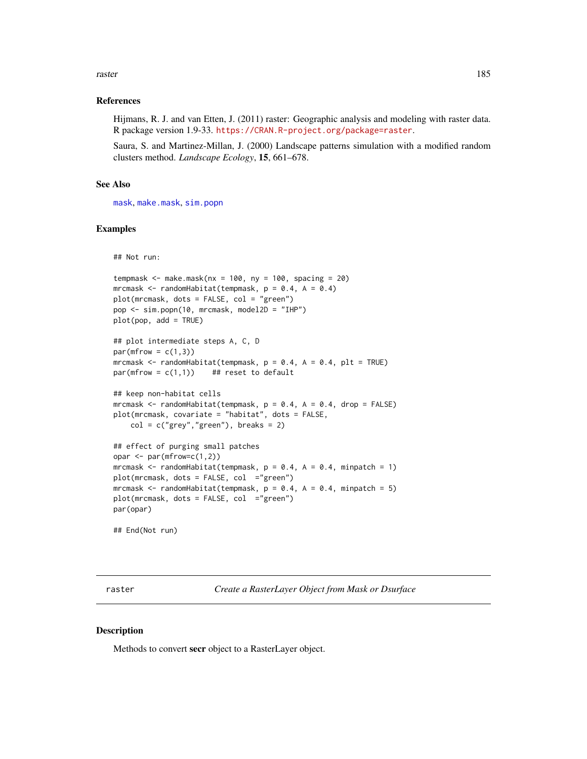#### raster and the state of the state of the state of the state of the state of the state of the state of the state of the state of the state of the state of the state of the state of the state of the state of the state of the

# References

Hijmans, R. J. and van Etten, J. (2011) raster: Geographic analysis and modeling with raster data. R package version 1.9-33. <https://CRAN.R-project.org/package=raster>.

Saura, S. and Martinez-Millan, J. (2000) Landscape patterns simulation with a modified random clusters method. *Landscape Ecology*, 15, 661–678.

### See Also

[mask](#page-127-0), [make.mask](#page-115-0), [sim.popn](#page-243-0)

#### Examples

## Not run:

```
tempmask \leq make.mask(nx = 100, ny = 100, spacing = 20)
mrcmask \leq randomHabitat(tempmask, p = 0.4, A = 0.4)
plot(mrcmask, dots = FALSE, col = "green")
pop <- sim.popn(10, mrcmask, model2D = "IHP")
plot(pop, add = TRUE)
## plot intermediate steps A, C, D
par(mfrow = c(1,3))mrcmask <- randomHabitat(tempmask, p = 0.4, A = 0.4, pIt = TRUE)
par(mfrow = c(1,1)) ## reset to default
## keep non-habitat cells
mrcmask \le randomHabitat(tempmask, p = 0.4, A = 0.4, drop = FALSE)
plot(mrcmask, covariate = "habitat", dots = FALSE,
    col = c("grey", "green"), breaks = 2)## effect of purging small patches
opar \leq par(mfrow=c(1,2))
mrcmask \le randomHabitat(tempmask, p = 0.4, A = 0.4, minpatch = 1)
plot(mrcmask, dots = FALSE, col = "green")mrcmask \le- randomHabitat(tempmask, p = 0.4, A = 0.4, minpatch = 5)
```
## End(Not run)

par(opar)

<span id="page-184-0"></span>raster *Create a RasterLayer Object from Mask or Dsurface*

#### Description

Methods to convert secr object to a RasterLayer object.

 $plot(mrcmask, dots = FALSE, col = "green")$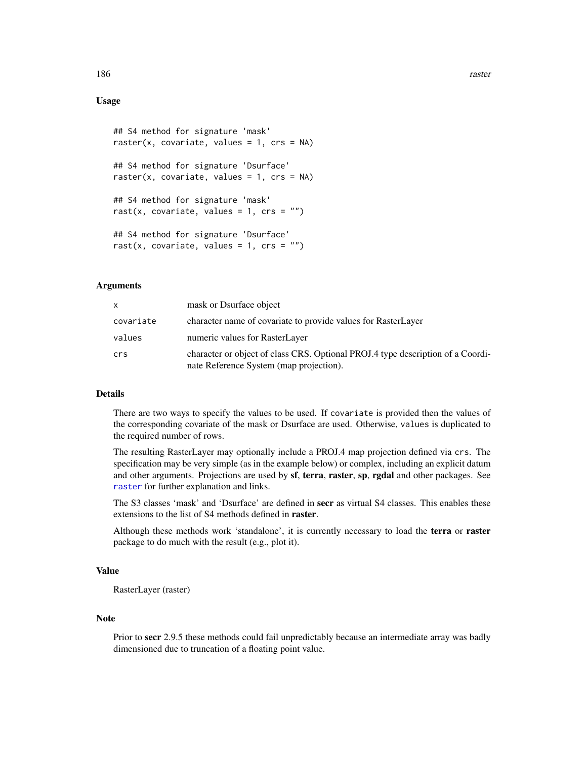# Usage

```
## S4 method for signature 'mask'
raster(x, covariate, values = 1, crs = NA)
## S4 method for signature 'Dsurface'
raster(x, covariate, values = 1, crs = NA)
## S4 method for signature 'mask'
rast(x, covariate, values = 1, crs = "")## S4 method for signature 'Dsurface'
rast(x, covariate, values = 1, crs = "")
```
# Arguments

| x         | mask or Dsurface object                                                                                                    |
|-----------|----------------------------------------------------------------------------------------------------------------------------|
| covariate | character name of covariate to provide values for RasterLayer                                                              |
| values    | numeric values for RasterLayer                                                                                             |
| crs       | character or object of class CRS. Optional PROJ.4 type description of a Coordi-<br>nate Reference System (map projection). |

# Details

There are two ways to specify the values to be used. If covariate is provided then the values of the corresponding covariate of the mask or Dsurface are used. Otherwise, values is duplicated to the required number of rows.

The resulting RasterLayer may optionally include a PROJ.4 map projection defined via crs. The specification may be very simple (as in the example below) or complex, including an explicit datum and other arguments. Projections are used by sf, terra, raster, sp, rgdal and other packages. See [raster](#page-184-0) for further explanation and links.

The S3 classes 'mask' and 'Dsurface' are defined in secr as virtual S4 classes. This enables these extensions to the list of S4 methods defined in **raster**.

Although these methods work 'standalone', it is currently necessary to load the terra or raster package to do much with the result (e.g., plot it).

#### Value

RasterLayer (raster)

#### Note

Prior to secr 2.9.5 these methods could fail unpredictably because an intermediate array was badly dimensioned due to truncation of a floating point value.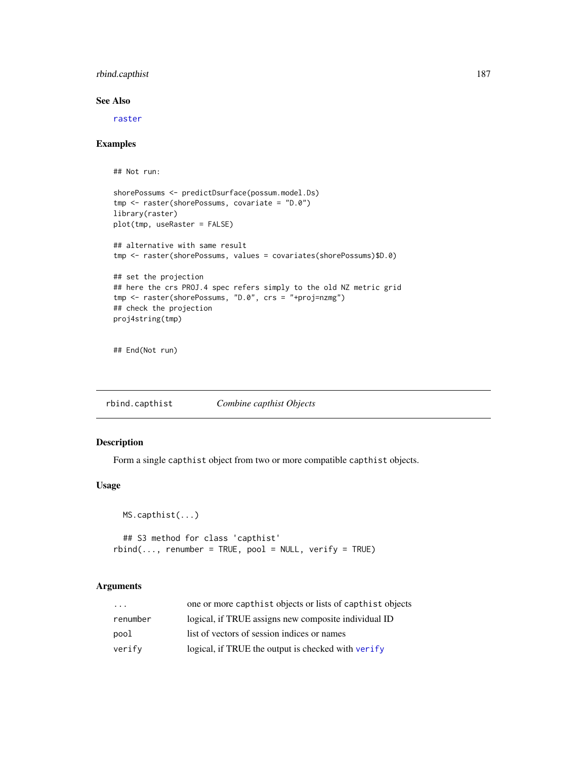# rbind.capthist 187

# See Also

[raster](#page-184-0)

# Examples

## Not run:

```
shorePossums <- predictDsurface(possum.model.Ds)
tmp <- raster(shorePossums, covariate = "D.0")
library(raster)
plot(tmp, useRaster = FALSE)
## alternative with same result
tmp <- raster(shorePossums, values = covariates(shorePossums)$D.0)
## set the projection
## here the crs PROJ.4 spec refers simply to the old NZ metric grid
tmp <- raster(shorePossums, "D.0", crs = "+proj=nzmg")
## check the projection
proj4string(tmp)
```
## End(Not run)

rbind.capthist *Combine capthist Objects*

# Description

Form a single capthist object from two or more compatible capthist objects.

# Usage

MS.capthist(...)

```
## S3 method for class 'capthist'
rbind(..., renumber = TRUE, pool = NULL, verify = TRUE)
```

| $\cdot$  | one or more capthist objects or lists of capthist objects |
|----------|-----------------------------------------------------------|
| renumber | logical, if TRUE assigns new composite individual ID      |
| pool     | list of vectors of session indices or names               |
| verify   | logical, if TRUE the output is checked with verify        |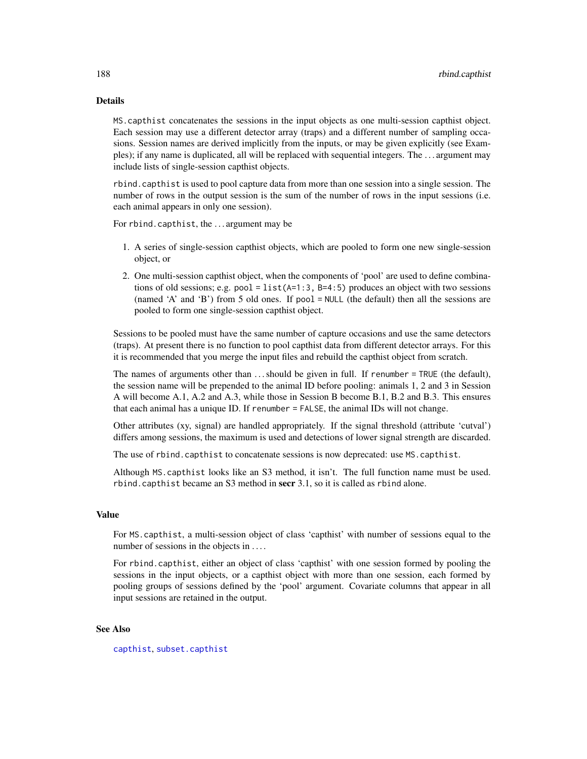# Details

MS.capthist concatenates the sessions in the input objects as one multi-session capthist object. Each session may use a different detector array (traps) and a different number of sampling occasions. Session names are derived implicitly from the inputs, or may be given explicitly (see Examples); if any name is duplicated, all will be replaced with sequential integers. The . . . argument may include lists of single-session capthist objects.

rbind.capthist is used to pool capture data from more than one session into a single session. The number of rows in the output session is the sum of the number of rows in the input sessions (i.e. each animal appears in only one session).

For rbind.capthist, the . . . argument may be

- 1. A series of single-session capthist objects, which are pooled to form one new single-session object, or
- 2. One multi-session capthist object, when the components of 'pool' are used to define combinations of old sessions; e.g. pool = list( $A=1:3$ ,  $B=4:5$ ) produces an object with two sessions (named 'A' and 'B') from 5 old ones. If pool = NULL (the default) then all the sessions are pooled to form one single-session capthist object.

Sessions to be pooled must have the same number of capture occasions and use the same detectors (traps). At present there is no function to pool capthist data from different detector arrays. For this it is recommended that you merge the input files and rebuild the capthist object from scratch.

The names of arguments other than ... should be given in full. If renumber = TRUE (the default), the session name will be prepended to the animal ID before pooling: animals 1, 2 and 3 in Session A will become A.1, A.2 and A.3, while those in Session B become B.1, B.2 and B.3. This ensures that each animal has a unique ID. If renumber = FALSE, the animal IDs will not change.

Other attributes (xy, signal) are handled appropriately. If the signal threshold (attribute 'cutval') differs among sessions, the maximum is used and detections of lower signal strength are discarded.

The use of rbind.capthist to concatenate sessions is now deprecated: use MS.capthist.

Although MS.capthist looks like an S3 method, it isn't. The full function name must be used. rbind.capthist became an S3 method in secr 3.1, so it is called as rbind alone.

#### Value

For MS.capthist, a multi-session object of class 'capthist' with number of sessions equal to the number of sessions in the objects in ....

For rbind.capthist, either an object of class 'capthist' with one session formed by pooling the sessions in the input objects, or a capthist object with more than one session, each formed by pooling groups of sessions defined by the 'pool' argument. Covariate columns that appear in all input sessions are retained in the output.

#### See Also

[capthist](#page-24-0), [subset.capthist](#page-264-0)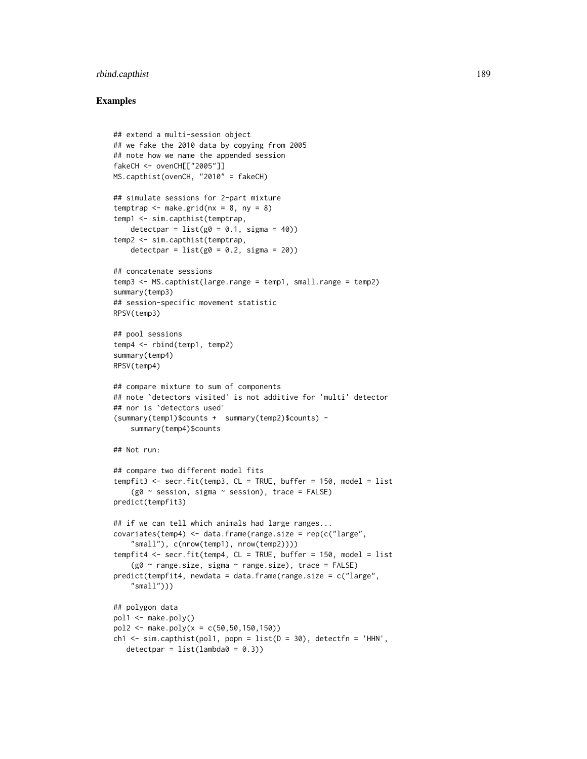# rbind.capthist 189

### Examples

```
## extend a multi-session object
## we fake the 2010 data by copying from 2005
## note how we name the appended session
fakeCH <- ovenCH[["2005"]]
MS.capthist(ovenCH, "2010" = fakeCH)
## simulate sessions for 2-part mixture
temptrap \leq make.grid(nx = 8, ny = 8)
temp1 <- sim.capthist(temptrap,
   detectpar = list(g0 = 0.1, sigma = 40)temp2 <- sim.capthist(temptrap,
    detectpar = list(g0 = 0.2, sigma = 20))
## concatenate sessions
temp3 <- MS.capthist(large.range = temp1, small.range = temp2)
summary(temp3)
## session-specific movement statistic
RPSV(temp3)
## pool sessions
temp4 <- rbind(temp1, temp2)
summary(temp4)
RPSV(temp4)
## compare mixture to sum of components
## note `detectors visited' is not additive for 'multi' detector
## nor is `detectors used'
(summary(temp1)$counts + summary(temp2)$counts) -
    summary(temp4)$counts
## Not run:
## compare two different model fits
tempfit3 <- secr.fit(temp3, CL = TRUE, buffer = 150, model = list
    (g0 \sim session, sigma \sim session), trace = FALSE)
predict(tempfit3)
## if we can tell which animals had large ranges...
covariates(temp4) <- data.frame(range.size = rep(c("large",
    "small"), c(nrow(temp1), nrow(temp2))))
tempfit4 <- secr.fit(temp4, CL = TRUE, buffer = 150, model = list
    (g0 ~ range.size, sigma ~ range.size), trace = FALSE)
predict(tempfit4, newdata = data.frame(range.size = c("large",
    "small")))
## polygon data
pol1 <- make.poly()
pol2 <- make.poly(x = c(50,50,150,150))
ch1 \le sim.capthist(pol1, popn = list(D = 30), detectfn = 'HHN',
  detectpar = list(lambda = 0.3))
```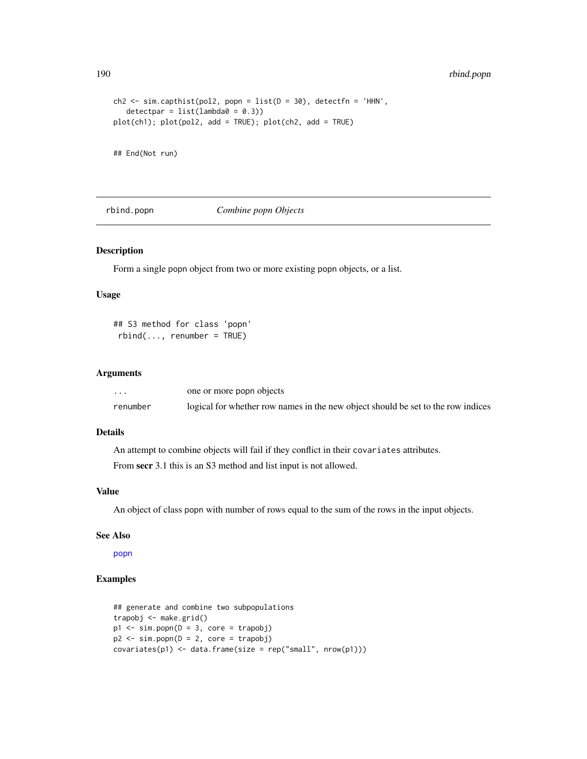190 rbind.popn

```
ch2 \leq sin.capthist(pol2, popn = list(D = 30), detectfn = 'HHN',detectpar = list(lambda = 0.3))plot(ch1); plot(pol2, add = TRUE); plot(ch2, add = TRUE)
```
## End(Not run)

rbind.popn *Combine popn Objects*

#### Description

Form a single popn object from two or more existing popn objects, or a list.

# Usage

```
## S3 method for class 'popn'
rbind(..., renumber = TRUE)
```
#### Arguments

| $\cdots$ | one or more popn objects                                                         |
|----------|----------------------------------------------------------------------------------|
| renumber | logical for whether row names in the new object should be set to the row indices |

# Details

An attempt to combine objects will fail if they conflict in their covariates attributes.

From secr 3.1 this is an S3 method and list input is not allowed.

# Value

An object of class popn with number of rows equal to the sum of the rows in the input objects.

# See Also

[popn](#page-171-0)

# Examples

```
## generate and combine two subpopulations
trapobj <- make.grid()
p1 \le -\sin.popn(D = 3, core = trapobj)p2 \le -\sin.popn(D = 2, core = trapobj)covariates(p1) < - data.frame(size = rep("small", nrow(p1)))
```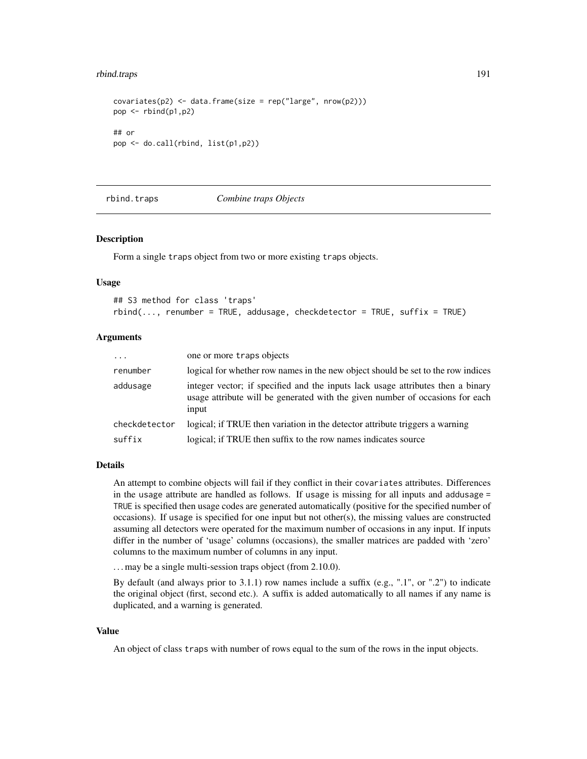#### rbind.traps 191

```
covariates(p2) < -data frame(size = rep("large", nrow(p2)))pop <- rbind(p1,p2)
## or
pop <- do.call(rbind, list(p1,p2))
```
rbind.traps *Combine traps Objects*

#### **Description**

Form a single traps object from two or more existing traps objects.

#### Usage

```
## S3 method for class 'traps'
rbind(..., renumber = TRUE, addusage, checkdetector = TRUE, suffix = TRUE)
```
### Arguments

| $\ddots$      | one or more traps objects                                                                                                                                                 |
|---------------|---------------------------------------------------------------------------------------------------------------------------------------------------------------------------|
| renumber      | logical for whether row names in the new object should be set to the row indices                                                                                          |
| addusage      | integer vector; if specified and the inputs lack usage attributes then a binary<br>usage attribute will be generated with the given number of occasions for each<br>input |
| checkdetector | logical; if TRUE then variation in the detector attribute triggers a warning                                                                                              |
| suffix        | logical; if TRUE then suffix to the row names indicates source                                                                                                            |

# Details

An attempt to combine objects will fail if they conflict in their covariates attributes. Differences in the usage attribute are handled as follows. If usage is missing for all inputs and addusage = TRUE is specified then usage codes are generated automatically (positive for the specified number of occasions). If usage is specified for one input but not other(s), the missing values are constructed assuming all detectors were operated for the maximum number of occasions in any input. If inputs differ in the number of 'usage' columns (occasions), the smaller matrices are padded with 'zero' columns to the maximum number of columns in any input.

... may be a single multi-session traps object (from 2.10.0).

By default (and always prior to 3.1.1) row names include a suffix (e.g., ".1", or ".2") to indicate the original object (first, second etc.). A suffix is added automatically to all names if any name is duplicated, and a warning is generated.

#### Value

An object of class traps with number of rows equal to the sum of the rows in the input objects.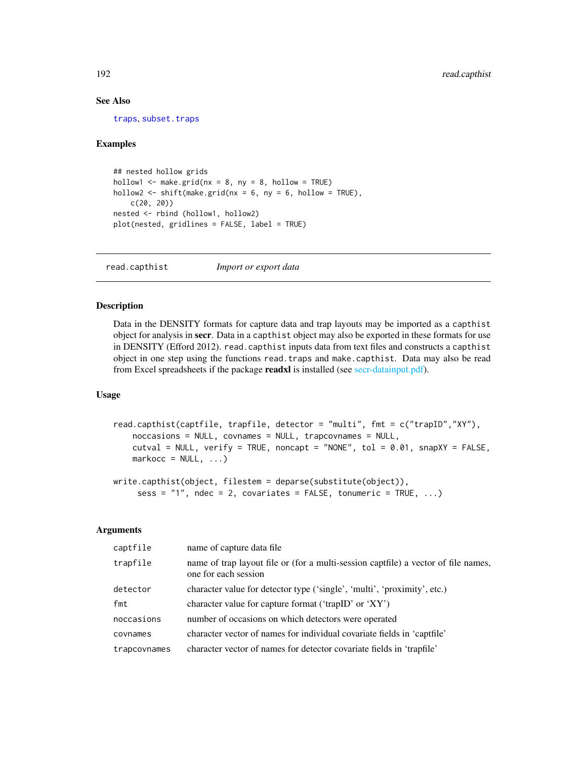# See Also

[traps](#page-287-0), [subset.traps](#page-269-0)

### Examples

```
## nested hollow grids
hollow1 \leq make.grid(nx = 8, ny = 8, hollow = TRUE)
hollow2 \le shift(make.grid(nx = 6, ny = 6, hollow = TRUE),
   c(20, 20))
nested <- rbind (hollow1, hollow2)
plot(nested, gridlines = FALSE, label = TRUE)
```
<span id="page-191-0"></span>read.capthist *Import or export data*

# Description

Data in the DENSITY formats for capture data and trap layouts may be imported as a capthist object for analysis in secr. Data in a capthist object may also be exported in these formats for use in DENSITY (Efford 2012). read.capthist inputs data from text files and constructs a capthist object in one step using the functions read.traps and make.capthist. Data may also be read from Excel spreadsheets if the package readxl is installed (see [secr-datainput.pdf\)](#page-0-0).

# Usage

```
read.capthist(captfile, trapfile, detector = "multi", fmt = c("trapID","XY"),
   noccasions = NULL, covnames = NULL, trapcovnames = NULL,
   cutval = NULL, verify = TRUE, noncapt = "NONE", tol = 0.01, snapXY = FALSE,
   markocc = NULL, ...)
```

```
write.capthist(object, filestem = deparse(substitute(object)),
     sess = "1", ndec = 2, covariates = FALSE, tonumeric = TRUE, ...)
```

| captfile     | name of capture data file.                                                                                 |
|--------------|------------------------------------------------------------------------------------------------------------|
| trapfile     | name of trap layout file or (for a multi-session captfile) a vector of file names,<br>one for each session |
| detector     | character value for detector type ('single', 'multi', 'proximity', etc.)                                   |
| fmt          | character value for capture format ('trapID' or 'XY')                                                      |
| noccasions   | number of occasions on which detectors were operated                                                       |
| covnames     | character vector of names for individual covariate fields in 'captfile'                                    |
| trapcovnames | character vector of names for detector covariate fields in 'trapfile'                                      |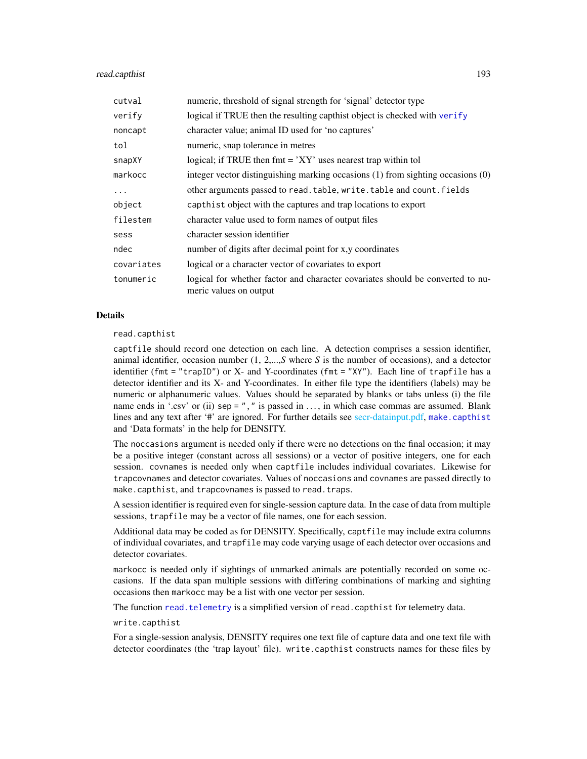# read.capthist 193

| cutval     | numeric, threshold of signal strength for 'signal' detector type                                         |
|------------|----------------------------------------------------------------------------------------------------------|
| verify     | logical if TRUE then the resulting capthist object is checked with verify                                |
| noncapt    | character value; animal ID used for 'no captures'                                                        |
| tol        | numeric, snap tolerance in metres                                                                        |
| snapXY     | logical; if TRUE then $fmt = 'XY'$ uses nearest trap within tol                                          |
| markocc    | integer vector distinguishing marking occasions $(1)$ from sighting occasions $(0)$                      |
| $\ddots$   | other arguments passed to read. table, write. table and count. fields                                    |
| object     | capthist object with the captures and trap locations to export                                           |
| filestem   | character value used to form names of output files                                                       |
| sess       | character session identifier                                                                             |
| ndec       | number of digits after decimal point for x,y coordinates                                                 |
| covariates | logical or a character vector of covariates to export                                                    |
| tonumeric  | logical for whether factor and character covariates should be converted to nu-<br>meric values on output |

#### Details

read.capthist

captfile should record one detection on each line. A detection comprises a session identifier, animal identifier, occasion number (1, 2,...,*S* where *S* is the number of occasions), and a detector identifier (fmt = "trapID") or X- and Y-coordinates (fmt = "XY"). Each line of trapfile has a detector identifier and its X- and Y-coordinates. In either file type the identifiers (labels) may be numeric or alphanumeric values. Values should be separated by blanks or tabs unless (i) the file name ends in '.csv' or (ii) sep =  $"$ , " is passed in ..., in which case commas are assumed. Blank lines and any text after '#' are ignored. For further details see [secr-datainput.pdf,](#page-0-0) [make.capthist](#page-111-0) and 'Data formats' in the help for DENSITY.

The noccasions argument is needed only if there were no detections on the final occasion; it may be a positive integer (constant across all sessions) or a vector of positive integers, one for each session. covnames is needed only when captfile includes individual covariates. Likewise for trapcovnames and detector covariates. Values of noccasions and covnames are passed directly to make.capthist, and trapcovnames is passed to read.traps.

A session identifier is required even for single-session capture data. In the case of data from multiple sessions, trapfile may be a vector of file names, one for each session.

Additional data may be coded as for DENSITY. Specifically, captfile may include extra columns of individual covariates, and trapfile may code varying usage of each detector over occasions and detector covariates.

markocc is needed only if sightings of unmarked animals are potentially recorded on some occasions. If the data span multiple sessions with differing combinations of marking and sighting occasions then markocc may be a list with one vector per session.

The function [read.telemetry](#page-195-0) is a simplified version of read.capthist for telemetry data.

write.capthist

For a single-session analysis, DENSITY requires one text file of capture data and one text file with detector coordinates (the 'trap layout' file). write.capthist constructs names for these files by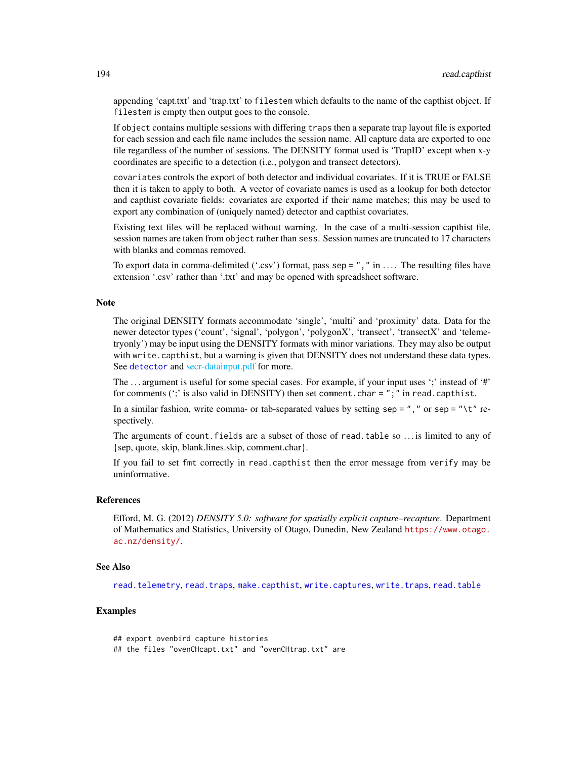appending 'capt.txt' and 'trap.txt' to filestem which defaults to the name of the capthist object. If filestem is empty then output goes to the console.

If object contains multiple sessions with differing traps then a separate trap layout file is exported for each session and each file name includes the session name. All capture data are exported to one file regardless of the number of sessions. The DENSITY format used is 'TrapID' except when x-y coordinates are specific to a detection (i.e., polygon and transect detectors).

covariates controls the export of both detector and individual covariates. If it is TRUE or FALSE then it is taken to apply to both. A vector of covariate names is used as a lookup for both detector and capthist covariate fields: covariates are exported if their name matches; this may be used to export any combination of (uniquely named) detector and capthist covariates.

Existing text files will be replaced without warning. In the case of a multi-session capthist file, session names are taken from object rather than sess. Session names are truncated to 17 characters with blanks and commas removed.

To export data in comma-delimited ('.csv') format, pass sep = "," in .... The resulting files have extension '.csv' rather than '.txt' and may be opened with spreadsheet software.

#### Note

The original DENSITY formats accommodate 'single', 'multi' and 'proximity' data. Data for the newer detector types ('count', 'signal', 'polygon', 'polygonX', 'transect', 'transectX' and 'telemetryonly') may be input using the DENSITY formats with minor variations. They may also be output with write.capthist, but a warning is given that DENSITY does not understand these data types. See [detector](#page-57-0) and [secr-datainput.pdf](#page-0-0) for more.

The ... argument is useful for some special cases. For example, if your input uses ';' instead of '#' for comments (';' is also valid in DENSITY) then set comment.char = ";" in read.capthist.

In a similar fashion, write comma- or tab-separated values by setting sep = "," or sep = " $\setminus$ t" respectively.

The arguments of count.fields are a subset of those of read.table so . . . is limited to any of {sep, quote, skip, blank.lines.skip, comment.char}.

If you fail to set fmt correctly in read.capthist then the error message from verify may be uninformative.

#### References

Efford, M. G. (2012) *DENSITY 5.0: software for spatially explicit capture–recapture*. Department of Mathematics and Statistics, University of Otago, Dunedin, New Zealand [https://www.otago.](https://www.otago.ac.nz/density/) [ac.nz/density/](https://www.otago.ac.nz/density/).

#### See Also

[read.telemetry](#page-195-0), [read.traps](#page-196-0), [make.capthist](#page-111-0), [write.captures](#page-307-0), [write.traps](#page-307-1), [read.table](#page-0-0)

# Examples

```
## export ovenbird capture histories
## the files "ovenCHcapt.txt" and "ovenCHtrap.txt" are
```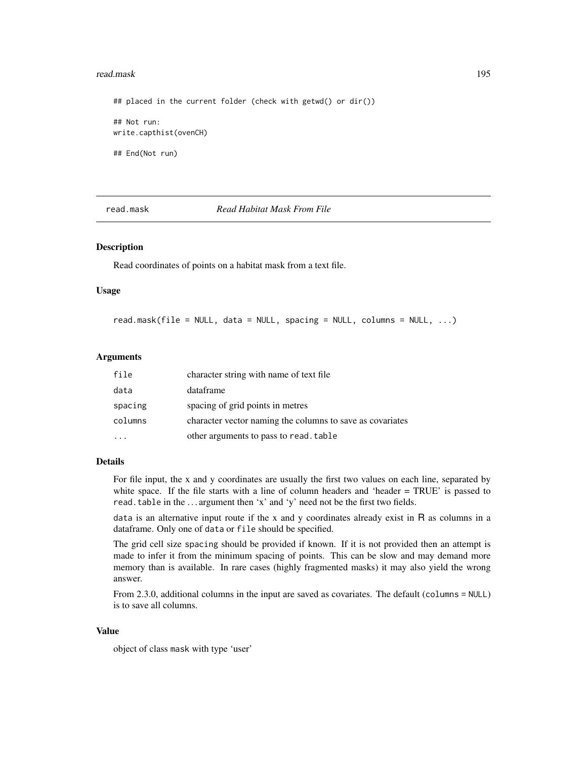#### read.mask 195

## placed in the current folder (check with getwd() or dir()) ## Not run: write.capthist(ovenCH) ## End(Not run)

read.mask *Read Habitat Mask From File*

#### Description

Read coordinates of points on a habitat mask from a text file.

#### Usage

read.mask(file = NULL, data = NULL, spacing = NULL, columns = NULL, ...)

#### Arguments

| file    | character string with name of text file                   |
|---------|-----------------------------------------------------------|
| data    | dataframe                                                 |
| spacing | spacing of grid points in metres                          |
| columns | character vector naming the columns to save as covariates |
|         | other arguments to pass to read. table                    |

#### Details

For file input, the x and y coordinates are usually the first two values on each line, separated by white space. If the file starts with a line of column headers and 'header = TRUE' is passed to read.table in the ... argument then 'x' and 'y' need not be the first two fields.

data is an alternative input route if the x and y coordinates already exist in  $R$  as columns in a dataframe. Only one of data or file should be specified.

The grid cell size spacing should be provided if known. If it is not provided then an attempt is made to infer it from the minimum spacing of points. This can be slow and may demand more memory than is available. In rare cases (highly fragmented masks) it may also yield the wrong answer.

From 2.3.0, additional columns in the input are saved as covariates. The default (columns = NULL) is to save all columns.

#### Value

object of class mask with type 'user'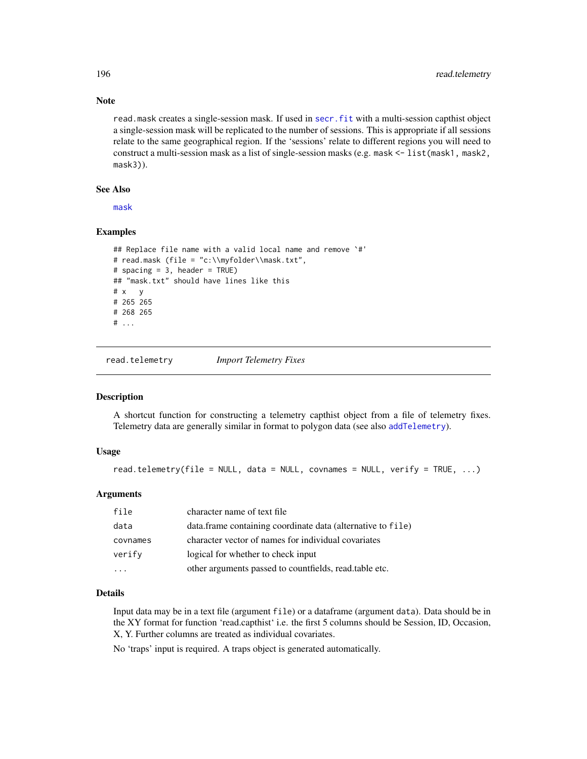read.mask creates a single-session mask. If used in [secr.fit](#page-218-0) with a multi-session capthist object a single-session mask will be replicated to the number of sessions. This is appropriate if all sessions relate to the same geographical region. If the 'sessions' relate to different regions you will need to construct a multi-session mask as a list of single-session masks (e.g. mask <- list(mask1, mask2, mask3)).

# See Also

[mask](#page-127-0)

# Examples

```
## Replace file name with a valid local name and remove `#'
# read.mask (file = "c:\\myfolder\\mask.txt",
# spacing = 3, header = TRUE)
## "mask.txt" should have lines like this
# x y
# 265 265
# 268 265
# ...
```
<span id="page-195-0"></span>read.telemetry *Import Telemetry Fixes*

#### Description

A shortcut function for constructing a telemetry capthist object from a file of telemetry fixes. Telemetry data are generally similar in format to polygon data (see also [addTelemetry](#page-10-0)).

# Usage

```
read.telemetry(file = NULL, data = NULL, covnames = NULL, verify = TRUE, ...)
```
# Arguments

| file     | character name of text file                                 |
|----------|-------------------------------------------------------------|
| data     | data.frame containing coordinate data (alternative to file) |
| covnames | character vector of names for individual covariates         |
| verify   | logical for whether to check input                          |
|          | other arguments passed to countfields, read.table etc.      |

# Details

Input data may be in a text file (argument file) or a dataframe (argument data). Data should be in the XY format for function 'read.capthist' i.e. the first 5 columns should be Session, ID, Occasion, X, Y. Further columns are treated as individual covariates.

No 'traps' input is required. A traps object is generated automatically.

# Note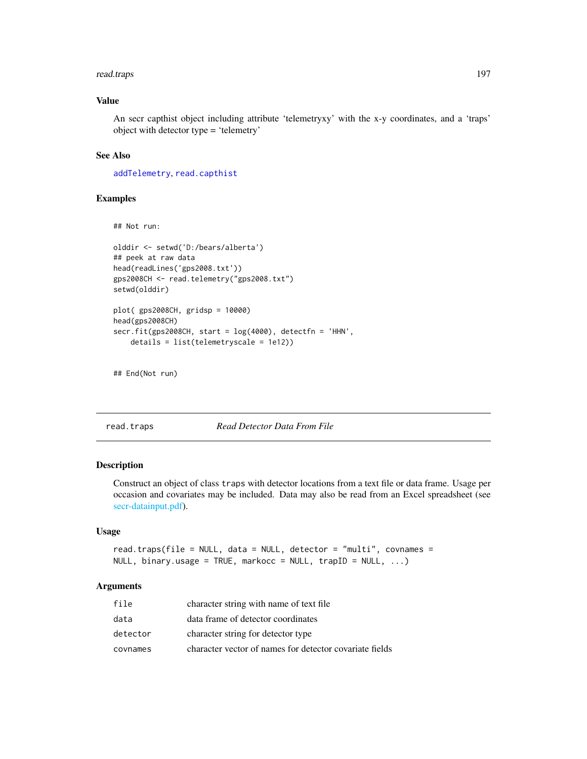#### read.traps 197

# Value

An secr capthist object including attribute 'telemetryxy' with the x-y coordinates, and a 'traps' object with detector type = 'telemetry'

# See Also

[addTelemetry](#page-10-0), [read.capthist](#page-191-0)

# Examples

```
## Not run:
```

```
olddir <- setwd('D:/bears/alberta')
## peek at raw data
head(readLines('gps2008.txt'))
gps2008CH <- read.telemetry("gps2008.txt")
setwd(olddir)
```

```
plot( gps2008CH, gridsp = 10000)
head(gps2008CH)
secr.fit(gps2008CH, start = log(4000), detectfn = 'HHN',
    details = list(telemetryscale = 1e12))
```

```
## End(Not run)
```
<span id="page-196-0"></span>read.traps *Read Detector Data From File*

#### Description

Construct an object of class traps with detector locations from a text file or data frame. Usage per occasion and covariates may be included. Data may also be read from an Excel spreadsheet (see [secr-datainput.pdf\)](#page-0-0).

# Usage

```
read.traps(file = NULL, data = NULL, detector = "multi", covnames =
NULL, binary.usage = TRUE, markocc = NULL, trapID = NULL, ...)
```

| file     | character string with name of text file                 |
|----------|---------------------------------------------------------|
| data     | data frame of detector coordinates                      |
| detector | character string for detector type                      |
| covnames | character vector of names for detector covariate fields |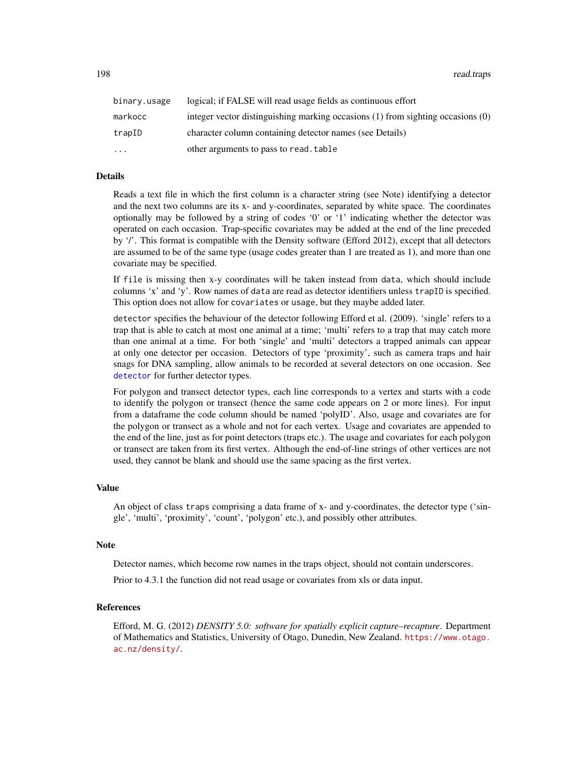198 read.traps

| binary.usage | logical; if FALSE will read usage fields as continuous effort                   |
|--------------|---------------------------------------------------------------------------------|
| markocc      | integer vector distinguishing marking occasions (1) from sighting occasions (0) |
| trapID       | character column containing detector names (see Details)                        |
| $\ddotsc$    | other arguments to pass to read. table                                          |

#### Details

Reads a text file in which the first column is a character string (see Note) identifying a detector and the next two columns are its x- and y-coordinates, separated by white space. The coordinates optionally may be followed by a string of codes '0' or '1' indicating whether the detector was operated on each occasion. Trap-specific covariates may be added at the end of the line preceded by '/'. This format is compatible with the Density software (Efford 2012), except that all detectors are assumed to be of the same type (usage codes greater than 1 are treated as 1), and more than one covariate may be specified.

If file is missing then x-y coordinates will be taken instead from data, which should include columns 'x' and 'y'. Row names of data are read as detector identifiers unless trapID is specified. This option does not allow for covariates or usage, but they maybe added later.

detector specifies the behaviour of the detector following Efford et al. (2009). 'single' refers to a trap that is able to catch at most one animal at a time; 'multi' refers to a trap that may catch more than one animal at a time. For both 'single' and 'multi' detectors a trapped animals can appear at only one detector per occasion. Detectors of type 'proximity', such as camera traps and hair snags for DNA sampling, allow animals to be recorded at several detectors on one occasion. See [detector](#page-57-0) for further detector types.

For polygon and transect detector types, each line corresponds to a vertex and starts with a code to identify the polygon or transect (hence the same code appears on 2 or more lines). For input from a dataframe the code column should be named 'polyID'. Also, usage and covariates are for the polygon or transect as a whole and not for each vertex. Usage and covariates are appended to the end of the line, just as for point detectors (traps etc.). The usage and covariates for each polygon or transect are taken from its first vertex. Although the end-of-line strings of other vertices are not used, they cannot be blank and should use the same spacing as the first vertex.

#### Value

An object of class traps comprising a data frame of x- and y-coordinates, the detector type ('single', 'multi', 'proximity', 'count', 'polygon' etc.), and possibly other attributes.

#### **Note**

Detector names, which become row names in the traps object, should not contain underscores.

Prior to 4.3.1 the function did not read usage or covariates from xls or data input.

#### References

Efford, M. G. (2012) *DENSITY 5.0: software for spatially explicit capture–recapture*. Department of Mathematics and Statistics, University of Otago, Dunedin, New Zealand. [https://www.otago.](https://www.otago.ac.nz/density/) [ac.nz/density/](https://www.otago.ac.nz/density/).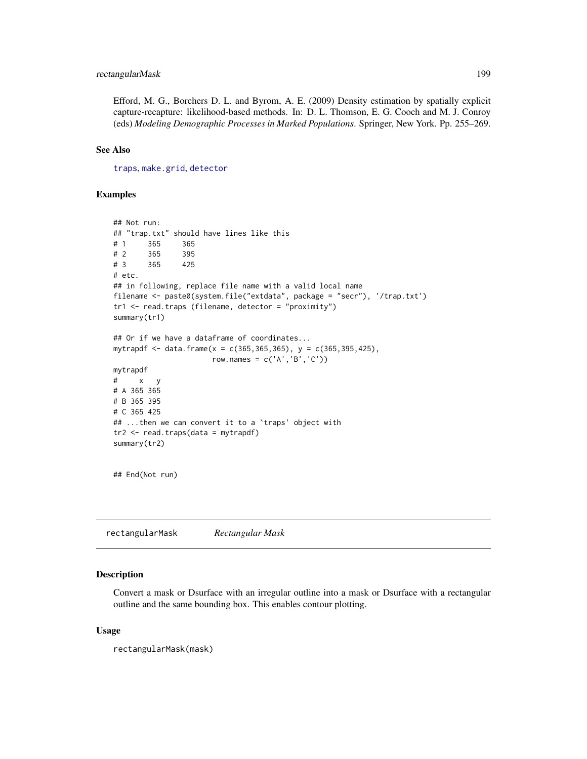# rectangularMask 199

Efford, M. G., Borchers D. L. and Byrom, A. E. (2009) Density estimation by spatially explicit capture-recapture: likelihood-based methods. In: D. L. Thomson, E. G. Cooch and M. J. Conroy (eds) *Modeling Demographic Processes in Marked Populations*. Springer, New York. Pp. 255–269.

# See Also

[traps](#page-287-0), [make.grid](#page-121-0), [detector](#page-57-0)

### Examples

```
## Not run:
## "trap.txt" should have lines like this
# 1 365 365
# 2 365 395
# 3 365 425
# etc.
## in following, replace file name with a valid local name
filename <- paste0(system.file("extdata", package = "secr"), '/trap.txt')
tr1 <- read.traps (filename, detector = "proximity")
summary(tr1)
## Or if we have a dataframe of coordinates...
mytrapdf <- data.frame(x = c(365, 365, 365), y = c(365, 395, 425),
                      row.names = c('A', 'B', 'C'))mytrapdf
# x y
# A 365 365
# B 365 395
# C 365 425
## ...then we can convert it to a `traps' object with
tr2 < - read.traps(data = mytrapdf)
summary(tr2)
```

```
## End(Not run)
```
rectangularMask *Rectangular Mask*

# Description

Convert a mask or Dsurface with an irregular outline into a mask or Dsurface with a rectangular outline and the same bounding box. This enables contour plotting.

#### Usage

rectangularMask(mask)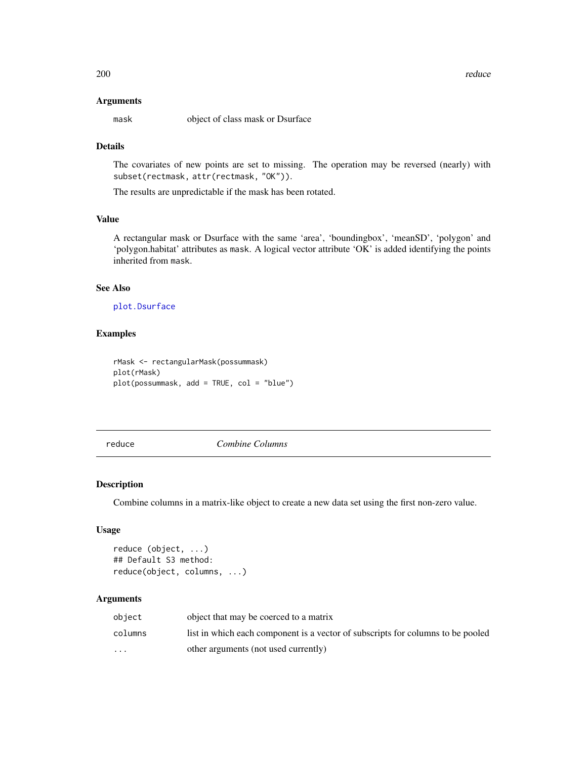#### Arguments

mask object of class mask or Dsurface

# Details

The covariates of new points are set to missing. The operation may be reversed (nearly) with subset(rectmask, attr(rectmask, "OK")).

The results are unpredictable if the mask has been rotated.

#### Value

A rectangular mask or Dsurface with the same 'area', 'boundingbox', 'meanSD', 'polygon' and 'polygon.habitat' attributes as mask. A logical vector attribute 'OK' is added identifying the points inherited from mask.

#### See Also

[plot.Dsurface](#page-158-0)

# Examples

```
rMask <- rectangularMask(possummask)
plot(rMask)
plot(possummask, add = TRUE, col = "blue")
```
reduce *Combine Columns*

# Description

Combine columns in a matrix-like object to create a new data set using the first non-zero value.

#### Usage

```
reduce (object, ...)
## Default S3 method:
reduce(object, columns, ...)
```

| object                  | object that may be coerced to a matrix                                          |
|-------------------------|---------------------------------------------------------------------------------|
| columns                 | list in which each component is a vector of subscripts for columns to be pooled |
| $\cdot$ $\cdot$ $\cdot$ | other arguments (not used currently)                                            |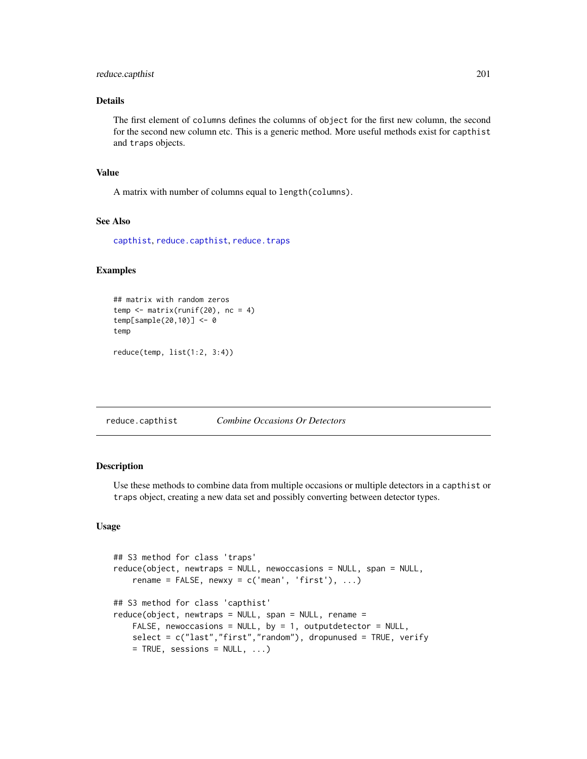# reduce.capthist 201

# Details

The first element of columns defines the columns of object for the first new column, the second for the second new column etc. This is a generic method. More useful methods exist for capthist and traps objects.

#### Value

A matrix with number of columns equal to length(columns).

# See Also

[capthist](#page-24-0), [reduce.capthist](#page-200-0), [reduce.traps](#page-200-1)

#### Examples

## matrix with random zeros  $temp \leftarrow matrix(runif(20), nc = 4)$ temp[sample(20,10)] <- 0 temp reduce(temp, list(1:2, 3:4))

<span id="page-200-0"></span>reduce.capthist *Combine Occasions Or Detectors*

#### <span id="page-200-1"></span>Description

Use these methods to combine data from multiple occasions or multiple detectors in a capthist or traps object, creating a new data set and possibly converting between detector types.

# Usage

```
## S3 method for class 'traps'
reduce(object, newtraps = NULL, newoccasions = NULL, span = NULL,
    rename = FALSE, newxy = c('mean', 'first'), ...)## S3 method for class 'capthist'
reduce(object, newtraps = NULL, span = NULL, remain =FALSE, newoccasions = NULL, by = 1, outputdetector = NULL,
   select = c("last","first","random"), dropunused = TRUE, verify
   = TRUE, sessions = NULL, ...)
```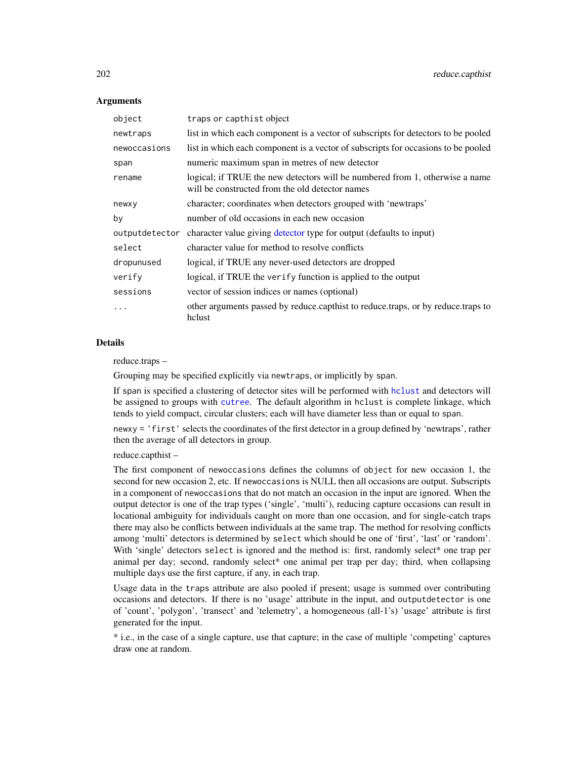### **Arguments**

| object         | traps or capthist object                                                                                                        |
|----------------|---------------------------------------------------------------------------------------------------------------------------------|
| newtraps       | list in which each component is a vector of subscripts for detectors to be pooled                                               |
| newoccasions   | list in which each component is a vector of subscripts for occasions to be pooled                                               |
| span           | numeric maximum span in metres of new detector                                                                                  |
| rename         | logical; if TRUE the new detectors will be numbered from 1, otherwise a name<br>will be constructed from the old detector names |
| newxy          | character; coordinates when detectors grouped with 'newtraps'                                                                   |
| by             | number of old occasions in each new occasion                                                                                    |
| outputdetector | character value giving detector type for output (defaults to input)                                                             |
| select         | character value for method to resolve conflicts                                                                                 |
| dropunused     | logical, if TRUE any never-used detectors are dropped                                                                           |
| verify         | logical, if TRUE the verify function is applied to the output                                                                   |
| sessions       | vector of session indices or names (optional)                                                                                   |
| $\cdots$       | other arguments passed by reduce.capthist to reduce.traps, or by reduce.traps to<br>hclust                                      |

# **Details**

reduce.traps –

Grouping may be specified explicitly via newtraps, or implicitly by span.

If span is specified a clustering of detector sites will be performed with [hclust](#page-0-0) and detectors will be assigned to groups with [cutree](#page-0-0). The default algorithm in hclust is complete linkage, which tends to yield compact, circular clusters; each will have diameter less than or equal to span.

newxy = 'first' selects the coordinates of the first detector in a group defined by 'newtraps', rather then the average of all detectors in group.

reduce.capthist –

The first component of newoccasions defines the columns of object for new occasion 1, the second for new occasion 2, etc. If newoccasions is NULL then all occasions are output. Subscripts in a component of newoccasions that do not match an occasion in the input are ignored. When the output detector is one of the trap types ('single', 'multi'), reducing capture occasions can result in locational ambiguity for individuals caught on more than one occasion, and for single-catch traps there may also be conflicts between individuals at the same trap. The method for resolving conflicts among 'multi' detectors is determined by select which should be one of 'first', 'last' or 'random'. With 'single' detectors select is ignored and the method is: first, randomly select<sup>\*</sup> one trap per animal per day; second, randomly select\* one animal per trap per day; third, when collapsing multiple days use the first capture, if any, in each trap.

Usage data in the traps attribute are also pooled if present; usage is summed over contributing occasions and detectors. If there is no 'usage' attribute in the input, and outputdetector is one of 'count', 'polygon', 'transect' and 'telemetry', a homogeneous (all-1's) 'usage' attribute is first generated for the input.

\* i.e., in the case of a single capture, use that capture; in the case of multiple 'competing' captures draw one at random.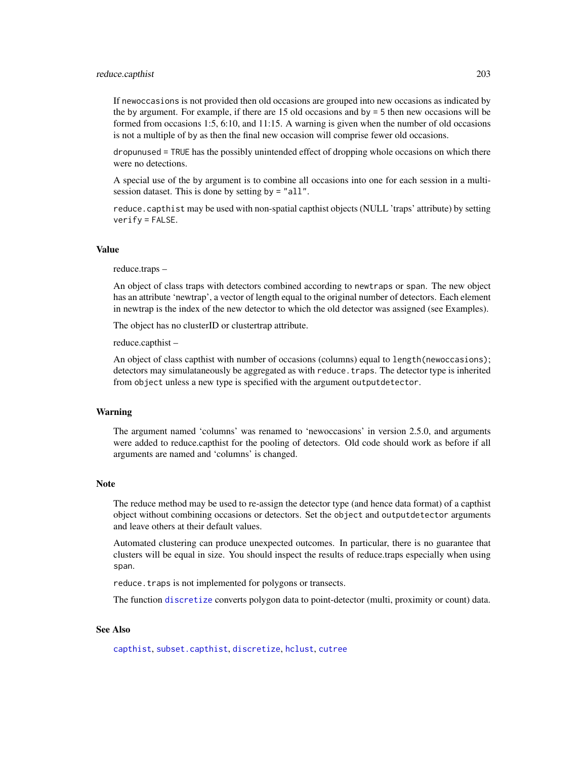#### reduce.capthist 203

If newoccasions is not provided then old occasions are grouped into new occasions as indicated by the by argument. For example, if there are 15 old occasions and  $by = 5$  then new occasions will be formed from occasions 1:5, 6:10, and 11:15. A warning is given when the number of old occasions is not a multiple of by as then the final new occasion will comprise fewer old occasions.

dropunused = TRUE has the possibly unintended effect of dropping whole occasions on which there were no detections.

A special use of the by argument is to combine all occasions into one for each session in a multisession dataset. This is done by setting by = "all".

reduce.capthist may be used with non-spatial capthist objects (NULL 'traps' attribute) by setting  $verify = FALSE.$ 

#### Value

#### reduce.traps –

An object of class traps with detectors combined according to newtraps or span. The new object has an attribute 'newtrap', a vector of length equal to the original number of detectors. Each element in newtrap is the index of the new detector to which the old detector was assigned (see Examples).

The object has no clusterID or clustertrap attribute.

reduce.capthist –

An object of class capthist with number of occasions (columns) equal to length(newoccasions); detectors may simulataneously be aggregated as with reduce. traps. The detector type is inherited from object unless a new type is specified with the argument outputdetector.

#### Warning

The argument named 'columns' was renamed to 'newoccasions' in version 2.5.0, and arguments were added to reduce.capthist for the pooling of detectors. Old code should work as before if all arguments are named and 'columns' is changed.

#### **Note**

The reduce method may be used to re-assign the detector type (and hence data format) of a capthist object without combining occasions or detectors. Set the object and outputdetector arguments and leave others at their default values.

Automated clustering can produce unexpected outcomes. In particular, there is no guarantee that clusters will be equal in size. You should inspect the results of reduce.traps especially when using span.

reduce. traps is not implemented for polygons or transects.

The function [discretize](#page-60-0) converts polygon data to point-detector (multi, proximity or count) data.

#### See Also

[capthist](#page-24-0), [subset.capthist](#page-264-0), [discretize](#page-60-0), [hclust](#page-0-0), [cutree](#page-0-0)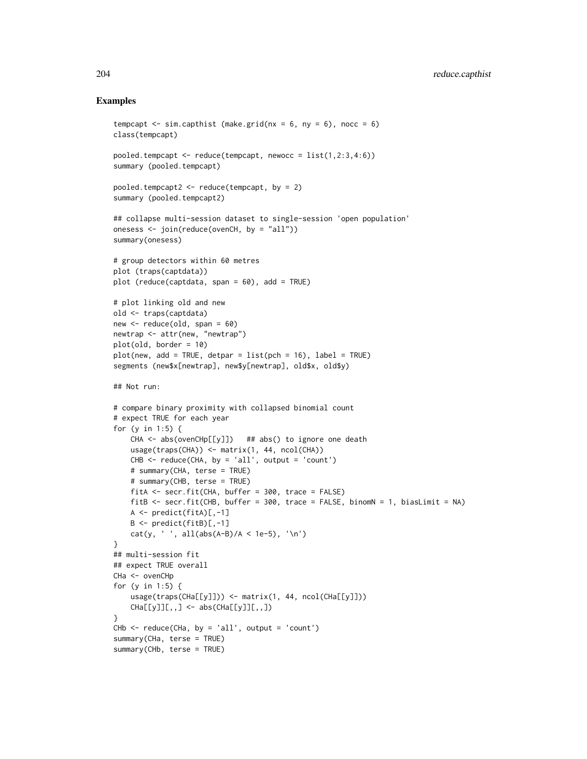# Examples

```
tempcapt \le sim.capthist (make.grid(nx = 6, ny = 6), nocc = 6)
class(tempcapt)
pooled.tempcapt \leq reduce(tempcapt, newocc = list(1,2:3,4:6))
summary (pooled.tempcapt)
pooled.tempcapt2 \leq reduce(tempcapt, by = 2)
summary (pooled.tempcapt2)
## collapse multi-session dataset to single-session 'open population'
onesess <- join(reduce(ovenCH, by = "all"))
summary(onesess)
# group detectors within 60 metres
plot (traps(captdata))
plot (reduce(captdata, span = 60), add = TRUE)
# plot linking old and new
old <- traps(captdata)
new \leq reduce(old, span = 60)
newtrap <- attr(new, "newtrap")
plot(old, border = 10)
plot(new, add = TRUE, detpar = list(pch = 16), label = TRUE)segments (new$x[newtrap], new$y[newtrap], old$x, old$y)
## Not run:
# compare binary proximity with collapsed binomial count
# expect TRUE for each year
for (y in 1:5) {
   CHA <- abs(ovenCHp[[y]]) ## abs() to ignore one death
   usage(traps(CHA)) <- matrix(1, 44, ncol(CHA))
   CHB \leq reduce(CHA, by = 'all', output = 'count')
    # summary(CHA, terse = TRUE)
    # summary(CHB, terse = TRUE)
   fitA <- secr.fit(CHA, buffer = 300, trace = FALSE)
   fitB <- secr.fit(CHB, buffer = 300, trace = FALSE, binomN = 1, biasLimit = NA)
   A \leq predict(fitA)[,-1]
   B \leq predict(fitB)[,-1]
   cat(y, ' ', all(abs(A-B)/A < 1e-5), ' \n'}
## multi-session fit
## expect TRUE overall
CHa <- ovenCHp
for (y in 1:5) {
    usage(traps(CHa[[y]])) <- matrix(1, 44, ncol(CHa[[y]]))
    CHa[[y]][[,,] < - abs(CHa[[y]][[,,])}
CHb \leq reduce(CHa, by = 'all', output = 'count')
summary(CHa, terse = TRUE)
summary(CHb, terse = TRUE)
```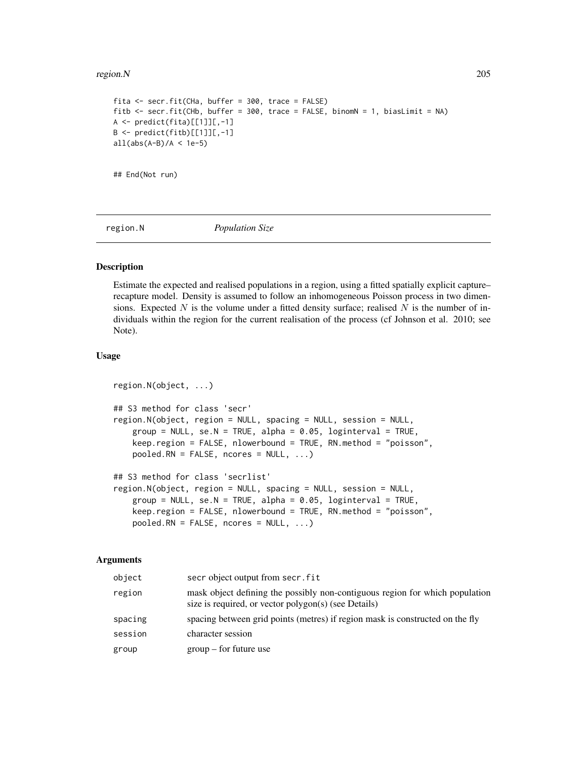### region.N 205

```
fita <- secr.fit(CHa, buffer = 300, trace = FALSE)
fitb <- secr.fit(CHb, buffer = 300, trace = FALSE, binomN = 1, biasLimit = NA)
A <- predict(fita)[[1]][,-1]
B \leftarrow predict(fitb)[[1]][, -1]all(abs(A-B)/A < 1e-5)## End(Not run)
```
region.N *Population Size*

# Description

Estimate the expected and realised populations in a region, using a fitted spatially explicit capture– recapture model. Density is assumed to follow an inhomogeneous Poisson process in two dimensions. Expected N is the volume under a fitted density surface; realised N is the number of individuals within the region for the current realisation of the process (cf Johnson et al. 2010; see Note).

### Usage

```
region.N(object, ...)
## S3 method for class 'secr'
region.N(object, region = NULL, spacing = NULL, session = NULL,
    group = NULL, se.N = TRUE, alpha = 0.05, logistic = 100keep.region = FALSE, nlowerbound = TRUE, RN.method = "poisson",
   pooled.RN = FALSE, ncores = NULL, ...)
## S3 method for class 'secrlist'
region.N(object, region = NULL, spacing = NULL, session = NULL,
   group = NULL, se.N = TRUE, alpha = 0.05, loginterval = TRUE,
   keep.region = FALSE, nlowerbound = TRUE, RN.method = "poisson",
   pooled.RN = FALSE, ncores = NULL, ...)
```

| object  | secr object output from secr. fit                                                                                                    |
|---------|--------------------------------------------------------------------------------------------------------------------------------------|
| region  | mask object defining the possibly non-contiguous region for which population<br>size is required, or vector polygon(s) (see Details) |
| spacing | spacing between grid points (metres) if region mask is constructed on the fly                                                        |
| session | character session                                                                                                                    |
| group   | $group - for future use$                                                                                                             |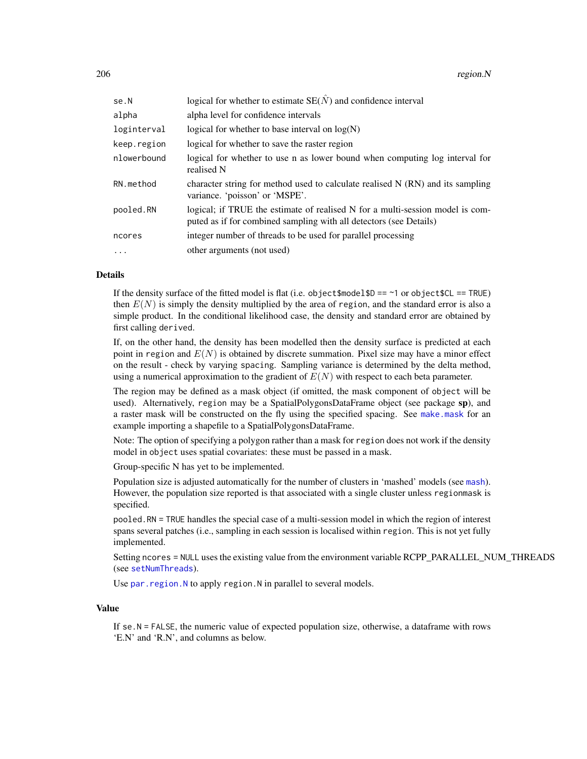| se.N        | logical for whether to estimate $SE(N)$ and confidence interval                                                                                     |
|-------------|-----------------------------------------------------------------------------------------------------------------------------------------------------|
| alpha       | alpha level for confidence intervals                                                                                                                |
| loginterval | logical for whether to base interval on $log(N)$                                                                                                    |
| keep.region | logical for whether to save the raster region                                                                                                       |
| nlowerbound | logical for whether to use n as lower bound when computing log interval for<br>realised N                                                           |
| RN.method   | character string for method used to calculate realised $N(RN)$ and its sampling<br>variance. 'poisson' or 'MSPE'.                                   |
| pooled.RN   | logical; if TRUE the estimate of realised N for a multi-session model is com-<br>puted as if for combined sampling with all detectors (see Details) |
| ncores      | integer number of threads to be used for parallel processing                                                                                        |
| $\cdot$     | other arguments (not used)                                                                                                                          |

# Details

If the density surface of the fitted model is flat (i.e. object $\text{smodelSD} == \text{--}1$  or object $\text{SCL} == \text{TRUE}$ ) then  $E(N)$  is simply the density multiplied by the area of region, and the standard error is also a simple product. In the conditional likelihood case, the density and standard error are obtained by first calling derived.

If, on the other hand, the density has been modelled then the density surface is predicted at each point in region and  $E(N)$  is obtained by discrete summation. Pixel size may have a minor effect on the result - check by varying spacing. Sampling variance is determined by the delta method, using a numerical approximation to the gradient of  $E(N)$  with respect to each beta parameter.

The region may be defined as a mask object (if omitted, the mask component of object will be used). Alternatively, region may be a SpatialPolygonsDataFrame object (see package sp), and a raster mask will be constructed on the fly using the specified spacing. See [make.mask](#page-115-0) for an example importing a shapefile to a SpatialPolygonsDataFrame.

Note: The option of specifying a polygon rather than a mask for region does not work if the density model in object uses spatial covariates: these must be passed in a mask.

Group-specific N has yet to be implemented.

Population size is adjusted automatically for the number of clusters in 'mashed' models (see [mash](#page-282-0)). However, the population size reported is that associated with a single cluster unless regionmask is specified.

pooled.RN = TRUE handles the special case of a multi-session model in which the region of interest spans several patches (i.e., sampling in each session is localised within region. This is not yet fully implemented.

Setting ncores = NULL uses the existing value from the environment variable RCPP\_PARALLEL\_NUM\_THREADS (see [setNumThreads](#page-233-0)).

Use par. region. N to apply region. N in parallel to several models.

# Value

If se.N = FALSE, the numeric value of expected population size, otherwise, a dataframe with rows 'E.N' and 'R.N', and columns as below.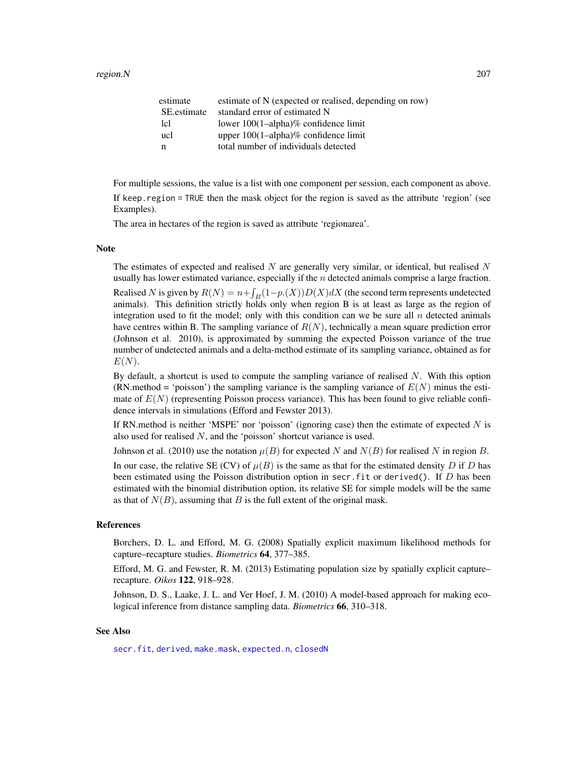| estimate    | estimate of N (expected or realised, depending on row) |
|-------------|--------------------------------------------------------|
| SE estimate | standard error of estimated N                          |
| lcl         | lower $100(1–alpha)$ % confidence limit                |
| ucl         | upper $100(1$ -alpha $)\%$ confidence limit            |
| n           | total number of individuals detected                   |
|             |                                                        |

For multiple sessions, the value is a list with one component per session, each component as above.

If keep.region = TRUE then the mask object for the region is saved as the attribute 'region' (see Examples).

The area in hectares of the region is saved as attribute 'regionarea'.

#### Note

The estimates of expected and realised  $N$  are generally very similar, or identical, but realised  $N$ usually has lower estimated variance, especially if the  $n$  detected animals comprise a large fraction.

Realised N is given by  $R(N) = n + \int_B(1-p.(X))D(X)dX$  (the second term represents undetected animals). This definition strictly holds only when region B is at least as large as the region of integration used to fit the model; only with this condition can we be sure all  $n$  detected animals have centres within B. The sampling variance of  $R(N)$ , technically a mean square prediction error (Johnson et al. 2010), is approximated by summing the expected Poisson variance of the true number of undetected animals and a delta-method estimate of its sampling variance, obtained as for  $E(N)$ .

By default, a shortcut is used to compute the sampling variance of realised  $N$ . With this option (RN.method = 'poisson') the sampling variance is the sampling variance of  $E(N)$  minus the estimate of  $E(N)$  (representing Poisson process variance). This has been found to give reliable confidence intervals in simulations (Efford and Fewster 2013).

If RN.method is neither 'MSPE' nor 'poisson' (ignoring case) then the estimate of expected  $N$  is also used for realised N, and the 'poisson' shortcut variance is used.

Johnson et al. (2010) use the notation  $\mu(B)$  for expected N and  $N(B)$  for realised N in region B.

In our case, the relative SE (CV) of  $\mu(B)$  is the same as that for the estimated density D if D has been estimated using the Poisson distribution option in secr. fit or derived(). If  $D$  has been estimated with the binomial distribution option, its relative SE for simple models will be the same as that of  $N(B)$ , assuming that B is the full extent of the original mask.

#### References

Borchers, D. L. and Efford, M. G. (2008) Spatially explicit maximum likelihood methods for capture–recapture studies. *Biometrics* 64, 377–385.

Efford, M. G. and Fewster, R. M. (2013) Estimating population size by spatially explicit capture– recapture. *Oikos* 122, 918–928.

Johnson, D. S., Laake, J. L. and Ver Hoef, J. M. (2010) A model-based approach for making ecological inference from distance sampling data. *Biometrics* 66, 310–318.

# See Also

[secr.fit](#page-218-0), [derived](#page-47-0), [make.mask](#page-115-0), [expected.n](#page-75-0), [closedN](#page-30-0)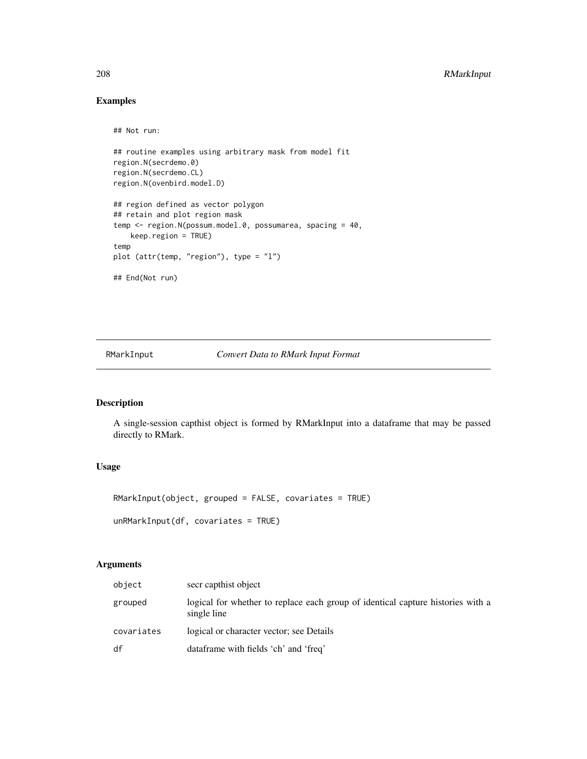# Examples

```
## Not run:
## routine examples using arbitrary mask from model fit
region.N(secrdemo.0)
region.N(secrdemo.CL)
region.N(ovenbird.model.D)
## region defined as vector polygon
## retain and plot region mask
temp <- region.N(possum.model.0, possumarea, spacing = 40,
   keep.region = TRUE)
temp
plot (attr(temp, "region"), type = "l")
## End(Not run)
```
RMarkInput *Convert Data to RMark Input Format*

# Description

A single-session capthist object is formed by RMarkInput into a dataframe that may be passed directly to RMark.

# Usage

```
RMarkInput(object, grouped = FALSE, covariates = TRUE)
unRMarkInput(df, covariates = TRUE)
```

| object     | secr capthist object                                                                           |
|------------|------------------------------------------------------------------------------------------------|
| grouped    | logical for whether to replace each group of identical capture histories with a<br>single line |
| covariates | logical or character vector; see Details                                                       |
| df         | dataframe with fields 'ch' and 'freq'                                                          |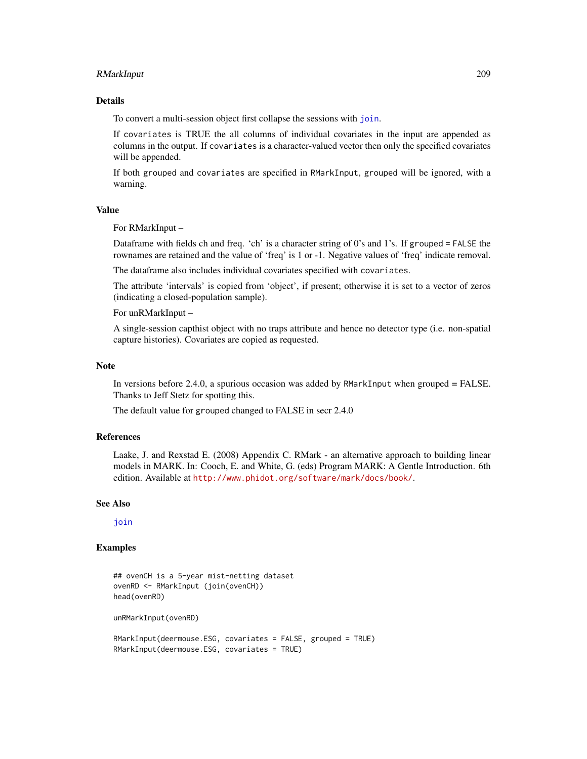# RMarkInput 209

# Details

To convert a multi-session object first collapse the sessions with [join](#page-104-0).

If covariates is TRUE the all columns of individual covariates in the input are appended as columns in the output. If covariates is a character-valued vector then only the specified covariates will be appended.

If both grouped and covariates are specified in RMarkInput, grouped will be ignored, with a warning.

# Value

For RMarkInput –

Dataframe with fields ch and freq. 'ch' is a character string of 0's and 1's. If grouped = FALSE the rownames are retained and the value of 'freq' is 1 or -1. Negative values of 'freq' indicate removal.

The dataframe also includes individual covariates specified with covariates.

The attribute 'intervals' is copied from 'object', if present; otherwise it is set to a vector of zeros (indicating a closed-population sample).

#### For unRMarkInput –

A single-session capthist object with no traps attribute and hence no detector type (i.e. non-spatial capture histories). Covariates are copied as requested.

#### **Note**

In versions before 2.4.0, a spurious occasion was added by RMarkInput when grouped = FALSE. Thanks to Jeff Stetz for spotting this.

The default value for grouped changed to FALSE in secr 2.4.0

# References

Laake, J. and Rexstad E. (2008) Appendix C. RMark - an alternative approach to building linear models in MARK. In: Cooch, E. and White, G. (eds) Program MARK: A Gentle Introduction. 6th edition. Available at <http://www.phidot.org/software/mark/docs/book/>.

# See Also

ioin

# Examples

```
## ovenCH is a 5-year mist-netting dataset
ovenRD <- RMarkInput (join(ovenCH))
head(ovenRD)
unRMarkInput(ovenRD)
RMarkInput(deermouse.ESG, covariates = FALSE, grouped = TRUE)
RMarkInput(deermouse.ESG, covariates = TRUE)
```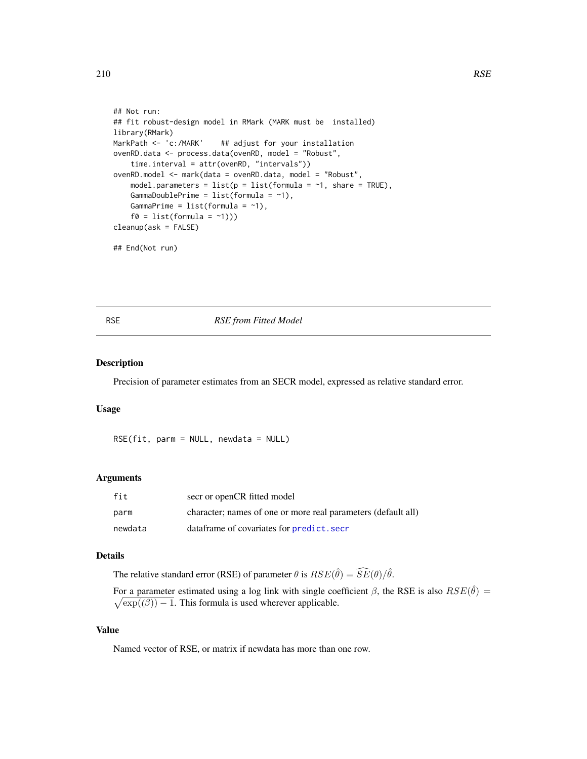```
## Not run:
## fit robust-design model in RMark (MARK must be installed)
library(RMark)
MarkPath <- 'c:/MARK' ## adjust for your installation
ovenRD.data <- process.data(ovenRD, model = "Robust",
    time.interval = attr(ovenRD, "intervals"))
ovenRD.model <- mark(data = ovenRD.data, model = "Robust",
    model.parameters = list(p = list(fromula = -1, share = TRUE),GammaDoublePrime = list(formula = \sim1),
    GammaPrime = list(formula = ~1),
    f0 = list(fromula = '1)))cleanup(ask = FALSE)
## End(Not run)
```
#### RSE *RSE from Fitted Model*

# Description

Precision of parameter estimates from an SECR model, expressed as relative standard error.

#### Usage

RSE(fit, parm = NULL, newdata = NULL)

#### Arguments

| fit     | secr or openCR fitted model                                   |
|---------|---------------------------------------------------------------|
| parm    | character; names of one or more real parameters (default all) |
| newdata | dataframe of covariates for <b>predict</b> . secr             |

#### Details

The relative standard error (RSE) of parameter  $\theta$  is  $RSE(\hat{\theta}) = \widehat{SE}(\theta)/\hat{\theta}$ .

For a parameter estimated using a log link with single coefficient  $\beta$ , the RSE is also  $RSE(\hat{\theta}) =$  $\sqrt{\exp((\beta))-1}$ . This formula is used wherever applicable.

#### Value

Named vector of RSE, or matrix if newdata has more than one row.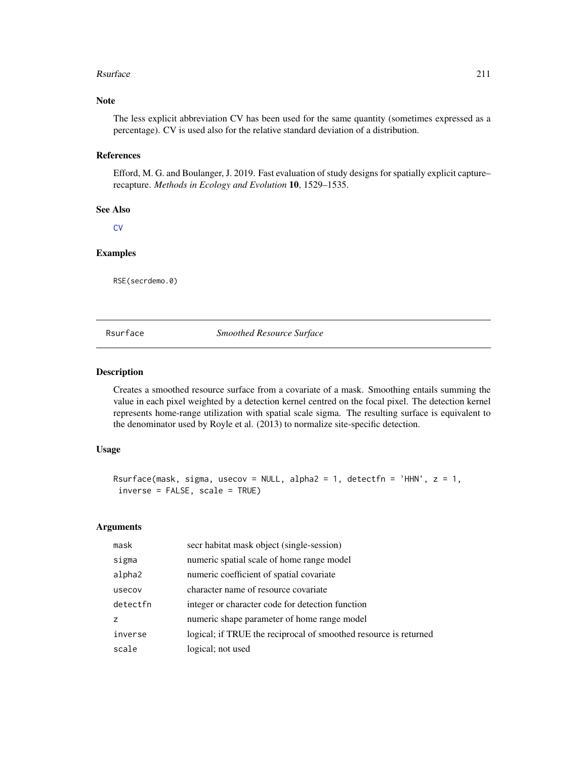#### Rsurface 211

# Note

The less explicit abbreviation CV has been used for the same quantity (sometimes expressed as a percentage). CV is used also for the relative standard deviation of a distribution.

# References

Efford, M. G. and Boulanger, J. 2019. Fast evaluation of study designs for spatially explicit capture– recapture. *Methods in Ecology and Evolution* 10, 1529–1535.

#### See Also

**[CV](#page-42-0)** 

# Examples

RSE(secrdemo.0)

Rsurface *Smoothed Resource Surface*

#### Description

Creates a smoothed resource surface from a covariate of a mask. Smoothing entails summing the value in each pixel weighted by a detection kernel centred on the focal pixel. The detection kernel represents home-range utilization with spatial scale sigma. The resulting surface is equivalent to the denominator used by Royle et al. (2013) to normalize site-specific detection.

#### Usage

```
Rsurface(mask, sigma, usecov = NULL, alpha2 = 1, detectfn = 'HHN', z = 1,
inverse = FALSE, scale = TRUE)
```

| mask     | secr habitat mask object (single-session)                        |
|----------|------------------------------------------------------------------|
| sigma    | numeric spatial scale of home range model                        |
| alpha2   | numeric coefficient of spatial covariate                         |
| usecov   | character name of resource covariate                             |
| detectfn | integer or character code for detection function                 |
| z        | numeric shape parameter of home range model                      |
| inverse  | logical; if TRUE the reciprocal of smoothed resource is returned |
| scale    | logical; not used                                                |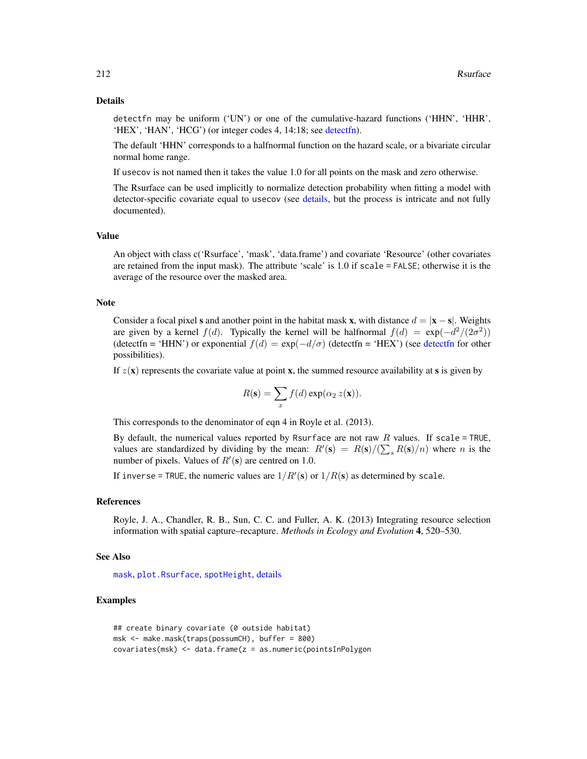#### Details

detectfn may be uniform ('UN') or one of the cumulative-hazard functions ('HHN', 'HHR', 'HEX', 'HAN', 'HCG') (or integer codes 4, 14:18; see [detectfn\)](#page-54-0).

The default 'HHN' corresponds to a halfnormal function on the hazard scale, or a bivariate circular normal home range.

If usecov is not named then it takes the value 1.0 for all points on the mask and zero otherwise.

The Rsurface can be used implicitly to normalize detection probability when fitting a model with detector-specific covariate equal to usecov (see [details,](#page-51-0) but the process is intricate and not fully documented).

# Value

An object with class c('Rsurface', 'mask', 'data.frame') and covariate 'Resource' (other covariates are retained from the input mask). The attribute 'scale' is 1.0 if scale = FALSE; otherwise it is the average of the resource over the masked area.

#### Note

Consider a focal pixel s and another point in the habitat mask x, with distance  $d = |x - s|$ . Weights are given by a kernel  $f(d)$ . Typically the kernel will be halfnormal  $f(d) = \exp(-\frac{d^2}{2\sigma^2})$ ([detectfn](#page-54-0) = 'HHN') or exponential  $f(d) = \exp(-d/\sigma)$  (detectfn = 'HEX') (see detectfn for other possibilities).

If  $z(\mathbf{x})$  represents the covariate value at point **x**, the summed resource availability at **s** is given by

$$
R(\mathbf{s}) = \sum_{x} f(d) \exp(\alpha_2 z(\mathbf{x})).
$$

This corresponds to the denominator of eqn 4 in Royle et al. (2013).

By default, the numerical values reported by Rsurface are not raw  $R$  values. If scale = TRUE, values are standardized by dividing by the mean:  $R'(\mathbf{s}) = R(\mathbf{s})/(\sum_{s} R(\mathbf{s})/n)$  where n is the number of pixels. Values of  $R'(\mathbf{s})$  are centred on 1.0.

If inverse = TRUE, the numeric values are  $1/R'(s)$  or  $1/R(s)$  as determined by scale.

#### References

Royle, J. A., Chandler, R. B., Sun, C. C. and Fuller, A. K. (2013) Integrating resource selection information with spatial capture–recapture. *Methods in Ecology and Evolution* 4, 520–530.

#### See Also

[mask](#page-127-0), [plot.Rsurface](#page-158-0), [spotHeight](#page-158-0), [details](#page-51-0)

# Examples

```
## create binary covariate (0 outside habitat)
msk <- make.mask(traps(possumCH), buffer = 800)
covariates(msk) <- data.frame(z = as.numeric(pointsInPolygon
```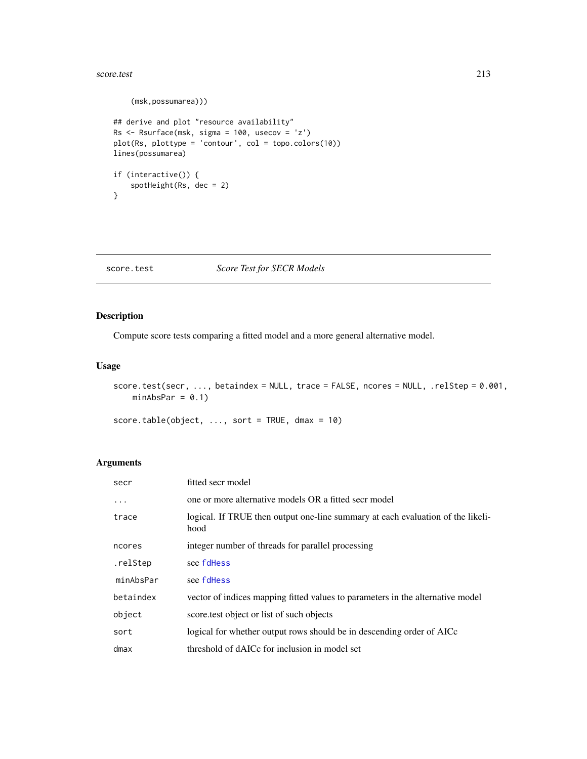#### score.test 213

```
(msk,possumarea)))
## derive and plot "resource availability"
Rs <- Rsurface(msk, sigma = 100, usecov = 'z')
plot(Rs, plottype = 'contour', col = topo.colors(10))
lines(possumarea)
if (interactive()) {
    spotHeight(Rs, dec = 2)
}
```
# score.test *Score Test for SECR Models*

# Description

Compute score tests comparing a fitted model and a more general alternative model.

#### Usage

```
score.test(secr, ..., betaindex = NULL, trace = FALSE, ncores = NULL, .relStep = 0.001,
   minAbsPar = 0.1
```
score.table(object,  $\ldots$ , sort = TRUE, dmax = 10)

| secr      | fitted secr model                                                                       |
|-----------|-----------------------------------------------------------------------------------------|
| $\cdots$  | one or more alternative models OR a fitted secr model                                   |
| trace     | logical. If TRUE then output one-line summary at each evaluation of the likeli-<br>hood |
| ncores    | integer number of threads for parallel processing                                       |
| .relStep  | see fdHess                                                                              |
| minAbsPar | see fdHess                                                                              |
| betaindex | vector of indices mapping fitted values to parameters in the alternative model          |
| object    | score test object or list of such objects                                               |
| sort      | logical for whether output rows should be in descending order of AICc                   |
| dmax      | threshold of dAICc for inclusion in model set                                           |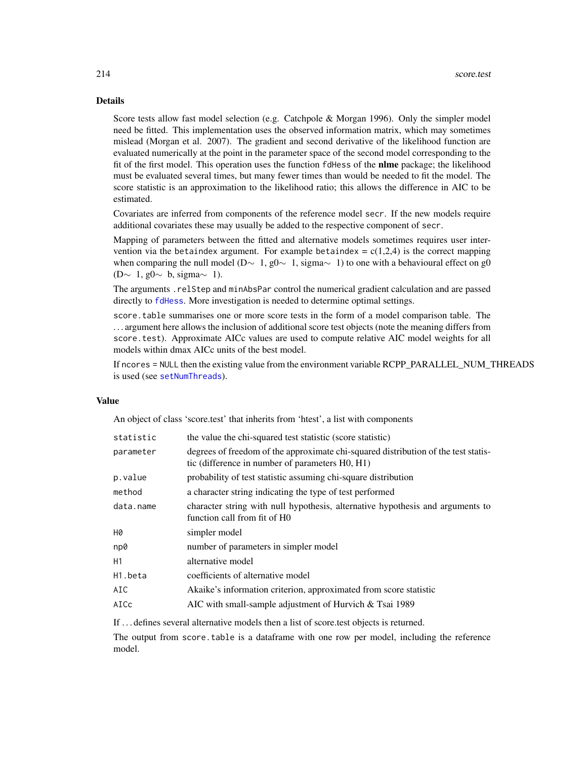# Details

Score tests allow fast model selection (e.g. Catchpole & Morgan 1996). Only the simpler model need be fitted. This implementation uses the observed information matrix, which may sometimes mislead (Morgan et al. 2007). The gradient and second derivative of the likelihood function are evaluated numerically at the point in the parameter space of the second model corresponding to the fit of the first model. This operation uses the function fdHess of the **nlme** package; the likelihood must be evaluated several times, but many fewer times than would be needed to fit the model. The score statistic is an approximation to the likelihood ratio; this allows the difference in AIC to be estimated.

Covariates are inferred from components of the reference model secr. If the new models require additional covariates these may usually be added to the respective component of secr.

Mapping of parameters between the fitted and alternative models sometimes requires user intervention via the betaindex argument. For example betaindex =  $c(1,2,4)$  is the correct mapping when comparing the null model (D∼ 1, g0∼ 1, sigma $\sim$  1) to one with a behavioural effect on g0 (D∼ 1, g0 $\sim$  b, sigma $\sim$  1).

The arguments .relStep and minAbsPar control the numerical gradient calculation and are passed directly to [fdHess](#page-0-0). More investigation is needed to determine optimal settings.

score.table summarises one or more score tests in the form of a model comparison table. The . . . argument here allows the inclusion of additional score test objects (note the meaning differs from score.test). Approximate AICc values are used to compute relative AIC model weights for all models within dmax AICc units of the best model.

If ncores = NULL then the existing value from the environment variable RCPP\_PARALLEL\_NUM\_THREADS is used (see [setNumThreads](#page-233-0)).

# Value

An object of class 'score.test' that inherits from 'htest', a list with components

| the value the chi-squared test statistic (score statistic)                                                                            |
|---------------------------------------------------------------------------------------------------------------------------------------|
| degrees of freedom of the approximate chi-squared distribution of the test statis-<br>tic (difference in number of parameters H0, H1) |
| probability of test statistic assuming chi-square distribution                                                                        |
| a character string indicating the type of test performed                                                                              |
| character string with null hypothesis, alternative hypothesis and arguments to<br>function call from fit of H0                        |
| simpler model                                                                                                                         |
| number of parameters in simpler model                                                                                                 |
| alternative model                                                                                                                     |
| coefficients of alternative model                                                                                                     |
| Akaike's information criterion, approximated from score statistic                                                                     |
| AIC with small-sample adjustment of Hurvich & Tsai 1989                                                                               |
|                                                                                                                                       |

If . . . defines several alternative models then a list of score.test objects is returned.

The output from score.table is a dataframe with one row per model, including the reference model.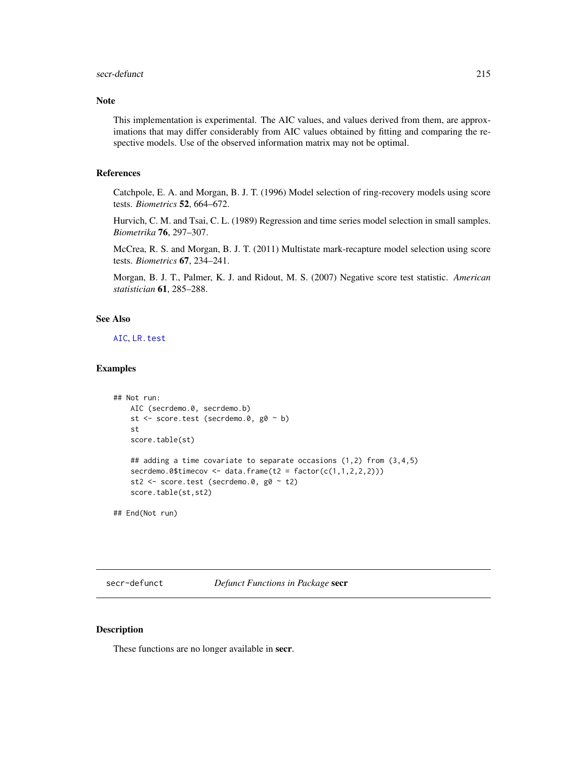#### secr-defunct 215

# Note

This implementation is experimental. The AIC values, and values derived from them, are approximations that may differ considerably from AIC values obtained by fitting and comparing the respective models. Use of the observed information matrix may not be optimal.

# References

Catchpole, E. A. and Morgan, B. J. T. (1996) Model selection of ring-recovery models using score tests. *Biometrics* 52, 664–672.

Hurvich, C. M. and Tsai, C. L. (1989) Regression and time series model selection in small samples. *Biometrika* 76, 297–307.

McCrea, R. S. and Morgan, B. J. T. (2011) Multistate mark-recapture model selection using score tests. *Biometrics* 67, 234–241.

Morgan, B. J. T., Palmer, K. J. and Ridout, M. S. (2007) Negative score test statistic. *American statistician* 61, 285–288.

#### See Also

[AIC](#page-0-0), [LR.test](#page-110-0)

#### Examples

```
## Not run:
   AIC (secrdemo.0, secrdemo.b)
   st <- score.test (secrdemo.0, g0 ~ b)
   st
   score.table(st)
   ## adding a time covariate to separate occasions (1,2) from (3,4,5)
   secrdemo.0$timecov <- data.frame(t2 = factor(c(1,1,2,2,2)))st2 <- score.test (secrdemo.0, g0 ~ t2)
   score.table(st,st2)
```
## End(Not run)

secr-defunct *Defunct Functions in Package* secr

#### Description

These functions are no longer available in secr.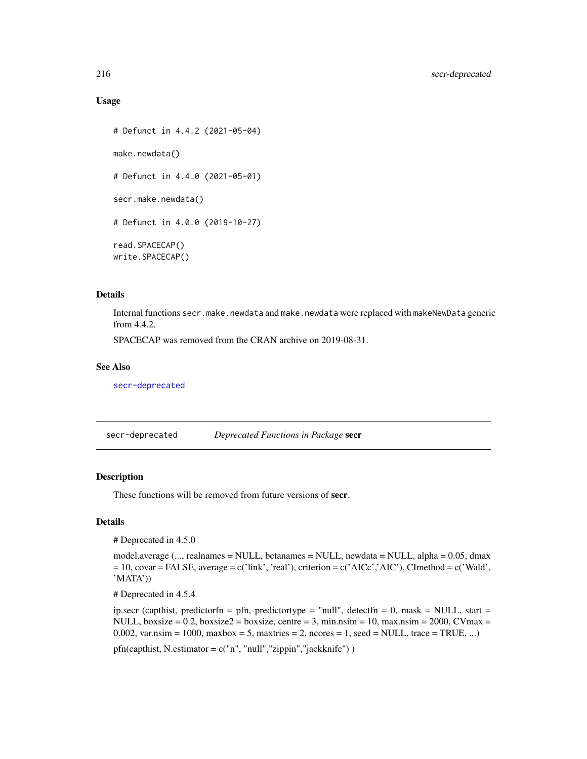#### Usage

```
# Defunct in 4.4.2 (2021-05-04)
make.newdata()
# Defunct in 4.4.0 (2021-05-01)
secr.make.newdata()
# Defunct in 4.0.0 (2019-10-27)
read.SPACECAP()
write.SPACECAP()
```
# Details

Internal functions secr.make.newdata and make.newdata were replaced with makeNewData generic from 4.4.2.

SPACECAP was removed from the CRAN archive on 2019-08-31.

#### See Also

[secr-deprecated](#page-215-0)

<span id="page-215-0"></span>

| secr-deprecated | Deprecated Functions in Package secr |  |
|-----------------|--------------------------------------|--|
|-----------------|--------------------------------------|--|

# Description

These functions will be removed from future versions of secr.

# Details

# Deprecated in 4.5.0

model.average (..., realnames = NULL, betanames = NULL, newdata = NULL, alpha = 0.05, dmax  $= 10$ , covar = FALSE, average = c('link', 'real'), criterion = c('AICc','AIC'), CImethod = c('Wald', 'MATA'))

# Deprecated in 4.5.4

ip.secr (capthist, predictorfn = pfn, predictortype = "null", detectfn = 0, mask = NULL, start = NULL, boxsize = 0.2, boxsize $2 =$  boxsize, centre = 3, min.nsim = 10, max.nsim = 2000, CVmax = 0.002, var.nsim = 1000, maxbox = 5, maxtries = 2, ncores = 1, seed = NULL, trace = TRUE, ...)

pfn(capthist, N.estimator = c("n", "null","zippin","jackknife") )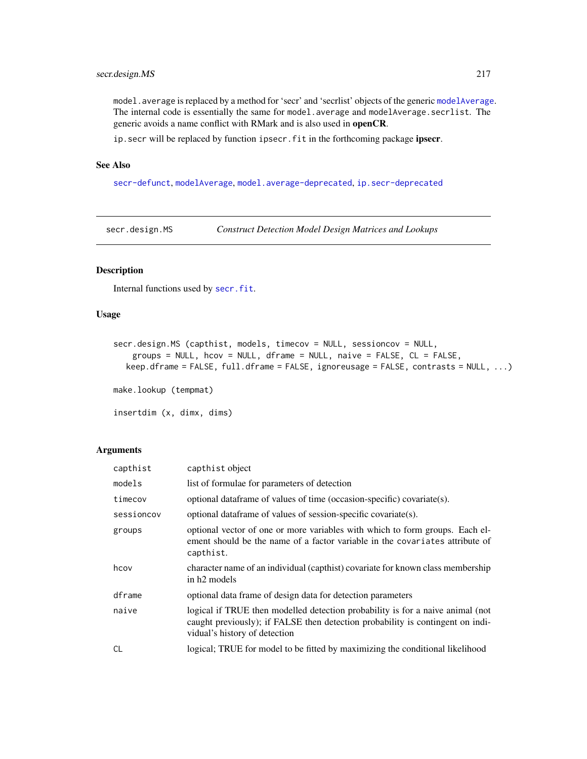# secr.design.MS 217

model.average is replaced by a method for 'secr' and 'secrlist' objects of the generic [modelAverage](#page-132-0). The internal code is essentially the same for model.average and modelAverage.secrlist. The generic avoids a name conflict with RMark and is also used in openCR.

ip. secr will be replaced by function ipsecr. fit in the forthcoming package ipsecr.

# See Also

[secr-defunct](#page-214-0), [modelAverage](#page-132-0), [model.average-deprecated](#page-131-0), [ip.secr-deprecated](#page-99-0)

<span id="page-216-0"></span>secr.design.MS *Construct Detection Model Design Matrices and Lookups*

# Description

Internal functions used by [secr.fit](#page-218-0).

## Usage

```
secr.design.MS (capthist, models, timecov = NULL, sessioncov = NULL,
    groups = NULL, hcov = NULL, dframe = NULL, naive = FALSE, CL = FALSE,
  keep.dframe = FALSE, full.dframe = FALSE, ignoreusage = FALSE, contrasts = NULL, ...)
```
make.lookup (tempmat)

insertdim (x, dimx, dims)

#### Arguments

| capthist   | capthist object                                                                                                                                                                                   |  |  |
|------------|---------------------------------------------------------------------------------------------------------------------------------------------------------------------------------------------------|--|--|
| models     | list of formulae for parameters of detection                                                                                                                                                      |  |  |
| timecov    | optional data frame of values of time (occasion-specific) covariate(s).                                                                                                                           |  |  |
| sessioncov | optional data frame of values of session-specific covariate(s).                                                                                                                                   |  |  |
| groups     | optional vector of one or more variables with which to form groups. Each el-<br>ement should be the name of a factor variable in the covariates attribute of<br>capthist.                         |  |  |
| hcov       | character name of an individual (capthist) covariate for known class membership<br>in h <sub>2</sub> models                                                                                       |  |  |
| dframe     | optional data frame of design data for detection parameters                                                                                                                                       |  |  |
| naive      | logical if TRUE then modelled detection probability is for a naive animal (not<br>caught previously); if FALSE then detection probability is contingent on indi-<br>vidual's history of detection |  |  |
| <b>CL</b>  | logical; TRUE for model to be fitted by maximizing the conditional likelihood                                                                                                                     |  |  |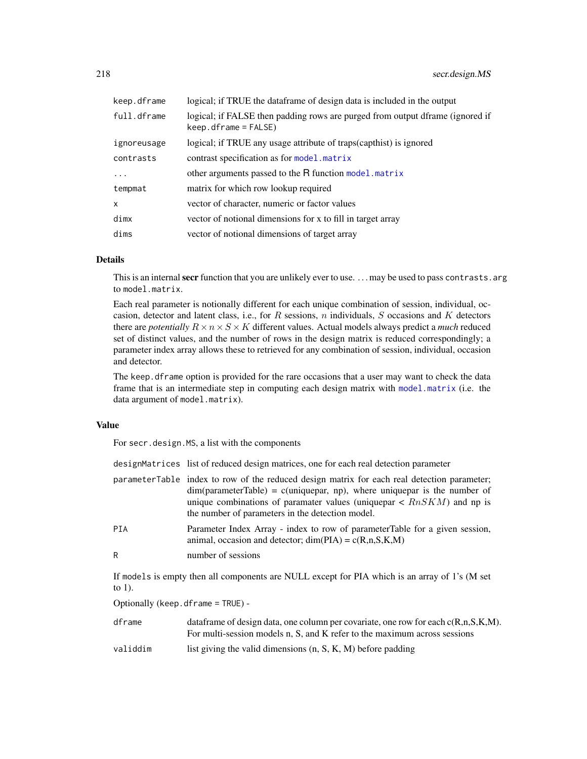| keep.dframe  | logical; if TRUE the dataframe of design data is included in the output                                 |
|--------------|---------------------------------------------------------------------------------------------------------|
| full.dframe  | logical; if FALSE then padding rows are purged from output dframe (ignored if<br>$keep.dframe = FALSE)$ |
| ignoreusage  | logical; if TRUE any usage attribute of traps(capthist) is ignored                                      |
| contrasts    | contrast specification as for model. matrix                                                             |
| .            | other arguments passed to the R function model. matrix                                                  |
| tempmat      | matrix for which row lookup required                                                                    |
| $\mathsf{x}$ | vector of character, numeric or factor values                                                           |
| dimx         | vector of notional dimensions for x to fill in target array                                             |
| dims         | vector of notional dimensions of target array                                                           |

# Details

This is an internal secr function that you are unlikely ever to use. ... may be used to pass contrasts. arg to model.matrix.

Each real parameter is notionally different for each unique combination of session, individual, occasion, detector and latent class, i.e., for  $R$  sessions,  $n$  individuals,  $S$  occasions and  $K$  detectors there are *potentially*  $R \times n \times S \times K$  different values. Actual models always predict a *much* reduced set of distinct values, and the number of rows in the design matrix is reduced correspondingly; a parameter index array allows these to retrieved for any combination of session, individual, occasion and detector.

The keep. dframe option is provided for the rare occasions that a user may want to check the data frame that is an intermediate step in computing each design matrix with [model.matrix](#page-0-0) (i.e. the data argument of model.matrix).

## Value

For secr.design.MS, a list with the components

|                                   | designMatrices list of reduced design matrices, one for each real detection parameter                                                                                                                                                                                                                                   |  |  |
|-----------------------------------|-------------------------------------------------------------------------------------------------------------------------------------------------------------------------------------------------------------------------------------------------------------------------------------------------------------------------|--|--|
|                                   | parameterTable index to row of the reduced design matrix for each real detection parameter;<br>$dim(parameterTable) = c(uniquepar, np)$ , where uniquepar is the number of<br>unique combinations of paramater values (unique par $\langle RnSKM \rangle$ and np is<br>the number of parameters in the detection model. |  |  |
| PIA                               | Parameter Index Array - index to row of parameter Table for a given session,<br>animal, occasion and detector; $dim(PIA) = c(R,n,S,K,M)$                                                                                                                                                                                |  |  |
| R                                 | number of sessions                                                                                                                                                                                                                                                                                                      |  |  |
| to 1).                            | If models is empty then all components are NULL except for PIA which is an array of 1's (M set                                                                                                                                                                                                                          |  |  |
| Optionally (keep.dframe = TRUE) - |                                                                                                                                                                                                                                                                                                                         |  |  |
| dframe                            | data frame of design data, one column per covariate, one row for each $c(R, n, S, K, M)$ .<br>For multi-session models n, S, and K refer to the maximum across sessions                                                                                                                                                 |  |  |

validdim list giving the valid dimensions (n, S, K, M) before padding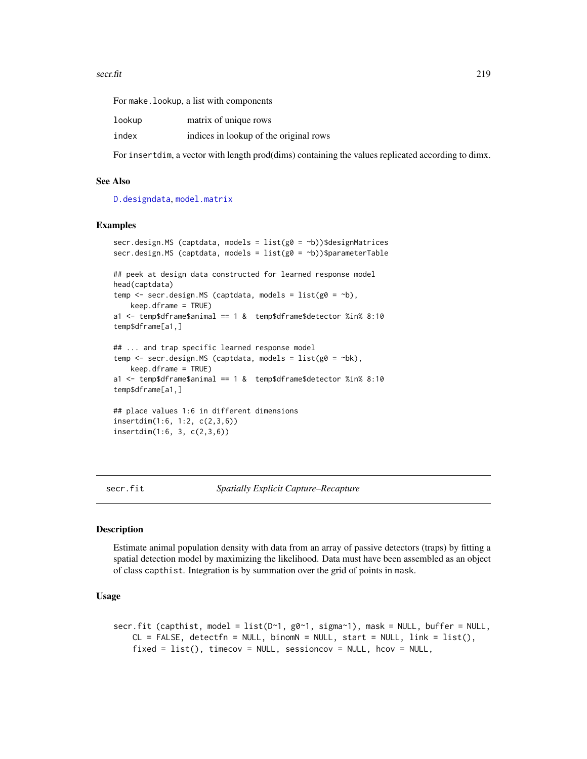For make.lookup, a list with components

| lookup | matrix of unique rows                  |
|--------|----------------------------------------|
| index  | indices in lookup of the original rows |

For insertdim, a vector with length prod(dims) containing the values replicated according to dimx.

# See Also

[D.designdata](#page-43-0), [model.matrix](#page-0-0)

# Examples

```
secr.design.MS (captdata, models = list(g0 = b))$designMatrices
secr.design.MS (captdata, models = list(g0 = ~b))$parameterTable
## peek at design data constructed for learned response model
head(captdata)
temp \leq secr.design.MS (captdata, models = list(g0 = \negb),
   keep.dframe = TRUE)
a1 <- temp$dframe$animal == 1 & temp$dframe$detector %in% 8:10
temp$dframe[a1,]
## ... and trap specific learned response model
temp <- secr.design.MS (captdata, models = list(g0 = ~bk),
    keep.dframe = TRUE)
a1 <- temp$dframe$animal == 1 & temp$dframe$detector %in% 8:10
temp$dframe[a1,]
## place values 1:6 in different dimensions
insertdim(1:6, 1:2, c(2,3,6))
insertdim(1:6, 3, c(2,3,6))
```
<span id="page-218-0"></span>secr.fit *Spatially Explicit Capture–Recapture*

# Description

Estimate animal population density with data from an array of passive detectors (traps) by fitting a spatial detection model by maximizing the likelihood. Data must have been assembled as an object of class capthist. Integration is by summation over the grid of points in mask.

```
secr.fit (capthist, model = list(D~1, g0~1, sigma~1), mask = NULL, buffer = NULL,
   CL = FALSE, detectfn = NULL, binomN = NULL, start = NULL, link = list(),fixed = list(), timecov = NULL, sessioncov = NULL, hcov = NULL,
```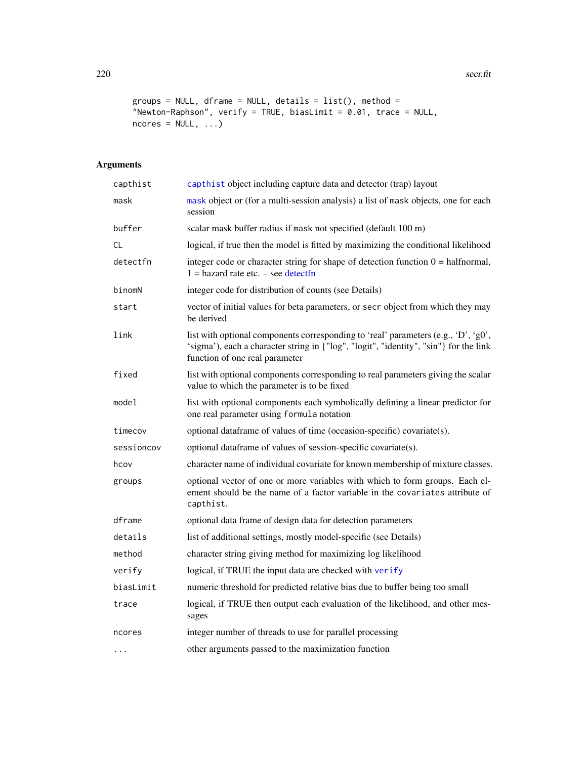```
groups = NULL, dframe = NULL, details = list(), method =
"Newton-Raphson", verify = TRUE, biasLimit = 0.01, trace = NULL,
ncores = NULL, ...
```
# Arguments

| capthist   | capthist object including capture data and detector (trap) layout                                                                                                                                             |  |  |
|------------|---------------------------------------------------------------------------------------------------------------------------------------------------------------------------------------------------------------|--|--|
| mask       | mask object or (for a multi-session analysis) a list of mask objects, one for each<br>session                                                                                                                 |  |  |
| buffer     | scalar mask buffer radius if mask not specified (default 100 m)                                                                                                                                               |  |  |
| CL         | logical, if true then the model is fitted by maximizing the conditional likelihood                                                                                                                            |  |  |
| detectfn   | integer code or character string for shape of detection function $0 = \text{halfnormal}$ ,<br>$1 =$ hazard rate etc. $-$ see detectfn                                                                         |  |  |
| binomN     | integer code for distribution of counts (see Details)                                                                                                                                                         |  |  |
| start      | vector of initial values for beta parameters, or secr object from which they may<br>be derived                                                                                                                |  |  |
| link       | list with optional components corresponding to 'real' parameters (e.g., 'D', 'g0',<br>'sigma'), each a character string in {"log", "logit", "identity", "sin"} for the link<br>function of one real parameter |  |  |
| fixed      | list with optional components corresponding to real parameters giving the scalar<br>value to which the parameter is to be fixed                                                                               |  |  |
| model      | list with optional components each symbolically defining a linear predictor for<br>one real parameter using formula notation                                                                                  |  |  |
| timecov    | optional dataframe of values of time (occasion-specific) covariate(s).                                                                                                                                        |  |  |
| sessioncov | optional dataframe of values of session-specific covariate(s).                                                                                                                                                |  |  |
| hcov       | character name of individual covariate for known membership of mixture classes.                                                                                                                               |  |  |
| groups     | optional vector of one or more variables with which to form groups. Each el-<br>ement should be the name of a factor variable in the covariates attribute of<br>capthist.                                     |  |  |
| dframe     | optional data frame of design data for detection parameters                                                                                                                                                   |  |  |
| details    | list of additional settings, mostly model-specific (see Details)                                                                                                                                              |  |  |
| method     | character string giving method for maximizing log likelihood                                                                                                                                                  |  |  |
| verify     | logical, if TRUE the input data are checked with verify                                                                                                                                                       |  |  |
| biasLimit  | numeric threshold for predicted relative bias due to buffer being too small                                                                                                                                   |  |  |
| trace      | logical, if TRUE then output each evaluation of the likelihood, and other mes-<br>sages                                                                                                                       |  |  |
| ncores     | integer number of threads to use for parallel processing                                                                                                                                                      |  |  |
| .          | other arguments passed to the maximization function                                                                                                                                                           |  |  |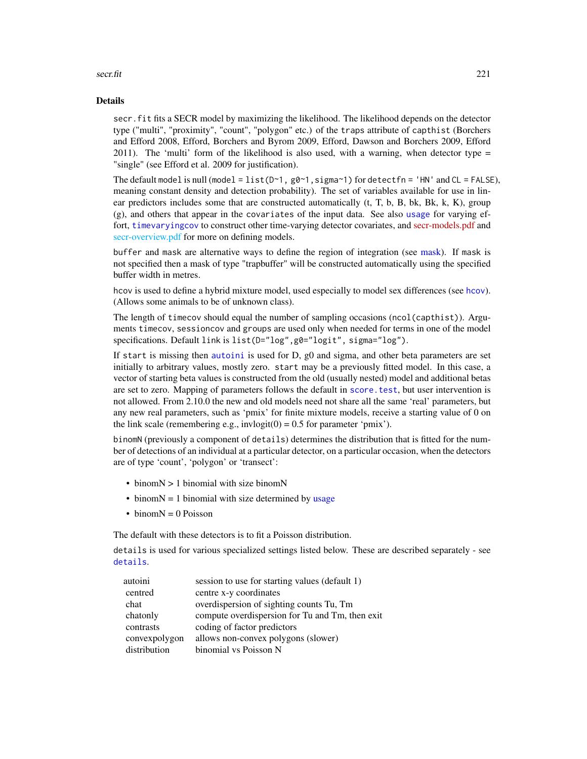#### Details

secr.fit fits a SECR model by maximizing the likelihood. The likelihood depends on the detector type ("multi", "proximity", "count", "polygon" etc.) of the traps attribute of capthist (Borchers and Efford 2008, Efford, Borchers and Byrom 2009, Efford, Dawson and Borchers 2009, Efford 2011). The 'multi' form of the likelihood is also used, with a warning, when detector type  $=$ "single" (see Efford et al. 2009 for justification).

The default model is null (model = list( $D \sim 1$ , g $\vartheta \sim 1$ , sigma $\sim 1$ ) for detectfn = 'HN' and CL = FALSE), meaning constant density and detection probability). The set of variables available for use in linear predictors includes some that are constructed automatically (t, T, b, B, bk, Bk, k, K), group (g), and others that appear in the covariates of the input data. See also [usage](#page-296-0) for varying effort, [timevaryingcov](#page-278-0) to construct other time-varying detector covariates, and [secr-models.pdf](https://www.otago.ac.nz/density/pdfs/secr-models.pdf) and [secr-overview.pdf](#page-0-0) for more on defining models.

buffer and mask are alternative ways to define the region of integration (see [mask\)](#page-127-0). If mask is not specified then a mask of type "trapbuffer" will be constructed automatically using the specified buffer width in metres.

hcov is used to define a hybrid mixture model, used especially to model sex differences (see [hcov](#page-86-0)). (Allows some animals to be of unknown class).

The length of timecov should equal the number of sampling occasions (ncol(capthist)). Arguments timecov, sessioncov and groups are used only when needed for terms in one of the model specifications. Default link is list(D="log",g0="logit", sigma="log").

If start is missing then [autoini](#page-19-0) is used for D, g0 and sigma, and other beta parameters are set initially to arbitrary values, mostly zero. start may be a previously fitted model. In this case, a vector of starting beta values is constructed from the old (usually nested) model and additional betas are set to zero. Mapping of parameters follows the default in [score.test](#page-212-0), but user intervention is not allowed. From 2.10.0 the new and old models need not share all the same 'real' parameters, but any new real parameters, such as 'pmix' for finite mixture models, receive a starting value of 0 on the link scale (remembering e.g., invlogit( $0$ ) = 0.5 for parameter 'pmix').

binomN (previously a component of details) determines the distribution that is fitted for the number of detections of an individual at a particular detector, on a particular occasion, when the detectors are of type 'count', 'polygon' or 'transect':

- binomN > 1 binomial with size binomN
- binom $N = 1$  binomial with size determined by [usage](#page-296-0)
- binom $N = 0$  Poisson

The default with these detectors is to fit a Poisson distribution.

details is used for various specialized settings listed below. These are described separately - see [details](#page-51-0).

| session to use for starting values (default 1)<br>autoini   |  |
|-------------------------------------------------------------|--|
| centre x-y coordinates<br>centred                           |  |
| overdispersion of sighting counts Tu, Tm<br>chat            |  |
| compute overdispersion for Tu and Tm, then exit<br>chatonly |  |
| coding of factor predictors<br>contrasts                    |  |
| convexpolygon<br>allows non-convex polygons (slower)        |  |
| distribution<br>binomial vs Poisson N                       |  |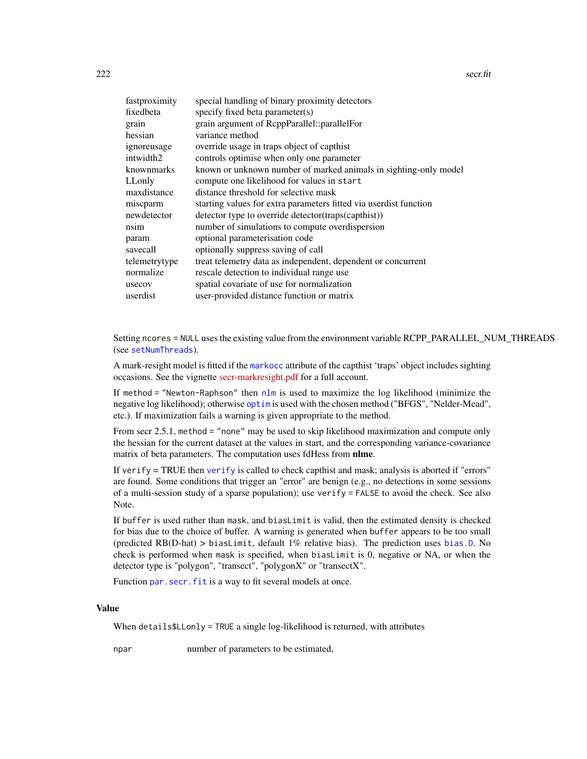| fastproximity | special handling of binary proximity detectors                    |
|---------------|-------------------------------------------------------------------|
| fixedbeta     | specify fixed beta parameter(s)                                   |
| grain         | grain argument of ReppParallel::parallelFor                       |
| hessian       | variance method                                                   |
| ignoreusage   | override usage in traps object of capthist                        |
| intwidth2     | controls optimise when only one parameter                         |
| knownmarks    | known or unknown number of marked animals in sighting-only model  |
| LLonly        | compute one likelihood for values in start                        |
| maxdistance   | distance threshold for selective mask                             |
| miscparm      | starting values for extra parameters fitted via userdist function |
| newdetector   | detector type to override detector (traps (capthist))             |
| nsim          | number of simulations to compute overdispersion                   |
| param         | optional parameterisation code                                    |
| savecall      | optionally suppress saving of call                                |
| telemetrytype | treat telemetry data as independent, dependent or concurrent      |
| normalize     | rescale detection to individual range use                         |
| usecov        | spatial covariate of use for normalization                        |
| userdist      | user-provided distance function or matrix                         |

Setting ncores = NULL uses the existing value from the environment variable RCPP\_PARALLEL\_NUM\_THREADS (see [setNumThreads](#page-233-0)).

A mark-resight model is fitted if the [markocc](#page-235-0) attribute of the capthist 'traps' object includes sighting occasions. See the vignette [secr-markresight.pdf](https://www.otago.ac.nz/density/pdfs/secr-markresight.pdf) for a full account.

If method = "Newton-Raphson" then  $n \ln n$  is used to maximize the log likelihood (minimize the negative log likelihood); otherwise [optim](#page-0-0) is used with the chosen method ("BFGS", "Nelder-Mead", etc.). If maximization fails a warning is given appropriate to the method.

From secr 2.5.1, method = "none" may be used to skip likelihood maximization and compute only the hessian for the current dataset at the values in start, and the corresponding variance-covariance matrix of beta parameters. The computation uses fdHess from nlme.

If [verify](#page-304-0)  $=$  TRUE then verify is called to check capthist and mask; analysis is aborted if "errors" are found. Some conditions that trigger an "error" are benign (e.g., no detections in some sessions of a multi-session study of a sparse population); use verify = FALSE to avoid the check. See also Note.

If buffer is used rather than mask, and biasLimit is valid, then the estimated density is checked for bias due to the choice of buffer. A warning is generated when buffer appears to be too small (predicted RB(D-hat) > biasLimit, default 1% relative bias). The prediction uses [bias.D](#page-271-0). No check is performed when mask is specified, when biasLimit is 0, negative or NA, or when the detector type is "polygon", "transect", "polygonX" or "transectX".

Function par. secr. fit is a way to fit several models at once.

# Value

When details\$LLonly = TRUE a single log-likelihood is returned, with attributes

npar number of parameters to be estimated,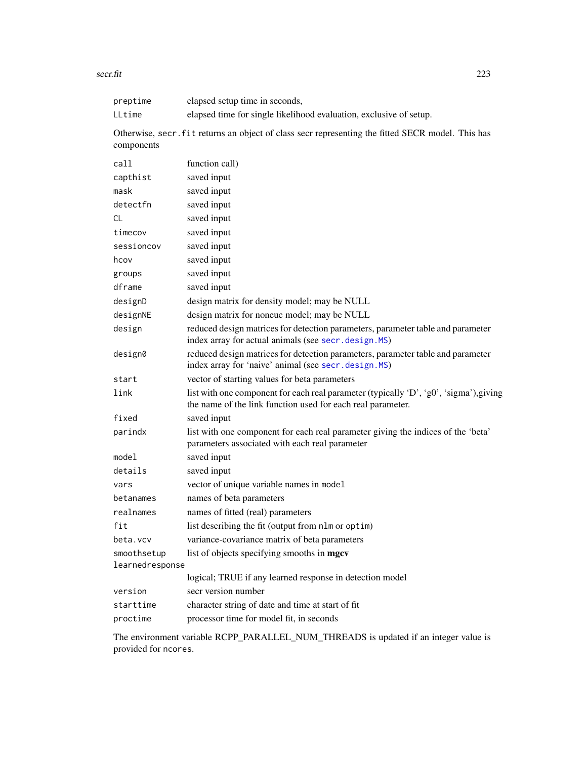| preptime        | elapsed setup time in seconds,                                                                                                                        |  |  |
|-----------------|-------------------------------------------------------------------------------------------------------------------------------------------------------|--|--|
| LLtime          | elapsed time for single likelihood evaluation, exclusive of setup.                                                                                    |  |  |
| components      | Otherwise, secr. fit returns an object of class secr representing the fitted SECR model. This has                                                     |  |  |
| call            | function call)                                                                                                                                        |  |  |
| capthist        | saved input                                                                                                                                           |  |  |
| mask            | saved input                                                                                                                                           |  |  |
| detectfn        | saved input                                                                                                                                           |  |  |
| CL              | saved input                                                                                                                                           |  |  |
| timecov         | saved input                                                                                                                                           |  |  |
| sessioncov      | saved input                                                                                                                                           |  |  |
| hcov            | saved input                                                                                                                                           |  |  |
| groups          | saved input                                                                                                                                           |  |  |
| dframe          | saved input                                                                                                                                           |  |  |
| designD         | design matrix for density model; may be NULL                                                                                                          |  |  |
| designNE        | design matrix for noneuc model; may be NULL                                                                                                           |  |  |
| design          | reduced design matrices for detection parameters, parameter table and parameter<br>index array for actual animals (see secr.design.MS)                |  |  |
| design0         | reduced design matrices for detection parameters, parameter table and parameter<br>index array for 'naive' animal (see secr.design.MS)                |  |  |
| start           | vector of starting values for beta parameters                                                                                                         |  |  |
| link            | list with one component for each real parameter (typically 'D', 'g0', 'sigma'), giving<br>the name of the link function used for each real parameter. |  |  |
| fixed           | saved input                                                                                                                                           |  |  |
| parindx         | list with one component for each real parameter giving the indices of the 'beta'<br>parameters associated with each real parameter                    |  |  |
| model           | saved input                                                                                                                                           |  |  |
| details         | saved input                                                                                                                                           |  |  |
| vars            | vector of unique variable names in model                                                                                                              |  |  |
| betanames       | names of beta parameters                                                                                                                              |  |  |
| realnames       | names of fitted (real) parameters                                                                                                                     |  |  |
| fit             | list describing the fit (output from nlm or optim)                                                                                                    |  |  |
| beta.vcv        | variance-covariance matrix of beta parameters                                                                                                         |  |  |
| smoothsetup     | list of objects specifying smooths in mgcv                                                                                                            |  |  |
| learnedresponse |                                                                                                                                                       |  |  |
|                 | logical; TRUE if any learned response in detection model                                                                                              |  |  |
| version         | secr version number                                                                                                                                   |  |  |
| starttime       | character string of date and time at start of fit                                                                                                     |  |  |
| proctime        | processor time for model fit, in seconds                                                                                                              |  |  |
|                 |                                                                                                                                                       |  |  |

The environment variable RCPP\_PARALLEL\_NUM\_THREADS is updated if an integer value is provided for ncores.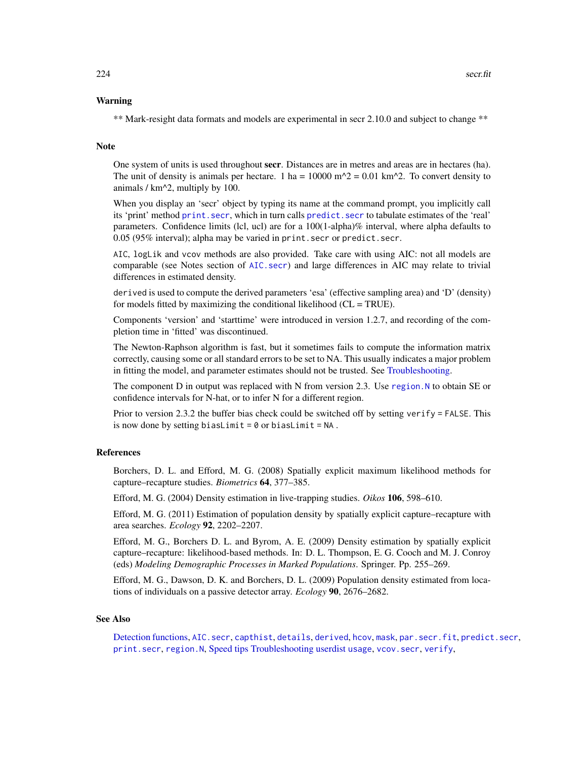# Warning

\*\* Mark-resight data formats and models are experimental in secr 2.10.0 and subject to change \*\*

#### Note

One system of units is used throughout secr. Distances are in metres and areas are in hectares (ha). The unit of density is animals per hectare. 1 ha =  $10000$  m<sup> $\Delta$ </sup> = 0.01 km<sup> $\Delta$ </sup>. To convert density to animals / km^2, multiply by 100.

When you display an 'secr' object by typing its name at the command prompt, you implicitly call its 'print' method [print.secr](#page-179-0), which in turn calls [predict.secr](#page-174-0) to tabulate estimates of the 'real' parameters. Confidence limits (lcl, ucl) are for a 100(1-alpha)% interval, where alpha defaults to 0.05 (95% interval); alpha may be varied in print.secr or predict.secr.

AIC, logLik and vcov methods are also provided. Take care with using AIC: not all models are comparable (see Notes section of [AIC.secr](#page-13-0)) and large differences in AIC may relate to trivial differences in estimated density.

derived is used to compute the derived parameters 'esa' (effective sampling area) and 'D' (density) for models fitted by maximizing the conditional likelihood  $(CL = TRUE)$ .

Components 'version' and 'starttime' were introduced in version 1.2.7, and recording of the completion time in 'fitted' was discontinued.

The Newton-Raphson algorithm is fast, but it sometimes fails to compute the information matrix correctly, causing some or all standard errors to be set to NA. This usually indicates a major problem in fitting the model, and parameter estimates should not be trusted. See [Troubleshooting.](#page-291-0)

The component D in output was replaced with N from version 2.3. Use region. N to obtain SE or confidence intervals for N-hat, or to infer N for a different region.

Prior to version 2.3.2 the buffer bias check could be switched off by setting verify = FALSE. This is now done by setting biasLimit =  $0$  or biasLimit = NA.

#### References

Borchers, D. L. and Efford, M. G. (2008) Spatially explicit maximum likelihood methods for capture–recapture studies. *Biometrics* 64, 377–385.

Efford, M. G. (2004) Density estimation in live-trapping studies. *Oikos* 106, 598–610.

Efford, M. G. (2011) Estimation of population density by spatially explicit capture–recapture with area searches. *Ecology* 92, 2202–2207.

Efford, M. G., Borchers D. L. and Byrom, A. E. (2009) Density estimation by spatially explicit capture–recapture: likelihood-based methods. In: D. L. Thompson, E. G. Cooch and M. J. Conroy (eds) *Modeling Demographic Processes in Marked Populations*. Springer. Pp. 255–269.

Efford, M. G., Dawson, D. K. and Borchers, D. L. (2009) Population density estimated from locations of individuals on a passive detector array. *Ecology* 90, 2676–2682.

#### See Also

[Detection functions,](#page-54-1) [AIC.secr](#page-13-0), [capthist](#page-24-0), [details](#page-51-0), [derived](#page-47-0), [hcov](#page-86-0), [mask](#page-127-0), [par.secr.fit](#page-145-0), [predict.secr](#page-174-0), [print.secr](#page-179-0), [region.N](#page-204-0), [Speed tips](#page-258-0) [Troubleshooting](#page-291-0) [userdist](#page-300-0) [usage](#page-296-0), [vcov.secr](#page-303-0), [verify](#page-304-0),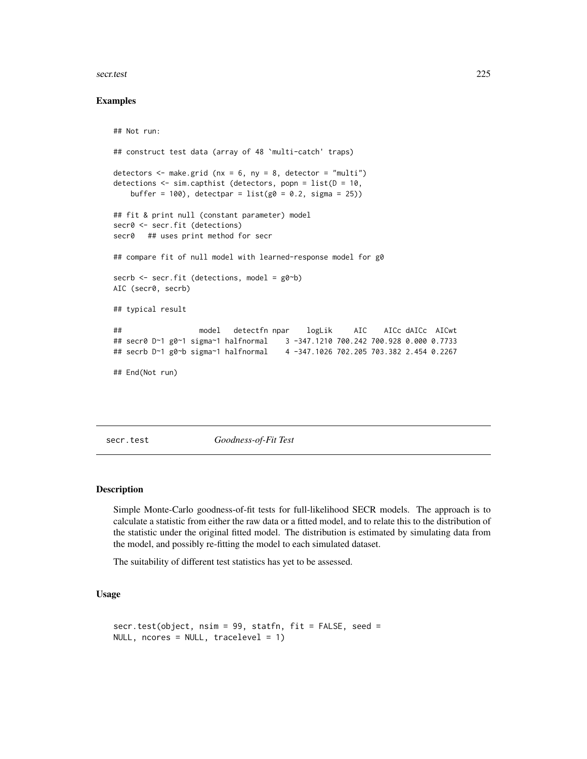#### secr.test 225

## Examples

```
## Not run:
## construct test data (array of 48 `multi-catch' traps)
detectors \leq make.grid (nx = 6, ny = 8, detector = "multi")
detections \leq sim.capthist (detectors, popn = list(D = 10,
   buffer = 100), detectpar = list(g0 = 0.2, sigma = 25))
## fit & print null (constant parameter) model
secr0 <- secr.fit (detections)
secr0 ## uses print method for secr
## compare fit of null model with learned-response model for g0
secrb <- secr.fit (detections, model = g0~b)
AIC (secr0, secrb)
## typical result
## model detectfn npar logLik AIC AICc dAICc AICwt
## secr0 D~1 g0~1 sigma~1 halfnormal 3 -347.1210 700.242 700.928 0.000 0.7733
## secrb D~1 g0~b sigma~1 halfnormal 4 -347.1026 702.205 703.382 2.454 0.2267
## End(Not run)
```
<span id="page-224-0"></span>secr.test *Goodness-of-Fit Test*

# **Description**

Simple Monte-Carlo goodness-of-fit tests for full-likelihood SECR models. The approach is to calculate a statistic from either the raw data or a fitted model, and to relate this to the distribution of the statistic under the original fitted model. The distribution is estimated by simulating data from the model, and possibly re-fitting the model to each simulated dataset.

The suitability of different test statistics has yet to be assessed.

```
secr.test(object, nsim = 99, statfn, fit = FALSE, seed =
NULL, ncores = NULL, tracelevel = 1)
```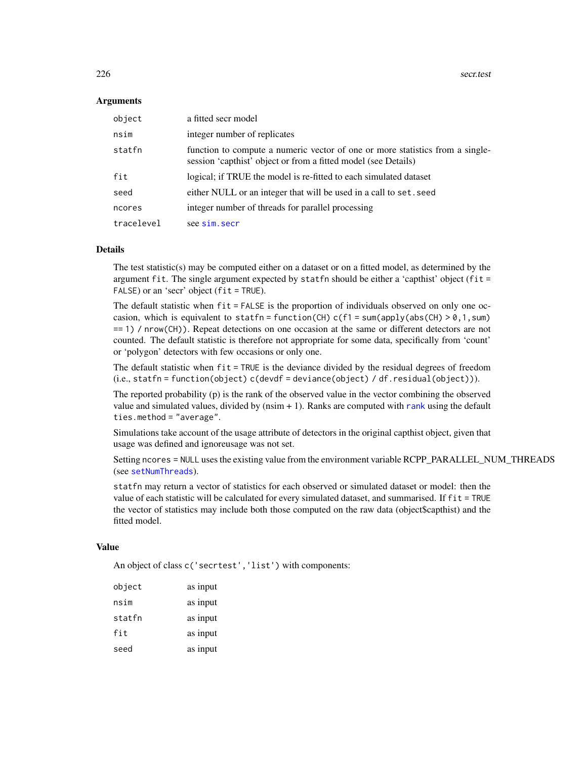#### Arguments

| object     | a fitted secr model                                                                                                                             |
|------------|-------------------------------------------------------------------------------------------------------------------------------------------------|
| nsim       | integer number of replicates                                                                                                                    |
| statfn     | function to compute a numeric vector of one or more statistics from a single-<br>session 'capthist' object or from a fitted model (see Details) |
| fit        | logical; if TRUE the model is re-fitted to each simulated dataset                                                                               |
| seed       | either NULL or an integer that will be used in a call to set. seed                                                                              |
| ncores     | integer number of threads for parallel processing                                                                                               |
| tracelevel | see sim. secr                                                                                                                                   |

# **Details**

The test statistic(s) may be computed either on a dataset or on a fitted model, as determined by the argument fit. The single argument expected by statfn should be either a 'capthist' object (fit = FALSE) or an 'secr' object (fit = TRUE).

The default statistic when fit = FALSE is the proportion of individuals observed on only one occasion, which is equivalent to statfn = function(CH)  $c(f1 = sum(\text{apply(abs(CH)} > 0, 1, sum))$ == 1) / nrow(CH)). Repeat detections on one occasion at the same or different detectors are not counted. The default statistic is therefore not appropriate for some data, specifically from 'count' or 'polygon' detectors with few occasions or only one.

The default statistic when fit = TRUE is the deviance divided by the residual degrees of freedom (i.e., statfn = function(object) c(devdf = deviance(object) / df.residual(object))).

The reported probability (p) is the rank of the observed value in the vector combining the observed value and simulated values, divided by (nsim + 1). Ranks are computed with [rank](#page-0-0) using the default ties.method = "average".

Simulations take account of the usage attribute of detectors in the original capthist object, given that usage was defined and ignoreusage was not set.

Setting ncores = NULL uses the existing value from the environment variable RCPP\_PARALLEL\_NUM\_THREADS (see [setNumThreads](#page-233-0)).

statfn may return a vector of statistics for each observed or simulated dataset or model: then the value of each statistic will be calculated for every simulated dataset, and summarised. If fit = TRUE the vector of statistics may include both those computed on the raw data (object\$capthist) and the fitted model.

# Value

An object of class c('secrtest', 'list') with components:

| object | as input |
|--------|----------|
| nsim   | as input |
| statfn | as input |
| fit    | as input |
| seed   | as input |
|        |          |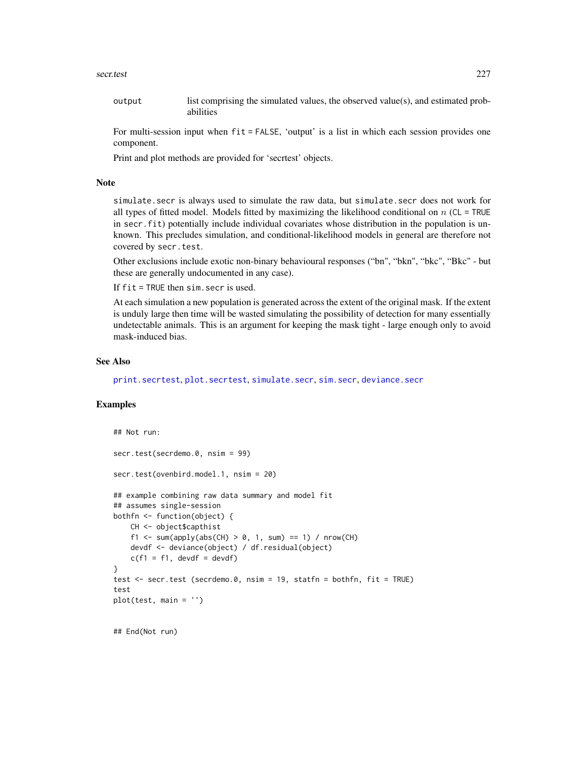#### secr.test 227

output list comprising the simulated values, the observed value(s), and estimated probabilities

For multi-session input when fit = FALSE, 'output' is a list in which each session provides one component.

Print and plot methods are provided for 'secrtest' objects.

# Note

simulate.secr is always used to simulate the raw data, but simulate.secr does not work for all types of fitted model. Models fitted by maximizing the likelihood conditional on  $n$  (CL = TRUE in secr. fit) potentially include individual covariates whose distribution in the population is unknown. This precludes simulation, and conditional-likelihood models in general are therefore not covered by secr.test.

Other exclusions include exotic non-binary behavioural responses ("bn", "bkn", "bkc", "Bkc" - but these are generally undocumented in any case).

If  $fit$  = TRUE then  $sim$ . secr is used.

At each simulation a new population is generated across the extent of the original mask. If the extent is unduly large then time will be wasted simulating the possibility of detection for many essentially undetectable animals. This is an argument for keeping the mask tight - large enough only to avoid mask-induced bias.

# See Also

[print.secrtest](#page-231-0), [plot.secrtest](#page-231-0), [simulate.secr](#page-247-1), [sim.secr](#page-247-0), [deviance.secr](#page-58-0)

# Examples

```
## Not run:
secr.test(secrdemo.0, nsim = 99)
secr.test(ovenbird.model.1, nsim = 20)
## example combining raw data summary and model fit
## assumes single-session
bothfn <- function(object) {
   CH <- object$capthist
    f1 <- sum(apply(abs(CH) > 0, 1, sum) == 1) / nrow(CH)
   devdf <- deviance(object) / df.residual(object)
   c(f1 = f1, devdf = devdf)}
test <- secr.test (secrdemo.0, nsim = 19, statfn = bothfn, fit = TRUE)
test
plot(test, main = '')
## End(Not run)
```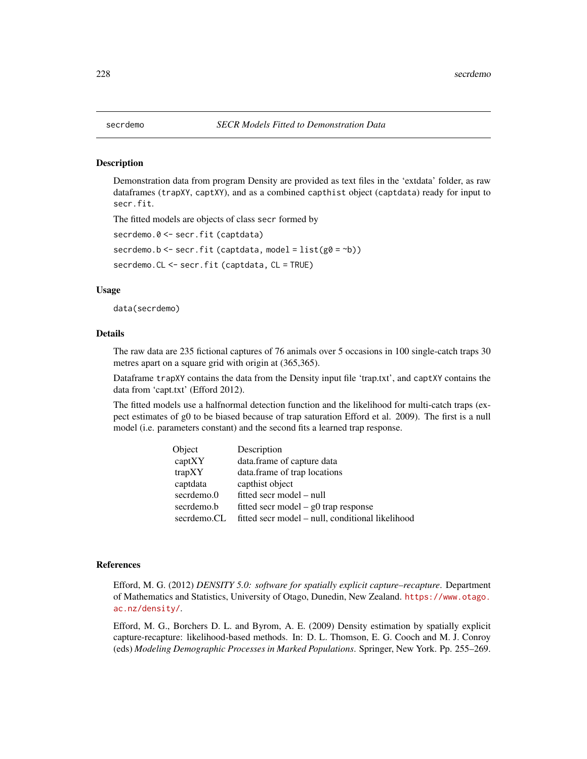#### Description

Demonstration data from program Density are provided as text files in the 'extdata' folder, as raw dataframes (trapXY, captXY), and as a combined capthist object (captdata) ready for input to secr.fit.

The fitted models are objects of class secr formed by

```
secrdemo.0 <- secr.fit (captdata)
```
secrdemo.b <- secr.fit (captdata, model =  $list(g0 = b))$ )

secrdemo.CL <- secr.fit (captdata, CL = TRUE)

# Usage

data(secrdemo)

#### Details

The raw data are 235 fictional captures of 76 animals over 5 occasions in 100 single-catch traps 30 metres apart on a square grid with origin at (365,365).

Dataframe trapXY contains the data from the Density input file 'trap.txt', and captXY contains the data from 'capt.txt' (Efford 2012).

The fitted models use a halfnormal detection function and the likelihood for multi-catch traps (expect estimates of g0 to be biased because of trap saturation Efford et al. 2009). The first is a null model (i.e. parameters constant) and the second fits a learned trap response.

| Object      | Description                                      |
|-------------|--------------------------------------------------|
| captXY      | data.frame of capture data                       |
| trapXY      | data.frame of trap locations                     |
| captdata    | capthist object                                  |
| secrdemo.0  | fitted secr model – null                         |
| secrdemo.b  | fitted secr model $-$ g0 trap response           |
| secrdemo.CL | fitted secr model – null, conditional likelihood |

# References

Efford, M. G. (2012) *DENSITY 5.0: software for spatially explicit capture–recapture*. Department of Mathematics and Statistics, University of Otago, Dunedin, New Zealand. [https://www.otago.](https://www.otago.ac.nz/density/) [ac.nz/density/](https://www.otago.ac.nz/density/).

Efford, M. G., Borchers D. L. and Byrom, A. E. (2009) Density estimation by spatially explicit capture-recapture: likelihood-based methods. In: D. L. Thomson, E. G. Cooch and M. J. Conroy (eds) *Modeling Demographic Processes in Marked Populations*. Springer, New York. Pp. 255–269.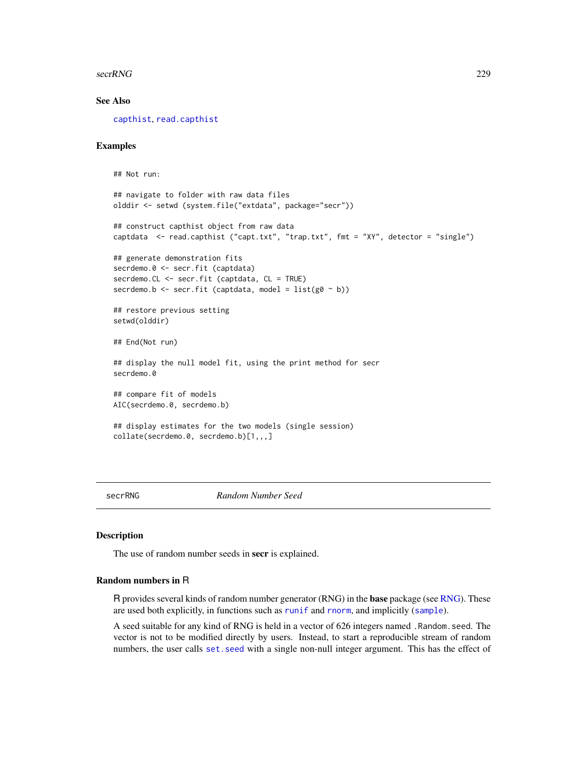secrRNG 229

## See Also

[capthist](#page-24-0), [read.capthist](#page-191-0)

# Examples

## Not run:

```
## navigate to folder with raw data files
olddir <- setwd (system.file("extdata", package="secr"))
## construct capthist object from raw data
captdata <- read.capthist ("capt.txt", "trap.txt", fmt = "XY", detector = "single")
## generate demonstration fits
secrdemo.0 <- secr.fit (captdata)
secrdemo.CL <- secr.fit (captdata, CL = TRUE)
secrdemo.b <- secr.fit (captdata, model = list(g0 \sim b))## restore previous setting
setwd(olddir)
## End(Not run)
## display the null model fit, using the print method for secr
secrdemo.0
## compare fit of models
AIC(secrdemo.0, secrdemo.b)
## display estimates for the two models (single session)
collate(secrdemo.0, secrdemo.b)[1,,,]
```
secrRNG *Random Number Seed*

#### Description

The use of random number seeds in **secr** is explained.

# Random numbers in R

R provides several kinds of random number generator (RNG) in the base package (see [RNG\)](#page-0-0). These are used both explicitly, in functions such as [runif](#page-0-0) and [rnorm](#page-0-0), and implicitly ([sample](#page-0-0)).

A seed suitable for any kind of RNG is held in a vector of 626 integers named .Random.seed. The vector is not to be modified directly by users. Instead, to start a reproducible stream of random numbers, the user calls [set.seed](#page-0-0) with a single non-null integer argument. This has the effect of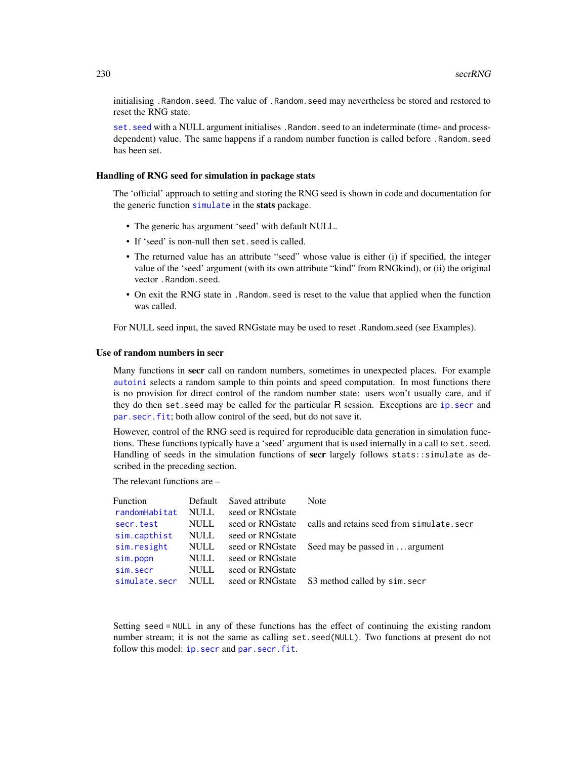initialising .Random.seed. The value of .Random.seed may nevertheless be stored and restored to reset the RNG state.

set. seed with a NULL argument initialises . Random. seed to an indeterminate (time- and processdependent) value. The same happens if a random number function is called before .Random.seed has been set.

#### Handling of RNG seed for simulation in package stats

The 'official' approach to setting and storing the RNG seed is shown in code and documentation for the generic function [simulate](#page-247-1) in the stats package.

- The generic has argument 'seed' with default NULL.
- If 'seed' is non-null then set.seed is called.
- The returned value has an attribute "seed" whose value is either (i) if specified, the integer value of the 'seed' argument (with its own attribute "kind" from RNGkind), or (ii) the original vector .Random.seed.
- On exit the RNG state in .Random.seed is reset to the value that applied when the function was called.

For NULL seed input, the saved RNGstate may be used to reset .Random.seed (see Examples).

# Use of random numbers in secr

Many functions in secr call on random numbers, sometimes in unexpected places. For example [autoini](#page-19-0) selects a random sample to thin points and speed computation. In most functions there is no provision for direct control of the random number state: users won't usually care, and if they do then set.seed may be called for the particular R session. Exceptions are [ip.secr](#page-99-1) and [par.secr.fit](#page-145-0); both allow control of the seed, but do not save it.

However, control of the RNG seed is required for reproducible data generation in simulation functions. These functions typically have a 'seed' argument that is used internally in a call to set.seed. Handling of seeds in the simulation functions of secr largely follows stats::simulate as described in the preceding section.

The relevant functions are –

| Function<br>randomHabitat | Default<br><b>NULL</b> | Saved attribute<br>seed or RNGstate | Note                                           |
|---------------------------|------------------------|-------------------------------------|------------------------------------------------|
| secr.test                 | <b>NULL</b>            | seed or RNGstate                    | calls and retains seed from simulate.secr      |
| sim.capthist              | <b>NULL</b>            | seed or RNGstate                    |                                                |
| sim.resight               | <b>NULL</b>            | seed or RNGstate                    | Seed may be passed in  argument                |
| sim.popn                  | <b>NULL</b>            | seed or RNGstate                    |                                                |
| sim.secr                  | <b>NULL</b>            | seed or RNGstate                    |                                                |
| simulate.secr             | <b>NULL</b>            |                                     | seed or RNGstate S3 method called by sim. secr |

Setting seed = NULL in any of these functions has the effect of continuing the existing random number stream; it is not the same as calling set.seed(NULL). Two functions at present do not follow this model: ip. secr and par. secr. fit.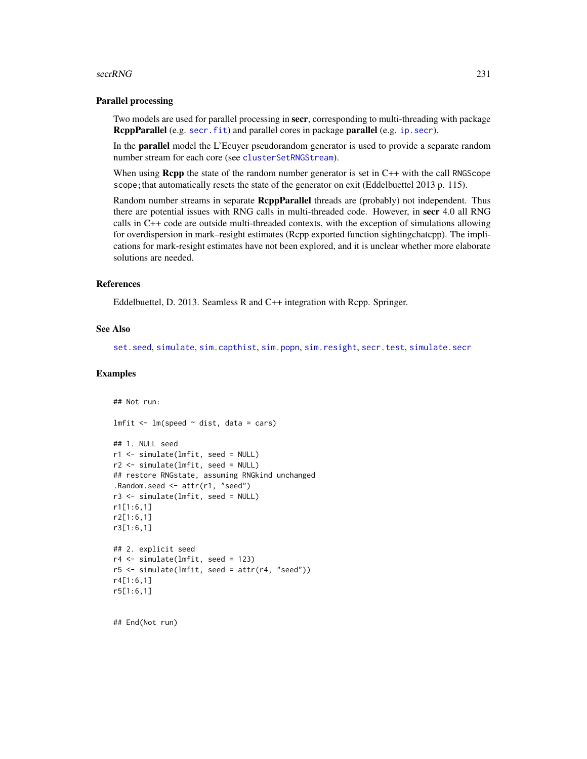#### secrRNG 231

# Parallel processing

Two models are used for parallel processing in secr, corresponding to multi-threading with package RcppParallel (e.g. [secr.fit](#page-218-0)) and parallel cores in package parallel (e.g. ip. secr).

In the **parallel** model the L'Ecuyer pseudorandom generator is used to provide a separate random number stream for each core (see [clusterSetRNGStream](#page-0-0)).

When using **Rcpp** the state of the random number generator is set in  $C++$  with the call RNGScope scope; that automatically resets the state of the generator on exit (Eddelbuettel 2013 p. 115).

Random number streams in separate RcppParallel threads are (probably) not independent. Thus there are potential issues with RNG calls in multi-threaded code. However, in secr 4.0 all RNG calls in C++ code are outside multi-threaded contexts, with the exception of simulations allowing for overdispersion in mark–resight estimates (Rcpp exported function sightingchatcpp). The implications for mark-resight estimates have not been explored, and it is unclear whether more elaborate solutions are needed.

# References

Eddelbuettel, D. 2013. Seamless R and C++ integration with Rcpp. Springer.

#### See Also

[set.seed](#page-0-0), [simulate](#page-247-1), [sim.capthist](#page-238-0), [sim.popn](#page-243-0), [sim.resight](#page-238-1), [secr.test](#page-224-0), [simulate.secr](#page-247-1)

#### Examples

```
## Not run:
lmfit < - lm(speed ~ dist, data = cars)## 1. NULL seed
r1 <- simulate(lmfit, seed = NULL)
r2 <- simulate(lmfit, seed = NULL)
## restore RNGstate, assuming RNGkind unchanged
.Random.seed <- attr(r1, "seed")
r3 <- simulate(lmfit, seed = NULL)
r1[1:6,1]
r2[1:6,1]
r3[1:6,1]
## 2. explicit seed
r4 <- simulate(lmfit, seed = 123)
r5 <- simulate(lmfit, seed = attr(r4, "seed"))
r4[1:6,1]
r5[1:6,1]
```
## End(Not run)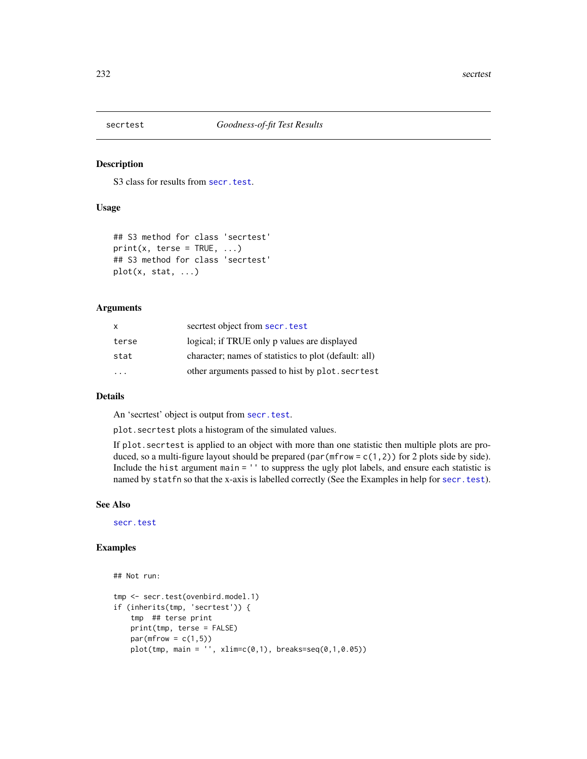#### <span id="page-231-0"></span>Description

S<sub>3</sub> class for results from [secr.test](#page-224-0).

# Usage

```
## S3 method for class 'secrtest'
print(x, \text{ters} = TRUE, ...)## S3 method for class 'secrtest'
plot(x, stat, ...)
```
## Arguments

| X     | secriest object from secr. test                       |
|-------|-------------------------------------------------------|
| terse | logical; if TRUE only p values are displayed          |
| stat  | character; names of statistics to plot (default: all) |
| .     | other arguments passed to hist by plot. secritest     |
|       |                                                       |

#### Details

An 'secrtest' object is output from [secr.test](#page-224-0).

plot.secrtest plots a histogram of the simulated values.

If plot.secrtest is applied to an object with more than one statistic then multiple plots are produced, so a multi-figure layout should be prepared (par ( $m$ frow = c(1,2)) for 2 plots side by side). Include the hist argument main = '' to suppress the ugly plot labels, and ensure each statistic is named by statfn so that the x-axis is labelled correctly (See the Examples in help for [secr.test](#page-224-0)).

# See Also

[secr.test](#page-224-0)

# Examples

```
## Not run:
tmp <- secr.test(ovenbird.model.1)
if (inherits(tmp, 'secrtest')) {
    tmp ## terse print
   print(tmp, terse = FALSE)
   par(mfrow = c(1,5))plot(tmp, main = '' , xlim=c(0,1), breaks=seq(0,1,0.05))
```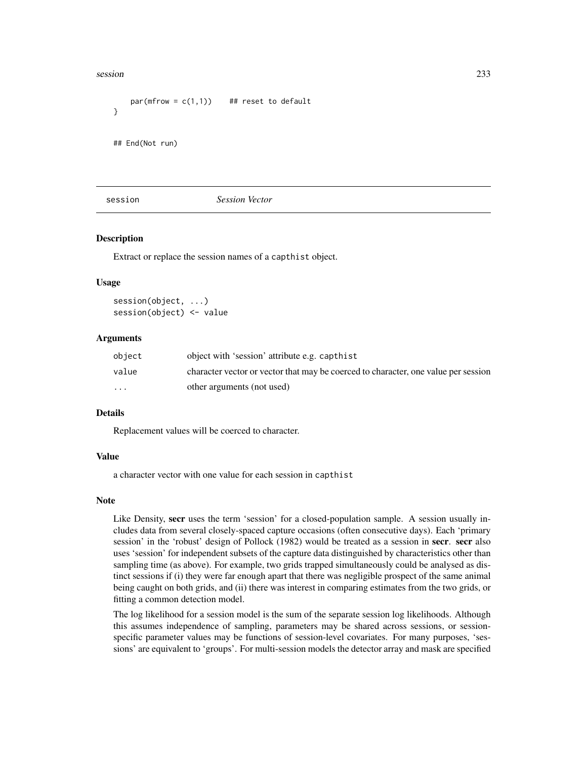#### session 233

```
par(mfrow = c(1,1)) ## reset to default
}
## End(Not run)
```
#### session *Session Vector*

## **Description**

Extract or replace the session names of a capthist object.

#### Usage

```
session(object, ...)
session(object) <- value
```
## Arguments

| object                  | object with 'session' attribute e.g. capthist                                      |
|-------------------------|------------------------------------------------------------------------------------|
| value                   | character vector or vector that may be coerced to character, one value per session |
| $\cdot$ $\cdot$ $\cdot$ | other arguments (not used)                                                         |

### Details

Replacement values will be coerced to character.

#### Value

a character vector with one value for each session in capthist

#### Note

Like Density, secr uses the term 'session' for a closed-population sample. A session usually includes data from several closely-spaced capture occasions (often consecutive days). Each 'primary session' in the 'robust' design of Pollock (1982) would be treated as a session in secr. secr also uses 'session' for independent subsets of the capture data distinguished by characteristics other than sampling time (as above). For example, two grids trapped simultaneously could be analysed as distinct sessions if (i) they were far enough apart that there was negligible prospect of the same animal being caught on both grids, and (ii) there was interest in comparing estimates from the two grids, or fitting a common detection model.

The log likelihood for a session model is the sum of the separate session log likelihoods. Although this assumes independence of sampling, parameters may be shared across sessions, or sessionspecific parameter values may be functions of session-level covariates. For many purposes, 'sessions' are equivalent to 'groups'. For multi-session models the detector array and mask are specified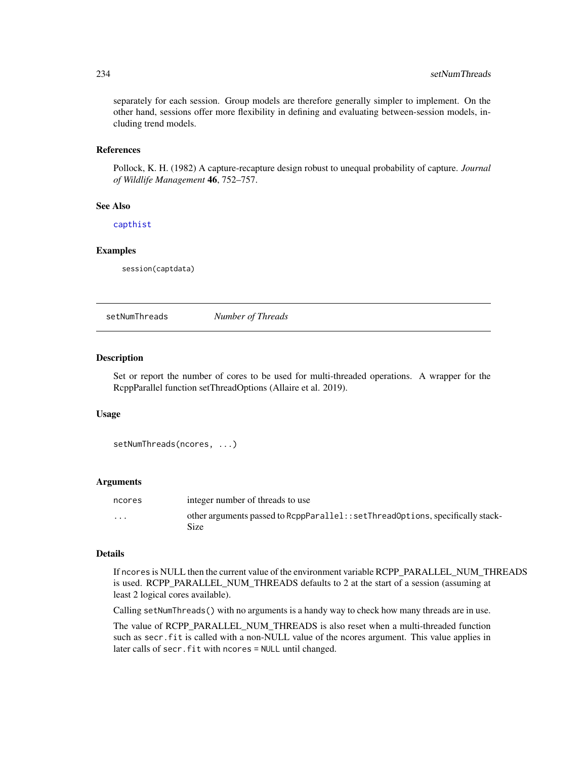separately for each session. Group models are therefore generally simpler to implement. On the other hand, sessions offer more flexibility in defining and evaluating between-session models, including trend models.

# References

Pollock, K. H. (1982) A capture-recapture design robust to unequal probability of capture. *Journal of Wildlife Management* 46, 752–757.

# See Also

[capthist](#page-24-0)

#### Examples

session(captdata)

<span id="page-233-0"></span>setNumThreads *Number of Threads*

# Description

Set or report the number of cores to be used for multi-threaded operations. A wrapper for the RcppParallel function setThreadOptions (Allaire et al. 2019).

## Usage

```
setNumThreads(ncores, ...)
```
#### Arguments

| ncores   | integer number of threads to use                                                        |
|----------|-----------------------------------------------------------------------------------------|
| $\cdots$ | other arguments passed to ReppParallel: : setThreadOptions, specifically stack-<br>Size |

# Details

If ncores is NULL then the current value of the environment variable RCPP\_PARALLEL\_NUM\_THREADS is used. RCPP\_PARALLEL\_NUM\_THREADS defaults to 2 at the start of a session (assuming at least 2 logical cores available).

Calling setNumThreads() with no arguments is a handy way to check how many threads are in use.

The value of RCPP\_PARALLEL\_NUM\_THREADS is also reset when a multi-threaded function such as secr. fit is called with a non-NULL value of the ncores argument. This value applies in later calls of secr.fit with ncores = NULL until changed.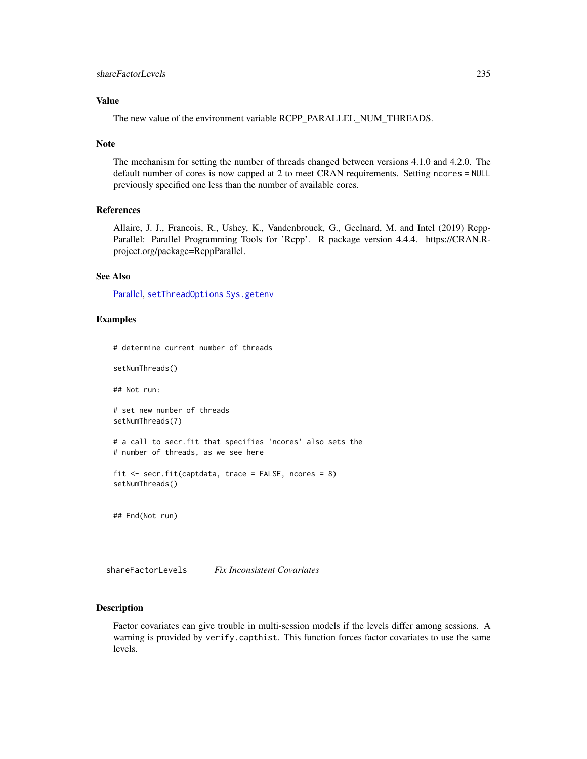# Value

The new value of the environment variable RCPP\_PARALLEL\_NUM\_THREADS.

#### Note

The mechanism for setting the number of threads changed between versions 4.1.0 and 4.2.0. The default number of cores is now capped at 2 to meet CRAN requirements. Setting ncores = NULL previously specified one less than the number of available cores.

# References

Allaire, J. J., Francois, R., Ushey, K., Vandenbrouck, G., Geelnard, M. and Intel (2019) Rcpp-Parallel: Parallel Programming Tools for 'Rcpp'. R package version 4.4.4. https://CRAN.Rproject.org/package=RcppParallel.

## See Also

[Parallel,](#page-147-0) [setThreadOptions](#page-0-0) [Sys.getenv](#page-0-0)

# Examples

# determine current number of threads

setNumThreads()

## Not run:

# set new number of threads setNumThreads(7)

```
# a call to secr.fit that specifies 'ncores' also sets the
# number of threads, as we see here
```

```
fit <- secr.fit(captdata, trace = FALSE, ncores = 8)
setNumThreads()
```
## End(Not run)

shareFactorLevels *Fix Inconsistent Covariates*

# **Description**

Factor covariates can give trouble in multi-session models if the levels differ among sessions. A warning is provided by verify.capthist. This function forces factor covariates to use the same levels.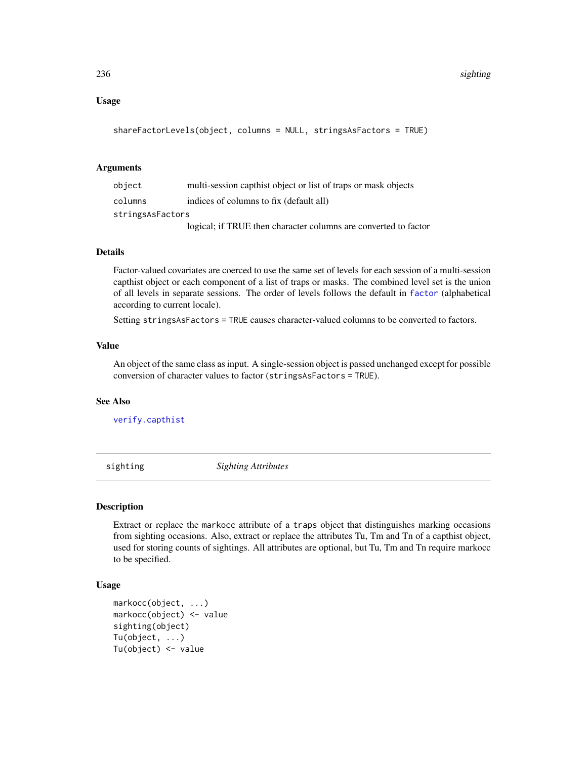# Usage

```
shareFactorLevels(object, columns = NULL, stringsAsFactors = TRUE)
```
## Arguments

| object           | multi-session capthist object or list of traps or mask objects  |
|------------------|-----------------------------------------------------------------|
| columns          | indices of columns to fix (default all)                         |
| stringsAsFactors |                                                                 |
|                  | logical; if TRUE then character columns are converted to factor |

# Details

Factor-valued covariates are coerced to use the same set of levels for each session of a multi-session capthist object or each component of a list of traps or masks. The combined level set is the union of all levels in separate sessions. The order of levels follows the default in [factor](#page-0-0) (alphabetical according to current locale).

Setting stringsAsFactors = TRUE causes character-valued columns to be converted to factors.

#### Value

An object of the same class as input. A single-session object is passed unchanged except for possible conversion of character values to factor (stringsAsFactors = TRUE).

## See Also

[verify.capthist](#page-304-1)

sighting *Sighting Attributes*

# <span id="page-235-0"></span>**Description**

Extract or replace the markocc attribute of a traps object that distinguishes marking occasions from sighting occasions. Also, extract or replace the attributes Tu, Tm and Tn of a capthist object, used for storing counts of sightings. All attributes are optional, but Tu, Tm and Tn require markocc to be specified.

```
markocc(object, ...)
markocc(object) <- value
sighting(object)
Tu(object, ...)
Tu(object) <- value
```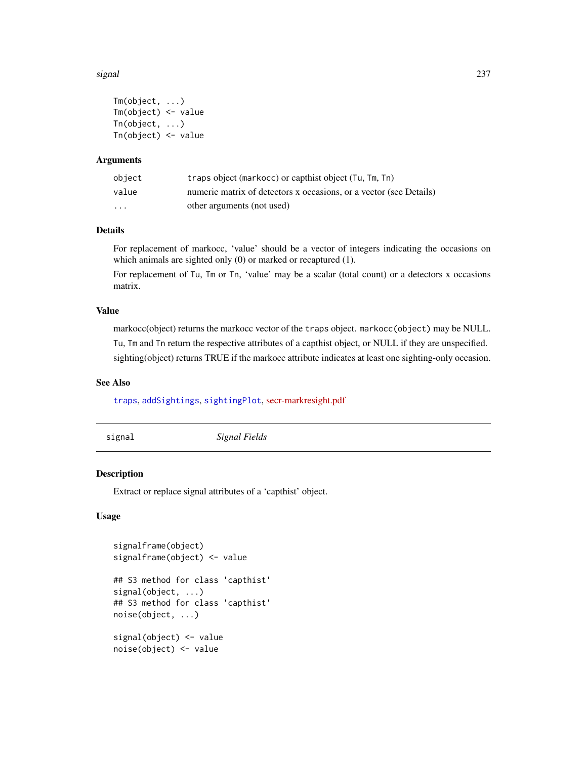#### signal 237

```
Tm(object, ...)
Tm(object) <- value
Tn(object, ...)
Tn(object) <- value
```
# **Arguments**

| object                  | traps object (markocc) or capthist object (Tu, Tm, Tn)             |
|-------------------------|--------------------------------------------------------------------|
| value                   | numeric matrix of detectors x occasions, or a vector (see Details) |
| $\cdot$ $\cdot$ $\cdot$ | other arguments (not used)                                         |

# Details

For replacement of markocc, 'value' should be a vector of integers indicating the occasions on which animals are sighted only (0) or marked or recaptured (1).

For replacement of Tu, Tm or Tn, 'value' may be a scalar (total count) or a detectors x occasions matrix.

# Value

markocc(object) returns the markocc vector of the traps object. markocc(object) may be NULL. Tu, Tm and Tn return the respective attributes of a capthist object, or NULL if they are unspecified. sighting(object) returns TRUE if the markocc attribute indicates at least one sighting-only occasion.

## See Also

# [traps](#page-287-0), [addSightings](#page-8-0), [sightingPlot](#page-298-0), [secr-markresight.pdf](https://www.otago.ac.nz/density/pdfs/secr-markresight.pdf)

signal *Signal Fields*

# Description

Extract or replace signal attributes of a 'capthist' object.

```
signalframe(object)
signalframe(object) <- value
## S3 method for class 'capthist'
signal(object, ...)
## S3 method for class 'capthist'
noise(object, ...)
signal(object) <- value
noise(object) <- value
```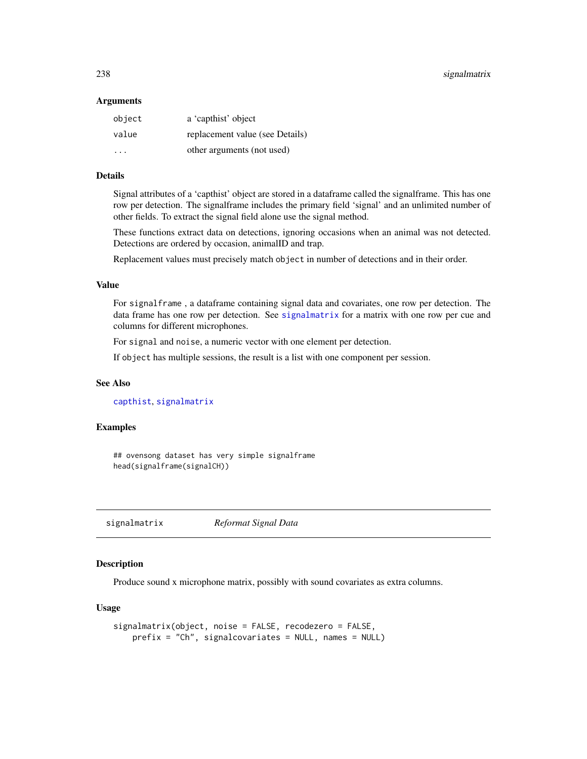#### **Arguments**

| object   | a 'capthist' object             |
|----------|---------------------------------|
| value    | replacement value (see Details) |
| $\cdots$ | other arguments (not used)      |

# Details

Signal attributes of a 'capthist' object are stored in a dataframe called the signalframe. This has one row per detection. The signalframe includes the primary field 'signal' and an unlimited number of other fields. To extract the signal field alone use the signal method.

These functions extract data on detections, ignoring occasions when an animal was not detected. Detections are ordered by occasion, animalID and trap.

Replacement values must precisely match object in number of detections and in their order.

#### Value

For signalframe , a dataframe containing signal data and covariates, one row per detection. The data frame has one row per detection. See [signalmatrix](#page-237-0) for a matrix with one row per cue and columns for different microphones.

For signal and noise, a numeric vector with one element per detection.

If object has multiple sessions, the result is a list with one component per session.

## See Also

[capthist](#page-24-0), [signalmatrix](#page-237-0)

# Examples

## ovensong dataset has very simple signalframe head(signalframe(signalCH))

<span id="page-237-0"></span>signalmatrix *Reformat Signal Data*

# Description

Produce sound x microphone matrix, possibly with sound covariates as extra columns.

```
signalmatrix(object, noise = FALSE, recodezero = FALSE,
   prefix = "Ch", signalcovariates = NULL, names = NULL)
```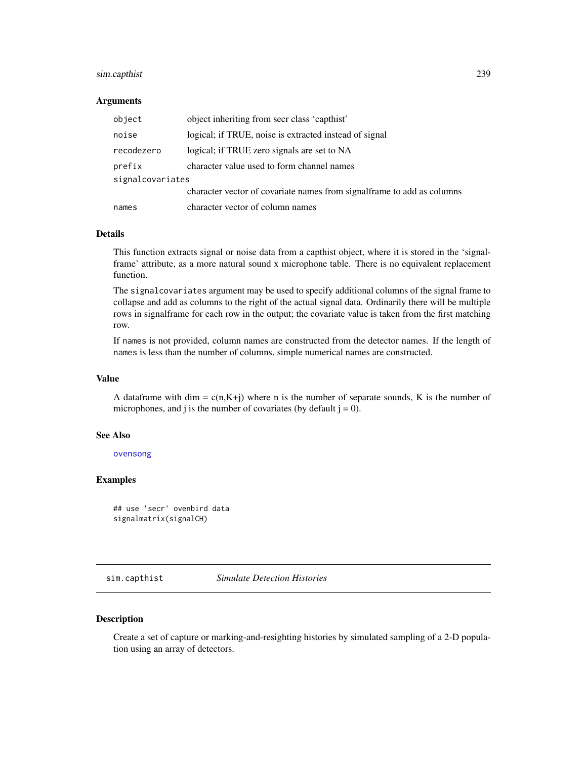# sim.capthist 239

#### **Arguments**

| object           | object inheriting from secr class 'capthist'                            |  |
|------------------|-------------------------------------------------------------------------|--|
| noise            | logical; if TRUE, noise is extracted instead of signal                  |  |
| recodezero       | logical; if TRUE zero signals are set to NA                             |  |
| prefix           | character value used to form channel names                              |  |
| signalcovariates |                                                                         |  |
|                  | character vector of covariate names from signal frame to add as columns |  |
| names            | character vector of column names                                        |  |

# Details

This function extracts signal or noise data from a capthist object, where it is stored in the 'signalframe' attribute, as a more natural sound x microphone table. There is no equivalent replacement function.

The signalcovariates argument may be used to specify additional columns of the signal frame to collapse and add as columns to the right of the actual signal data. Ordinarily there will be multiple rows in signalframe for each row in the output; the covariate value is taken from the first matching row.

If names is not provided, column names are constructed from the detector names. If the length of names is less than the number of columns, simple numerical names are constructed.

# Value

A dataframe with dim =  $c(n,K+j)$  where n is the number of separate sounds, K is the number of microphones, and j is the number of covariates (by default  $j = 0$ ).

# See Also

[ovensong](#page-140-0)

# Examples

```
## use 'secr' ovenbird data
signalmatrix(signalCH)
```
<span id="page-238-0"></span>sim.capthist *Simulate Detection Histories*

#### <span id="page-238-1"></span>Description

Create a set of capture or marking-and-resighting histories by simulated sampling of a 2-D population using an array of detectors.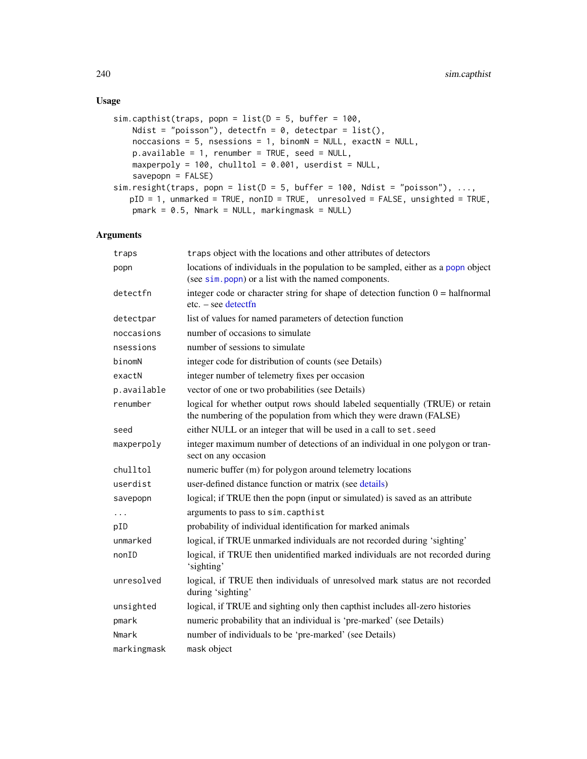# Usage

```
sim.capthist(traps, popn = list(D = 5, buffer = 100,Ndist = "poisson"), detectfn = 0, detectpar = list(),
   noccasions = 5, nsessions = 1, binomN = NULL, exactN = NULL,
   p.available = 1, renumber = TRUE, seed = NULL,
   maxperpoly = 100, chulltol = 0.001, userdist = NULL,
   savepopn = FALSE)
sim.resight(traps, popn = list(D = 5, buffer = 100, Ndist = "poisson"), ...,
   pID = 1, unmarked = TRUE, nonID = TRUE, unresolved = FALSE, unsighted = TRUE,
   pmark = 0.5, Nmark = NULL, markingmask = NULL)
```
## Arguments

| traps       | traps object with the locations and other attributes of detectors                                                                                  |
|-------------|----------------------------------------------------------------------------------------------------------------------------------------------------|
| popn        | locations of individuals in the population to be sampled, either as a popn object<br>(see sim. popn) or a list with the named components.          |
| detectfn    | integer code or character string for shape of detection function $0 = \text{halfnormal}$<br>$etc. - see detect$                                    |
| detectpar   | list of values for named parameters of detection function                                                                                          |
| noccasions  | number of occasions to simulate                                                                                                                    |
| nsessions   | number of sessions to simulate                                                                                                                     |
| binomN      | integer code for distribution of counts (see Details)                                                                                              |
| exactN      | integer number of telemetry fixes per occasion                                                                                                     |
| p.available | vector of one or two probabilities (see Details)                                                                                                   |
| renumber    | logical for whether output rows should labeled sequentially (TRUE) or retain<br>the numbering of the population from which they were drawn (FALSE) |
| seed        | either NULL or an integer that will be used in a call to set. seed                                                                                 |
| maxperpoly  | integer maximum number of detections of an individual in one polygon or tran-<br>sect on any occasion                                              |
| chulltol    | numeric buffer (m) for polygon around telemetry locations                                                                                          |
| userdist    | user-defined distance function or matrix (see details)                                                                                             |
| savepopn    | logical; if TRUE then the popn (input or simulated) is saved as an attribute                                                                       |
| .           | arguments to pass to sim. capthist                                                                                                                 |
| pID         | probability of individual identification for marked animals                                                                                        |
| unmarked    | logical, if TRUE unmarked individuals are not recorded during 'sighting'                                                                           |
| nonID       | logical, if TRUE then unidentified marked individuals are not recorded during<br>'sighting'                                                        |
| unresolved  | logical, if TRUE then individuals of unresolved mark status are not recorded<br>during 'sighting'                                                  |
| unsighted   | logical, if TRUE and sighting only then capthist includes all-zero histories                                                                       |
| pmark       | numeric probability that an individual is 'pre-marked' (see Details)                                                                               |
| Nmark       | number of individuals to be 'pre-marked' (see Details)                                                                                             |
| markingmask | mask object                                                                                                                                        |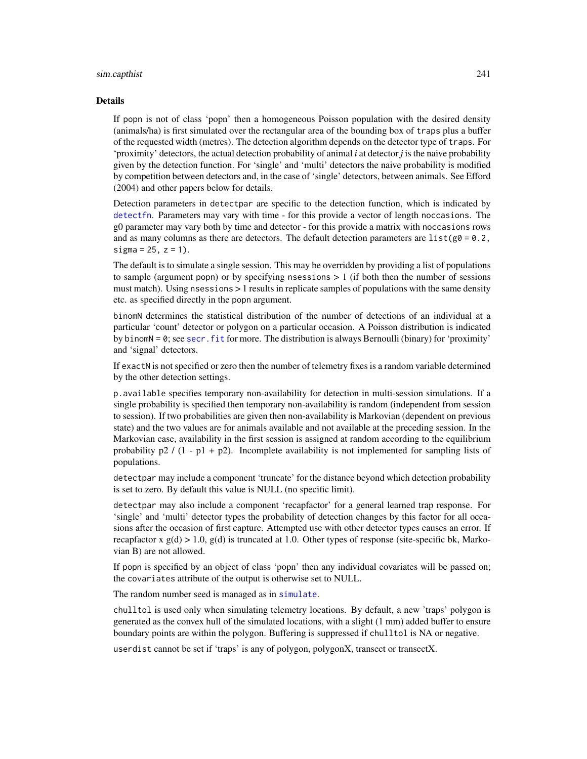#### sim.capthist 241

#### Details

If popn is not of class 'popn' then a homogeneous Poisson population with the desired density (animals/ha) is first simulated over the rectangular area of the bounding box of traps plus a buffer of the requested width (metres). The detection algorithm depends on the detector type of traps. For 'proximity' detectors, the actual detection probability of animal *i* at detector *j* is the naive probability given by the detection function. For 'single' and 'multi' detectors the naive probability is modified by competition between detectors and, in the case of 'single' detectors, between animals. See Efford (2004) and other papers below for details.

Detection parameters in detectpar are specific to the detection function, which is indicated by [detectfn](#page-54-0). Parameters may vary with time - for this provide a vector of length noccasions. The g0 parameter may vary both by time and detector - for this provide a matrix with noccasions rows and as many columns as there are detectors. The default detection parameters are list( $g0 = 0.2$ , sigma =  $25$ ,  $z = 1$ ).

The default is to simulate a single session. This may be overridden by providing a list of populations to sample (argument popn) or by specifying nsessions  $> 1$  (if both then the number of sessions must match). Using nsessions > 1 results in replicate samples of populations with the same density etc. as specified directly in the popn argument.

binomN determines the statistical distribution of the number of detections of an individual at a particular 'count' detector or polygon on a particular occasion. A Poisson distribution is indicated by binomN = 0; see [secr.fit](#page-218-0) for more. The distribution is always Bernoulli (binary) for 'proximity' and 'signal' detectors.

If exactN is not specified or zero then the number of telemetry fixes is a random variable determined by the other detection settings.

p.available specifies temporary non-availability for detection in multi-session simulations. If a single probability is specified then temporary non-availability is random (independent from session to session). If two probabilities are given then non-availability is Markovian (dependent on previous state) and the two values are for animals available and not available at the preceding session. In the Markovian case, availability in the first session is assigned at random according to the equilibrium probability  $p2 / (1 - p1 + p2)$ . Incomplete availability is not implemented for sampling lists of populations.

detectpar may include a component 'truncate' for the distance beyond which detection probability is set to zero. By default this value is NULL (no specific limit).

detectpar may also include a component 'recapfactor' for a general learned trap response. For 'single' and 'multi' detector types the probability of detection changes by this factor for all occasions after the occasion of first capture. Attempted use with other detector types causes an error. If recapfactor x  $g(d) > 1.0$ ,  $g(d)$  is truncated at 1.0. Other types of response (site-specific bk, Markovian B) are not allowed.

If popn is specified by an object of class 'popn' then any individual covariates will be passed on; the covariates attribute of the output is otherwise set to NULL.

The random number seed is managed as in [simulate](#page-247-1).

chulltol is used only when simulating telemetry locations. By default, a new 'traps' polygon is generated as the convex hull of the simulated locations, with a slight (1 mm) added buffer to ensure boundary points are within the polygon. Buffering is suppressed if chulltol is NA or negative.

userdist cannot be set if 'traps' is any of polygon, polygonX, transect or transectX.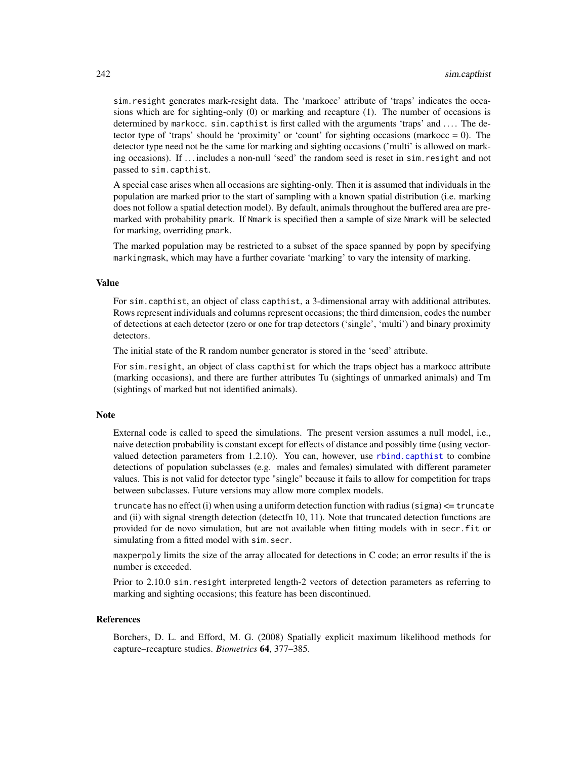sim.resight generates mark-resight data. The 'markocc' attribute of 'traps' indicates the occasions which are for sighting-only (0) or marking and recapture (1). The number of occasions is determined by markocc. sim.capthist is first called with the arguments 'traps' and .... The detector type of 'traps' should be 'proximity' or 'count' for sighting occasions (markocc  $= 0$ ). The detector type need not be the same for marking and sighting occasions ('multi' is allowed on marking occasions). If . . . includes a non-null 'seed' the random seed is reset in sim.resight and not passed to sim.capthist.

A special case arises when all occasions are sighting-only. Then it is assumed that individuals in the population are marked prior to the start of sampling with a known spatial distribution (i.e. marking does not follow a spatial detection model). By default, animals throughout the buffered area are premarked with probability pmark. If Nmark is specified then a sample of size Nmark will be selected for marking, overriding pmark.

The marked population may be restricted to a subset of the space spanned by popn by specifying markingmask, which may have a further covariate 'marking' to vary the intensity of marking.

#### Value

For sim.capthist, an object of class capthist, a 3-dimensional array with additional attributes. Rows represent individuals and columns represent occasions; the third dimension, codes the number of detections at each detector (zero or one for trap detectors ('single', 'multi') and binary proximity detectors.

The initial state of the R random number generator is stored in the 'seed' attribute.

For sim.resight, an object of class capthist for which the traps object has a markocc attribute (marking occasions), and there are further attributes Tu (sightings of unmarked animals) and Tm (sightings of marked but not identified animals).

#### Note

External code is called to speed the simulations. The present version assumes a null model, i.e., naive detection probability is constant except for effects of distance and possibly time (using vectorvalued detection parameters from 1.2.10). You can, however, use [rbind.capthist](#page-186-0) to combine detections of population subclasses (e.g. males and females) simulated with different parameter values. This is not valid for detector type "single" because it fails to allow for competition for traps between subclasses. Future versions may allow more complex models.

truncate has no effect (i) when using a uniform detection function with radius (sigma)  $\leq$  truncate and (ii) with signal strength detection (detectfn 10, 11). Note that truncated detection functions are provided for de novo simulation, but are not available when fitting models with in secr.fit or simulating from a fitted model with sim.secr.

maxperpoly limits the size of the array allocated for detections in C code; an error results if the is number is exceeded.

Prior to 2.10.0 sim.resight interpreted length-2 vectors of detection parameters as referring to marking and sighting occasions; this feature has been discontinued.

#### References

Borchers, D. L. and Efford, M. G. (2008) Spatially explicit maximum likelihood methods for capture–recapture studies. *Biometrics* 64, 377–385.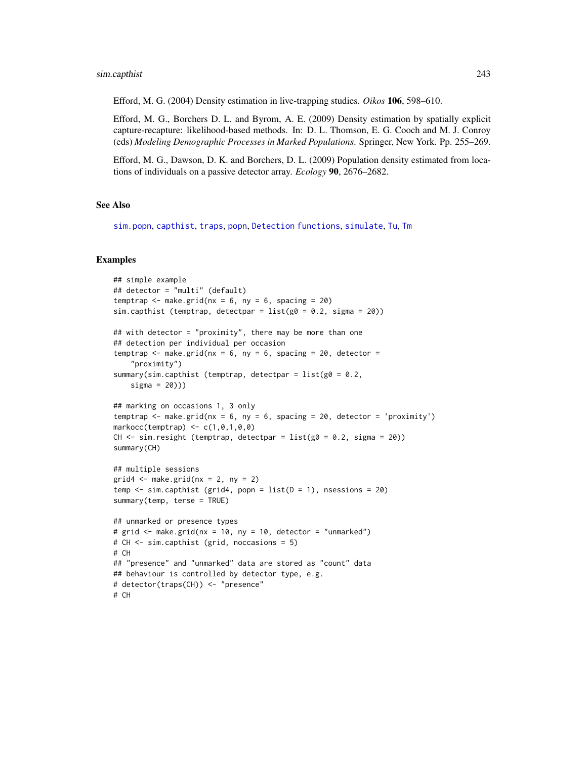Efford, M. G. (2004) Density estimation in live-trapping studies. *Oikos* 106, 598–610.

Efford, M. G., Borchers D. L. and Byrom, A. E. (2009) Density estimation by spatially explicit capture-recapture: likelihood-based methods. In: D. L. Thomson, E. G. Cooch and M. J. Conroy (eds) *Modeling Demographic Processes in Marked Populations*. Springer, New York. Pp. 255–269.

Efford, M. G., Dawson, D. K. and Borchers, D. L. (2009) Population density estimated from locations of individuals on a passive detector array. *Ecology* 90, 2676–2682.

# See Also

[sim.popn](#page-243-0), [capthist](#page-24-0), [traps](#page-287-0), [popn](#page-171-0), [Detection functions](#page-0-0), [simulate](#page-247-1), [Tu](#page-235-0), [Tm](#page-235-0)

## Examples

```
## simple example
## detector = "multi" (default)
temptrap \leq make.grid(nx = 6, ny = 6, spacing = 20)
sim.capthist (temptrap, detectpar = list(g0 = 0.2, sigma = 20))
## with detector = "proximity", there may be more than one
## detection per individual per occasion
temptrap \leq make.grid(nx = 6, ny = 6, spacing = 20, detector =
    "proximity")
summary(sim.capthist (temptrap, detectpar = list(g0 = 0.2,sigma = 20)))
## marking on occasions 1, 3 only
temptrap \le make.grid(nx = 6, ny = 6, spacing = 20, detector = 'proximity')
markocc(temptrap) <- c(1,0,1,0,0)
CH \le sim.resight (temptrap, detectpar = list(g0 = 0.2, sigma = 20))
summary(CH)
## multiple sessions
grid4 \leq make.grid(nx = 2, ny = 2)temp \le sim.capthist (grid4, popn = list(D = 1), nsessions = 20)
summary(temp, terse = TRUE)
## unmarked or presence types
# grid <- make.grid(nx = 10, ny = 10, detector = "unmarked")
# CH <- sim.capthist (grid, noccasions = 5)
# CH
## "presence" and "unmarked" data are stored as "count" data
## behaviour is controlled by detector type, e.g.
# detector(traps(CH)) <- "presence"
# CH
```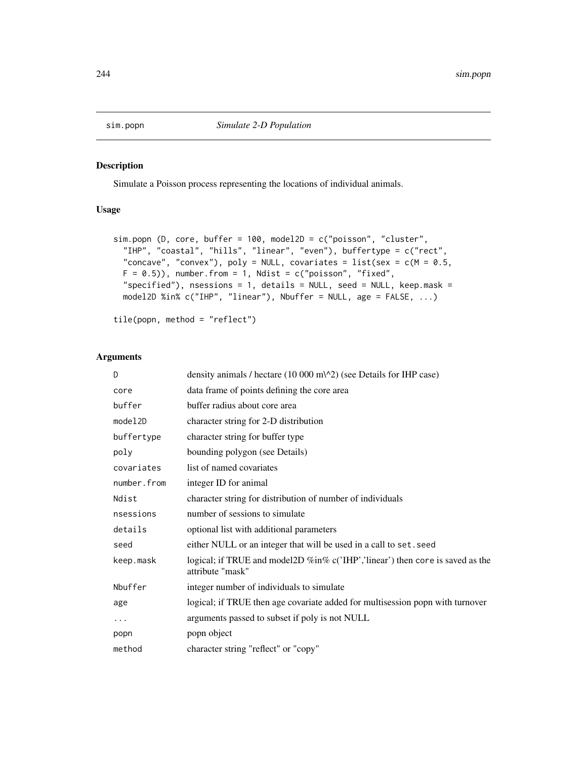<span id="page-243-0"></span>

# Description

Simulate a Poisson process representing the locations of individual animals.

# Usage

```
sim.popn (D, core, buffer = 100, model2D = c("poisson", "cluster",
  "IHP", "coastal", "hills", "linear", "even"), buffertype = c("rect",
  "concave", "convex"), poly = NULL, covariates = list(sex = c(M = 0.5,F = 0.5)), number.from = 1, Ndist = c("poisson", "fixed",
  "specified"), nsessions = 1, details = NULL, seed = NULL, keep.mask =
 model2D %in% c("IHP", "linear"), Nbuffer = NULL, age = FALSE, ...)
```

```
tile(popn, method = "reflect")
```
# Arguments

| D           | density animals / hectare $(10\ 000\ m\text{/}2)$ (see Details for IHP case)                      |
|-------------|---------------------------------------------------------------------------------------------------|
| core        | data frame of points defining the core area                                                       |
| buffer      | buffer radius about core area                                                                     |
| model2D     | character string for 2-D distribution                                                             |
| buffertype  | character string for buffer type                                                                  |
| poly        | bounding polygon (see Details)                                                                    |
| covariates  | list of named covariates                                                                          |
| number.from | integer ID for animal                                                                             |
| Ndist       | character string for distribution of number of individuals                                        |
| nsessions   | number of sessions to simulate                                                                    |
| details     | optional list with additional parameters                                                          |
| seed        | either NULL or an integer that will be used in a call to set. seed                                |
| keep.mask   | logical; if TRUE and model2D %in% c('IHP','linear') then core is saved as the<br>attribute "mask" |
| Nbuffer     | integer number of individuals to simulate                                                         |
| age         | logical; if TRUE then age covariate added for multisession popn with turnover                     |
| $\cdots$    | arguments passed to subset if poly is not NULL                                                    |
| popn        | popn object                                                                                       |
| method      | character string "reflect" or "copy"                                                              |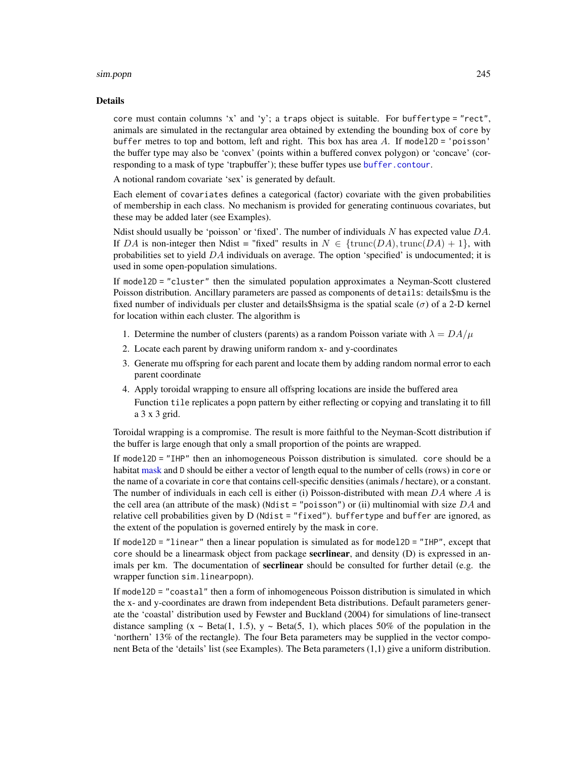#### sim.popn 245

#### Details

core must contain columns 'x' and 'y'; a traps object is suitable. For buffertype = "rect", animals are simulated in the rectangular area obtained by extending the bounding box of core by buffer metres to top and bottom, left and right. This box has area  $A$ . If model2D = 'poisson' the buffer type may also be 'convex' (points within a buffered convex polygon) or 'concave' (corresponding to a mask of type 'trapbuffer'); these buffer types use [buffer.contour](#page-38-0).

A notional random covariate 'sex' is generated by default.

Each element of covariates defines a categorical (factor) covariate with the given probabilities of membership in each class. No mechanism is provided for generating continuous covariates, but these may be added later (see Examples).

Ndist should usually be 'poisson' or 'fixed'. The number of individuals  $N$  has expected value  $DA$ . If DA is non-integer then Ndist = "fixed" results in  $N \in \{\text{trunc}(DA), \text{trunc}(DA) + 1\}$ , with probabilities set to yield  $DA$  individuals on average. The option 'specified' is undocumented; it is used in some open-population simulations.

If model2D = "cluster" then the simulated population approximates a Neyman-Scott clustered Poisson distribution. Ancillary parameters are passed as components of details: details\$mu is the fixed number of individuals per cluster and details\$hsigma is the spatial scale ( $\sigma$ ) of a 2-D kernel for location within each cluster. The algorithm is

- 1. Determine the number of clusters (parents) as a random Poisson variate with  $\lambda = DA/\mu$
- 2. Locate each parent by drawing uniform random x- and y-coordinates
- 3. Generate mu offspring for each parent and locate them by adding random normal error to each parent coordinate
- 4. Apply toroidal wrapping to ensure all offspring locations are inside the buffered area Function tile replicates a popn pattern by either reflecting or copying and translating it to fill a 3 x 3 grid.

Toroidal wrapping is a compromise. The result is more faithful to the Neyman-Scott distribution if the buffer is large enough that only a small proportion of the points are wrapped.

If model2D = "IHP" then an inhomogeneous Poisson distribution is simulated. core should be a habitat [mask](#page-127-0) and D should be either a vector of length equal to the number of cells (rows) in core or the name of a covariate in core that contains cell-specific densities (animals / hectare), or a constant. The number of individuals in each cell is either (i) Poisson-distributed with mean  $DA$  where A is the cell area (an attribute of the mask) (Ndist = "poisson") or (ii) multinomial with size  $DA$  and relative cell probabilities given by D (Ndist = "fixed"). buffertype and buffer are ignored, as the extent of the population is governed entirely by the mask in core.

If model2D = "linear" then a linear population is simulated as for model2D = "IHP", except that core should be a linearmask object from package secrlinear, and density  $(D)$  is expressed in animals per km. The documentation of **secrlinear** should be consulted for further detail (e.g. the wrapper function sim.linearpopn).

If model2D = "coastal" then a form of inhomogeneous Poisson distribution is simulated in which the x- and y-coordinates are drawn from independent Beta distributions. Default parameters generate the 'coastal' distribution used by Fewster and Buckland (2004) for simulations of line-transect distance sampling  $(x \sim Beta(1, 1.5), y \sim Beta(5, 1))$ , which places 50% of the population in the 'northern' 13% of the rectangle). The four Beta parameters may be supplied in the vector component Beta of the 'details' list (see Examples). The Beta parameters (1,1) give a uniform distribution.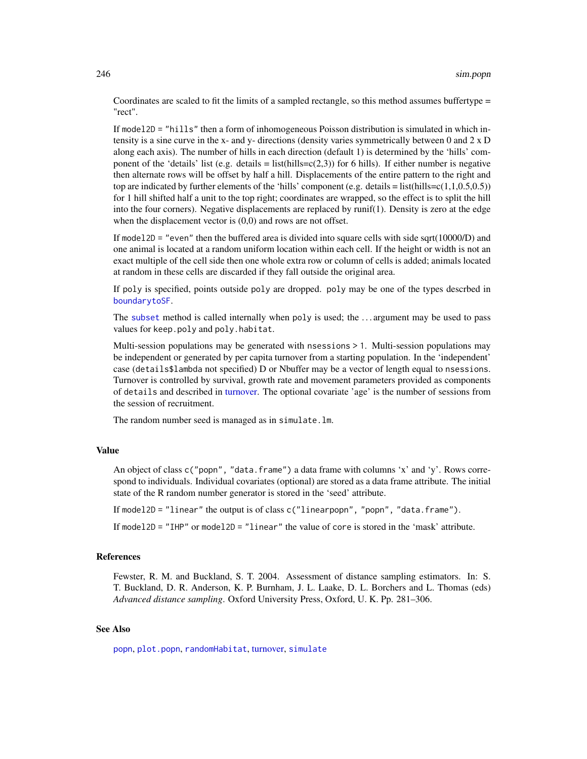Coordinates are scaled to fit the limits of a sampled rectangle, so this method assumes buffertype = "rect".

If model2D = "hills" then a form of inhomogeneous Poisson distribution is simulated in which intensity is a sine curve in the x- and y- directions (density varies symmetrically between 0 and 2 x D along each axis). The number of hills in each direction (default 1) is determined by the 'hills' component of the 'details' list (e.g. details = list(hills= $c(2,3)$ ) for 6 hills). If either number is negative then alternate rows will be offset by half a hill. Displacements of the entire pattern to the right and top are indicated by further elements of the 'hills' component (e.g. details = list(hills=c(1,1,0.5,0.5)) for 1 hill shifted half a unit to the top right; coordinates are wrapped, so the effect is to split the hill into the four corners). Negative displacements are replaced by runif(1). Density is zero at the edge when the displacement vector is  $(0,0)$  and rows are not offset.

If model2D = "even" then the buffered area is divided into square cells with side sqrt(10000/D) and one animal is located at a random uniform location within each cell. If the height or width is not an exact multiple of the cell side then one whole extra row or column of cells is added; animals located at random in these cells are discarded if they fall outside the original area.

If poly is specified, points outside poly are dropped. poly may be one of the types descrbed in [boundarytoSF](#page-97-0).

The [subset](#page-0-0) method is called internally when poly is used; the . . . argument may be used to pass values for keep.poly and poly.habitat.

Multi-session populations may be generated with nsessions > 1. Multi-session populations may be independent or generated by per capita turnover from a starting population. In the 'independent' case (details\$lambda not specified) D or Nbuffer may be a vector of length equal to nsessions. Turnover is controlled by survival, growth rate and movement parameters provided as components of details and described in [turnover.](#page-292-0) The optional covariate 'age' is the number of sessions from the session of recruitment.

The random number seed is managed as in simulate.lm.

## Value

An object of class c("popn", "data.frame") a data frame with columns 'x' and 'y'. Rows correspond to individuals. Individual covariates (optional) are stored as a data frame attribute. The initial state of the R random number generator is stored in the 'seed' attribute.

If model2D = "linear" the output is of class c("linearpopn", "popn", "data.frame").

If model2D = "IHP" or model2D = "linear" the value of core is stored in the 'mask' attribute.

# References

Fewster, R. M. and Buckland, S. T. 2004. Assessment of distance sampling estimators. In: S. T. Buckland, D. R. Anderson, K. P. Burnham, J. L. Laake, D. L. Borchers and L. Thomas (eds) *Advanced distance sampling*. Oxford University Press, Oxford, U. K. Pp. 281–306.

#### See Also

[popn](#page-171-0), [plot.popn](#page-162-0), [randomHabitat](#page-182-0), [turnover,](#page-292-0) [simulate](#page-247-1)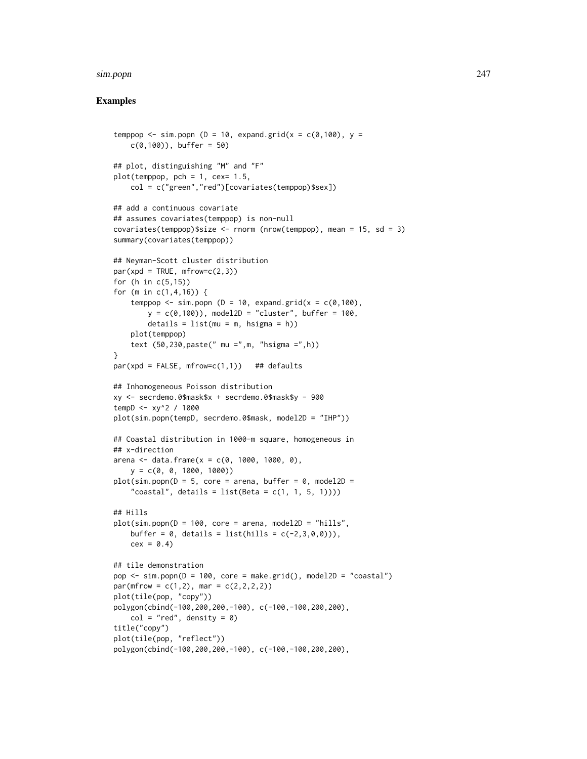#### sim.popn 247

# Examples

```
temppop \le sim.popn (D = 10, expand.grid(x = c(0,100), y =
   c(0,100), buffer = 50)
## plot, distinguishing "M" and "F"
plot(temppop, pch = 1, cex = 1.5,col = c("green","red")[covariates(temppop)$sex])
## add a continuous covariate
## assumes covariates(temppop) is non-null
covariates(temppop)$size <- rnorm (nrow(temppop), mean = 15, sd = 3)
summary(covariates(temppop))
## Neyman-Scott cluster distribution
par(xpd = TRUE, mfrow=c(2,3))for (h in c(5,15))
for (m in c(1,4,16)) {
    temppop \le sim.popn (D = 10, expand.grid(x = c(0,100),
        y = c(0,100), model2D = "cluster", buffer = 100,
        details = list(mu = m, hsigma = h))plot(temppop)
    text (50,230,paste(" mu =",m, "hsigma =",h))
}
par(xpd = FALSE, mfrow=c(1,1)) ## defaults
## Inhomogeneous Poisson distribution
xy <- secrdemo.0$mask$x + secrdemo.0$mask$y - 900
tempD <- xy^2 / 1000
plot(sim.popn(tempD, secrdemo.0$mask, model2D = "IHP"))
## Coastal distribution in 1000-m square, homogeneous in
## x-direction
arena <- data.frame(x = c(0, 1000, 1000, 0),
    y = c(0, 0, 1000, 1000)plot(sim.popn(D = 5, core = arena, buffer = 0, model2D ="coastal", details = list(Beta = c(1, 1, 5, 1))))
## Hills
plot(sim.popn(D = 100, core = arena, model2D = "hills",buffer = 0, details = list(hills = c(-2, 3, 0, 0))),
    cex = 0.4## tile demonstration
pop \leq -sim(p) = 100, core = make.grid(), model2D = "coastal")
par(mfrow = c(1,2), mar = c(2,2,2,2))plot(tile(pop, "copy"))
polygon(cbind(-100,200,200,-100), c(-100,-100,200,200),
    col = "red", density = 0)title("copy")
plot(tile(pop, "reflect"))
polygon(cbind(-100,200,200,-100), c(-100,-100,200,200),
```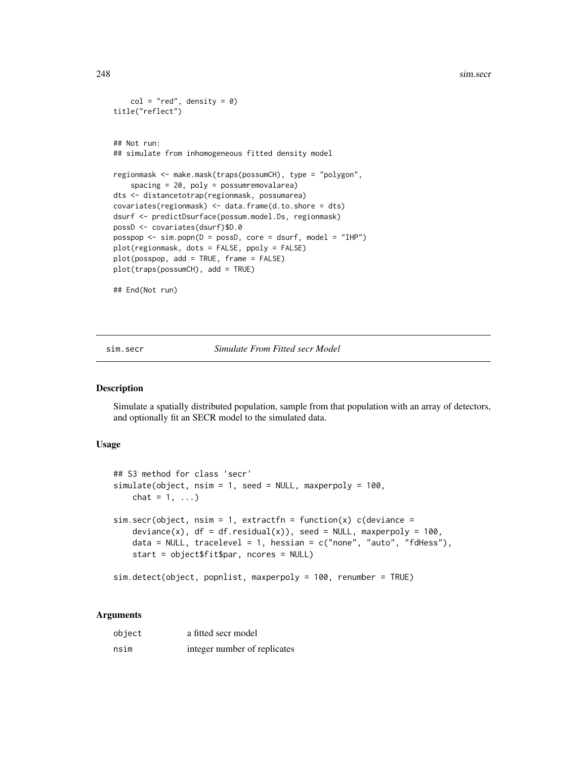```
col = "red", density = 0)title("reflect")
## Not run:
## simulate from inhomogeneous fitted density model
regionmask <- make.mask(traps(possumCH), type = "polygon",
    spacing = 20, poly = possumremovalarea)
dts <- distancetotrap(regionmask, possumarea)
covariates(regionmask) <- data.frame(d.to.shore = dts)
dsurf <- predictDsurface(possum.model.Ds, regionmask)
possD <- covariates(dsurf)$D.0
posspop <- sim.popn(D = possD, core = dsurf, model = "IHP")
plot(regionmask, dots = FALSE, ppoly = FALSE)
plot(posspop, add = TRUE, frame = FALSE)
plot(traps(possumCH), add = TRUE)
## End(Not run)
```
<span id="page-247-0"></span>sim.secr *Simulate From Fitted secr Model*

# <span id="page-247-1"></span>Description

Simulate a spatially distributed population, sample from that population with an array of detectors, and optionally fit an SECR model to the simulated data.

# Usage

```
## S3 method for class 'secr'
simulate(object, nsim = 1, seed = NULL, maxperpoly = 100,
   chat = 1, ...)
sim.secr(object, nsim = 1, extractfn = function(x) c(deviance =deviance(x), df = df.residual(x)), seed = NULL, maxperpoly = 100,
    data = NULL, tracelevel = 1, hessian = c("none", "auto", "fdHess"),start = object$fit$par, ncores = NULL)
```

```
sim.detect(object, popnlist, maxperpoly = 100, renumber = TRUE)
```
# Arguments

| object | a fitted secr model          |
|--------|------------------------------|
| nsim   | integer number of replicates |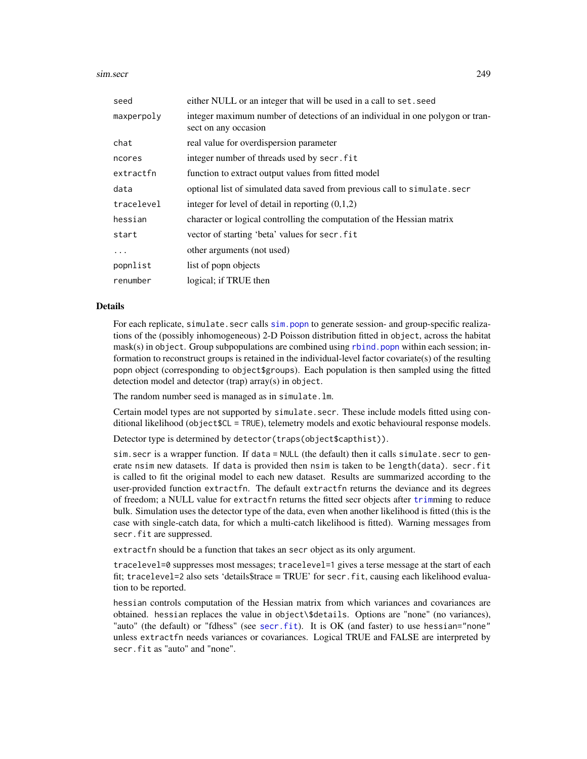sim.secr 249

| seed       | either NULL or an integer that will be used in a call to set. seed                                    |
|------------|-------------------------------------------------------------------------------------------------------|
| maxperpoly | integer maximum number of detections of an individual in one polygon or tran-<br>sect on any occasion |
| chat       | real value for overdispersion parameter                                                               |
| ncores     | integer number of threads used by secr. fit                                                           |
| extractfn  | function to extract output values from fitted model                                                   |
| data       | optional list of simulated data saved from previous call to simulate. secr                            |
| tracelevel | integer for level of detail in reporting $(0,1,2)$                                                    |
| hessian    | character or logical controlling the computation of the Hessian matrix                                |
| start      | vector of starting 'beta' values for secr. fit                                                        |
| $\ddots$ . | other arguments (not used)                                                                            |
| popnlist   | list of popp objects                                                                                  |
| renumber   | logical; if TRUE then                                                                                 |

#### Details

For each replicate, simulate. secr calls sim. popn to generate session- and group-specific realizations of the (possibly inhomogeneous) 2-D Poisson distribution fitted in object, across the habitat  $mask(s)$  in object. Group subpopulations are combined using  $rbind$ , popn within each session; information to reconstruct groups is retained in the individual-level factor covariate(s) of the resulting popn object (corresponding to object\$groups). Each population is then sampled using the fitted detection model and detector (trap) array(s) in object.

The random number seed is managed as in simulate.lm.

Certain model types are not supported by simulate.secr. These include models fitted using conditional likelihood (object\$CL = TRUE), telemetry models and exotic behavioural response models.

Detector type is determined by detector(traps(object\$capthist)).

sim.secr is a wrapper function. If data = NULL (the default) then it calls simulate.secr to generate nsim new datasets. If data is provided then nsim is taken to be length(data). secr.fit is called to fit the original model to each new dataset. Results are summarized according to the user-provided function extractfn. The default extractfn returns the deviance and its degrees of freedom; a NULL value for extractfn returns the fitted secr objects after [trim](#page-290-0)ming to reduce bulk. Simulation uses the detector type of the data, even when another likelihood is fitted (this is the case with single-catch data, for which a multi-catch likelihood is fitted). Warning messages from secr.fit are suppressed.

extractfn should be a function that takes an secr object as its only argument.

tracelevel=0 suppresses most messages; tracelevel=1 gives a terse message at the start of each fit; tracelevel=2 also sets 'details\$trace = TRUE' for secr.fit, causing each likelihood evaluation to be reported.

hessian controls computation of the Hessian matrix from which variances and covariances are obtained. hessian replaces the value in object\\$details. Options are "none" (no variances), "auto" (the default) or "fdhess" (see [secr.fit](#page-218-0)). It is OK (and faster) to use hessian="none" unless extractfn needs variances or covariances. Logical TRUE and FALSE are interpreted by secr.fit as "auto" and "none".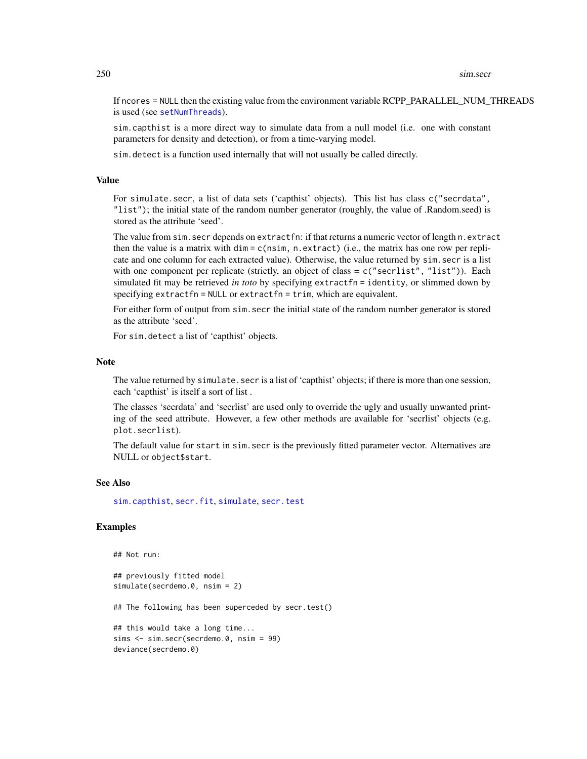If ncores = NULL then the existing value from the environment variable RCPP\_PARALLEL\_NUM\_THREADS is used (see [setNumThreads](#page-233-0)).

sim.capthist is a more direct way to simulate data from a null model (i.e. one with constant parameters for density and detection), or from a time-varying model.

sim.detect is a function used internally that will not usually be called directly.

# Value

For simulate.secr, a list of data sets ('capthist' objects). This list has class c("secrdata", "list"); the initial state of the random number generator (roughly, the value of .Random.seed) is stored as the attribute 'seed'.

The value from sim.secr depends on extractfn: if that returns a numeric vector of length n.extract then the value is a matrix with dim = c(nsim, n.extract) (i.e., the matrix has one row per replicate and one column for each extracted value). Otherwise, the value returned by sim.secr is a list with one component per replicate (strictly, an object of class =  $c("secretist", "list"))$ . Each simulated fit may be retrieved *in toto* by specifying extractfn = identity, or slimmed down by specifying extractfn = NULL or extractfn = trim, which are equivalent.

For either form of output from sim.secr the initial state of the random number generator is stored as the attribute 'seed'.

For sim.detect a list of 'capthist' objects.

#### **Note**

The value returned by simulate. secr is a list of 'capthist' objects; if there is more than one session, each 'capthist' is itself a sort of list .

The classes 'secrdata' and 'secrlist' are used only to override the ugly and usually unwanted printing of the seed attribute. However, a few other methods are available for 'secrlist' objects (e.g. plot.secrlist).

The default value for start in sim. secr is the previously fitted parameter vector. Alternatives are NULL or object\$start.

#### See Also

[sim.capthist](#page-238-0), [secr.fit](#page-218-0), [simulate](#page-247-1), [secr.test](#page-224-0)

# Examples

```
## Not run:
```

```
## previously fitted model
simulate(secrdemo.0, nsim = 2)
## The following has been superceded by secr.test()
## this would take a long time...
sims <- sim.secr(secrdemo.0, nsim = 99)
deviance(secrdemo.0)
```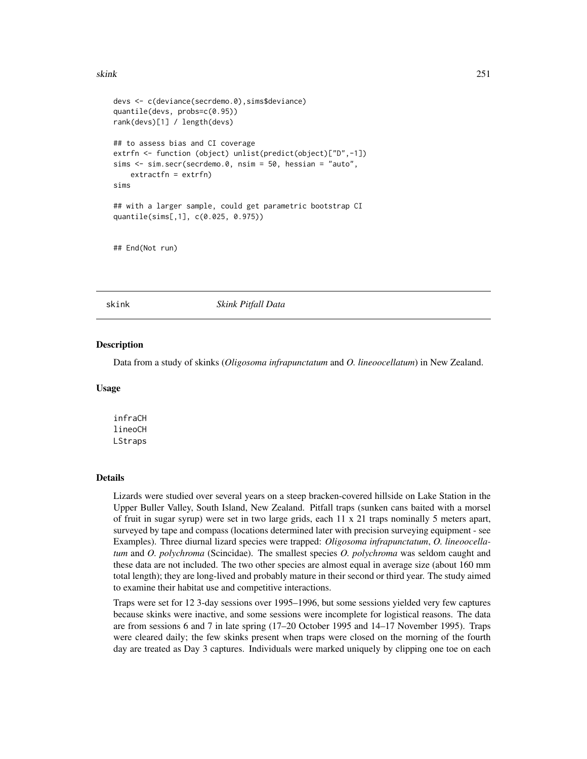#### skink 251

```
devs <- c(deviance(secrdemo.0),sims$deviance)
quantile(devs, probs=c(0.95))
rank(devs)[1] / length(devs)
## to assess bias and CI coverage
extrfn <- function (object) unlist(predict(object)["D",-1])
sims <- sim.secr(secrdemo.0, nsim = 50, hessian = "auto",
    extractfn = extrfn)
sims
## with a larger sample, could get parametric bootstrap CI
quantile(sims[,1], c(0.025, 0.975))
```
## End(Not run)

skink *Skink Pitfall Data*

#### **Description**

Data from a study of skinks (*Oligosoma infrapunctatum* and *O. lineoocellatum*) in New Zealand.

### Usage

infraCH lineoCH LStraps

#### Details

Lizards were studied over several years on a steep bracken-covered hillside on Lake Station in the Upper Buller Valley, South Island, New Zealand. Pitfall traps (sunken cans baited with a morsel of fruit in sugar syrup) were set in two large grids, each 11 x 21 traps nominally 5 meters apart, surveyed by tape and compass (locations determined later with precision surveying equipment - see Examples). Three diurnal lizard species were trapped: *Oligosoma infrapunctatum*, *O. lineoocellatum* and *O. polychroma* (Scincidae). The smallest species *O. polychroma* was seldom caught and these data are not included. The two other species are almost equal in average size (about 160 mm total length); they are long-lived and probably mature in their second or third year. The study aimed to examine their habitat use and competitive interactions.

Traps were set for 12 3-day sessions over 1995–1996, but some sessions yielded very few captures because skinks were inactive, and some sessions were incomplete for logistical reasons. The data are from sessions 6 and 7 in late spring (17–20 October 1995 and 14–17 November 1995). Traps were cleared daily; the few skinks present when traps were closed on the morning of the fourth day are treated as Day 3 captures. Individuals were marked uniquely by clipping one toe on each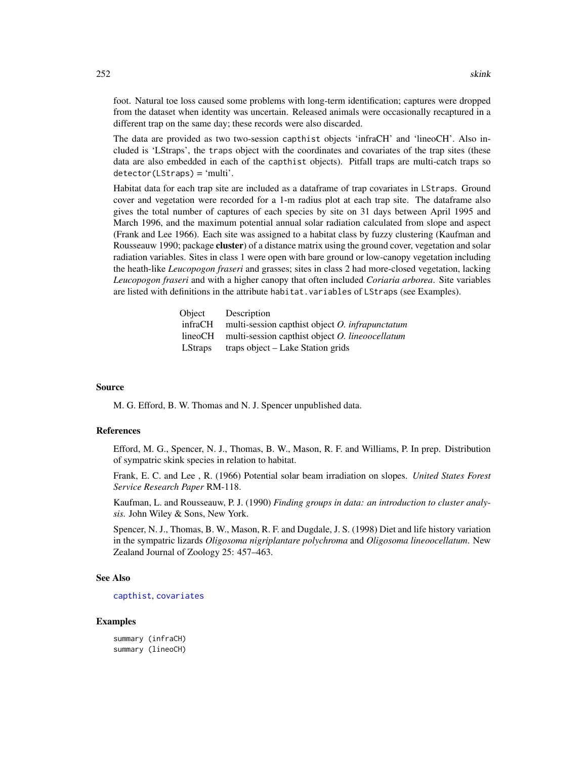foot. Natural toe loss caused some problems with long-term identification; captures were dropped from the dataset when identity was uncertain. Released animals were occasionally recaptured in a different trap on the same day; these records were also discarded.

The data are provided as two two-session capthist objects 'infraCH' and 'lineoCH'. Also included is 'LStraps', the traps object with the coordinates and covariates of the trap sites (these data are also embedded in each of the capthist objects). Pitfall traps are multi-catch traps so detector(LStraps) = 'multi'.

Habitat data for each trap site are included as a dataframe of trap covariates in LStraps. Ground cover and vegetation were recorded for a 1-m radius plot at each trap site. The dataframe also gives the total number of captures of each species by site on 31 days between April 1995 and March 1996, and the maximum potential annual solar radiation calculated from slope and aspect (Frank and Lee 1966). Each site was assigned to a habitat class by fuzzy clustering (Kaufman and Rousseauw 1990; package cluster) of a distance matrix using the ground cover, vegetation and solar radiation variables. Sites in class 1 were open with bare ground or low-canopy vegetation including the heath-like *Leucopogon fraseri* and grasses; sites in class 2 had more-closed vegetation, lacking *Leucopogon fraseri* and with a higher canopy that often included *Coriaria arborea*. Site variables are listed with definitions in the attribute habitat.variables of LStraps (see Examples).

| Object         | Description                                            |
|----------------|--------------------------------------------------------|
| infraCH        | multi-session capthist object $O$ . infrapunctatum     |
| lineoCH        | multi-session capthist object <i>O. lineoocellatum</i> |
| <b>LStraps</b> | traps object – Lake Station grids                      |

#### Source

M. G. Efford, B. W. Thomas and N. J. Spencer unpublished data.

## References

Efford, M. G., Spencer, N. J., Thomas, B. W., Mason, R. F. and Williams, P. In prep. Distribution of sympatric skink species in relation to habitat.

Frank, E. C. and Lee , R. (1966) Potential solar beam irradiation on slopes. *United States Forest Service Research Paper* RM-118.

Kaufman, L. and Rousseauw, P. J. (1990) *Finding groups in data: an introduction to cluster analysis.* John Wiley & Sons, New York.

Spencer, N. J., Thomas, B. W., Mason, R. F. and Dugdale, J. S. (1998) Diet and life history variation in the sympatric lizards *Oligosoma nigriplantare polychroma* and *Oligosoma lineoocellatum*. New Zealand Journal of Zoology 25: 457–463.

# See Also

[capthist](#page-24-0), [covariates](#page-41-0)

#### Examples

summary (infraCH) summary (lineoCH)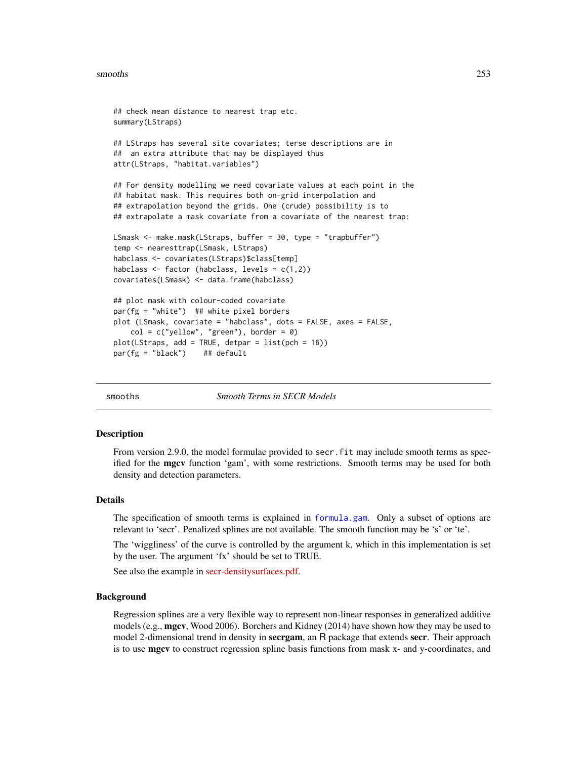#### smooths 253

```
## check mean distance to nearest trap etc.
summary(LStraps)
## LStraps has several site covariates; terse descriptions are in
## an extra attribute that may be displayed thus
attr(LStraps, "habitat.variables")
## For density modelling we need covariate values at each point in the
## habitat mask. This requires both on-grid interpolation and
## extrapolation beyond the grids. One (crude) possibility is to
## extrapolate a mask covariate from a covariate of the nearest trap:
LSmask <- make.mask(LStraps, buffer = 30, type = "trapbuffer")
temp <- nearesttrap(LSmask, LStraps)
habclass <- covariates(LStraps)$class[temp]
habclass <- factor (habclass, levels = c(1,2))
covariates(LSmask) <- data.frame(habclass)
## plot mask with colour-coded covariate
par(fg = "white") ## white pixel borders
plot (LSmask, covariate = "habclass", dots = FALSE, axes = FALSE,
   col = c("yellow", "green"), border = 0)plot(LStraps, add = TRUE, detpar = list(pch = 16))
par(fg = "black") ## default
```
smooths *Smooth Terms in SECR Models*

#### **Description**

From version 2.9.0, the model formulae provided to secr. fit may include smooth terms as specified for the **mgcv** function 'gam', with some restrictions. Smooth terms may be used for both density and detection parameters.

#### Details

The specification of smooth terms is explained in [formula.gam](#page-0-0). Only a subset of options are relevant to 'secr'. Penalized splines are not available. The smooth function may be 's' or 'te'.

The 'wiggliness' of the curve is controlled by the argument k, which in this implementation is set by the user. The argument 'fx' should be set to TRUE.

See also the example in [secr-densitysurfaces.pdf.](https://www.otago.ac.nz/density/pdfs/secr-densitysurfaces.pdf)

#### Background

Regression splines are a very flexible way to represent non-linear responses in generalized additive models (e.g., mgcv, Wood 2006). Borchers and Kidney (2014) have shown how they may be used to model 2-dimensional trend in density in **secrgam**, an R package that extends **secr**. Their approach is to use **mgcv** to construct regression spline basis functions from mask x- and y-coordinates, and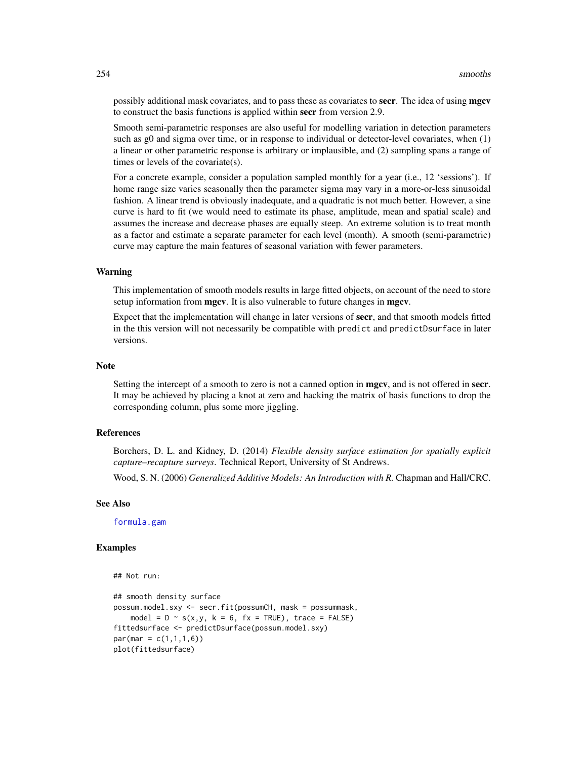possibly additional mask covariates, and to pass these as covariates to **secr**. The idea of using **mgcv** to construct the basis functions is applied within secr from version 2.9.

Smooth semi-parametric responses are also useful for modelling variation in detection parameters such as g0 and sigma over time, or in response to individual or detector-level covariates, when (1) a linear or other parametric response is arbitrary or implausible, and (2) sampling spans a range of times or levels of the covariate(s).

For a concrete example, consider a population sampled monthly for a year (i.e., 12 'sessions'). If home range size varies seasonally then the parameter sigma may vary in a more-or-less sinusoidal fashion. A linear trend is obviously inadequate, and a quadratic is not much better. However, a sine curve is hard to fit (we would need to estimate its phase, amplitude, mean and spatial scale) and assumes the increase and decrease phases are equally steep. An extreme solution is to treat month as a factor and estimate a separate parameter for each level (month). A smooth (semi-parametric) curve may capture the main features of seasonal variation with fewer parameters.

## Warning

This implementation of smooth models results in large fitted objects, on account of the need to store setup information from **mgcv**. It is also vulnerable to future changes in **mgcv**.

Expect that the implementation will change in later versions of secr, and that smooth models fitted in the this version will not necessarily be compatible with predict and predictDsurface in later versions.

#### **Note**

Setting the intercept of a smooth to zero is not a canned option in **mgcv**, and is not offered in **secr**. It may be achieved by placing a knot at zero and hacking the matrix of basis functions to drop the corresponding column, plus some more jiggling.

# References

Borchers, D. L. and Kidney, D. (2014) *Flexible density surface estimation for spatially explicit capture–recapture surveys*. Technical Report, University of St Andrews.

Wood, S. N. (2006) *Generalized Additive Models: An Introduction with R.* Chapman and Hall/CRC.

## See Also

[formula.gam](#page-0-0)

```
## Not run:
```

```
## smooth density surface
possum.model.sxy <- secr.fit(possumCH, mask = possummask,
    model = D \sim s(x, y, k = 6, fx = TRUE), trace = FALSE)
fittedsurface <- predictDsurface(possum.model.sxy)
par(max = c(1, 1, 1, 6))plot(fittedsurface)
```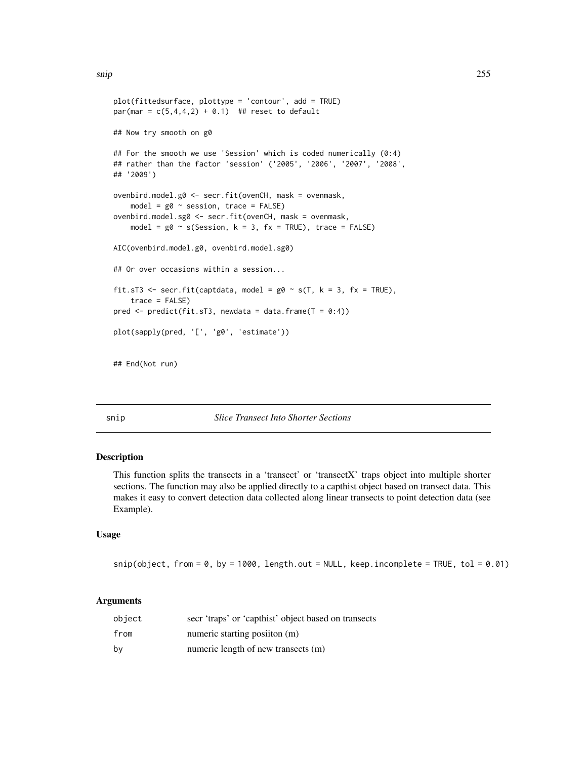```
plot(fittedsurface, plottype = 'contour', add = TRUE)
par(max = c(5, 4, 4, 2) + 0.1) ## reset to default
## Now try smooth on g0
## For the smooth we use 'Session' which is coded numerically (0:4)
## rather than the factor 'session' ('2005', '2006', '2007', '2008',
## '2009')
ovenbird.model.g0 <- secr.fit(ovenCH, mask = ovenmask,
    model = g0 \sim session, trace = FALSE)
ovenbird.model.sg0 <- secr.fit(ovenCH, mask = ovenmask,
    model = g0 \sim s(Session, k = 3, fx = TRUE), trace = FALSE)
AIC(ovenbird.model.g0, ovenbird.model.sg0)
## Or over occasions within a session...
fit.sT3 <- secr.fit(captdata, model = g0 \sim s(T, k = 3, fx = TRUE),
    trace = FALSE)
pred \leq predict(fit.sT3, newdata = data.frame(T = 0:4))
plot(sapply(pred, '[', 'g0', 'estimate'))
## End(Not run)
```
#### snip *Slice Transect Into Shorter Sections*

## Description

This function splits the transects in a 'transect' or 'transectX' traps object into multiple shorter sections. The function may also be applied directly to a capthist object based on transect data. This makes it easy to convert detection data collected along linear transects to point detection data (see Example).

## Usage

 $snip(object, from = 0, by = 1000, length.out = NULL, keep.incomplete = TRUE, tol = 0.01)$ 

| object | secr 'traps' or 'capthist' object based on transects |
|--------|------------------------------------------------------|
| from   | numeric starting position (m)                        |
| bv     | numeric length of new transects (m)                  |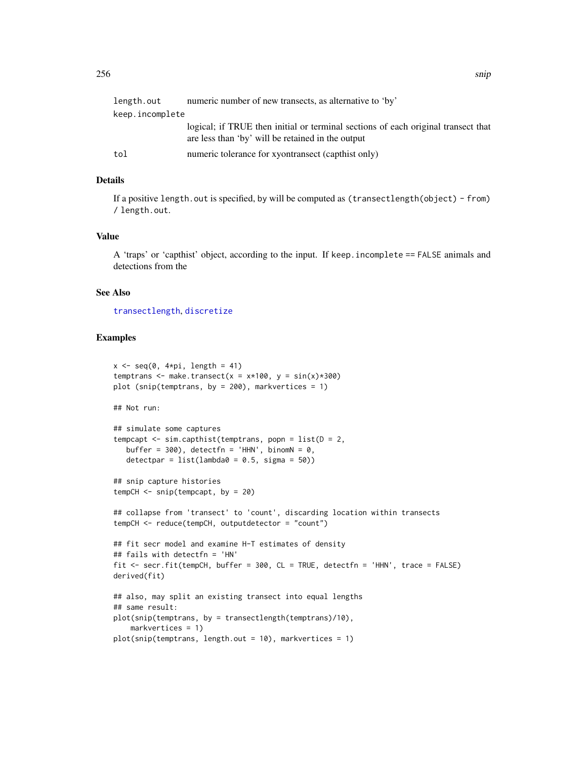| length.out      | numeric number of new transects, as alternative to 'by'                                                                                |  |
|-----------------|----------------------------------------------------------------------------------------------------------------------------------------|--|
| keep.incomplete |                                                                                                                                        |  |
|                 | logical; if TRUE then initial or terminal sections of each original transect that<br>are less than 'by' will be retained in the output |  |
| tol             | numeric tolerance for xyontransect (capthist only)                                                                                     |  |

# Details

If a positive length.out is specified, by will be computed as (transectlength(object) - from) / length.out.

## Value

A 'traps' or 'capthist' object, according to the input. If keep.incomplete == FALSE animals and detections from the

#### See Also

[transectlength](#page-289-0), [discretize](#page-60-0)

```
x \leq -\text{seq}(0, 4*pi, length = 41)temptrans <- make.transect(x = x*100, y = sin(x)*300)
plot (snip(temptrans, by = 200), markvertices = 1)
## Not run:
## simulate some captures
tempcapt <- sim.capthist(temptrans, popn = list(D = 2,
  buffer = 300, detectfn = 'HHN', binomN = 0,
   detectpar = list(lambda0 = 0.5, sigma = 50)## snip capture histories
tempCH <- snip(tempcapt, by = 20)
## collapse from 'transect' to 'count', discarding location within transects
tempCH <- reduce(tempCH, outputdetector = "count")
## fit secr model and examine H-T estimates of density
## fails with detectfn = 'HN'
fit <- secr.fit(tempCH, buffer = 300, CL = TRUE, detectfn = 'HHN', trace = FALSE)
derived(fit)
## also, may split an existing transect into equal lengths
## same result:
plot(snip(temptrans, by = transectlength(temptrans)/10),
   markvertices = 1)
plot(snip(temptrans, length.out = 10), markvertices = 1)
```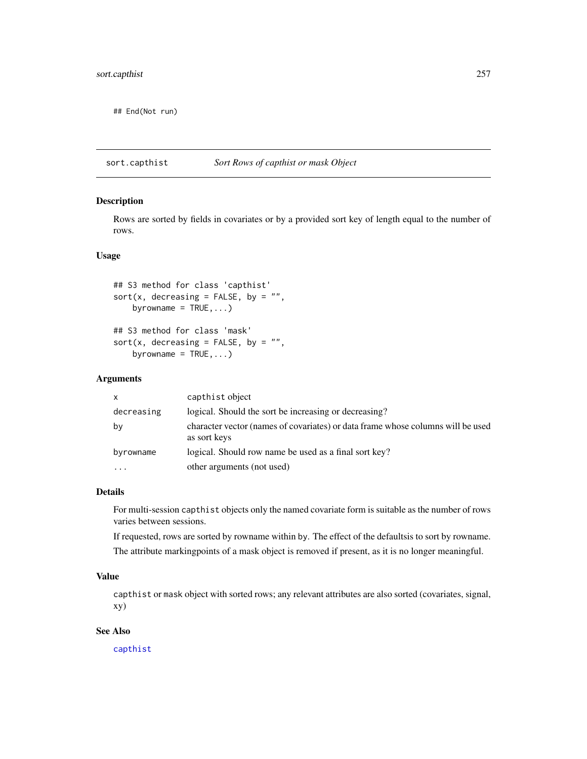## End(Not run)

sort.capthist *Sort Rows of capthist or mask Object*

# Description

Rows are sorted by fields in covariates or by a provided sort key of length equal to the number of rows.

#### Usage

## S3 method for class 'capthist' sort(x, decreasing = FALSE, by =  $"$ , byrowname =  $TRUE$ , ...)

## S3 method for class 'mask' sort(x, decreasing = FALSE, by =  $"$ , byrowname =  $TRUE$ , ...)

# Arguments

| $\mathsf{x}$ | capthist object                                                                                 |
|--------------|-------------------------------------------------------------------------------------------------|
| decreasing   | logical. Should the sort be increasing or decreasing?                                           |
| by           | character vector (names of covariates) or data frame whose columns will be used<br>as sort keys |
| byrowname    | logical. Should row name be used as a final sort key?                                           |
|              | other arguments (not used)                                                                      |

## Details

For multi-session capthist objects only the named covariate form is suitable as the number of rows varies between sessions.

If requested, rows are sorted by rowname within by. The effect of the defaultsis to sort by rowname. The attribute markingpoints of a mask object is removed if present, as it is no longer meaningful.

## Value

capthist or mask object with sorted rows; any relevant attributes are also sorted (covariates, signal, xy)

# See Also

[capthist](#page-24-0)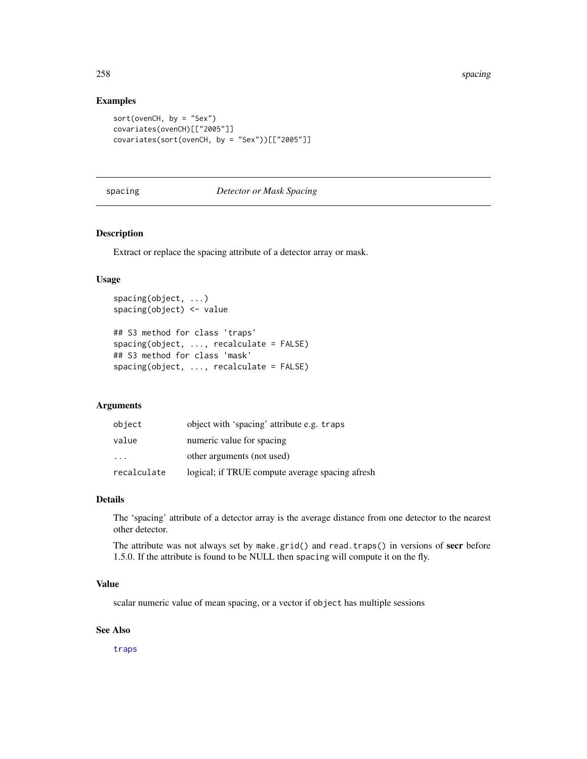## Examples

```
sort(ovenCH, by = "Sex")
covariates(ovenCH)[["2005"]]
covariates(sort(ovenCH, by = "Sex"))[["2005"]]
```
# <span id="page-257-0"></span>spacing *Detector or Mask Spacing*

## Description

Extract or replace the spacing attribute of a detector array or mask.

# Usage

```
spacing(object, ...)
spacing(object) <- value
## S3 method for class 'traps'
spacing(object, ..., recalculate = FALSE)
## S3 method for class 'mask'
spacing(object, ..., recalculate = FALSE)
```
## Arguments

| object      | object with 'spacing' attribute e.g. traps      |
|-------------|-------------------------------------------------|
| value       | numeric value for spacing                       |
| .           | other arguments (not used)                      |
| recalculate | logical; if TRUE compute average spacing afresh |

#### Details

The 'spacing' attribute of a detector array is the average distance from one detector to the nearest other detector.

The attribute was not always set by make.grid() and read.traps() in versions of secr before 1.5.0. If the attribute is found to be NULL then spacing will compute it on the fly.

## Value

scalar numeric value of mean spacing, or a vector if object has multiple sessions

## See Also

[traps](#page-287-0)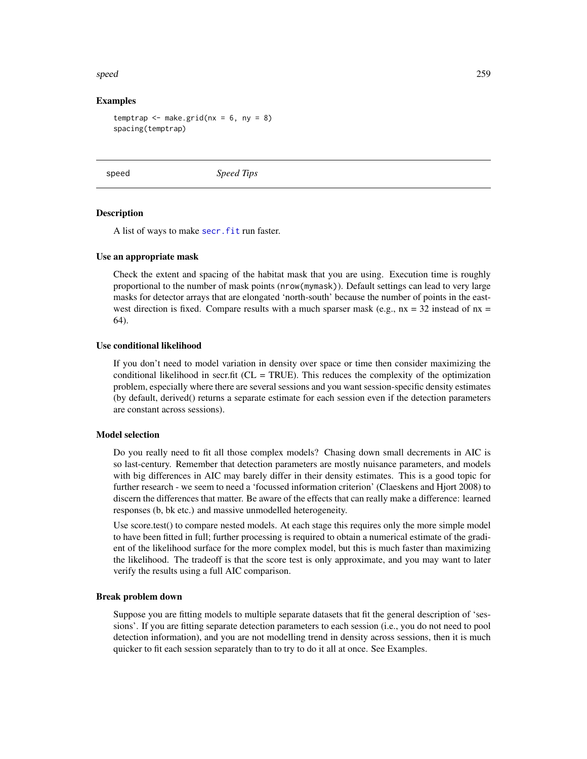#### speed 259

## Examples

temptrap  $\leq$  make.grid(nx = 6, ny = 8) spacing(temptrap)

speed *Speed Tips*

## **Description**

A list of ways to make secr. fit run faster.

## Use an appropriate mask

Check the extent and spacing of the habitat mask that you are using. Execution time is roughly proportional to the number of mask points (nrow(mymask)). Default settings can lead to very large masks for detector arrays that are elongated 'north-south' because the number of points in the eastwest direction is fixed. Compare results with a much sparser mask (e.g.,  $nx = 32$  instead of  $nx =$ 64).

## Use conditional likelihood

If you don't need to model variation in density over space or time then consider maximizing the conditional likelihood in secr.fit ( $CL = TRUE$ ). This reduces the complexity of the optimization problem, especially where there are several sessions and you want session-specific density estimates (by default, derived() returns a separate estimate for each session even if the detection parameters are constant across sessions).

#### Model selection

Do you really need to fit all those complex models? Chasing down small decrements in AIC is so last-century. Remember that detection parameters are mostly nuisance parameters, and models with big differences in AIC may barely differ in their density estimates. This is a good topic for further research - we seem to need a 'focussed information criterion' (Claeskens and Hjort 2008) to discern the differences that matter. Be aware of the effects that can really make a difference: learned responses (b, bk etc.) and massive unmodelled heterogeneity.

Use score.test() to compare nested models. At each stage this requires only the more simple model to have been fitted in full; further processing is required to obtain a numerical estimate of the gradient of the likelihood surface for the more complex model, but this is much faster than maximizing the likelihood. The tradeoff is that the score test is only approximate, and you may want to later verify the results using a full AIC comparison.

#### Break problem down

Suppose you are fitting models to multiple separate datasets that fit the general description of 'sessions'. If you are fitting separate detection parameters to each session (i.e., you do not need to pool detection information), and you are not modelling trend in density across sessions, then it is much quicker to fit each session separately than to try to do it all at once. See Examples.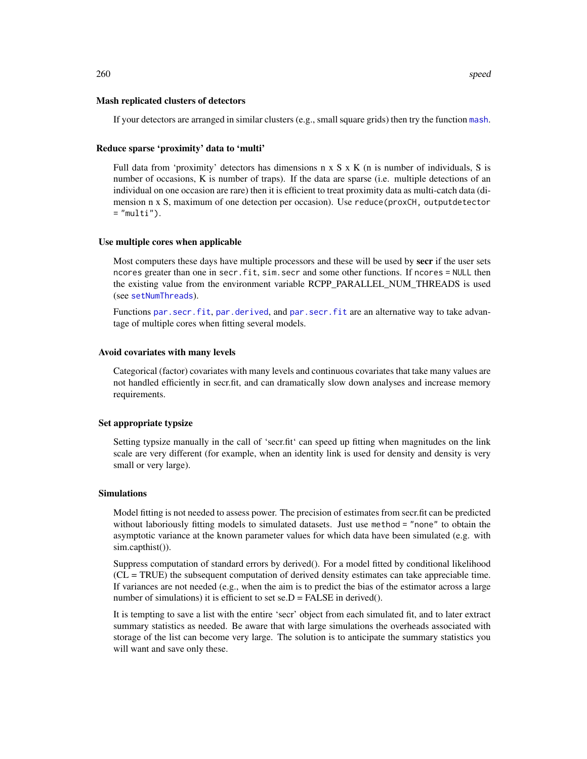#### Mash replicated clusters of detectors

If your detectors are arranged in similar clusters (e.g., small square grids) then try the function [mash](#page-282-0).

#### Reduce sparse 'proximity' data to 'multi'

Full data from 'proximity' detectors has dimensions n x S x K (n is number of individuals, S is number of occasions, K is number of traps). If the data are sparse (i.e. multiple detections of an individual on one occasion are rare) then it is efficient to treat proximity data as multi-catch data (dimension n x S, maximum of one detection per occasion). Use reduce(proxCH, outputdetector  $=$  "multi").

#### Use multiple cores when applicable

Most computers these days have multiple processors and these will be used by **secr** if the user sets ncores greater than one in secr.fit, sim.secr and some other functions. If ncores = NULL then the existing value from the environment variable RCPP\_PARALLEL\_NUM\_THREADS is used (see [setNumThreads](#page-233-0)).

Functions [par.secr.fit](#page-145-0), [par.derived](#page-145-1), and par.secr.fit are an alternative way to take advantage of multiple cores when fitting several models.

#### Avoid covariates with many levels

Categorical (factor) covariates with many levels and continuous covariates that take many values are not handled efficiently in secr.fit, and can dramatically slow down analyses and increase memory requirements.

## Set appropriate typsize

Setting typsize manually in the call of 'secr.fit' can speed up fitting when magnitudes on the link scale are very different (for example, when an identity link is used for density and density is very small or very large).

#### Simulations

Model fitting is not needed to assess power. The precision of estimates from secr.fit can be predicted without laboriously fitting models to simulated datasets. Just use method = "none" to obtain the asymptotic variance at the known parameter values for which data have been simulated (e.g. with sim.capthist()).

Suppress computation of standard errors by derived(). For a model fitted by conditional likelihood (CL = TRUE) the subsequent computation of derived density estimates can take appreciable time. If variances are not needed (e.g., when the aim is to predict the bias of the estimator across a large number of simulations) it is efficient to set se. $D = FALSE$  in derived().

It is tempting to save a list with the entire 'secr' object from each simulated fit, and to later extract summary statistics as needed. Be aware that with large simulations the overheads associated with storage of the list can become very large. The solution is to anticipate the summary statistics you will want and save only these.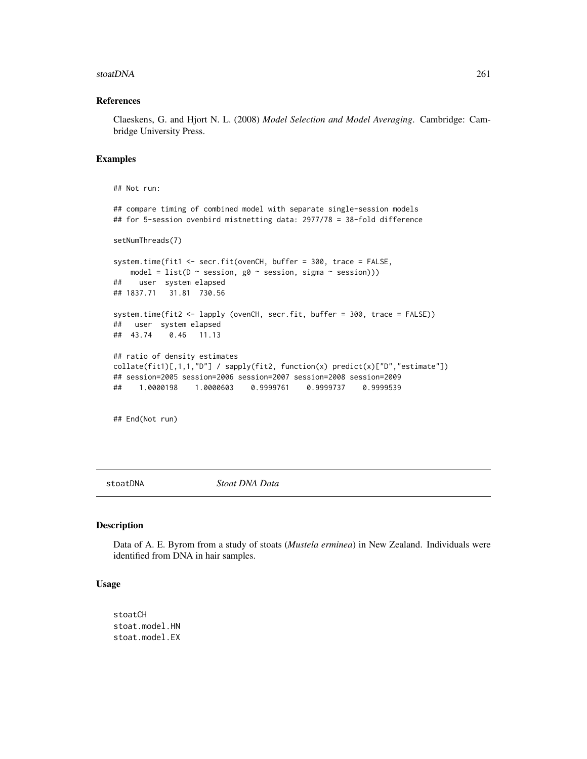#### stoatDNA 261

#### References

Claeskens, G. and Hjort N. L. (2008) *Model Selection and Model Averaging*. Cambridge: Cambridge University Press.

#### Examples

```
## Not run:
## compare timing of combined model with separate single-session models
## for 5-session ovenbird mistnetting data: 2977/78 = 38-fold difference
setNumThreads(7)
system.time(fit1 <- secr.fit(ovenCH, buffer = 300, trace = FALSE,
   model = list(D \sim session, g\emptyset \sim session, sigma \sim session)))
## user system elapsed
## 1837.71 31.81 730.56
system.time(fit2 <- lapply (ovenCH, secr.fit, buffer = 300, trace = FALSE))
## user system elapsed
## 43.74 0.46 11.13
## ratio of density estimates
collate(fitt)[1,1,1,"D"] / sapply(fitt2, function(x) predict(x)[TD", "estimate"])## session=2005 session=2006 session=2007 session=2008 session=2009
## 1.0000198 1.0000603 0.9999761 0.9999737 0.9999539
## End(Not run)
```
stoatDNA *Stoat DNA Data*

#### Description

Data of A. E. Byrom from a study of stoats (*Mustela erminea*) in New Zealand. Individuals were identified from DNA in hair samples.

#### Usage

stoatCH stoat.model.HN stoat.model.EX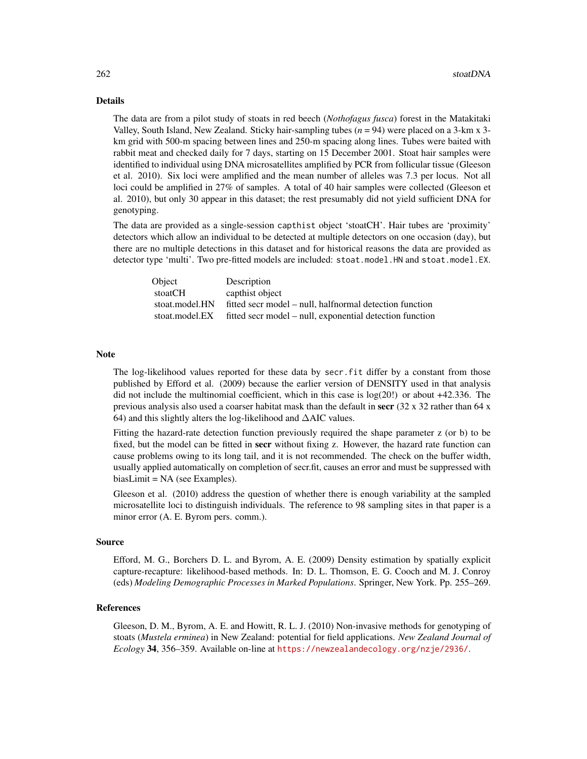#### Details

The data are from a pilot study of stoats in red beech (*Nothofagus fusca*) forest in the Matakitaki Valley, South Island, New Zealand. Sticky hair-sampling tubes  $(n = 94)$  were placed on a 3-km x 3km grid with 500-m spacing between lines and 250-m spacing along lines. Tubes were baited with rabbit meat and checked daily for 7 days, starting on 15 December 2001. Stoat hair samples were identified to individual using DNA microsatellites amplified by PCR from follicular tissue (Gleeson et al. 2010). Six loci were amplified and the mean number of alleles was 7.3 per locus. Not all loci could be amplified in 27% of samples. A total of 40 hair samples were collected (Gleeson et al. 2010), but only 30 appear in this dataset; the rest presumably did not yield sufficient DNA for genotyping.

The data are provided as a single-session capthist object 'stoatCH'. Hair tubes are 'proximity' detectors which allow an individual to be detected at multiple detectors on one occasion (day), but there are no multiple detections in this dataset and for historical reasons the data are provided as detector type 'multi'. Two pre-fitted models are included: stoat.model.HN and stoat.model.EX.

| Object         | Description                                              |
|----------------|----------------------------------------------------------|
| stoatCH        | capthist object                                          |
| stoat.model.HN | fitted secr model – null, halfnormal detection function  |
| stoat.model.EX | fitted secr model – null, exponential detection function |

#### Note

The log-likelihood values reported for these data by secr.fit differ by a constant from those published by Efford et al. (2009) because the earlier version of DENSITY used in that analysis did not include the multinomial coefficient, which in this case is log(20!) or about +42.336. The previous analysis also used a coarser habitat mask than the default in secr  $(32 \times 32 \text{ rather than } 64 \times \text{m})$ 64) and this slightly alters the log-likelihood and ∆AIC values.

Fitting the hazard-rate detection function previously required the shape parameter z (or b) to be fixed, but the model can be fitted in **secr** without fixing z. However, the hazard rate function can cause problems owing to its long tail, and it is not recommended. The check on the buffer width, usually applied automatically on completion of secr.fit, causes an error and must be suppressed with biasLimit = NA (see Examples).

Gleeson et al. (2010) address the question of whether there is enough variability at the sampled microsatellite loci to distinguish individuals. The reference to 98 sampling sites in that paper is a minor error (A. E. Byrom pers. comm.).

## Source

Efford, M. G., Borchers D. L. and Byrom, A. E. (2009) Density estimation by spatially explicit capture-recapture: likelihood-based methods. In: D. L. Thomson, E. G. Cooch and M. J. Conroy (eds) *Modeling Demographic Processes in Marked Populations*. Springer, New York. Pp. 255–269.

#### References

Gleeson, D. M., Byrom, A. E. and Howitt, R. L. J. (2010) Non-invasive methods for genotyping of stoats (*Mustela erminea*) in New Zealand: potential for field applications. *New Zealand Journal of Ecology* 34, 356–359. Available on-line at <https://newzealandecology.org/nzje/2936/>.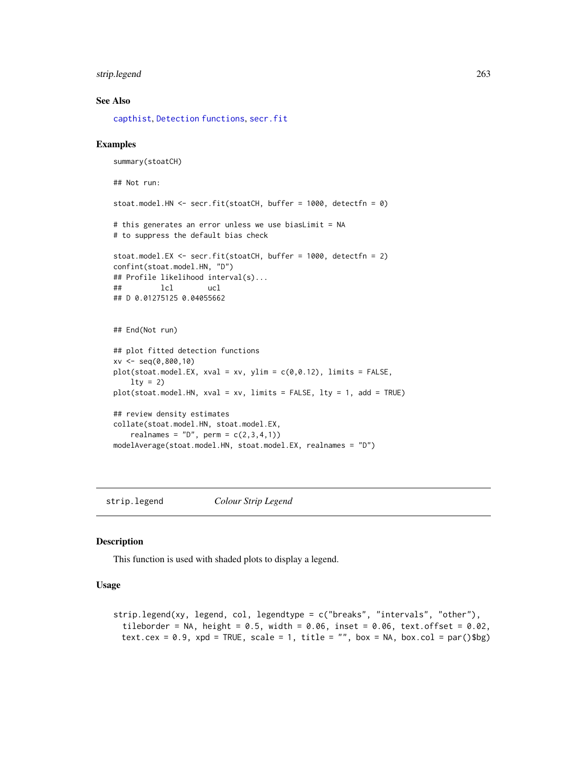# strip.legend 263

## See Also

[capthist](#page-24-0), [Detection functions](#page-0-0), [secr.fit](#page-218-0)

#### Examples

```
summary(stoatCH)
## Not run:
stoat.model.HN <- secr.fit(stoatCH, buffer = 1000, detectfn = 0)
# this generates an error unless we use biasLimit = NA
# to suppress the default bias check
stoat.model.EX <- secr.fit(stoatCH, buffer = 1000, detectfn = 2)
confint(stoat.model.HN, "D")
## Profile likelihood interval(s)...
## lcl ucl
## D 0.01275125 0.04055662
## End(Not run)
## plot fitted detection functions
xv \leq -\text{seq}(0,800,10)plot(stat_model.EX, xval = xv, ylim = c(0, 0.12), limits = FALSE,lty = 2)
plot(stoat.model.HN, xval = xv, limits = FALSE, lty = 1, add = TRUE)
## review density estimates
collate(stoat.model.HN, stoat.model.EX,
    realnames = "D", perm = c(2,3,4,1))
modelAverage(stoat.model.HN, stoat.model.EX, realnames = "D")
```
strip.legend *Colour Strip Legend*

#### Description

This function is used with shaded plots to display a legend.

# Usage

```
strip.legend(xy, legend, col, legendtype = c("breaks", "intervals", "other"),tileborder = NA, height = 0.5, width = 0.06, inset = 0.06, text.offset = 0.02,
 text.cex = 0.9, xpd = TRUE, scale = 1, title = "", box = NA, box.col = par()$bg)
```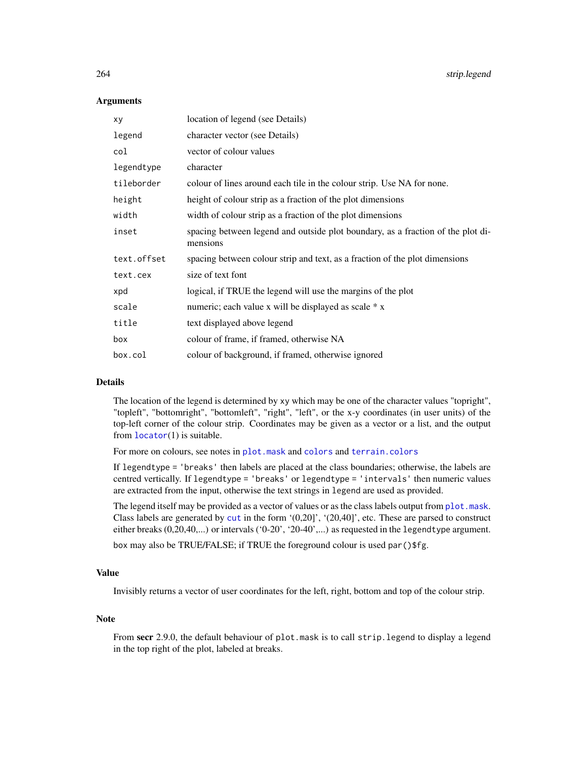#### **Arguments**

| XV          | location of legend (see Details)                                                            |
|-------------|---------------------------------------------------------------------------------------------|
| legend      | character vector (see Details)                                                              |
| col         | vector of colour values                                                                     |
| legendtype  | character                                                                                   |
| tileborder  | colour of lines around each tile in the colour strip. Use NA for none.                      |
| height      | height of colour strip as a fraction of the plot dimensions                                 |
| width       | width of colour strip as a fraction of the plot dimensions                                  |
| inset       | spacing between legend and outside plot boundary, as a fraction of the plot di-<br>mensions |
| text.offset | spacing between colour strip and text, as a fraction of the plot dimensions                 |
| text.cex    | size of text font                                                                           |
| xpd         | logical, if TRUE the legend will use the margins of the plot                                |
| scale       | numeric; each value x will be displayed as scale * x                                        |
| title       | text displayed above legend                                                                 |
| box         | colour of frame, if framed, otherwise NA                                                    |
| box.col     | colour of background, if framed, otherwise ignored                                          |

### Details

The location of the legend is determined by xy which may be one of the character values "topright", "topleft", "bottomright", "bottomleft", "right", "left", or the x-y coordinates (in user units) of the top-left corner of the colour strip. Coordinates may be given as a vector or a list, and the output from [locator](#page-0-0)(1) is suitable.

For more on colours, see notes in [plot.mask](#page-158-0) and [colors](#page-0-0) and [terrain.colors](#page-0-0)

If legendtype = 'breaks' then labels are placed at the class boundaries; otherwise, the labels are centred vertically. If legendtype = 'breaks' or legendtype = 'intervals' then numeric values are extracted from the input, otherwise the text strings in legend are used as provided.

The legend itself may be provided as a vector of values or as the class labels output from [plot.mask](#page-158-0). Class labels are generated by [cut](#page-0-0) in the form  $(0,20]$ ',  $(20,40]$ ', etc. These are parsed to construct either breaks (0,20,40,...) or intervals ('0-20', '20-40',...) as requested in the legendtype argument.

box may also be TRUE/FALSE; if TRUE the foreground colour is used par()\$fg.

# Value

Invisibly returns a vector of user coordinates for the left, right, bottom and top of the colour strip.

#### **Note**

From secr 2.9.0, the default behaviour of plot.mask is to call strip.legend to display a legend in the top right of the plot, labeled at breaks.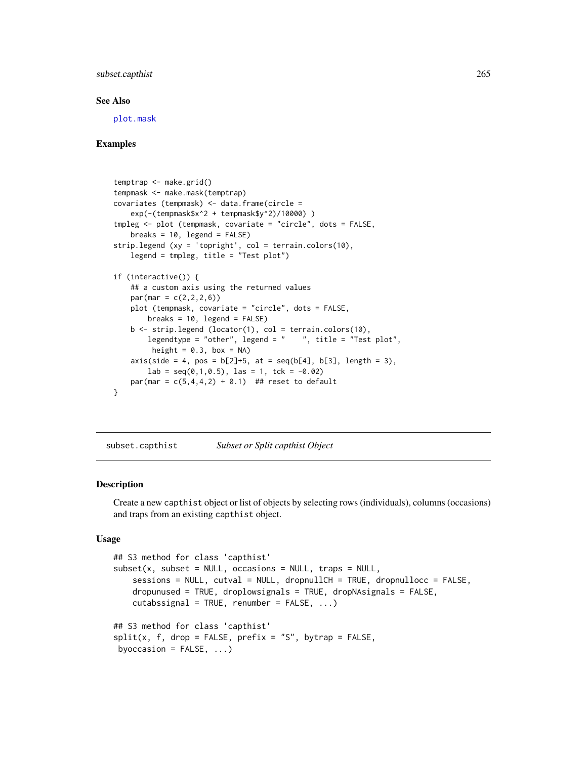## subset.capthist 265

#### See Also

[plot.mask](#page-158-0)

## Examples

```
temptrap <- make.grid()
tempmask <- make.mask(temptrap)
covariates (tempmask) <- data.frame(circle =
   exp(-(tempmask$x^2 + tempmask$y^2)/10000) )
tmpleg <- plot (tempmask, covariate = "circle", dots = FALSE,
   breaks = 10, legend = FALSE)
strip.legend (xy = 'topright', col = terrain.colors(10),
   legend = tmpleg, title = "Test plot")
if (interactive()) {
    ## a custom axis using the returned values
   par(max = c(2, 2, 2, 6))plot (tempmask, covariate = "circle", dots = FALSE,
        breaks = 10, legend = FALSE)b \le strip.legend (locator(1), col = terrain.colors(10),
        legendtype = "other", legend = " ", title = "Test plot",
        height = 0.3, box = NA)
    axis(side = 4, pos = b[2]+5, at = seq(b[4], b[3], length = 3),lab = seq(0, 1, 0.5), las = 1, tck = -0.02)
   par(max = c(5, 4, 4, 2) + 0.1) ## reset to default
}
```
subset.capthist *Subset or Split capthist Object*

#### Description

Create a new capthist object or list of objects by selecting rows (individuals), columns (occasions) and traps from an existing capthist object.

## Usage

```
## S3 method for class 'capthist'
subset(x, subset = NULL, occasions = NULL, traps = NULL,sessions = NULL, cutval = NULL, dropnullCH = TRUE, dropnullocc = FALSE,
   dropunused = TRUE, droplowsignals = TRUE, dropNAsignals = FALSE,
   cutabssignal = TRUE, renumber = FALSE, ...)
## S3 method for class 'capthist'
split(x, f, drop = FALSE, prefix = "S", bytrap = FALSE,byoccasion = FALSE, ...)
```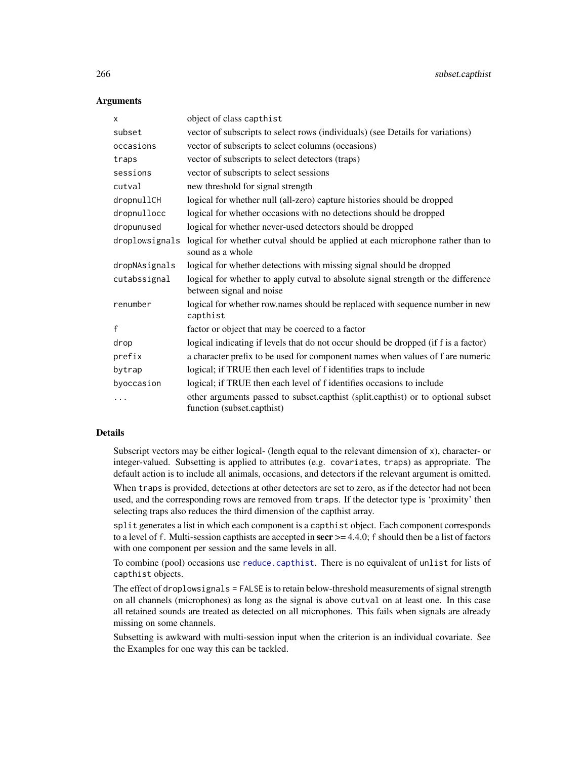## **Arguments**

| $\mathsf{x}$   | object of class capthist                                                                                       |
|----------------|----------------------------------------------------------------------------------------------------------------|
| subset         | vector of subscripts to select rows (individuals) (see Details for variations)                                 |
| occasions      | vector of subscripts to select columns (occasions)                                                             |
| traps          | vector of subscripts to select detectors (traps)                                                               |
| sessions       | vector of subscripts to select sessions                                                                        |
| cutval         | new threshold for signal strength                                                                              |
| dropnullCH     | logical for whether null (all-zero) capture histories should be dropped                                        |
| dropnullocc    | logical for whether occasions with no detections should be dropped                                             |
| dropunused     | logical for whether never-used detectors should be dropped                                                     |
| droplowsignals | logical for whether cutval should be applied at each microphone rather than to<br>sound as a whole             |
| dropNAsignals  | logical for whether detections with missing signal should be dropped                                           |
| cutabssignal   | logical for whether to apply cutval to absolute signal strength or the difference<br>between signal and noise  |
| renumber       | logical for whether row.names should be replaced with sequence number in new<br>capthist                       |
| $\mathsf{f}$   | factor or object that may be coerced to a factor                                                               |
| drop           | logical indicating if levels that do not occur should be dropped (if f is a factor)                            |
| prefix         | a character prefix to be used for component names when values of f are numeric                                 |
| bytrap         | logical; if TRUE then each level of f identifies traps to include                                              |
| byoccasion     | logical; if TRUE then each level of f identifies occasions to include                                          |
| .              | other arguments passed to subset.capthist (split.capthist) or to optional subset<br>function (subset.capthist) |

## Details

Subscript vectors may be either logical- (length equal to the relevant dimension of x), character- or integer-valued. Subsetting is applied to attributes (e.g. covariates, traps) as appropriate. The default action is to include all animals, occasions, and detectors if the relevant argument is omitted.

When traps is provided, detections at other detectors are set to zero, as if the detector had not been used, and the corresponding rows are removed from traps. If the detector type is 'proximity' then selecting traps also reduces the third dimension of the capthist array.

split generates a list in which each component is a capthist object. Each component corresponds to a level of f. Multi-session capthists are accepted in  $\sec r$   $> = 4.4.0$ ; f should then be a list of factors with one component per session and the same levels in all.

To combine (pool) occasions use [reduce.capthist](#page-200-0). There is no equivalent of unlist for lists of capthist objects.

The effect of droplowsignals = FALSE is to retain below-threshold measurements of signal strength on all channels (microphones) as long as the signal is above cutval on at least one. In this case all retained sounds are treated as detected on all microphones. This fails when signals are already missing on some channels.

Subsetting is awkward with multi-session input when the criterion is an individual covariate. See the Examples for one way this can be tackled.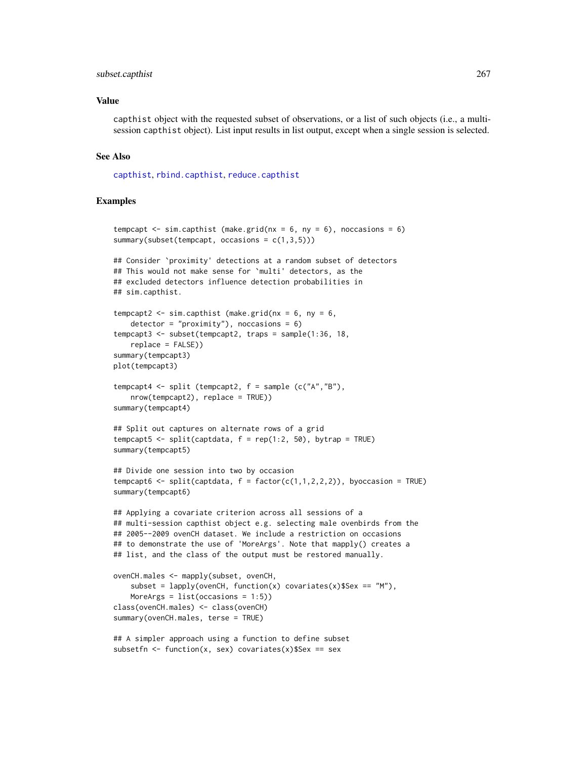#### subset.capthist 267

#### Value

capthist object with the requested subset of observations, or a list of such objects (i.e., a multisession capthist object). List input results in list output, except when a single session is selected.

#### See Also

[capthist](#page-24-0), [rbind.capthist](#page-186-0), [reduce.capthist](#page-200-0)

```
tempcapt \le sim.capthist (make.grid(nx = 6, ny = 6), noccasions = 6)
summary(subset(tempcapt, occasions = c(1,3,5)))
## Consider `proximity' detections at a random subset of detectors
## This would not make sense for `multi' detectors, as the
## excluded detectors influence detection probabilities in
## sim.capthist.
tempcapt2 <- sim.capthist (make.grid(nx = 6, ny = 6,
    detection = "proximity"), noccasions = 6)
tempcapt3 <- subset(tempcapt2, traps = sample(1:36, 18,
   replace = FALSE))
summary(tempcapt3)
plot(tempcapt3)
tempcapt4 <- split (tempcapt2, f = sample (c("A","B"),
   nrow(tempcapt2), replace = TRUE))
summary(tempcapt4)
## Split out captures on alternate rows of a grid
tempcapt5 <- split(captdata, f = rep(1:2, 50), bytrap = TRUE)
summary(tempcapt5)
## Divide one session into two by occasion
tempcapt6 <- split(captdata, f = factor(c(1,1,2,2,2)), byoccasion = TRUE)
summary(tempcapt6)
## Applying a covariate criterion across all sessions of a
## multi-session capthist object e.g. selecting male ovenbirds from the
## 2005--2009 ovenCH dataset. We include a restriction on occasions
## to demonstrate the use of 'MoreArgs'. Note that mapply() creates a
## list, and the class of the output must be restored manually.
ovenCH.males <- mapply(subset, ovenCH,
    subset = lapply(ovenCH, function(x) covariates(x)$Sex == 'M''),
   MoreArgs = list(occasions = 1:5))
class(ovenCH.males) <- class(ovenCH)
summary(ovenCH.males, terse = TRUE)
## A simpler approach using a function to define subset
subsetfn <- function(x, sex) covariates(x)$Sex == sex
```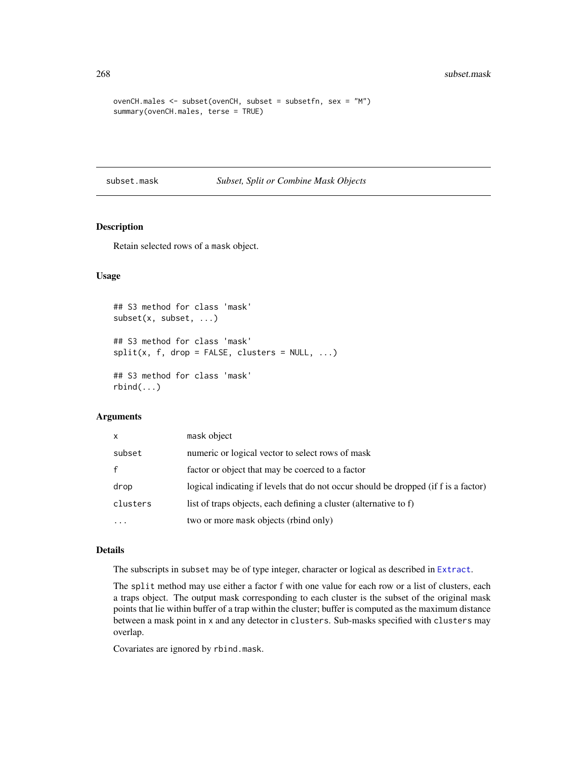```
ovenCH.males <- subset(ovenCH, subset = subsetfn, sex = "M")
summary(ovenCH.males, terse = TRUE)
```
subset.mask *Subset, Split or Combine Mask Objects*

# Description

Retain selected rows of a mask object.

## Usage

```
## S3 method for class 'mask'
subset(x, subset, ...)
## S3 method for class 'mask'
split(x, f, drop = FALSE, clusters = NULL, ...)## S3 method for class 'mask'
rbind(...)
```
## Arguments

| X            | mask object                                                                         |
|--------------|-------------------------------------------------------------------------------------|
| subset       | numeric or logical vector to select rows of mask                                    |
| $\mathbf{f}$ | factor or object that may be coerced to a factor                                    |
| drop         | logical indicating if levels that do not occur should be dropped (if f is a factor) |
| clusters     | list of traps objects, each defining a cluster (alternative to f)                   |
| $\ddotsc$    | two or more mask objects (rbind only)                                               |

## Details

The subscripts in subset may be of type integer, character or logical as described in [Extract](#page-0-0).

The split method may use either a factor f with one value for each row or a list of clusters, each a traps object. The output mask corresponding to each cluster is the subset of the original mask points that lie within buffer of a trap within the cluster; buffer is computed as the maximum distance between a mask point in x and any detector in clusters. Sub-masks specified with clusters may overlap.

Covariates are ignored by rbind.mask.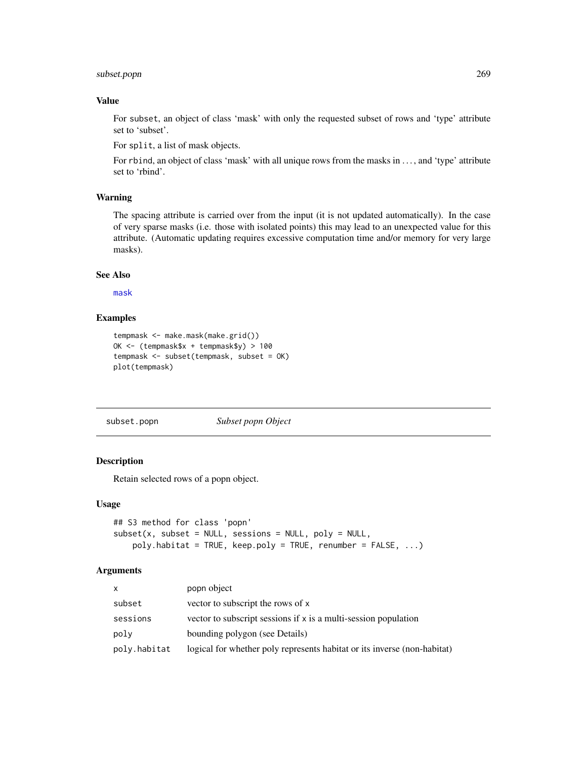# subset.popn 269

## Value

For subset, an object of class 'mask' with only the requested subset of rows and 'type' attribute set to 'subset'.

For split, a list of mask objects.

For rbind, an object of class 'mask' with all unique rows from the masks in ..., and 'type' attribute set to 'rbind'.

#### Warning

The spacing attribute is carried over from the input (it is not updated automatically). In the case of very sparse masks (i.e. those with isolated points) this may lead to an unexpected value for this attribute. (Automatic updating requires excessive computation time and/or memory for very large masks).

## See Also

[mask](#page-127-0)

## Examples

```
tempmask <- make.mask(make.grid())
OK <- (tempmask$x + tempmask$y) > 100
tempmask <- subset(tempmask, subset = OK)
plot(tempmask)
```
subset.popn *Subset popn Object*

## Description

Retain selected rows of a popn object.

## Usage

```
## S3 method for class 'popn'
subset(x, subset = NULL, sessions = NULL, poly = NULL,poly.habitat = TRUE, keep.poly = TRUE, renumber = FALSE, ...)
```

| X            | popn object                                                              |
|--------------|--------------------------------------------------------------------------|
| subset       | vector to subscript the rows of x                                        |
| sessions     | vector to subscript sessions if x is a multi-session population          |
| poly         | bounding polygon (see Details)                                           |
| poly.habitat | logical for whether poly represents habitat or its inverse (non-habitat) |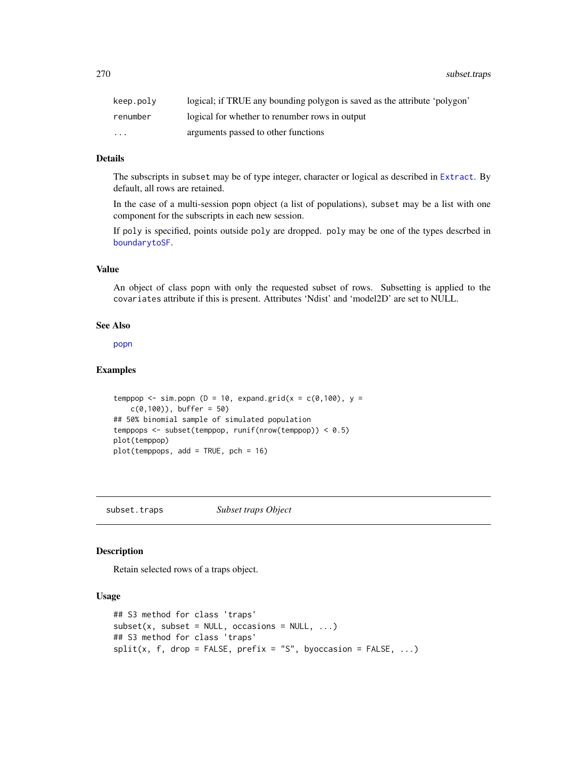| keep.polv | logical; if TRUE any bounding polygon is saved as the attribute 'polygon' |
|-----------|---------------------------------------------------------------------------|
| renumber  | logical for whether to renumber rows in output                            |
| $\cdots$  | arguments passed to other functions                                       |

## Details

The subscripts in subset may be of type integer, character or logical as described in [Extract](#page-0-0). By default, all rows are retained.

In the case of a multi-session popn object (a list of populations), subset may be a list with one component for the subscripts in each new session.

If poly is specified, points outside poly are dropped. poly may be one of the types descrbed in [boundarytoSF](#page-97-0).

## Value

An object of class popn with only the requested subset of rows. Subsetting is applied to the covariates attribute if this is present. Attributes 'Ndist' and 'model2D' are set to NULL.

#### See Also

[popn](#page-171-0)

## Examples

```
temppop \le sim.popn (D = 10, expand.grid(x = c(0,100), y =
   c(0,100), buffer = 50)
## 50% binomial sample of simulated population
temppops <- subset(temppop, runif(nrow(temppop)) < 0.5)
plot(temppop)
plot(temppops, add = TRUE, pch = 16)
```
subset.traps *Subset traps Object*

## Description

Retain selected rows of a traps object.

## Usage

```
## S3 method for class 'traps'
subset(x, subset = NULL, occasions = NULL, ...)## S3 method for class 'traps'
split(x, f, drop = FALSE, prefix = "S", by occasion = FALSE, ...)
```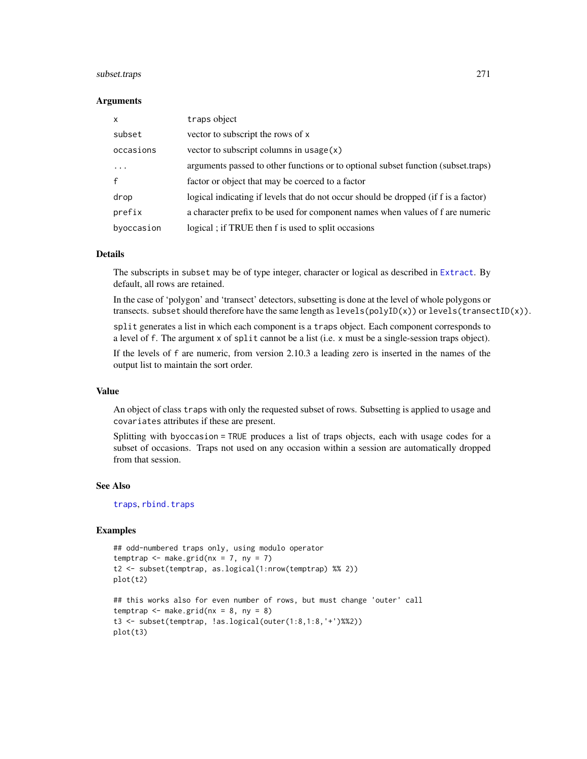## subset.traps 271

#### **Arguments**

| $\mathsf{x}$ | traps object                                                                        |
|--------------|-------------------------------------------------------------------------------------|
| subset       | vector to subscript the rows of x                                                   |
| occasions    | vector to subscript columns in $usage(x)$                                           |
| .            | arguments passed to other functions or to optional subset function (subset.traps)   |
| $\mathbf{f}$ | factor or object that may be coerced to a factor                                    |
| drop         | logical indicating if levels that do not occur should be dropped (if f is a factor) |
| prefix       | a character prefix to be used for component names when values of f are numeric      |
| byoccasion   | logical; if TRUE then f is used to split occasions                                  |

## Details

The subscripts in subset may be of type integer, character or logical as described in [Extract](#page-0-0). By default, all rows are retained.

In the case of 'polygon' and 'transect' detectors, subsetting is done at the level of whole polygons or transects. subset should therefore have the same length as levels(polyID(x)) or levels(transectID(x)).

split generates a list in which each component is a traps object. Each component corresponds to a level of f. The argument x of split cannot be a list (i.e. x must be a single-session traps object).

If the levels of f are numeric, from version 2.10.3 a leading zero is inserted in the names of the output list to maintain the sort order.

## Value

An object of class traps with only the requested subset of rows. Subsetting is applied to usage and covariates attributes if these are present.

Splitting with byoccasion = TRUE produces a list of traps objects, each with usage codes for a subset of occasions. Traps not used on any occasion within a session are automatically dropped from that session.

#### See Also

[traps](#page-287-0), [rbind.traps](#page-190-0)

```
## odd-numbered traps only, using modulo operator
temptrap \leq make.grid(nx = 7, ny = 7)
t2 <- subset(temptrap, as.logical(1:nrow(temptrap) %% 2))
plot(t2)
## this works also for even number of rows, but must change 'outer' call
```

```
temptrap \leq make.grid(nx = 8, ny = 8)
t3 <- subset(temptrap, !as.logical(outer(1:8,1:8,'+')%%2))
plot(t3)
```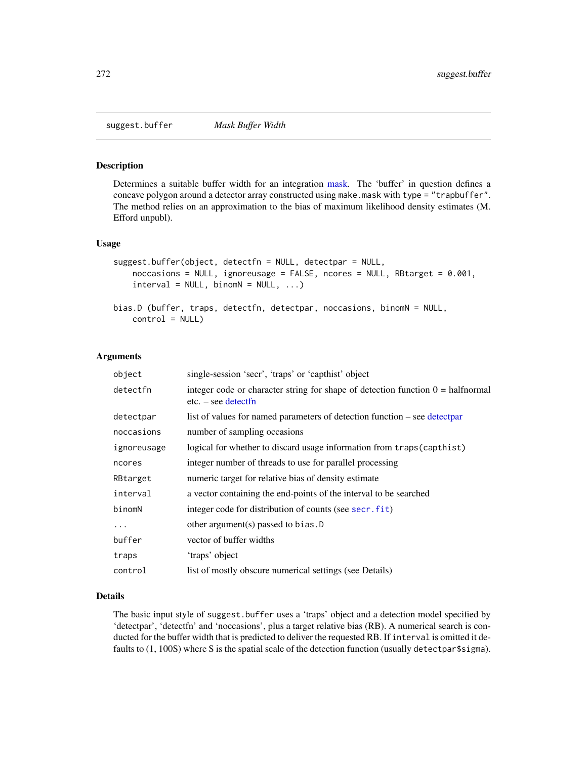suggest.buffer *Mask Buffer Width*

#### Description

Determines a suitable buffer width for an integration [mask.](#page-127-0) The 'buffer' in question defines a concave polygon around a detector array constructed using make.mask with type = "trapbuffer". The method relies on an approximation to the bias of maximum likelihood density estimates (M. Efford unpubl).

#### Usage

```
suggest.buffer(object, detectfn = NULL, detectpar = NULL,
    noccasions = NULL, ignoreusage = FALSE, ncores = NULL, RBtarget = 0.001,
    interval = NULL, binomN = NULL, ...bias.D (buffer, traps, detectfn, detectpar, noccasions, binomN = NULL,
```

```
control = NULL
```
#### Arguments

| object      | single-session 'secr', 'traps' or 'capthist' object                                                             |
|-------------|-----------------------------------------------------------------------------------------------------------------|
| detectfn    | integer code or character string for shape of detection function $0 = \text{halfnormal}$<br>$etc. - see detect$ |
| detectpar   | list of values for named parameters of detection function – see detectpar                                       |
| noccasions  | number of sampling occasions                                                                                    |
| ignoreusage | logical for whether to discard usage information from traps (capthist)                                          |
| ncores      | integer number of threads to use for parallel processing                                                        |
| RBtarget    | numeric target for relative bias of density estimate                                                            |
| interval    | a vector containing the end-points of the interval to be searched                                               |
| binomN      | integer code for distribution of counts (see secr. fit)                                                         |
| .           | other argument(s) passed to bias. $D$                                                                           |
| buffer      | vector of buffer widths                                                                                         |
| traps       | 'traps' object                                                                                                  |
| control     | list of mostly obscure numerical settings (see Details)                                                         |

# Details

The basic input style of suggest.buffer uses a 'traps' object and a detection model specified by 'detectpar', 'detectfn' and 'noccasions', plus a target relative bias (RB). A numerical search is conducted for the buffer width that is predicted to deliver the requested RB. If interval is omitted it defaults to (1, 100S) where S is the spatial scale of the detection function (usually detectpar\$sigma).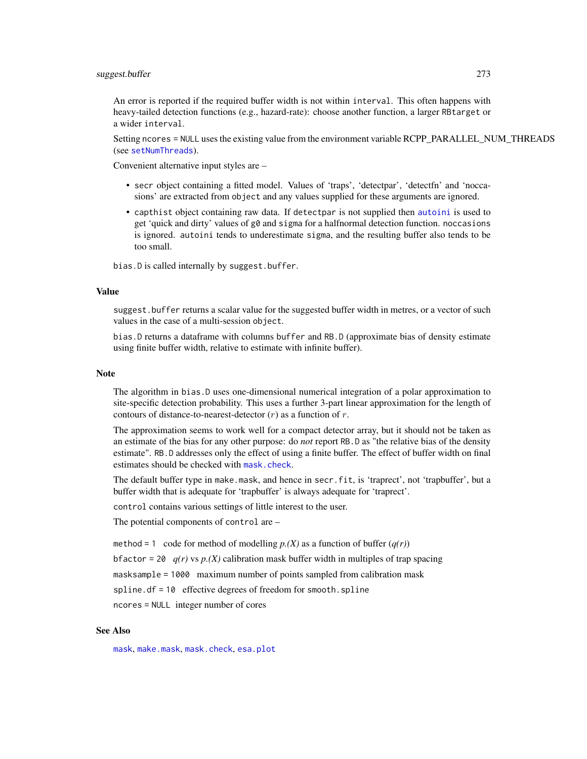#### suggest.buffer 273

An error is reported if the required buffer width is not within interval. This often happens with heavy-tailed detection functions (e.g., hazard-rate): choose another function, a larger RBtarget or a wider interval.

Setting ncores = NULL uses the existing value from the environment variable RCPP\_PARALLEL\_NUM\_THREADS (see [setNumThreads](#page-233-0)).

Convenient alternative input styles are –

- secr object containing a fitted model. Values of 'traps', 'detectpar', 'detectfn' and 'noccasions' are extracted from object and any values supplied for these arguments are ignored.
- capthist object containing raw data. If detectpar is not supplied then [autoini](#page-19-0) is used to get 'quick and dirty' values of g0 and sigma for a halfnormal detection function. noccasions is ignored. autoini tends to underestimate sigma, and the resulting buffer also tends to be too small.

bias.D is called internally by suggest.buffer.

## Value

suggest.buffer returns a scalar value for the suggested buffer width in metres, or a vector of such values in the case of a multi-session object.

bias.D returns a dataframe with columns buffer and RB.D (approximate bias of density estimate using finite buffer width, relative to estimate with infinite buffer).

## **Note**

The algorithm in bias.D uses one-dimensional numerical integration of a polar approximation to site-specific detection probability. This uses a further 3-part linear approximation for the length of contours of distance-to-nearest-detector  $(r)$  as a function of r.

The approximation seems to work well for a compact detector array, but it should not be taken as an estimate of the bias for any other purpose: do *not* report RB.D as "the relative bias of the density estimate". RB.D addresses only the effect of using a finite buffer. The effect of buffer width on final estimates should be checked with [mask.check](#page-128-0).

The default buffer type in make.mask, and hence in secr.fit, is 'traprect', not 'trapbuffer', but a buffer width that is adequate for 'trapbuffer' is always adequate for 'traprect'.

control contains various settings of little interest to the user.

The potential components of control are –

method = 1 code for method of modelling  $p(X)$  as a function of buffer  $(q(r))$ 

bfactor = 20  $q(r)$  vs  $p(X)$  calibration mask buffer width in multiples of trap spacing

masksample = 1000 maximum number of points sampled from calibration mask

spline.df = 10 effective degrees of freedom for smooth.spline

ncores = NULL integer number of cores

#### See Also

[mask](#page-127-0), [make.mask](#page-115-0), [mask.check](#page-128-0), [esa.plot](#page-71-0)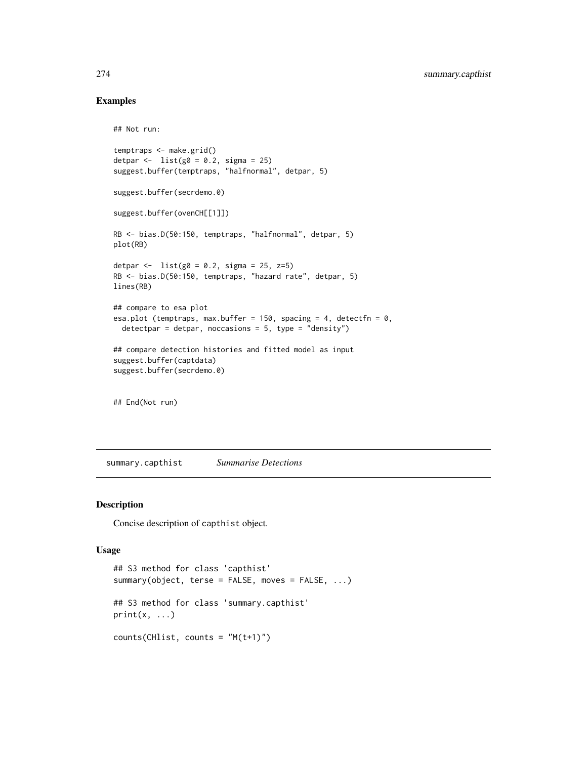# Examples

```
## Not run:
temptraps <- make.grid()
detpar \leftarrow list(g0 = 0.2, sigma = 25)
suggest.buffer(temptraps, "halfnormal", detpar, 5)
suggest.buffer(secrdemo.0)
suggest.buffer(ovenCH[[1]])
RB <- bias.D(50:150, temptraps, "halfnormal", detpar, 5)
plot(RB)
detpar <- list(g0 = 0.2, sigma = 25, z=5)RB <- bias.D(50:150, temptraps, "hazard rate", detpar, 5)
lines(RB)
## compare to esa plot
esa.plot (temptraps, max.buffer = 150, spacing = 4, detectfn = 0,
  detectpar = detpar, noccasions = 5, type = "density")
```

```
## compare detection histories and fitted model as input
suggest.buffer(captdata)
suggest.buffer(secrdemo.0)
```
## End(Not run)

summary.capthist *Summarise Detections*

#### Description

Concise description of capthist object.

## Usage

```
## S3 method for class 'capthist'
summary(object, terse = FALSE, moves = FALSE, ...)
## S3 method for class 'summary.capthist'
print(x, \ldots)counts(CHlist, counts = "M(t+1)")
```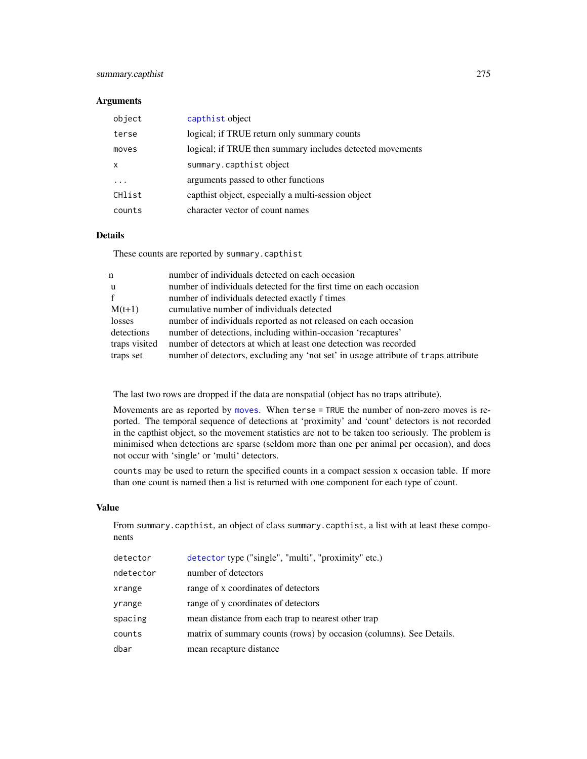# summary.capthist 275

## Arguments

| object | capthist object                                           |
|--------|-----------------------------------------------------------|
| terse  | logical; if TRUE return only summary counts               |
| moves  | logical; if TRUE then summary includes detected movements |
| x      | summary.capthist object                                   |
| .      | arguments passed to other functions                       |
| CHlist | capthist object, especially a multi-session object        |
| counts | character vector of count names                           |

#### Details

These counts are reported by summary.capthist

| n             | number of individuals detected on each occasion                                    |
|---------------|------------------------------------------------------------------------------------|
| u             | number of individuals detected for the first time on each occasion                 |
| f             | number of individuals detected exactly f times                                     |
| $M(t+1)$      | cumulative number of individuals detected                                          |
| losses        | number of individuals reported as not released on each occasion                    |
| detections    | number of detections, including within-occasion 'recaptures'                       |
| traps visited | number of detectors at which at least one detection was recorded                   |
| traps set     | number of detectors, excluding any 'not set' in usage attribute of traps attribute |
|               |                                                                                    |

The last two rows are dropped if the data are nonspatial (object has no traps attribute).

Movements are as reported by [moves](#page-90-0). When terse = TRUE the number of non-zero moves is reported. The temporal sequence of detections at 'proximity' and 'count' detectors is not recorded in the capthist object, so the movement statistics are not to be taken too seriously. The problem is minimised when detections are sparse (seldom more than one per animal per occasion), and does not occur with 'single' or 'multi' detectors.

counts may be used to return the specified counts in a compact session x occasion table. If more than one count is named then a list is returned with one component for each type of count.

#### Value

From summary.capthist, an object of class summary.capthist, a list with at least these components

| detector  | detector type ("single", "multi", "proximity" etc.)                 |
|-----------|---------------------------------------------------------------------|
| ndetector | number of detectors                                                 |
| xrange    | range of x coordinates of detectors                                 |
| yrange    | range of y coordinates of detectors                                 |
| spacing   | mean distance from each trap to nearest other trap                  |
| counts    | matrix of summary counts (rows) by occasion (columns). See Details. |
| dbar      | mean recapture distance                                             |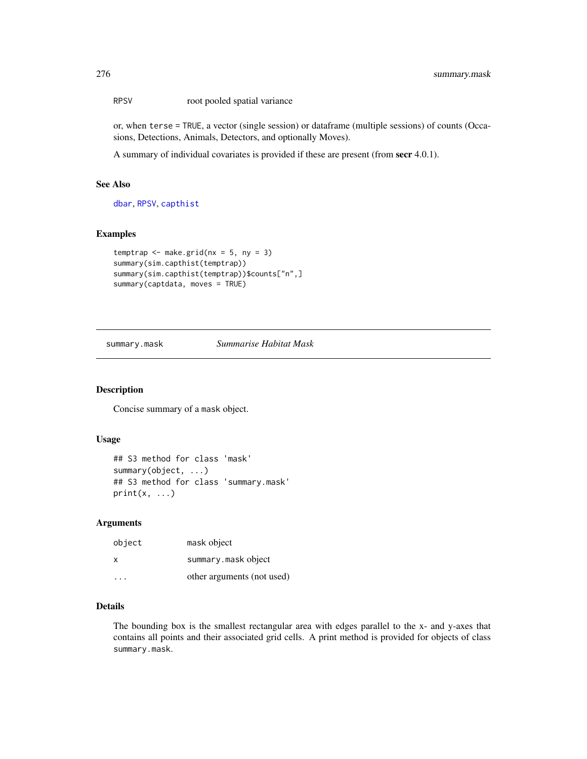RPSV root pooled spatial variance

or, when terse = TRUE, a vector (single session) or dataframe (multiple sessions) of counts (Occasions, Detections, Animals, Detectors, and optionally Moves).

A summary of individual covariates is provided if these are present (from secr 4.0.1).

## See Also

[dbar](#page-90-0), [RPSV](#page-90-0), [capthist](#page-24-0)

## Examples

```
temptrap \leq make.grid(nx = 5, ny = 3)
summary(sim.capthist(temptrap))
summary(sim.capthist(temptrap))$counts["n",]
summary(captdata, moves = TRUE)
```
#### summary.mask *Summarise Habitat Mask*

# Description

Concise summary of a mask object.

#### Usage

```
## S3 method for class 'mask'
summary(object, ...)
## S3 method for class 'summary.mask'
print(x, \ldots)
```
#### Arguments

| object    | mask object                |
|-----------|----------------------------|
| X         | summary.maskobject         |
| $\cdot$ . | other arguments (not used) |

# Details

The bounding box is the smallest rectangular area with edges parallel to the x- and y-axes that contains all points and their associated grid cells. A print method is provided for objects of class summary.mask.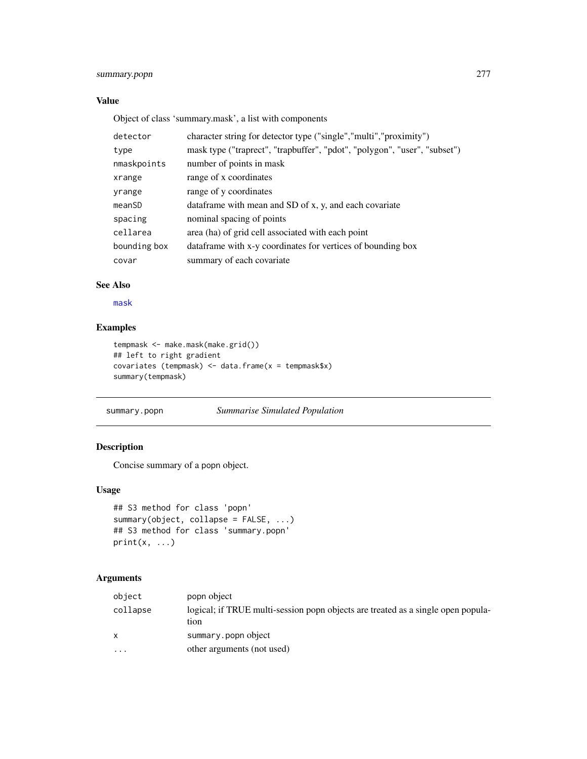# summary.popn 277

# Value

Object of class 'summary.mask', a list with components

| detector     | character string for detector type ("single","multi","proximity")         |
|--------------|---------------------------------------------------------------------------|
| type         | mask type ("traprect", "trapbuffer", "pdot", "polygon", "user", "subset") |
| nmaskpoints  | number of points in mask                                                  |
| xrange       | range of x coordinates                                                    |
| yrange       | range of y coordinates                                                    |
| meanSD       | dataframe with mean and SD of x, y, and each covariate                    |
| spacing      | nominal spacing of points                                                 |
| cellarea     | area (ha) of grid cell associated with each point                         |
| bounding box | dataframe with x-y coordinates for vertices of bounding box               |
| covar        | summary of each covariate.                                                |

# See Also

[mask](#page-127-0)

# Examples

```
tempmask <- make.mask(make.grid())
## left to right gradient
covariates (tempmask) <- data.frame(x = tempmask$x)
summary(tempmask)
```
summary.popn *Summarise Simulated Population*

# Description

Concise summary of a popn object.

# Usage

```
## S3 method for class 'popn'
summary(object, collapse = FALSE, ...)
## S3 method for class 'summary.popn'
print(x, \ldots)
```

| object                  | popn object                                                                              |
|-------------------------|------------------------------------------------------------------------------------------|
| collapse                | logical; if TRUE multi-session popp objects are treated as a single open popula-<br>tion |
| $\mathsf{x}$            | summary.popn object                                                                      |
| $\cdot$ $\cdot$ $\cdot$ | other arguments (not used)                                                               |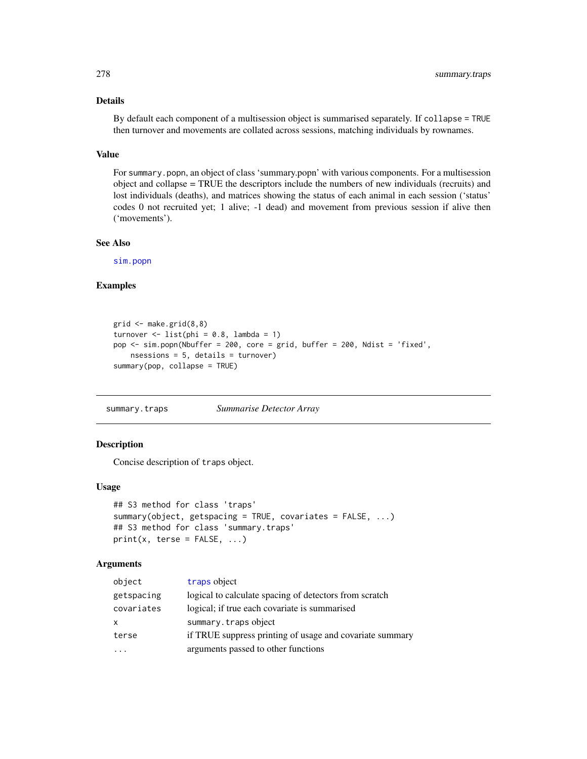## Details

By default each component of a multisession object is summarised separately. If collapse = TRUE then turnover and movements are collated across sessions, matching individuals by rownames.

## Value

For summary.popn, an object of class 'summary.popn' with various components. For a multisession object and collapse = TRUE the descriptors include the numbers of new individuals (recruits) and lost individuals (deaths), and matrices showing the status of each animal in each session ('status' codes 0 not recruited yet; 1 alive; -1 dead) and movement from previous session if alive then ('movements').

#### See Also

[sim.popn](#page-243-0)

## Examples

```
grid < - make.grid(8,8)turnover \le list(phi = 0.8, lambda = 1)
pop <- sim.popn(Nbuffer = 200, core = grid, buffer = 200, Ndist = 'fixed',
   nsessions = 5, details = turnover)
summary(pop, collapse = TRUE)
```
summary.traps *Summarise Detector Array*

# Description

Concise description of traps object.

#### Usage

```
## S3 method for class 'traps'
summary(object, getspacing = TRUE, covariates = FALSE, ...)
## S3 method for class 'summary.traps'
print(x, \text{terse} = FALSE, ...)
```

| object     | traps object                                             |
|------------|----------------------------------------------------------|
| getspacing | logical to calculate spacing of detectors from scratch   |
| covariates | logical; if true each covariate is summarised            |
| X          | summary.trapsobject                                      |
| terse      | if TRUE suppress printing of usage and covariate summary |
|            | arguments passed to other functions                      |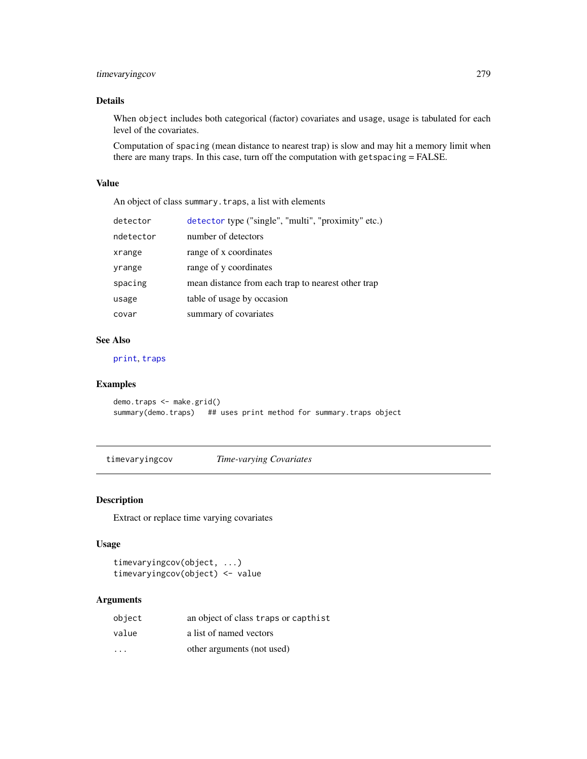# timevaryingcov 279

# Details

When object includes both categorical (factor) covariates and usage, usage is tabulated for each level of the covariates.

Computation of spacing (mean distance to nearest trap) is slow and may hit a memory limit when there are many traps. In this case, turn off the computation with getspacing = FALSE.

## Value

An object of class summary.traps, a list with elements

| detector  | detector type ("single", "multi", "proximity" etc.) |
|-----------|-----------------------------------------------------|
| ndetector | number of detectors                                 |
| xrange    | range of x coordinates                              |
| yrange    | range of y coordinates                              |
| spacing   | mean distance from each trap to nearest other trap  |
| usage     | table of usage by occasion                          |
| covar     | summary of covariates                               |

## See Also

[print](#page-0-0), [traps](#page-287-0)

# Examples

```
demo.traps <- make.grid()
summary(demo.traps) ## uses print method for summary.traps object
```
timevaryingcov *Time-varying Covariates*

## Description

Extract or replace time varying covariates

## Usage

```
timevaryingcov(object, ...)
timevaryingcov(object) <- value
```

| object                  | an object of class traps or capthist |
|-------------------------|--------------------------------------|
| value                   | a list of named vectors              |
| $\cdot$ $\cdot$ $\cdot$ | other arguments (not used)           |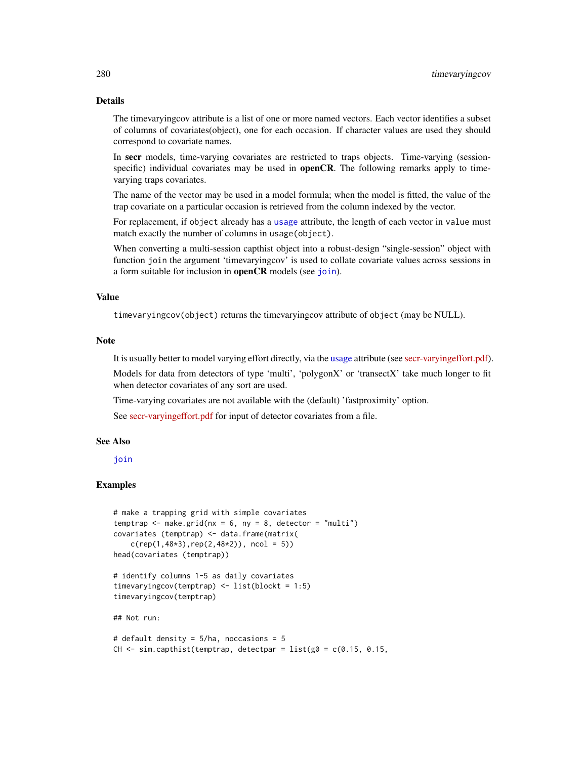# Details

The timevaryingcov attribute is a list of one or more named vectors. Each vector identifies a subset of columns of covariates(object), one for each occasion. If character values are used they should correspond to covariate names.

In secr models, time-varying covariates are restricted to traps objects. Time-varying (sessionspecific) individual covariates may be used in **openCR**. The following remarks apply to timevarying traps covariates.

The name of the vector may be used in a model formula; when the model is fitted, the value of the trap covariate on a particular occasion is retrieved from the column indexed by the vector.

For replacement, if object already has a [usage](#page-296-0) attribute, the length of each vector in value must match exactly the number of columns in usage(object).

When converting a multi-session capthist object into a robust-design "single-session" object with function join the argument 'timevaryingcov' is used to collate covariate values across sessions in a form suitable for inclusion in **openCR** models (see [join](#page-104-0)).

#### Value

timevaryingcov(object) returns the timevaryingcov attribute of object (may be NULL).

#### **Note**

It is usually better to model varying effort directly, via the [usage](#page-296-0) attribute (see [secr-varyingeffort.pdf\)](https://www.otago.ac.nz/density/pdfs/secr-varyingeffort.pdf).

Models for data from detectors of type 'multi', 'polygonX' or 'transectX' take much longer to fit when detector covariates of any sort are used.

Time-varying covariates are not available with the (default) 'fastproximity' option.

See [secr-varyingeffort.pdf](https://www.otago.ac.nz/density/pdfs/secr-varyingeffort.pdf) for input of detector covariates from a file.

#### See Also

[join](#page-104-0)

```
# make a trapping grid with simple covariates
temptrap \leq make.grid(nx = 6, ny = 8, detector = "multi")
covariates (temptrap) <- data.frame(matrix(
    c(rep(1,48*3),rep(2,48*2)), ncol = 5))
head(covariates (temptrap))
# identify columns 1-5 as daily covariates
timevaryingcov(temptrap) <- list(blockt = 1:5)
timevaryingcov(temptrap)
## Not run:
# default density = 5/ha, noccasions = 5
CH \le sim.capthist(temptrap, detectpar = list(g0 = c(0.15, 0.15,
```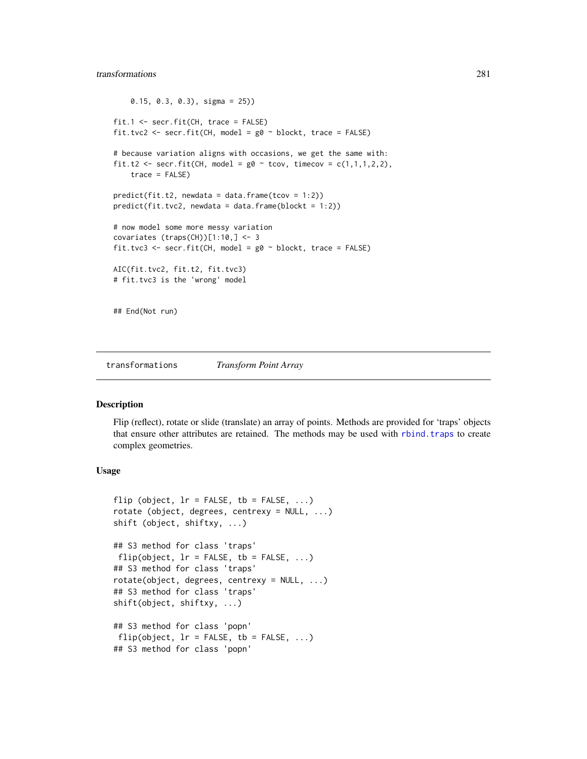## transformations 281

```
0.15, 0.3, 0.3), sigma = 25))
fit.1 <- secr.fit(CH, trace = FALSE)
fit.tvc2 <- secr.fit(CH, model = g0 \sim blockt, trace = FALSE)
# because variation aligns with occasions, we get the same with:
fit.t2 <- secr.fit(CH, model = g0 \sim tcov, timecov = c(1,1,1,2,2),
    trace = FALSE)
predict(fit.t2, newdata = data.frame(tcov = 1:2))predict(fit.tvc2, newdata = data.frame(blockt = 1:2))# now model some more messy variation
covariates (traps(CH))[1:10, ] \leftarrow 3fit.tvc3 <- secr.fit(CH, model = g0 \sim blockt, trace = FALSE)
AIC(fit.tvc2, fit.t2, fit.tvc3)
# fit.tvc3 is the 'wrong' model
## End(Not run)
```
transformations *Transform Point Array*

## Description

Flip (reflect), rotate or slide (translate) an array of points. Methods are provided for 'traps' objects that ensure other attributes are retained. The methods may be used with [rbind.traps](#page-190-0) to create complex geometries.

## Usage

```
flip (object, lr = FALSE, tb = FALSE, ...)
rotate (object, degrees, centrexy = NULL, ...)
shift (object, shiftxy, ...)
## S3 method for class 'traps'
flip(object, lr = FALSE, tb = FALSE, ...)## S3 method for class 'traps'
rotate(object, degrees, centrexy = NULL, ...)
## S3 method for class 'traps'
shift(object, shiftxy, ...)
## S3 method for class 'popn'
flip(object, lr = FALSE, tb = FALSE, ...)## S3 method for class 'popn'
```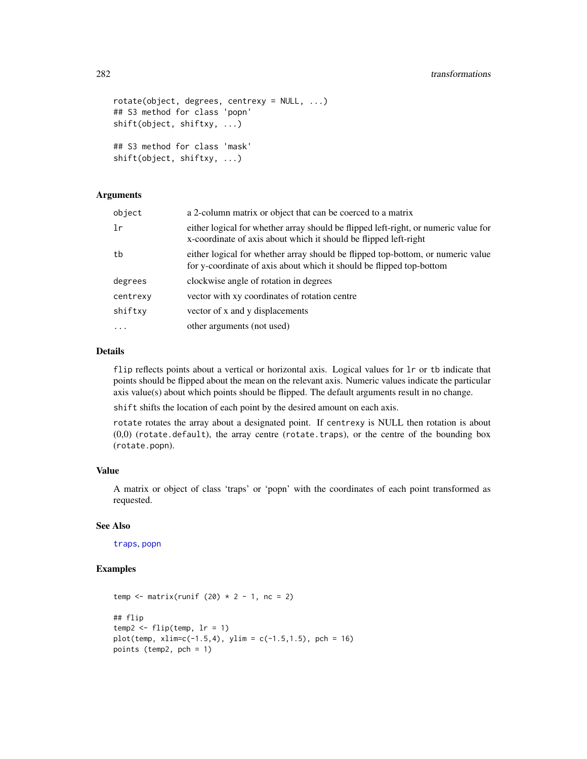```
rotate(object, degrees, centrexy = NULL, ...)
## S3 method for class 'popn'
shift(object, shiftxy, ...)
## S3 method for class 'mask'
shift(object, shiftxy, ...)
```
## Arguments

| object   | a 2-column matrix or object that can be coerced to a matrix                                                                                             |
|----------|---------------------------------------------------------------------------------------------------------------------------------------------------------|
| 1r       | either logical for whether array should be flipped left-right, or numeric value for<br>x-coordinate of axis about which it should be flipped left-right |
| tb       | either logical for whether array should be flipped top-bottom, or numeric value<br>for y-coordinate of axis about which it should be flipped top-bottom |
| degrees  | clockwise angle of rotation in degrees                                                                                                                  |
| centrexy | vector with xy coordinates of rotation centre                                                                                                           |
| shiftxy  | vector of x and y displacements                                                                                                                         |
| $\cdots$ | other arguments (not used)                                                                                                                              |

## Details

flip reflects points about a vertical or horizontal axis. Logical values for  $\ln$  or tb indicate that points should be flipped about the mean on the relevant axis. Numeric values indicate the particular axis value(s) about which points should be flipped. The default arguments result in no change.

shift shifts the location of each point by the desired amount on each axis.

rotate rotates the array about a designated point. If centrexy is NULL then rotation is about  $(0,0)$  (rotate.default), the array centre (rotate.traps), or the centre of the bounding box (rotate.popn).

## Value

A matrix or object of class 'traps' or 'popn' with the coordinates of each point transformed as requested.

## See Also

[traps](#page-287-0), [popn](#page-171-0)

```
temp \le matrix(runif (20) \star 2 - 1, nc = 2)
## flip
temp2 \leq flip(temp, lr = 1)plot(temp, xlim=c(-1.5, 4), ylim = c(-1.5, 1.5), pch = 16)points (temp2, pch = 1)
```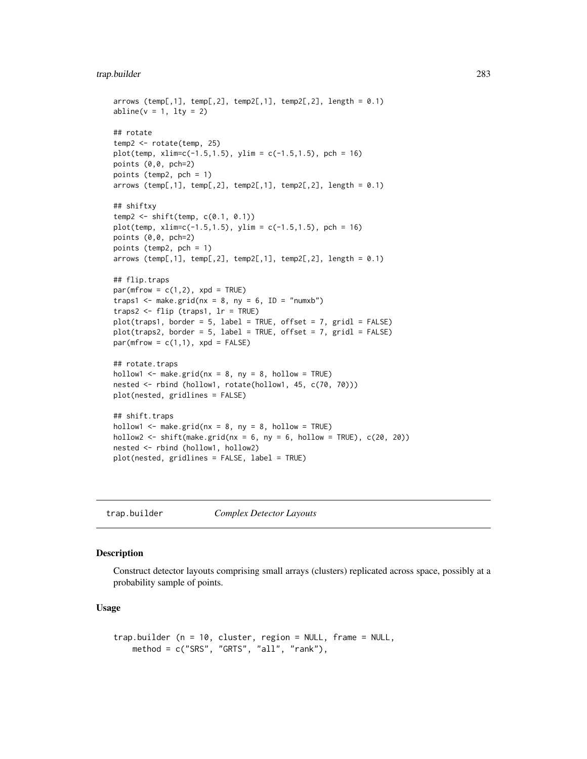# trap.builder 283

```
arrows (temp[,1], temp[,2], temp2[,1], temp2[,2], length = 0.1)
abline(v = 1, lty = 2)## rotate
temp2 <- rotate(temp, 25)
plot(temp, xlim=c(-1.5, 1.5), ylim = c(-1.5, 1.5), pch = 16)points (0,0, pch=2)
points (temp2, pch = 1)
arrows (temp[,1], temp[,2], temp2[,1], temp2[,2], length = 0.1)
## shiftxy
temp2 <- shift(temp, c(0.1, 0.1))
plot(temp, xlim=c(-1.5, 1.5), ylim = c(-1.5, 1.5), pch = 16)points (0,0, pch=2)
points (temp2, pch = 1)
arrows (temp[,1], temp[,2], temp2[,1], temp2[,2], length = 0.1)
## flip.traps
par(mfrow = c(1,2), xpd = TRUE)traps1 <- make.grid(nx = 8, ny = 6, ID = "numxb")traps2 <- flip (traps1, lr = TRUE)
plot(traps1, border = 5, label = TRUE, offset = 7, grid = FALSE)plot(traps2, border = 5, label = TRUE, offset = 7, gridl = FALSE)
par(mfrow = c(1,1), xpd = FALSE)## rotate.traps
hollow1 \leq make.grid(nx = 8, ny = 8, hollow = TRUE)
nested <- rbind (hollow1, rotate(hollow1, 45, c(70, 70)))
plot(nested, gridlines = FALSE)
## shift.traps
hollow1 <- make.grid(nx = 8, ny = 8, hollow = TRUE)
hollow2 <- shift(make.grid(nx = 6, ny = 6, hollow = TRUE), c(20, 20))
nested <- rbind (hollow1, hollow2)
plot(nested, gridlines = FALSE, label = TRUE)
```
trap.builder *Complex Detector Layouts*

## <span id="page-282-0"></span>Description

Construct detector layouts comprising small arrays (clusters) replicated across space, possibly at a probability sample of points.

#### Usage

```
trap.builder (n = 10, cluster, region = NULL, frame = NULL,
   method = c("SRS", "GRTS", "all", "rank"),
```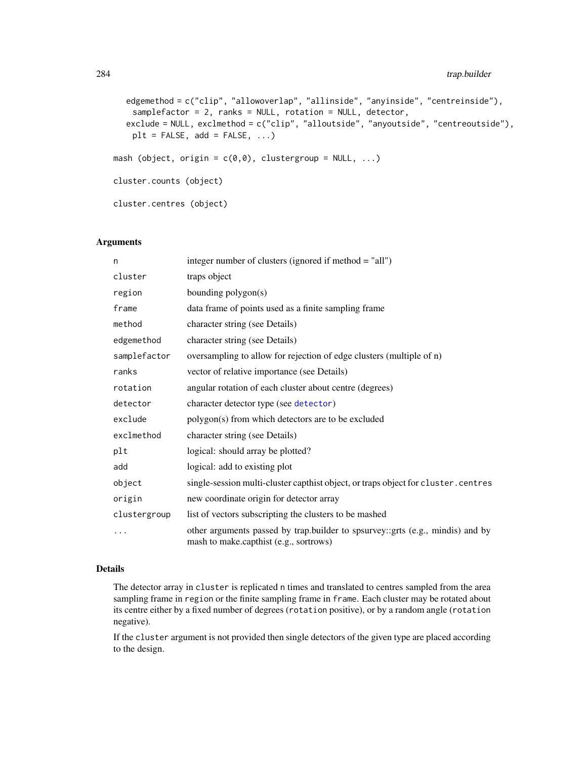```
edgemethod = c("clip", "allowoverlap", "allinside", "anyinside", "centreinside"),
    samplefactor = 2, ranks = NULL, rotation = NULL, detector,
  exclude = NULL, exclmethod = c("clip", "alloutside", "anyoutside", "centreoutside"),
    plt = FALSE, add = FALSE, ...)mash (object, origin = c(0,0), clustergroup = NULL, ...)
cluster.counts (object)
cluster.centres (object)
```
## **Arguments**

| n            | integer number of clusters (ignored if method = "all")                                                                   |
|--------------|--------------------------------------------------------------------------------------------------------------------------|
| cluster      | traps object                                                                                                             |
| region       | bounding polygon(s)                                                                                                      |
| frame        | data frame of points used as a finite sampling frame                                                                     |
| method       | character string (see Details)                                                                                           |
| edgemethod   | character string (see Details)                                                                                           |
| samplefactor | oversampling to allow for rejection of edge clusters (multiple of n)                                                     |
| ranks        | vector of relative importance (see Details)                                                                              |
| rotation     | angular rotation of each cluster about centre (degrees)                                                                  |
| detector     | character detector type (see detector)                                                                                   |
| exclude      | polygon(s) from which detectors are to be excluded                                                                       |
| exclmethod   | character string (see Details)                                                                                           |
| plt          | logical: should array be plotted?                                                                                        |
| add          | logical: add to existing plot                                                                                            |
| object       | single-session multi-cluster capthist object, or traps object for cluster.centres                                        |
| origin       | new coordinate origin for detector array                                                                                 |
| clustergroup | list of vectors subscripting the clusters to be mashed                                                                   |
|              | other arguments passed by trap.builder to spsurvey::grts (e.g., mindis) and by<br>mash to make.capthist (e.g., sortrows) |

#### Details

The detector array in cluster is replicated n times and translated to centres sampled from the area sampling frame in region or the finite sampling frame in frame. Each cluster may be rotated about its centre either by a fixed number of degrees (rotation positive), or by a random angle (rotation negative).

If the cluster argument is not provided then single detectors of the given type are placed according to the design.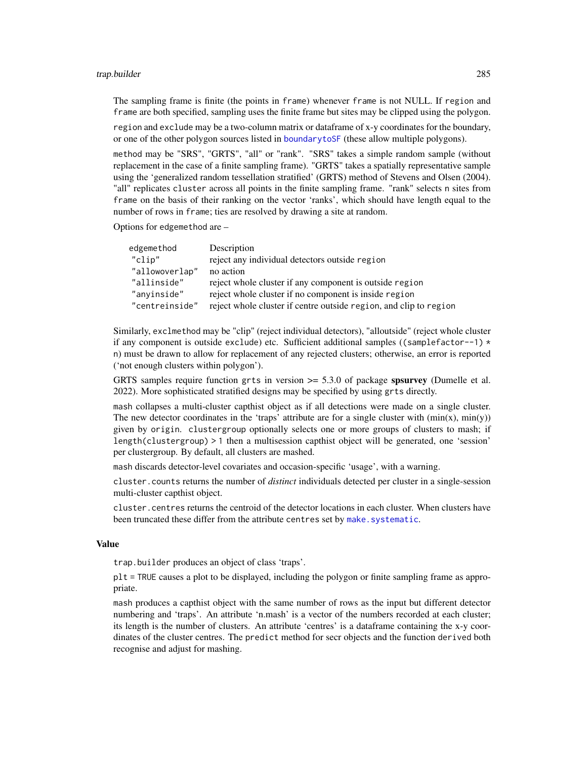#### trap.builder 285

The sampling frame is finite (the points in frame) whenever frame is not NULL. If region and frame are both specified, sampling uses the finite frame but sites may be clipped using the polygon.

region and exclude may be a two-column matrix or dataframe of x-y coordinates for the boundary, or one of the other polygon sources listed in [boundarytoSF](#page-97-0) (these allow multiple polygons).

method may be "SRS", "GRTS", "all" or "rank". "SRS" takes a simple random sample (without replacement in the case of a finite sampling frame). "GRTS" takes a spatially representative sample using the 'generalized random tessellation stratified' (GRTS) method of Stevens and Olsen (2004). "all" replicates cluster across all points in the finite sampling frame. "rank" selects n sites from frame on the basis of their ranking on the vector 'ranks', which should have length equal to the number of rows in frame; ties are resolved by drawing a site at random.

Options for edgemethod are –

| edgemethod     | Description                                                       |
|----------------|-------------------------------------------------------------------|
| "clip"         | reject any individual detectors outside region                    |
| "allowoverlap" | no action                                                         |
| "allinside"    | reject whole cluster if any component is outside region           |
| "anyinside"    | reject whole cluster if no component is inside region             |
| "centreinside" | reject whole cluster if centre outside region, and clip to region |

Similarly, exclmethod may be "clip" (reject individual detectors), "alloutside" (reject whole cluster if any component is outside exclude) etc. Sufficient additional samples ((samplefactor--1)  $\star$ n) must be drawn to allow for replacement of any rejected clusters; otherwise, an error is reported ('not enough clusters within polygon').

GRTS samples require function grts in version  $\geq$  5.3.0 of package spsurvey (Dumelle et al. 2022). More sophisticated stratified designs may be specified by using grts directly.

mash collapses a multi-cluster capthist object as if all detections were made on a single cluster. The new detector coordinates in the 'traps' attribute are for a single cluster with  $(\min(x), \min(y))$ given by origin. clustergroup optionally selects one or more groups of clusters to mash; if length(clustergroup) > 1 then a multisession capthist object will be generated, one 'session' per clustergroup. By default, all clusters are mashed.

mash discards detector-level covariates and occasion-specific 'usage', with a warning.

cluster.counts returns the number of *distinct* individuals detected per cluster in a single-session multi-cluster capthist object.

cluster.centres returns the centroid of the detector locations in each cluster. When clusters have been truncated these differ from the attribute centres set by [make.systematic](#page-118-0).

#### Value

trap.builder produces an object of class 'traps'.

plt = TRUE causes a plot to be displayed, including the polygon or finite sampling frame as appropriate.

mash produces a capthist object with the same number of rows as the input but different detector numbering and 'traps'. An attribute 'n.mash' is a vector of the numbers recorded at each cluster; its length is the number of clusters. An attribute 'centres' is a dataframe containing the x-y coordinates of the cluster centres. The predict method for secr objects and the function derived both recognise and adjust for mashing.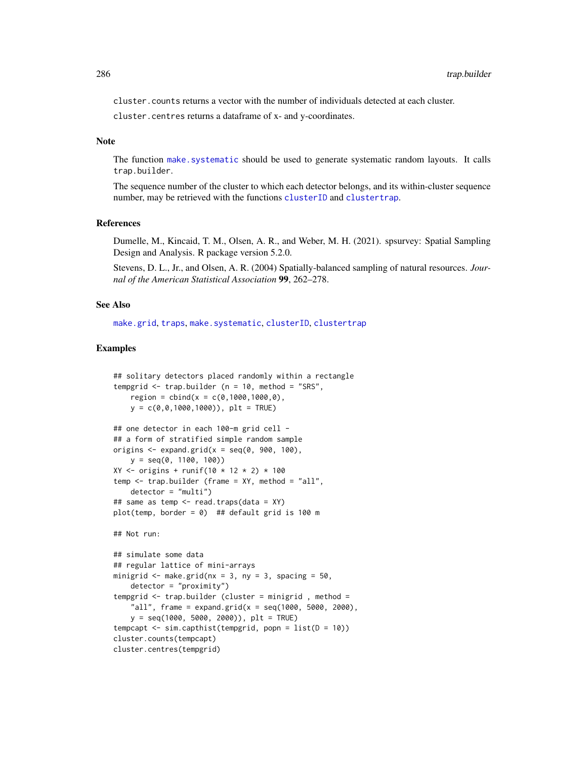cluster.counts returns a vector with the number of individuals detected at each cluster.

cluster.centres returns a dataframe of x- and y-coordinates.

#### **Note**

The function [make.systematic](#page-118-0) should be used to generate systematic random layouts. It calls trap.builder.

The sequence number of the cluster to which each detector belongs, and its within-cluster sequence number, may be retrieved with the functions [clusterID](#page-34-0) and [clustertrap](#page-34-0).

#### References

Dumelle, M., Kincaid, T. M., Olsen, A. R., and Weber, M. H. (2021). spsurvey: Spatial Sampling Design and Analysis. R package version 5.2.0.

Stevens, D. L., Jr., and Olsen, A. R. (2004) Spatially-balanced sampling of natural resources. *Journal of the American Statistical Association* 99, 262–278.

### See Also

[make.grid](#page-121-0), [traps](#page-287-0), [make.systematic](#page-118-0), [clusterID](#page-34-0), [clustertrap](#page-34-0)

```
## solitary detectors placed randomly within a rectangle
tempgrid \leq trap.builder (n = 10, method = "SRS",
   region = cbind(x = c(0,1000,1000,0),
   y = c(0, 0, 1000, 1000), plt = TRUE)
## one detector in each 100-m grid cell -
## a form of stratified simple random sample
origins \leq expand.grid(x = seq(0, 900, 100),
   y = \text{seq}(0, 1100, 100)XY \le - origins + runif(10 * 12 * 2) * 100
temp \le trap.builder (frame = XY, method = "all",
   detector = "multi")
## same as temp <- read.traps(data = XY)
plot(temp, border = \theta) ## default grid is 100 m
## Not run:
## simulate some data
## regular lattice of mini-arrays
minigrid \leq make.grid(nx = 3, ny = 3, spacing = 50,
   detection = "proximity")tempgrid <- trap.builder (cluster = minigrid , method =
    "all", frame = expand.grid(x = seq(1000, 5000, 2000),
   y = seq(1000, 5000, 2000), plt = TRUEtempcapt \leq sim.capthist(tempgrid, popn = list(D = 10))
cluster.counts(tempcapt)
cluster.centres(tempgrid)
```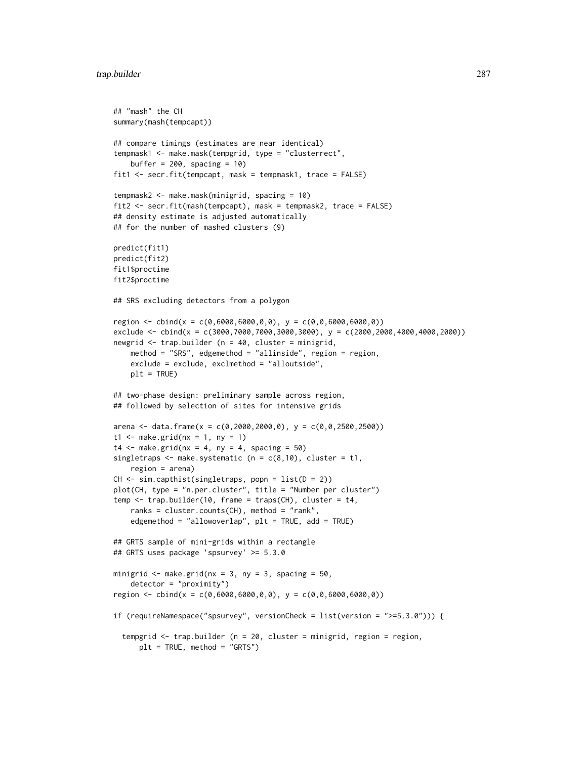```
## "mash" the CH
summary(mash(tempcapt))
## compare timings (estimates are near identical)
tempmask1 <- make.mask(tempgrid, type = "clusterrect",
   buffer = 200, spacing = 10)
fit1 <- secr.fit(tempcapt, mask = tempmask1, trace = FALSE)
tempmask2 <- make.mask(minigrid, spacing = 10)
fit2 <- secr.fit(mash(tempcapt), mask = tempmask2, trace = FALSE)
## density estimate is adjusted automatically
## for the number of mashed clusters (9)
predict(fit1)
predict(fit2)
fit1$proctime
fit2$proctime
## SRS excluding detectors from a polygon
region <- cbind(x = c(0,6000,6000,0,0), y = c(0,0,6000,6000,0))
exclude <- cbind(x = c(3000,7000,7000,3000,3000), y = c(2000,2000,4000,4000,2000))
newgrid \leq trap.builder (n = 40, cluster = minigrid,
   method = "SRS", edgemethod = "allinside", region = region,
    exclude = exclude, exclmethod = "alloutside",
   plt = TRUE## two-phase design: preliminary sample across region,
## followed by selection of sites for intensive grids
arena <- data.frame(x = c(0, 2000, 2000, 0), y = c(0, 0, 2500, 2500))
t1 <- make.grid(nx = 1, ny = 1)
t4 \leq - make.grid(nx = 4, ny = 4, spacing = 50)
singletraps \leq make.systematic (n = c(8,10), cluster = t1,
    region = arena)
CH \leq -sim capthist(singletraps, popn = list(D = 2))
plot(CH, type = "n.per.cluster", title = "Number per cluster")
temp <- trap.builder(10, frame = traps(CH), cluster = t4,
    ranks = cluster.counts(CH), method = "rank",
    edgemethod = "allowoverlap", plt = TRUE, add = TRUE)
## GRTS sample of mini-grids within a rectangle
## GRTS uses package 'spsurvey' >= 5.3.0
minigrid \leq make.grid(nx = 3, ny = 3, spacing = 50,
    detection = "proximity")region <- cbind(x = c(0,6000,6000,0,0), y = c(0,0,6000,6000,0))
if (requireNamespace("spsurvey", versionCheck = list(version = ">=5.3.0"))) {
  tempgrid \leq trap.builder (n = 20, cluster = minigrid, region = region,
      plt = TRUE, method = "GRTS")
```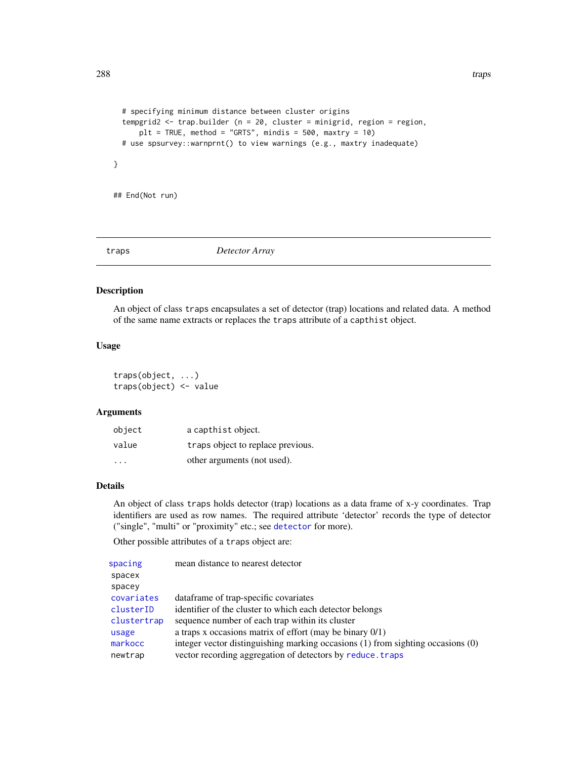```
# specifying minimum distance between cluster origins
tempgrid2 <- trap.builder (n = 20, cluster = minigrid, region = region,
    plt = TRUE, method = "GRTS", mindis = 500, maxtry = 10)
# use spsurvey::warnprnt() to view warnings (e.g., maxtry inadequate)
```
## End(Not run)

}

<span id="page-287-0"></span>traps *Detector Array*

## Description

An object of class traps encapsulates a set of detector (trap) locations and related data. A method of the same name extracts or replaces the traps attribute of a capthist object.

## Usage

traps(object, ...) traps(object) <- value

# Arguments

| object                  | a capthist object.                |
|-------------------------|-----------------------------------|
| value                   | traps object to replace previous. |
| $\cdot$ $\cdot$ $\cdot$ | other arguments (not used).       |

# Details

An object of class traps holds detector (trap) locations as a data frame of x-y coordinates. Trap identifiers are used as row names. The required attribute 'detector' records the type of detector ("single", "multi" or "proximity" etc.; see [detector](#page-57-0) for more).

Other possible attributes of a traps object are:

| spacing     | mean distance to nearest detector                                               |
|-------------|---------------------------------------------------------------------------------|
| spacex      |                                                                                 |
| spacey      |                                                                                 |
| covariates  | dataframe of trap-specific covariates                                           |
| clusterID   | identifier of the cluster to which each detector belongs                        |
| clustertrap | sequence number of each trap within its cluster                                 |
| usage       | a traps x occasions matrix of effort (may be binary $0/1$ )                     |
| markocc     | integer vector distinguishing marking occasions (1) from sighting occasions (0) |
| newtrap     | vector recording aggregation of detectors by reduce. traps                      |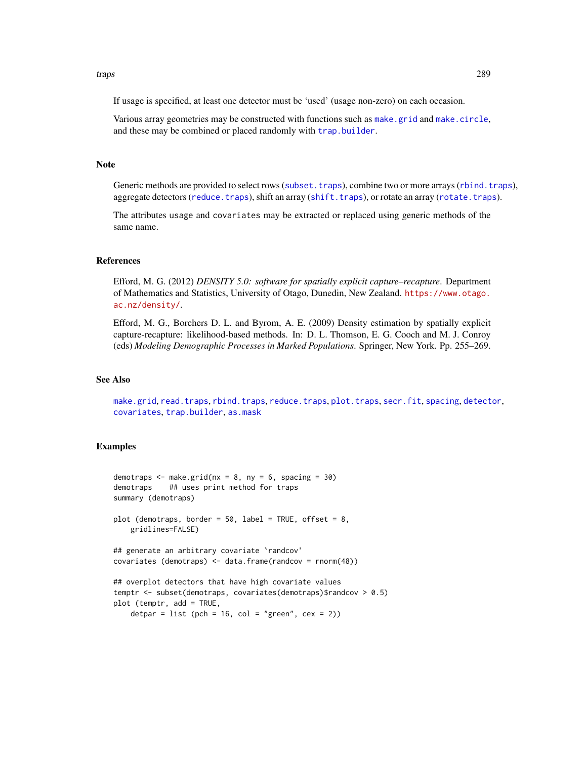#### <span id="page-288-0"></span>traps 289

If usage is specified, at least one detector must be 'used' (usage non-zero) on each occasion.

Various array geometries may be constructed with functions such as [make.grid](#page-121-0) and [make.circle](#page-121-0), and these may be combined or placed randomly with [trap.builder](#page-282-0).

#### **Note**

Generic methods are provided to select rows ([subset.traps](#page-269-0)), combine two or more arrays ([rbind.traps](#page-190-0)), aggregate detectors ([reduce.traps](#page-200-0)), shift an array ([shift.traps](#page-280-0)), or rotate an array ([rotate.traps](#page-280-0)).

The attributes usage and covariates may be extracted or replaced using generic methods of the same name.

#### References

Efford, M. G. (2012) *DENSITY 5.0: software for spatially explicit capture–recapture*. Department of Mathematics and Statistics, University of Otago, Dunedin, New Zealand. [https://www.otago.](https://www.otago.ac.nz/density/) [ac.nz/density/](https://www.otago.ac.nz/density/).

Efford, M. G., Borchers D. L. and Byrom, A. E. (2009) Density estimation by spatially explicit capture-recapture: likelihood-based methods. In: D. L. Thomson, E. G. Cooch and M. J. Conroy (eds) *Modeling Demographic Processes in Marked Populations*. Springer, New York. Pp. 255–269.

# See Also

[make.grid](#page-121-0), [read.traps](#page-196-0), [rbind.traps](#page-190-0), [reduce.traps](#page-200-0), [plot.traps](#page-165-0), [secr.fit](#page-218-0), [spacing](#page-257-0), [detector](#page-57-0), [covariates](#page-41-0), [trap.builder](#page-282-0), [as.mask](#page-18-0)

```
demotraps \leq make.grid(nx = 8, ny = 6, spacing = 30)
demotraps ## uses print method for traps
summary (demotraps)
plot (demotraps, border = 50, label = TRUE, offset = 8,
   gridlines=FALSE)
## generate an arbitrary covariate `randcov'
covariates (demotraps) <- data.frame(randcov = rnorm(48))
## overplot detectors that have high covariate values
temptr <- subset(demotraps, covariates(demotraps)$randcov > 0.5)
plot (temptr, add = TRUE,
    detpar = list (pch = 16, col = "green", cex = 2))
```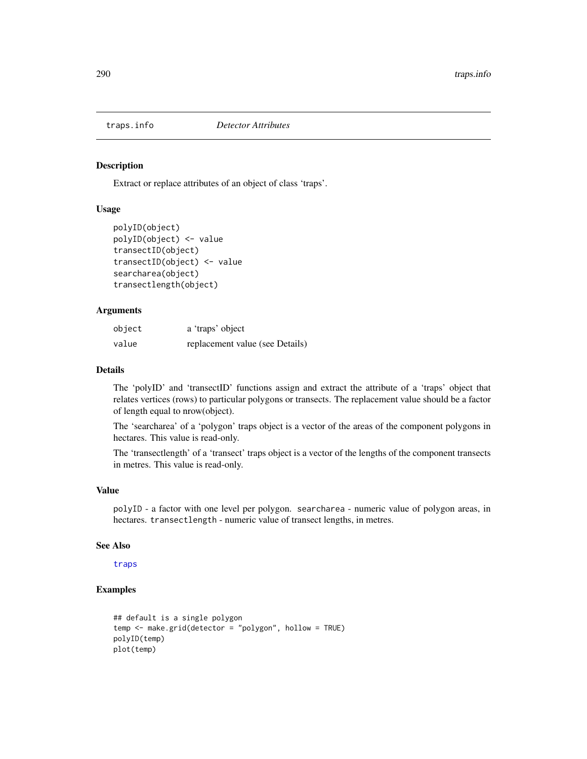<span id="page-289-0"></span>

#### Description

Extract or replace attributes of an object of class 'traps'.

# Usage

```
polyID(object)
polyID(object) <- value
transectID(object)
transectID(object) <- value
searcharea(object)
transectlength(object)
```
# Arguments

| object | a 'traps' object                |
|--------|---------------------------------|
| value  | replacement value (see Details) |

# Details

The 'polyID' and 'transectID' functions assign and extract the attribute of a 'traps' object that relates vertices (rows) to particular polygons or transects. The replacement value should be a factor of length equal to nrow(object).

The 'searcharea' of a 'polygon' traps object is a vector of the areas of the component polygons in hectares. This value is read-only.

The 'transectlength' of a 'transect' traps object is a vector of the lengths of the component transects in metres. This value is read-only.

# Value

polyID - a factor with one level per polygon. searcharea - numeric value of polygon areas, in hectares. transectlength - numeric value of transect lengths, in metres.

#### See Also

[traps](#page-287-0)

```
## default is a single polygon
temp <- make.grid(detector = "polygon", hollow = TRUE)
polyID(temp)
plot(temp)
```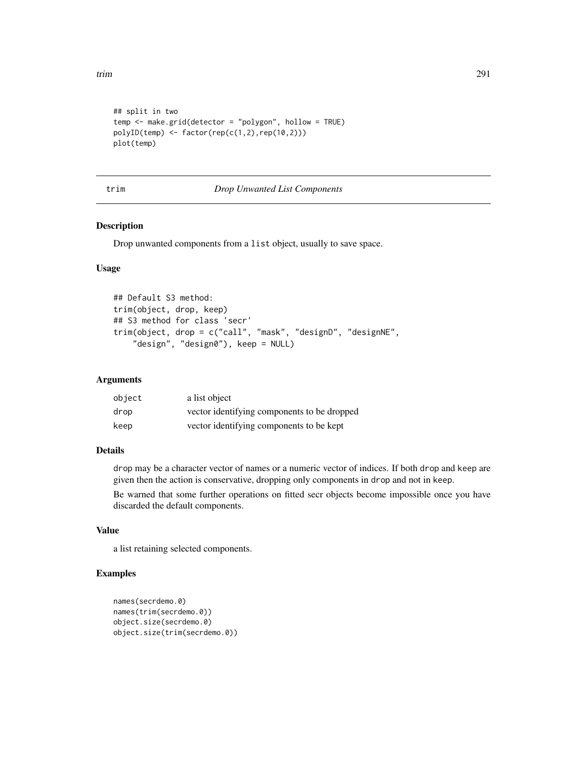```
## split in two
temp <- make.grid(detector = "polygon", hollow = TRUE)
polyID(\text{temp}) \leq factor(\text{rep}(c(1,2),\text{rep}(10,2)))plot(temp)
```
# trim *Drop Unwanted List Components*

# Description

Drop unwanted components from a list object, usually to save space.

# Usage

```
## Default S3 method:
trim(object, drop, keep)
## S3 method for class 'secr'
trim(object, drop = c("call", "mask", "designD", "designNE",
    "design", "design0"), keep = NULL)
```
# Arguments

| object | a list object                               |
|--------|---------------------------------------------|
| drop   | vector identifying components to be dropped |
| keep   | vector identifying components to be kept    |

#### Details

drop may be a character vector of names or a numeric vector of indices. If both drop and keep are given then the action is conservative, dropping only components in drop and not in keep.

Be warned that some further operations on fitted secr objects become impossible once you have discarded the default components.

# Value

a list retaining selected components.

```
names(secrdemo.0)
names(trim(secrdemo.0))
object.size(secrdemo.0)
object.size(trim(secrdemo.0))
```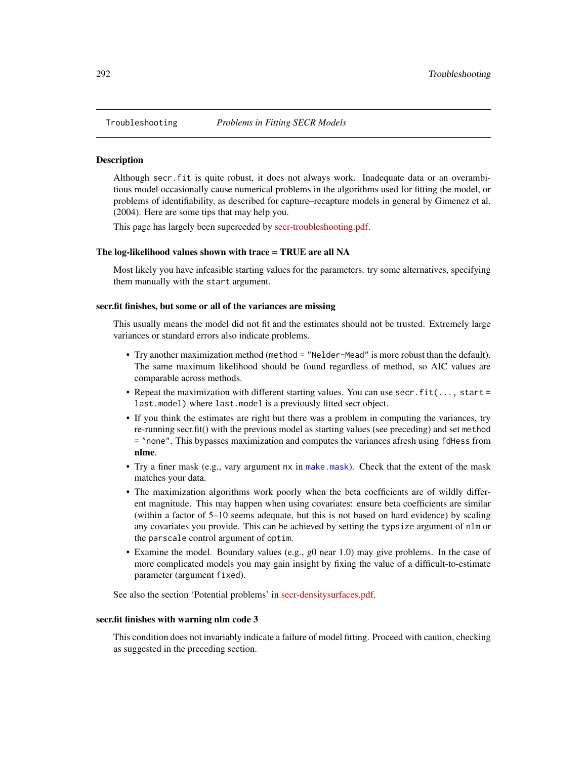<span id="page-291-0"></span>

#### **Description**

Although secr.fit is quite robust, it does not always work. Inadequate data or an overambitious model occasionally cause numerical problems in the algorithms used for fitting the model, or problems of identifiability, as described for capture–recapture models in general by Gimenez et al. (2004). Here are some tips that may help you.

This page has largely been superceded by [secr-troubleshooting.pdf.](https://www.otago.ac.nz/density/pdfs/secr-troubleshooting.pdf)

# The log-likelihood values shown with trace = TRUE are all NA

Most likely you have infeasible starting values for the parameters. try some alternatives, specifying them manually with the start argument.

#### secr.fit finishes, but some or all of the variances are missing

This usually means the model did not fit and the estimates should not be trusted. Extremely large variances or standard errors also indicate problems.

- Try another maximization method (method = "Nelder-Mead" is more robust than the default). The same maximum likelihood should be found regardless of method, so AIC values are comparable across methods.
- Repeat the maximization with different starting values. You can use secr.fit $(\ldots, start =$ last.model) where last.model is a previously fitted secr object.
- If you think the estimates are right but there was a problem in computing the variances, try re-running secr.fit() with the previous model as starting values (see preceding) and set method = "none". This bypasses maximization and computes the variances afresh using fdHess from nlme.
- Try a finer mask (e.g., vary argument nx in [make.mask](#page-115-0)). Check that the extent of the mask matches your data.
- The maximization algorithms work poorly when the beta coefficients are of wildly different magnitude. This may happen when using covariates: ensure beta coefficients are similar (within a factor of 5–10 seems adequate, but this is not based on hard evidence) by scaling any covariates you provide. This can be achieved by setting the typsize argument of nlm or the parscale control argument of optim.
- Examine the model. Boundary values (e.g., g0 near 1.0) may give problems. In the case of more complicated models you may gain insight by fixing the value of a difficult-to-estimate parameter (argument fixed).

See also the section 'Potential problems' in [secr-densitysurfaces.pdf.](https://www.otago.ac.nz/density/pdfs/secr-densitysurfaces.pdf)

#### secr.fit finishes with warning nlm code 3

This condition does not invariably indicate a failure of model fitting. Proceed with caution, checking as suggested in the preceding section.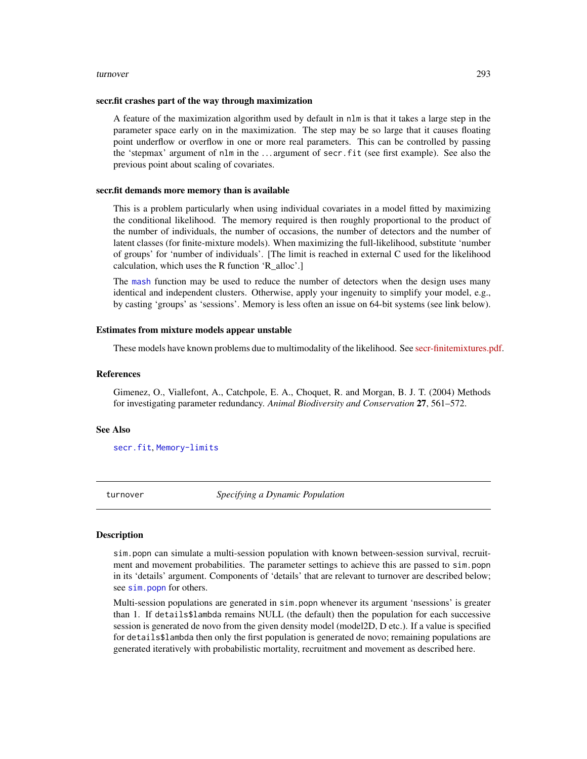#### <span id="page-292-0"></span>turnover 293

#### secr.fit crashes part of the way through maximization

A feature of the maximization algorithm used by default in nlm is that it takes a large step in the parameter space early on in the maximization. The step may be so large that it causes floating point underflow or overflow in one or more real parameters. This can be controlled by passing the 'stepmax' argument of nlm in the . . . argument of secr.fit (see first example). See also the previous point about scaling of covariates.

#### secr.fit demands more memory than is available

This is a problem particularly when using individual covariates in a model fitted by maximizing the conditional likelihood. The memory required is then roughly proportional to the product of the number of individuals, the number of occasions, the number of detectors and the number of latent classes (for finite-mixture models). When maximizing the full-likelihood, substitute 'number of groups' for 'number of individuals'. [The limit is reached in external C used for the likelihood calculation, which uses the R function 'R\_alloc'.]

The [mash](#page-282-1) function may be used to reduce the number of detectors when the design uses many identical and independent clusters. Otherwise, apply your ingenuity to simplify your model, e.g., by casting 'groups' as 'sessions'. Memory is less often an issue on 64-bit systems (see link below).

### Estimates from mixture models appear unstable

These models have known problems due to multimodality of the likelihood. See [secr-finitemixtures.pdf.](https://www.otago.ac.nz/density/pdfs/secr-finitemixtures.pdf)

#### References

Gimenez, O., Viallefont, A., Catchpole, E. A., Choquet, R. and Morgan, B. J. T. (2004) Methods for investigating parameter redundancy. *Animal Biodiversity and Conservation* 27, 561–572.

#### See Also

[secr.fit](#page-218-0), [Memory-limits](#page-0-0)

turnover *Specifying a Dynamic Population*

#### **Description**

sim.popn can simulate a multi-session population with known between-session survival, recruitment and movement probabilities. The parameter settings to achieve this are passed to sim.popn in its 'details' argument. Components of 'details' that are relevant to turnover are described below; see [sim.popn](#page-243-0) for others.

Multi-session populations are generated in sim.popn whenever its argument 'nsessions' is greater than 1. If details\$lambda remains NULL (the default) then the population for each successive session is generated de novo from the given density model (model2D, D etc.). If a value is specified for details\$lambda then only the first population is generated de novo; remaining populations are generated iteratively with probabilistic mortality, recruitment and movement as described here.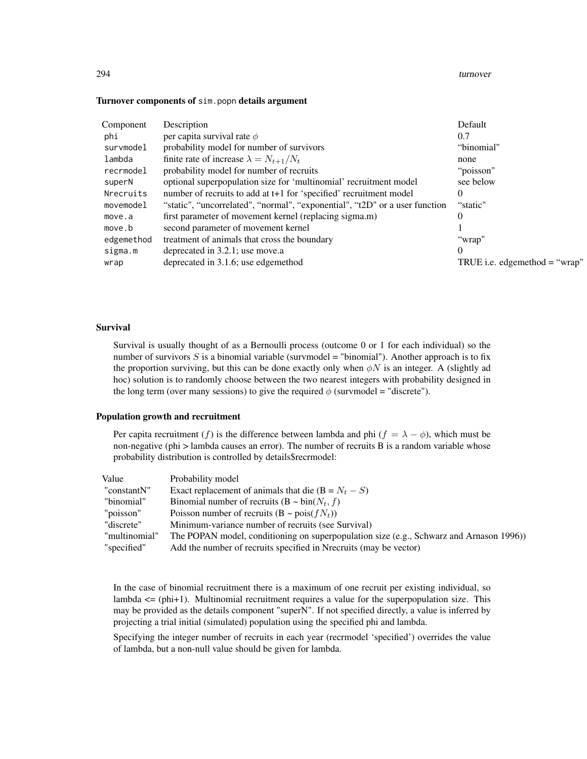#### 294 turnover

#### Turnover components of sim.popn details argument

| Component  | Description                                                                 | Default                         |
|------------|-----------------------------------------------------------------------------|---------------------------------|
| phi        | per capita survival rate $\phi$                                             | 0.7                             |
| survmodel  | probability model for number of survivors                                   | "binomial"                      |
| lambda     | finite rate of increase $\lambda = N_{t+1}/N_t$                             | none                            |
| recrmodel  | probability model for number of recruits                                    | "poisson"                       |
| superN     | optional superpopulation size for 'multinomial' recruitment model           | see below                       |
| Nrecruits  | number of recruits to add at t+1 for 'specified' recruitment model          | $^{(1)}$                        |
| movemodel  | "static", "uncorrelated", "normal", "exponential", "t2D" or a user function | "static"                        |
| move.a     | first parameter of movement kernel (replacing sigma.m)                      | 0                               |
| move.b     | second parameter of movement kernel                                         |                                 |
| edgemethod | treatment of animals that cross the boundary                                | "wrap"                          |
| sigma.m    | deprecated in 3.2.1; use move.a                                             | $\theta$                        |
| wrap       | deprecated in 3.1.6; use edgemethod                                         | TRUE i.e. edgemethod $=$ "wrap" |

# Survival

Survival is usually thought of as a Bernoulli process (outcome 0 or 1 for each individual) so the number of survivors  $S$  is a binomial variable (survmodel = "binomial"). Another approach is to fix the proportion surviving, but this can be done exactly only when  $\phi N$  is an integer. A (slightly ad hoc) solution is to randomly choose between the two nearest integers with probability designed in the long term (over many sessions) to give the required  $\phi$  (survmodel = "discrete").

#### Population growth and recruitment

Per capita recruitment (f) is the difference between lambda and phi ( $f = \lambda - \phi$ ), which must be non-negative (phi > lambda causes an error). The number of recruits B is a random variable whose probability distribution is controlled by details\$recrmodel:

| Value         | Probability model                                                                       |
|---------------|-----------------------------------------------------------------------------------------|
| "constantN"   | Exact replacement of animals that die $(B = N_t - S)$                                   |
| "binomial"    | Binomial number of recruits $(B \sim bin(N_t, f))$                                      |
| "poisson"     | Poisson number of recruits $(B \sim \text{pois}(fN_t))$                                 |
| "discrete"    | Minimum-variance number of recruits (see Survival)                                      |
| "multinomial" | The POPAN model, conditioning on superpopulation size (e.g., Schwarz and Arnason 1996)) |
| "specified"   | Add the number of recruits specified in Nrecruits (may be vector)                       |

In the case of binomial recruitment there is a maximum of one recruit per existing individual, so lambda  $\leq$  (phi+1). Multinomial recruitment requires a value for the superpopulation size. This may be provided as the details component "superN". If not specified directly, a value is inferred by projecting a trial initial (simulated) population using the specified phi and lambda.

Specifying the integer number of recruits in each year (recrmodel 'specified') overrides the value of lambda, but a non-null value should be given for lambda.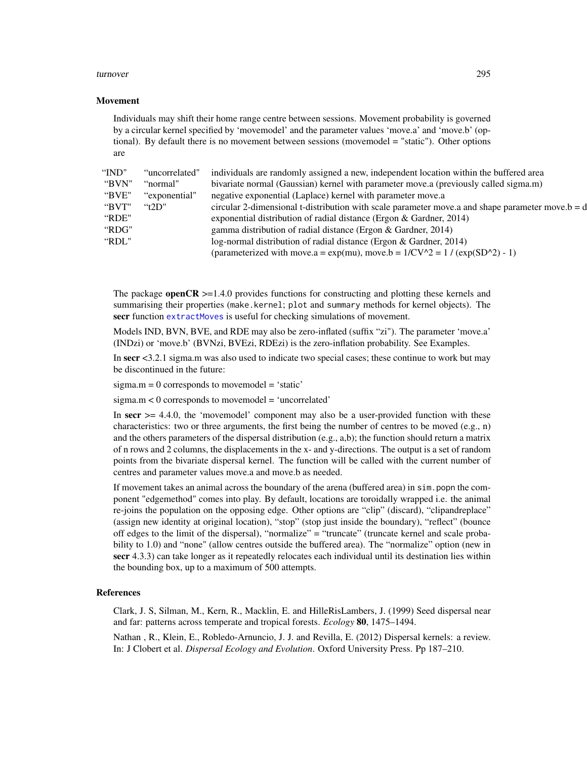#### <span id="page-294-0"></span>turnover 295

#### Movement

Individuals may shift their home range centre between sessions. Movement probability is governed by a circular kernel specified by 'movemodel' and the parameter values 'move.a' and 'move.b' (optional). By default there is no movement between sessions (movemodel = "static"). Other options are

| "IND" | "uncorrelated" | individuals are randomly assigned a new, independent location within the buffered area             |
|-------|----------------|----------------------------------------------------------------------------------------------------|
| "BVN" | "normal"       | bivariate normal (Gaussian) kernel with parameter move.a (previously called sigma.m)               |
| "BVE" | "exponential"  | negative exponential (Laplace) kernel with parameter move.a                                        |
| "BVT" | "t2D"          | circular 2-dimensional t-distribution with scale parameter move.a and shape parameter move.b = $d$ |
| "RDE" |                | exponential distribution of radial distance (Ergon & Gardner, 2014)                                |
| "RDG" |                | gamma distribution of radial distance (Ergon & Gardner, 2014)                                      |
| "RDL" |                | log-normal distribution of radial distance (Ergon & Gardner, 2014)                                 |
|       |                | (parameterized with move.a = $exp(mu)$ , move.b = $1/CV^2 = 1 / (exp(SD^2) - 1)$ )                 |
|       |                |                                                                                                    |

The package **openCR**  $> = 1.4.0$  provides functions for constructing and plotting these kernels and summarising their properties (make.kernel; plot and summary methods for kernel objects). The secr function [extractMoves](#page-77-0) is useful for checking simulations of movement.

Models IND, BVN, BVE, and RDE may also be zero-inflated (suffix "zi"). The parameter 'move.a' (INDzi) or 'move.b' (BVNzi, BVEzi, RDEzi) is the zero-inflation probability. See Examples.

In secr <3.2.1 sigma.m was also used to indicate two special cases; these continue to work but may be discontinued in the future:

 $sigma.m = 0$  corresponds to movemodel = 'static'

sigma.m < 0 corresponds to movemodel = 'uncorrelated'

In  $secr$  >= 4.4.0, the 'movemodel' component may also be a user-provided function with these characteristics: two or three arguments, the first being the number of centres to be moved (e.g., n) and the others parameters of the dispersal distribution (e.g., a,b); the function should return a matrix of n rows and 2 columns, the displacements in the x- and y-directions. The output is a set of random points from the bivariate dispersal kernel. The function will be called with the current number of centres and parameter values move.a and move.b as needed.

If movement takes an animal across the boundary of the arena (buffered area) in sim.popn the component "edgemethod" comes into play. By default, locations are toroidally wrapped i.e. the animal re-joins the population on the opposing edge. Other options are "clip" (discard), "clipandreplace" (assign new identity at original location), "stop" (stop just inside the boundary), "reflect" (bounce off edges to the limit of the dispersal), "normalize" = "truncate" (truncate kernel and scale probability to 1.0) and "none" (allow centres outside the buffered area). The "normalize" option (new in secr 4.3.3) can take longer as it repeatedly relocates each individual until its destination lies within the bounding box, up to a maximum of 500 attempts.

#### References

Clark, J. S, Silman, M., Kern, R., Macklin, E. and HilleRisLambers, J. (1999) Seed dispersal near and far: patterns across temperate and tropical forests. *Ecology* 80, 1475–1494.

Nathan , R., Klein, E., Robledo-Arnuncio, J. J. and Revilla, E. (2012) Dispersal kernels: a review. In: J Clobert et al. *Dispersal Ecology and Evolution*. Oxford University Press. Pp 187–210.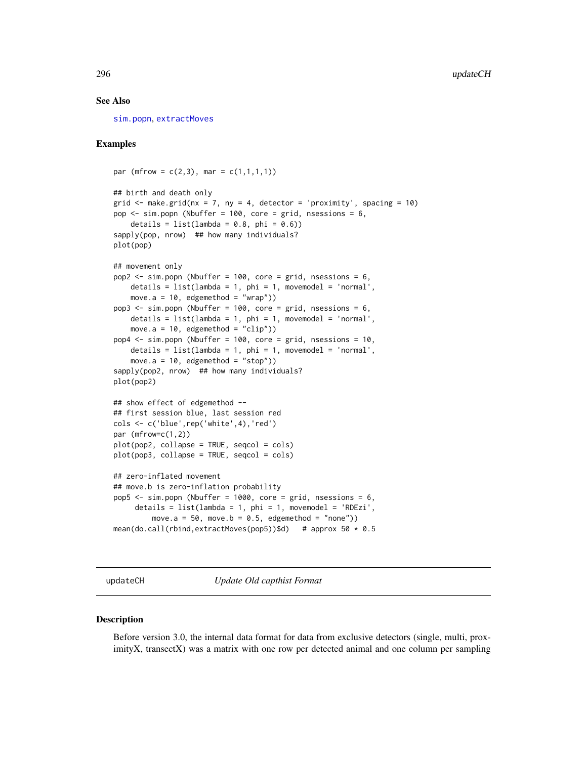#### <span id="page-295-0"></span>See Also

[sim.popn](#page-243-0), [extractMoves](#page-77-0)

#### Examples

```
par (mfrow = c(2,3), mar = c(1,1,1,1))
## birth and death only
grid \le make.grid(nx = 7, ny = 4, detector = 'proximity', spacing = 10)
pop <- sim.popn (Nbuffer = 100, core = grid, nsessions = 6,
    details = list(lambda = 0.8, phi = 0.6))
sapply(pop, nrow) ## how many individuals?
plot(pop)
## movement only
pop2 <- sim.popn (Nbuffer = 100, core = grid, nsessions = 6,
    details = list(lambda = 1, phi = 1, movement) = 'normal',
    move.a = 10, edgemethod = "wrap"))
pop3 \le - \sin.popn (Nbuffer = 100, core = grid, nsessions = 6,
    details = list(lambda = 1, phi = 1, movemodel = 'normal',move.a = 10, edgemethod = "clip"))
pop4 <- sim.popn (Nbuffer = 100, core = grid, nsessions = 10,
    details = list(lambda = 1, phi = 1, movemodel = 'normal',
    move.a = 10, edgemethod = "stop"))
sapply(pop2, nrow) ## how many individuals?
plot(pop2)
## show effect of edgemethod --
## first session blue, last session red
cols <- c('blue',rep('white',4),'red')
par (mfrow=c(1,2))plot(pop2, collapse = TRUE, seqcol = cols)
plot(pop3, collapse = TRUE, seqcol = cols)
## zero-inflated movement
## move.b is zero-inflation probability
pop5 \le sim.popn (Nbuffer = 1000, core = grid, nsessions = 6,
     details = list(lambda = 1, phi = 1, movemodel = 'RDEzi',
         move.a = 50, move.b = 0.5, edgemethod = "none"))
mean(do.call(rbind,extractMoves(pop5))$d) # approx 50 * 0.5
```
updateCH *Update Old capthist Format*

#### **Description**

Before version 3.0, the internal data format for data from exclusive detectors (single, multi, proximityX, transectX) was a matrix with one row per detected animal and one column per sampling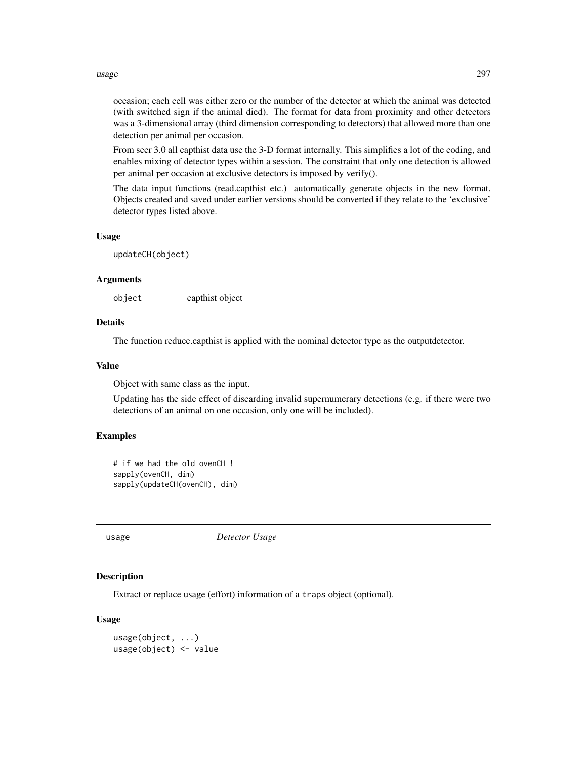#### <span id="page-296-1"></span>usage 297

occasion; each cell was either zero or the number of the detector at which the animal was detected (with switched sign if the animal died). The format for data from proximity and other detectors was a 3-dimensional array (third dimension corresponding to detectors) that allowed more than one detection per animal per occasion.

From secr 3.0 all capthist data use the 3-D format internally. This simplifies a lot of the coding, and enables mixing of detector types within a session. The constraint that only one detection is allowed per animal per occasion at exclusive detectors is imposed by verify().

The data input functions (read.capthist etc.) automatically generate objects in the new format. Objects created and saved under earlier versions should be converted if they relate to the 'exclusive' detector types listed above.

# Usage

updateCH(object)

# Arguments

object capthist object

# Details

The function reduce.capthist is applied with the nominal detector type as the outputdetector.

# Value

Object with same class as the input.

Updating has the side effect of discarding invalid supernumerary detections (e.g. if there were two detections of an animal on one occasion, only one will be included).

# Examples

```
# if we had the old ovenCH !
sapply(ovenCH, dim)
sapply(updateCH(ovenCH), dim)
```
<span id="page-296-0"></span>usage *Detector Usage*

#### **Description**

Extract or replace usage (effort) information of a traps object (optional).

#### Usage

```
usage(object, ...)
usage(object) <- value
```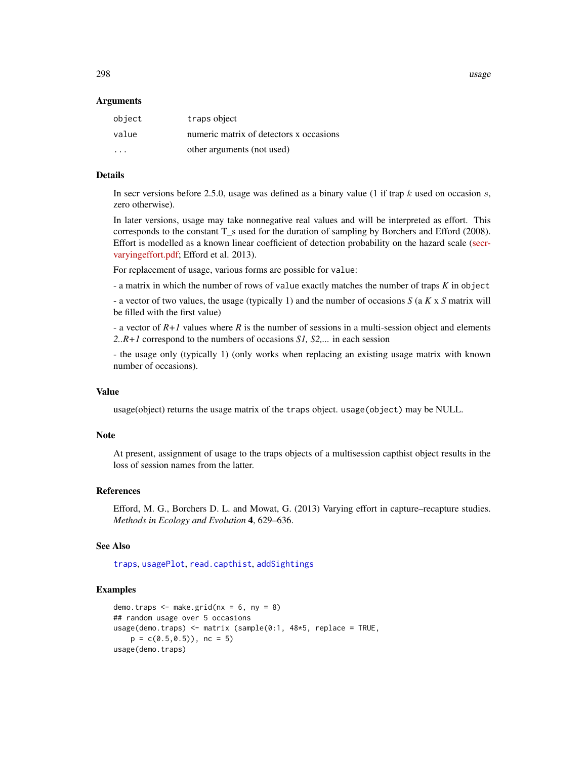<span id="page-297-0"></span>298 usage

#### Arguments

| object                  | traps object                            |
|-------------------------|-----------------------------------------|
| value                   | numeric matrix of detectors x occasions |
| $\cdot$ $\cdot$ $\cdot$ | other arguments (not used)              |

# Details

In secr versions before 2.5.0, usage was defined as a binary value (1 if trap k used on occasion s, zero otherwise).

In later versions, usage may take nonnegative real values and will be interpreted as effort. This corresponds to the constant T\_s used for the duration of sampling by Borchers and Efford (2008). Effort is modelled as a known linear coefficient of detection probability on the hazard scale [\(secr](https://www.otago.ac.nz/density/pdfs/secr-varyingeffort.pdf)[varyingeffort.pdf;](https://www.otago.ac.nz/density/pdfs/secr-varyingeffort.pdf) Efford et al. 2013).

For replacement of usage, various forms are possible for value:

- a matrix in which the number of rows of value exactly matches the number of traps *K* in object

- a vector of two values, the usage (typically 1) and the number of occasions *S* (a *K* x *S* matrix will be filled with the first value)

- a vector of *R+1* values where *R* is the number of sessions in a multi-session object and elements *2..R+1* correspond to the numbers of occasions *S1, S2,...* in each session

- the usage only (typically 1) (only works when replacing an existing usage matrix with known number of occasions).

# Value

usage(object) returns the usage matrix of the traps object. usage(object) may be NULL.

#### **Note**

At present, assignment of usage to the traps objects of a multisession capthist object results in the loss of session names from the latter.

### References

Efford, M. G., Borchers D. L. and Mowat, G. (2013) Varying effort in capture–recapture studies. *Methods in Ecology and Evolution* 4, 629–636.

#### See Also

[traps](#page-287-0), [usagePlot](#page-298-0), [read.capthist](#page-191-0), [addSightings](#page-8-0)

```
demo.traps \leq make.grid(nx = 6, ny = 8)
## random usage over 5 occasions
usage(demo.traps) <- matrix (sample(0:1, 48*5, replace = TRUE,
   p = c(0.5, 0.5), nc = 5usage(demo.traps)
```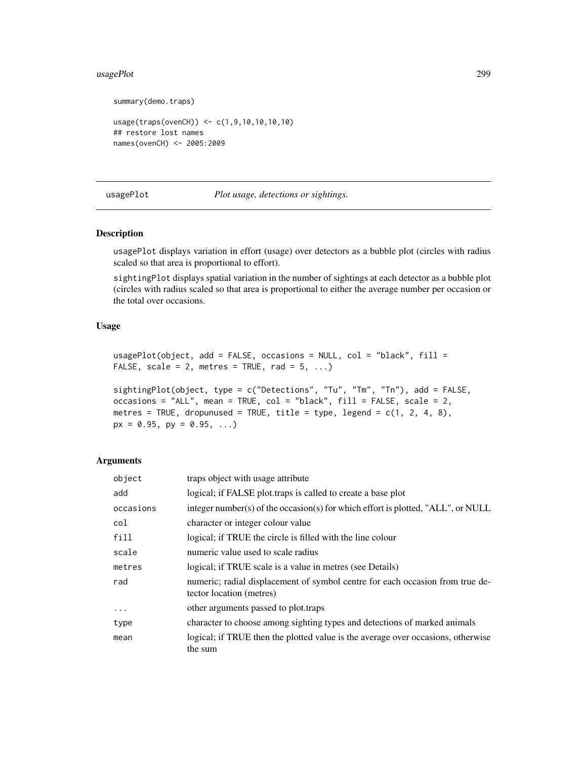#### <span id="page-298-1"></span>usagePlot 299

```
summary(demo.traps)
```

```
usage(traps(ovenCH)) <- c(1,9,10,10,10,10)
## restore lost names
names(ovenCH) <- 2005:2009
```
#### <span id="page-298-0"></span>usagePlot *Plot usage, detections or sightings.*

# Description

usagePlot displays variation in effort (usage) over detectors as a bubble plot (circles with radius scaled so that area is proportional to effort).

sightingPlot displays spatial variation in the number of sightings at each detector as a bubble plot (circles with radius scaled so that area is proportional to either the average number per occasion or the total over occasions.

# Usage

```
usagePlot(object, add = FALSE, occasions = NULL, col = "black", fill =FALSE, scale = 2, metres = TRUE, rad = 5, ...)
```

```
sightingPlot(object, type = c("Detections", "Tu", "Tm", "Tn"), add = FALSE,
occasions = "ALL", mean = TRUE, col = "black", fill = FALSE, scale = 2,metres = TRUE, dropunused = TRUE, title = type, legend = c(1, 2, 4, 8),
px = 0.95, py = 0.95, ...)
```
#### Arguments

| object    | traps object with usage attribute                                                                         |
|-----------|-----------------------------------------------------------------------------------------------------------|
| add       | logical; if FALSE plot.traps is called to create a base plot                                              |
| occasions | integer number(s) of the occasion(s) for which effort is plotted, "ALL", or NULL                          |
| col       | character or integer colour value                                                                         |
| fill      | logical; if TRUE the circle is filled with the line colour                                                |
| scale     | numeric value used to scale radius                                                                        |
| metres    | logical; if TRUE scale is a value in metres (see Details)                                                 |
| rad       | numeric; radial displacement of symbol centre for each occasion from true de-<br>tector location (metres) |
| $\ddotsc$ | other arguments passed to plot.traps                                                                      |
| type      | character to choose among sighting types and detections of marked animals                                 |
| mean      | logical; if TRUE then the plotted value is the average over occasions, otherwise<br>the sum               |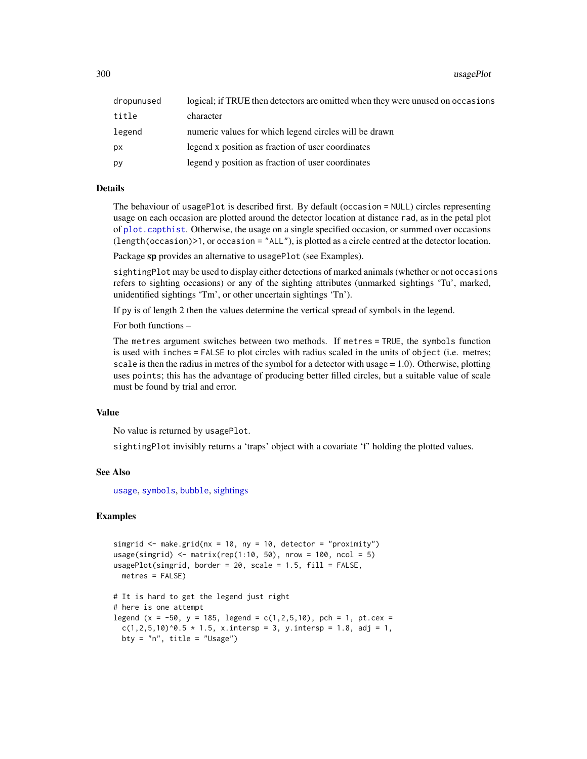<span id="page-299-0"></span>300 usagePlot

| dropunused | logical; if TRUE then detectors are omitted when they were unused on occasions |
|------------|--------------------------------------------------------------------------------|
| title      | character                                                                      |
| legend     | numeric values for which legend circles will be drawn                          |
| рx         | legend x position as fraction of user coordinates                              |
| рy         | legend y position as fraction of user coordinates                              |

# **Details**

The behaviour of usagePlot is described first. By default (occasion = NULL) circles representing usage on each occasion are plotted around the detector location at distance rad, as in the petal plot of [plot.capthist](#page-155-0). Otherwise, the usage on a single specified occasion, or summed over occasions (length(occasion)>1, or occasion = "ALL"), is plotted as a circle centred at the detector location.

Package sp provides an alternative to usagePlot (see Examples).

sightingPlot may be used to display either detections of marked animals (whether or not occasions refers to sighting occasions) or any of the sighting attributes (unmarked sightings 'Tu', marked, unidentified sightings 'Tm', or other uncertain sightings 'Tn').

If py is of length 2 then the values determine the vertical spread of symbols in the legend.

For both functions –

The metres argument switches between two methods. If metres = TRUE, the symbols function is used with inches = FALSE to plot circles with radius scaled in the units of object (i.e. metres; scale is then the radius in metres of the symbol for a detector with usage  $= 1.0$ ). Otherwise, plotting uses points; this has the advantage of producing better filled circles, but a suitable value of scale must be found by trial and error.

# Value

No value is returned by usagePlot.

sightingPlot invisibly returns a 'traps' object with a covariate 'f' holding the plotted values.

# See Also

[usage](#page-296-0), [symbols](#page-0-0), [bubble](#page-0-0), [sightings](#page-235-0)

```
simgrid \leq make.grid(nx = 10, ny = 10, detector = "proximity")
usage(simgrid) <- matrix(rep(1:10, 50), nrow = 100, ncol = 5)
usagePlot(simgrid, border = 20, scale = 1.5, fill = FALSE,
 metres = FALSE)
# It is hard to get the legend just right
# here is one attempt
legend (x = -50, y = 185, legend = c(1, 2, 5, 10), pch = 1, pt.cex =
 c(1,2,5,10)^0.5 * 1.5, x.intersp = 3, y.intersp = 1.8, adj = 1,
 bty = "n", title = "Usage")
```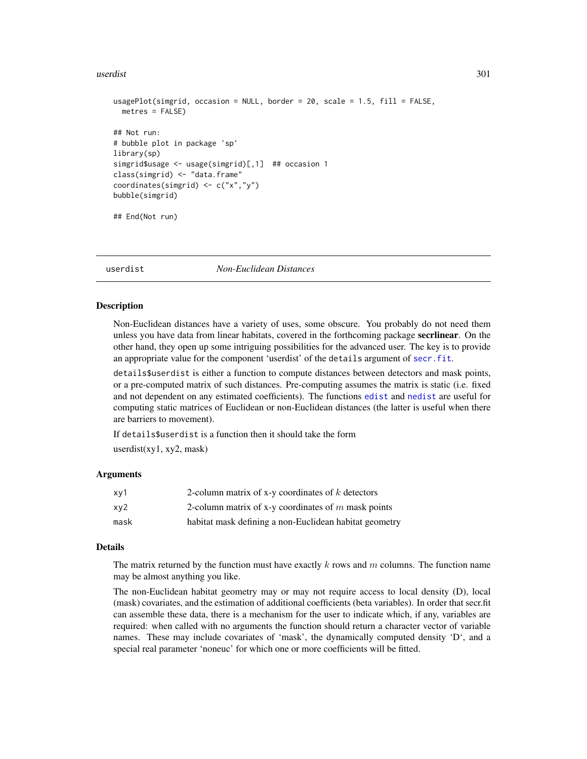#### <span id="page-300-0"></span>userdist 301

```
usagePlot(simgrid, occasion = NULL, border = 20, scale = 1.5, fill = FALSE,
 metres = FALSE)
## Not run:
# bubble plot in package 'sp'
library(sp)
simgrid$usage <- usage(simgrid)[,1] ## occasion 1
class(simgrid) <- "data.frame"
coordinates(simgrid) <- c("x","y")
bubble(simgrid)
## End(Not run)
```
userdist *Non-Euclidean Distances*

# Description

Non-Euclidean distances have a variety of uses, some obscure. You probably do not need them unless you have data from linear habitats, covered in the forthcoming package **secrlinear**. On the other hand, they open up some intriguing possibilities for the advanced user. The key is to provide an appropriate value for the component 'userdist' of the details argument of [secr.fit](#page-218-0).

details\$userdist is either a function to compute distances between detectors and mask points, or a pre-computed matrix of such distances. Pre-computing assumes the matrix is static (i.e. fixed and not dependent on any estimated coefficients). The functions [edist](#page-302-0) and [nedist](#page-302-0) are useful for computing static matrices of Euclidean or non-Euclidean distances (the latter is useful when there are barriers to movement).

If details\$userdist is a function then it should take the form

userdist $(xy1, xy2, mask)$ 

# **Arguments**

| xy1  | 2-column matrix of x-y coordinates of $k$ detectors    |
|------|--------------------------------------------------------|
| xy2  | 2-column matrix of x-y coordinates of $m$ mask points  |
| mask | habitat mask defining a non-Euclidean habitat geometry |

# Details

The matrix returned by the function must have exactly  $k$  rows and  $m$  columns. The function name may be almost anything you like.

The non-Euclidean habitat geometry may or may not require access to local density (D), local (mask) covariates, and the estimation of additional coefficients (beta variables). In order that secr.fit can assemble these data, there is a mechanism for the user to indicate which, if any, variables are required: when called with no arguments the function should return a character vector of variable names. These may include covariates of 'mask', the dynamically computed density 'D', and a special real parameter 'noneuc' for which one or more coefficients will be fitted.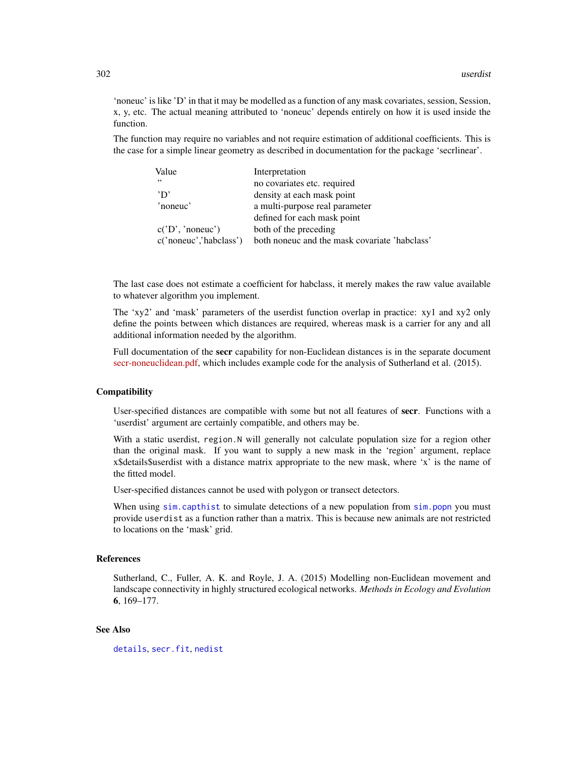<span id="page-301-0"></span>'noneuc' is like 'D' in that it may be modelled as a function of any mask covariates, session, Session, x, y, etc. The actual meaning attributed to 'noneuc' depends entirely on how it is used inside the function.

The function may require no variables and not require estimation of additional coefficients. This is the case for a simple linear geometry as described in documentation for the package 'secrlinear'.

| Value                  | Interpretation                                |
|------------------------|-----------------------------------------------|
| , ,                    | no covariates etc. required                   |
| 'D'                    | density at each mask point                    |
| 'noneuc'               | a multi-purpose real parameter                |
|                        | defined for each mask point                   |
| c('D', 'noneuc')       | both of the preceding                         |
| c('noneuc','habclass') | both noneuc and the mask covariate 'habclass' |

The last case does not estimate a coefficient for habclass, it merely makes the raw value available to whatever algorithm you implement.

The 'xy2' and 'mask' parameters of the userdist function overlap in practice: xy1 and xy2 only define the points between which distances are required, whereas mask is a carrier for any and all additional information needed by the algorithm.

Full documentation of the **secr** capability for non-Euclidean distances is in the separate document [secr-noneuclidean.pdf,](https://www.otago.ac.nz/density/pdfs/secr-noneuclidean.pdf) which includes example code for the analysis of Sutherland et al. (2015).

#### Compatibility

User-specified distances are compatible with some but not all features of secr. Functions with a 'userdist' argument are certainly compatible, and others may be.

With a static userdist, region.N will generally not calculate population size for a region other than the original mask. If you want to supply a new mask in the 'region' argument, replace x\$details\$userdist with a distance matrix appropriate to the new mask, where 'x' is the name of the fitted model.

User-specified distances cannot be used with polygon or transect detectors.

When using [sim.capthist](#page-238-0) to simulate detections of a new population from [sim.popn](#page-243-0) you must provide userdist as a function rather than a matrix. This is because new animals are not restricted to locations on the 'mask' grid.

#### References

Sutherland, C., Fuller, A. K. and Royle, J. A. (2015) Modelling non-Euclidean movement and landscape connectivity in highly structured ecological networks. *Methods in Ecology and Evolution* 6, 169–177.

#### See Also

[details](#page-51-0), [secr.fit](#page-218-0), [nedist](#page-302-0)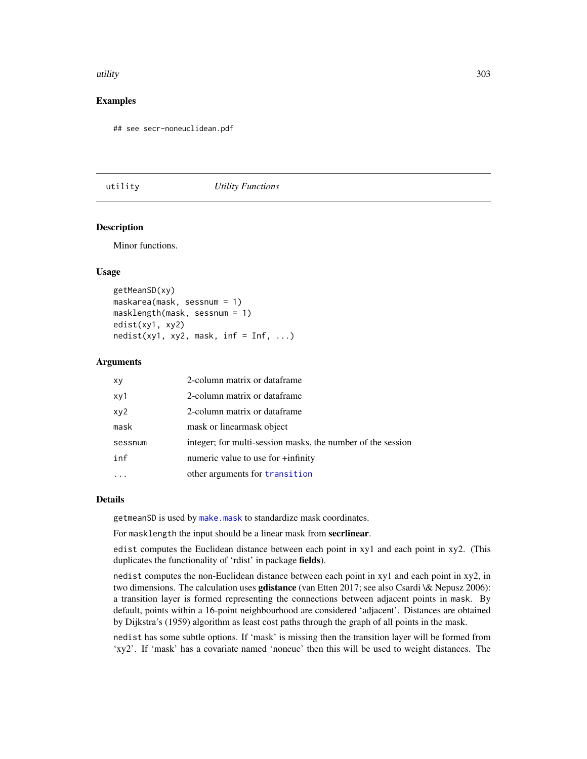#### <span id="page-302-1"></span>utility and the state of the state of the state of the state of the state of the state of the state of the state of the state of the state of the state of the state of the state of the state of the state of the state of th

# Examples

## see secr-noneuclidean.pdf

#### utility *Utility Functions*

#### <span id="page-302-0"></span>**Description**

Minor functions.

# Usage

```
getMeanSD(xy)
maskarea(mask, sessnum = 1)
masklength(mask, sessnum = 1)
edist(xy1, xy2)
nedist(xy1, xy2, mask, inf = Inf, ...)
```
#### Arguments

| xy      | 2-column matrix or dataframe                                |
|---------|-------------------------------------------------------------|
| xy1     | 2-column matrix or dataframe                                |
| xy2     | 2-column matrix or dataframe                                |
| mask    | mask or linearmask object                                   |
| sessnum | integer; for multi-session masks, the number of the session |
| inf     | numeric value to use for $+i$ nfinity                       |
|         | other arguments for transition                              |

#### Details

getmeanSD is used by [make.mask](#page-115-0) to standardize mask coordinates.

For masklength the input should be a linear mask from secrlinear.

edist computes the Euclidean distance between each point in xy1 and each point in xy2. (This duplicates the functionality of 'rdist' in package fields).

nedist computes the non-Euclidean distance between each point in xy1 and each point in xy2, in two dimensions. The calculation uses **gdistance** (van Etten 2017; see also Csardi \& Nepusz 2006): a transition layer is formed representing the connections between adjacent points in mask. By default, points within a 16-point neighbourhood are considered 'adjacent'. Distances are obtained by Dijkstra's (1959) algorithm as least cost paths through the graph of all points in the mask.

nedist has some subtle options. If 'mask' is missing then the transition layer will be formed from 'xy2'. If 'mask' has a covariate named 'noneuc' then this will be used to weight distances. The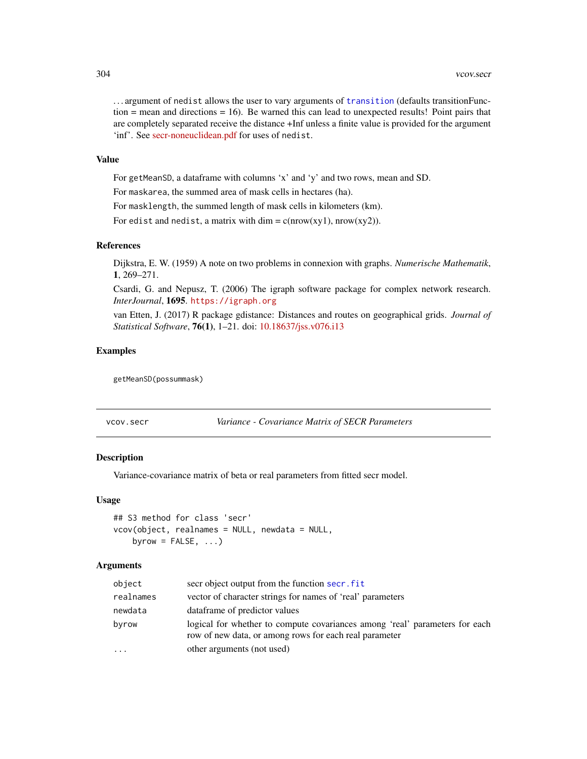<span id="page-303-0"></span>. . . argument of nedist allows the user to vary arguments of [transition](#page-0-0) (defaults transitionFunction  $=$  mean and directions  $= 16$ ). Be warned this can lead to unexpected results! Point pairs that are completely separated receive the distance +Inf unless a finite value is provided for the argument 'inf'. See [secr-noneuclidean.pdf](https://www.otago.ac.nz/density/pdfs/secr-noneuclidean.pdf) for uses of nedist.

# Value

For getMeanSD, a dataframe with columns 'x' and 'y' and two rows, mean and SD.

For maskarea, the summed area of mask cells in hectares (ha).

For masklength, the summed length of mask cells in kilometers (km).

For edist and nedist, a matrix with dim =  $c(nrow(xy1), nrow(xy2))$ .

# References

Dijkstra, E. W. (1959) A note on two problems in connexion with graphs. *Numerische Mathematik*, 1, 269–271.

Csardi, G. and Nepusz, T. (2006) The igraph software package for complex network research. *InterJournal*, 1695. <https://igraph.org>

van Etten, J. (2017) R package gdistance: Distances and routes on geographical grids. *Journal of Statistical Software*, 76(1), 1–21. doi: [10.18637/jss.v076.i13](https://doi.org/10.18637/jss.v076.i13)

#### Examples

getMeanSD(possummask)

vcov.secr *Variance - Covariance Matrix of SECR Parameters*

#### Description

Variance-covariance matrix of beta or real parameters from fitted secr model.

#### Usage

```
## S3 method for class 'secr'
vcov(object, realnames = NULL, newdata = NULL,
    byrow = FALSE, \ldots)
```
#### Arguments

| object    | secr object output from the function secr. fit                                                                                        |
|-----------|---------------------------------------------------------------------------------------------------------------------------------------|
| realnames | vector of character strings for names of 'real' parameters                                                                            |
| newdata   | dataframe of predictor values                                                                                                         |
| byrow     | logical for whether to compute covariances among 'real' parameters for each<br>row of new data, or among rows for each real parameter |
|           | other arguments (not used)                                                                                                            |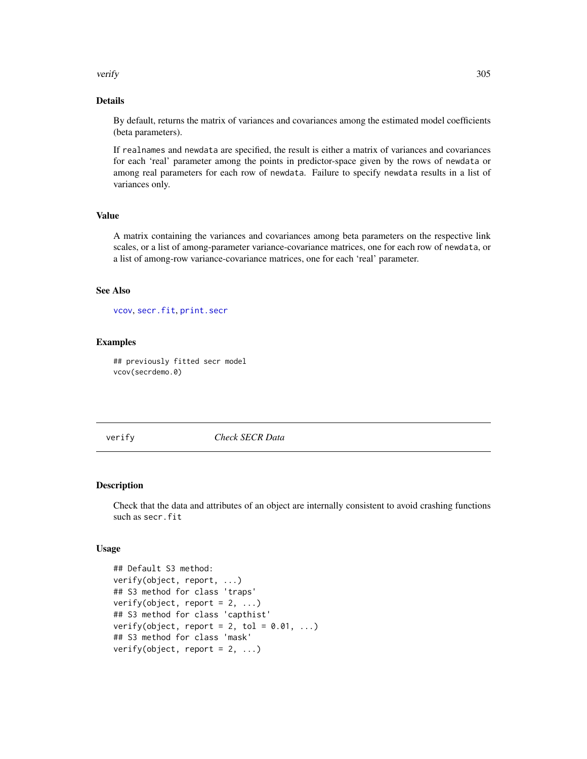<span id="page-304-0"></span>verify 305

# Details

By default, returns the matrix of variances and covariances among the estimated model coefficients (beta parameters).

If realnames and newdata are specified, the result is either a matrix of variances and covariances for each 'real' parameter among the points in predictor-space given by the rows of newdata or among real parameters for each row of newdata. Failure to specify newdata results in a list of variances only.

# Value

A matrix containing the variances and covariances among beta parameters on the respective link scales, or a list of among-parameter variance-covariance matrices, one for each row of newdata, or a list of among-row variance-covariance matrices, one for each 'real' parameter.

# See Also

[vcov](#page-0-0), [secr.fit](#page-218-0), [print.secr](#page-179-0)

# Examples

## previously fitted secr model vcov(secrdemo.0)

verify *Check SECR Data*

#### Description

Check that the data and attributes of an object are internally consistent to avoid crashing functions such as secr.fit

#### Usage

```
## Default S3 method:
verify(object, report, ...)
## S3 method for class 'traps'
verify(object, report = 2, ...)
## S3 method for class 'capthist'
verify(object, report = 2, tol = 0.01, ...)
## S3 method for class 'mask'
verify(object, report = 2, ...)
```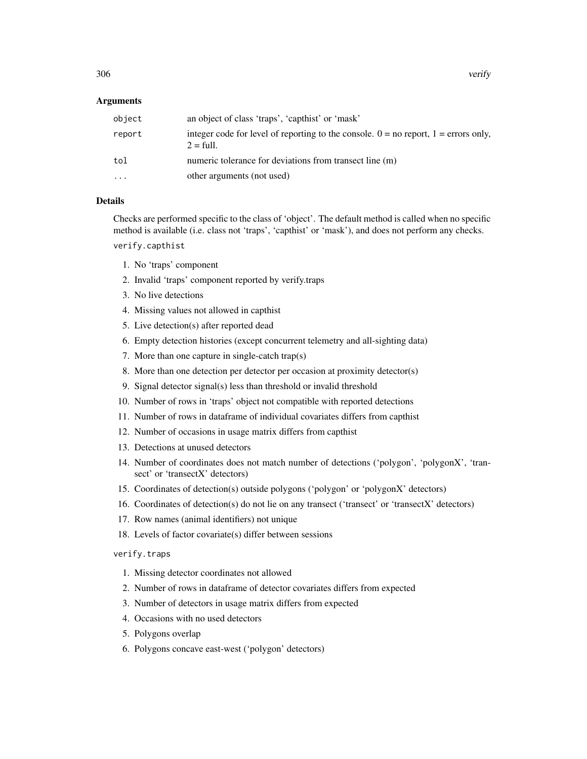# Arguments

| object | an object of class 'traps', 'capthist' or 'mask'                                                               |
|--------|----------------------------------------------------------------------------------------------------------------|
| report | integer code for level of reporting to the console. $0 =$ no report, $1 =$ errors only,<br>$2 = \text{full}$ . |
| tol    | numeric tolerance for deviations from transect line (m)                                                        |
| .      | other arguments (not used)                                                                                     |

# Details

Checks are performed specific to the class of 'object'. The default method is called when no specific method is available (i.e. class not 'traps', 'capthist' or 'mask'), and does not perform any checks.

verify.capthist

- 1. No 'traps' component
- 2. Invalid 'traps' component reported by verify.traps
- 3. No live detections
- 4. Missing values not allowed in capthist
- 5. Live detection(s) after reported dead
- 6. Empty detection histories (except concurrent telemetry and all-sighting data)
- 7. More than one capture in single-catch trap(s)
- 8. More than one detection per detector per occasion at proximity detector(s)
- 9. Signal detector signal(s) less than threshold or invalid threshold
- 10. Number of rows in 'traps' object not compatible with reported detections
- 11. Number of rows in dataframe of individual covariates differs from capthist
- 12. Number of occasions in usage matrix differs from capthist
- 13. Detections at unused detectors
- 14. Number of coordinates does not match number of detections ('polygon', 'polygonX', 'transect' or 'transectX' detectors)
- 15. Coordinates of detection(s) outside polygons ('polygon' or 'polygonX' detectors)
- 16. Coordinates of detection(s) do not lie on any transect ('transect' or 'transectX' detectors)
- 17. Row names (animal identifiers) not unique
- 18. Levels of factor covariate(s) differ between sessions

# verify.traps

- 1. Missing detector coordinates not allowed
- 2. Number of rows in dataframe of detector covariates differs from expected
- 3. Number of detectors in usage matrix differs from expected
- 4. Occasions with no used detectors
- 5. Polygons overlap
- 6. Polygons concave east-west ('polygon' detectors)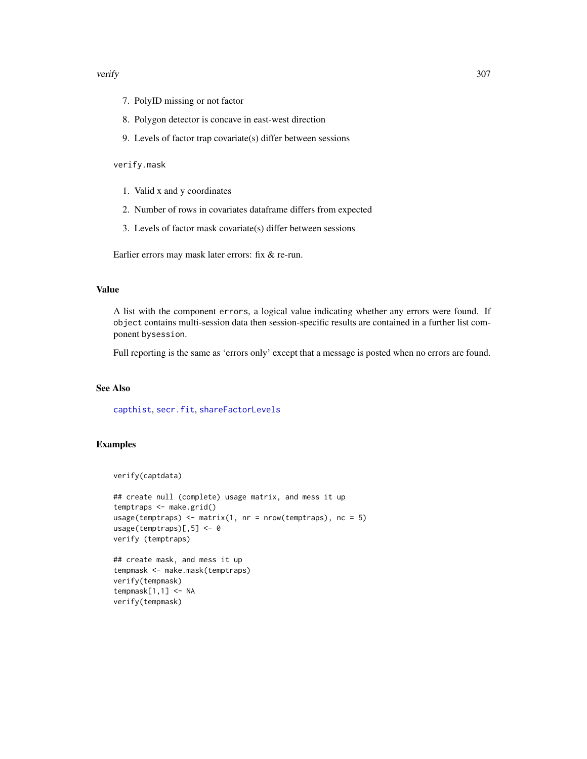#### <span id="page-306-0"></span>verify 307

- 7. PolyID missing or not factor
- 8. Polygon detector is concave in east-west direction
- 9. Levels of factor trap covariate(s) differ between sessions

#### verify.mask

- 1. Valid x and y coordinates
- 2. Number of rows in covariates dataframe differs from expected
- 3. Levels of factor mask covariate(s) differ between sessions

Earlier errors may mask later errors: fix & re-run.

# Value

A list with the component errors, a logical value indicating whether any errors were found. If object contains multi-session data then session-specific results are contained in a further list component bysession.

Full reporting is the same as 'errors only' except that a message is posted when no errors are found.

# See Also

[capthist](#page-24-0), [secr.fit](#page-218-0), [shareFactorLevels](#page-234-0)

```
verify(captdata)
```

```
## create null (complete) usage matrix, and mess it up
temptraps <- make.grid()
usage(temptraps) <- matrix(1, nr = nrow(temptraps), nc = 5)
usage(temptraps)[,5] <- 0
verify (temptraps)
```

```
## create mask, and mess it up
tempmask <- make.mask(temptraps)
verify(tempmask)
tempmask[1,1] <- NA
verify(tempmask)
```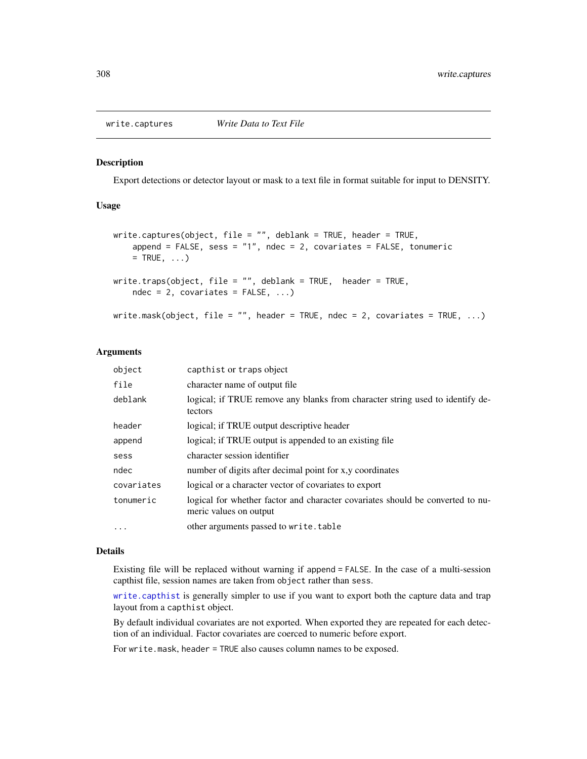<span id="page-307-0"></span>

#### Description

Export detections or detector layout or mask to a text file in format suitable for input to DENSITY.

# Usage

```
write.captures(object, file = ", deblank = TRUE, header = TRUE,
    append = FALSE, sess = "1", ndec = 2, covariates = FALSE, tonumeric
   = TRUE, \ldots)
write.traps(object, file = ", deblank = TRUE, header = TRUE,
   ndec = 2, covariates = FALSE, ...write.mask(object, file = "", header = TRUE, ndec = 2, covariates = TRUE, \ldots)
```
#### Arguments

| object     | capthist or traps object                                                                                 |
|------------|----------------------------------------------------------------------------------------------------------|
| file       | character name of output file                                                                            |
| deblank    | logical; if TRUE remove any blanks from character string used to identify de-<br>tectors                 |
| header     | logical; if TRUE output descriptive header                                                               |
| append     | logical; if TRUE output is appended to an existing file.                                                 |
| sess       | character session identifier                                                                             |
| ndec       | number of digits after decimal point for x,y coordinates                                                 |
| covariates | logical or a character vector of covariates to export                                                    |
| tonumeric  | logical for whether factor and character covariates should be converted to nu-<br>meric values on output |
| $\cdots$   | other arguments passed to write.table                                                                    |

#### Details

Existing file will be replaced without warning if append = FALSE. In the case of a multi-session capthist file, session names are taken from object rather than sess.

[write.capthist](#page-191-1) is generally simpler to use if you want to export both the capture data and trap layout from a capthist object.

By default individual covariates are not exported. When exported they are repeated for each detection of an individual. Factor covariates are coerced to numeric before export.

For write.mask, header = TRUE also causes column names to be exposed.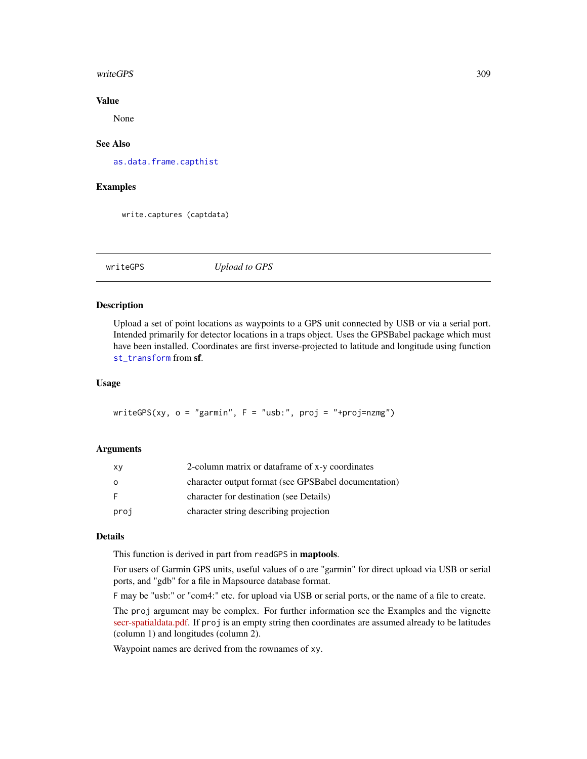#### <span id="page-308-0"></span>writeGPS 309

# Value

None

# See Also

[as.data.frame.capthist](#page-17-0)

### Examples

write.captures (captdata)

writeGPS *Upload to GPS*

# Description

Upload a set of point locations as waypoints to a GPS unit connected by USB or via a serial port. Intended primarily for detector locations in a traps object. Uses the GPSBabel package which must have been installed. Coordinates are first inverse-projected to latitude and longitude using function [st\\_transform](#page-0-0) from sf.

# Usage

writeGPS(xy,  $o = "garmin", F = "usb:", proj = "+proj=nzmg")$ 

#### Arguments

| XV      | 2-column matrix or dataframe of x-y coordinates      |
|---------|------------------------------------------------------|
| $\circ$ | character output format (see GPSBabel documentation) |
| -F      | character for destination (see Details)              |
| proj    | character string describing projection               |

# Details

This function is derived in part from readGPS in maptools.

For users of Garmin GPS units, useful values of o are "garmin" for direct upload via USB or serial ports, and "gdb" for a file in Mapsource database format.

F may be "usb:" or "com4:" etc. for upload via USB or serial ports, or the name of a file to create.

The proj argument may be complex. For further information see the Examples and the vignette [secr-spatialdata.pdf.](https://www.otago.ac.nz/density/pdfs/secr-spatialdata.pdf) If proj is an empty string then coordinates are assumed already to be latitudes (column 1) and longitudes (column 2).

Waypoint names are derived from the rownames of xy.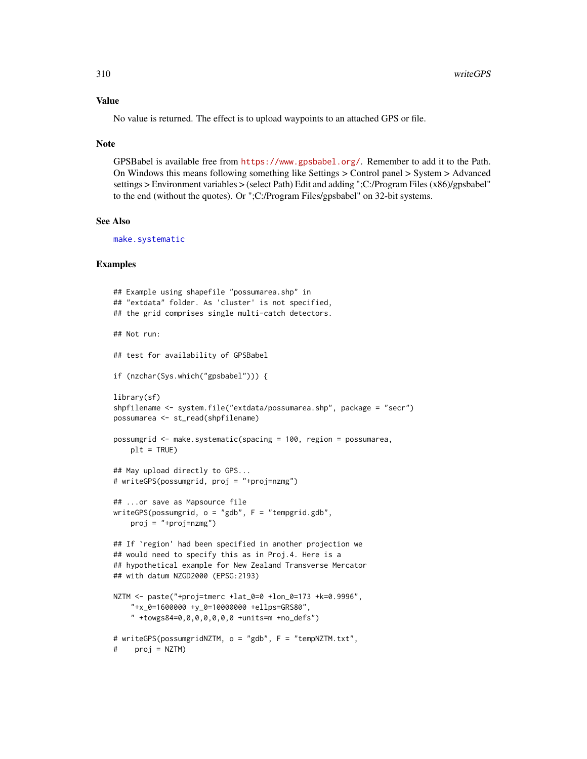#### <span id="page-309-0"></span>Value

No value is returned. The effect is to upload waypoints to an attached GPS or file.

#### Note

GPSBabel is available free from <https://www.gpsbabel.org/>. Remember to add it to the Path. On Windows this means following something like Settings > Control panel > System > Advanced settings > Environment variables > (select Path) Edit and adding ";C:/Program Files (x86)/gpsbabel" to the end (without the quotes). Or ";C:/Program Files/gpsbabel" on 32-bit systems.

# See Also

[make.systematic](#page-118-0)

```
## Example using shapefile "possumarea.shp" in
## "extdata" folder. As 'cluster' is not specified,
## the grid comprises single multi-catch detectors.
## Not run:
## test for availability of GPSBabel
if (nzchar(Sys.which("gpsbabel"))) {
library(sf)
shpfilename <- system.file("extdata/possumarea.shp", package = "secr")
possumarea <- st_read(shpfilename)
possumgrid <- make.systematic(spacing = 100, region = possumarea,
   plt = TRUE## May upload directly to GPS...
# writeGPS(possumgrid, proj = "+proj=nzmg")
## ...or save as Mapsource file
writeGPS(possumgrid, o = "gdb", F = "tempgrid.gdb",
   proj = "+proj=nzmg")## If `region' had been specified in another projection we
## would need to specify this as in Proj.4. Here is a
## hypothetical example for New Zealand Transverse Mercator
## with datum NZGD2000 (EPSG:2193)
NZTM <- paste("+proj=tmerc +lat_0=0 +lon_0=173 +k=0.9996",
    "+x_0=1600000 +y_0=10000000 +ellps=GRS80",
    " +towgs84=0,0,0,0,0,0,0 +units=m +no_defs")
# writeGPS(possumgridNZTM, o = "gdb", F = "tempNZTM.txt",
# proj = NZTM)
```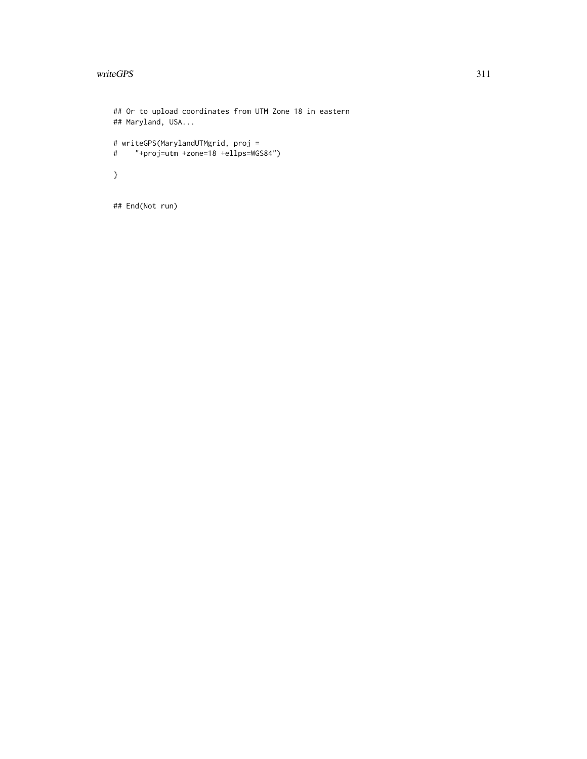# writeGPS 311

```
## Or to upload coordinates from UTM Zone 18 in eastern
## Maryland, USA...
# writeGPS(MarylandUTMgrid, proj =
# "+proj=utm +zone=18 +ellps=WGS84")
}
```
## End(Not run)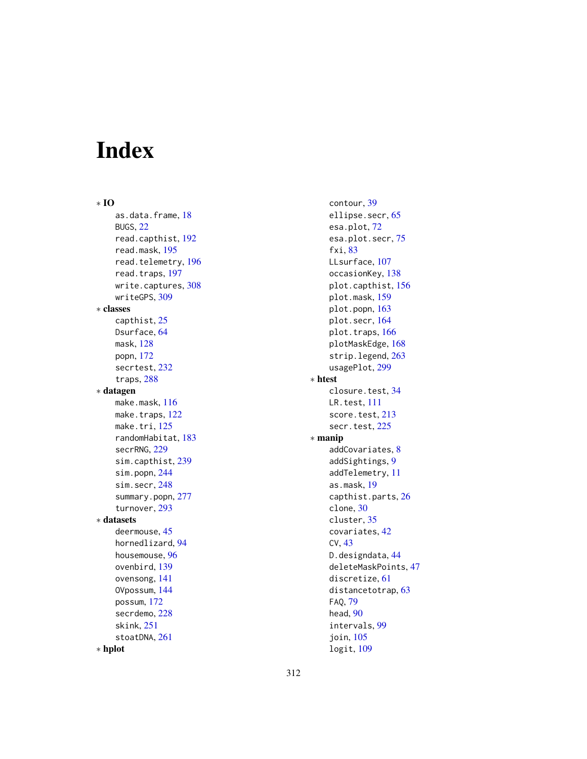# Index

∗ IO as.data.frame, [18](#page-17-1) BUGS, [22](#page-21-0) read.capthist, [192](#page-191-2) read.mask, [195](#page-194-0) read.telemetry, [196](#page-195-0) read.traps, [197](#page-196-1) write.captures, [308](#page-307-0) writeGPS, [309](#page-308-0) ∗ classes capthist, [25](#page-24-1) Dsurface, [64](#page-63-0) mask, [128](#page-127-0) popn, [172](#page-171-0) secrtest, [232](#page-231-0) traps, [288](#page-287-1) ∗ datagen make.mask, [116](#page-115-1) make.traps, [122](#page-121-1) make.tri, [125](#page-124-0) randomHabitat, [183](#page-182-0) secrRNG, [229](#page-228-0) sim.capthist, [239](#page-238-1) sim.popn, [244](#page-243-1) sim.secr, [248](#page-247-0) summary.popn, [277](#page-276-0) turnover, [293](#page-292-0) ∗ datasets deermouse, [45](#page-44-0) hornedlizard, [94](#page-93-0) housemouse, [96](#page-95-0) ovenbird, [139](#page-138-0) ovensong, [141](#page-140-0) OVpossum, [144](#page-143-0) possum, [172](#page-171-0) secrdemo, [228](#page-227-0) skink, [251](#page-250-0) stoatDNA, [261](#page-260-0) ∗ hplot

contour, [39](#page-38-0) ellipse.secr, [65](#page-64-0) esa.plot, [72](#page-71-0) esa.plot.secr, [75](#page-74-0) fxi, [83](#page-82-0) LLsurface, [107](#page-106-0) occasionKey, [138](#page-137-0) plot.capthist, [156](#page-155-1) plot.mask, [159](#page-158-0) plot.popn, [163](#page-162-0) plot.secr, [164](#page-163-0) plot.traps, [166](#page-165-1) plotMaskEdge, [168](#page-167-0) strip.legend, [263](#page-262-0) usagePlot, [299](#page-298-1) ∗ htest closure.test, [34](#page-33-0) LR.test, [111](#page-110-0) score.test, [213](#page-212-0) secr.test, [225](#page-224-0) ∗ manip addCovariates, [8](#page-7-0) addSightings, [9](#page-8-1) addTelemetry, [11](#page-10-0) as.mask, [19](#page-18-1) capthist.parts, [26](#page-25-0) clone, [30](#page-29-0) cluster, [35](#page-34-0) covariates, [42](#page-41-1) CV, [43](#page-42-0) D.designdata, [44](#page-43-0) deleteMaskPoints, [47](#page-46-0) discretize, [61](#page-60-0) distancetotrap, [63](#page-62-0) FAQ, [79](#page-78-0) head, [90](#page-89-0) intervals, [99](#page-98-0) join, [105](#page-104-0)

logit, [109](#page-108-0)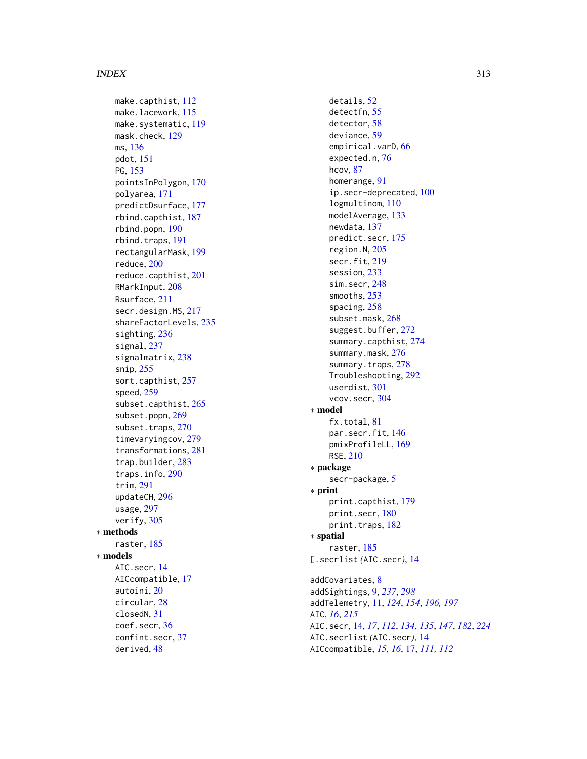#### INDEX  $313$

make.capthist, [112](#page-111-0) make.lacework, [115](#page-114-0) make.systematic , [119](#page-118-1) mask.check , [129](#page-128-0) ms , [136](#page-135-0) pdot , [151](#page-150-0) PG, [153](#page-152-0) pointsInPolygon , [170](#page-169-0) polyarea , [171](#page-170-0) predictDsurface , [177](#page-176-0) rbind.capthist , [187](#page-186-0) rbind.popn , [190](#page-189-0) rbind.traps , [191](#page-190-1) rectangularMask , [199](#page-198-0) reduce , [200](#page-199-0) reduce.capthist , [201](#page-200-1) RMarkInput , [208](#page-207-0) Rsurface , [211](#page-210-0) secr.design.MS , [217](#page-216-0) shareFactorLevels , [235](#page-234-1) sighting, [236](#page-235-1) signal, [237](#page-236-0) signalmatrix, [238](#page-237-0) snip , [255](#page-254-0) sort.capthist, [257](#page-256-0) speed , [259](#page-258-0) subset.capthist , [265](#page-264-0) subset.popn, [269](#page-268-0) subset.traps, [270](#page-269-1) timevaryingcov , [279](#page-278-0) transformations , [281](#page-280-1) trap.builder , [283](#page-282-2) traps.info , [290](#page-289-0) trim , [291](#page-290-0) updateCH , [296](#page-295-0) usage , [297](#page-296-1) verify , [305](#page-304-0) ∗ methods raster , [185](#page-184-0) ∗ models AIC.secr , [14](#page-13-0) AICcompatible , [17](#page-16-0) autoini , [20](#page-19-0) circular , [28](#page-27-0) closedN , [31](#page-30-0) coef.secr , [36](#page-35-0) confint.secr , [37](#page-36-0) derived , [48](#page-47-0)

details , [52](#page-51-1) detectfn , [55](#page-54-0) detector , [58](#page-57-1) deviance , [59](#page-58-0) empirical.varD, [66](#page-65-0) expected.n, [76](#page-75-0) hcov , [87](#page-86-0) homerange , [91](#page-90-0) ip.secr-deprecated, [100](#page-99-0) logmultinom , [110](#page-109-0) modelAverage, [133](#page-132-0) newdata , [137](#page-136-0) predict.secr , [175](#page-174-0) region.N , [205](#page-204-0) secr.fit , [219](#page-218-1) session , [233](#page-232-0) sim.secr , [248](#page-247-0) smooths , [253](#page-252-0) spacing, [258](#page-257-1) subset.mask, [268](#page-267-0) suggest.buffer, [272](#page-271-0) summary.capthist , [274](#page-273-0) summary.mask, [276](#page-275-0) summary.traps, [278](#page-277-0) Troubleshooting , [292](#page-291-0) userdist , [301](#page-300-0) vcov.secr, [304](#page-303-0) ∗ model fx.total, [81](#page-80-0) par.secr.fit, [146](#page-145-0) pmixProfileLL , [169](#page-168-0) RSE , [210](#page-209-0) ∗ package secr-package, [5](#page-4-0) ∗ print print.capthist , [179](#page-178-0) print.secr , [180](#page-179-1) print.traps, [182](#page-181-0) ∗ spatial raster , [185](#page-184-0) [.secrlist *(*AIC.secr *)* , [14](#page-13-0) addCovariates, [8](#page-7-0) addSightings , [9](#page-8-1) , *[237](#page-236-0)* , *[298](#page-297-0)* addTelemetry , [11](#page-10-0) , *[124](#page-123-0)* , *[154](#page-153-0)* , *[196,](#page-195-0) [197](#page-196-1)* AIC , *[16](#page-15-0)* , *[215](#page-214-0)* AIC.secr , [14](#page-13-0) , *[17](#page-16-0)* , *[112](#page-111-0)* , *[134](#page-133-0) , [135](#page-134-0)* , *[147](#page-146-0)* , *[182](#page-181-0)* , *[224](#page-223-0)* AIC.secrlist *(*AIC.secr *)* , [14](#page-13-0) AICcompatible , *[15](#page-14-0) , [16](#page-15-0)* , [17](#page-16-0) , *[111](#page-110-0) , [112](#page-111-0)*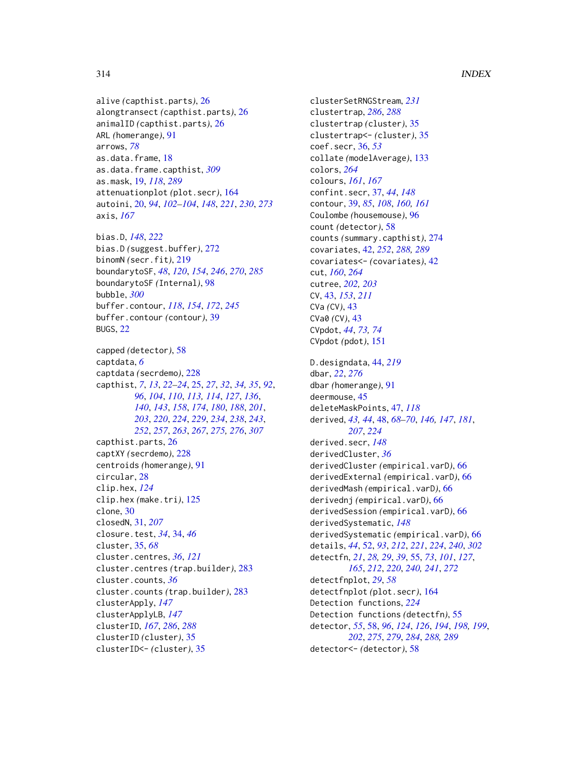```
alive (capthist.parts), 26
alongtransect (capthist.parts), 26
animalID (capthist.parts), 26
ARL (homerange), 91
arrows, 78
as.data.frame, 18
as.data.frame.capthist, 309
as.mask, 19, 118, 289
attenuationplot (plot.secr), 164
autoini, 20, 94, 102–104, 148, 221, 230, 273
axis, 167
```
bias.D, *[148](#page-147-0)*, *[222](#page-221-0)* bias.D *(*suggest.buffer*)*, [272](#page-271-0) binomN *(*secr.fit*)*, [219](#page-218-1) boundarytoSF, *[48](#page-47-0)*, *[120](#page-119-0)*, *[154](#page-153-0)*, *[246](#page-245-0)*, *[270](#page-269-1)*, *[285](#page-284-0)* boundarytoSF *(*Internal*)*, [98](#page-97-0) bubble, *[300](#page-299-0)* buffer.contour, *[118](#page-117-0)*, *[154](#page-153-0)*, *[172](#page-171-0)*, *[245](#page-244-0)* buffer.contour *(*contour*)*, [39](#page-38-0) BUGS, [22](#page-21-0)

capped *(*detector*)*, [58](#page-57-1) captdata, *[6](#page-5-0)* captdata *(*secrdemo*)*, [228](#page-227-0) capthist, *[7](#page-6-0)*, *[13](#page-12-0)*, *[22](#page-21-0)[–24](#page-23-0)*, [25,](#page-24-1) *[27](#page-26-0)*, *[32](#page-31-0)*, *[34,](#page-33-0) [35](#page-34-0)*, *[92](#page-91-0)*, *[96](#page-95-0)*, *[104](#page-103-0)*, *[110](#page-109-0)*, *[113,](#page-112-0) [114](#page-113-0)*, *[127](#page-126-0)*, *[136](#page-135-0)*, *[140](#page-139-0)*, *[143](#page-142-0)*, *[158](#page-157-0)*, *[174](#page-173-0)*, *[180](#page-179-1)*, *[188](#page-187-0)*, *[201](#page-200-1)*, *[203](#page-202-0)*, *[220](#page-219-0)*, *[224](#page-223-0)*, *[229](#page-228-0)*, *[234](#page-233-0)*, *[238](#page-237-0)*, *[243](#page-242-0)*, *[252](#page-251-0)*, *[257](#page-256-0)*, *[263](#page-262-0)*, *[267](#page-266-0)*, *[275,](#page-274-0) [276](#page-275-0)*, *[307](#page-306-0)* capthist.parts, [26](#page-25-0) captXY *(*secrdemo*)*, [228](#page-227-0) centroids *(*homerange*)*, [91](#page-90-0) circular, [28](#page-27-0) clip.hex, *[124](#page-123-0)* clip.hex *(*make.tri*)*, [125](#page-124-0) clone, [30](#page-29-0) closedN, [31,](#page-30-0) *[207](#page-206-0)* closure.test, *[34](#page-33-0)*, [34,](#page-33-0) *[46](#page-45-0)* cluster, [35,](#page-34-0) *[68](#page-67-0)* cluster.centres, *[36](#page-35-0)*, *[121](#page-120-0)* cluster.centres *(*trap.builder*)*, [283](#page-282-2) cluster.counts, *[36](#page-35-0)* cluster.counts *(*trap.builder*)*, [283](#page-282-2) clusterApply, *[147](#page-146-0)* clusterApplyLB, *[147](#page-146-0)* clusterID, *[167](#page-166-0)*, *[286](#page-285-0)*, *[288](#page-287-1)* clusterID *(*cluster*)*, [35](#page-34-0) clusterID<- *(*cluster*)*, [35](#page-34-0)

clusterSetRNGStream, *[231](#page-230-0)* clustertrap, *[286](#page-285-0)*, *[288](#page-287-1)* clustertrap *(*cluster*)*, [35](#page-34-0) clustertrap<- *(*cluster*)*, [35](#page-34-0) coef.secr, [36,](#page-35-0) *[53](#page-52-0)* collate *(*modelAverage*)*, [133](#page-132-0) colors, *[264](#page-263-0)* colours, *[161](#page-160-0)*, *[167](#page-166-0)* confint.secr, [37,](#page-36-0) *[44](#page-43-0)*, *[148](#page-147-0)* contour, [39,](#page-38-0) *[85](#page-84-0)*, *[108](#page-107-0)*, *[160,](#page-159-0) [161](#page-160-0)* Coulombe *(*housemouse*)*, [96](#page-95-0) count *(*detector*)*, [58](#page-57-1) counts *(*summary.capthist*)*, [274](#page-273-0) covariates, [42,](#page-41-1) *[252](#page-251-0)*, *[288,](#page-287-1) [289](#page-288-0)* covariates<- *(*covariates*)*, [42](#page-41-1) cut, *[160](#page-159-0)*, *[264](#page-263-0)* cutree, *[202,](#page-201-0) [203](#page-202-0)* CV, [43,](#page-42-0) *[153](#page-152-0)*, *[211](#page-210-0)* CVa *(*CV*)*, [43](#page-42-0) CVa0 *(*CV*)*, [43](#page-42-0) CVpdot, *[44](#page-43-0)*, *[73,](#page-72-0) [74](#page-73-0)* CVpdot *(*pdot*)*, [151](#page-150-0) D.designdata, [44,](#page-43-0) *[219](#page-218-1)* dbar, *[22](#page-21-0)*, *[276](#page-275-0)* dbar *(*homerange*)*, [91](#page-90-0) deermouse, [45](#page-44-0) deleteMaskPoints, [47,](#page-46-0) *[118](#page-117-0)* derived, *[43,](#page-42-0) [44](#page-43-0)*, [48,](#page-47-0) *[68](#page-67-0)[–70](#page-69-0)*, *[146,](#page-145-0) [147](#page-146-0)*, *[181](#page-180-0)*, *[207](#page-206-0)*, *[224](#page-223-0)* derived.secr, *[148](#page-147-0)* derivedCluster, *[36](#page-35-0)* derivedCluster *(*empirical.varD*)*, [66](#page-65-0) derivedExternal *(*empirical.varD*)*, [66](#page-65-0) derivedMash *(*empirical.varD*)*, [66](#page-65-0) derivednj *(*empirical.varD*)*, [66](#page-65-0) derivedSession *(*empirical.varD*)*, [66](#page-65-0) derivedSystematic, *[148](#page-147-0)* derivedSystematic *(*empirical.varD*)*, [66](#page-65-0) details, *[44](#page-43-0)*, [52,](#page-51-1) *[93](#page-92-0)*, *[212](#page-211-0)*, *[221](#page-220-0)*, *[224](#page-223-0)*, *[240](#page-239-0)*, *[302](#page-301-0)* detectfn, *[21](#page-20-0)*, *[28,](#page-27-0) [29](#page-28-0)*, *[39](#page-38-0)*, [55,](#page-54-0) *[73](#page-72-0)*, *[101](#page-100-0)*, *[127](#page-126-0)*, *[165](#page-164-0)*, *[212](#page-211-0)*, *[220](#page-219-0)*, *[240,](#page-239-0) [241](#page-240-0)*, *[272](#page-271-0)* detectfnplot, *[29](#page-28-0)*, *[58](#page-57-1)* detectfnplot *(*plot.secr*)*, [164](#page-163-0) Detection functions, *[224](#page-223-0)* Detection functions *(*detectfn*)*, [55](#page-54-0) detector, *[55](#page-54-0)*, [58,](#page-57-1) *[96](#page-95-0)*, *[124](#page-123-0)*, *[126](#page-125-0)*, *[194](#page-193-0)*, *[198,](#page-197-0) [199](#page-198-0)*, *[202](#page-201-0)*, *[275](#page-274-0)*, *[279](#page-278-0)*, *[284](#page-283-0)*, *[288,](#page-287-1) [289](#page-288-0)* detector<- *(*detector*)*, [58](#page-57-1)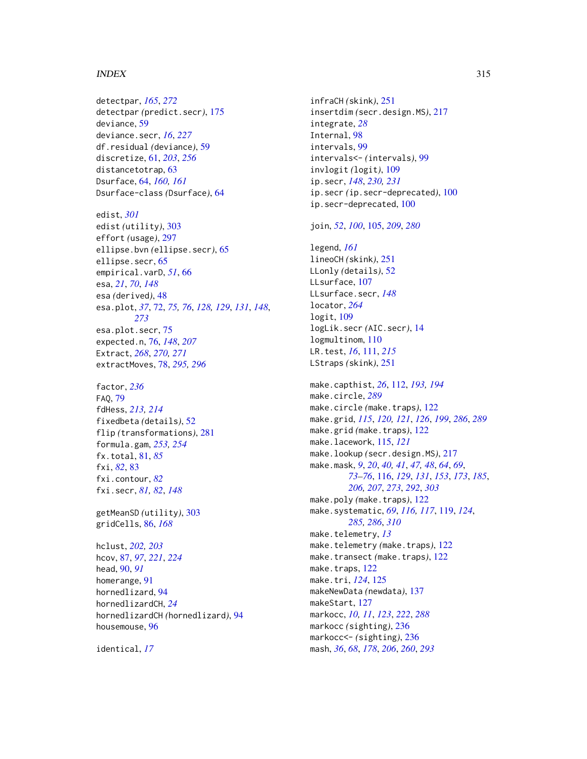#### INDEX  $315$

detectpar, *[165](#page-164-0)*, *[272](#page-271-0)* detectpar *(*predict.secr*)*, [175](#page-174-0) deviance, [59](#page-58-0) deviance.secr, *[16](#page-15-0)*, *[227](#page-226-0)* df.residual *(*deviance*)*, [59](#page-58-0) discretize, [61,](#page-60-0) *[203](#page-202-0)*, *[256](#page-255-0)* distancetotrap, [63](#page-62-0) Dsurface, [64,](#page-63-0) *[160,](#page-159-0) [161](#page-160-0)* Dsurface-class *(*Dsurface*)*, [64](#page-63-0) edist, *[301](#page-300-0)* edist *(*utility*)*, [303](#page-302-1) effort *(*usage*)*, [297](#page-296-1) ellipse.bvn *(*ellipse.secr*)*, [65](#page-64-0) ellipse.secr, [65](#page-64-0) empirical.varD, *[51](#page-50-0)*, [66](#page-65-0) esa, *[21](#page-20-0)*, *[70](#page-69-0)*, *[148](#page-147-0)* esa *(*derived*)*, [48](#page-47-0) esa.plot, *[37](#page-36-0)*, [72,](#page-71-0) *[75,](#page-74-0) [76](#page-75-0)*, *[128,](#page-127-0) [129](#page-128-0)*, *[131](#page-130-0)*, *[148](#page-147-0)*, *[273](#page-272-0)* esa.plot.secr, [75](#page-74-0) expected.n, [76,](#page-75-0) *[148](#page-147-0)*, *[207](#page-206-0)* Extract, *[268](#page-267-0)*, *[270,](#page-269-1) [271](#page-270-0)* extractMoves, [78,](#page-77-1) *[295,](#page-294-0) [296](#page-295-0)*

factor, *[236](#page-235-1)* FAQ, [79](#page-78-0) fdHess, *[213,](#page-212-0) [214](#page-213-0)* fixedbeta *(*details*)*, [52](#page-51-1) flip *(*transformations*)*, [281](#page-280-1) formula.gam, *[253,](#page-252-0) [254](#page-253-0)* fx.total, [81,](#page-80-0) *[85](#page-84-0)* fxi, *[82](#page-81-0)*, [83](#page-82-0) fxi.contour, *[82](#page-81-0)* fxi.secr, *[81,](#page-80-0) [82](#page-81-0)*, *[148](#page-147-0)*

getMeanSD *(*utility*)*, [303](#page-302-1) gridCells, [86,](#page-85-0) *[168](#page-167-0)*

hclust, *[202,](#page-201-0) [203](#page-202-0)* hcov, [87,](#page-86-0) *[97](#page-96-0)*, *[221](#page-220-0)*, *[224](#page-223-0)* head, [90,](#page-89-0) *[91](#page-90-0)* homerange, [91](#page-90-0) hornedlizard, [94](#page-93-0) hornedlizardCH, *[24](#page-23-0)* hornedlizardCH *(*hornedlizard*)*, [94](#page-93-0) housemouse, [96](#page-95-0)

identical, *[17](#page-16-0)*

infraCH *(*skink*)*, [251](#page-250-0) insertdim *(*secr.design.MS*)*, [217](#page-216-0) integrate, *[28](#page-27-0)* Internal, [98](#page-97-0) intervals, [99](#page-98-0) intervals<- *(*intervals*)*, [99](#page-98-0) invlogit *(*logit*)*, [109](#page-108-0) ip.secr, *[148](#page-147-0)*, *[230,](#page-229-0) [231](#page-230-0)* ip.secr *(*ip.secr-deprecated*)*, [100](#page-99-0) ip.secr-deprecated, [100](#page-99-0)

join, *[52](#page-51-1)*, *[100](#page-99-0)*, [105,](#page-104-0) *[209](#page-208-0)*, *[280](#page-279-0)*

legend, *[161](#page-160-0)* lineoCH *(*skink*)*, [251](#page-250-0) LLonly *(*details*)*, [52](#page-51-1) LLsurface, [107](#page-106-0) LLsurface.secr, *[148](#page-147-0)* locator, *[264](#page-263-0)* logit, [109](#page-108-0) logLik.secr *(*AIC.secr*)*, [14](#page-13-0) logmultinom, [110](#page-109-0) LR.test, *[16](#page-15-0)*, [111,](#page-110-0) *[215](#page-214-0)* LStraps *(*skink*)*, [251](#page-250-0)

make.capthist, *[26](#page-25-0)*, [112,](#page-111-0) *[193,](#page-192-0) [194](#page-193-0)* make.circle, *[289](#page-288-0)* make.circle *(*make.traps*)*, [122](#page-121-1) make.grid, *[115](#page-114-0)*, *[120,](#page-119-0) [121](#page-120-0)*, *[126](#page-125-0)*, *[199](#page-198-0)*, *[286](#page-285-0)*, *[289](#page-288-0)* make.grid *(*make.traps*)*, [122](#page-121-1) make.lacework, [115,](#page-114-0) *[121](#page-120-0)* make.lookup *(*secr.design.MS*)*, [217](#page-216-0) make.mask, *[9](#page-8-1)*, *[20](#page-19-0)*, *[40,](#page-39-0) [41](#page-40-0)*, *[47,](#page-46-0) [48](#page-47-0)*, *[64](#page-63-0)*, *[69](#page-68-0)*, *[73](#page-72-0)[–76](#page-75-0)*, [116,](#page-115-1) *[129](#page-128-0)*, *[131](#page-130-0)*, *[153](#page-152-0)*, *[173](#page-172-0)*, *[185](#page-184-0)*, *[206,](#page-205-0) [207](#page-206-0)*, *[273](#page-272-0)*, *[292](#page-291-0)*, *[303](#page-302-1)* make.poly *(*make.traps*)*, [122](#page-121-1) make.systematic, *[69](#page-68-0)*, *[116,](#page-115-1) [117](#page-116-0)*, [119,](#page-118-1) *[124](#page-123-0)*, *[285,](#page-284-0) [286](#page-285-0)*, *[310](#page-309-0)* make.telemetry, *[13](#page-12-0)* make.telemetry *(*make.traps*)*, [122](#page-121-1) make.transect *(*make.traps*)*, [122](#page-121-1) make.traps, [122](#page-121-1) make.tri, *[124](#page-123-0)*, [125](#page-124-0) makeNewData *(*newdata*)*, [137](#page-136-0) makeStart, [127](#page-126-0) markocc, *[10,](#page-9-0) [11](#page-10-0)*, *[123](#page-122-0)*, *[222](#page-221-0)*, *[288](#page-287-1)* markocc *(*sighting*)*, [236](#page-235-1) markocc<- *(*sighting*)*, [236](#page-235-1) mash, *[36](#page-35-0)*, *[68](#page-67-0)*, *[178](#page-177-0)*, *[206](#page-205-0)*, *[260](#page-259-0)*, *[293](#page-292-0)*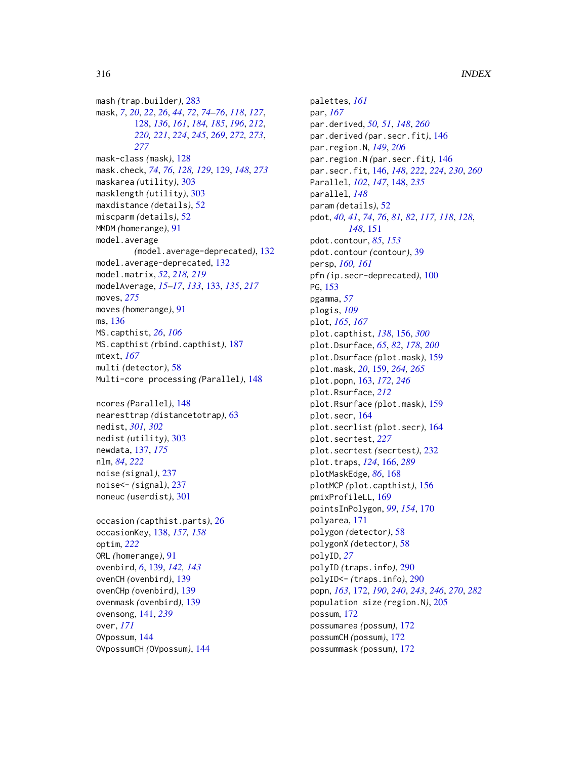mash *(*trap.builder*)*, [283](#page-282-2) mask, *[7](#page-6-0)*, *[20](#page-19-0)*, *[22](#page-21-0)*, *[26](#page-25-0)*, *[44](#page-43-0)*, *[72](#page-71-0)*, *[74–](#page-73-0)[76](#page-75-0)*, *[118](#page-117-0)*, *[127](#page-126-0)*, [128,](#page-127-0) *[136](#page-135-0)*, *[161](#page-160-0)*, *[184,](#page-183-0) [185](#page-184-0)*, *[196](#page-195-0)*, *[212](#page-211-0)*, *[220,](#page-219-0) [221](#page-220-0)*, *[224](#page-223-0)*, *[245](#page-244-0)*, *[269](#page-268-0)*, *[272,](#page-271-0) [273](#page-272-0)*, *[277](#page-276-0)* mask-class *(*mask*)*, [128](#page-127-0) mask.check, *[74](#page-73-0)*, *[76](#page-75-0)*, *[128,](#page-127-0) [129](#page-128-0)*, [129,](#page-128-0) *[148](#page-147-0)*, *[273](#page-272-0)* maskarea *(*utility*)*, [303](#page-302-1) masklength *(*utility*)*, [303](#page-302-1) maxdistance *(*details*)*, [52](#page-51-1) miscparm *(*details*)*, [52](#page-51-1) MMDM *(*homerange*)*, [91](#page-90-0) model.average *(*model.average-deprecated*)*, [132](#page-131-0) model.average-deprecated, [132](#page-131-0) model.matrix, *[52](#page-51-1)*, *[218,](#page-217-0) [219](#page-218-1)* modelAverage, *[15](#page-14-0)[–17](#page-16-0)*, *[133](#page-132-0)*, [133,](#page-132-0) *[135](#page-134-0)*, *[217](#page-216-0)* moves, *[275](#page-274-0)* moves *(*homerange*)*, [91](#page-90-0) ms, [136](#page-135-0) MS.capthist, *[26](#page-25-0)*, *[106](#page-105-0)* MS.capthist *(*rbind.capthist*)*, [187](#page-186-0) mtext, *[167](#page-166-0)* multi *(*detector*)*, [58](#page-57-1) Multi-core processing *(*Parallel*)*, [148](#page-147-0)

ncores *(*Parallel*)*, [148](#page-147-0) nearesttrap *(*distancetotrap*)*, [63](#page-62-0) nedist, *[301,](#page-300-0) [302](#page-301-0)* nedist *(*utility*)*, [303](#page-302-1) newdata, [137,](#page-136-0) *[175](#page-174-0)* nlm, *[84](#page-83-0)*, *[222](#page-221-0)* noise *(*signal*)*, [237](#page-236-0) noise<- *(*signal*)*, [237](#page-236-0) noneuc *(*userdist*)*, [301](#page-300-0)

occasion *(*capthist.parts*)*, [26](#page-25-0) occasionKey, [138,](#page-137-0) *[157,](#page-156-0) [158](#page-157-0)* optim, *[222](#page-221-0)* ORL *(*homerange*)*, [91](#page-90-0) ovenbird, *[6](#page-5-0)*, [139,](#page-138-0) *[142,](#page-141-0) [143](#page-142-0)* ovenCH *(*ovenbird*)*, [139](#page-138-0) ovenCHp *(*ovenbird*)*, [139](#page-138-0) ovenmask *(*ovenbird*)*, [139](#page-138-0) ovensong, [141,](#page-140-0) *[239](#page-238-1)* over, *[171](#page-170-0)* OVpossum, [144](#page-143-0) OVpossumCH *(*OVpossum*)*, [144](#page-143-0)

palettes, *[161](#page-160-0)* par, *[167](#page-166-0)* par.derived, *[50,](#page-49-0) [51](#page-50-0)*, *[148](#page-147-0)*, *[260](#page-259-0)* par.derived *(*par.secr.fit*)*, [146](#page-145-0) par.region.N, *[149](#page-148-0)*, *[206](#page-205-0)* par.region.N *(*par.secr.fit*)*, [146](#page-145-0) par.secr.fit, [146,](#page-145-0) *[148](#page-147-0)*, *[222](#page-221-0)*, *[224](#page-223-0)*, *[230](#page-229-0)*, *[260](#page-259-0)* Parallel, *[102](#page-101-0)*, *[147](#page-146-0)*, [148,](#page-147-0) *[235](#page-234-1)* parallel, *[148](#page-147-0)* param *(*details*)*, [52](#page-51-1) pdot, *[40,](#page-39-0) [41](#page-40-0)*, *[74](#page-73-0)*, *[76](#page-75-0)*, *[81,](#page-80-0) [82](#page-81-0)*, *[117,](#page-116-0) [118](#page-117-0)*, *[128](#page-127-0)*, *[148](#page-147-0)*, [151](#page-150-0) pdot.contour, *[85](#page-84-0)*, *[153](#page-152-0)* pdot.contour *(*contour*)*, [39](#page-38-0) persp, *[160,](#page-159-0) [161](#page-160-0)* pfn *(*ip.secr-deprecated*)*, [100](#page-99-0) PG, [153](#page-152-0) pgamma, *[57](#page-56-0)* plogis, *[109](#page-108-0)* plot, *[165](#page-164-0)*, *[167](#page-166-0)* plot.capthist, *[138](#page-137-0)*, [156,](#page-155-1) *[300](#page-299-0)* plot.Dsurface, *[65](#page-64-0)*, *[82](#page-81-0)*, *[178](#page-177-0)*, *[200](#page-199-0)* plot.Dsurface *(*plot.mask*)*, [159](#page-158-0) plot.mask, *[20](#page-19-0)*, [159,](#page-158-0) *[264,](#page-263-0) [265](#page-264-0)* plot.popn, [163,](#page-162-0) *[172](#page-171-0)*, *[246](#page-245-0)* plot.Rsurface, *[212](#page-211-0)* plot.Rsurface *(*plot.mask*)*, [159](#page-158-0) plot.secr, [164](#page-163-0) plot.secrlist *(*plot.secr*)*, [164](#page-163-0) plot.secrtest, *[227](#page-226-0)* plot.secrtest *(*secrtest*)*, [232](#page-231-0) plot.traps, *[124](#page-123-0)*, [166,](#page-165-1) *[289](#page-288-0)* plotMaskEdge, *[86](#page-85-0)*, [168](#page-167-0) plotMCP *(*plot.capthist*)*, [156](#page-155-1) pmixProfileLL, [169](#page-168-0) pointsInPolygon, *[99](#page-98-0)*, *[154](#page-153-0)*, [170](#page-169-0) polyarea, [171](#page-170-0) polygon *(*detector*)*, [58](#page-57-1) polygonX *(*detector*)*, [58](#page-57-1) polyID, *[27](#page-26-0)* polyID *(*traps.info*)*, [290](#page-289-0) polyID<- *(*traps.info*)*, [290](#page-289-0) popn, *[163](#page-162-0)*, [172,](#page-171-0) *[190](#page-189-0)*, *[240](#page-239-0)*, *[243](#page-242-0)*, *[246](#page-245-0)*, *[270](#page-269-1)*, *[282](#page-281-0)* population size *(*region.N*)*, [205](#page-204-0) possum, [172](#page-171-0) possumarea *(*possum*)*, [172](#page-171-0) possumCH *(*possum*)*, [172](#page-171-0) possummask *(*possum*)*, [172](#page-171-0)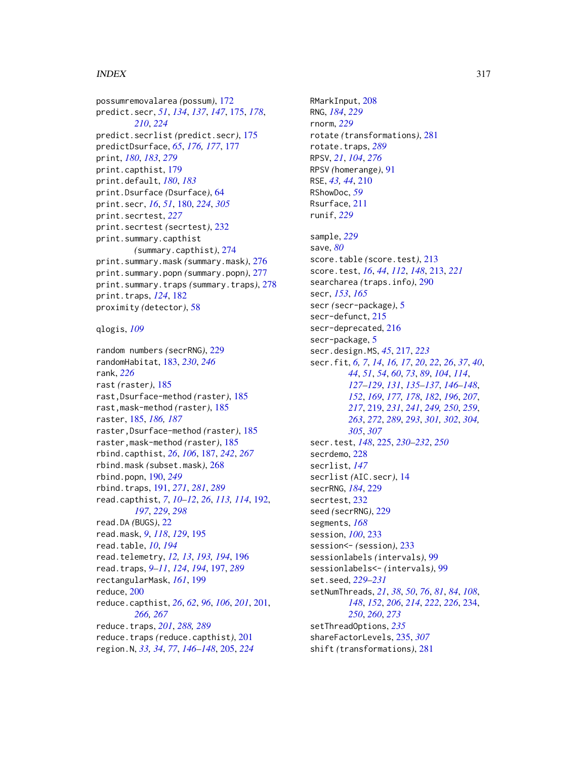#### INDEX  $317$

possumremovalarea *(*possum*)*, [172](#page-171-0) predict.secr, *[51](#page-50-0)*, *[134](#page-133-0)*, *[137](#page-136-0)*, *[147](#page-146-0)*, [175,](#page-174-0) *[178](#page-177-0)*, *[210](#page-209-0)*, *[224](#page-223-0)* predict.secrlist *(*predict.secr*)*, [175](#page-174-0) predictDsurface, *[65](#page-64-0)*, *[176,](#page-175-0) [177](#page-176-0)*, [177](#page-176-0) print, *[180](#page-179-1)*, *[183](#page-182-0)*, *[279](#page-278-0)* print.capthist, [179](#page-178-0) print.default, *[180](#page-179-1)*, *[183](#page-182-0)* print.Dsurface *(*Dsurface*)*, [64](#page-63-0) print.secr, *[16](#page-15-0)*, *[51](#page-50-0)*, [180,](#page-179-1) *[224](#page-223-0)*, *[305](#page-304-0)* print.secrtest, *[227](#page-226-0)* print.secrtest *(*secrtest*)*, [232](#page-231-0) print.summary.capthist *(*summary.capthist*)*, [274](#page-273-0) print.summary.mask *(*summary.mask*)*, [276](#page-275-0) print.summary.popn *(*summary.popn*)*, [277](#page-276-0) print.summary.traps *(*summary.traps*)*, [278](#page-277-0) print.traps, *[124](#page-123-0)*, [182](#page-181-0) proximity *(*detector*)*, [58](#page-57-1) qlogis, *[109](#page-108-0)* random numbers *(*secrRNG*)*, [229](#page-228-0) randomHabitat, [183,](#page-182-0) *[230](#page-229-0)*, *[246](#page-245-0)* rank, *[226](#page-225-0)* rast *(*raster*)*, [185](#page-184-0) rast,Dsurface-method *(*raster*)*, [185](#page-184-0) rast,mask-method *(*raster*)*, [185](#page-184-0) raster, [185,](#page-184-0) *[186,](#page-185-0) [187](#page-186-0)* raster,Dsurface-method *(*raster*)*, [185](#page-184-0) raster,mask-method *(*raster*)*, [185](#page-184-0) rbind.capthist, *[26](#page-25-0)*, *[106](#page-105-0)*, [187,](#page-186-0) *[242](#page-241-0)*, *[267](#page-266-0)* rbind.mask *(*subset.mask*)*, [268](#page-267-0) rbind.popn, [190,](#page-189-0) *[249](#page-248-0)* rbind.traps, [191,](#page-190-1) *[271](#page-270-0)*, *[281](#page-280-1)*, *[289](#page-288-0)* read.capthist, *[7](#page-6-0)*, *[10](#page-9-0)[–12](#page-11-0)*, *[26](#page-25-0)*, *[113,](#page-112-0) [114](#page-113-0)*, [192,](#page-191-2) *[197](#page-196-1)*, *[229](#page-228-0)*, *[298](#page-297-0)* read.DA *(*BUGS*)*, [22](#page-21-0) read.mask, *[9](#page-8-1)*, *[118](#page-117-0)*, *[129](#page-128-0)*, [195](#page-194-0) read.table, *[10](#page-9-0)*, *[194](#page-193-0)* read.telemetry, *[12,](#page-11-0) [13](#page-12-0)*, *[193,](#page-192-0) [194](#page-193-0)*, [196](#page-195-0) read.traps, *[9](#page-8-1)[–11](#page-10-0)*, *[124](#page-123-0)*, *[194](#page-193-0)*, [197,](#page-196-1) *[289](#page-288-0)* rectangularMask, *[161](#page-160-0)*, [199](#page-198-0) reduce, [200](#page-199-0) reduce.capthist, *[26](#page-25-0)*, *[62](#page-61-0)*, *[96](#page-95-0)*, *[106](#page-105-0)*, *[201](#page-200-1)*, [201,](#page-200-1) *[266,](#page-265-0) [267](#page-266-0)* reduce.traps, *[201](#page-200-1)*, *[288,](#page-287-1) [289](#page-288-0)* reduce.traps *(*reduce.capthist*)*, [201](#page-200-1) region.N, *[33,](#page-32-0) [34](#page-33-0)*, *[77](#page-76-0)*, *[146–](#page-145-0)[148](#page-147-0)*, [205,](#page-204-0) *[224](#page-223-0)*

RMarkInput, [208](#page-207-0) RNG, *[184](#page-183-0)*, *[229](#page-228-0)* rnorm, *[229](#page-228-0)* rotate *(*transformations*)*, [281](#page-280-1) rotate.traps, *[289](#page-288-0)* RPSV, *[21](#page-20-0)*, *[104](#page-103-0)*, *[276](#page-275-0)* RPSV *(*homerange*)*, [91](#page-90-0) RSE, *[43,](#page-42-0) [44](#page-43-0)*, [210](#page-209-0) RShowDoc, *[59](#page-58-0)* Rsurface, [211](#page-210-0) runif, *[229](#page-228-0)* sample, *[229](#page-228-0)* save, *[80](#page-79-0)* score.table *(*score.test*)*, [213](#page-212-0) score.test, *[16](#page-15-0)*, *[44](#page-43-0)*, *[112](#page-111-0)*, *[148](#page-147-0)*, [213,](#page-212-0) *[221](#page-220-0)* searcharea *(*traps.info*)*, [290](#page-289-0) secr, *[153](#page-152-0)*, *[165](#page-164-0)* secr *(*secr-package*)*, [5](#page-4-0) secr-defunct, [215](#page-214-0) secr-deprecated, [216](#page-215-0) secr-package, [5](#page-4-0) secr.design.MS, *[45](#page-44-0)*, [217,](#page-216-0) *[223](#page-222-0)* secr.fit, *[6,](#page-5-0) [7](#page-6-0)*, *[14](#page-13-0)*, *[16,](#page-15-0) [17](#page-16-0)*, *[20](#page-19-0)*, *[22](#page-21-0)*, *[26](#page-25-0)*, *[37](#page-36-0)*, *[40](#page-39-0)*, *[44](#page-43-0)*, *[51](#page-50-0)*, *[54](#page-53-0)*, *[60](#page-59-0)*, *[73](#page-72-0)*, *[89](#page-88-0)*, *[104](#page-103-0)*, *[114](#page-113-0)*, *[127](#page-126-0)[–129](#page-128-0)*, *[131](#page-130-0)*, *[135](#page-134-0)[–137](#page-136-0)*, *[146](#page-145-0)[–148](#page-147-0)*, *[152](#page-151-0)*, *[169](#page-168-0)*, *[177,](#page-176-0) [178](#page-177-0)*, *[182](#page-181-0)*, *[196](#page-195-0)*, *[207](#page-206-0)*, *[217](#page-216-0)*, [219,](#page-218-1) *[231](#page-230-0)*, *[241](#page-240-0)*, *[249,](#page-248-0) [250](#page-249-0)*, *[259](#page-258-0)*, *[263](#page-262-0)*, *[272](#page-271-0)*, *[289](#page-288-0)*, *[293](#page-292-0)*, *[301,](#page-300-0) [302](#page-301-0)*, *[304,](#page-303-0) [305](#page-304-0)*, *[307](#page-306-0)* secr.test, *[148](#page-147-0)*, [225,](#page-224-0) *[230](#page-229-0)[–232](#page-231-0)*, *[250](#page-249-0)* secrdemo, [228](#page-227-0) secrlist, *[147](#page-146-0)* secrlist *(*AIC.secr*)*, [14](#page-13-0) secrRNG, *[184](#page-183-0)*, [229](#page-228-0) secrtest, [232](#page-231-0) seed *(*secrRNG*)*, [229](#page-228-0) segments, *[168](#page-167-0)* session, *[100](#page-99-0)*, [233](#page-232-0) session<- *(*session*)*, [233](#page-232-0) sessionlabels *(*intervals*)*, [99](#page-98-0) sessionlabels<- *(*intervals*)*, [99](#page-98-0) set.seed, *[229](#page-228-0)[–231](#page-230-0)* setNumThreads, *[21](#page-20-0)*, *[38](#page-37-0)*, *[50](#page-49-0)*, *[76](#page-75-0)*, *[81](#page-80-0)*, *[84](#page-83-0)*, *[108](#page-107-0)*, *[148](#page-147-0)*, *[152](#page-151-0)*, *[206](#page-205-0)*, *[214](#page-213-0)*, *[222](#page-221-0)*, *[226](#page-225-0)*, [234,](#page-233-0) *[250](#page-249-0)*, *[260](#page-259-0)*, *[273](#page-272-0)* setThreadOptions, *[235](#page-234-1)* shareFactorLevels, [235,](#page-234-1) *[307](#page-306-0)* shift *(*transformations*)*, [281](#page-280-1)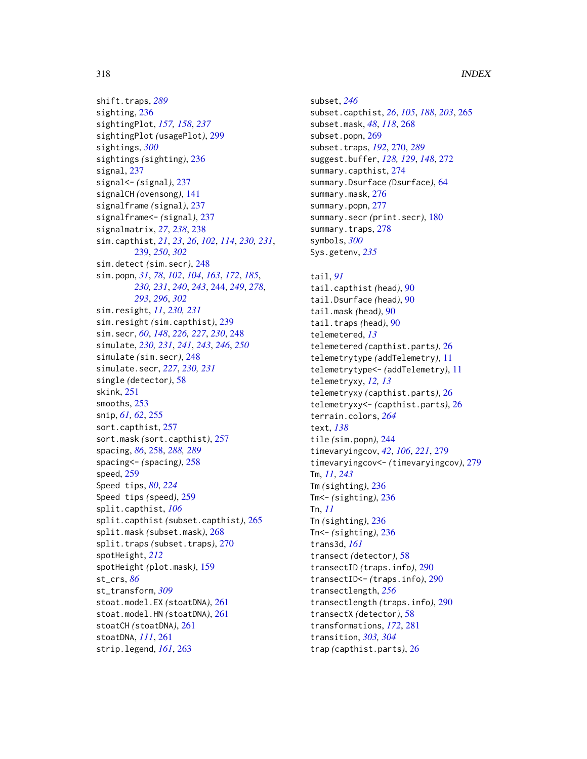```
289
sighting, 236
sightingPlot, 157, 158, 237
sightingPlot (usagePlot), 299
sightings, 300
sightings (sighting), 236
signal, 237
signal<- (signal), 237
signalCH (ovensong), 141
signalframe (signal), 237
signalframe<- (signal), 237
signalmatrix, 27, 238, 238
sim.capthist, 21, 23, 26, 102, 114, 230, 231,
        239, 250, 302
sim.detect (sim.secr), 248
sim.popn, 31, 78, 102, 104, 163, 172, 185,
        230, 231, 240, 243, 244, 249, 278,
        293, 296, 302
sim.resight, 11, 230, 231
sim.resight (sim.capthist), 239
sim.secr, 60, 148, 226, 227, 230, 248
simulate, 230, 231, 241, 243, 246, 250
simulate (sim.secr), 248
simulate.secr, 227, 230, 231
single (detector), 58
skink, 251
smooths, 253
snip, 61, 62, 255
sort.capthist, 257
sort.mask (sort.capthist), 257
spacing, 86, 258, 288, 289
spacing<- (spacing), 258
speed, 259
Speed tips, 80, 224
Speed tips (speed), 259
split.capthist, 106
split.capthist (subset.capthist), 265
split.mask (subset.mask), 268
split.traps (subset.traps), 270
spotHeight, 212
spotHeight (plot.mask), 159
st_crs, 86
st_transform, 309
stoat.model.EX (stoatDNA), 261
stoat.model.HN (stoatDNA), 261
stoatCH (stoatDNA), 261
stoatDNA, 111, 261
strip.legend, 161, 263
```

```
subset, 246
subset.capthist, 26, 105, 188, 203, 265
subset.mask, 48, 118, 268
subset.popn, 269
subset.traps, 192, 270, 289
suggest.buffer, 128, 129, 148, 272
summary.capthist, 274
summary.Dsurface (Dsurface), 64
276
277
summary.secr (print.secr), 180
278
symbols, 300
Sys.getenv, 235
```
# tail, *[91](#page-90-0)* tail.capthist *(*head*)*, [90](#page-89-0) tail.Dsurface *(*head*)*, [90](#page-89-0) tail.mask *(*head*)*, [90](#page-89-0) tail.traps *(*head*)*, [90](#page-89-0) telemetered, *[13](#page-12-0)* telemetered *(*capthist.parts*)*, [26](#page-25-0) telemetrytype *(*addTelemetry*)*, [11](#page-10-0) telemetrytype<- *(*addTelemetry*)*, [11](#page-10-0) telemetryxy, *[12,](#page-11-0) [13](#page-12-0)* telemetryxy *(*capthist.parts*)*, [26](#page-25-0) telemetryxy<- *(*capthist.parts*)*, [26](#page-25-0) terrain.colors, *[264](#page-263-0)* text, *[138](#page-137-0)* tile *(*sim.popn*)*, [244](#page-243-1) timevaryingcov, *[42](#page-41-1)*, *[106](#page-105-0)*, *[221](#page-220-0)*, [279](#page-278-0) timevaryingcov<- *(*timevaryingcov*)*, [279](#page-278-0) Tm, *[11](#page-10-0)*, *[243](#page-242-0)* Tm *(*sighting*)*, [236](#page-235-1) Tm<- *(*sighting*)*, [236](#page-235-1) Tn, *[11](#page-10-0)* Tn *(*sighting*)*, [236](#page-235-1) Tn<- *(*sighting*)*, [236](#page-235-1) trans3d, *[161](#page-160-0)* transect *(*detector*)*, [58](#page-57-1) transectID *(*traps.info*)*, [290](#page-289-0) transectID<- *(*traps.info*)*, [290](#page-289-0) transectlength, *[256](#page-255-0)* transectlength *(*traps.info*)*, [290](#page-289-0) transectX *(*detector*)*, [58](#page-57-1) transformations, *[172](#page-171-0)*, [281](#page-280-1) transition, *[303,](#page-302-1) [304](#page-303-0)* trap *(*capthist.parts*)*, [26](#page-25-0)